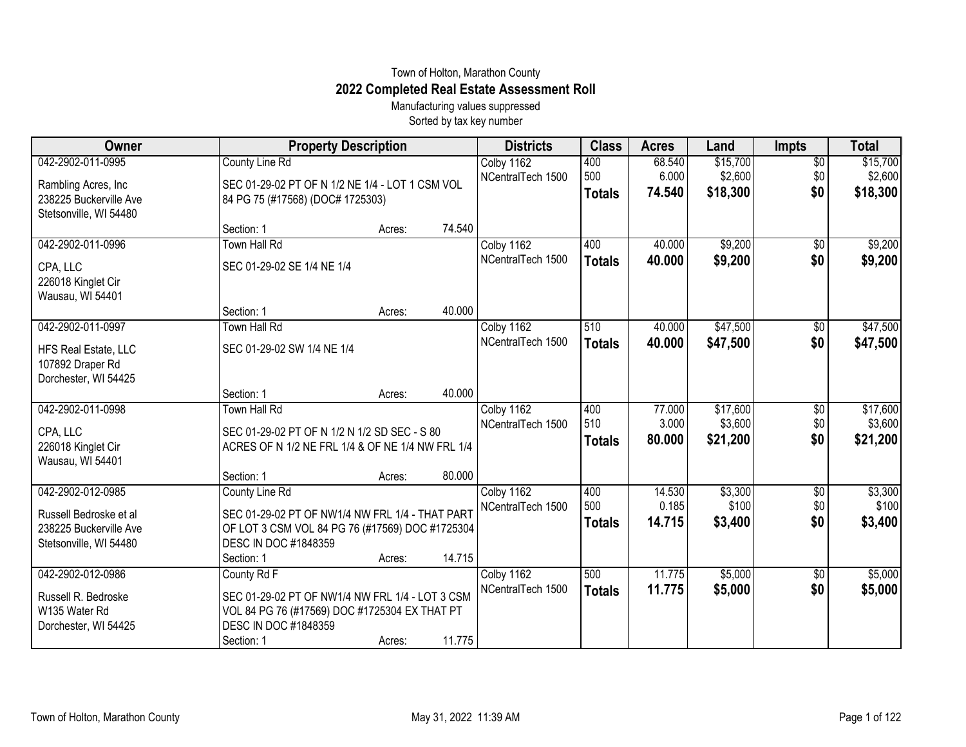## Town of Holton, Marathon County **2022 Completed Real Estate Assessment Roll**

Manufacturing values suppressed Sorted by tax key number

| Owner                  | <b>Property Description</b>                      | <b>Districts</b>  | <b>Class</b>  | <b>Acres</b> | Land     | <b>Impts</b>    | <b>Total</b> |
|------------------------|--------------------------------------------------|-------------------|---------------|--------------|----------|-----------------|--------------|
| 042-2902-011-0995      | <b>County Line Rd</b>                            | Colby 1162        | 400           | 68.540       | \$15,700 | $\overline{50}$ | \$15,700     |
| Rambling Acres, Inc.   | SEC 01-29-02 PT OF N 1/2 NE 1/4 - LOT 1 CSM VOL  | NCentralTech 1500 | 500           | 6.000        | \$2,600  | \$0             | \$2,600      |
| 238225 Buckerville Ave | 84 PG 75 (#17568) (DOC# 1725303)                 |                   | <b>Totals</b> | 74.540       | \$18,300 | \$0             | \$18,300     |
| Stetsonville, WI 54480 |                                                  |                   |               |              |          |                 |              |
|                        | Section: 1<br>Acres:                             | 74.540            |               |              |          |                 |              |
| 042-2902-011-0996      | <b>Town Hall Rd</b>                              | Colby 1162        | 400           | 40.000       | \$9,200  | $\overline{50}$ | \$9,200      |
| CPA, LLC               | SEC 01-29-02 SE 1/4 NE 1/4                       | NCentralTech 1500 | <b>Totals</b> | 40.000       | \$9,200  | \$0             | \$9,200      |
| 226018 Kinglet Cir     |                                                  |                   |               |              |          |                 |              |
| Wausau, WI 54401       |                                                  |                   |               |              |          |                 |              |
|                        | Section: 1<br>Acres:                             | 40.000            |               |              |          |                 |              |
| 042-2902-011-0997      | Town Hall Rd                                     | Colby 1162        | 510           | 40.000       | \$47,500 | \$0             | \$47,500     |
| HFS Real Estate, LLC   | SEC 01-29-02 SW 1/4 NE 1/4                       | NCentralTech 1500 | <b>Totals</b> | 40.000       | \$47,500 | \$0             | \$47,500     |
| 107892 Draper Rd       |                                                  |                   |               |              |          |                 |              |
| Dorchester, WI 54425   |                                                  |                   |               |              |          |                 |              |
|                        | Section: 1<br>Acres:                             | 40.000            |               |              |          |                 |              |
| 042-2902-011-0998      | <b>Town Hall Rd</b>                              | Colby 1162        | 400           | 77.000       | \$17,600 | $\sqrt[6]{}$    | \$17,600     |
| CPA, LLC               | SEC 01-29-02 PT OF N 1/2 N 1/2 SD SEC - S 80     | NCentralTech 1500 | 510           | 3.000        | \$3,600  | \$0             | \$3,600      |
| 226018 Kinglet Cir     | ACRES OF N 1/2 NE FRL 1/4 & OF NE 1/4 NW FRL 1/4 |                   | <b>Totals</b> | 80.000       | \$21,200 | \$0             | \$21,200     |
| Wausau, WI 54401       |                                                  |                   |               |              |          |                 |              |
|                        | Section: 1<br>Acres:                             | 80.000            |               |              |          |                 |              |
| 042-2902-012-0985      | County Line Rd                                   | Colby 1162        | 400           | 14.530       | \$3,300  | $\sqrt[6]{3}$   | \$3,300      |
| Russell Bedroske et al | SEC 01-29-02 PT OF NW1/4 NW FRL 1/4 - THAT PART  | NCentralTech 1500 | 500           | 0.185        | \$100    | \$0             | \$100        |
| 238225 Buckerville Ave | OF LOT 3 CSM VOL 84 PG 76 (#17569) DOC #1725304  |                   | <b>Totals</b> | 14.715       | \$3,400  | \$0             | \$3,400      |
| Stetsonville, WI 54480 | DESC IN DOC #1848359                             |                   |               |              |          |                 |              |
|                        | Section: 1<br>Acres:                             | 14.715            |               |              |          |                 |              |
| 042-2902-012-0986      | County Rd F                                      | Colby 1162        | 500           | 11.775       | \$5,000  | \$0             | \$5,000      |
| Russell R. Bedroske    | SEC 01-29-02 PT OF NW1/4 NW FRL 1/4 - LOT 3 CSM  | NCentralTech 1500 | <b>Totals</b> | 11.775       | \$5,000  | \$0             | \$5,000      |
| W135 Water Rd          | VOL 84 PG 76 (#17569) DOC #1725304 EX THAT PT    |                   |               |              |          |                 |              |
| Dorchester, WI 54425   | DESC IN DOC #1848359                             |                   |               |              |          |                 |              |
|                        | Section: 1<br>Acres:                             | 11.775            |               |              |          |                 |              |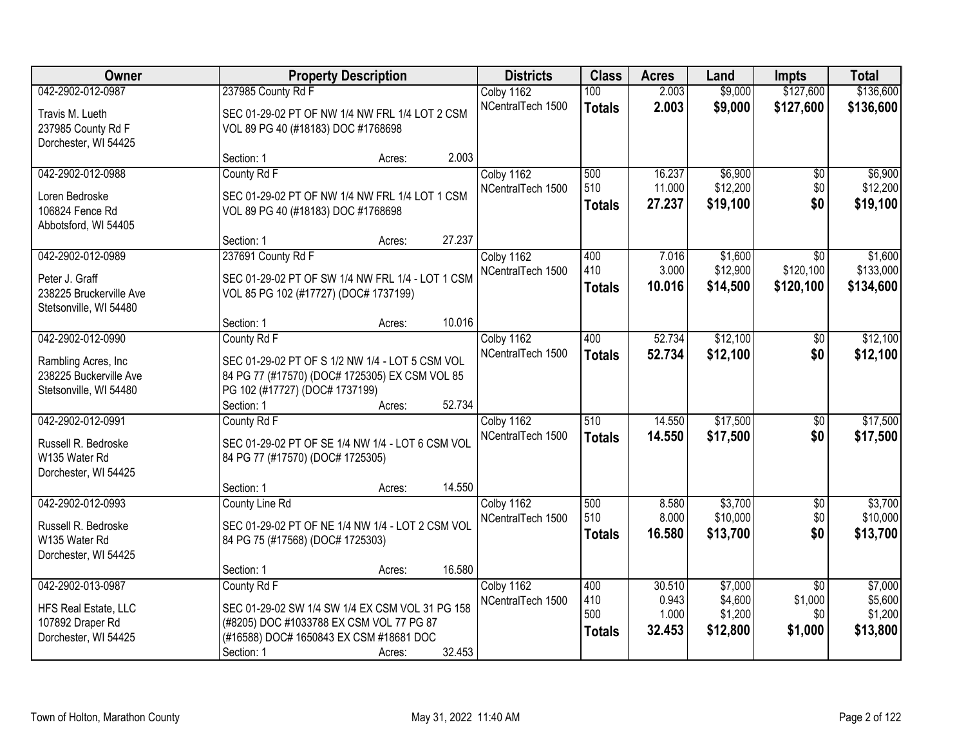| Owner                   |                                       | <b>Property Description</b>                      |        |                   | <b>Class</b>  | <b>Acres</b> | Land     | <b>Impts</b>    | <b>Total</b> |
|-------------------------|---------------------------------------|--------------------------------------------------|--------|-------------------|---------------|--------------|----------|-----------------|--------------|
| 042-2902-012-0987       | 237985 County Rd F                    |                                                  |        | Colby 1162        | 100           | 2.003        | \$9,000  | \$127,600       | \$136,600    |
| Travis M. Lueth         |                                       | SEC 01-29-02 PT OF NW 1/4 NW FRL 1/4 LOT 2 CSM   |        | NCentralTech 1500 | <b>Totals</b> | 2.003        | \$9,000  | \$127,600       | \$136,600    |
| 237985 County Rd F      | VOL 89 PG 40 (#18183) DOC #1768698    |                                                  |        |                   |               |              |          |                 |              |
| Dorchester, WI 54425    |                                       |                                                  |        |                   |               |              |          |                 |              |
|                         | Section: 1                            | Acres:                                           | 2.003  |                   |               |              |          |                 |              |
| 042-2902-012-0988       | County Rd F                           |                                                  |        | Colby 1162        | 500           | 16.237       | \$6,900  | $\overline{50}$ | \$6,900      |
| Loren Bedroske          |                                       | SEC 01-29-02 PT OF NW 1/4 NW FRL 1/4 LOT 1 CSM   |        | NCentralTech 1500 | 510           | 11.000       | \$12,200 | \$0             | \$12,200     |
| 106824 Fence Rd         | VOL 89 PG 40 (#18183) DOC #1768698    |                                                  |        |                   | <b>Totals</b> | 27.237       | \$19,100 | \$0             | \$19,100     |
| Abbotsford, WI 54405    |                                       |                                                  |        |                   |               |              |          |                 |              |
|                         | Section: 1                            | Acres:                                           | 27.237 |                   |               |              |          |                 |              |
| 042-2902-012-0989       | 237691 County Rd F                    |                                                  |        | Colby 1162        | 400           | 7.016        | \$1,600  | $\overline{50}$ | \$1,600      |
| Peter J. Graff          |                                       | SEC 01-29-02 PT OF SW 1/4 NW FRL 1/4 - LOT 1 CSM |        | NCentralTech 1500 | 410           | 3.000        | \$12,900 | \$120,100       | \$133,000    |
| 238225 Bruckerville Ave | VOL 85 PG 102 (#17727) (DOC# 1737199) |                                                  |        |                   | <b>Totals</b> | 10.016       | \$14,500 | \$120,100       | \$134,600    |
| Stetsonville, WI 54480  |                                       |                                                  |        |                   |               |              |          |                 |              |
|                         | Section: 1                            | Acres:                                           | 10.016 |                   |               |              |          |                 |              |
| 042-2902-012-0990       | County Rd F                           |                                                  |        | Colby 1162        | 400           | 52.734       | \$12,100 | $\sqrt[6]{}$    | \$12,100     |
| Rambling Acres, Inc     |                                       | SEC 01-29-02 PT OF S 1/2 NW 1/4 - LOT 5 CSM VOL  |        | NCentralTech 1500 | <b>Totals</b> | 52.734       | \$12,100 | \$0             | \$12,100     |
| 238225 Buckerville Ave  |                                       | 84 PG 77 (#17570) (DOC# 1725305) EX CSM VOL 85   |        |                   |               |              |          |                 |              |
| Stetsonville, WI 54480  | PG 102 (#17727) (DOC# 1737199)        |                                                  |        |                   |               |              |          |                 |              |
|                         | Section: 1                            | Acres:                                           | 52.734 |                   |               |              |          |                 |              |
| 042-2902-012-0991       | County Rd F                           |                                                  |        | Colby 1162        | 510           | 14.550       | \$17,500 | \$0             | \$17,500     |
| Russell R. Bedroske     |                                       | SEC 01-29-02 PT OF SE 1/4 NW 1/4 - LOT 6 CSM VOL |        | NCentralTech 1500 | <b>Totals</b> | 14.550       | \$17,500 | \$0             | \$17,500     |
| W135 Water Rd           | 84 PG 77 (#17570) (DOC# 1725305)      |                                                  |        |                   |               |              |          |                 |              |
| Dorchester, WI 54425    |                                       |                                                  |        |                   |               |              |          |                 |              |
|                         | Section: 1                            | Acres:                                           | 14.550 |                   |               |              |          |                 |              |
| 042-2902-012-0993       | County Line Rd                        |                                                  |        | Colby 1162        | 500           | 8.580        | \$3,700  | $\overline{60}$ | \$3,700      |
| Russell R. Bedroske     |                                       | SEC 01-29-02 PT OF NE 1/4 NW 1/4 - LOT 2 CSM VOL |        | NCentralTech 1500 | 510           | 8.000        | \$10,000 | \$0             | \$10,000     |
| W135 Water Rd           | 84 PG 75 (#17568) (DOC# 1725303)      |                                                  |        |                   | <b>Totals</b> | 16.580       | \$13,700 | \$0             | \$13,700     |
| Dorchester, WI 54425    |                                       |                                                  |        |                   |               |              |          |                 |              |
|                         | Section: 1                            | Acres:                                           | 16.580 |                   |               |              |          |                 |              |
| 042-2902-013-0987       | County Rd F                           |                                                  |        | Colby 1162        | 400           | 30.510       | \$7,000  | $\overline{50}$ | \$7,000      |
| HFS Real Estate, LLC    |                                       | SEC 01-29-02 SW 1/4 SW 1/4 EX CSM VOL 31 PG 158  |        | NCentralTech 1500 | 410           | 0.943        | \$4,600  | \$1,000         | \$5,600      |
| 107892 Draper Rd        |                                       | (#8205) DOC #1033788 EX CSM VOL 77 PG 87         |        |                   | 500           | 1.000        | \$1,200  | \$0             | \$1,200      |
| Dorchester, WI 54425    |                                       | (#16588) DOC# 1650843 EX CSM #18681 DOC          |        |                   | <b>Totals</b> | 32.453       | \$12,800 | \$1,000         | \$13,800     |
|                         | Section: 1                            | Acres:                                           | 32.453 |                   |               |              |          |                 |              |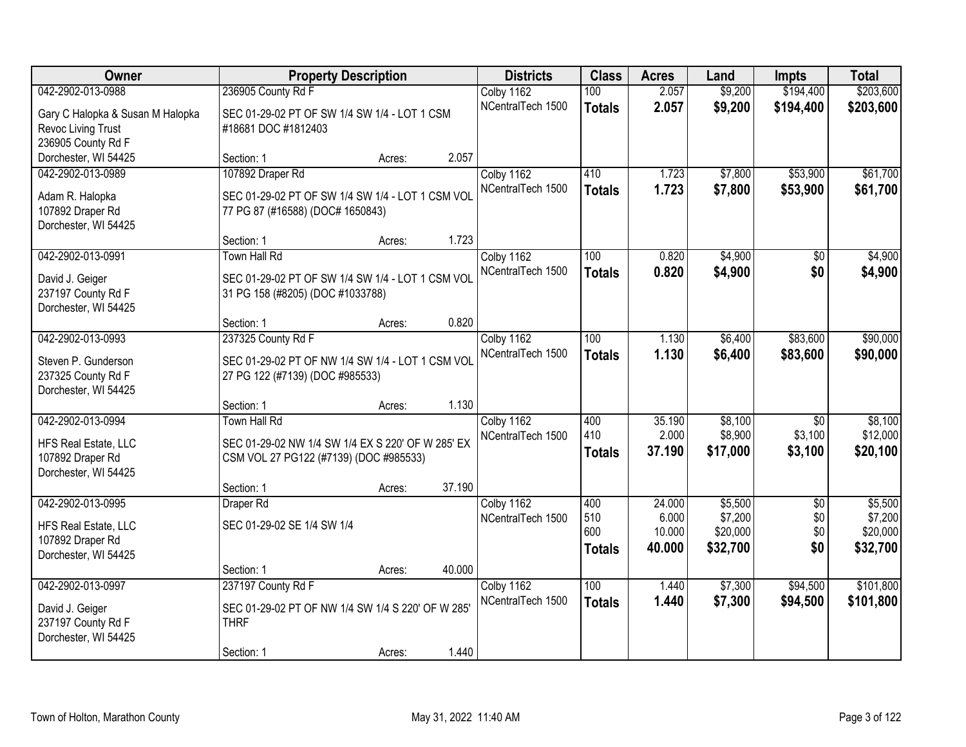| Owner                            |                                                   | <b>Property Description</b> |        | <b>Districts</b>                | <b>Class</b>  | <b>Acres</b> | Land     | <b>Impts</b>    | <b>Total</b> |
|----------------------------------|---------------------------------------------------|-----------------------------|--------|---------------------------------|---------------|--------------|----------|-----------------|--------------|
| 042-2902-013-0988                | 236905 County Rd F                                |                             |        | Colby 1162                      | 100           | 2.057        | \$9,200  | \$194,400       | \$203,600    |
| Gary C Halopka & Susan M Halopka | SEC 01-29-02 PT OF SW 1/4 SW 1/4 - LOT 1 CSM      |                             |        | NCentralTech 1500               | <b>Totals</b> | 2.057        | \$9,200  | \$194,400       | \$203,600    |
| Revoc Living Trust               | #18681 DOC #1812403                               |                             |        |                                 |               |              |          |                 |              |
| 236905 County Rd F               |                                                   |                             |        |                                 |               |              |          |                 |              |
| Dorchester, WI 54425             | Section: 1                                        | Acres:                      | 2.057  |                                 |               |              |          |                 |              |
| 042-2902-013-0989                | 107892 Draper Rd                                  |                             |        | Colby 1162<br>NCentralTech 1500 | 410           | 1.723        | \$7,800  | \$53,900        | \$61,700     |
| Adam R. Halopka                  | SEC 01-29-02 PT OF SW 1/4 SW 1/4 - LOT 1 CSM VOL  |                             |        |                                 | <b>Totals</b> | 1.723        | \$7,800  | \$53,900        | \$61,700     |
| 107892 Draper Rd                 | 77 PG 87 (#16588) (DOC# 1650843)                  |                             |        |                                 |               |              |          |                 |              |
| Dorchester, WI 54425             |                                                   |                             |        |                                 |               |              |          |                 |              |
|                                  | Section: 1                                        | Acres:                      | 1.723  |                                 |               |              |          |                 |              |
| 042-2902-013-0991                | Town Hall Rd                                      |                             |        | Colby 1162                      | 100           | 0.820        | \$4,900  | $\sqrt[6]{30}$  | \$4,900      |
| David J. Geiger                  | SEC 01-29-02 PT OF SW 1/4 SW 1/4 - LOT 1 CSM VOL  |                             |        | NCentralTech 1500               | <b>Totals</b> | 0.820        | \$4,900  | \$0             | \$4,900      |
| 237197 County Rd F               | 31 PG 158 (#8205) (DOC #1033788)                  |                             |        |                                 |               |              |          |                 |              |
| Dorchester, WI 54425             |                                                   |                             |        |                                 |               |              |          |                 |              |
|                                  | Section: 1                                        | Acres:                      | 0.820  |                                 |               |              |          |                 |              |
| 042-2902-013-0993                | 237325 County Rd F                                |                             |        | Colby 1162                      | 100           | 1.130        | \$6,400  | \$83,600        | \$90,000     |
| Steven P. Gunderson              | SEC 01-29-02 PT OF NW 1/4 SW 1/4 - LOT 1 CSM VOL  |                             |        | NCentralTech 1500               | <b>Totals</b> | 1.130        | \$6,400  | \$83,600        | \$90,000     |
| 237325 County Rd F               | 27 PG 122 (#7139) (DOC #985533)                   |                             |        |                                 |               |              |          |                 |              |
| Dorchester, WI 54425             |                                                   |                             |        |                                 |               |              |          |                 |              |
|                                  | Section: 1                                        | Acres:                      | 1.130  |                                 |               |              |          |                 |              |
| 042-2902-013-0994                | <b>Town Hall Rd</b>                               |                             |        | Colby 1162                      | 400           | 35.190       | \$8,100  | $\overline{50}$ | \$8,100      |
| HFS Real Estate, LLC             | SEC 01-29-02 NW 1/4 SW 1/4 EX S 220' OF W 285' EX |                             |        | NCentralTech 1500               | 410           | 2.000        | \$8,900  | \$3,100         | \$12,000     |
| 107892 Draper Rd                 | CSM VOL 27 PG122 (#7139) (DOC #985533)            |                             |        |                                 | <b>Totals</b> | 37.190       | \$17,000 | \$3,100         | \$20,100     |
| Dorchester, WI 54425             |                                                   |                             |        |                                 |               |              |          |                 |              |
|                                  | Section: 1                                        | Acres:                      | 37.190 |                                 |               |              |          |                 |              |
| 042-2902-013-0995                | Draper Rd                                         |                             |        | Colby 1162                      | 400           | 24.000       | \$5,500  | $\overline{50}$ | \$5,500      |
| HFS Real Estate, LLC             | SEC 01-29-02 SE 1/4 SW 1/4                        |                             |        | NCentralTech 1500               | 510           | 6.000        | \$7,200  | \$0             | \$7,200      |
| 107892 Draper Rd                 |                                                   |                             |        |                                 | 600           | 10.000       | \$20,000 | \$0             | \$20,000     |
| Dorchester, WI 54425             |                                                   |                             |        |                                 | <b>Totals</b> | 40.000       | \$32,700 | \$0             | \$32,700     |
|                                  | Section: 1                                        | Acres:                      | 40.000 |                                 |               |              |          |                 |              |
| 042-2902-013-0997                | 237197 County Rd F                                |                             |        | Colby 1162                      | 100           | 1.440        | \$7,300  | \$94,500        | \$101,800    |
| David J. Geiger                  | SEC 01-29-02 PT OF NW 1/4 SW 1/4 S 220' OF W 285' |                             |        | NCentralTech 1500               | <b>Totals</b> | 1.440        | \$7,300  | \$94,500        | \$101,800    |
| 237197 County Rd F               | <b>THRF</b>                                       |                             |        |                                 |               |              |          |                 |              |
| Dorchester, WI 54425             |                                                   |                             |        |                                 |               |              |          |                 |              |
|                                  | Section: 1                                        | Acres:                      | 1.440  |                                 |               |              |          |                 |              |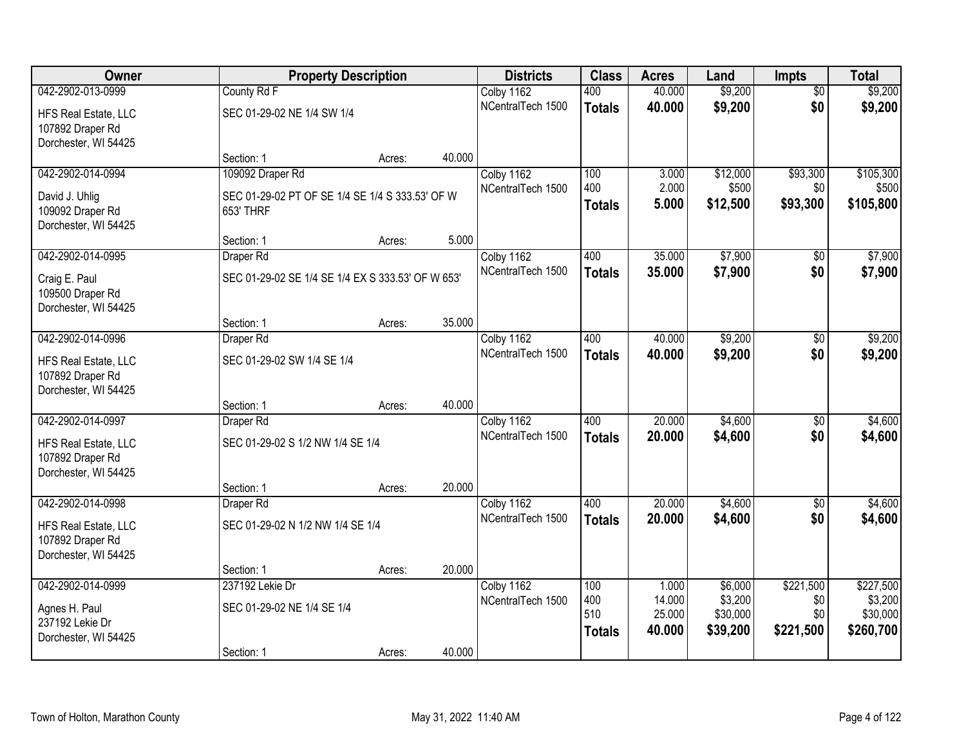| Owner                |                                                   | <b>Property Description</b> |        | <b>Districts</b>                | <b>Class</b>  | <b>Acres</b>    | Land               | <b>Impts</b>     | <b>Total</b>         |
|----------------------|---------------------------------------------------|-----------------------------|--------|---------------------------------|---------------|-----------------|--------------------|------------------|----------------------|
| 042-2902-013-0999    | County Rd F                                       |                             |        | Colby 1162                      | 400           | 40.000          | \$9,200            | $\overline{50}$  | \$9,200              |
| HFS Real Estate, LLC | SEC 01-29-02 NE 1/4 SW 1/4                        |                             |        | NCentralTech 1500               | <b>Totals</b> | 40.000          | \$9,200            | \$0              | \$9,200              |
| 107892 Draper Rd     |                                                   |                             |        |                                 |               |                 |                    |                  |                      |
| Dorchester, WI 54425 |                                                   |                             |        |                                 |               |                 |                    |                  |                      |
|                      | Section: 1                                        | Acres:                      | 40.000 |                                 |               |                 |                    |                  |                      |
| 042-2902-014-0994    | 109092 Draper Rd                                  |                             |        | Colby 1162                      | 100           | 3.000           | \$12,000           | \$93,300         | \$105,300            |
| David J. Uhlig       | SEC 01-29-02 PT OF SE 1/4 SE 1/4 S 333.53' OF W   |                             |        | NCentralTech 1500               | 400           | 2.000           | \$500              | \$0              | \$500                |
| 109092 Draper Rd     | 653' THRF                                         |                             |        |                                 | <b>Totals</b> | 5.000           | \$12,500           | \$93,300         | \$105,800            |
| Dorchester, WI 54425 |                                                   |                             |        |                                 |               |                 |                    |                  |                      |
|                      | Section: 1                                        | Acres:                      | 5.000  |                                 |               |                 |                    |                  |                      |
| 042-2902-014-0995    | Draper Rd                                         |                             |        | Colby 1162                      | 400           | 35.000          | \$7,900            | \$0              | \$7,900              |
| Craig E. Paul        | SEC 01-29-02 SE 1/4 SE 1/4 EX S 333.53' OF W 653' |                             |        | NCentralTech 1500               | <b>Totals</b> | 35.000          | \$7,900            | \$0              | \$7,900              |
| 109500 Draper Rd     |                                                   |                             |        |                                 |               |                 |                    |                  |                      |
| Dorchester, WI 54425 |                                                   |                             |        |                                 |               |                 |                    |                  |                      |
|                      | Section: 1                                        | Acres:                      | 35.000 |                                 |               |                 |                    |                  |                      |
| 042-2902-014-0996    | Draper Rd                                         |                             |        | Colby 1162                      | 400           | 40.000          | \$9,200            | $\sqrt[6]{3}$    | \$9,200              |
| HFS Real Estate, LLC | SEC 01-29-02 SW 1/4 SE 1/4                        |                             |        | NCentralTech 1500               | <b>Totals</b> | 40.000          | \$9,200            | \$0              | \$9,200              |
| 107892 Draper Rd     |                                                   |                             |        |                                 |               |                 |                    |                  |                      |
| Dorchester, WI 54425 |                                                   |                             |        |                                 |               |                 |                    |                  |                      |
|                      | Section: 1                                        | Acres:                      | 40.000 |                                 |               |                 |                    |                  |                      |
| 042-2902-014-0997    | Draper Rd                                         |                             |        | Colby 1162                      | 400           | 20.000          | \$4,600            | $\overline{50}$  | \$4,600              |
| HFS Real Estate, LLC | SEC 01-29-02 S 1/2 NW 1/4 SE 1/4                  |                             |        | NCentralTech 1500               | <b>Totals</b> | 20.000          | \$4,600            | \$0              | \$4,600              |
| 107892 Draper Rd     |                                                   |                             |        |                                 |               |                 |                    |                  |                      |
| Dorchester, WI 54425 |                                                   |                             |        |                                 |               |                 |                    |                  |                      |
|                      | Section: 1                                        | Acres:                      | 20.000 |                                 |               |                 |                    |                  |                      |
| 042-2902-014-0998    | Draper Rd                                         |                             |        | Colby 1162                      | 400           | 20.000          | \$4,600            | $\overline{50}$  | \$4,600              |
| HFS Real Estate, LLC | SEC 01-29-02 N 1/2 NW 1/4 SE 1/4                  |                             |        | NCentralTech 1500               | <b>Totals</b> | 20.000          | \$4,600            | \$0              | \$4,600              |
| 107892 Draper Rd     |                                                   |                             |        |                                 |               |                 |                    |                  |                      |
| Dorchester, WI 54425 |                                                   |                             |        |                                 |               |                 |                    |                  |                      |
|                      | Section: 1                                        | Acres:                      | 20.000 |                                 |               |                 |                    |                  |                      |
| 042-2902-014-0999    | 237192 Lekie Dr                                   |                             |        | Colby 1162<br>NCentralTech 1500 | 100<br>400    | 1.000<br>14.000 | \$6,000<br>\$3,200 | \$221,500<br>\$0 | \$227,500<br>\$3,200 |
| Agnes H. Paul        | SEC 01-29-02 NE 1/4 SE 1/4                        |                             |        |                                 | 510           | 25.000          | \$30,000           | \$0              | \$30,000             |
| 237192 Lekie Dr      |                                                   |                             |        |                                 | <b>Totals</b> | 40.000          | \$39,200           | \$221,500        | \$260,700            |
| Dorchester, WI 54425 |                                                   |                             |        |                                 |               |                 |                    |                  |                      |
|                      | Section: 1                                        | Acres:                      | 40.000 |                                 |               |                 |                    |                  |                      |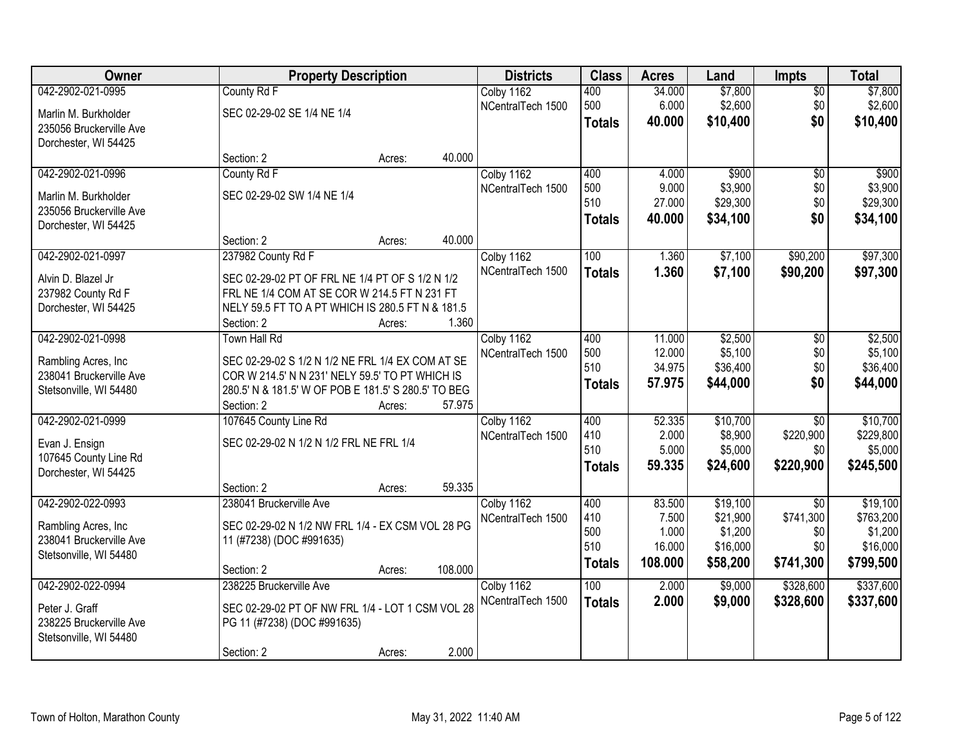| Owner                   | <b>Property Description</b>                         |                   | <b>Districts</b>  | <b>Class</b>  | <b>Acres</b> | Land     | <b>Impts</b>    | <b>Total</b> |
|-------------------------|-----------------------------------------------------|-------------------|-------------------|---------------|--------------|----------|-----------------|--------------|
| 042-2902-021-0995       | County Rd F                                         |                   | Colby 1162        | 400           | 34.000       | \$7,800  | \$0             | \$7,800      |
| Marlin M. Burkholder    | SEC 02-29-02 SE 1/4 NE 1/4                          |                   | NCentralTech 1500 | 500           | 6.000        | \$2,600  | \$0             | \$2,600      |
| 235056 Bruckerville Ave |                                                     |                   |                   | <b>Totals</b> | 40.000       | \$10,400 | \$0             | \$10,400     |
| Dorchester, WI 54425    |                                                     |                   |                   |               |              |          |                 |              |
|                         | Section: 2                                          | 40.000<br>Acres:  |                   |               |              |          |                 |              |
| 042-2902-021-0996       | County Rd F                                         |                   | Colby 1162        | 400           | 4.000        | \$900    | $\overline{50}$ | \$900        |
| Marlin M. Burkholder    | SEC 02-29-02 SW 1/4 NE 1/4                          |                   | NCentralTech 1500 | 500           | 9.000        | \$3,900  | \$0             | \$3,900      |
| 235056 Bruckerville Ave |                                                     |                   |                   | 510           | 27.000       | \$29,300 | \$0             | \$29,300     |
| Dorchester, WI 54425    |                                                     |                   |                   | <b>Totals</b> | 40.000       | \$34,100 | \$0             | \$34,100     |
|                         | Section: 2                                          | 40.000<br>Acres:  |                   |               |              |          |                 |              |
| 042-2902-021-0997       | 237982 County Rd F                                  |                   | Colby 1162        | 100           | 1.360        | \$7,100  | \$90,200        | \$97,300     |
| Alvin D. Blazel Jr      | SEC 02-29-02 PT OF FRL NE 1/4 PT OF S 1/2 N 1/2     |                   | NCentralTech 1500 | <b>Totals</b> | 1.360        | \$7,100  | \$90,200        | \$97,300     |
| 237982 County Rd F      | FRL NE 1/4 COM AT SE COR W 214.5 FT N 231 FT        |                   |                   |               |              |          |                 |              |
| Dorchester, WI 54425    | NELY 59.5 FT TO A PT WHICH IS 280.5 FT N & 181.5    |                   |                   |               |              |          |                 |              |
|                         | Section: 2                                          | 1.360<br>Acres:   |                   |               |              |          |                 |              |
| 042-2902-021-0998       | Town Hall Rd                                        |                   | Colby 1162        | 400           | 11.000       | \$2,500  | $\sqrt[6]{3}$   | \$2,500      |
| Rambling Acres, Inc.    | SEC 02-29-02 S 1/2 N 1/2 NE FRL 1/4 EX COM AT SE    |                   | NCentralTech 1500 | 500           | 12.000       | \$5,100  | \$0             | \$5,100      |
| 238041 Bruckerville Ave | COR W 214.5' N N 231' NELY 59.5' TO PT WHICH IS     |                   |                   | 510           | 34.975       | \$36,400 | \$0             | \$36,400     |
| Stetsonville, WI 54480  | 280.5' N & 181.5' W OF POB E 181.5' S 280.5' TO BEG |                   |                   | <b>Totals</b> | 57.975       | \$44,000 | \$0             | \$44,000     |
|                         | Section: 2                                          | 57.975<br>Acres:  |                   |               |              |          |                 |              |
| 042-2902-021-0999       | 107645 County Line Rd                               |                   | Colby 1162        | 400           | 52.335       | \$10,700 | $\overline{30}$ | \$10,700     |
| Evan J. Ensign          | SEC 02-29-02 N 1/2 N 1/2 FRL NE FRL 1/4             |                   | NCentralTech 1500 | 410           | 2.000        | \$8,900  | \$220,900       | \$229,800    |
| 107645 County Line Rd   |                                                     |                   |                   | 510           | 5.000        | \$5,000  | \$0             | \$5,000      |
| Dorchester, WI 54425    |                                                     |                   |                   | <b>Totals</b> | 59.335       | \$24,600 | \$220,900       | \$245,500    |
|                         | Section: 2                                          | 59.335<br>Acres:  |                   |               |              |          |                 |              |
| 042-2902-022-0993       | 238041 Bruckerville Ave                             |                   | Colby 1162        | 400           | 83.500       | \$19,100 | $\overline{30}$ | \$19,100     |
| Rambling Acres, Inc.    | SEC 02-29-02 N 1/2 NW FRL 1/4 - EX CSM VOL 28 PG    |                   | NCentralTech 1500 | 410           | 7.500        | \$21,900 | \$741,300       | \$763,200    |
| 238041 Bruckerville Ave | 11 (#7238) (DOC #991635)                            |                   |                   | 500           | 1.000        | \$1,200  | \$0             | \$1,200      |
| Stetsonville, WI 54480  |                                                     |                   |                   | 510           | 16.000       | \$16,000 | \$0             | \$16,000     |
|                         | Section: 2                                          | 108.000<br>Acres: |                   | <b>Totals</b> | 108.000      | \$58,200 | \$741,300       | \$799,500    |
| 042-2902-022-0994       | 238225 Bruckerville Ave                             |                   | Colby 1162        | 100           | 2.000        | \$9,000  | \$328,600       | \$337,600    |
| Peter J. Graff          | SEC 02-29-02 PT OF NW FRL 1/4 - LOT 1 CSM VOL 28    |                   | NCentralTech 1500 | <b>Totals</b> | 2.000        | \$9,000  | \$328,600       | \$337,600    |
| 238225 Bruckerville Ave | PG 11 (#7238) (DOC #991635)                         |                   |                   |               |              |          |                 |              |
| Stetsonville, WI 54480  |                                                     |                   |                   |               |              |          |                 |              |
|                         | Section: 2                                          | 2.000<br>Acres:   |                   |               |              |          |                 |              |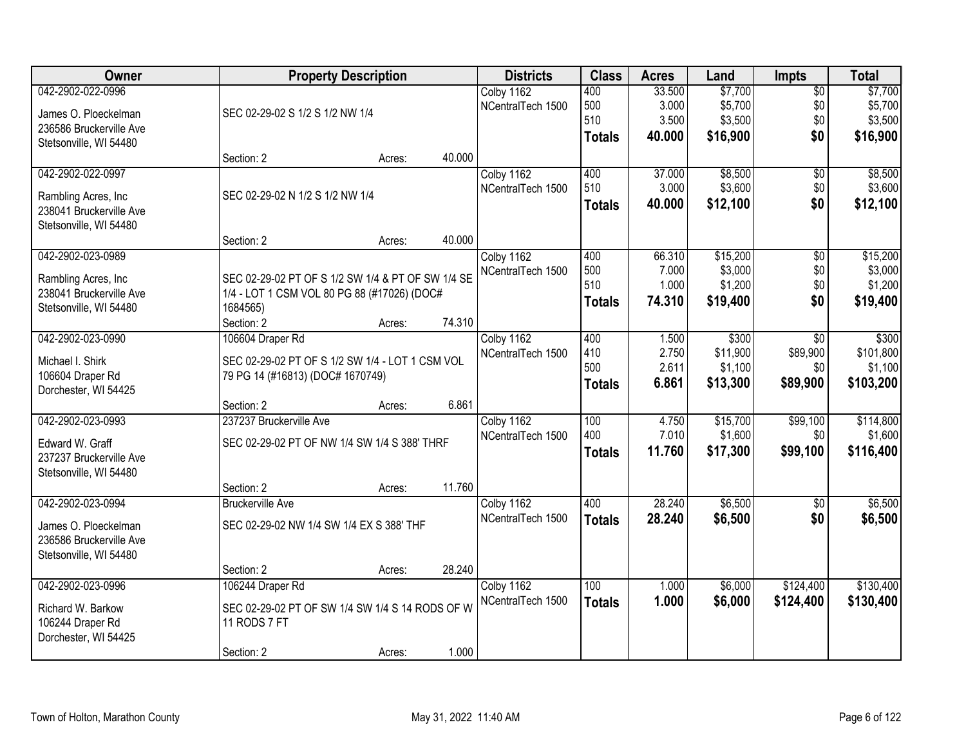| Owner                   | <b>Property Description</b>                       |        |        | <b>Districts</b>  | <b>Class</b>  | <b>Acres</b> | Land     | <b>Impts</b>    | <b>Total</b> |
|-------------------------|---------------------------------------------------|--------|--------|-------------------|---------------|--------------|----------|-----------------|--------------|
| 042-2902-022-0996       |                                                   |        |        | Colby 1162        | 400           | 33.500       | \$7,700  | $\overline{50}$ | \$7,700      |
| James O. Ploeckelman    | SEC 02-29-02 S 1/2 S 1/2 NW 1/4                   |        |        | NCentralTech 1500 | 500           | 3.000        | \$5,700  | \$0             | \$5,700      |
| 236586 Bruckerville Ave |                                                   |        |        |                   | 510           | 3.500        | \$3,500  | \$0             | \$3,500      |
| Stetsonville, WI 54480  |                                                   |        |        |                   | <b>Totals</b> | 40.000       | \$16,900 | \$0             | \$16,900     |
|                         | Section: 2                                        | Acres: | 40.000 |                   |               |              |          |                 |              |
| 042-2902-022-0997       |                                                   |        |        | Colby 1162        | 400           | 37.000       | \$8,500  | \$0             | \$8,500      |
| Rambling Acres, Inc.    | SEC 02-29-02 N 1/2 S 1/2 NW 1/4                   |        |        | NCentralTech 1500 | 510           | 3.000        | \$3,600  | \$0             | \$3,600      |
| 238041 Bruckerville Ave |                                                   |        |        |                   | <b>Totals</b> | 40.000       | \$12,100 | \$0             | \$12,100     |
| Stetsonville, WI 54480  |                                                   |        |        |                   |               |              |          |                 |              |
|                         | Section: 2                                        | Acres: | 40.000 |                   |               |              |          |                 |              |
| 042-2902-023-0989       |                                                   |        |        | Colby 1162        | 400           | 66.310       | \$15,200 | \$0             | \$15,200     |
| Rambling Acres, Inc.    | SEC 02-29-02 PT OF S 1/2 SW 1/4 & PT OF SW 1/4 SE |        |        | NCentralTech 1500 | 500           | 7.000        | \$3,000  | \$0             | \$3,000      |
| 238041 Bruckerville Ave | 1/4 - LOT 1 CSM VOL 80 PG 88 (#17026) (DOC#       |        |        |                   | 510           | 1.000        | \$1,200  | \$0             | \$1,200      |
| Stetsonville, WI 54480  | 1684565)                                          |        |        |                   | <b>Totals</b> | 74.310       | \$19,400 | \$0             | \$19,400     |
|                         | Section: 2                                        | Acres: | 74.310 |                   |               |              |          |                 |              |
| 042-2902-023-0990       | 106604 Draper Rd                                  |        |        | Colby 1162        | 400           | 1.500        | \$300    | \$0             | \$300        |
| Michael I. Shirk        | SEC 02-29-02 PT OF S 1/2 SW 1/4 - LOT 1 CSM VOL   |        |        | NCentralTech 1500 | 410           | 2.750        | \$11,900 | \$89,900        | \$101,800    |
| 106604 Draper Rd        | 79 PG 14 (#16813) (DOC# 1670749)                  |        |        |                   | 500           | 2.611        | \$1,100  | \$0             | \$1,100      |
| Dorchester, WI 54425    |                                                   |        |        |                   | <b>Totals</b> | 6.861        | \$13,300 | \$89,900        | \$103,200    |
|                         | Section: 2                                        | Acres: | 6.861  |                   |               |              |          |                 |              |
| 042-2902-023-0993       | 237237 Bruckerville Ave                           |        |        | Colby 1162        | 100           | 4.750        | \$15,700 | \$99,100        | \$114,800    |
| Edward W. Graff         | SEC 02-29-02 PT OF NW 1/4 SW 1/4 S 388' THRF      |        |        | NCentralTech 1500 | 400           | 7.010        | \$1,600  | \$0             | \$1,600      |
| 237237 Bruckerville Ave |                                                   |        |        |                   | <b>Totals</b> | 11.760       | \$17,300 | \$99,100        | \$116,400    |
| Stetsonville, WI 54480  |                                                   |        |        |                   |               |              |          |                 |              |
|                         | Section: 2                                        | Acres: | 11.760 |                   |               |              |          |                 |              |
| 042-2902-023-0994       | <b>Bruckerville Ave</b>                           |        |        | Colby 1162        | 400           | 28.240       | \$6,500  | $\overline{50}$ | \$6,500      |
| James O. Ploeckelman    | SEC 02-29-02 NW 1/4 SW 1/4 EX S 388' THF          |        |        | NCentralTech 1500 | <b>Totals</b> | 28.240       | \$6,500  | \$0             | \$6,500      |
| 236586 Bruckerville Ave |                                                   |        |        |                   |               |              |          |                 |              |
| Stetsonville, WI 54480  |                                                   |        |        |                   |               |              |          |                 |              |
|                         | Section: 2                                        | Acres: | 28.240 |                   |               |              |          |                 |              |
| 042-2902-023-0996       | 106244 Draper Rd                                  |        |        | Colby 1162        | 100           | 1.000        | \$6,000  | \$124,400       | \$130,400    |
| Richard W. Barkow       | SEC 02-29-02 PT OF SW 1/4 SW 1/4 S 14 RODS OF W   |        |        | NCentralTech 1500 | <b>Totals</b> | 1.000        | \$6,000  | \$124,400       | \$130,400    |
| 106244 Draper Rd        | 11 RODS 7 FT                                      |        |        |                   |               |              |          |                 |              |
| Dorchester, WI 54425    |                                                   |        |        |                   |               |              |          |                 |              |
|                         | Section: 2                                        | Acres: | 1.000  |                   |               |              |          |                 |              |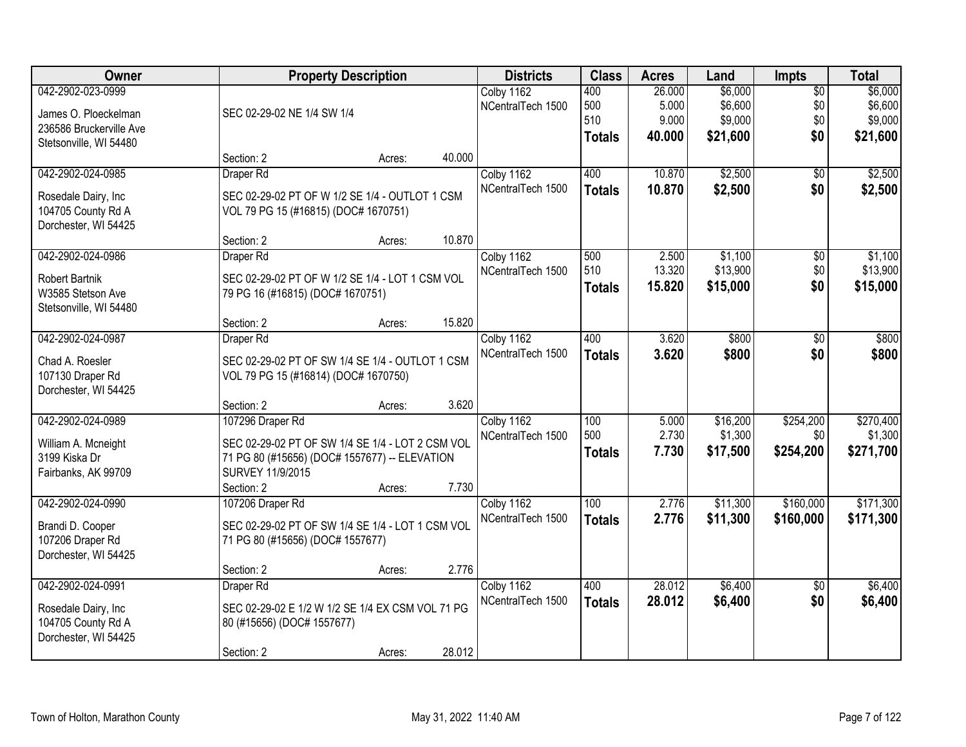| Owner                   | <b>Property Description</b>                      |        |        | <b>Districts</b>  | <b>Class</b>  | <b>Acres</b> | Land     | <b>Impts</b>    | <b>Total</b> |
|-------------------------|--------------------------------------------------|--------|--------|-------------------|---------------|--------------|----------|-----------------|--------------|
| 042-2902-023-0999       |                                                  |        |        | Colby 1162        | 400           | 26.000       | \$6,000  | $\overline{50}$ | \$6,000      |
| James O. Ploeckelman    | SEC 02-29-02 NE 1/4 SW 1/4                       |        |        | NCentralTech 1500 | 500           | 5.000        | \$6,600  | \$0             | \$6,600      |
| 236586 Bruckerville Ave |                                                  |        |        |                   | 510           | 9.000        | \$9,000  | \$0             | \$9,000      |
| Stetsonville, WI 54480  |                                                  |        |        |                   | <b>Totals</b> | 40.000       | \$21,600 | \$0             | \$21,600     |
|                         | Section: 2                                       | Acres: | 40.000 |                   |               |              |          |                 |              |
| 042-2902-024-0985       | Draper Rd                                        |        |        | Colby 1162        | 400           | 10.870       | \$2,500  | \$0             | \$2,500      |
| Rosedale Dairy, Inc     | SEC 02-29-02 PT OF W 1/2 SE 1/4 - OUTLOT 1 CSM   |        |        | NCentralTech 1500 | <b>Totals</b> | 10.870       | \$2,500  | \$0             | \$2,500      |
| 104705 County Rd A      | VOL 79 PG 15 (#16815) (DOC# 1670751)             |        |        |                   |               |              |          |                 |              |
| Dorchester, WI 54425    |                                                  |        |        |                   |               |              |          |                 |              |
|                         | Section: 2                                       | Acres: | 10.870 |                   |               |              |          |                 |              |
| 042-2902-024-0986       | Draper Rd                                        |        |        | Colby 1162        | 500           | 2.500        | \$1,100  | \$0             | \$1,100      |
| <b>Robert Bartnik</b>   | SEC 02-29-02 PT OF W 1/2 SE 1/4 - LOT 1 CSM VOL  |        |        | NCentralTech 1500 | 510           | 13.320       | \$13,900 | \$0             | \$13,900     |
| W3585 Stetson Ave       | 79 PG 16 (#16815) (DOC# 1670751)                 |        |        |                   | <b>Totals</b> | 15.820       | \$15,000 | \$0             | \$15,000     |
| Stetsonville, WI 54480  |                                                  |        |        |                   |               |              |          |                 |              |
|                         | Section: 2                                       | Acres: | 15.820 |                   |               |              |          |                 |              |
| 042-2902-024-0987       | Draper Rd                                        |        |        | Colby 1162        | 400           | 3.620        | \$800    | \$0             | \$800        |
| Chad A. Roesler         | SEC 02-29-02 PT OF SW 1/4 SE 1/4 - OUTLOT 1 CSM  |        |        | NCentralTech 1500 | <b>Totals</b> | 3.620        | \$800    | \$0             | \$800        |
| 107130 Draper Rd        | VOL 79 PG 15 (#16814) (DOC# 1670750)             |        |        |                   |               |              |          |                 |              |
| Dorchester, WI 54425    |                                                  |        |        |                   |               |              |          |                 |              |
|                         | Section: 2                                       | Acres: | 3.620  |                   |               |              |          |                 |              |
| 042-2902-024-0989       | 107296 Draper Rd                                 |        |        | Colby 1162        | 100           | 5.000        | \$16,200 | \$254,200       | \$270,400    |
| William A. Mcneight     | SEC 02-29-02 PT OF SW 1/4 SE 1/4 - LOT 2 CSM VOL |        |        | NCentralTech 1500 | 500           | 2.730        | \$1,300  | \$0             | \$1,300      |
| 3199 Kiska Dr           | 71 PG 80 (#15656) (DOC# 1557677) -- ELEVATION    |        |        |                   | <b>Totals</b> | 7.730        | \$17,500 | \$254,200       | \$271,700    |
| Fairbanks, AK 99709     | SURVEY 11/9/2015                                 |        |        |                   |               |              |          |                 |              |
|                         | Section: 2                                       | Acres: | 7.730  |                   |               |              |          |                 |              |
| 042-2902-024-0990       | 107206 Draper Rd                                 |        |        | Colby 1162        | 100           | 2.776        | \$11,300 | \$160,000       | \$171,300    |
| Brandi D. Cooper        | SEC 02-29-02 PT OF SW 1/4 SE 1/4 - LOT 1 CSM VOL |        |        | NCentralTech 1500 | <b>Totals</b> | 2.776        | \$11,300 | \$160,000       | \$171,300    |
| 107206 Draper Rd        | 71 PG 80 (#15656) (DOC# 1557677)                 |        |        |                   |               |              |          |                 |              |
| Dorchester, WI 54425    |                                                  |        |        |                   |               |              |          |                 |              |
|                         | Section: 2                                       | Acres: | 2.776  |                   |               |              |          |                 |              |
| 042-2902-024-0991       | Draper Rd                                        |        |        | Colby 1162        | 400           | 28.012       | \$6,400  | $\overline{50}$ | \$6,400      |
| Rosedale Dairy, Inc     | SEC 02-29-02 E 1/2 W 1/2 SE 1/4 EX CSM VOL 71 PG |        |        | NCentralTech 1500 | <b>Totals</b> | 28.012       | \$6,400  | \$0             | \$6,400      |
| 104705 County Rd A      | 80 (#15656) (DOC# 1557677)                       |        |        |                   |               |              |          |                 |              |
| Dorchester, WI 54425    |                                                  |        |        |                   |               |              |          |                 |              |
|                         | Section: 2                                       | Acres: | 28.012 |                   |               |              |          |                 |              |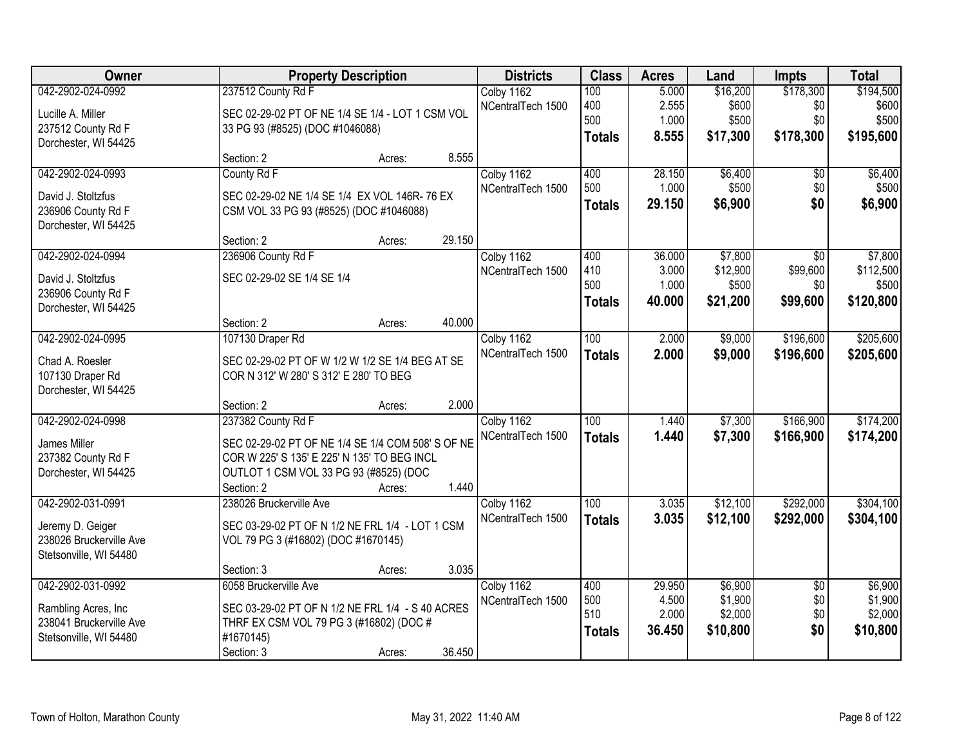| Owner                   |                                                   | <b>Property Description</b> |        |                   | <b>Class</b>     | <b>Acres</b> | Land     | <b>Impts</b>    | <b>Total</b> |
|-------------------------|---------------------------------------------------|-----------------------------|--------|-------------------|------------------|--------------|----------|-----------------|--------------|
| 042-2902-024-0992       | 237512 County Rd F                                |                             |        | Colby 1162        | 100              | 5.000        | \$16,200 | \$178,300       | \$194,500    |
| Lucille A. Miller       | SEC 02-29-02 PT OF NE 1/4 SE 1/4 - LOT 1 CSM VOL  |                             |        | NCentralTech 1500 | 400              | 2.555        | \$600    | \$0             | \$600        |
| 237512 County Rd F      | 33 PG 93 (#8525) (DOC #1046088)                   |                             |        |                   | 500              | 1.000        | \$500    | \$0             | \$500        |
| Dorchester, WI 54425    |                                                   |                             |        |                   | <b>Totals</b>    | 8.555        | \$17,300 | \$178,300       | \$195,600    |
|                         | Section: 2                                        | Acres:                      | 8.555  |                   |                  |              |          |                 |              |
| 042-2902-024-0993       | County Rd F                                       |                             |        | Colby 1162        | 400              | 28.150       | \$6,400  | \$0             | \$6,400      |
| David J. Stoltzfus      | SEC 02-29-02 NE 1/4 SE 1/4 EX VOL 146R-76 EX      |                             |        | NCentralTech 1500 | 500              | 1.000        | \$500    | \$0             | \$500        |
| 236906 County Rd F      | CSM VOL 33 PG 93 (#8525) (DOC #1046088)           |                             |        |                   | <b>Totals</b>    | 29.150       | \$6,900  | \$0             | \$6,900      |
| Dorchester, WI 54425    |                                                   |                             |        |                   |                  |              |          |                 |              |
|                         | Section: 2                                        | Acres:                      | 29.150 |                   |                  |              |          |                 |              |
| 042-2902-024-0994       | 236906 County Rd F                                |                             |        | Colby 1162        | 400              | 36.000       | \$7,800  | \$0             | \$7,800      |
| David J. Stoltzfus      | SEC 02-29-02 SE 1/4 SE 1/4                        |                             |        | NCentralTech 1500 | 410              | 3.000        | \$12,900 | \$99,600        | \$112,500    |
| 236906 County Rd F      |                                                   |                             |        |                   | 500              | 1.000        | \$500    | \$0             | \$500        |
| Dorchester, WI 54425    |                                                   |                             |        |                   | <b>Totals</b>    | 40.000       | \$21,200 | \$99,600        | \$120,800    |
|                         | Section: 2                                        | Acres:                      | 40.000 |                   |                  |              |          |                 |              |
| 042-2902-024-0995       | 107130 Draper Rd                                  |                             |        | Colby 1162        | 100              | 2.000        | \$9,000  | \$196,600       | \$205,600    |
| Chad A. Roesler         | SEC 02-29-02 PT OF W 1/2 W 1/2 SE 1/4 BEG AT SE   |                             |        | NCentralTech 1500 | <b>Totals</b>    | 2.000        | \$9,000  | \$196,600       | \$205,600    |
| 107130 Draper Rd        | COR N 312' W 280' S 312' E 280' TO BEG            |                             |        |                   |                  |              |          |                 |              |
| Dorchester, WI 54425    |                                                   |                             |        |                   |                  |              |          |                 |              |
|                         | Section: 2                                        | Acres:                      | 2.000  |                   |                  |              |          |                 |              |
| 042-2902-024-0998       | 237382 County Rd F                                |                             |        | Colby 1162        | $\overline{100}$ | 1.440        | \$7,300  | \$166,900       | \$174,200    |
| James Miller            | SEC 02-29-02 PT OF NE 1/4 SE 1/4 COM 508' S OF NE |                             |        | NCentralTech 1500 | <b>Totals</b>    | 1.440        | \$7,300  | \$166,900       | \$174,200    |
| 237382 County Rd F      | COR W 225' S 135' E 225' N 135' TO BEG INCL       |                             |        |                   |                  |              |          |                 |              |
| Dorchester, WI 54425    | OUTLOT 1 CSM VOL 33 PG 93 (#8525) (DOC            |                             |        |                   |                  |              |          |                 |              |
|                         | Section: 2                                        | Acres:                      | 1.440  |                   |                  |              |          |                 |              |
| 042-2902-031-0991       | 238026 Bruckerville Ave                           |                             |        | Colby 1162        | 100              | 3.035        | \$12,100 | \$292,000       | \$304,100    |
| Jeremy D. Geiger        | SEC 03-29-02 PT OF N 1/2 NE FRL 1/4 - LOT 1 CSM   |                             |        | NCentralTech 1500 | <b>Totals</b>    | 3.035        | \$12,100 | \$292,000       | \$304,100    |
| 238026 Bruckerville Ave | VOL 79 PG 3 (#16802) (DOC #1670145)               |                             |        |                   |                  |              |          |                 |              |
| Stetsonville, WI 54480  |                                                   |                             |        |                   |                  |              |          |                 |              |
|                         | Section: 3                                        | Acres:                      | 3.035  |                   |                  |              |          |                 |              |
| 042-2902-031-0992       | 6058 Bruckerville Ave                             |                             |        | Colby 1162        | 400              | 29.950       | \$6,900  | $\overline{50}$ | \$6,900      |
| Rambling Acres, Inc.    | SEC 03-29-02 PT OF N 1/2 NE FRL 1/4 - S 40 ACRES  |                             |        | NCentralTech 1500 | 500              | 4.500        | \$1,900  | \$0             | \$1,900      |
| 238041 Bruckerville Ave | THRF EX CSM VOL 79 PG 3 (#16802) (DOC #           |                             |        |                   | 510              | 2.000        | \$2,000  | \$0<br>\$0      | \$2,000      |
| Stetsonville, WI 54480  | #1670145)                                         |                             |        |                   | <b>Totals</b>    | 36.450       | \$10,800 |                 | \$10,800     |
|                         | Section: 3                                        | Acres:                      | 36.450 |                   |                  |              |          |                 |              |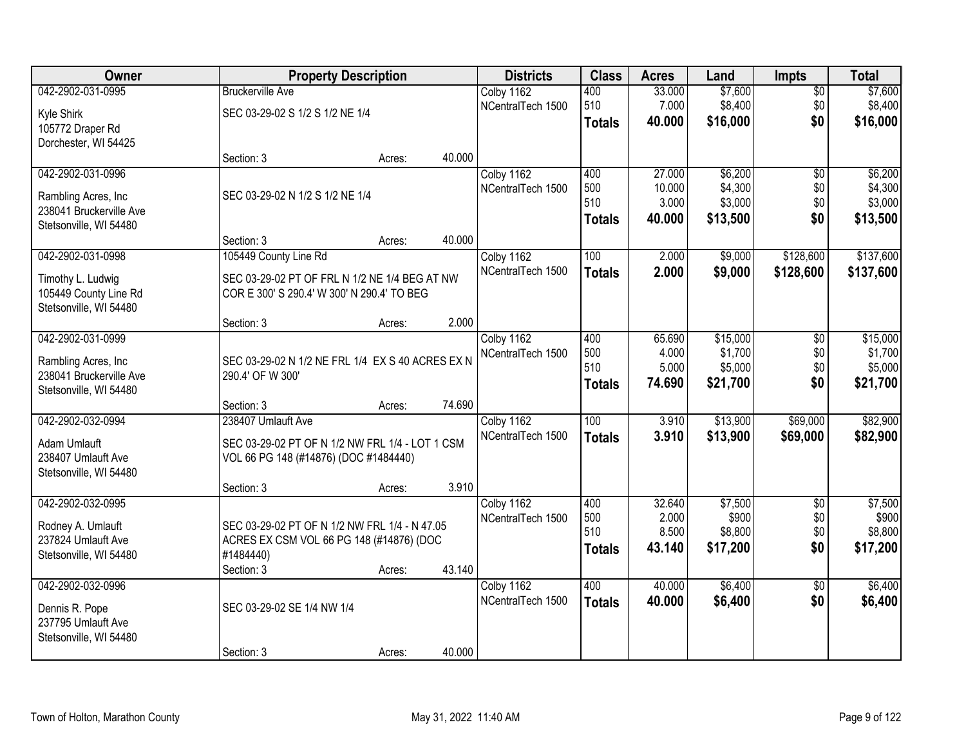| Owner                                           |                                                                      | <b>Property Description</b> |        | <b>Districts</b>                | <b>Class</b>  | <b>Acres</b>     | Land                | <b>Impts</b>    | <b>Total</b>        |
|-------------------------------------------------|----------------------------------------------------------------------|-----------------------------|--------|---------------------------------|---------------|------------------|---------------------|-----------------|---------------------|
| 042-2902-031-0995                               | <b>Bruckerville Ave</b>                                              |                             |        | Colby 1162                      | 400           | 33.000           | \$7,600             | $\sqrt{$0}$     | \$7,600             |
| Kyle Shirk                                      | SEC 03-29-02 S 1/2 S 1/2 NE 1/4                                      |                             |        | NCentralTech 1500               | 510           | 7.000            | \$8,400             | \$0             | \$8,400             |
| 105772 Draper Rd                                |                                                                      |                             |        |                                 | <b>Totals</b> | 40.000           | \$16,000            | \$0             | \$16,000            |
| Dorchester, WI 54425                            |                                                                      |                             |        |                                 |               |                  |                     |                 |                     |
|                                                 | Section: 3                                                           | Acres:                      | 40.000 |                                 |               |                  |                     |                 |                     |
| 042-2902-031-0996                               |                                                                      |                             |        | Colby 1162<br>NCentralTech 1500 | 400<br>500    | 27.000<br>10.000 | \$6,200<br>\$4,300  | \$0<br>\$0      | \$6,200<br>\$4,300  |
| Rambling Acres, Inc.                            | SEC 03-29-02 N 1/2 S 1/2 NE 1/4                                      |                             |        |                                 | 510           | 3.000            | \$3,000             | \$0             | \$3,000             |
| 238041 Bruckerville Ave                         |                                                                      |                             |        |                                 | <b>Totals</b> | 40.000           | \$13,500            | \$0             | \$13,500            |
| Stetsonville, WI 54480                          |                                                                      |                             |        |                                 |               |                  |                     |                 |                     |
| 042-2902-031-0998                               | Section: 3<br>105449 County Line Rd                                  | Acres:                      | 40.000 | Colby 1162                      | 100           | 2.000            | \$9,000             | \$128,600       | \$137,600           |
|                                                 |                                                                      |                             |        | NCentralTech 1500               | <b>Totals</b> | 2.000            | \$9,000             | \$128,600       | \$137,600           |
| Timothy L. Ludwig                               | SEC 03-29-02 PT OF FRL N 1/2 NE 1/4 BEG AT NW                        |                             |        |                                 |               |                  |                     |                 |                     |
| 105449 County Line Rd                           | COR E 300' S 290.4' W 300' N 290.4' TO BEG                           |                             |        |                                 |               |                  |                     |                 |                     |
| Stetsonville, WI 54480                          | Section: 3                                                           | Acres:                      | 2.000  |                                 |               |                  |                     |                 |                     |
| 042-2902-031-0999                               |                                                                      |                             |        | Colby 1162                      | 400           | 65.690           | \$15,000            | \$0             | \$15,000            |
|                                                 |                                                                      |                             |        | NCentralTech 1500               | 500           | 4.000            | \$1,700             | \$0             | \$1,700             |
| Rambling Acres, Inc.<br>238041 Bruckerville Ave | SEC 03-29-02 N 1/2 NE FRL 1/4 EX S 40 ACRES EX N<br>290.4' OF W 300' |                             |        |                                 | 510           | 5.000            | \$5,000             | \$0             | \$5,000             |
| Stetsonville, WI 54480                          |                                                                      |                             |        |                                 | <b>Totals</b> | 74.690           | \$21,700            | \$0             | \$21,700            |
|                                                 | Section: 3                                                           | Acres:                      | 74.690 |                                 |               |                  |                     |                 |                     |
| 042-2902-032-0994                               | 238407 Umlauft Ave                                                   |                             |        | Colby 1162                      | 100           | 3.910            | \$13,900            | \$69,000        | \$82,900            |
| Adam Umlauft                                    | SEC 03-29-02 PT OF N 1/2 NW FRL 1/4 - LOT 1 CSM                      |                             |        | NCentralTech 1500               | <b>Totals</b> | 3.910            | \$13,900            | \$69,000        | \$82,900            |
| 238407 Umlauft Ave                              | VOL 66 PG 148 (#14876) (DOC #1484440)                                |                             |        |                                 |               |                  |                     |                 |                     |
| Stetsonville, WI 54480                          |                                                                      |                             |        |                                 |               |                  |                     |                 |                     |
|                                                 | Section: 3                                                           | Acres:                      | 3.910  |                                 |               |                  |                     |                 |                     |
| 042-2902-032-0995                               |                                                                      |                             |        | Colby 1162                      | 400           | 32.640           | \$7,500             | $\overline{50}$ | \$7,500             |
| Rodney A. Umlauft                               | SEC 03-29-02 PT OF N 1/2 NW FRL 1/4 - N 47.05                        |                             |        | NCentralTech 1500               | 500           | 2.000            | \$900               | \$0             | \$900               |
| 237824 Umlauft Ave                              | ACRES EX CSM VOL 66 PG 148 (#14876) (DOC                             |                             |        |                                 | 510           | 8.500<br>43.140  | \$8,800<br>\$17,200 | \$0<br>\$0      | \$8,800<br>\$17,200 |
| Stetsonville, WI 54480                          | #1484440)                                                            |                             |        |                                 | <b>Totals</b> |                  |                     |                 |                     |
|                                                 | Section: 3                                                           | Acres:                      | 43.140 |                                 |               |                  |                     |                 |                     |
| 042-2902-032-0996                               |                                                                      |                             |        | Colby 1162                      | 400           | 40.000           | \$6,400             | $\overline{50}$ | \$6,400             |
| Dennis R. Pope                                  | SEC 03-29-02 SE 1/4 NW 1/4                                           |                             |        | NCentralTech 1500               | <b>Totals</b> | 40.000           | \$6,400             | \$0             | \$6,400             |
| 237795 Umlauft Ave                              |                                                                      |                             |        |                                 |               |                  |                     |                 |                     |
| Stetsonville, WI 54480                          |                                                                      |                             |        |                                 |               |                  |                     |                 |                     |
|                                                 | Section: 3                                                           | Acres:                      | 40.000 |                                 |               |                  |                     |                 |                     |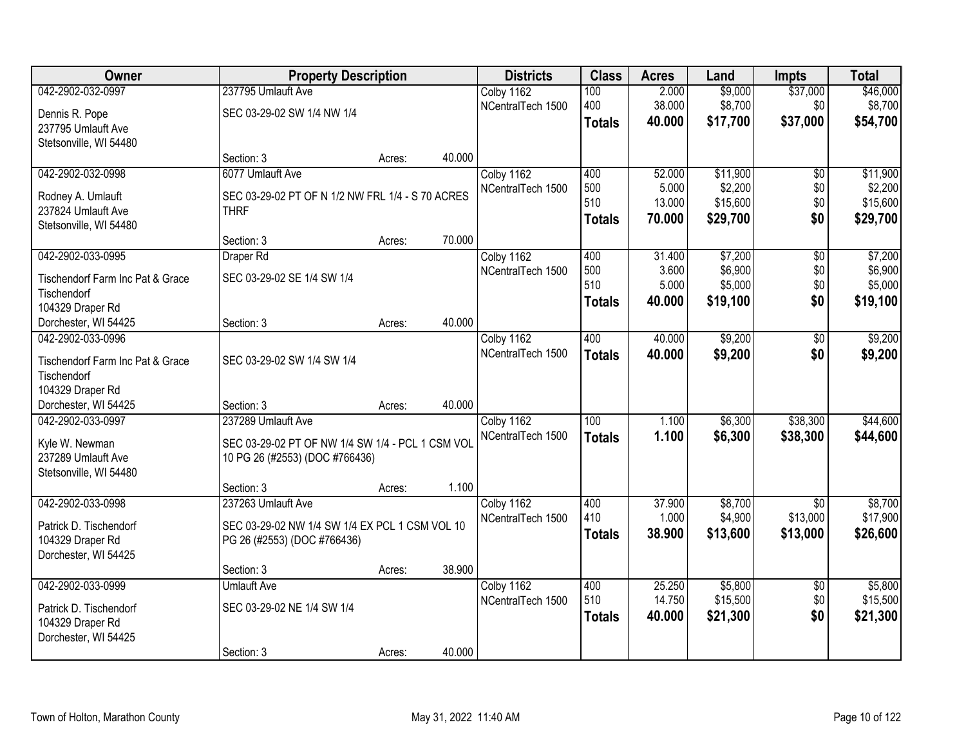| Owner                            | <b>Property Description</b>                      |        |        | <b>Districts</b>  | <b>Class</b>     | <b>Acres</b> | Land     | <b>Impts</b>    | <b>Total</b> |
|----------------------------------|--------------------------------------------------|--------|--------|-------------------|------------------|--------------|----------|-----------------|--------------|
| 042-2902-032-0997                | 237795 Umlauft Ave                               |        |        | Colby 1162        | 100              | 2.000        | \$9,000  | \$37,000        | \$46,000     |
| Dennis R. Pope                   | SEC 03-29-02 SW 1/4 NW 1/4                       |        |        | NCentralTech 1500 | 400              | 38.000       | \$8,700  | \$0             | \$8,700      |
| 237795 Umlauft Ave               |                                                  |        |        |                   | <b>Totals</b>    | 40.000       | \$17,700 | \$37,000        | \$54,700     |
| Stetsonville, WI 54480           |                                                  |        |        |                   |                  |              |          |                 |              |
|                                  | Section: 3                                       | Acres: | 40.000 |                   |                  |              |          |                 |              |
| 042-2902-032-0998                | 6077 Umlauft Ave                                 |        |        | Colby 1162        | 400              | 52.000       | \$11,900 | \$0             | \$11,900     |
| Rodney A. Umlauft                | SEC 03-29-02 PT OF N 1/2 NW FRL 1/4 - S 70 ACRES |        |        | NCentralTech 1500 | 500              | 5.000        | \$2,200  | \$0             | \$2,200      |
| 237824 Umlauft Ave               | <b>THRF</b>                                      |        |        |                   | 510              | 13.000       | \$15,600 | \$0             | \$15,600     |
| Stetsonville, WI 54480           |                                                  |        |        |                   | <b>Totals</b>    | 70.000       | \$29,700 | \$0             | \$29,700     |
|                                  | Section: 3                                       | Acres: | 70.000 |                   |                  |              |          |                 |              |
| 042-2902-033-0995                | Draper Rd                                        |        |        | Colby 1162        | 400              | 31.400       | \$7,200  | $\overline{50}$ | \$7,200      |
| Tischendorf Farm Inc Pat & Grace | SEC 03-29-02 SE 1/4 SW 1/4                       |        |        | NCentralTech 1500 | 500              | 3.600        | \$6,900  | \$0             | \$6,900      |
| Tischendorf                      |                                                  |        |        |                   | 510              | 5.000        | \$5,000  | \$0             | \$5,000      |
| 104329 Draper Rd                 |                                                  |        |        |                   | <b>Totals</b>    | 40,000       | \$19,100 | \$0             | \$19,100     |
| Dorchester, WI 54425             | Section: 3                                       | Acres: | 40.000 |                   |                  |              |          |                 |              |
| 042-2902-033-0996                |                                                  |        |        | Colby 1162        | 400              | 40.000       | \$9,200  | \$0             | \$9,200      |
| Tischendorf Farm Inc Pat & Grace | SEC 03-29-02 SW 1/4 SW 1/4                       |        |        | NCentralTech 1500 | <b>Totals</b>    | 40.000       | \$9,200  | \$0             | \$9,200      |
| Tischendorf                      |                                                  |        |        |                   |                  |              |          |                 |              |
| 104329 Draper Rd                 |                                                  |        |        |                   |                  |              |          |                 |              |
| Dorchester, WI 54425             | Section: 3                                       | Acres: | 40.000 |                   |                  |              |          |                 |              |
| 042-2902-033-0997                | 237289 Umlauft Ave                               |        |        | Colby 1162        | $\overline{100}$ | 1.100        | \$6,300  | \$38,300        | \$44,600     |
| Kyle W. Newman                   | SEC 03-29-02 PT OF NW 1/4 SW 1/4 - PCL 1 CSM VOL |        |        | NCentralTech 1500 | <b>Totals</b>    | 1.100        | \$6,300  | \$38,300        | \$44,600     |
| 237289 Umlauft Ave               | 10 PG 26 (#2553) (DOC #766436)                   |        |        |                   |                  |              |          |                 |              |
| Stetsonville, WI 54480           |                                                  |        |        |                   |                  |              |          |                 |              |
|                                  | Section: 3                                       | Acres: | 1.100  |                   |                  |              |          |                 |              |
| 042-2902-033-0998                | 237263 Umlauft Ave                               |        |        | Colby 1162        | 400              | 37.900       | \$8,700  | $\overline{50}$ | \$8,700      |
| Patrick D. Tischendorf           | SEC 03-29-02 NW 1/4 SW 1/4 EX PCL 1 CSM VOL 10   |        |        | NCentralTech 1500 | 410              | 1.000        | \$4,900  | \$13,000        | \$17,900     |
| 104329 Draper Rd                 | PG 26 (#2553) (DOC #766436)                      |        |        |                   | <b>Totals</b>    | 38.900       | \$13,600 | \$13,000        | \$26,600     |
| Dorchester, WI 54425             |                                                  |        |        |                   |                  |              |          |                 |              |
|                                  | Section: 3                                       | Acres: | 38.900 |                   |                  |              |          |                 |              |
| 042-2902-033-0999                | <b>Umlauft Ave</b>                               |        |        | Colby 1162        | 400              | 25.250       | \$5,800  | $\overline{50}$ | \$5,800      |
| Patrick D. Tischendorf           | SEC 03-29-02 NE 1/4 SW 1/4                       |        |        | NCentralTech 1500 | 510              | 14.750       | \$15,500 | \$0             | \$15,500     |
| 104329 Draper Rd                 |                                                  |        |        |                   | <b>Totals</b>    | 40.000       | \$21,300 | \$0             | \$21,300     |
| Dorchester, WI 54425             |                                                  |        |        |                   |                  |              |          |                 |              |
|                                  | Section: 3                                       | Acres: | 40.000 |                   |                  |              |          |                 |              |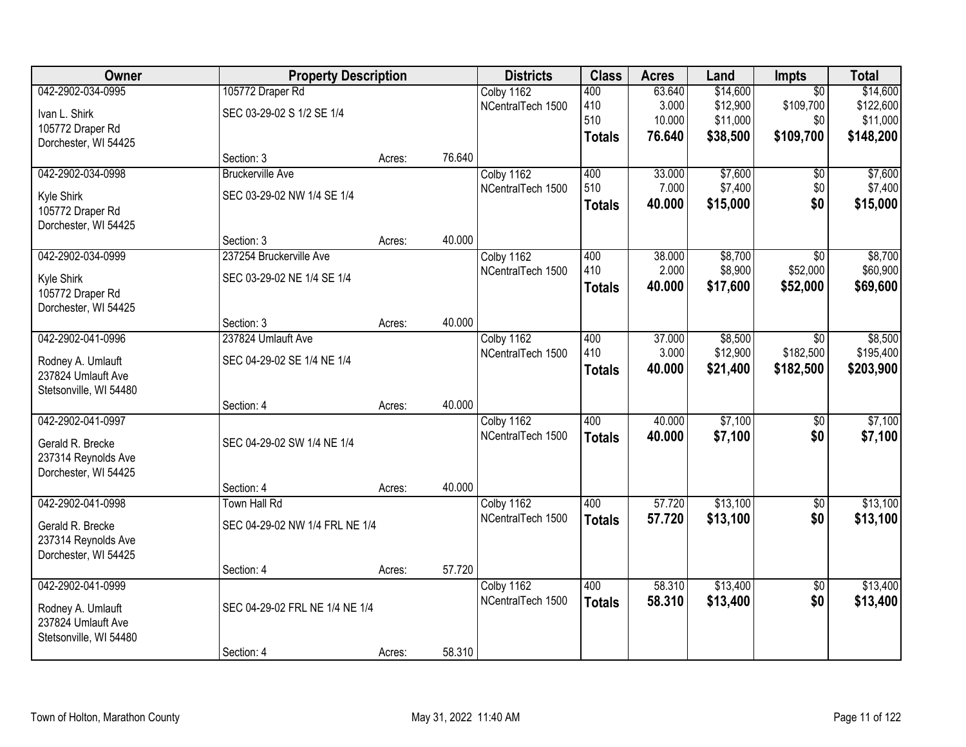| Owner<br><b>Property Description</b> |                                | <b>Districts</b> | <b>Class</b> | <b>Acres</b>      | Land          | Impts  | <b>Total</b> |                 |           |
|--------------------------------------|--------------------------------|------------------|--------------|-------------------|---------------|--------|--------------|-----------------|-----------|
| 042-2902-034-0995                    | 105772 Draper Rd               |                  |              | Colby 1162        | 400           | 63.640 | \$14,600     | $\overline{30}$ | \$14,600  |
| Ivan L. Shirk                        | SEC 03-29-02 S 1/2 SE 1/4      |                  |              | NCentralTech 1500 | 410           | 3.000  | \$12,900     | \$109,700       | \$122,600 |
| 105772 Draper Rd                     |                                |                  |              |                   | 510           | 10.000 | \$11,000     | \$0             | \$11,000  |
| Dorchester, WI 54425                 |                                |                  |              |                   | <b>Totals</b> | 76.640 | \$38,500     | \$109,700       | \$148,200 |
|                                      | Section: 3                     | Acres:           | 76.640       |                   |               |        |              |                 |           |
| 042-2902-034-0998                    | <b>Bruckerville Ave</b>        |                  |              | Colby 1162        | 400           | 33.000 | \$7,600      | \$0             | \$7,600   |
| Kyle Shirk                           | SEC 03-29-02 NW 1/4 SE 1/4     |                  |              | NCentralTech 1500 | 510           | 7.000  | \$7,400      | \$0             | \$7,400   |
| 105772 Draper Rd                     |                                |                  |              |                   | <b>Totals</b> | 40.000 | \$15,000     | \$0             | \$15,000  |
| Dorchester, WI 54425                 |                                |                  |              |                   |               |        |              |                 |           |
|                                      | Section: 3                     | Acres:           | 40.000       |                   |               |        |              |                 |           |
| 042-2902-034-0999                    | 237254 Bruckerville Ave        |                  |              | Colby 1162        | 400           | 38.000 | \$8,700      | \$0             | \$8,700   |
| Kyle Shirk                           | SEC 03-29-02 NE 1/4 SE 1/4     |                  |              | NCentralTech 1500 | 410           | 2.000  | \$8,900      | \$52,000        | \$60,900  |
| 105772 Draper Rd                     |                                |                  |              |                   | <b>Totals</b> | 40.000 | \$17,600     | \$52,000        | \$69,600  |
| Dorchester, WI 54425                 |                                |                  |              |                   |               |        |              |                 |           |
|                                      | Section: 3                     | Acres:           | 40.000       |                   |               |        |              |                 |           |
| 042-2902-041-0996                    | 237824 Umlauft Ave             |                  |              | Colby 1162        | 400           | 37.000 | \$8,500      | \$0             | \$8,500   |
| Rodney A. Umlauft                    | SEC 04-29-02 SE 1/4 NE 1/4     |                  |              | NCentralTech 1500 | 410           | 3.000  | \$12,900     | \$182,500       | \$195,400 |
| 237824 Umlauft Ave                   |                                |                  |              |                   | <b>Totals</b> | 40.000 | \$21,400     | \$182,500       | \$203,900 |
| Stetsonville, WI 54480               |                                |                  |              |                   |               |        |              |                 |           |
|                                      | Section: 4                     | Acres:           | 40.000       |                   |               |        |              |                 |           |
| 042-2902-041-0997                    |                                |                  |              | Colby 1162        | 400           | 40.000 | \$7,100      | $\overline{50}$ | \$7,100   |
| Gerald R. Brecke                     | SEC 04-29-02 SW 1/4 NE 1/4     |                  |              | NCentralTech 1500 | <b>Totals</b> | 40.000 | \$7,100      | \$0             | \$7,100   |
| 237314 Reynolds Ave                  |                                |                  |              |                   |               |        |              |                 |           |
| Dorchester, WI 54425                 |                                |                  |              |                   |               |        |              |                 |           |
|                                      | Section: 4                     | Acres:           | 40.000       |                   |               |        |              |                 |           |
| 042-2902-041-0998                    | Town Hall Rd                   |                  |              | Colby 1162        | 400           | 57.720 | \$13,100     | $\sqrt{6}$      | \$13,100  |
| Gerald R. Brecke                     | SEC 04-29-02 NW 1/4 FRL NE 1/4 |                  |              | NCentralTech 1500 | <b>Totals</b> | 57.720 | \$13,100     | \$0             | \$13,100  |
| 237314 Reynolds Ave                  |                                |                  |              |                   |               |        |              |                 |           |
| Dorchester, WI 54425                 |                                |                  |              |                   |               |        |              |                 |           |
|                                      | Section: 4                     | Acres:           | 57.720       |                   |               |        |              |                 |           |
| 042-2902-041-0999                    |                                |                  |              | Colby 1162        | 400           | 58.310 | \$13,400     | $\overline{50}$ | \$13,400  |
| Rodney A. Umlauft                    | SEC 04-29-02 FRL NE 1/4 NE 1/4 |                  |              | NCentralTech 1500 | <b>Totals</b> | 58.310 | \$13,400     | \$0             | \$13,400  |
| 237824 Umlauft Ave                   |                                |                  |              |                   |               |        |              |                 |           |
| Stetsonville, WI 54480               |                                |                  |              |                   |               |        |              |                 |           |
|                                      | Section: 4                     | Acres:           | 58.310       |                   |               |        |              |                 |           |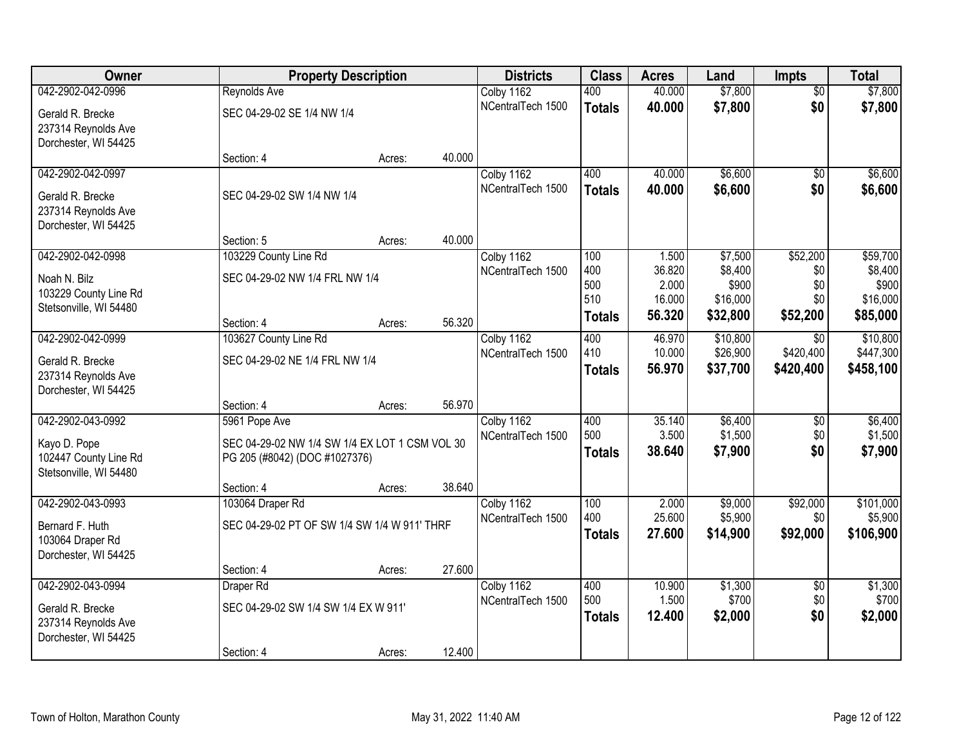| Owner                                   |                                                | <b>Property Description</b> |        | <b>Districts</b>                | <b>Class</b>  | <b>Acres</b> | Land     | <b>Impts</b>    | <b>Total</b> |
|-----------------------------------------|------------------------------------------------|-----------------------------|--------|---------------------------------|---------------|--------------|----------|-----------------|--------------|
| 042-2902-042-0996                       | Reynolds Ave                                   |                             |        | Colby 1162                      | 400           | 40.000       | \$7,800  | $\overline{50}$ | \$7,800      |
| Gerald R. Brecke                        | SEC 04-29-02 SE 1/4 NW 1/4                     |                             |        | NCentralTech 1500               | <b>Totals</b> | 40.000       | \$7,800  | \$0             | \$7,800      |
| 237314 Reynolds Ave                     |                                                |                             |        |                                 |               |              |          |                 |              |
| Dorchester, WI 54425                    |                                                |                             |        |                                 |               |              |          |                 |              |
|                                         | Section: 4                                     | Acres:                      | 40.000 |                                 |               |              |          |                 |              |
| 042-2902-042-0997                       |                                                |                             |        | Colby 1162<br>NCentralTech 1500 | 400           | 40.000       | \$6,600  | $\overline{30}$ | \$6,600      |
| Gerald R. Brecke                        | SEC 04-29-02 SW 1/4 NW 1/4                     |                             |        |                                 | <b>Totals</b> | 40.000       | \$6,600  | \$0             | \$6,600      |
| 237314 Reynolds Ave                     |                                                |                             |        |                                 |               |              |          |                 |              |
| Dorchester, WI 54425                    |                                                |                             |        |                                 |               |              |          |                 |              |
| 042-2902-042-0998                       | Section: 5<br>103229 County Line Rd            | Acres:                      | 40.000 |                                 | 100           | 1.500        | \$7,500  | \$52,200        | \$59,700     |
|                                         |                                                |                             |        | Colby 1162<br>NCentralTech 1500 | 400           | 36.820       | \$8,400  | \$0             | \$8,400      |
| Noah N. Bilz                            | SEC 04-29-02 NW 1/4 FRL NW 1/4                 |                             |        |                                 | 500           | 2.000        | \$900    | \$0             | \$900        |
| 103229 County Line Rd                   |                                                |                             |        |                                 | 510           | 16.000       | \$16,000 | \$0             | \$16,000     |
| Stetsonville, WI 54480                  | Section: 4                                     | Acres:                      | 56.320 |                                 | <b>Totals</b> | 56.320       | \$32,800 | \$52,200        | \$85,000     |
| 042-2902-042-0999                       | 103627 County Line Rd                          |                             |        | Colby 1162                      | 400           | 46.970       | \$10,800 | \$0             | \$10,800     |
|                                         |                                                |                             |        | NCentralTech 1500               | 410           | 10.000       | \$26,900 | \$420,400       | \$447,300    |
| Gerald R. Brecke<br>237314 Reynolds Ave | SEC 04-29-02 NE 1/4 FRL NW 1/4                 |                             |        |                                 | <b>Totals</b> | 56.970       | \$37,700 | \$420,400       | \$458,100    |
| Dorchester, WI 54425                    |                                                |                             |        |                                 |               |              |          |                 |              |
|                                         | Section: 4                                     | Acres:                      | 56.970 |                                 |               |              |          |                 |              |
| 042-2902-043-0992                       | 5961 Pope Ave                                  |                             |        | Colby 1162                      | 400           | 35.140       | \$6,400  | $\overline{50}$ | \$6,400      |
| Kayo D. Pope                            | SEC 04-29-02 NW 1/4 SW 1/4 EX LOT 1 CSM VOL 30 |                             |        | NCentralTech 1500               | 500           | 3.500        | \$1,500  | \$0             | \$1,500      |
| 102447 County Line Rd                   | PG 205 (#8042) (DOC #1027376)                  |                             |        |                                 | <b>Totals</b> | 38.640       | \$7,900  | \$0             | \$7,900      |
| Stetsonville, WI 54480                  |                                                |                             |        |                                 |               |              |          |                 |              |
|                                         | Section: 4                                     | Acres:                      | 38.640 |                                 |               |              |          |                 |              |
| 042-2902-043-0993                       | 103064 Draper Rd                               |                             |        | Colby 1162                      | 100           | 2.000        | \$9,000  | \$92,000        | \$101,000    |
| Bernard F. Huth                         | SEC 04-29-02 PT OF SW 1/4 SW 1/4 W 911' THRF   |                             |        | NCentralTech 1500               | 400           | 25.600       | \$5,900  | \$0             | \$5,900      |
| 103064 Draper Rd                        |                                                |                             |        |                                 | <b>Totals</b> | 27.600       | \$14,900 | \$92,000        | \$106,900    |
| Dorchester, WI 54425                    |                                                |                             |        |                                 |               |              |          |                 |              |
|                                         | Section: 4                                     | Acres:                      | 27.600 |                                 |               |              |          |                 |              |
| 042-2902-043-0994                       | Draper Rd                                      |                             |        | Colby 1162                      | 400           | 10.900       | \$1,300  | $\overline{50}$ | \$1,300      |
| Gerald R. Brecke                        | SEC 04-29-02 SW 1/4 SW 1/4 EX W 911'           |                             |        | NCentralTech 1500               | 500           | 1.500        | \$700    | \$0             | \$700        |
| 237314 Reynolds Ave                     |                                                |                             |        |                                 | <b>Totals</b> | 12.400       | \$2,000  | \$0             | \$2,000      |
| Dorchester, WI 54425                    |                                                |                             |        |                                 |               |              |          |                 |              |
|                                         | Section: 4                                     | Acres:                      | 12.400 |                                 |               |              |          |                 |              |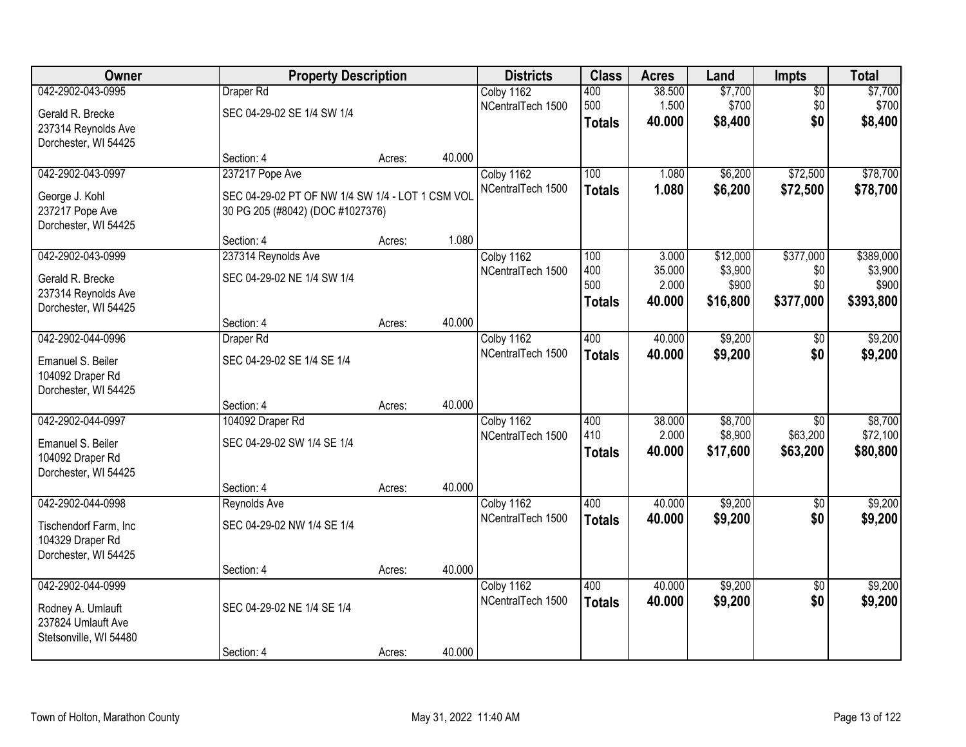| Owner                                                                                  |                                                                                      | <b>Property Description</b> |        | <b>Districts</b>                | <b>Class</b>                       | <b>Acres</b>                       | Land                                     | Impts                                   | <b>Total</b>                               |
|----------------------------------------------------------------------------------------|--------------------------------------------------------------------------------------|-----------------------------|--------|---------------------------------|------------------------------------|------------------------------------|------------------------------------------|-----------------------------------------|--------------------------------------------|
| 042-2902-043-0995                                                                      | Draper Rd                                                                            |                             |        | Colby 1162<br>NCentralTech 1500 | 400<br>500                         | 38.500<br>1.500                    | \$7,700<br>\$700                         | $\overline{50}$<br>\$0                  | \$7,700<br>\$700                           |
| Gerald R. Brecke<br>237314 Reynolds Ave<br>Dorchester, WI 54425                        | SEC 04-29-02 SE 1/4 SW 1/4                                                           |                             |        |                                 | <b>Totals</b>                      | 40.000                             | \$8,400                                  | \$0                                     | \$8,400                                    |
|                                                                                        | Section: 4                                                                           | Acres:                      | 40.000 |                                 |                                    |                                    |                                          |                                         |                                            |
| 042-2902-043-0997                                                                      | 237217 Pope Ave                                                                      |                             |        | Colby 1162                      | 100                                | 1.080                              | \$6,200                                  | \$72,500                                | \$78,700                                   |
| George J. Kohl<br>237217 Pope Ave<br>Dorchester, WI 54425                              | SEC 04-29-02 PT OF NW 1/4 SW 1/4 - LOT 1 CSM VOL<br>30 PG 205 (#8042) (DOC #1027376) |                             |        | NCentralTech 1500               | <b>Totals</b>                      | 1.080                              | \$6,200                                  | \$72,500                                | \$78,700                                   |
|                                                                                        | Section: 4                                                                           | Acres:                      | 1.080  |                                 |                                    |                                    |                                          |                                         |                                            |
| 042-2902-043-0999<br>Gerald R. Brecke<br>237314 Reynolds Ave<br>Dorchester, WI 54425   | 237314 Reynolds Ave<br>SEC 04-29-02 NE 1/4 SW 1/4                                    |                             |        | Colby 1162<br>NCentralTech 1500 | 100<br>400<br>500<br><b>Totals</b> | 3.000<br>35.000<br>2.000<br>40.000 | \$12,000<br>\$3,900<br>\$900<br>\$16,800 | \$377,000<br>\$0<br>\$0<br>\$377,000    | \$389,000<br>\$3,900<br>\$900<br>\$393,800 |
|                                                                                        | Section: 4                                                                           | Acres:                      | 40.000 |                                 |                                    |                                    |                                          |                                         |                                            |
| 042-2902-044-0996                                                                      | Draper Rd                                                                            |                             |        | Colby 1162                      | 400                                | 40.000                             | \$9,200                                  | \$0                                     | \$9,200                                    |
| Emanuel S. Beiler<br>104092 Draper Rd<br>Dorchester, WI 54425                          | SEC 04-29-02 SE 1/4 SE 1/4                                                           |                             |        | NCentralTech 1500               | <b>Totals</b>                      | 40.000                             | \$9,200                                  | \$0                                     | \$9,200                                    |
|                                                                                        | Section: 4                                                                           | Acres:                      | 40.000 |                                 |                                    |                                    |                                          |                                         |                                            |
| 042-2902-044-0997<br>Emanuel S. Beiler<br>104092 Draper Rd<br>Dorchester, WI 54425     | 104092 Draper Rd<br>SEC 04-29-02 SW 1/4 SE 1/4<br>Section: 4                         | Acres:                      | 40.000 | Colby 1162<br>NCentralTech 1500 | 400<br>410<br><b>Totals</b>        | 38.000<br>2.000<br>40.000          | \$8,700<br>\$8,900<br>\$17,600           | $\overline{30}$<br>\$63,200<br>\$63,200 | \$8,700<br>\$72,100<br>\$80,800            |
| 042-2902-044-0998                                                                      | Reynolds Ave                                                                         |                             |        | Colby 1162                      | 400                                | 40.000                             | \$9,200                                  | $\overline{50}$                         | \$9,200                                    |
| Tischendorf Farm, Inc<br>104329 Draper Rd<br>Dorchester, WI 54425                      | SEC 04-29-02 NW 1/4 SE 1/4                                                           |                             |        | NCentralTech 1500               | <b>Totals</b>                      | 40.000                             | \$9,200                                  | \$0                                     | \$9,200                                    |
|                                                                                        | Section: 4                                                                           | Acres:                      | 40.000 |                                 |                                    |                                    |                                          |                                         |                                            |
| 042-2902-044-0999<br>Rodney A. Umlauft<br>237824 Umlauft Ave<br>Stetsonville, WI 54480 | SEC 04-29-02 NE 1/4 SE 1/4                                                           |                             |        | Colby 1162<br>NCentralTech 1500 | 400<br><b>Totals</b>               | 40.000<br>40.000                   | \$9,200<br>\$9,200                       | $\overline{50}$<br>\$0                  | \$9,200<br>\$9,200                         |
|                                                                                        | Section: 4                                                                           | Acres:                      | 40.000 |                                 |                                    |                                    |                                          |                                         |                                            |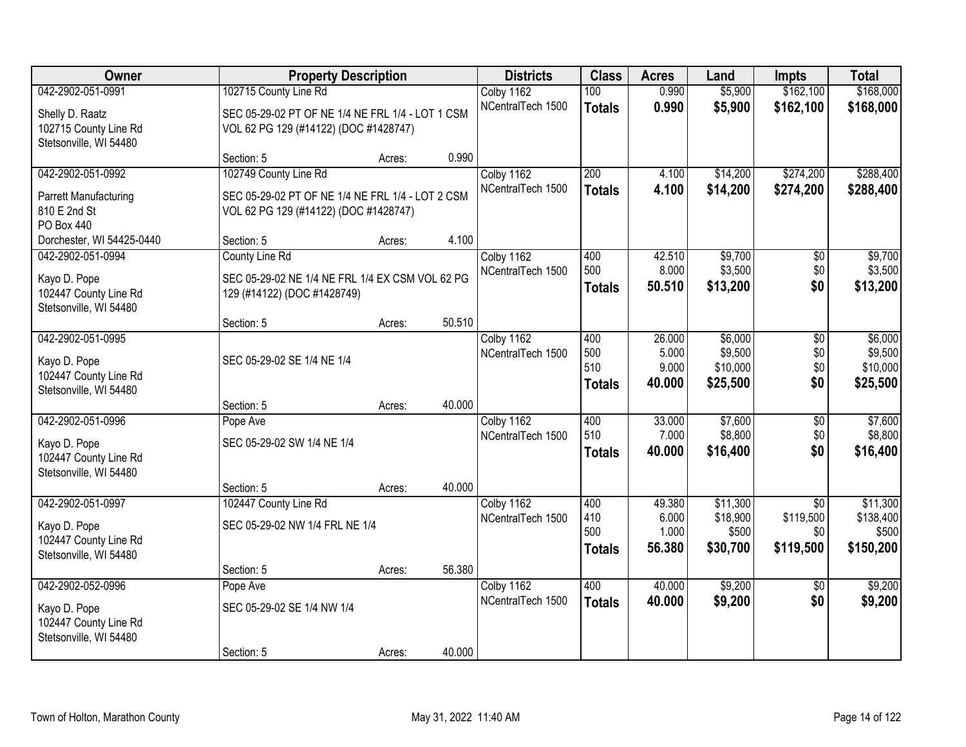| <b>Owner</b>                                    |                                                  | <b>Property Description</b> |        |                                 | <b>Class</b>     | <b>Acres</b> | Land     | Impts           | <b>Total</b> |
|-------------------------------------------------|--------------------------------------------------|-----------------------------|--------|---------------------------------|------------------|--------------|----------|-----------------|--------------|
| 042-2902-051-0991                               | 102715 County Line Rd                            |                             |        | Colby 1162                      | 100              | 0.990        | \$5,900  | \$162,100       | \$168,000    |
| Shelly D. Raatz                                 | SEC 05-29-02 PT OF NE 1/4 NE FRL 1/4 - LOT 1 CSM |                             |        | NCentralTech 1500               | <b>Totals</b>    | 0.990        | \$5,900  | \$162,100       | \$168,000    |
| 102715 County Line Rd                           | VOL 62 PG 129 (#14122) (DOC #1428747)            |                             |        |                                 |                  |              |          |                 |              |
| Stetsonville, WI 54480                          |                                                  |                             |        |                                 |                  |              |          |                 |              |
|                                                 | Section: 5                                       | Acres:                      | 0.990  |                                 |                  |              |          |                 |              |
| 042-2902-051-0992                               | 102749 County Line Rd                            |                             |        | Colby 1162                      | $\overline{200}$ | 4.100        | \$14,200 | \$274,200       | \$288,400    |
| Parrett Manufacturing                           | SEC 05-29-02 PT OF NE 1/4 NE FRL 1/4 - LOT 2 CSM |                             |        | NCentralTech 1500               | <b>Totals</b>    | 4.100        | \$14,200 | \$274,200       | \$288,400    |
| 810 E 2nd St                                    | VOL 62 PG 129 (#14122) (DOC #1428747)            |                             |        |                                 |                  |              |          |                 |              |
| PO Box 440                                      |                                                  |                             |        |                                 |                  |              |          |                 |              |
| Dorchester, WI 54425-0440<br>042-2902-051-0994  | Section: 5                                       | Acres:                      | 4.100  |                                 | 400              | 42.510       | \$9,700  |                 | \$9,700      |
|                                                 | County Line Rd                                   |                             |        | Colby 1162<br>NCentralTech 1500 | 500              | 8.000        | \$3,500  | \$0<br>\$0      | \$3,500      |
| Kayo D. Pope                                    | SEC 05-29-02 NE 1/4 NE FRL 1/4 EX CSM VOL 62 PG  |                             |        |                                 | <b>Totals</b>    | 50.510       | \$13,200 | \$0             | \$13,200     |
| 102447 County Line Rd                           | 129 (#14122) (DOC #1428749)                      |                             |        |                                 |                  |              |          |                 |              |
| Stetsonville, WI 54480                          | Section: 5                                       | Acres:                      | 50.510 |                                 |                  |              |          |                 |              |
| 042-2902-051-0995                               |                                                  |                             |        | Colby 1162                      | 400              | 26.000       | \$6,000  | $\overline{50}$ | \$6,000      |
|                                                 |                                                  |                             |        | NCentralTech 1500               | 500              | 5.000        | \$9,500  | \$0             | \$9,500      |
| Kayo D. Pope                                    | SEC 05-29-02 SE 1/4 NE 1/4                       |                             |        |                                 | 510              | 9.000        | \$10,000 | \$0             | \$10,000     |
| 102447 County Line Rd<br>Stetsonville, WI 54480 |                                                  |                             |        |                                 | <b>Totals</b>    | 40.000       | \$25,500 | \$0             | \$25,500     |
|                                                 | Section: 5                                       | Acres:                      | 40.000 |                                 |                  |              |          |                 |              |
| 042-2902-051-0996                               | Pope Ave                                         |                             |        | Colby 1162                      | 400              | 33.000       | \$7,600  | $\overline{60}$ | \$7,600      |
| Kayo D. Pope                                    | SEC 05-29-02 SW 1/4 NE 1/4                       |                             |        | NCentralTech 1500               | 510              | 7.000        | \$8,800  | \$0             | \$8,800      |
| 102447 County Line Rd                           |                                                  |                             |        |                                 | <b>Totals</b>    | 40.000       | \$16,400 | \$0             | \$16,400     |
| Stetsonville, WI 54480                          |                                                  |                             |        |                                 |                  |              |          |                 |              |
|                                                 | Section: 5                                       | Acres:                      | 40.000 |                                 |                  |              |          |                 |              |
| 042-2902-051-0997                               | 102447 County Line Rd                            |                             |        | Colby 1162                      | 400              | 49.380       | \$11,300 | $\overline{50}$ | \$11,300     |
| Kayo D. Pope                                    | SEC 05-29-02 NW 1/4 FRL NE 1/4                   |                             |        | NCentralTech 1500               | 410              | 6.000        | \$18,900 | \$119,500       | \$138,400    |
| 102447 County Line Rd                           |                                                  |                             |        |                                 | 500              | 1.000        | \$500    | \$0             | \$500        |
| Stetsonville, WI 54480                          |                                                  |                             |        |                                 | <b>Totals</b>    | 56.380       | \$30,700 | \$119,500       | \$150,200    |
|                                                 | Section: 5                                       | Acres:                      | 56.380 |                                 |                  |              |          |                 |              |
| 042-2902-052-0996                               | Pope Ave                                         |                             |        | Colby 1162                      | 400              | 40.000       | \$9,200  | $\overline{50}$ | \$9,200      |
| Kayo D. Pope                                    | SEC 05-29-02 SE 1/4 NW 1/4                       |                             |        | NCentralTech 1500               | <b>Totals</b>    | 40.000       | \$9,200  | \$0             | \$9,200      |
| 102447 County Line Rd                           |                                                  |                             |        |                                 |                  |              |          |                 |              |
| Stetsonville, WI 54480                          |                                                  |                             |        |                                 |                  |              |          |                 |              |
|                                                 | Section: 5                                       | Acres:                      | 40.000 |                                 |                  |              |          |                 |              |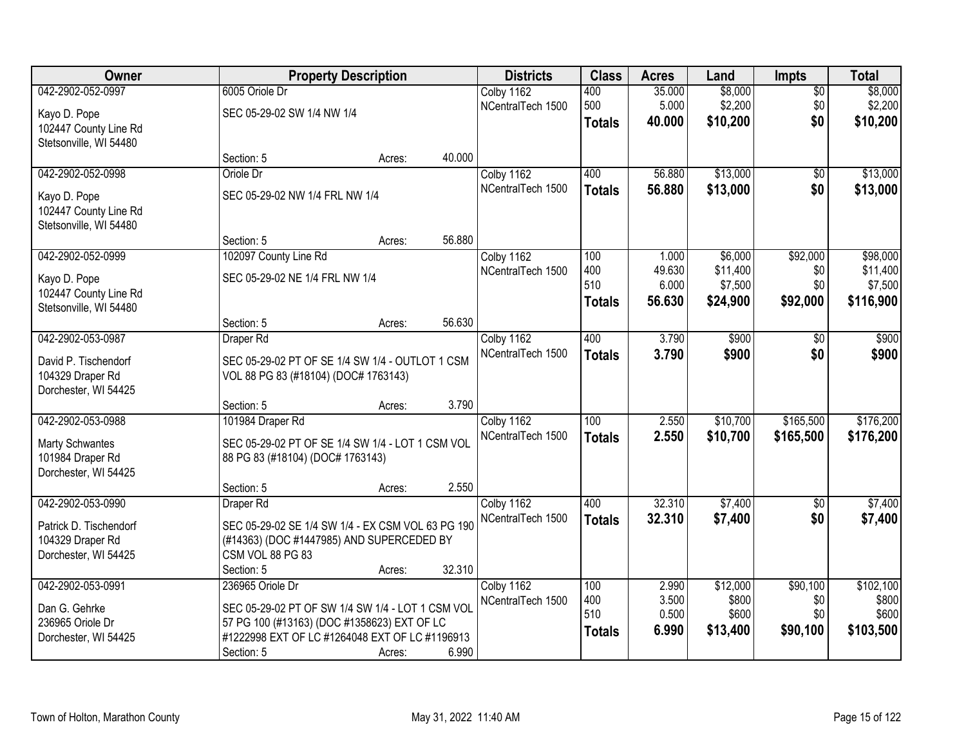| Owner                  | <b>Property Description</b>                       |        |        | <b>Districts</b>  | <b>Class</b>  | <b>Acres</b> | Land     | <b>Impts</b> | <b>Total</b> |
|------------------------|---------------------------------------------------|--------|--------|-------------------|---------------|--------------|----------|--------------|--------------|
| 042-2902-052-0997      | 6005 Oriole Dr                                    |        |        | Colby 1162        | 400           | 35.000       | \$8,000  | $\sqrt{$0}$  | \$8,000      |
| Kayo D. Pope           | SEC 05-29-02 SW 1/4 NW 1/4                        |        |        | NCentralTech 1500 | 500           | 5.000        | \$2,200  | \$0          | \$2,200      |
| 102447 County Line Rd  |                                                   |        |        |                   | <b>Totals</b> | 40.000       | \$10,200 | \$0          | \$10,200     |
| Stetsonville, WI 54480 |                                                   |        |        |                   |               |              |          |              |              |
|                        | Section: 5                                        | Acres: | 40.000 |                   |               |              |          |              |              |
| 042-2902-052-0998      | Oriole Dr                                         |        |        | Colby 1162        | 400           | 56.880       | \$13,000 | \$0          | \$13,000     |
| Kayo D. Pope           | SEC 05-29-02 NW 1/4 FRL NW 1/4                    |        |        | NCentralTech 1500 | <b>Totals</b> | 56.880       | \$13,000 | \$0          | \$13,000     |
| 102447 County Line Rd  |                                                   |        |        |                   |               |              |          |              |              |
| Stetsonville, WI 54480 |                                                   |        |        |                   |               |              |          |              |              |
|                        | Section: 5                                        | Acres: | 56.880 |                   |               |              |          |              |              |
| 042-2902-052-0999      | 102097 County Line Rd                             |        |        | Colby 1162        | 100           | 1.000        | \$6,000  | \$92,000     | \$98,000     |
| Kayo D. Pope           | SEC 05-29-02 NE 1/4 FRL NW 1/4                    |        |        | NCentralTech 1500 | 400           | 49.630       | \$11,400 | \$0          | \$11,400     |
| 102447 County Line Rd  |                                                   |        |        |                   | 510           | 6.000        | \$7,500  | \$0          | \$7,500      |
| Stetsonville, WI 54480 |                                                   |        |        |                   | Totals        | 56,630       | \$24,900 | \$92,000     | \$116,900    |
|                        | Section: 5                                        | Acres: | 56.630 |                   |               |              |          |              |              |
| 042-2902-053-0987      | Draper Rd                                         |        |        | Colby 1162        | 400           | 3.790        | \$900    | $\sqrt{6}$   | \$900        |
| David P. Tischendorf   | SEC 05-29-02 PT OF SE 1/4 SW 1/4 - OUTLOT 1 CSM   |        |        | NCentralTech 1500 | <b>Totals</b> | 3.790        | \$900    | \$0          | \$900        |
| 104329 Draper Rd       | VOL 88 PG 83 (#18104) (DOC# 1763143)              |        |        |                   |               |              |          |              |              |
| Dorchester, WI 54425   |                                                   |        |        |                   |               |              |          |              |              |
|                        | Section: 5                                        | Acres: | 3.790  |                   |               |              |          |              |              |
| 042-2902-053-0988      | 101984 Draper Rd                                  |        |        | Colby 1162        | 100           | 2.550        | \$10,700 | \$165,500    | \$176,200    |
| <b>Marty Schwantes</b> | SEC 05-29-02 PT OF SE 1/4 SW 1/4 - LOT 1 CSM VOL  |        |        | NCentralTech 1500 | <b>Totals</b> | 2.550        | \$10,700 | \$165,500    | \$176,200    |
| 101984 Draper Rd       | 88 PG 83 (#18104) (DOC# 1763143)                  |        |        |                   |               |              |          |              |              |
| Dorchester, WI 54425   |                                                   |        |        |                   |               |              |          |              |              |
|                        | Section: 5                                        | Acres: | 2.550  |                   |               |              |          |              |              |
| 042-2902-053-0990      | Draper Rd                                         |        |        | Colby 1162        | 400           | 32.310       | \$7,400  | \$0          | \$7,400      |
| Patrick D. Tischendorf | SEC 05-29-02 SE 1/4 SW 1/4 - EX CSM VOL 63 PG 190 |        |        | NCentralTech 1500 | <b>Totals</b> | 32.310       | \$7,400  | \$0          | \$7,400      |
| 104329 Draper Rd       | (#14363) (DOC #1447985) AND SUPERCEDED BY         |        |        |                   |               |              |          |              |              |
| Dorchester, WI 54425   | CSM VOL 88 PG 83                                  |        |        |                   |               |              |          |              |              |
|                        | Section: 5                                        | Acres: | 32.310 |                   |               |              |          |              |              |
| 042-2902-053-0991      | 236965 Oriole Dr                                  |        |        | Colby 1162        | 100           | 2.990        | \$12,000 | \$90,100     | \$102,100    |
| Dan G. Gehrke          | SEC 05-29-02 PT OF SW 1/4 SW 1/4 - LOT 1 CSM VOL  |        |        | NCentralTech 1500 | 400           | 3.500        | \$800    | \$0          | \$800        |
| 236965 Oriole Dr       | 57 PG 100 (#13163) (DOC #1358623) EXT OF LC       |        |        |                   | 510           | 0.500        | \$600    | \$0          | \$600        |
| Dorchester, WI 54425   | #1222998 EXT OF LC #1264048 EXT OF LC #1196913    |        |        |                   | <b>Totals</b> | 6.990        | \$13,400 | \$90,100     | \$103,500    |
|                        | Section: 5                                        | Acres: | 6.990  |                   |               |              |          |              |              |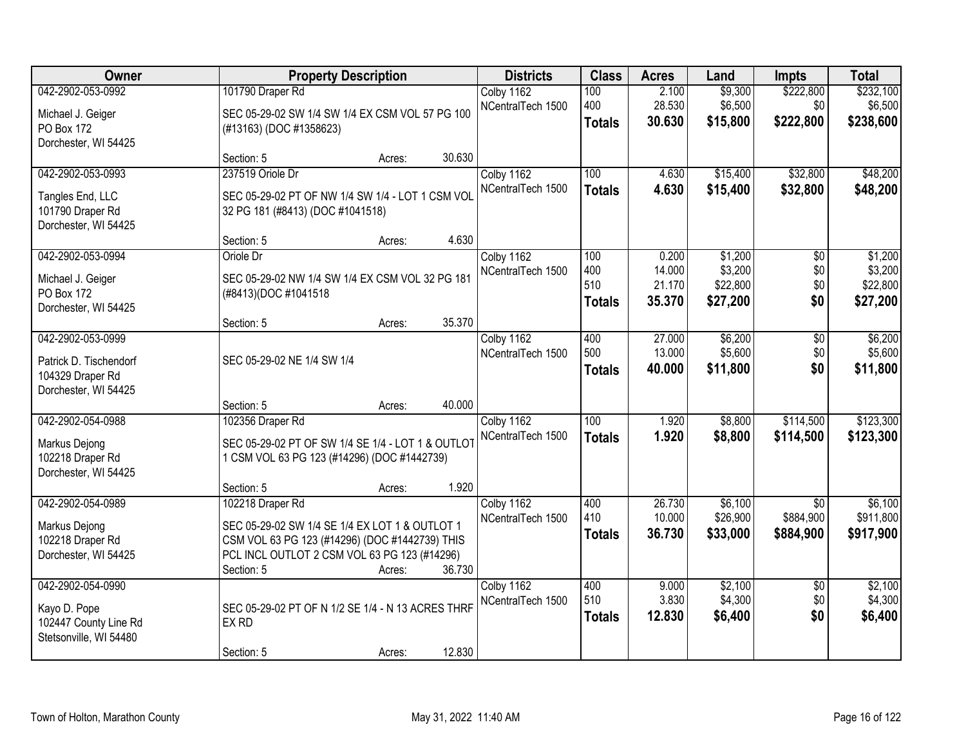| Owner                                                                                   | <b>Property Description</b>                                                                                                                                                                            | <b>Districts</b>                         | <b>Class</b>                       | <b>Acres</b>                        | Land                                       | <b>Impts</b>                              | <b>Total</b>                               |
|-----------------------------------------------------------------------------------------|--------------------------------------------------------------------------------------------------------------------------------------------------------------------------------------------------------|------------------------------------------|------------------------------------|-------------------------------------|--------------------------------------------|-------------------------------------------|--------------------------------------------|
| 042-2902-053-0992<br>Michael J. Geiger<br>PO Box 172<br>Dorchester, WI 54425            | 101790 Draper Rd<br>SEC 05-29-02 SW 1/4 SW 1/4 EX CSM VOL 57 PG 100<br>(#13163) (DOC #1358623)                                                                                                         | Colby 1162<br>NCentralTech 1500          | 100<br>400<br><b>Totals</b>        | 2.100<br>28.530<br>30.630           | \$9,300<br>\$6,500<br>\$15,800             | \$222,800<br>\$0<br>\$222,800             | \$232,100<br>\$6,500<br>\$238,600          |
|                                                                                         | 30.630<br>Section: 5<br>Acres:                                                                                                                                                                         |                                          |                                    |                                     |                                            |                                           |                                            |
| 042-2902-053-0993<br>Tangles End, LLC<br>101790 Draper Rd<br>Dorchester, WI 54425       | 237519 Oriole Dr<br>SEC 05-29-02 PT OF NW 1/4 SW 1/4 - LOT 1 CSM VOL<br>32 PG 181 (#8413) (DOC #1041518)                                                                                               | Colby 1162<br>NCentralTech 1500          | 100<br><b>Totals</b>               | 4.630<br>4.630                      | \$15,400<br>\$15,400                       | \$32,800<br>\$32,800                      | \$48,200<br>\$48,200                       |
| 042-2902-053-0994<br>Michael J. Geiger<br>PO Box 172<br>Dorchester, WI 54425            | Section: 5<br>Acres:<br>Oriole Dr<br>SEC 05-29-02 NW 1/4 SW 1/4 EX CSM VOL 32 PG 181<br>(#8413)(DOC #1041518<br>35.370<br>Section: 5<br>Acres:                                                         | 4.630<br>Colby 1162<br>NCentralTech 1500 | 100<br>400<br>510<br><b>Totals</b> | 0.200<br>14.000<br>21.170<br>35.370 | \$1,200<br>\$3,200<br>\$22,800<br>\$27,200 | $\overline{50}$<br>\$0<br>\$0<br>\$0      | \$1,200<br>\$3,200<br>\$22,800<br>\$27,200 |
| 042-2902-053-0999<br>Patrick D. Tischendorf<br>104329 Draper Rd<br>Dorchester, WI 54425 | SEC 05-29-02 NE 1/4 SW 1/4<br>40.000<br>Section: 5<br>Acres:                                                                                                                                           | Colby 1162<br>NCentralTech 1500          | 400<br>500<br><b>Totals</b>        | 27.000<br>13.000<br>40.000          | \$6,200<br>\$5,600<br>\$11,800             | \$0<br>\$0<br>\$0                         | \$6,200<br>\$5,600<br>\$11,800             |
| 042-2902-054-0988<br>Markus Dejong<br>102218 Draper Rd<br>Dorchester, WI 54425          | 102356 Draper Rd<br>SEC 05-29-02 PT OF SW 1/4 SE 1/4 - LOT 1 & OUTLOT<br>1 CSM VOL 63 PG 123 (#14296) (DOC #1442739)<br>Section: 5<br>Acres:                                                           | Colby 1162<br>NCentralTech 1500<br>1.920 | $\overline{100}$<br><b>Totals</b>  | 1.920<br>1.920                      | \$8,800<br>\$8,800                         | \$114,500<br>\$114,500                    | \$123,300<br>\$123,300                     |
| 042-2902-054-0989<br>Markus Dejong<br>102218 Draper Rd<br>Dorchester, WI 54425          | 102218 Draper Rd<br>SEC 05-29-02 SW 1/4 SE 1/4 EX LOT 1 & OUTLOT 1<br>CSM VOL 63 PG 123 (#14296) (DOC #1442739) THIS<br>PCL INCL OUTLOT 2 CSM VOL 63 PG 123 (#14296)<br>36.730<br>Section: 5<br>Acres: | Colby 1162<br>NCentralTech 1500          | 400<br>410<br><b>Totals</b>        | 26.730<br>10.000<br>36.730          | \$6,100<br>\$26,900<br>\$33,000            | $\overline{50}$<br>\$884,900<br>\$884,900 | \$6,100<br>\$911,800<br>\$917,900          |
| 042-2902-054-0990<br>Kayo D. Pope<br>102447 County Line Rd<br>Stetsonville, WI 54480    | SEC 05-29-02 PT OF N 1/2 SE 1/4 - N 13 ACRES THRF<br>EX RD<br>12.830<br>Section: 5<br>Acres:                                                                                                           | Colby 1162<br>NCentralTech 1500          | 400<br>510<br><b>Totals</b>        | 9.000<br>3.830<br>12.830            | \$2,100<br>\$4,300<br>\$6,400              | $\overline{50}$<br>\$0<br>\$0             | \$2,100<br>\$4,300<br>\$6,400              |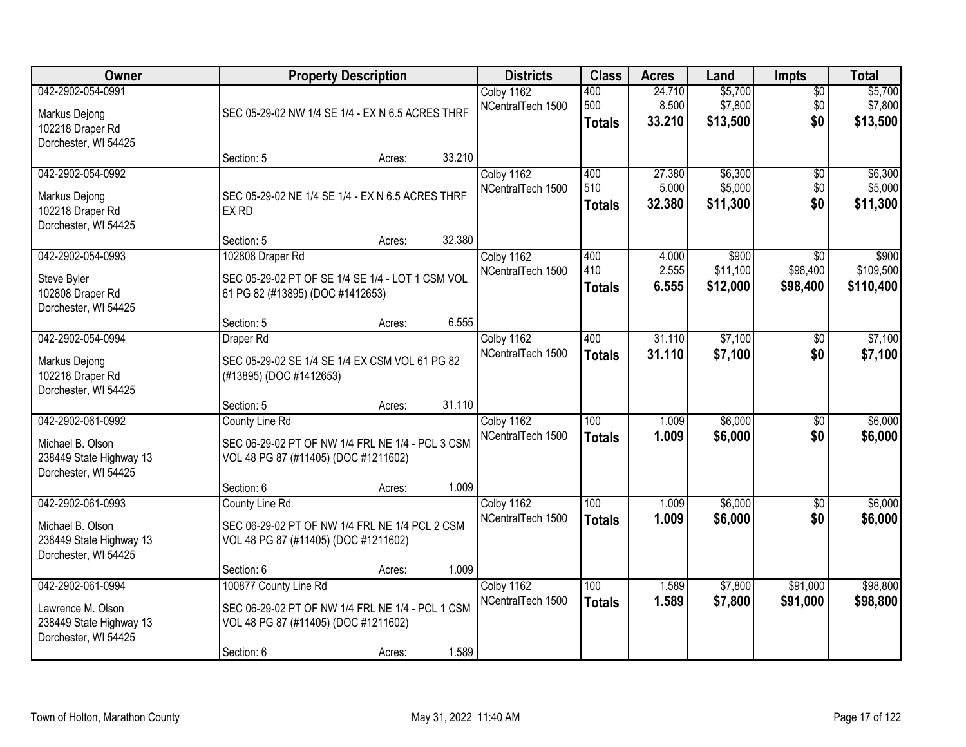| Owner                                                                                     | <b>Property Description</b>                                                                                       | <b>Districts</b>                | <b>Class</b>                | <b>Acres</b>              | Land                           | <b>Impts</b>                  | <b>Total</b>                   |
|-------------------------------------------------------------------------------------------|-------------------------------------------------------------------------------------------------------------------|---------------------------------|-----------------------------|---------------------------|--------------------------------|-------------------------------|--------------------------------|
| 042-2902-054-0991<br>Markus Dejong<br>102218 Draper Rd<br>Dorchester, WI 54425            | SEC 05-29-02 NW 1/4 SE 1/4 - EX N 6.5 ACRES THRF                                                                  | Colby 1162<br>NCentralTech 1500 | 400<br>500<br><b>Totals</b> | 24.710<br>8.500<br>33.210 | \$5,700<br>\$7,800<br>\$13,500 | $\overline{50}$<br>\$0<br>\$0 | \$5,700<br>\$7,800<br>\$13,500 |
|                                                                                           | 33.210<br>Section: 5<br>Acres:                                                                                    |                                 |                             |                           |                                |                               |                                |
| 042-2902-054-0992<br>Markus Dejong<br>102218 Draper Rd<br>Dorchester, WI 54425            | SEC 05-29-02 NE 1/4 SE 1/4 - EX N 6.5 ACRES THRF<br>EX RD<br>32.380                                               | Colby 1162<br>NCentralTech 1500 | 400<br>510<br><b>Totals</b> | 27.380<br>5.000<br>32.380 | \$6,300<br>\$5,000<br>\$11,300 | $\overline{50}$<br>\$0<br>\$0 | \$6,300<br>\$5,000<br>\$11,300 |
| 042-2902-054-0993                                                                         | Section: 5<br>Acres:<br>102808 Draper Rd                                                                          | Colby 1162                      | 400                         | 4.000                     | \$900                          | \$0                           | \$900                          |
| Steve Byler<br>102808 Draper Rd<br>Dorchester, WI 54425                                   | SEC 05-29-02 PT OF SE 1/4 SE 1/4 - LOT 1 CSM VOL<br>61 PG 82 (#13895) (DOC #1412653)                              | NCentralTech 1500               | 410<br><b>Totals</b>        | 2.555<br>6.555            | \$11,100<br>\$12,000           | \$98,400<br>\$98,400          | \$109,500<br>\$110,400         |
|                                                                                           | 6.555<br>Section: 5<br>Acres:                                                                                     |                                 |                             |                           |                                |                               |                                |
| 042-2902-054-0994<br>Markus Dejong                                                        | Draper Rd<br>SEC 05-29-02 SE 1/4 SE 1/4 EX CSM VOL 61 PG 82                                                       | Colby 1162<br>NCentralTech 1500 | 400<br><b>Totals</b>        | 31.110<br>31.110          | \$7,100<br>\$7,100             | \$0<br>\$0                    | \$7,100<br>\$7,100             |
| 102218 Draper Rd<br>Dorchester, WI 54425                                                  | (#13895) (DOC #1412653)                                                                                           |                                 |                             |                           |                                |                               |                                |
|                                                                                           | 31.110<br>Section: 5<br>Acres:                                                                                    |                                 |                             |                           |                                |                               |                                |
| 042-2902-061-0992<br>Michael B. Olson<br>238449 State Highway 13<br>Dorchester, WI 54425  | County Line Rd<br>SEC 06-29-02 PT OF NW 1/4 FRL NE 1/4 - PCL 3 CSM<br>VOL 48 PG 87 (#11405) (DOC #1211602)        | Colby 1162<br>NCentralTech 1500 | 100<br><b>Totals</b>        | 1.009<br>1.009            | \$6,000<br>\$6,000             | $\sqrt{6}$<br>\$0             | \$6,000<br>\$6,000             |
|                                                                                           | 1.009<br>Section: 6<br>Acres:                                                                                     |                                 |                             |                           |                                |                               |                                |
| 042-2902-061-0993<br>Michael B. Olson<br>238449 State Highway 13<br>Dorchester, WI 54425  | County Line Rd<br>SEC 06-29-02 PT OF NW 1/4 FRL NE 1/4 PCL 2 CSM<br>VOL 48 PG 87 (#11405) (DOC #1211602)          | Colby 1162<br>NCentralTech 1500 | 100<br><b>Totals</b>        | 1.009<br>1.009            | \$6,000<br>\$6,000             | \$0<br>\$0                    | \$6,000<br>\$6,000             |
|                                                                                           | 1.009<br>Section: 6<br>Acres:                                                                                     |                                 |                             |                           |                                |                               |                                |
| 042-2902-061-0994<br>Lawrence M. Olson<br>238449 State Highway 13<br>Dorchester, WI 54425 | 100877 County Line Rd<br>SEC 06-29-02 PT OF NW 1/4 FRL NE 1/4 - PCL 1 CSM<br>VOL 48 PG 87 (#11405) (DOC #1211602) | Colby 1162<br>NCentralTech 1500 | 100<br><b>Totals</b>        | 1.589<br>1.589            | \$7,800<br>\$7,800             | \$91,000<br>\$91,000          | \$98,800<br>\$98,800           |
|                                                                                           | 1.589<br>Section: 6<br>Acres:                                                                                     |                                 |                             |                           |                                |                               |                                |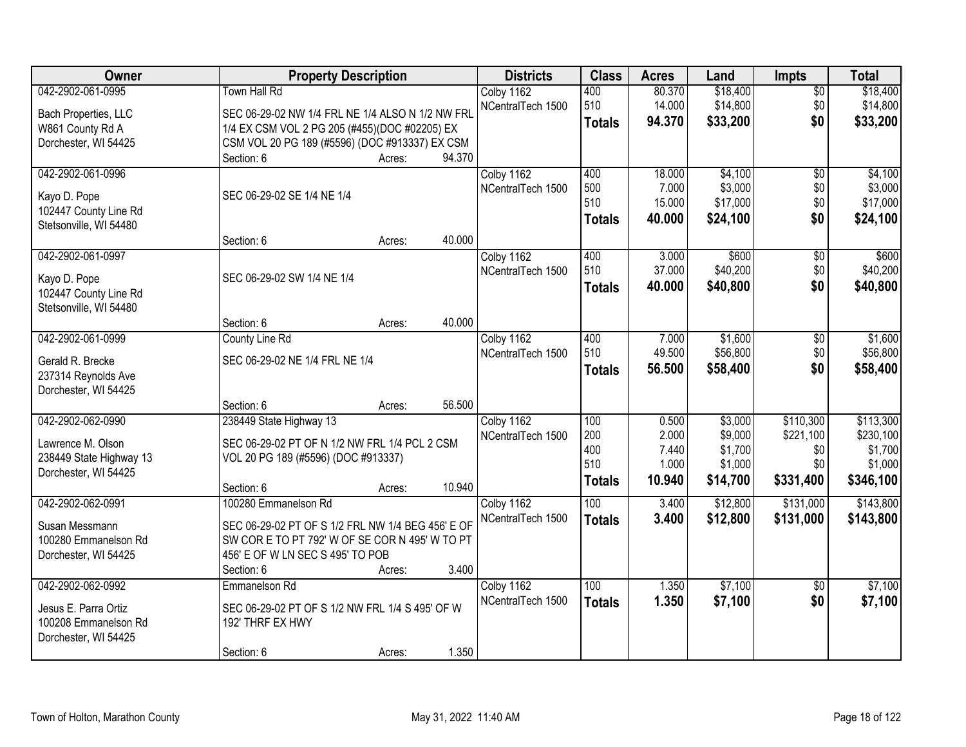| Owner                   | <b>Property Description</b>                       |        |        | <b>Districts</b>  | <b>Class</b>  | <b>Acres</b> | Land     | <b>Impts</b>    | <b>Total</b> |
|-------------------------|---------------------------------------------------|--------|--------|-------------------|---------------|--------------|----------|-----------------|--------------|
| 042-2902-061-0995       | Town Hall Rd                                      |        |        | Colby 1162        | 400           | 80.370       | \$18,400 | $\overline{50}$ | \$18,400     |
| Bach Properties, LLC    | SEC 06-29-02 NW 1/4 FRL NE 1/4 ALSO N 1/2 NW FRL  |        |        | NCentralTech 1500 | 510           | 14.000       | \$14,800 | \$0             | \$14,800     |
| W861 County Rd A        | 1/4 EX CSM VOL 2 PG 205 (#455)(DOC #02205) EX     |        |        |                   | <b>Totals</b> | 94.370       | \$33,200 | \$0             | \$33,200     |
| Dorchester, WI 54425    | CSM VOL 20 PG 189 (#5596) (DOC #913337) EX CSM    |        |        |                   |               |              |          |                 |              |
|                         | Section: 6                                        | Acres: | 94.370 |                   |               |              |          |                 |              |
| 042-2902-061-0996       |                                                   |        |        | Colby 1162        | 400           | 18.000       | \$4,100  | $\overline{50}$ | \$4,100      |
| Kayo D. Pope            | SEC 06-29-02 SE 1/4 NE 1/4                        |        |        | NCentralTech 1500 | 500           | 7.000        | \$3,000  | \$0             | \$3,000      |
| 102447 County Line Rd   |                                                   |        |        |                   | 510           | 15.000       | \$17,000 | \$0             | \$17,000     |
| Stetsonville, WI 54480  |                                                   |        |        |                   | <b>Totals</b> | 40.000       | \$24,100 | \$0             | \$24,100     |
|                         | Section: 6                                        | Acres: | 40.000 |                   |               |              |          |                 |              |
| 042-2902-061-0997       |                                                   |        |        | Colby 1162        | 400           | 3.000        | \$600    | $\overline{50}$ | \$600        |
| Kayo D. Pope            | SEC 06-29-02 SW 1/4 NE 1/4                        |        |        | NCentralTech 1500 | 510           | 37.000       | \$40,200 | \$0             | \$40,200     |
| 102447 County Line Rd   |                                                   |        |        |                   | Totals        | 40.000       | \$40,800 | \$0             | \$40,800     |
| Stetsonville, WI 54480  |                                                   |        |        |                   |               |              |          |                 |              |
|                         | Section: 6                                        | Acres: | 40.000 |                   |               |              |          |                 |              |
| 042-2902-061-0999       | County Line Rd                                    |        |        | Colby 1162        | 400           | 7.000        | \$1,600  | \$0             | \$1,600      |
| Gerald R. Brecke        | SEC 06-29-02 NE 1/4 FRL NE 1/4                    |        |        | NCentralTech 1500 | 510           | 49.500       | \$56,800 | \$0             | \$56,800     |
| 237314 Reynolds Ave     |                                                   |        |        |                   | <b>Totals</b> | 56.500       | \$58,400 | \$0             | \$58,400     |
| Dorchester, WI 54425    |                                                   |        |        |                   |               |              |          |                 |              |
|                         | Section: 6                                        | Acres: | 56.500 |                   |               |              |          |                 |              |
| 042-2902-062-0990       | 238449 State Highway 13                           |        |        | Colby 1162        | 100           | 0.500        | \$3,000  | \$110,300       | \$113,300    |
| Lawrence M. Olson       | SEC 06-29-02 PT OF N 1/2 NW FRL 1/4 PCL 2 CSM     |        |        | NCentralTech 1500 | 200           | 2.000        | \$9,000  | \$221,100       | \$230,100    |
| 238449 State Highway 13 | VOL 20 PG 189 (#5596) (DOC #913337)               |        |        |                   | 400           | 7.440        | \$1,700  | \$0             | \$1,700      |
| Dorchester, WI 54425    |                                                   |        |        |                   | 510           | 1.000        | \$1,000  | \$0             | \$1,000      |
|                         | Section: 6                                        | Acres: | 10.940 |                   | <b>Totals</b> | 10.940       | \$14,700 | \$331,400       | \$346,100    |
| 042-2902-062-0991       | 100280 Emmanelson Rd                              |        |        | Colby 1162        | 100           | 3.400        | \$12,800 | \$131,000       | \$143,800    |
| Susan Messmann          | SEC 06-29-02 PT OF S 1/2 FRL NW 1/4 BEG 456' E OF |        |        | NCentralTech 1500 | <b>Totals</b> | 3.400        | \$12,800 | \$131,000       | \$143,800    |
| 100280 Emmanelson Rd    | SW COR E TO PT 792' W OF SE COR N 495' W TO PT    |        |        |                   |               |              |          |                 |              |
| Dorchester, WI 54425    | 456' E OF W LN SEC S 495' TO POB                  |        |        |                   |               |              |          |                 |              |
|                         | Section: 6                                        | Acres: | 3.400  |                   |               |              |          |                 |              |
| 042-2902-062-0992       | Emmanelson Rd                                     |        |        | Colby 1162        | 100           | 1.350        | \$7,100  | $\overline{30}$ | \$7,100      |
| Jesus E. Parra Ortiz    | SEC 06-29-02 PT OF S 1/2 NW FRL 1/4 S 495' OF W   |        |        | NCentralTech 1500 | <b>Totals</b> | 1.350        | \$7,100  | \$0             | \$7,100      |
| 100208 Emmanelson Rd    | 192' THRF EX HWY                                  |        |        |                   |               |              |          |                 |              |
| Dorchester, WI 54425    |                                                   |        |        |                   |               |              |          |                 |              |
|                         | Section: 6                                        | Acres: | 1.350  |                   |               |              |          |                 |              |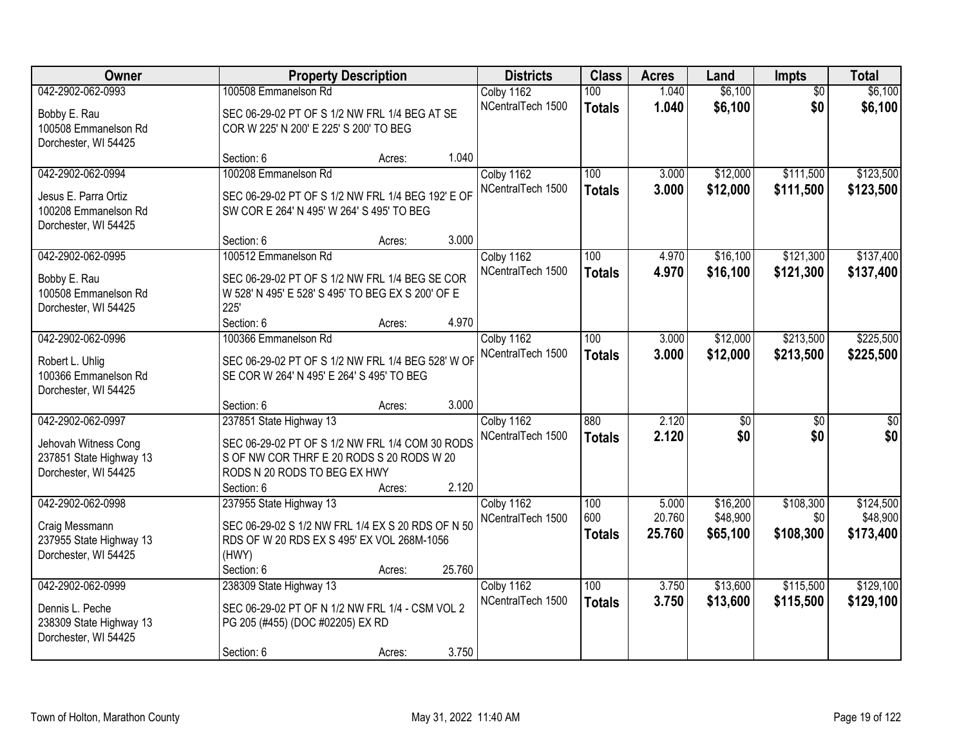| Owner                                           |                                                           | <b>Property Description</b> |        |                   | <b>Class</b>  | <b>Acres</b>    | Land                 | Impts            | <b>Total</b>          |
|-------------------------------------------------|-----------------------------------------------------------|-----------------------------|--------|-------------------|---------------|-----------------|----------------------|------------------|-----------------------|
| 042-2902-062-0993                               | 100508 Emmanelson Rd                                      |                             |        | Colby 1162        | 100           | 1.040           | \$6,100              | $\overline{50}$  | \$6,100               |
| Bobby E. Rau                                    | SEC 06-29-02 PT OF S 1/2 NW FRL 1/4 BEG AT SE             |                             |        | NCentralTech 1500 | <b>Totals</b> | 1.040           | \$6,100              | \$0              | \$6,100               |
| 100508 Emmanelson Rd                            | COR W 225' N 200' E 225' S 200' TO BEG                    |                             |        |                   |               |                 |                      |                  |                       |
| Dorchester, WI 54425                            |                                                           |                             |        |                   |               |                 |                      |                  |                       |
|                                                 | Section: 6                                                | Acres:                      | 1.040  |                   |               |                 |                      |                  |                       |
| 042-2902-062-0994                               | 100208 Emmanelson Rd                                      |                             |        | Colby 1162        | 100           | 3.000           | \$12,000             | \$111,500        | \$123,500             |
| Jesus E. Parra Ortiz                            | SEC 06-29-02 PT OF S 1/2 NW FRL 1/4 BEG 192' E OF         |                             |        | NCentralTech 1500 | <b>Totals</b> | 3.000           | \$12,000             | \$111,500        | \$123,500             |
| 100208 Emmanelson Rd                            | SW COR E 264' N 495' W 264' S 495' TO BEG                 |                             |        |                   |               |                 |                      |                  |                       |
| Dorchester, WI 54425                            |                                                           |                             | 3.000  |                   |               |                 |                      |                  |                       |
| 042-2902-062-0995                               | Section: 6<br>100512 Emmanelson Rd                        | Acres:                      |        | Colby 1162        | 100           | 4.970           | \$16,100             | \$121,300        | \$137,400             |
|                                                 |                                                           |                             |        | NCentralTech 1500 | <b>Totals</b> | 4.970           | \$16,100             | \$121,300        | \$137,400             |
| Bobby E. Rau                                    | SEC 06-29-02 PT OF S 1/2 NW FRL 1/4 BEG SE COR            |                             |        |                   |               |                 |                      |                  |                       |
| 100508 Emmanelson Rd<br>Dorchester, WI 54425    | W 528' N 495' E 528' S 495' TO BEG EX S 200' OF E<br>225' |                             |        |                   |               |                 |                      |                  |                       |
|                                                 | Section: 6                                                | Acres:                      | 4.970  |                   |               |                 |                      |                  |                       |
| 042-2902-062-0996                               | 100366 Emmanelson Rd                                      |                             |        | Colby 1162        | 100           | 3.000           | \$12,000             | \$213,500        | \$225,500             |
|                                                 | SEC 06-29-02 PT OF S 1/2 NW FRL 1/4 BEG 528' W OF         |                             |        | NCentralTech 1500 | <b>Totals</b> | 3.000           | \$12,000             | \$213,500        | \$225,500             |
| Robert L. Uhlig<br>100366 Emmanelson Rd         | SE COR W 264' N 495' E 264' S 495' TO BEG                 |                             |        |                   |               |                 |                      |                  |                       |
| Dorchester, WI 54425                            |                                                           |                             |        |                   |               |                 |                      |                  |                       |
|                                                 | Section: 6                                                | Acres:                      | 3.000  |                   |               |                 |                      |                  |                       |
| 042-2902-062-0997                               | 237851 State Highway 13                                   |                             |        | Colby 1162        | 880           | 2.120           | \$0                  | $\overline{50}$  | $\overline{50}$       |
| Jehovah Witness Cong                            | SEC 06-29-02 PT OF S 1/2 NW FRL 1/4 COM 30 RODS           |                             |        | NCentralTech 1500 | <b>Totals</b> | 2.120           | \$0                  | \$0              | \$0                   |
| 237851 State Highway 13                         | S OF NW COR THRF E 20 RODS S 20 RODS W 20                 |                             |        |                   |               |                 |                      |                  |                       |
| Dorchester, WI 54425                            | RODS N 20 RODS TO BEG EX HWY                              |                             |        |                   |               |                 |                      |                  |                       |
|                                                 | Section: 6                                                | Acres:                      | 2.120  |                   |               |                 |                      |                  |                       |
| 042-2902-062-0998                               | 237955 State Highway 13                                   |                             |        | Colby 1162        | 100<br>600    | 5.000<br>20.760 | \$16,200<br>\$48,900 | \$108,300<br>\$0 | \$124,500<br>\$48,900 |
| Craig Messmann                                  | SEC 06-29-02 S 1/2 NW FRL 1/4 EX S 20 RDS OF N 50         |                             |        | NCentralTech 1500 | <b>Totals</b> | 25.760          | \$65,100             | \$108,300        | \$173,400             |
| 237955 State Highway 13                         | RDS OF W 20 RDS EX S 495' EX VOL 268M-1056                |                             |        |                   |               |                 |                      |                  |                       |
| Dorchester, WI 54425                            | (HWY)<br>Section: 6                                       |                             | 25.760 |                   |               |                 |                      |                  |                       |
| 042-2902-062-0999                               | 238309 State Highway 13                                   | Acres:                      |        | Colby 1162        | 100           | 3.750           | \$13,600             | \$115,500        | \$129,100             |
|                                                 |                                                           |                             |        | NCentralTech 1500 | <b>Totals</b> | 3.750           | \$13,600             | \$115,500        | \$129,100             |
| Dennis L. Peche                                 | SEC 06-29-02 PT OF N 1/2 NW FRL 1/4 - CSM VOL 2           |                             |        |                   |               |                 |                      |                  |                       |
| 238309 State Highway 13<br>Dorchester, WI 54425 | PG 205 (#455) (DOC #02205) EX RD                          |                             |        |                   |               |                 |                      |                  |                       |
|                                                 | Section: 6                                                | Acres:                      | 3.750  |                   |               |                 |                      |                  |                       |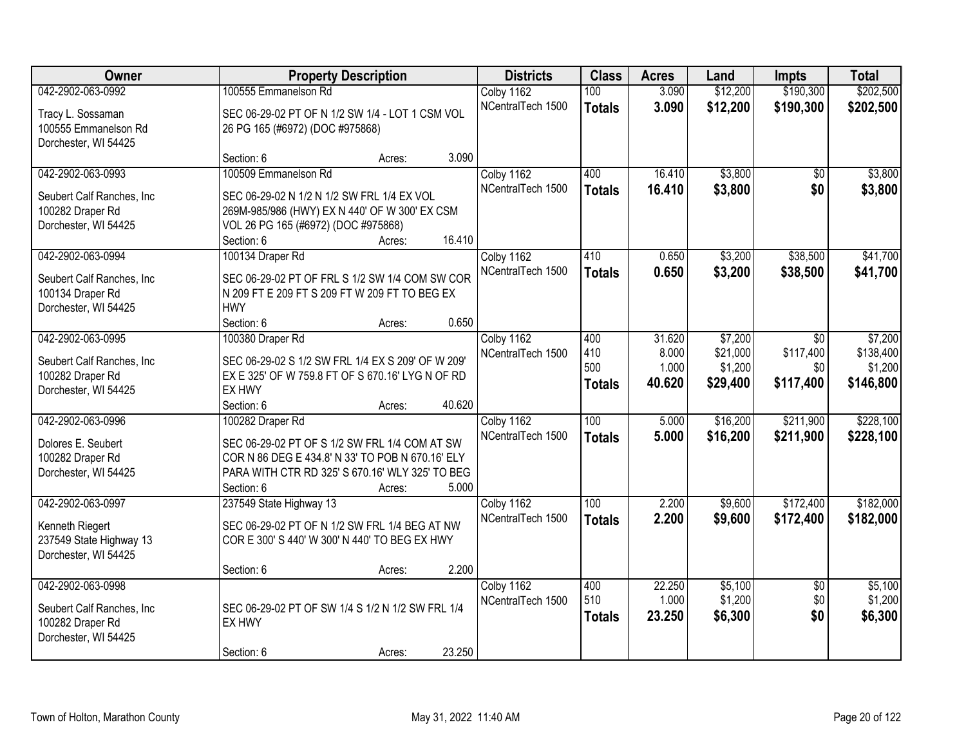| Owner                                    | <b>Property Description</b>                                |        |        | <b>Districts</b>  | <b>Class</b>  | <b>Acres</b> | Land     | Impts           | <b>Total</b> |
|------------------------------------------|------------------------------------------------------------|--------|--------|-------------------|---------------|--------------|----------|-----------------|--------------|
| 042-2902-063-0992                        | 100555 Emmanelson Rd                                       |        |        | Colby 1162        | 100           | 3.090        | \$12,200 | \$190,300       | \$202,500    |
| Tracy L. Sossaman                        | SEC 06-29-02 PT OF N 1/2 SW 1/4 - LOT 1 CSM VOL            |        |        | NCentralTech 1500 | <b>Totals</b> | 3.090        | \$12,200 | \$190,300       | \$202,500    |
| 100555 Emmanelson Rd                     | 26 PG 165 (#6972) (DOC #975868)                            |        |        |                   |               |              |          |                 |              |
| Dorchester, WI 54425                     |                                                            |        |        |                   |               |              |          |                 |              |
|                                          | Section: 6                                                 | Acres: | 3.090  |                   |               |              |          |                 |              |
| 042-2902-063-0993                        | 100509 Emmanelson Rd                                       |        |        | Colby 1162        | 400           | 16.410       | \$3,800  | \$0             | \$3,800      |
| Seubert Calf Ranches, Inc                | SEC 06-29-02 N 1/2 N 1/2 SW FRL 1/4 EX VOL                 |        |        | NCentralTech 1500 | <b>Totals</b> | 16.410       | \$3,800  | \$0             | \$3,800      |
| 100282 Draper Rd                         | 269M-985/986 (HWY) EX N 440' OF W 300' EX CSM              |        |        |                   |               |              |          |                 |              |
| Dorchester, WI 54425                     | VOL 26 PG 165 (#6972) (DOC #975868)                        |        |        |                   |               |              |          |                 |              |
|                                          | Section: 6                                                 | Acres: | 16.410 |                   |               |              |          |                 |              |
| 042-2902-063-0994                        | 100134 Draper Rd                                           |        |        | Colby 1162        | 410           | 0.650        | \$3,200  | \$38,500        | \$41,700     |
| Seubert Calf Ranches, Inc.               | SEC 06-29-02 PT OF FRL S 1/2 SW 1/4 COM SW COR             |        |        | NCentralTech 1500 | <b>Totals</b> | 0.650        | \$3,200  | \$38,500        | \$41,700     |
| 100134 Draper Rd                         | N 209 FT E 209 FT S 209 FT W 209 FT TO BEG EX              |        |        |                   |               |              |          |                 |              |
| Dorchester, WI 54425                     | <b>HWY</b>                                                 |        |        |                   |               |              |          |                 |              |
|                                          | Section: 6                                                 | Acres: | 0.650  |                   |               |              |          |                 |              |
| 042-2902-063-0995                        | 100380 Draper Rd                                           |        |        | Colby 1162        | 400           | 31.620       | \$7,200  | $\sqrt{6}$      | \$7,200      |
|                                          |                                                            |        |        | NCentralTech 1500 | 410           | 8.000        | \$21,000 | \$117,400       | \$138,400    |
| Seubert Calf Ranches, Inc                | SEC 06-29-02 S 1/2 SW FRL 1/4 EX S 209' OF W 209'          |        |        |                   | 500           | 1.000        | \$1,200  | \$0             | \$1,200      |
| 100282 Draper Rd<br>Dorchester, WI 54425 | EX E 325' OF W 759.8 FT OF S 670.16' LYG N OF RD<br>EX HWY |        |        |                   | <b>Totals</b> | 40.620       | \$29,400 | \$117,400       | \$146,800    |
|                                          | Section: 6                                                 | Acres: | 40.620 |                   |               |              |          |                 |              |
| 042-2902-063-0996                        | 100282 Draper Rd                                           |        |        | Colby 1162        | 100           | 5.000        | \$16,200 | \$211,900       | \$228,100    |
|                                          |                                                            |        |        | NCentralTech 1500 | <b>Totals</b> | 5.000        | \$16,200 | \$211,900       | \$228,100    |
| Dolores E. Seubert                       | SEC 06-29-02 PT OF S 1/2 SW FRL 1/4 COM AT SW              |        |        |                   |               |              |          |                 |              |
| 100282 Draper Rd                         | COR N 86 DEG E 434.8' N 33' TO POB N 670.16' ELY           |        |        |                   |               |              |          |                 |              |
| Dorchester, WI 54425                     | PARA WITH CTR RD 325' S 670.16' WLY 325' TO BEG            |        |        |                   |               |              |          |                 |              |
|                                          | Section: 6                                                 | Acres: | 5.000  |                   |               |              |          |                 |              |
| 042-2902-063-0997                        | 237549 State Highway 13                                    |        |        | Colby 1162        | 100           | 2.200        | \$9,600  | \$172,400       | \$182,000    |
| Kenneth Riegert                          | SEC 06-29-02 PT OF N 1/2 SW FRL 1/4 BEG AT NW              |        |        | NCentralTech 1500 | <b>Totals</b> | 2.200        | \$9,600  | \$172,400       | \$182,000    |
| 237549 State Highway 13                  | COR E 300' S 440' W 300' N 440' TO BEG EX HWY              |        |        |                   |               |              |          |                 |              |
| Dorchester, WI 54425                     |                                                            |        |        |                   |               |              |          |                 |              |
|                                          | Section: 6                                                 | Acres: | 2.200  |                   |               |              |          |                 |              |
| 042-2902-063-0998                        |                                                            |        |        | Colby 1162        | 400           | 22.250       | \$5,100  | $\overline{50}$ | \$5,100      |
| Seubert Calf Ranches, Inc                | SEC 06-29-02 PT OF SW 1/4 S 1/2 N 1/2 SW FRL 1/4           |        |        | NCentralTech 1500 | 510           | 1.000        | \$1,200  | \$0             | \$1,200      |
| 100282 Draper Rd                         | EX HWY                                                     |        |        |                   | <b>Totals</b> | 23.250       | \$6,300  | \$0             | \$6,300      |
| Dorchester, WI 54425                     |                                                            |        |        |                   |               |              |          |                 |              |
|                                          | Section: 6                                                 | Acres: | 23.250 |                   |               |              |          |                 |              |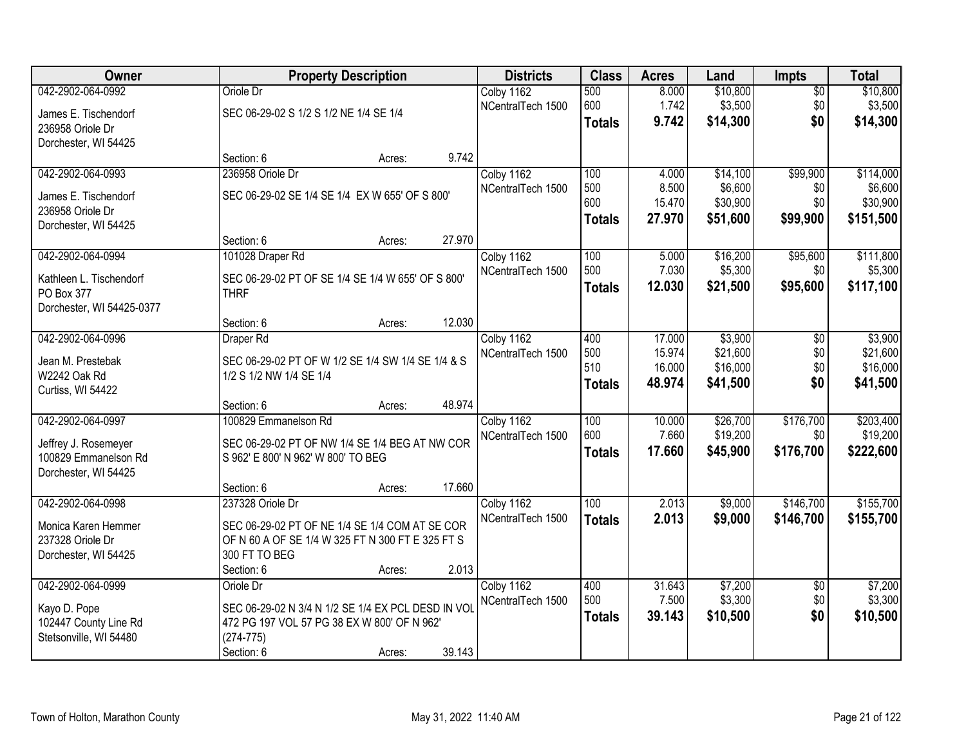| Owner                                        |                                                                                      | <b>Property Description</b> |                   |                  | <b>Acres</b> | Land     | <b>Impts</b>    | <b>Total</b> |
|----------------------------------------------|--------------------------------------------------------------------------------------|-----------------------------|-------------------|------------------|--------------|----------|-----------------|--------------|
| 042-2902-064-0992                            | Oriole Dr                                                                            |                             | Colby 1162        | 500              | 8.000        | \$10,800 | $\overline{50}$ | \$10,800     |
| James E. Tischendorf                         | SEC 06-29-02 S 1/2 S 1/2 NE 1/4 SE 1/4                                               |                             | NCentralTech 1500 | 600              | 1.742        | \$3,500  | \$0             | \$3,500      |
| 236958 Oriole Dr                             |                                                                                      |                             |                   | <b>Totals</b>    | 9.742        | \$14,300 | \$0             | \$14,300     |
| Dorchester, WI 54425                         |                                                                                      |                             |                   |                  |              |          |                 |              |
|                                              | Section: 6                                                                           | 9.742<br>Acres:             |                   |                  |              |          |                 |              |
| 042-2902-064-0993                            | 236958 Oriole Dr                                                                     |                             | Colby 1162        | 100              | 4.000        | \$14,100 | \$99,900        | \$114,000    |
| James E. Tischendorf                         | SEC 06-29-02 SE 1/4 SE 1/4 EX W 655' OF S 800'                                       |                             | NCentralTech 1500 | 500              | 8.500        | \$6,600  | \$0             | \$6,600      |
| 236958 Oriole Dr                             |                                                                                      |                             |                   | 600              | 15.470       | \$30,900 | \$0             | \$30,900     |
| Dorchester, WI 54425                         |                                                                                      |                             |                   | <b>Totals</b>    | 27.970       | \$51,600 | \$99,900        | \$151,500    |
|                                              | Section: 6                                                                           | 27.970<br>Acres:            |                   |                  |              |          |                 |              |
| 042-2902-064-0994                            | 101028 Draper Rd                                                                     |                             | Colby 1162        | 100              | 5.000        | \$16,200 | \$95,600        | \$111,800    |
| Kathleen L. Tischendorf                      | SEC 06-29-02 PT OF SE 1/4 SE 1/4 W 655' OF S 800'                                    |                             | NCentralTech 1500 | 500              | 7.030        | \$5,300  | \$0             | \$5,300      |
| PO Box 377                                   | <b>THRF</b>                                                                          |                             |                   | <b>Totals</b>    | 12.030       | \$21,500 | \$95,600        | \$117,100    |
| Dorchester, WI 54425-0377                    |                                                                                      |                             |                   |                  |              |          |                 |              |
|                                              | Section: 6                                                                           | 12.030<br>Acres:            |                   |                  |              |          |                 |              |
| 042-2902-064-0996                            | Draper Rd                                                                            |                             | Colby 1162        | 400              | 17.000       | \$3,900  | \$0             | \$3,900      |
| Jean M. Prestebak                            | SEC 06-29-02 PT OF W 1/2 SE 1/4 SW 1/4 SE 1/4 & S                                    |                             | NCentralTech 1500 | 500              | 15.974       | \$21,600 | \$0             | \$21,600     |
| W2242 Oak Rd                                 | 1/2 S 1/2 NW 1/4 SE 1/4                                                              |                             |                   | 510              | 16.000       | \$16,000 | \$0             | \$16,000     |
| Curtiss, WI 54422                            |                                                                                      |                             |                   | <b>Totals</b>    | 48.974       | \$41,500 | \$0             | \$41,500     |
|                                              | Section: 6                                                                           | 48.974<br>Acres:            |                   |                  |              |          |                 |              |
| 042-2902-064-0997                            | 100829 Emmanelson Rd                                                                 |                             | Colby 1162        | 100              | 10.000       | \$26,700 | \$176,700       | \$203,400    |
|                                              |                                                                                      |                             | NCentralTech 1500 | 600              | 7.660        | \$19,200 | \$0             | \$19,200     |
| Jeffrey J. Rosemeyer<br>100829 Emmanelson Rd | SEC 06-29-02 PT OF NW 1/4 SE 1/4 BEG AT NW COR<br>S 962' E 800' N 962' W 800' TO BEG |                             |                   | <b>Totals</b>    | 17.660       | \$45,900 | \$176,700       | \$222,600    |
| Dorchester, WI 54425                         |                                                                                      |                             |                   |                  |              |          |                 |              |
|                                              | Section: 6                                                                           | 17.660<br>Acres:            |                   |                  |              |          |                 |              |
| 042-2902-064-0998                            | 237328 Oriole Dr                                                                     |                             | Colby 1162        | $\overline{100}$ | 2.013        | \$9,000  | \$146,700       | \$155,700    |
| Monica Karen Hemmer                          | SEC 06-29-02 PT OF NE 1/4 SE 1/4 COM AT SE COR                                       |                             | NCentralTech 1500 | <b>Totals</b>    | 2.013        | \$9,000  | \$146,700       | \$155,700    |
| 237328 Oriole Dr                             | OF N 60 A OF SE 1/4 W 325 FT N 300 FT E 325 FT S                                     |                             |                   |                  |              |          |                 |              |
| Dorchester, WI 54425                         | 300 FT TO BEG                                                                        |                             |                   |                  |              |          |                 |              |
|                                              | Section: 6                                                                           | 2.013<br>Acres:             |                   |                  |              |          |                 |              |
| 042-2902-064-0999                            | Oriole Dr                                                                            |                             | Colby 1162        | 400              | 31.643       | \$7,200  | $\overline{50}$ | \$7,200      |
| Kayo D. Pope                                 | SEC 06-29-02 N 3/4 N 1/2 SE 1/4 EX PCL DESD IN VOL                                   |                             | NCentralTech 1500 | 500              | 7.500        | \$3,300  | \$0             | \$3,300      |
| 102447 County Line Rd                        | 472 PG 197 VOL 57 PG 38 EX W 800' OF N 962'                                          |                             |                   | <b>Totals</b>    | 39.143       | \$10,500 | \$0             | \$10,500     |
| Stetsonville, WI 54480                       | $(274 - 775)$                                                                        |                             |                   |                  |              |          |                 |              |
|                                              | Section: 6                                                                           | 39.143<br>Acres:            |                   |                  |              |          |                 |              |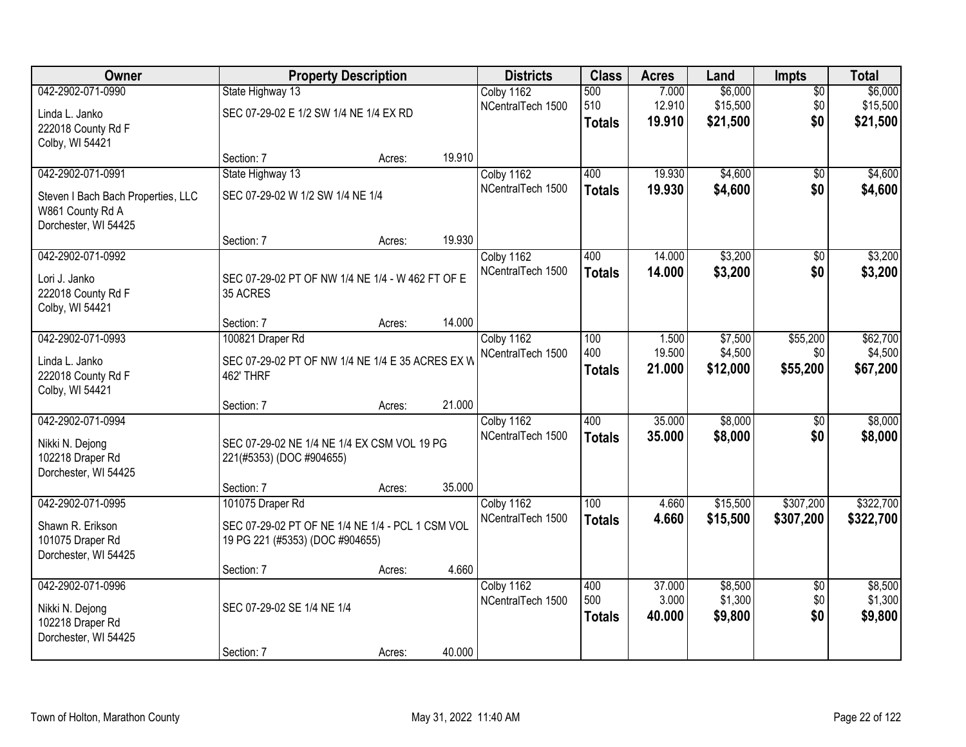| Owner                                                                                               | <b>Property Description</b>                                                                             |        |        | <b>Districts</b>                | <b>Class</b>                      | <b>Acres</b>              | Land                            | Impts                         | <b>Total</b>                    |
|-----------------------------------------------------------------------------------------------------|---------------------------------------------------------------------------------------------------------|--------|--------|---------------------------------|-----------------------------------|---------------------------|---------------------------------|-------------------------------|---------------------------------|
| 042-2902-071-0990<br>Linda L. Janko<br>222018 County Rd F<br>Colby, WI 54421                        | State Highway 13<br>SEC 07-29-02 E 1/2 SW 1/4 NE 1/4 EX RD                                              |        |        | Colby 1162<br>NCentralTech 1500 | 500<br>510<br><b>Totals</b>       | 7.000<br>12.910<br>19.910 | \$6,000<br>\$15,500<br>\$21,500 | $\overline{50}$<br>\$0<br>\$0 | \$6,000<br>\$15,500<br>\$21,500 |
|                                                                                                     | Section: 7                                                                                              | Acres: | 19.910 |                                 |                                   |                           |                                 |                               |                                 |
| 042-2902-071-0991<br>Steven I Bach Bach Properties, LLC<br>W861 County Rd A<br>Dorchester, WI 54425 | State Highway 13<br>SEC 07-29-02 W 1/2 SW 1/4 NE 1/4                                                    |        |        | Colby 1162<br>NCentralTech 1500 | 400<br><b>Totals</b>              | 19.930<br>19.930          | \$4,600<br>\$4,600              | $\overline{50}$<br>\$0        | \$4,600<br>\$4,600              |
|                                                                                                     | Section: 7                                                                                              | Acres: | 19.930 |                                 |                                   |                           |                                 |                               |                                 |
| 042-2902-071-0992<br>Lori J. Janko<br>222018 County Rd F<br>Colby, WI 54421                         | SEC 07-29-02 PT OF NW 1/4 NE 1/4 - W 462 FT OF E<br>35 ACRES                                            |        |        | Colby 1162<br>NCentralTech 1500 | 400<br><b>Totals</b>              | 14.000<br>14.000          | \$3,200<br>\$3,200              | \$0<br>\$0                    | \$3,200<br>\$3,200              |
|                                                                                                     | Section: 7                                                                                              | Acres: | 14.000 |                                 |                                   |                           |                                 |                               |                                 |
| 042-2902-071-0993<br>Linda L. Janko<br>222018 County Rd F<br>Colby, WI 54421                        | 100821 Draper Rd<br>SEC 07-29-02 PT OF NW 1/4 NE 1/4 E 35 ACRES EX W<br>462' THRF                       |        |        | Colby 1162<br>NCentralTech 1500 | 100<br>400<br><b>Totals</b>       | 1.500<br>19.500<br>21.000 | \$7,500<br>\$4,500<br>\$12,000  | \$55,200<br>\$0<br>\$55,200   | \$62,700<br>\$4,500<br>\$67,200 |
|                                                                                                     | Section: 7                                                                                              | Acres: | 21.000 |                                 |                                   |                           |                                 |                               |                                 |
| 042-2902-071-0994<br>Nikki N. Dejong<br>102218 Draper Rd<br>Dorchester, WI 54425                    | SEC 07-29-02 NE 1/4 NE 1/4 EX CSM VOL 19 PG<br>221(#5353) (DOC #904655)                                 |        |        | Colby 1162<br>NCentralTech 1500 | 400<br><b>Totals</b>              | 35.000<br>35.000          | \$8,000<br>\$8,000              | $\overline{50}$<br>\$0        | \$8,000<br>\$8,000              |
|                                                                                                     | Section: 7                                                                                              | Acres: | 35.000 |                                 |                                   |                           |                                 |                               |                                 |
| 042-2902-071-0995<br>Shawn R. Erikson<br>101075 Draper Rd<br>Dorchester, WI 54425                   | 101075 Draper Rd<br>SEC 07-29-02 PT OF NE 1/4 NE 1/4 - PCL 1 CSM VOL<br>19 PG 221 (#5353) (DOC #904655) |        |        | Colby 1162<br>NCentralTech 1500 | $\overline{100}$<br><b>Totals</b> | 4.660<br>4.660            | \$15,500<br>\$15,500            | \$307,200<br>\$307,200        | \$322,700<br>\$322,700          |
|                                                                                                     | Section: 7                                                                                              | Acres: | 4.660  |                                 |                                   |                           |                                 |                               |                                 |
| 042-2902-071-0996<br>Nikki N. Dejong<br>102218 Draper Rd<br>Dorchester, WI 54425                    | SEC 07-29-02 SE 1/4 NE 1/4<br>Section: 7                                                                |        | 40.000 | Colby 1162<br>NCentralTech 1500 | 400<br>500<br><b>Totals</b>       | 37,000<br>3.000<br>40.000 | \$8,500<br>\$1,300<br>\$9,800   | $\overline{50}$<br>\$0<br>\$0 | \$8,500<br>\$1,300<br>\$9,800   |
|                                                                                                     |                                                                                                         | Acres: |        |                                 |                                   |                           |                                 |                               |                                 |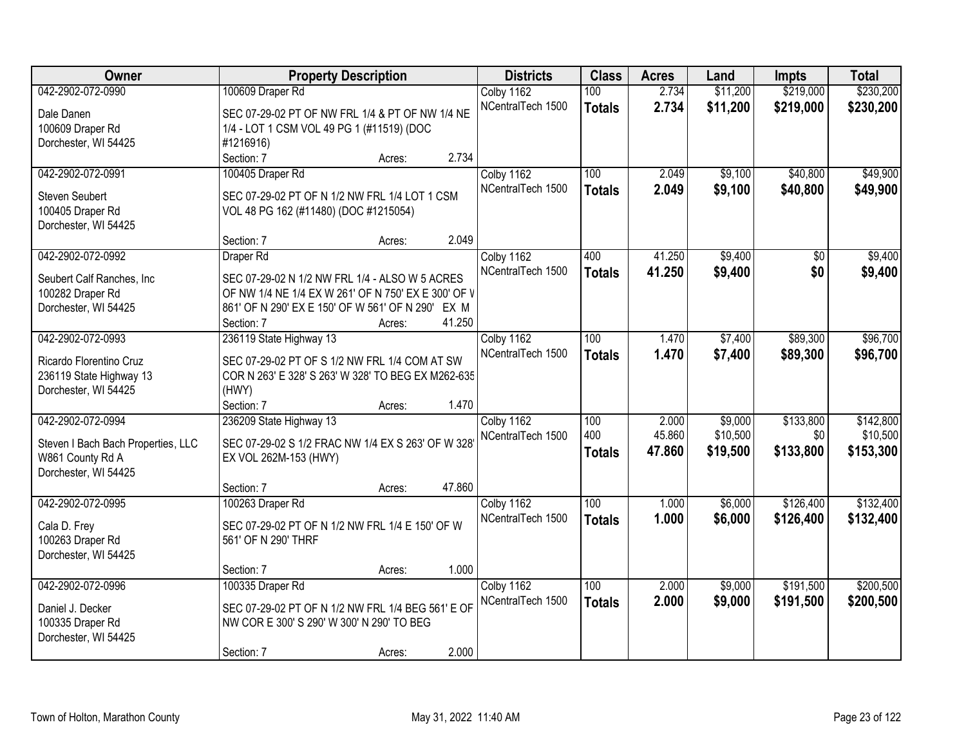| Owner                              | <b>Property Description</b>                         | <b>Districts</b> | <b>Class</b>                    | <b>Acres</b>  | Land   | Impts    | <b>Total</b> |           |
|------------------------------------|-----------------------------------------------------|------------------|---------------------------------|---------------|--------|----------|--------------|-----------|
| 042-2902-072-0990                  | 100609 Draper Rd                                    |                  | Colby 1162                      | 100           | 2.734  | \$11,200 | \$219,000    | \$230,200 |
| Dale Danen                         | SEC 07-29-02 PT OF NW FRL 1/4 & PT OF NW 1/4 NE     |                  | NCentralTech 1500               | <b>Totals</b> | 2.734  | \$11,200 | \$219,000    | \$230,200 |
| 100609 Draper Rd                   | 1/4 - LOT 1 CSM VOL 49 PG 1 (#11519) (DOC           |                  |                                 |               |        |          |              |           |
| Dorchester, WI 54425               | #1216916)                                           |                  |                                 |               |        |          |              |           |
|                                    | Section: 7                                          | Acres:           | 2.734                           |               |        |          |              |           |
| 042-2902-072-0991                  | 100405 Draper Rd                                    |                  | Colby 1162                      | 100           | 2.049  | \$9,100  | \$40,800     | \$49,900  |
|                                    |                                                     |                  | NCentralTech 1500               | <b>Totals</b> | 2.049  | \$9,100  | \$40,800     | \$49,900  |
| <b>Steven Seubert</b>              | SEC 07-29-02 PT OF N 1/2 NW FRL 1/4 LOT 1 CSM       |                  |                                 |               |        |          |              |           |
| 100405 Draper Rd                   | VOL 48 PG 162 (#11480) (DOC #1215054)               |                  |                                 |               |        |          |              |           |
| Dorchester, WI 54425               | Section: 7                                          | Acres:           | 2.049                           |               |        |          |              |           |
| 042-2902-072-0992                  | Draper Rd                                           |                  | Colby 1162                      | 400           | 41.250 | \$9,400  | \$0          | \$9,400   |
|                                    |                                                     |                  | NCentralTech 1500               |               | 41.250 | \$9,400  | \$0          | \$9,400   |
| Seubert Calf Ranches, Inc          | SEC 07-29-02 N 1/2 NW FRL 1/4 - ALSO W 5 ACRES      |                  |                                 | <b>Totals</b> |        |          |              |           |
| 100282 Draper Rd                   | OF NW 1/4 NE 1/4 EX W 261' OF N 750' EX E 300' OF V |                  |                                 |               |        |          |              |           |
| Dorchester, WI 54425               | 861' OF N 290' EX E 150' OF W 561' OF N 290' EX M   |                  |                                 |               |        |          |              |           |
|                                    | Section: 7                                          | Acres:           | 41.250                          |               |        |          |              |           |
| 042-2902-072-0993                  | 236119 State Highway 13                             |                  | Colby 1162                      | 100           | 1.470  | \$7,400  | \$89,300     | \$96,700  |
| Ricardo Florentino Cruz            | SEC 07-29-02 PT OF S 1/2 NW FRL 1/4 COM AT SW       |                  | NCentralTech 1500               | <b>Totals</b> | 1.470  | \$7,400  | \$89,300     | \$96,700  |
| 236119 State Highway 13            | COR N 263' E 328' S 263' W 328' TO BEG EX M262-635  |                  |                                 |               |        |          |              |           |
| Dorchester, WI 54425               | (HWY)                                               |                  |                                 |               |        |          |              |           |
|                                    | Section: 7                                          | Acres:           | 1.470                           |               |        |          |              |           |
| 042-2902-072-0994                  | 236209 State Highway 13                             |                  | Colby 1162                      | 100           | 2.000  | \$9,000  | \$133,800    | \$142,800 |
| Steven I Bach Bach Properties, LLC | SEC 07-29-02 S 1/2 FRAC NW 1/4 EX S 263' OF W 328   |                  | NCentralTech 1500               | 400           | 45.860 | \$10,500 | \$0          | \$10,500  |
| W861 County Rd A                   | EX VOL 262M-153 (HWY)                               |                  |                                 | <b>Totals</b> | 47.860 | \$19,500 | \$133,800    | \$153,300 |
| Dorchester, WI 54425               |                                                     |                  |                                 |               |        |          |              |           |
|                                    | Section: 7                                          | Acres:           | 47.860                          |               |        |          |              |           |
| 042-2902-072-0995                  | 100263 Draper Rd                                    |                  | Colby 1162                      | 100           | 1.000  | \$6,000  | \$126,400    | \$132,400 |
|                                    |                                                     |                  | NCentralTech 1500               | <b>Totals</b> | 1.000  | \$6,000  | \$126,400    | \$132,400 |
| Cala D. Frey                       | SEC 07-29-02 PT OF N 1/2 NW FRL 1/4 E 150' OF W     |                  |                                 |               |        |          |              |           |
| 100263 Draper Rd                   | 561' OF N 290' THRF                                 |                  |                                 |               |        |          |              |           |
| Dorchester, WI 54425               |                                                     |                  | 1.000                           |               |        |          |              |           |
| 042-2902-072-0996                  | Section: 7                                          | Acres:           |                                 | 100           | 2.000  | \$9,000  | \$191,500    | \$200,500 |
|                                    | 100335 Draper Rd                                    |                  | Colby 1162<br>NCentralTech 1500 |               |        |          |              |           |
| Daniel J. Decker                   | SEC 07-29-02 PT OF N 1/2 NW FRL 1/4 BEG 561' E OF   |                  |                                 | <b>Totals</b> | 2.000  | \$9,000  | \$191,500    | \$200,500 |
| 100335 Draper Rd                   | NW COR E 300' S 290' W 300' N 290' TO BEG           |                  |                                 |               |        |          |              |           |
| Dorchester, WI 54425               |                                                     |                  |                                 |               |        |          |              |           |
|                                    | Section: 7                                          | Acres:           | 2.000                           |               |        |          |              |           |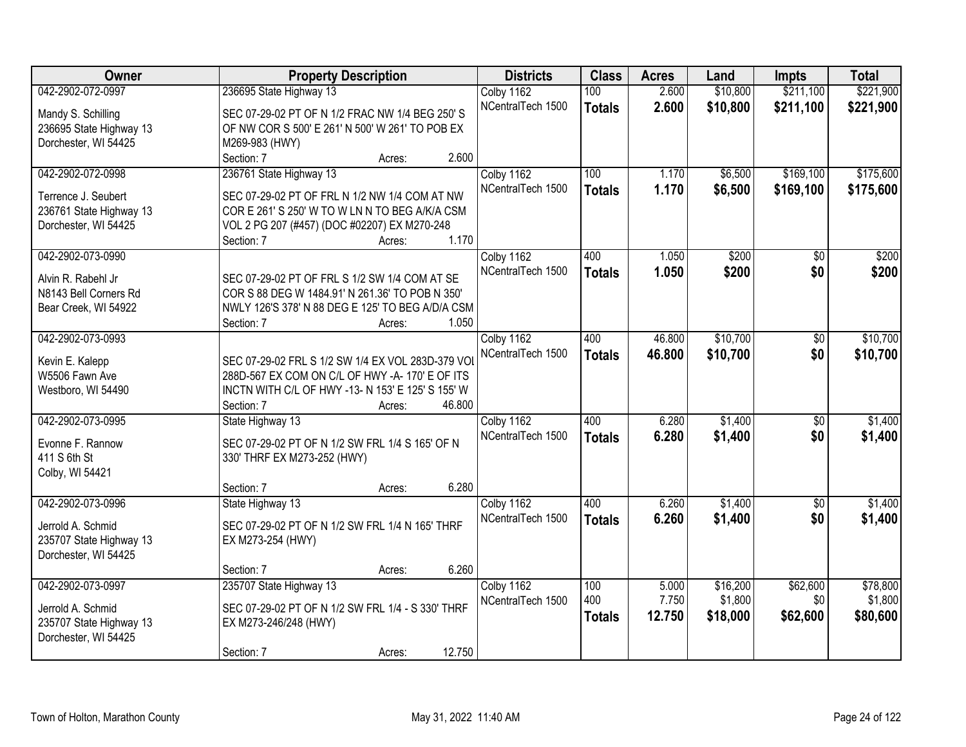| <b>Owner</b>                      | <b>Property Description</b>                                                                         | <b>Districts</b>  | <b>Class</b>  | <b>Acres</b> | Land     | Impts           | <b>Total</b> |
|-----------------------------------|-----------------------------------------------------------------------------------------------------|-------------------|---------------|--------------|----------|-----------------|--------------|
| 042-2902-072-0997                 | 236695 State Highway 13                                                                             | Colby 1162        | 100           | 2.600        | \$10,800 | \$211,100       | \$221,900    |
| Mandy S. Schilling                | SEC 07-29-02 PT OF N 1/2 FRAC NW 1/4 BEG 250' S                                                     | NCentralTech 1500 | <b>Totals</b> | 2.600        | \$10,800 | \$211,100       | \$221,900    |
| 236695 State Highway 13           | OF NW COR S 500' E 261' N 500' W 261' TO POB EX                                                     |                   |               |              |          |                 |              |
| Dorchester, WI 54425              | M269-983 (HWY)                                                                                      |                   |               |              |          |                 |              |
|                                   | 2.600<br>Section: 7<br>Acres:                                                                       |                   |               |              |          |                 |              |
| 042-2902-072-0998                 | 236761 State Highway 13                                                                             | Colby 1162        | 100           | 1.170        | \$6,500  | \$169,100       | \$175,600    |
|                                   |                                                                                                     | NCentralTech 1500 | <b>Totals</b> | 1.170        | \$6,500  | \$169,100       | \$175,600    |
| Terrence J. Seubert               | SEC 07-29-02 PT OF FRL N 1/2 NW 1/4 COM AT NW                                                       |                   |               |              |          |                 |              |
| 236761 State Highway 13           | COR E 261' S 250' W TO W LN N TO BEG A/K/A CSM                                                      |                   |               |              |          |                 |              |
| Dorchester, WI 54425              | VOL 2 PG 207 (#457) (DOC #02207) EX M270-248                                                        |                   |               |              |          |                 |              |
|                                   | 1.170<br>Section: 7<br>Acres:                                                                       |                   |               |              |          |                 |              |
| 042-2902-073-0990                 |                                                                                                     | Colby 1162        | 400           | 1.050        | \$200    | \$0             | \$200        |
| Alvin R. Rabehl Jr.               | SEC 07-29-02 PT OF FRL S 1/2 SW 1/4 COM AT SE                                                       | NCentralTech 1500 | <b>Totals</b> | 1.050        | \$200    | \$0             | \$200        |
| N8143 Bell Corners Rd             | COR S 88 DEG W 1484.91' N 261.36' TO POB N 350'                                                     |                   |               |              |          |                 |              |
| Bear Creek, WI 54922              | NWLY 126'S 378' N 88 DEG E 125' TO BEG A/D/A CSM                                                    |                   |               |              |          |                 |              |
|                                   | 1.050<br>Section: 7<br>Acres:                                                                       |                   |               |              |          |                 |              |
| 042-2902-073-0993                 |                                                                                                     | Colby 1162        | 400           | 46.800       | \$10,700 | \$0             | \$10,700     |
|                                   |                                                                                                     | NCentralTech 1500 | <b>Totals</b> | 46.800       | \$10,700 | \$0             | \$10,700     |
| Kevin E. Kalepp<br>W5506 Fawn Ave | SEC 07-29-02 FRL S 1/2 SW 1/4 EX VOL 283D-379 VOI<br>288D-567 EX COM ON C/L OF HWY -A-170' E OF ITS |                   |               |              |          |                 |              |
| Westboro, WI 54490                | INCTN WITH C/L OF HWY -13- N 153' E 125' S 155' W                                                   |                   |               |              |          |                 |              |
|                                   | 46.800<br>Section: 7<br>Acres:                                                                      |                   |               |              |          |                 |              |
| 042-2902-073-0995                 | State Highway 13                                                                                    | Colby 1162        | 400           | 6.280        | \$1,400  | $\overline{50}$ | \$1,400      |
|                                   |                                                                                                     | NCentralTech 1500 |               | 6.280        |          |                 |              |
| Evonne F. Rannow                  | SEC 07-29-02 PT OF N 1/2 SW FRL 1/4 S 165' OF N                                                     |                   | <b>Totals</b> |              | \$1,400  | \$0             | \$1,400      |
| 411 S 6th St                      | 330' THRF EX M273-252 (HWY)                                                                         |                   |               |              |          |                 |              |
| Colby, WI 54421                   |                                                                                                     |                   |               |              |          |                 |              |
|                                   | 6.280<br>Section: 7<br>Acres:                                                                       |                   |               |              |          |                 |              |
| 042-2902-073-0996                 | State Highway 13                                                                                    | Colby 1162        | 400           | 6.260        | \$1,400  | $\overline{50}$ | \$1,400      |
| Jerrold A. Schmid                 | SEC 07-29-02 PT OF N 1/2 SW FRL 1/4 N 165' THRF                                                     | NCentralTech 1500 | <b>Totals</b> | 6.260        | \$1,400  | \$0             | \$1,400      |
| 235707 State Highway 13           | EX M273-254 (HWY)                                                                                   |                   |               |              |          |                 |              |
| Dorchester, WI 54425              |                                                                                                     |                   |               |              |          |                 |              |
|                                   | 6.260<br>Section: 7<br>Acres:                                                                       |                   |               |              |          |                 |              |
| 042-2902-073-0997                 | 235707 State Highway 13                                                                             | Colby 1162        | 100           | 5.000        | \$16,200 | \$62,600        | \$78,800     |
|                                   |                                                                                                     | NCentralTech 1500 | 400           | 7.750        | \$1,800  | \$0             | \$1,800      |
| Jerrold A. Schmid                 | SEC 07-29-02 PT OF N 1/2 SW FRL 1/4 - S 330' THRF                                                   |                   | <b>Totals</b> | 12.750       | \$18,000 | \$62,600        | \$80,600     |
| 235707 State Highway 13           | EX M273-246/248 (HWY)                                                                               |                   |               |              |          |                 |              |
| Dorchester, WI 54425              |                                                                                                     |                   |               |              |          |                 |              |
|                                   | 12.750<br>Section: 7<br>Acres:                                                                      |                   |               |              |          |                 |              |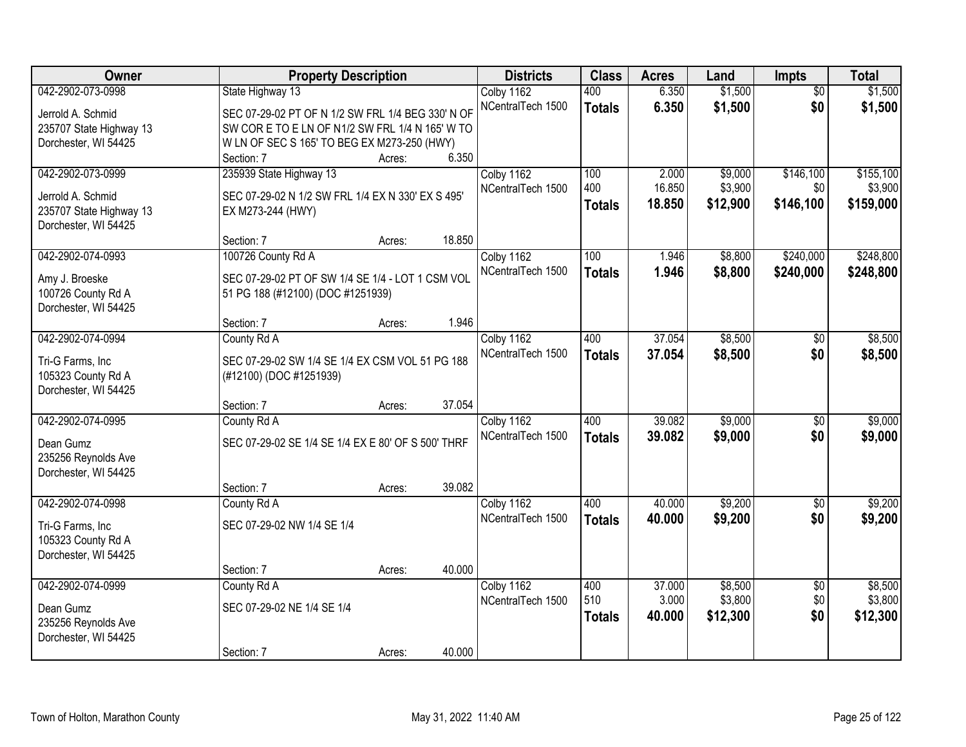| <b>Owner</b>                                    | <b>Property Description</b>                        |        |        | <b>Districts</b>  | <b>Class</b>  | <b>Acres</b> | Land     | Impts           | <b>Total</b> |
|-------------------------------------------------|----------------------------------------------------|--------|--------|-------------------|---------------|--------------|----------|-----------------|--------------|
| 042-2902-073-0998                               | State Highway 13                                   |        |        | Colby 1162        | 400           | 6.350        | \$1,500  | $\overline{50}$ | \$1,500      |
| Jerrold A. Schmid                               | SEC 07-29-02 PT OF N 1/2 SW FRL 1/4 BEG 330' N OF  |        |        | NCentralTech 1500 | <b>Totals</b> | 6.350        | \$1,500  | \$0             | \$1,500      |
| 235707 State Highway 13                         | SW COR E TO E LN OF N1/2 SW FRL 1/4 N 165' W TO    |        |        |                   |               |              |          |                 |              |
| Dorchester, WI 54425                            | W LN OF SEC S 165' TO BEG EX M273-250 (HWY)        |        |        |                   |               |              |          |                 |              |
|                                                 | Section: 7                                         | Acres: | 6.350  |                   |               |              |          |                 |              |
| 042-2902-073-0999                               | 235939 State Highway 13                            |        |        | Colby 1162        | 100           | 2.000        | \$9,000  | \$146,100       | \$155,100    |
|                                                 |                                                    |        |        | NCentralTech 1500 | 400           | 16.850       | \$3,900  | \$0             | \$3,900      |
| Jerrold A. Schmid                               | SEC 07-29-02 N 1/2 SW FRL 1/4 EX N 330' EX S 495'  |        |        |                   | <b>Totals</b> | 18.850       | \$12,900 | \$146,100       | \$159,000    |
| 235707 State Highway 13<br>Dorchester, WI 54425 | EX M273-244 (HWY)                                  |        |        |                   |               |              |          |                 |              |
|                                                 | Section: 7                                         | Acres: | 18.850 |                   |               |              |          |                 |              |
| 042-2902-074-0993                               | 100726 County Rd A                                 |        |        | Colby 1162        | 100           | 1.946        | \$8,800  | \$240,000       | \$248,800    |
|                                                 |                                                    |        |        | NCentralTech 1500 | <b>Totals</b> | 1.946        | \$8,800  | \$240,000       | \$248,800    |
| Amy J. Broeske                                  | SEC 07-29-02 PT OF SW 1/4 SE 1/4 - LOT 1 CSM VOL   |        |        |                   |               |              |          |                 |              |
| 100726 County Rd A                              | 51 PG 188 (#12100) (DOC #1251939)                  |        |        |                   |               |              |          |                 |              |
| Dorchester, WI 54425                            |                                                    |        |        |                   |               |              |          |                 |              |
|                                                 | Section: 7                                         | Acres: | 1.946  |                   |               |              |          |                 |              |
| 042-2902-074-0994                               | County Rd A                                        |        |        | Colby 1162        | 400           | 37.054       | \$8,500  | \$0             | \$8,500      |
| Tri-G Farms, Inc                                | SEC 07-29-02 SW 1/4 SE 1/4 EX CSM VOL 51 PG 188    |        |        | NCentralTech 1500 | <b>Totals</b> | 37.054       | \$8,500  | \$0             | \$8,500      |
| 105323 County Rd A                              | (#12100) (DOC #1251939)                            |        |        |                   |               |              |          |                 |              |
| Dorchester, WI 54425                            |                                                    |        |        |                   |               |              |          |                 |              |
|                                                 | Section: 7                                         | Acres: | 37.054 |                   |               |              |          |                 |              |
| 042-2902-074-0995                               | County Rd A                                        |        |        | Colby 1162        | 400           | 39.082       | \$9,000  | $\overline{50}$ | \$9,000      |
| Dean Gumz                                       | SEC 07-29-02 SE 1/4 SE 1/4 EX E 80' OF S 500' THRF |        |        | NCentralTech 1500 | <b>Totals</b> | 39.082       | \$9,000  | \$0             | \$9,000      |
| 235256 Reynolds Ave                             |                                                    |        |        |                   |               |              |          |                 |              |
| Dorchester, WI 54425                            |                                                    |        |        |                   |               |              |          |                 |              |
|                                                 | Section: 7                                         | Acres: | 39.082 |                   |               |              |          |                 |              |
| 042-2902-074-0998                               | County Rd A                                        |        |        | Colby 1162        | 400           | 40.000       | \$9,200  | $\overline{50}$ | \$9,200      |
|                                                 | SEC 07-29-02 NW 1/4 SE 1/4                         |        |        | NCentralTech 1500 | <b>Totals</b> | 40.000       | \$9,200  | \$0             | \$9,200      |
| Tri-G Farms, Inc                                |                                                    |        |        |                   |               |              |          |                 |              |
| 105323 County Rd A<br>Dorchester, WI 54425      |                                                    |        |        |                   |               |              |          |                 |              |
|                                                 | Section: 7                                         | Acres: | 40.000 |                   |               |              |          |                 |              |
| 042-2902-074-0999                               | County Rd A                                        |        |        | Colby 1162        | 400           | 37,000       | \$8,500  | $\overline{50}$ | \$8,500      |
|                                                 |                                                    |        |        | NCentralTech 1500 | 510           | 3.000        | \$3,800  | \$0             | \$3,800      |
| Dean Gumz                                       | SEC 07-29-02 NE 1/4 SE 1/4                         |        |        |                   | <b>Totals</b> | 40.000       | \$12,300 | \$0             | \$12,300     |
| 235256 Reynolds Ave                             |                                                    |        |        |                   |               |              |          |                 |              |
| Dorchester, WI 54425                            |                                                    |        |        |                   |               |              |          |                 |              |
|                                                 | Section: 7                                         | Acres: | 40.000 |                   |               |              |          |                 |              |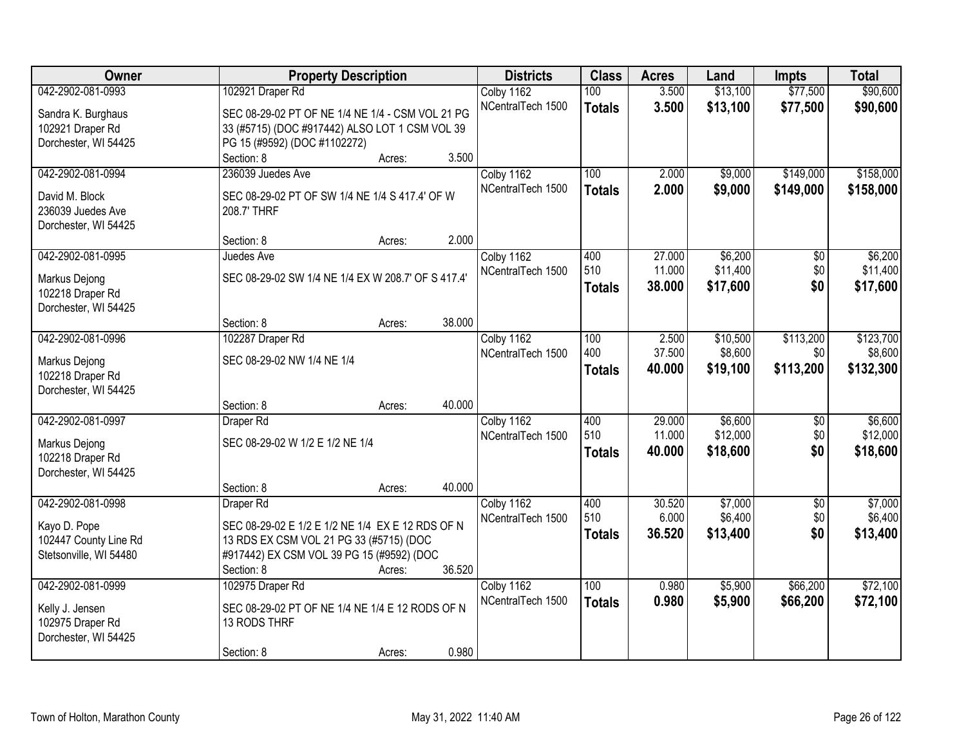| Owner                  | <b>Property Description</b>                        | <b>Districts</b>                | <b>Class</b>  | <b>Acres</b>     | Land     | <b>Impts</b>    | <b>Total</b>        |
|------------------------|----------------------------------------------------|---------------------------------|---------------|------------------|----------|-----------------|---------------------|
| 042-2902-081-0993      | 102921 Draper Rd                                   | Colby 1162                      | 100           | 3.500            | \$13,100 | \$77,500        | \$90,600            |
| Sandra K. Burghaus     | SEC 08-29-02 PT OF NE 1/4 NE 1/4 - CSM VOL 21 PG   | NCentralTech 1500               | <b>Totals</b> | 3.500            | \$13,100 | \$77,500        | \$90,600            |
| 102921 Draper Rd       | 33 (#5715) (DOC #917442) ALSO LOT 1 CSM VOL 39     |                                 |               |                  |          |                 |                     |
| Dorchester, WI 54425   | PG 15 (#9592) (DOC #1102272)                       |                                 |               |                  |          |                 |                     |
|                        | 3.500<br>Section: 8<br>Acres:                      |                                 |               |                  |          |                 |                     |
| 042-2902-081-0994      | 236039 Juedes Ave                                  | Colby 1162                      | 100           | 2.000            | \$9,000  | \$149,000       | \$158,000           |
|                        |                                                    | NCentralTech 1500               | <b>Totals</b> | 2.000            | \$9,000  | \$149,000       | \$158,000           |
| David M. Block         | SEC 08-29-02 PT OF SW 1/4 NE 1/4 S 417.4' OF W     |                                 |               |                  |          |                 |                     |
| 236039 Juedes Ave      | 208.7' THRF                                        |                                 |               |                  |          |                 |                     |
| Dorchester, WI 54425   | 2.000                                              |                                 |               |                  |          |                 |                     |
| 042-2902-081-0995      | Section: 8<br>Acres:                               |                                 | 400           |                  | \$6,200  |                 |                     |
|                        | Juedes Ave                                         | Colby 1162<br>NCentralTech 1500 | 510           | 27.000<br>11.000 | \$11,400 | \$0<br>\$0      | \$6,200<br>\$11,400 |
| Markus Dejong          | SEC 08-29-02 SW 1/4 NE 1/4 EX W 208.7' OF S 417.4' |                                 |               | 38.000           |          | \$0             |                     |
| 102218 Draper Rd       |                                                    |                                 | <b>Totals</b> |                  | \$17,600 |                 | \$17,600            |
| Dorchester, WI 54425   |                                                    |                                 |               |                  |          |                 |                     |
|                        | 38.000<br>Section: 8<br>Acres:                     |                                 |               |                  |          |                 |                     |
| 042-2902-081-0996      | 102287 Draper Rd                                   | Colby 1162                      | 100           | 2.500            | \$10,500 | \$113,200       | \$123,700           |
| Markus Dejong          | SEC 08-29-02 NW 1/4 NE 1/4                         | NCentralTech 1500               | 400           | 37.500           | \$8,600  | \$0             | \$8,600             |
| 102218 Draper Rd       |                                                    |                                 | <b>Totals</b> | 40.000           | \$19,100 | \$113,200       | \$132,300           |
| Dorchester, WI 54425   |                                                    |                                 |               |                  |          |                 |                     |
|                        | 40.000<br>Section: 8<br>Acres:                     |                                 |               |                  |          |                 |                     |
| 042-2902-081-0997      | Draper Rd                                          | Colby 1162                      | 400           | 29.000           | \$6,600  | $\overline{50}$ | \$6,600             |
|                        |                                                    | NCentralTech 1500               | 510           | 11.000           | \$12,000 | \$0             | \$12,000            |
| Markus Dejong          | SEC 08-29-02 W 1/2 E 1/2 NE 1/4                    |                                 | <b>Totals</b> | 40.000           | \$18,600 | \$0             | \$18,600            |
| 102218 Draper Rd       |                                                    |                                 |               |                  |          |                 |                     |
| Dorchester, WI 54425   |                                                    |                                 |               |                  |          |                 |                     |
|                        | 40.000<br>Section: 8<br>Acres:                     |                                 |               |                  |          |                 |                     |
| 042-2902-081-0998      | Draper Rd                                          | Colby 1162                      | 400           | 30.520           | \$7,000  | $\overline{50}$ | \$7,000             |
| Kayo D. Pope           | SEC 08-29-02 E 1/2 E 1/2 NE 1/4 EX E 12 RDS OF N   | NCentralTech 1500               | 510           | 6.000            | \$6,400  | \$0             | \$6,400             |
| 102447 County Line Rd  | 13 RDS EX CSM VOL 21 PG 33 (#5715) (DOC            |                                 | <b>Totals</b> | 36.520           | \$13,400 | \$0             | \$13,400            |
| Stetsonville, WI 54480 | #917442) EX CSM VOL 39 PG 15 (#9592) (DOC          |                                 |               |                  |          |                 |                     |
|                        | 36.520<br>Section: 8<br>Acres:                     |                                 |               |                  |          |                 |                     |
| 042-2902-081-0999      | 102975 Draper Rd                                   | Colby 1162                      | 100           | 0.980            | \$5,900  | \$66,200        | \$72,100            |
| Kelly J. Jensen        | SEC 08-29-02 PT OF NE 1/4 NE 1/4 E 12 RODS OF N    | NCentralTech 1500               | <b>Totals</b> | 0.980            | \$5,900  | \$66,200        | \$72,100            |
| 102975 Draper Rd       | 13 RODS THRF                                       |                                 |               |                  |          |                 |                     |
| Dorchester, WI 54425   |                                                    |                                 |               |                  |          |                 |                     |
|                        | 0.980<br>Section: 8<br>Acres:                      |                                 |               |                  |          |                 |                     |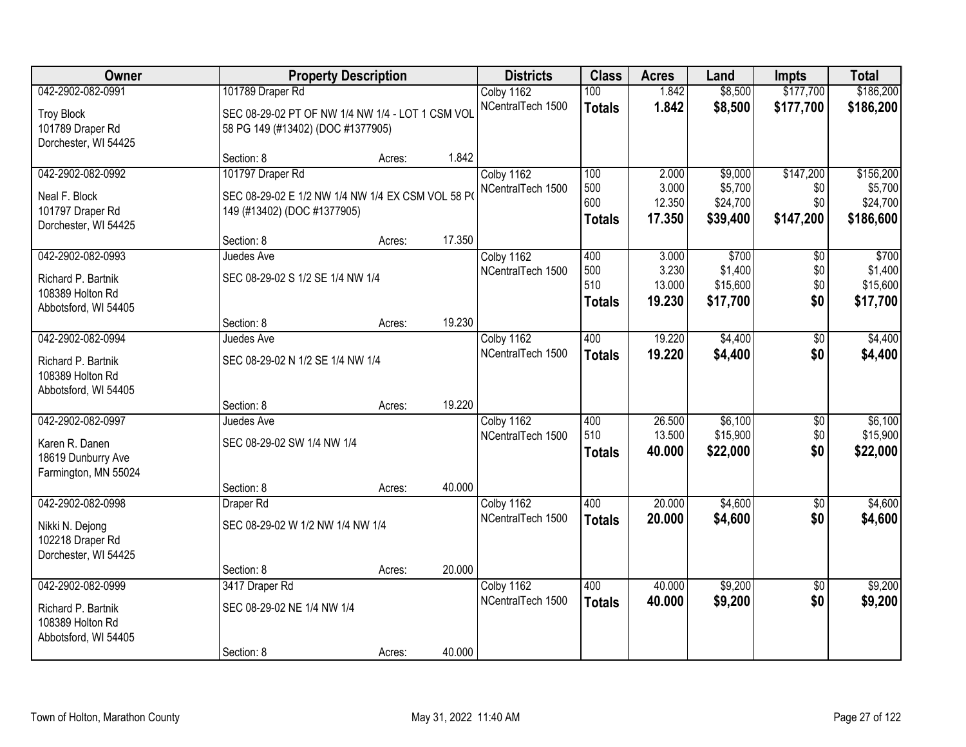| Owner                                  |                                                  | <b>Property Description</b> |        | <b>Districts</b>                | <b>Class</b>  | <b>Acres</b> | Land     | <b>Impts</b>    | <b>Total</b> |
|----------------------------------------|--------------------------------------------------|-----------------------------|--------|---------------------------------|---------------|--------------|----------|-----------------|--------------|
| 042-2902-082-0991                      | 101789 Draper Rd                                 |                             |        | Colby 1162                      | 100           | 1.842        | \$8,500  | \$177,700       | \$186,200    |
| <b>Troy Block</b>                      | SEC 08-29-02 PT OF NW 1/4 NW 1/4 - LOT 1 CSM VOL |                             |        | NCentralTech 1500               | <b>Totals</b> | 1.842        | \$8,500  | \$177,700       | \$186,200    |
| 101789 Draper Rd                       | 58 PG 149 (#13402) (DOC #1377905)                |                             |        |                                 |               |              |          |                 |              |
| Dorchester, WI 54425                   |                                                  |                             |        |                                 |               |              |          |                 |              |
| 042-2902-082-0992                      | Section: 8<br>101797 Draper Rd                   | Acres:                      | 1.842  |                                 | 100           | 2.000        | \$9,000  | \$147,200       | \$156,200    |
|                                        |                                                  |                             |        | Colby 1162<br>NCentralTech 1500 | 500           | 3.000        | \$5,700  | \$0             | \$5,700      |
| Neal F. Block                          | SEC 08-29-02 E 1/2 NW 1/4 NW 1/4 EX CSM VOL 58 P |                             |        |                                 | 600           | 12.350       | \$24,700 | \$0             | \$24,700     |
| 101797 Draper Rd                       | 149 (#13402) (DOC #1377905)                      |                             |        |                                 | <b>Totals</b> | 17.350       | \$39,400 | \$147,200       | \$186,600    |
| Dorchester, WI 54425                   | Section: 8                                       | Acres:                      | 17.350 |                                 |               |              |          |                 |              |
| 042-2902-082-0993                      | Juedes Ave                                       |                             |        | Colby 1162                      | 400           | 3.000        | \$700    | $\overline{50}$ | \$700        |
|                                        |                                                  |                             |        | NCentralTech 1500               | 500           | 3.230        | \$1,400  | \$0             | \$1,400      |
| Richard P. Bartnik<br>108389 Holton Rd | SEC 08-29-02 S 1/2 SE 1/4 NW 1/4                 |                             |        |                                 | 510           | 13.000       | \$15,600 | \$0             | \$15,600     |
| Abbotsford, WI 54405                   |                                                  |                             |        |                                 | <b>Totals</b> | 19.230       | \$17,700 | \$0             | \$17,700     |
|                                        | Section: 8                                       | Acres:                      | 19.230 |                                 |               |              |          |                 |              |
| 042-2902-082-0994                      | Juedes Ave                                       |                             |        | Colby 1162                      | 400           | 19.220       | \$4,400  | $\overline{50}$ | \$4,400      |
| Richard P. Bartnik                     | SEC 08-29-02 N 1/2 SE 1/4 NW 1/4                 |                             |        | NCentralTech 1500               | <b>Totals</b> | 19.220       | \$4,400  | \$0             | \$4,400      |
| 108389 Holton Rd                       |                                                  |                             |        |                                 |               |              |          |                 |              |
| Abbotsford, WI 54405                   |                                                  |                             |        |                                 |               |              |          |                 |              |
|                                        | Section: 8                                       | Acres:                      | 19.220 |                                 |               |              |          |                 |              |
| 042-2902-082-0997                      | Juedes Ave                                       |                             |        | Colby 1162                      | 400           | 26.500       | \$6,100  | \$0             | \$6,100      |
| Karen R. Danen                         | SEC 08-29-02 SW 1/4 NW 1/4                       |                             |        | NCentralTech 1500               | 510           | 13.500       | \$15,900 | \$0             | \$15,900     |
| 18619 Dunburry Ave                     |                                                  |                             |        |                                 | <b>Totals</b> | 40.000       | \$22,000 | \$0             | \$22,000     |
| Farmington, MN 55024                   |                                                  |                             |        |                                 |               |              |          |                 |              |
|                                        | Section: 8                                       | Acres:                      | 40.000 |                                 |               |              |          |                 |              |
| 042-2902-082-0998                      | Draper Rd                                        |                             |        | Colby 1162                      | 400           | 20.000       | \$4,600  | $\overline{50}$ | \$4,600      |
| Nikki N. Dejong                        | SEC 08-29-02 W 1/2 NW 1/4 NW 1/4                 |                             |        | NCentralTech 1500               | <b>Totals</b> | 20.000       | \$4,600  | \$0             | \$4,600      |
| 102218 Draper Rd                       |                                                  |                             |        |                                 |               |              |          |                 |              |
| Dorchester, WI 54425                   |                                                  |                             |        |                                 |               |              |          |                 |              |
| 042-2902-082-0999                      | Section: 8<br>3417 Draper Rd                     | Acres:                      | 20.000 |                                 | 400           | 40.000       | \$9,200  | $\overline{50}$ | \$9,200      |
|                                        |                                                  |                             |        | Colby 1162<br>NCentralTech 1500 | <b>Totals</b> | 40.000       | \$9,200  | \$0             | \$9,200      |
| Richard P. Bartnik                     | SEC 08-29-02 NE 1/4 NW 1/4                       |                             |        |                                 |               |              |          |                 |              |
| 108389 Holton Rd                       |                                                  |                             |        |                                 |               |              |          |                 |              |
| Abbotsford, WI 54405                   | Section: 8                                       | Acres:                      | 40.000 |                                 |               |              |          |                 |              |
|                                        |                                                  |                             |        |                                 |               |              |          |                 |              |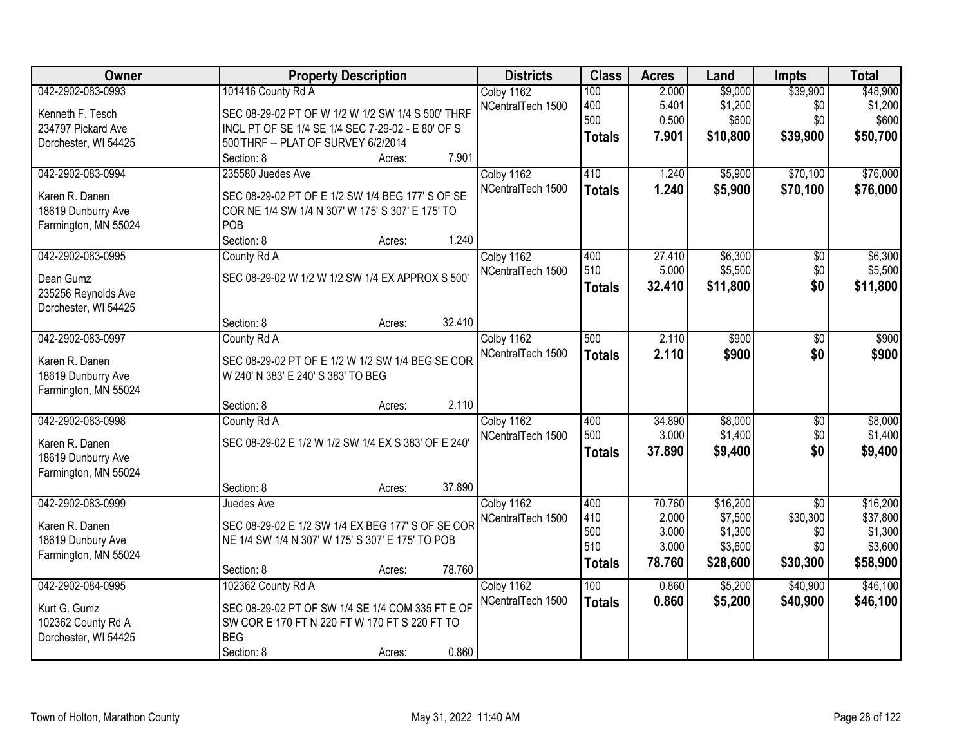| Owner                                                                             | <b>Property Description</b>                                                                                                                                            | <b>Districts</b>                | <b>Class</b>                              | <b>Acres</b>                                | Land                                                  | <b>Impts</b>                                          | <b>Total</b>                                           |
|-----------------------------------------------------------------------------------|------------------------------------------------------------------------------------------------------------------------------------------------------------------------|---------------------------------|-------------------------------------------|---------------------------------------------|-------------------------------------------------------|-------------------------------------------------------|--------------------------------------------------------|
| 042-2902-083-0993<br>Kenneth F. Tesch                                             | 101416 County Rd A<br>SEC 08-29-02 PT OF W 1/2 W 1/2 SW 1/4 S 500' THRF                                                                                                | Colby 1162<br>NCentralTech 1500 | 100<br>400<br>500                         | 2.000<br>5.401<br>0.500                     | \$9,000<br>\$1,200<br>\$600                           | \$39,900<br>\$0<br>\$0                                | \$48,900<br>\$1,200<br>\$600                           |
| 234797 Pickard Ave<br>Dorchester, WI 54425                                        | INCL PT OF SE 1/4 SE 1/4 SEC 7-29-02 - E 80' OF S<br>500'THRF -- PLAT OF SURVEY 6/2/2014<br>7.901<br>Section: 8<br>Acres:                                              |                                 | <b>Totals</b>                             | 7.901                                       | \$10,800                                              | \$39,900                                              | \$50,700                                               |
| 042-2902-083-0994<br>Karen R. Danen<br>18619 Dunburry Ave<br>Farmington, MN 55024 | 235580 Juedes Ave<br>SEC 08-29-02 PT OF E 1/2 SW 1/4 BEG 177' S OF SE<br>COR NE 1/4 SW 1/4 N 307' W 175' S 307' E 175' TO<br>POB<br>1.240<br>Section: 8<br>Acres:      | Colby 1162<br>NCentralTech 1500 | 410<br><b>Totals</b>                      | 1.240<br>1.240                              | \$5,900<br>\$5,900                                    | \$70,100<br>\$70,100                                  | \$76,000<br>\$76,000                                   |
| 042-2902-083-0995<br>Dean Gumz<br>235256 Reynolds Ave<br>Dorchester, WI 54425     | County Rd A<br>SEC 08-29-02 W 1/2 W 1/2 SW 1/4 EX APPROX S 500'<br>32.410<br>Section: 8<br>Acres:                                                                      | Colby 1162<br>NCentralTech 1500 | 400<br>510<br><b>Totals</b>               | 27.410<br>5.000<br>32.410                   | \$6,300<br>\$5,500<br>\$11,800                        | \$0<br>\$0<br>\$0                                     | \$6,300<br>\$5,500<br>\$11,800                         |
| 042-2902-083-0997<br>Karen R. Danen<br>18619 Dunburry Ave<br>Farmington, MN 55024 | County Rd A<br>SEC 08-29-02 PT OF E 1/2 W 1/2 SW 1/4 BEG SE COR<br>W 240' N 383' E 240' S 383' TO BEG<br>2.110<br>Section: 8<br>Acres:                                 | Colby 1162<br>NCentralTech 1500 | 500<br><b>Totals</b>                      | 2.110<br>2.110                              | \$900<br>\$900                                        | \$0<br>\$0                                            | \$900<br>\$900                                         |
| 042-2902-083-0998<br>Karen R. Danen<br>18619 Dunburry Ave<br>Farmington, MN 55024 | County Rd A<br>SEC 08-29-02 E 1/2 W 1/2 SW 1/4 EX S 383' OF E 240'<br>37.890<br>Section: 8<br>Acres:                                                                   | Colby 1162<br>NCentralTech 1500 | 400<br>500<br><b>Totals</b>               | 34.890<br>3.000<br>37.890                   | \$8,000<br>\$1,400<br>\$9,400                         | $\overline{30}$<br>\$0<br>\$0                         | \$8,000<br>\$1,400<br>\$9,400                          |
| 042-2902-083-0999<br>Karen R. Danen<br>18619 Dunbury Ave<br>Farmington, MN 55024  | Juedes Ave<br>SEC 08-29-02 E 1/2 SW 1/4 EX BEG 177' S OF SE COR<br>NE 1/4 SW 1/4 N 307' W 175' S 307' E 175' TO POB<br>78.760<br>Section: 8<br>Acres:                  | Colby 1162<br>NCentralTech 1500 | 400<br>410<br>500<br>510<br><b>Totals</b> | 70.760<br>2.000<br>3.000<br>3.000<br>78.760 | \$16,200<br>\$7,500<br>\$1,300<br>\$3,600<br>\$28,600 | $\overline{30}$<br>\$30,300<br>\$0<br>\$0<br>\$30,300 | \$16,200<br>\$37,800<br>\$1,300<br>\$3,600<br>\$58,900 |
| 042-2902-084-0995<br>Kurt G. Gumz<br>102362 County Rd A<br>Dorchester, WI 54425   | 102362 County Rd A<br>SEC 08-29-02 PT OF SW 1/4 SE 1/4 COM 335 FT E OF<br>SW COR E 170 FT N 220 FT W 170 FT S 220 FT TO<br><b>BEG</b><br>0.860<br>Section: 8<br>Acres: | Colby 1162<br>NCentralTech 1500 | 100<br><b>Totals</b>                      | 0.860<br>0.860                              | \$5,200<br>\$5,200                                    | \$40,900<br>\$40,900                                  | \$46,100<br>\$46,100                                   |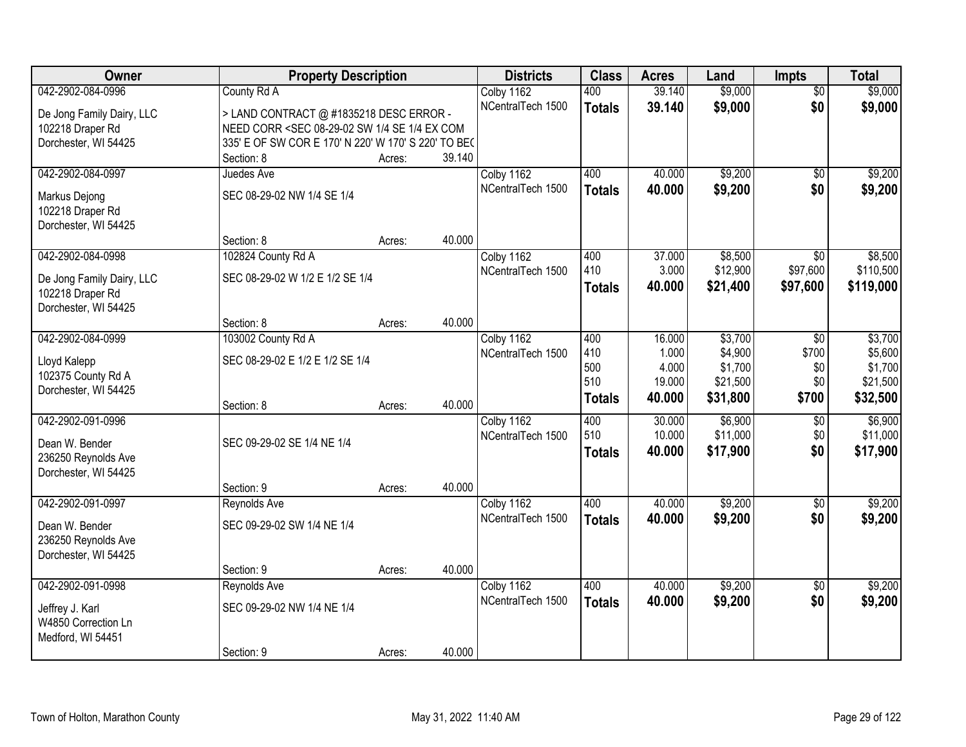| Owner                     | <b>Property Description</b>                                                                                                                         |        |        | <b>Districts</b>  | <b>Class</b>  | <b>Acres</b> | Land     | <b>Impts</b>    | <b>Total</b> |
|---------------------------|-----------------------------------------------------------------------------------------------------------------------------------------------------|--------|--------|-------------------|---------------|--------------|----------|-----------------|--------------|
| 042-2902-084-0996         | County Rd A                                                                                                                                         |        |        | Colby 1162        | 400           | 39.140       | \$9,000  | $\overline{50}$ | \$9,000      |
| De Jong Family Dairy, LLC | > LAND CONTRACT @ #1835218 DESC ERROR -                                                                                                             |        |        | NCentralTech 1500 | <b>Totals</b> | 39.140       | \$9,000  | \$0             | \$9,000      |
| 102218 Draper Rd          | NEED CORR <sec 08-29-02="" 1="" 4="" com<="" ex="" se="" sw="" td=""><td></td><td></td><td></td><td></td><td></td><td></td><td></td><td></td></sec> |        |        |                   |               |              |          |                 |              |
| Dorchester, WI 54425      | 335' E OF SW COR E 170' N 220' W 170' S 220' TO BE(                                                                                                 |        |        |                   |               |              |          |                 |              |
|                           | Section: 8                                                                                                                                          | Acres: | 39.140 |                   |               |              |          |                 |              |
| 042-2902-084-0997         | Juedes Ave                                                                                                                                          |        |        | Colby 1162        | 400           | 40.000       | \$9,200  | $\overline{50}$ | \$9,200      |
| Markus Dejong             | SEC 08-29-02 NW 1/4 SE 1/4                                                                                                                          |        |        | NCentralTech 1500 | <b>Totals</b> | 40.000       | \$9,200  | \$0             | \$9,200      |
| 102218 Draper Rd          |                                                                                                                                                     |        |        |                   |               |              |          |                 |              |
| Dorchester, WI 54425      |                                                                                                                                                     |        |        |                   |               |              |          |                 |              |
|                           | Section: 8                                                                                                                                          | Acres: | 40.000 |                   |               |              |          |                 |              |
| 042-2902-084-0998         | 102824 County Rd A                                                                                                                                  |        |        | Colby 1162        | 400           | 37.000       | \$8,500  | \$0             | \$8,500      |
| De Jong Family Dairy, LLC | SEC 08-29-02 W 1/2 E 1/2 SE 1/4                                                                                                                     |        |        | NCentralTech 1500 | 410           | 3.000        | \$12,900 | \$97,600        | \$110,500    |
| 102218 Draper Rd          |                                                                                                                                                     |        |        |                   | <b>Totals</b> | 40.000       | \$21,400 | \$97,600        | \$119,000    |
| Dorchester, WI 54425      |                                                                                                                                                     |        |        |                   |               |              |          |                 |              |
|                           | Section: 8                                                                                                                                          | Acres: | 40.000 |                   |               |              |          |                 |              |
| 042-2902-084-0999         | 103002 County Rd A                                                                                                                                  |        |        | Colby 1162        | 400           | 16.000       | \$3,700  | $\sqrt{6}$      | \$3,700      |
| Lloyd Kalepp              | SEC 08-29-02 E 1/2 E 1/2 SE 1/4                                                                                                                     |        |        | NCentralTech 1500 | 410           | 1.000        | \$4,900  | \$700           | \$5,600      |
| 102375 County Rd A        |                                                                                                                                                     |        |        |                   | 500           | 4.000        | \$1,700  | \$0             | \$1,700      |
| Dorchester, WI 54425      |                                                                                                                                                     |        |        |                   | 510           | 19.000       | \$21,500 | \$0             | \$21,500     |
|                           | Section: 8                                                                                                                                          | Acres: | 40.000 |                   | <b>Totals</b> | 40.000       | \$31,800 | \$700           | \$32,500     |
| 042-2902-091-0996         |                                                                                                                                                     |        |        | Colby 1162        | 400           | 30.000       | \$6,900  | $\overline{30}$ | \$6,900      |
| Dean W. Bender            | SEC 09-29-02 SE 1/4 NE 1/4                                                                                                                          |        |        | NCentralTech 1500 | 510           | 10.000       | \$11,000 | \$0             | \$11,000     |
| 236250 Reynolds Ave       |                                                                                                                                                     |        |        |                   | <b>Totals</b> | 40.000       | \$17,900 | \$0             | \$17,900     |
| Dorchester, WI 54425      |                                                                                                                                                     |        |        |                   |               |              |          |                 |              |
|                           | Section: 9                                                                                                                                          | Acres: | 40.000 |                   |               |              |          |                 |              |
| 042-2902-091-0997         | Reynolds Ave                                                                                                                                        |        |        | Colby 1162        | 400           | 40.000       | \$9,200  | $\overline{50}$ | \$9,200      |
| Dean W. Bender            | SEC 09-29-02 SW 1/4 NE 1/4                                                                                                                          |        |        | NCentralTech 1500 | <b>Totals</b> | 40.000       | \$9,200  | \$0             | \$9,200      |
| 236250 Reynolds Ave       |                                                                                                                                                     |        |        |                   |               |              |          |                 |              |
| Dorchester, WI 54425      |                                                                                                                                                     |        |        |                   |               |              |          |                 |              |
|                           | Section: 9                                                                                                                                          | Acres: | 40.000 |                   |               |              |          |                 |              |
| 042-2902-091-0998         | Reynolds Ave                                                                                                                                        |        |        | Colby 1162        | 400           | 40.000       | \$9,200  | $\overline{50}$ | \$9,200      |
| Jeffrey J. Karl           | SEC 09-29-02 NW 1/4 NE 1/4                                                                                                                          |        |        | NCentralTech 1500 | <b>Totals</b> | 40.000       | \$9,200  | \$0             | \$9,200      |
| W4850 Correction Ln       |                                                                                                                                                     |        |        |                   |               |              |          |                 |              |
| Medford, WI 54451         |                                                                                                                                                     |        |        |                   |               |              |          |                 |              |
|                           | Section: 9                                                                                                                                          | Acres: | 40.000 |                   |               |              |          |                 |              |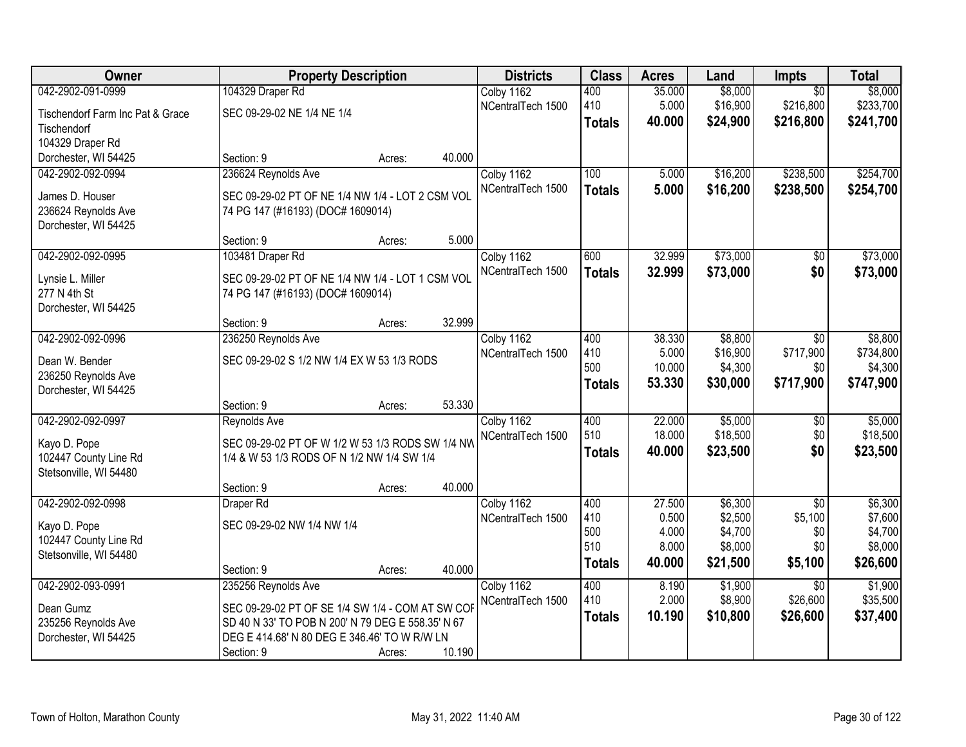| Owner                            | <b>Property Description</b>                       |        |        | <b>Districts</b>  | <b>Class</b>  | <b>Acres</b>   | Land               | <b>Impts</b>           | <b>Total</b>       |
|----------------------------------|---------------------------------------------------|--------|--------|-------------------|---------------|----------------|--------------------|------------------------|--------------------|
| 042-2902-091-0999                | 104329 Draper Rd                                  |        |        | Colby 1162        | 400           | 35.000         | \$8,000            | $\overline{50}$        | \$8,000            |
| Tischendorf Farm Inc Pat & Grace | SEC 09-29-02 NE 1/4 NE 1/4                        |        |        | NCentralTech 1500 | 410           | 5.000          | \$16,900           | \$216,800              | \$233,700          |
| Tischendorf                      |                                                   |        |        |                   | <b>Totals</b> | 40.000         | \$24,900           | \$216,800              | \$241,700          |
| 104329 Draper Rd                 |                                                   |        |        |                   |               |                |                    |                        |                    |
| Dorchester, WI 54425             | Section: 9                                        | Acres: | 40.000 |                   |               |                |                    |                        |                    |
| 042-2902-092-0994                | 236624 Reynolds Ave                               |        |        | Colby 1162        | 100           | 5.000          | \$16,200           | \$238,500              | \$254,700          |
| James D. Houser                  | SEC 09-29-02 PT OF NE 1/4 NW 1/4 - LOT 2 CSM VOL  |        |        | NCentralTech 1500 | <b>Totals</b> | 5.000          | \$16,200           | \$238,500              | \$254,700          |
| 236624 Reynolds Ave              |                                                   |        |        |                   |               |                |                    |                        |                    |
| Dorchester, WI 54425             | 74 PG 147 (#16193) (DOC# 1609014)                 |        |        |                   |               |                |                    |                        |                    |
|                                  | Section: 9                                        | Acres: | 5.000  |                   |               |                |                    |                        |                    |
| 042-2902-092-0995                | 103481 Draper Rd                                  |        |        | Colby 1162        | 600           | 32.999         | \$73,000           | \$0                    | \$73,000           |
|                                  |                                                   |        |        | NCentralTech 1500 | <b>Totals</b> | 32.999         | \$73,000           | \$0                    | \$73,000           |
| Lynsie L. Miller<br>277 N 4th St | SEC 09-29-02 PT OF NE 1/4 NW 1/4 - LOT 1 CSM VOL  |        |        |                   |               |                |                    |                        |                    |
| Dorchester, WI 54425             | 74 PG 147 (#16193) (DOC# 1609014)                 |        |        |                   |               |                |                    |                        |                    |
|                                  | Section: 9                                        | Acres: | 32.999 |                   |               |                |                    |                        |                    |
| 042-2902-092-0996                | 236250 Reynolds Ave                               |        |        | Colby 1162        | 400           | 38.330         | \$8,800            | \$0                    | \$8,800            |
|                                  |                                                   |        |        | NCentralTech 1500 | 410           | 5.000          | \$16,900           | \$717,900              | \$734,800          |
| Dean W. Bender                   | SEC 09-29-02 S 1/2 NW 1/4 EX W 53 1/3 RODS        |        |        |                   | 500           | 10.000         | \$4,300            | \$0                    | \$4,300            |
| 236250 Reynolds Ave              |                                                   |        |        |                   | <b>Totals</b> | 53.330         | \$30,000           | \$717,900              | \$747,900          |
| Dorchester, WI 54425             |                                                   |        |        |                   |               |                |                    |                        |                    |
| 042-2902-092-0997                | Section: 9                                        | Acres: | 53.330 |                   | 400           | 22.000         | \$5,000            |                        | \$5,000            |
|                                  | Reynolds Ave                                      |        |        | Colby 1162        | 510           | 18.000         | \$18,500           | $\overline{50}$<br>\$0 | \$18,500           |
| Kayo D. Pope                     | SEC 09-29-02 PT OF W 1/2 W 53 1/3 RODS SW 1/4 NW  |        |        | NCentralTech 1500 |               | 40.000         | \$23,500           | \$0                    | \$23,500           |
| 102447 County Line Rd            | 1/4 & W 53 1/3 RODS OF N 1/2 NW 1/4 SW 1/4        |        |        |                   | <b>Totals</b> |                |                    |                        |                    |
| Stetsonville, WI 54480           |                                                   |        |        |                   |               |                |                    |                        |                    |
|                                  | Section: 9                                        | Acres: | 40.000 |                   |               |                |                    |                        |                    |
| 042-2902-092-0998                | Draper Rd                                         |        |        | Colby 1162        | 400           | 27.500         | \$6,300            | $\overline{50}$        | \$6,300            |
| Kayo D. Pope                     | SEC 09-29-02 NW 1/4 NW 1/4                        |        |        | NCentralTech 1500 | 410           | 0.500          | \$2,500            | \$5,100                | \$7,600            |
| 102447 County Line Rd            |                                                   |        |        |                   | 500<br>510    | 4.000<br>8.000 | \$4,700<br>\$8,000 | \$0<br>\$0             | \$4,700<br>\$8,000 |
| Stetsonville, WI 54480           |                                                   |        |        |                   |               |                |                    |                        |                    |
|                                  | Section: 9                                        | Acres: | 40.000 |                   | <b>Totals</b> | 40.000         | \$21,500           | \$5,100                | \$26,600           |
| 042-2902-093-0991                | 235256 Reynolds Ave                               |        |        | Colby 1162        | 400           | 8.190          | \$1,900            | $\overline{30}$        | \$1,900            |
| Dean Gumz                        | SEC 09-29-02 PT OF SE 1/4 SW 1/4 - COM AT SW COF  |        |        | NCentralTech 1500 | 410           | 2.000          | \$8,900            | \$26,600               | \$35,500           |
| 235256 Reynolds Ave              | SD 40 N 33' TO POB N 200' N 79 DEG E 558.35' N 67 |        |        |                   | <b>Totals</b> | 10.190         | \$10,800           | \$26,600               | \$37,400           |
| Dorchester, WI 54425             | DEG E 414.68' N 80 DEG E 346.46' TO W R/W LN      |        |        |                   |               |                |                    |                        |                    |
|                                  | Section: 9                                        | Acres: | 10.190 |                   |               |                |                    |                        |                    |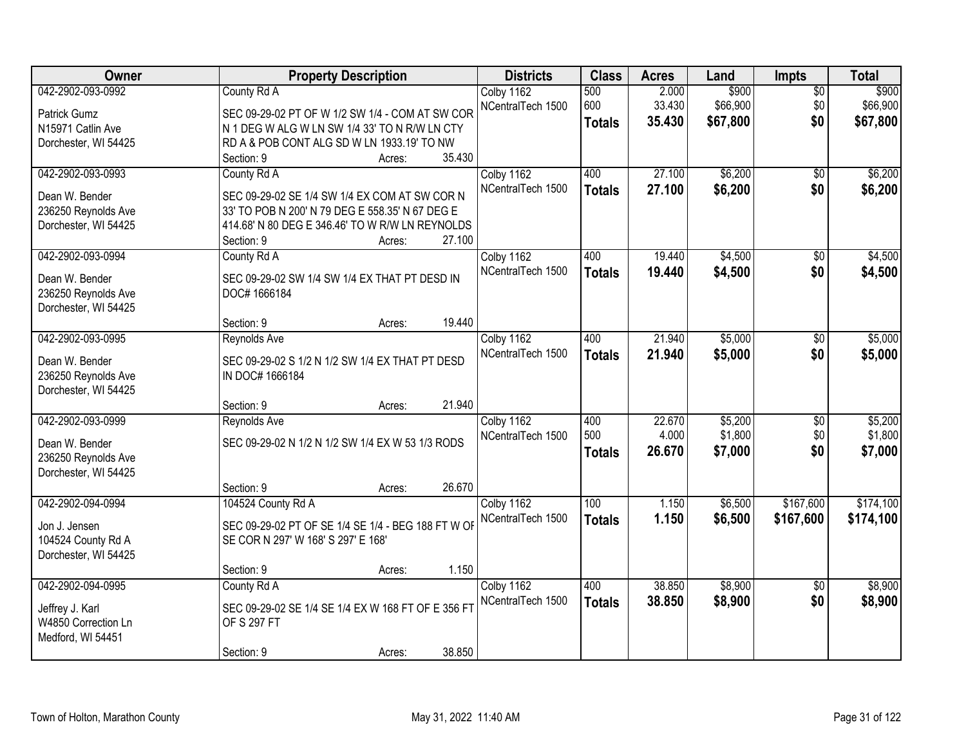| Owner                                                                              | <b>Property Description</b>                                                                                                                                                                          | <b>Districts</b>                | <b>Class</b>                | <b>Acres</b>              | Land                          | Impts                         | <b>Total</b>                  |
|------------------------------------------------------------------------------------|------------------------------------------------------------------------------------------------------------------------------------------------------------------------------------------------------|---------------------------------|-----------------------------|---------------------------|-------------------------------|-------------------------------|-------------------------------|
| 042-2902-093-0992<br>Patrick Gumz                                                  | County Rd A<br>SEC 09-29-02 PT OF W 1/2 SW 1/4 - COM AT SW COR                                                                                                                                       | Colby 1162<br>NCentralTech 1500 | 500<br>600<br><b>Totals</b> | 2.000<br>33.430<br>35.430 | \$900<br>\$66,900<br>\$67,800 | $\overline{50}$<br>\$0<br>\$0 | \$900<br>\$66,900<br>\$67,800 |
| N15971 Catlin Ave<br>Dorchester, WI 54425                                          | N 1 DEG W ALG W LN SW 1/4 33' TO N R/W LN CTY<br>RD A & POB CONT ALG SD W LN 1933.19' TO NW<br>35.430<br>Section: 9<br>Acres:                                                                        |                                 |                             |                           |                               |                               |                               |
| 042-2902-093-0993<br>Dean W. Bender<br>236250 Reynolds Ave<br>Dorchester, WI 54425 | County Rd A<br>SEC 09-29-02 SE 1/4 SW 1/4 EX COM AT SW COR N<br>33' TO POB N 200' N 79 DEG E 558.35' N 67 DEG E<br>414.68' N 80 DEG E 346.46' TO W R/W LN REYNOLDS<br>27.100<br>Section: 9<br>Acres: | Colby 1162<br>NCentralTech 1500 | 400<br><b>Totals</b>        | 27.100<br>27.100          | \$6,200<br>\$6,200            | $\overline{50}$<br>\$0        | \$6,200<br>\$6,200            |
| 042-2902-093-0994<br>Dean W. Bender<br>236250 Reynolds Ave<br>Dorchester, WI 54425 | County Rd A<br>SEC 09-29-02 SW 1/4 SW 1/4 EX THAT PT DESD IN<br>DOC# 1666184<br>19.440<br>Section: 9<br>Acres:                                                                                       | Colby 1162<br>NCentralTech 1500 | 400<br><b>Totals</b>        | 19.440<br>19.440          | \$4,500<br>\$4,500            | \$0<br>\$0                    | \$4,500<br>\$4,500            |
| 042-2902-093-0995<br>Dean W. Bender<br>236250 Reynolds Ave<br>Dorchester, WI 54425 | Reynolds Ave<br>SEC 09-29-02 S 1/2 N 1/2 SW 1/4 EX THAT PT DESD<br>IN DOC# 1666184                                                                                                                   | Colby 1162<br>NCentralTech 1500 | 400<br><b>Totals</b>        | 21.940<br>21.940          | \$5,000<br>\$5,000            | \$0<br>\$0                    | \$5,000<br>\$5,000            |
| 042-2902-093-0999<br>Dean W. Bender<br>236250 Reynolds Ave<br>Dorchester, WI 54425 | 21.940<br>Section: 9<br>Acres:<br>Reynolds Ave<br>SEC 09-29-02 N 1/2 N 1/2 SW 1/4 EX W 53 1/3 RODS<br>26.670<br>Section: 9<br>Acres:                                                                 | Colby 1162<br>NCentralTech 1500 | 400<br>500<br><b>Totals</b> | 22.670<br>4.000<br>26.670 | \$5,200<br>\$1,800<br>\$7,000 | \$0<br>\$0<br>\$0             | \$5,200<br>\$1,800<br>\$7,000 |
| 042-2902-094-0994<br>Jon J. Jensen<br>104524 County Rd A<br>Dorchester, WI 54425   | 104524 County Rd A<br>SEC 09-29-02 PT OF SE 1/4 SE 1/4 - BEG 188 FT W OF<br>SE COR N 297' W 168' S 297' E 168'<br>1.150<br>Section: 9<br>Acres:                                                      | Colby 1162<br>NCentralTech 1500 | 100<br><b>Totals</b>        | 1.150<br>1.150            | \$6,500<br>\$6,500            | \$167,600<br>\$167,600        | \$174,100<br>\$174,100        |
| 042-2902-094-0995<br>Jeffrey J. Karl<br>W4850 Correction Ln<br>Medford, WI 54451   | County Rd A<br>SEC 09-29-02 SE 1/4 SE 1/4 EX W 168 FT OF E 356 FT<br>OF S 297 FT<br>38.850<br>Section: 9<br>Acres:                                                                                   | Colby 1162<br>NCentralTech 1500 | 400<br><b>Totals</b>        | 38.850<br>38.850          | \$8,900<br>\$8,900            | $\overline{50}$<br>\$0        | \$8,900<br>\$8,900            |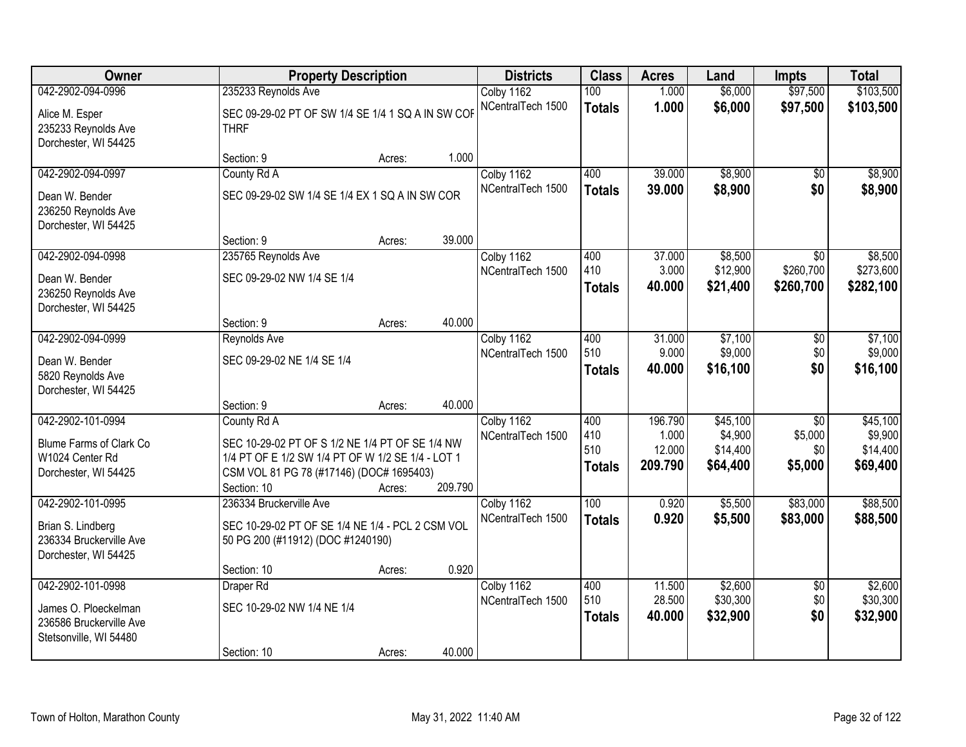| Owner                                                                     |                                                                                       | <b>Property Description</b> |         | <b>Districts</b>                | <b>Class</b>                | <b>Acres</b>              | Land                            | <b>Impts</b>                              | <b>Total</b>                      |
|---------------------------------------------------------------------------|---------------------------------------------------------------------------------------|-----------------------------|---------|---------------------------------|-----------------------------|---------------------------|---------------------------------|-------------------------------------------|-----------------------------------|
| 042-2902-094-0996                                                         | 235233 Reynolds Ave                                                                   |                             |         | Colby 1162                      | 100                         | 1.000                     | \$6,000                         | \$97,500                                  | \$103,500                         |
| Alice M. Esper<br>235233 Reynolds Ave<br>Dorchester, WI 54425             | SEC 09-29-02 PT OF SW 1/4 SE 1/4 1 SQ A IN SW COF<br><b>THRF</b>                      |                             |         | NCentralTech 1500               | <b>Totals</b>               | 1.000                     | \$6,000                         | \$97,500                                  | \$103,500                         |
|                                                                           | Section: 9                                                                            | Acres:                      | 1.000   |                                 |                             |                           |                                 |                                           |                                   |
| 042-2902-094-0997                                                         | County Rd A                                                                           |                             |         | Colby 1162                      | 400                         | 39.000                    | \$8,900                         | $\overline{50}$                           | \$8,900                           |
| Dean W. Bender<br>236250 Reynolds Ave<br>Dorchester, WI 54425             | SEC 09-29-02 SW 1/4 SE 1/4 EX 1 SQ A IN SW COR                                        |                             |         | NCentralTech 1500               | <b>Totals</b>               | 39.000                    | \$8,900                         | \$0                                       | \$8,900                           |
|                                                                           | Section: 9                                                                            | Acres:                      | 39.000  |                                 |                             |                           |                                 |                                           |                                   |
| 042-2902-094-0998<br>Dean W. Bender                                       | 235765 Reynolds Ave<br>SEC 09-29-02 NW 1/4 SE 1/4                                     |                             |         | Colby 1162<br>NCentralTech 1500 | 400<br>410<br><b>Totals</b> | 37.000<br>3.000<br>40.000 | \$8,500<br>\$12,900<br>\$21,400 | $\overline{50}$<br>\$260,700<br>\$260,700 | \$8,500<br>\$273,600<br>\$282,100 |
| 236250 Reynolds Ave<br>Dorchester, WI 54425                               |                                                                                       |                             |         |                                 |                             |                           |                                 |                                           |                                   |
|                                                                           | Section: 9                                                                            | Acres:                      | 40.000  |                                 |                             |                           |                                 |                                           |                                   |
| 042-2902-094-0999                                                         | Reynolds Ave                                                                          |                             |         | Colby 1162                      | 400                         | 31.000                    | \$7,100                         | $\overline{50}$                           | \$7,100                           |
| Dean W. Bender<br>5820 Reynolds Ave                                       | SEC 09-29-02 NE 1/4 SE 1/4                                                            |                             |         | NCentralTech 1500               | 510<br><b>Totals</b>        | 9.000<br>40.000           | \$9,000<br>\$16,100             | \$0<br>\$0                                | \$9,000<br>\$16,100               |
| Dorchester, WI 54425                                                      | Section: 9                                                                            | Acres:                      | 40.000  |                                 |                             |                           |                                 |                                           |                                   |
| 042-2902-101-0994                                                         | County Rd A                                                                           |                             |         | Colby 1162                      | 400                         | 196.790                   | \$45,100                        | $\overline{50}$                           | \$45,100                          |
| Blume Farms of Clark Co                                                   | SEC 10-29-02 PT OF S 1/2 NE 1/4 PT OF SE 1/4 NW                                       |                             |         | NCentralTech 1500               | 410                         | 1.000                     | \$4,900                         | \$5,000                                   | \$9,900                           |
| W1024 Center Rd                                                           | 1/4 PT OF E 1/2 SW 1/4 PT OF W 1/2 SE 1/4 - LOT 1                                     |                             |         |                                 | 510                         | 12.000                    | \$14,400                        | \$0                                       | \$14,400                          |
| Dorchester, WI 54425                                                      | CSM VOL 81 PG 78 (#17146) (DOC# 1695403)                                              |                             |         |                                 | <b>Totals</b>               | 209.790                   | \$64,400                        | \$5,000                                   | \$69,400                          |
|                                                                           | Section: 10                                                                           | Acres:                      | 209.790 |                                 |                             |                           |                                 |                                           |                                   |
| 042-2902-101-0995                                                         | 236334 Bruckerville Ave                                                               |                             |         | Colby 1162                      | 100                         | 0.920                     | \$5,500                         | \$83,000                                  | \$88,500                          |
| Brian S. Lindberg<br>236334 Bruckerville Ave<br>Dorchester, WI 54425      | SEC 10-29-02 PT OF SE 1/4 NE 1/4 - PCL 2 CSM VOL<br>50 PG 200 (#11912) (DOC #1240190) |                             |         | NCentralTech 1500               | <b>Totals</b>               | 0.920                     | \$5,500                         | \$83,000                                  | \$88,500                          |
|                                                                           | Section: 10                                                                           | Acres:                      | 0.920   |                                 |                             |                           |                                 |                                           |                                   |
| 042-2902-101-0998                                                         | Draper Rd                                                                             |                             |         | Colby 1162                      | 400                         | 11.500                    | \$2,600                         | $\overline{50}$                           | \$2,600                           |
| James O. Ploeckelman<br>236586 Bruckerville Ave<br>Stetsonville, WI 54480 | SEC 10-29-02 NW 1/4 NE 1/4                                                            |                             |         | NCentralTech 1500               | 510<br><b>Totals</b>        | 28.500<br>40.000          | \$30,300<br>\$32,900            | \$0<br>\$0                                | \$30,300<br>\$32,900              |
|                                                                           | Section: 10                                                                           | Acres:                      | 40.000  |                                 |                             |                           |                                 |                                           |                                   |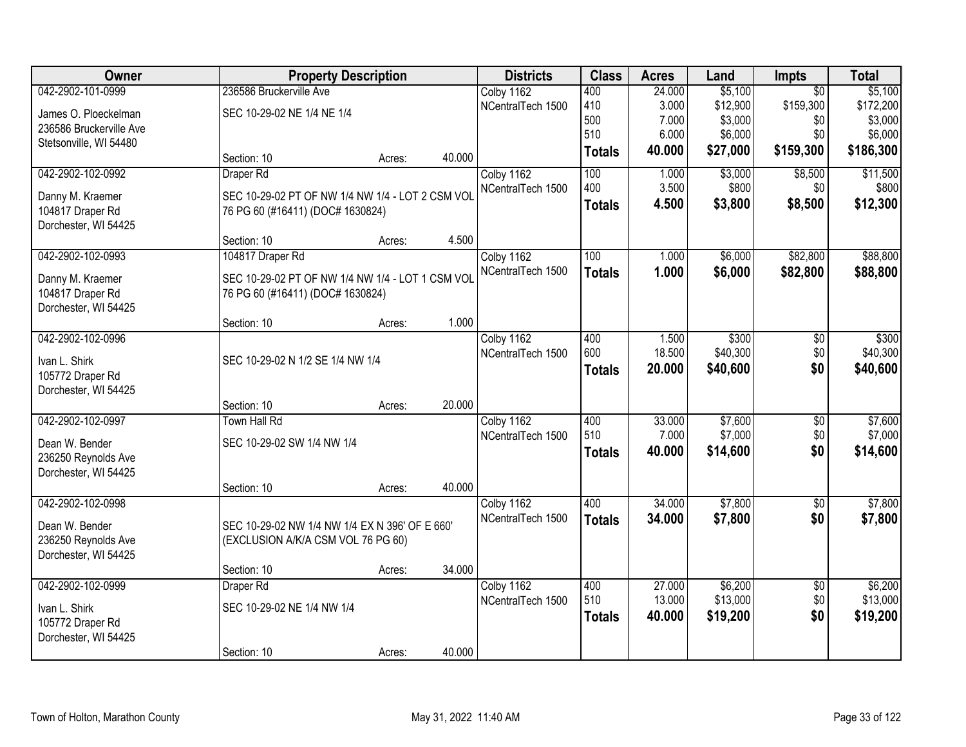| Owner                   |                                                  | <b>Property Description</b> |        | <b>Districts</b>  | <b>Class</b>  | <b>Acres</b> | Land     | Impts           | <b>Total</b> |
|-------------------------|--------------------------------------------------|-----------------------------|--------|-------------------|---------------|--------------|----------|-----------------|--------------|
| 042-2902-101-0999       | 236586 Bruckerville Ave                          |                             |        | Colby 1162        | 400           | 24.000       | \$5,100  | $\overline{50}$ | \$5,100      |
| James O. Ploeckelman    | SEC 10-29-02 NE 1/4 NE 1/4                       |                             |        | NCentralTech 1500 | 410           | 3.000        | \$12,900 | \$159,300       | \$172,200    |
| 236586 Bruckerville Ave |                                                  |                             |        |                   | 500<br>510    | 7.000        | \$3,000  | \$0             | \$3,000      |
| Stetsonville, WI 54480  |                                                  |                             |        |                   |               | 6.000        | \$6,000  | \$0             | \$6,000      |
|                         | Section: 10                                      | Acres:                      | 40.000 |                   | <b>Totals</b> | 40.000       | \$27,000 | \$159,300       | \$186,300    |
| 042-2902-102-0992       | Draper Rd                                        |                             |        | Colby 1162        | 100           | 1.000        | \$3,000  | \$8,500         | \$11,500     |
| Danny M. Kraemer        | SEC 10-29-02 PT OF NW 1/4 NW 1/4 - LOT 2 CSM VOL |                             |        | NCentralTech 1500 | 400           | 3.500        | \$800    | \$0             | \$800        |
| 104817 Draper Rd        | 76 PG 60 (#16411) (DOC# 1630824)                 |                             |        |                   | <b>Totals</b> | 4.500        | \$3,800  | \$8,500         | \$12,300     |
| Dorchester, WI 54425    |                                                  |                             |        |                   |               |              |          |                 |              |
|                         | Section: 10                                      | Acres:                      | 4.500  |                   |               |              |          |                 |              |
| 042-2902-102-0993       | 104817 Draper Rd                                 |                             |        | Colby 1162        | 100           | 1.000        | \$6,000  | \$82,800        | \$88,800     |
| Danny M. Kraemer        | SEC 10-29-02 PT OF NW 1/4 NW 1/4 - LOT 1 CSM VOL |                             |        | NCentralTech 1500 | <b>Totals</b> | 1.000        | \$6,000  | \$82,800        | \$88,800     |
| 104817 Draper Rd        | 76 PG 60 (#16411) (DOC# 1630824)                 |                             |        |                   |               |              |          |                 |              |
| Dorchester, WI 54425    |                                                  |                             |        |                   |               |              |          |                 |              |
|                         | Section: 10                                      | Acres:                      | 1.000  |                   |               |              |          |                 |              |
| 042-2902-102-0996       |                                                  |                             |        | Colby 1162        | 400           | 1.500        | \$300    | \$0             | \$300        |
| Ivan L. Shirk           | SEC 10-29-02 N 1/2 SE 1/4 NW 1/4                 |                             |        | NCentralTech 1500 | 600           | 18.500       | \$40,300 | \$0             | \$40,300     |
| 105772 Draper Rd        |                                                  |                             |        |                   | <b>Totals</b> | 20.000       | \$40,600 | \$0             | \$40,600     |
| Dorchester, WI 54425    |                                                  |                             |        |                   |               |              |          |                 |              |
|                         | Section: 10                                      | Acres:                      | 20.000 |                   |               |              |          |                 |              |
| 042-2902-102-0997       | Town Hall Rd                                     |                             |        | Colby 1162        | 400           | 33.000       | \$7,600  | $\overline{50}$ | \$7,600      |
| Dean W. Bender          | SEC 10-29-02 SW 1/4 NW 1/4                       |                             |        | NCentralTech 1500 | 510           | 7.000        | \$7,000  | \$0             | \$7,000      |
| 236250 Reynolds Ave     |                                                  |                             |        |                   | <b>Totals</b> | 40.000       | \$14,600 | \$0             | \$14,600     |
| Dorchester, WI 54425    |                                                  |                             |        |                   |               |              |          |                 |              |
|                         | Section: 10                                      | Acres:                      | 40.000 |                   |               |              |          |                 |              |
| 042-2902-102-0998       |                                                  |                             |        | Colby 1162        | 400           | 34.000       | \$7,800  | $\sqrt{6}$      | \$7,800      |
| Dean W. Bender          | SEC 10-29-02 NW 1/4 NW 1/4 EX N 396' OF E 660'   |                             |        | NCentralTech 1500 | <b>Totals</b> | 34.000       | \$7,800  | \$0             | \$7,800      |
| 236250 Reynolds Ave     | (EXCLUSION A/K/A CSM VOL 76 PG 60)               |                             |        |                   |               |              |          |                 |              |
| Dorchester, WI 54425    |                                                  |                             |        |                   |               |              |          |                 |              |
|                         | Section: 10                                      | Acres:                      | 34.000 |                   |               |              |          |                 |              |
| 042-2902-102-0999       | Draper Rd                                        |                             |        | Colby 1162        | 400           | 27.000       | \$6,200  | $\overline{50}$ | \$6,200      |
| Ivan L. Shirk           | SEC 10-29-02 NE 1/4 NW 1/4                       |                             |        | NCentralTech 1500 | 510           | 13.000       | \$13,000 | \$0             | \$13,000     |
| 105772 Draper Rd        |                                                  |                             |        |                   | <b>Totals</b> | 40.000       | \$19,200 | \$0             | \$19,200     |
| Dorchester, WI 54425    |                                                  |                             |        |                   |               |              |          |                 |              |
|                         | Section: 10                                      | Acres:                      | 40.000 |                   |               |              |          |                 |              |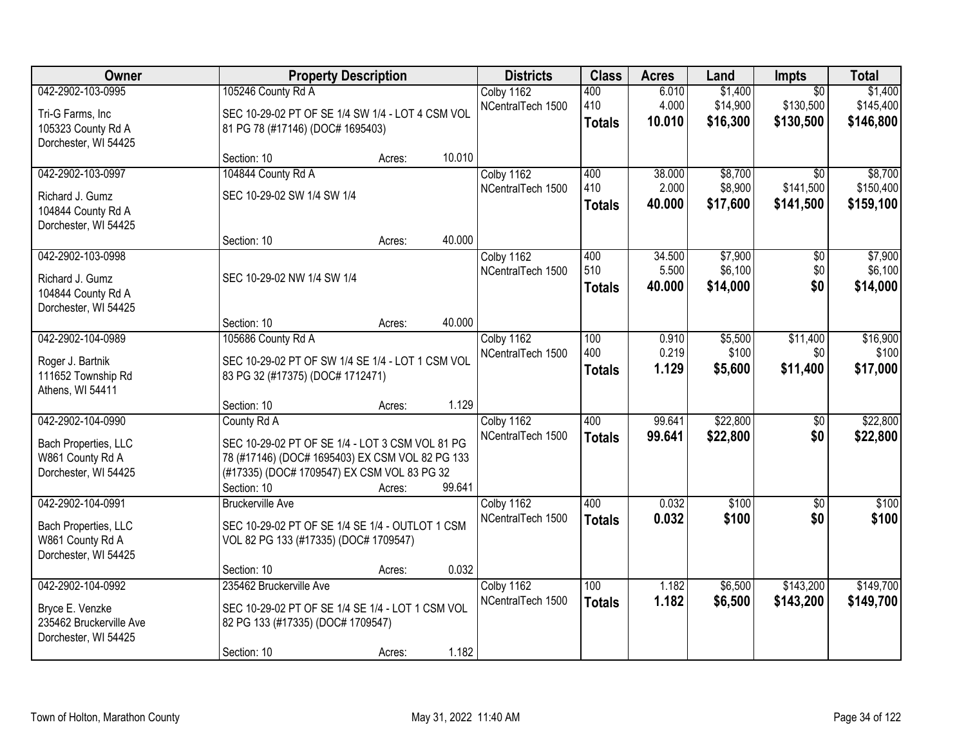| Owner                                    |                                                            | <b>Property Description</b> |        | <b>Districts</b>                | <b>Class</b>  | <b>Acres</b> | Land     | <b>Impts</b>    | <b>Total</b> |
|------------------------------------------|------------------------------------------------------------|-----------------------------|--------|---------------------------------|---------------|--------------|----------|-----------------|--------------|
| 042-2902-103-0995                        | 105246 County Rd A                                         |                             |        | Colby 1162                      | 400           | 6.010        | \$1,400  | $\overline{30}$ | \$1,400      |
| Tri-G Farms, Inc                         | SEC 10-29-02 PT OF SE 1/4 SW 1/4 - LOT 4 CSM VOL           |                             |        | NCentralTech 1500               | 410           | 4.000        | \$14,900 | \$130,500       | \$145,400    |
| 105323 County Rd A                       | 81 PG 78 (#17146) (DOC# 1695403)                           |                             |        |                                 | <b>Totals</b> | 10.010       | \$16,300 | \$130,500       | \$146,800    |
| Dorchester, WI 54425                     |                                                            |                             |        |                                 |               |              |          |                 |              |
| 042-2902-103-0997                        | Section: 10<br>104844 County Rd A                          | Acres:                      | 10.010 |                                 | 400           | 38.000       | \$8,700  | $\overline{30}$ | \$8,700      |
|                                          |                                                            |                             |        | Colby 1162<br>NCentralTech 1500 | 410           | 2.000        | \$8,900  | \$141,500       | \$150,400    |
| Richard J. Gumz                          | SEC 10-29-02 SW 1/4 SW 1/4                                 |                             |        |                                 | <b>Totals</b> | 40.000       | \$17,600 | \$141,500       | \$159,100    |
| 104844 County Rd A                       |                                                            |                             |        |                                 |               |              |          |                 |              |
| Dorchester, WI 54425                     | Section: 10                                                | Acres:                      | 40.000 |                                 |               |              |          |                 |              |
| 042-2902-103-0998                        |                                                            |                             |        | Colby 1162                      | 400           | 34.500       | \$7,900  | \$0             | \$7,900      |
| Richard J. Gumz                          | SEC 10-29-02 NW 1/4 SW 1/4                                 |                             |        | NCentralTech 1500               | 510           | 5.500        | \$6,100  | \$0             | \$6,100      |
| 104844 County Rd A                       |                                                            |                             |        |                                 | <b>Totals</b> | 40.000       | \$14,000 | \$0             | \$14,000     |
| Dorchester, WI 54425                     |                                                            |                             |        |                                 |               |              |          |                 |              |
|                                          | Section: 10                                                | Acres:                      | 40.000 |                                 |               |              |          |                 |              |
| 042-2902-104-0989                        | 105686 County Rd A                                         |                             |        | Colby 1162                      | 100           | 0.910        | \$5,500  | \$11,400        | \$16,900     |
| Roger J. Bartnik                         | SEC 10-29-02 PT OF SW 1/4 SE 1/4 - LOT 1 CSM VOL           |                             |        | NCentralTech 1500               | 400           | 0.219        | \$100    | \$0             | \$100        |
| 111652 Township Rd                       | 83 PG 32 (#17375) (DOC# 1712471)                           |                             |        |                                 | <b>Totals</b> | 1.129        | \$5,600  | \$11,400        | \$17,000     |
| Athens, WI 54411                         |                                                            |                             |        |                                 |               |              |          |                 |              |
|                                          | Section: 10                                                | Acres:                      | 1.129  |                                 |               |              |          |                 |              |
| 042-2902-104-0990                        | County Rd A                                                |                             |        | Colby 1162<br>NCentralTech 1500 | 400           | 99.641       | \$22,800 | $\overline{50}$ | \$22,800     |
| Bach Properties, LLC                     | SEC 10-29-02 PT OF SE 1/4 - LOT 3 CSM VOL 81 PG            |                             |        |                                 | <b>Totals</b> | 99.641       | \$22,800 | \$0             | \$22,800     |
| W861 County Rd A                         | 78 (#17146) (DOC# 1695403) EX CSM VOL 82 PG 133            |                             |        |                                 |               |              |          |                 |              |
| Dorchester, WI 54425                     | (#17335) (DOC# 1709547) EX CSM VOL 83 PG 32<br>Section: 10 | Acres:                      | 99.641 |                                 |               |              |          |                 |              |
| 042-2902-104-0991                        | <b>Bruckerville Ave</b>                                    |                             |        | Colby 1162                      | 400           | 0.032        | \$100    | $\overline{50}$ | \$100        |
|                                          |                                                            |                             |        | NCentralTech 1500               | <b>Totals</b> | 0.032        | \$100    | \$0             | \$100        |
| Bach Properties, LLC<br>W861 County Rd A | SEC 10-29-02 PT OF SE 1/4 SE 1/4 - OUTLOT 1 CSM            |                             |        |                                 |               |              |          |                 |              |
| Dorchester, WI 54425                     | VOL 82 PG 133 (#17335) (DOC# 1709547)                      |                             |        |                                 |               |              |          |                 |              |
|                                          | Section: 10                                                | Acres:                      | 0.032  |                                 |               |              |          |                 |              |
| 042-2902-104-0992                        | 235462 Bruckerville Ave                                    |                             |        | Colby 1162                      | 100           | 1.182        | \$6,500  | \$143,200       | \$149,700    |
| Bryce E. Venzke                          | SEC 10-29-02 PT OF SE 1/4 SE 1/4 - LOT 1 CSM VOL           |                             |        | NCentralTech 1500               | <b>Totals</b> | 1.182        | \$6,500  | \$143,200       | \$149,700    |
| 235462 Bruckerville Ave                  | 82 PG 133 (#17335) (DOC# 1709547)                          |                             |        |                                 |               |              |          |                 |              |
| Dorchester, WI 54425                     |                                                            |                             |        |                                 |               |              |          |                 |              |
|                                          | Section: 10                                                | Acres:                      | 1.182  |                                 |               |              |          |                 |              |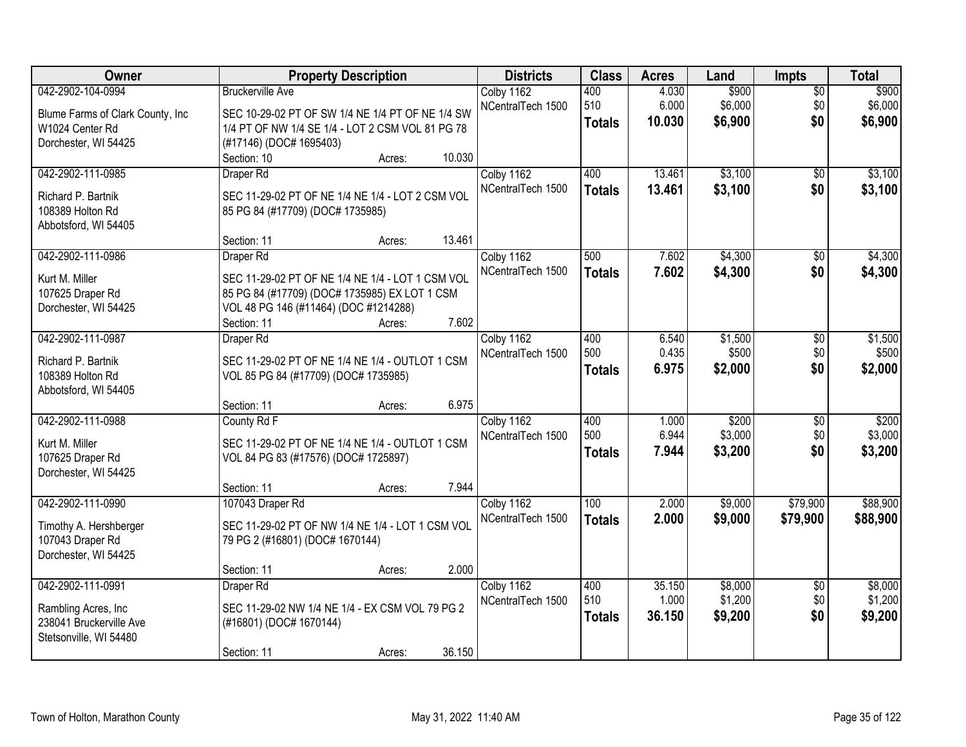| Owner                                                                                            | <b>Property Description</b>                                                                                                                                                                                                  | <b>Districts</b>                | <b>Class</b>                | <b>Acres</b>              | Land                          | <b>Impts</b>                  | <b>Total</b>                  |
|--------------------------------------------------------------------------------------------------|------------------------------------------------------------------------------------------------------------------------------------------------------------------------------------------------------------------------------|---------------------------------|-----------------------------|---------------------------|-------------------------------|-------------------------------|-------------------------------|
| 042-2902-104-0994<br>Blume Farms of Clark County, Inc<br>W1024 Center Rd<br>Dorchester, WI 54425 | <b>Bruckerville Ave</b><br>SEC 10-29-02 PT OF SW 1/4 NE 1/4 PT OF NE 1/4 SW<br>1/4 PT OF NW 1/4 SE 1/4 - LOT 2 CSM VOL 81 PG 78<br>(#17146) (DOC# 1695403)                                                                   | Colby 1162<br>NCentralTech 1500 | 400<br>510<br><b>Totals</b> | 4.030<br>6.000<br>10.030  | \$900<br>\$6,000<br>\$6,900   | $\overline{50}$<br>\$0<br>\$0 | \$900<br>\$6,000<br>\$6,900   |
| 042-2902-111-0985<br>Richard P. Bartnik<br>108389 Holton Rd<br>Abbotsford, WI 54405              | 10.030<br>Section: 10<br>Acres:<br>Draper Rd<br>SEC 11-29-02 PT OF NE 1/4 NE 1/4 - LOT 2 CSM VOL<br>85 PG 84 (#17709) (DOC# 1735985)                                                                                         | Colby 1162<br>NCentralTech 1500 | 400<br><b>Totals</b>        | 13.461<br>13.461          | \$3,100<br>\$3,100            | $\overline{50}$<br>\$0        | \$3,100<br>\$3,100            |
| 042-2902-111-0986<br>Kurt M. Miller<br>107625 Draper Rd<br>Dorchester, WI 54425                  | 13.461<br>Section: 11<br>Acres:<br>Draper Rd<br>SEC 11-29-02 PT OF NE 1/4 NE 1/4 - LOT 1 CSM VOL<br>85 PG 84 (#17709) (DOC# 1735985) EX LOT 1 CSM<br>VOL 48 PG 146 (#11464) (DOC #1214288)<br>7.602<br>Section: 11<br>Acres: | Colby 1162<br>NCentralTech 1500 | 500<br><b>Totals</b>        | 7.602<br>7.602            | \$4,300<br>\$4,300            | \$0<br>\$0                    | \$4,300<br>\$4,300            |
| 042-2902-111-0987<br>Richard P. Bartnik<br>108389 Holton Rd<br>Abbotsford, WI 54405              | Draper Rd<br>SEC 11-29-02 PT OF NE 1/4 NE 1/4 - OUTLOT 1 CSM<br>VOL 85 PG 84 (#17709) (DOC# 1735985)<br>6.975<br>Section: 11<br>Acres:                                                                                       | Colby 1162<br>NCentralTech 1500 | 400<br>500<br><b>Totals</b> | 6.540<br>0.435<br>6.975   | \$1,500<br>\$500<br>\$2,000   | \$0<br>\$0<br>\$0             | \$1,500<br>\$500<br>\$2,000   |
| 042-2902-111-0988<br>Kurt M. Miller<br>107625 Draper Rd<br>Dorchester, WI 54425                  | County Rd F<br>SEC 11-29-02 PT OF NE 1/4 NE 1/4 - OUTLOT 1 CSM<br>VOL 84 PG 83 (#17576) (DOC# 1725897)<br>7.944<br>Section: 11<br>Acres:                                                                                     | Colby 1162<br>NCentralTech 1500 | 400<br>500<br><b>Totals</b> | 1.000<br>6.944<br>7.944   | \$200<br>\$3,000<br>\$3,200   | \$0<br>\$0<br>\$0             | \$200<br>\$3,000<br>\$3,200   |
| 042-2902-111-0990<br>Timothy A. Hershberger<br>107043 Draper Rd<br>Dorchester, WI 54425          | 107043 Draper Rd<br>SEC 11-29-02 PT OF NW 1/4 NE 1/4 - LOT 1 CSM VOL<br>79 PG 2 (#16801) (DOC# 1670144)<br>2.000<br>Section: 11<br>Acres:                                                                                    | Colby 1162<br>NCentralTech 1500 | 100<br><b>Totals</b>        | 2.000<br>2.000            | \$9,000<br>\$9,000            | \$79,900<br>\$79,900          | \$88,900<br>\$88,900          |
| 042-2902-111-0991<br>Rambling Acres, Inc.<br>238041 Bruckerville Ave<br>Stetsonville, WI 54480   | Draper Rd<br>SEC 11-29-02 NW 1/4 NE 1/4 - EX CSM VOL 79 PG 2<br>(#16801) (DOC# 1670144)<br>36.150<br>Section: 11<br>Acres:                                                                                                   | Colby 1162<br>NCentralTech 1500 | 400<br>510<br><b>Totals</b> | 35.150<br>1.000<br>36.150 | \$8,000<br>\$1,200<br>\$9,200 | $\overline{50}$<br>\$0<br>\$0 | \$8,000<br>\$1,200<br>\$9,200 |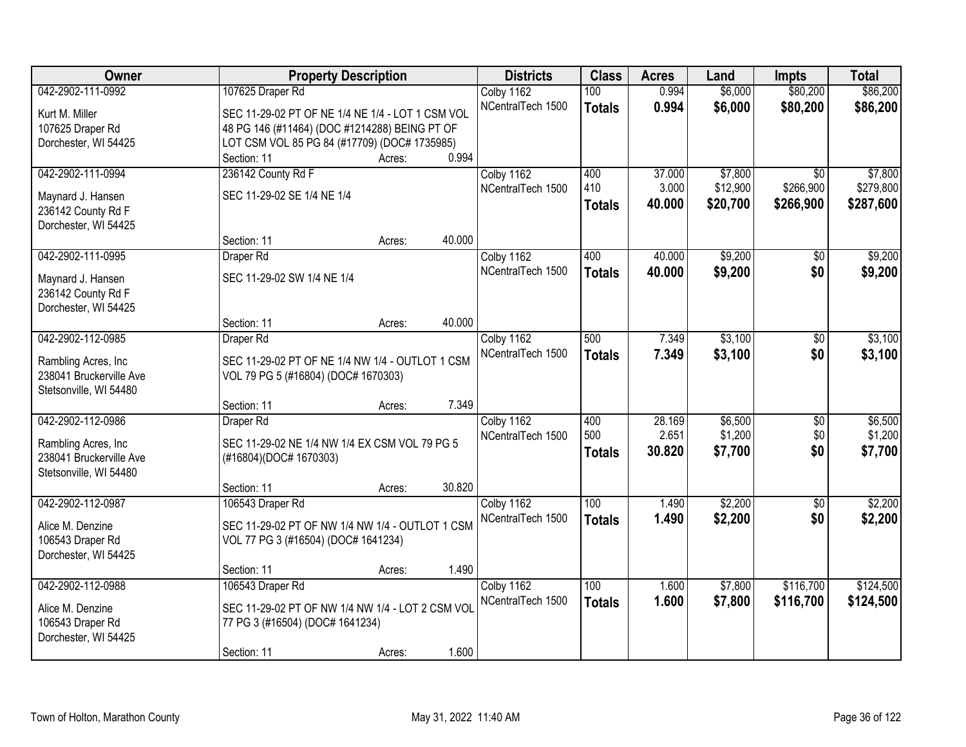| Owner                                   | <b>Property Description</b>                      | <b>Districts</b>  | <b>Class</b>  | <b>Acres</b> | Land     | <b>Impts</b>    | <b>Total</b> |
|-----------------------------------------|--------------------------------------------------|-------------------|---------------|--------------|----------|-----------------|--------------|
| 042-2902-111-0992                       | 107625 Draper Rd                                 | Colby 1162        | 100           | 0.994        | \$6,000  | \$80,200        | \$86,200     |
| Kurt M. Miller                          | SEC 11-29-02 PT OF NE 1/4 NE 1/4 - LOT 1 CSM VOL | NCentralTech 1500 | <b>Totals</b> | 0.994        | \$6,000  | \$80,200        | \$86,200     |
| 107625 Draper Rd                        | 48 PG 146 (#11464) (DOC #1214288) BEING PT OF    |                   |               |              |          |                 |              |
| Dorchester, WI 54425                    | LOT CSM VOL 85 PG 84 (#17709) (DOC# 1735985)     |                   |               |              |          |                 |              |
|                                         | 0.994<br>Section: 11<br>Acres:                   |                   |               |              |          |                 |              |
| 042-2902-111-0994                       | 236142 County Rd F                               | Colby 1162        | 400           | 37.000       | \$7,800  | \$0             | \$7,800      |
|                                         | SEC 11-29-02 SE 1/4 NE 1/4                       | NCentralTech 1500 | 410           | 3.000        | \$12,900 | \$266,900       | \$279,800    |
| Maynard J. Hansen<br>236142 County Rd F |                                                  |                   | <b>Totals</b> | 40.000       | \$20,700 | \$266,900       | \$287,600    |
| Dorchester, WI 54425                    |                                                  |                   |               |              |          |                 |              |
|                                         | 40.000<br>Section: 11<br>Acres:                  |                   |               |              |          |                 |              |
| 042-2902-111-0995                       | Draper Rd                                        | Colby 1162        | 400           | 40.000       | \$9,200  | $\sqrt[6]{}$    | \$9,200      |
|                                         |                                                  | NCentralTech 1500 | <b>Totals</b> | 40.000       | \$9,200  | \$0             | \$9,200      |
| Maynard J. Hansen                       | SEC 11-29-02 SW 1/4 NE 1/4                       |                   |               |              |          |                 |              |
| 236142 County Rd F                      |                                                  |                   |               |              |          |                 |              |
| Dorchester, WI 54425                    | 40.000                                           |                   |               |              |          |                 |              |
| 042-2902-112-0985                       | Section: 11<br>Acres:                            | Colby 1162        | 500           | 7.349        | \$3,100  | \$0             | \$3,100      |
|                                         | Draper Rd                                        | NCentralTech 1500 |               |              |          |                 |              |
| Rambling Acres, Inc.                    | SEC 11-29-02 PT OF NE 1/4 NW 1/4 - OUTLOT 1 CSM  |                   | <b>Totals</b> | 7.349        | \$3,100  | \$0             | \$3,100      |
| 238041 Bruckerville Ave                 | VOL 79 PG 5 (#16804) (DOC# 1670303)              |                   |               |              |          |                 |              |
| Stetsonville, WI 54480                  |                                                  |                   |               |              |          |                 |              |
|                                         | 7.349<br>Section: 11<br>Acres:                   |                   |               |              |          |                 |              |
| 042-2902-112-0986                       | Draper Rd                                        | Colby 1162        | 400           | 28.169       | \$6,500  | $\overline{50}$ | \$6,500      |
| Rambling Acres, Inc.                    | SEC 11-29-02 NE 1/4 NW 1/4 EX CSM VOL 79 PG 5    | NCentralTech 1500 | 500           | 2.651        | \$1,200  | \$0             | \$1,200      |
| 238041 Bruckerville Ave                 | (#16804)(DOC# 1670303)                           |                   | <b>Totals</b> | 30.820       | \$7,700  | \$0             | \$7,700      |
| Stetsonville, WI 54480                  |                                                  |                   |               |              |          |                 |              |
|                                         | 30.820<br>Section: 11<br>Acres:                  |                   |               |              |          |                 |              |
| 042-2902-112-0987                       | 106543 Draper Rd                                 | Colby 1162        | 100           | 1.490        | \$2,200  | $\sqrt{6}$      | \$2,200      |
| Alice M. Denzine                        | SEC 11-29-02 PT OF NW 1/4 NW 1/4 - OUTLOT 1 CSM  | NCentralTech 1500 | <b>Totals</b> | 1.490        | \$2,200  | \$0             | \$2,200      |
| 106543 Draper Rd                        | VOL 77 PG 3 (#16504) (DOC# 1641234)              |                   |               |              |          |                 |              |
| Dorchester, WI 54425                    |                                                  |                   |               |              |          |                 |              |
|                                         | 1.490<br>Section: 11<br>Acres:                   |                   |               |              |          |                 |              |
| 042-2902-112-0988                       | 106543 Draper Rd                                 | Colby 1162        | 100           | 1.600        | \$7,800  | \$116,700       | \$124,500    |
|                                         |                                                  | NCentralTech 1500 | <b>Totals</b> | 1.600        | \$7,800  | \$116,700       | \$124,500    |
| Alice M. Denzine                        | SEC 11-29-02 PT OF NW 1/4 NW 1/4 - LOT 2 CSM VOL |                   |               |              |          |                 |              |
| 106543 Draper Rd                        | 77 PG 3 (#16504) (DOC# 1641234)                  |                   |               |              |          |                 |              |
| Dorchester, WI 54425                    | 1.600                                            |                   |               |              |          |                 |              |
|                                         | Section: 11<br>Acres:                            |                   |               |              |          |                 |              |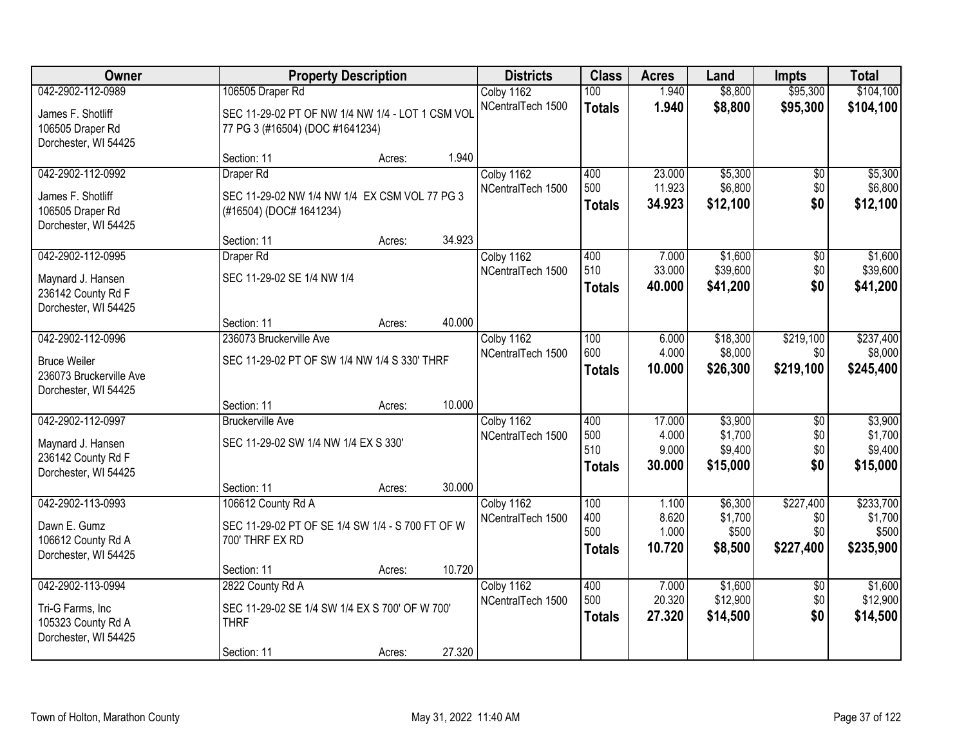| Owner                                           | <b>Property Description</b>                      |        |        | <b>Districts</b>                | <b>Class</b>  | <b>Acres</b>     | Land                | <b>Impts</b>    | <b>Total</b>        |
|-------------------------------------------------|--------------------------------------------------|--------|--------|---------------------------------|---------------|------------------|---------------------|-----------------|---------------------|
| 042-2902-112-0989                               | 106505 Draper Rd                                 |        |        | Colby 1162                      | 100           | 1.940            | \$8,800             | \$95,300        | \$104,100           |
| James F. Shotliff                               | SEC 11-29-02 PT OF NW 1/4 NW 1/4 - LOT 1 CSM VOL |        |        | NCentralTech 1500               | <b>Totals</b> | 1.940            | \$8,800             | \$95,300        | \$104,100           |
| 106505 Draper Rd                                | 77 PG 3 (#16504) (DOC #1641234)                  |        |        |                                 |               |                  |                     |                 |                     |
| Dorchester, WI 54425                            |                                                  |        |        |                                 |               |                  |                     |                 |                     |
|                                                 | Section: 11                                      | Acres: | 1.940  |                                 |               |                  |                     |                 |                     |
| 042-2902-112-0992                               | Draper Rd                                        |        |        | Colby 1162                      | 400           | 23.000           | \$5,300             | \$0             | \$5,300             |
| James F. Shotliff                               | SEC 11-29-02 NW 1/4 NW 1/4 EX CSM VOL 77 PG 3    |        |        | NCentralTech 1500               | 500           | 11.923<br>34.923 | \$6,800             | \$0<br>\$0      | \$6,800<br>\$12,100 |
| 106505 Draper Rd                                | (#16504) (DOC# 1641234)                          |        |        |                                 | <b>Totals</b> |                  | \$12,100            |                 |                     |
| Dorchester, WI 54425                            |                                                  |        |        |                                 |               |                  |                     |                 |                     |
|                                                 | Section: 11                                      | Acres: | 34.923 |                                 |               |                  |                     |                 |                     |
| 042-2902-112-0995                               | Draper Rd                                        |        |        | Colby 1162<br>NCentralTech 1500 | 400<br>510    | 7.000<br>33.000  | \$1,600<br>\$39,600 | \$0<br>\$0      | \$1,600<br>\$39,600 |
| Maynard J. Hansen                               | SEC 11-29-02 SE 1/4 NW 1/4                       |        |        |                                 | <b>Totals</b> | 40.000           | \$41,200            | \$0             | \$41,200            |
| 236142 County Rd F                              |                                                  |        |        |                                 |               |                  |                     |                 |                     |
| Dorchester, WI 54425                            | Section: 11                                      |        | 40.000 |                                 |               |                  |                     |                 |                     |
| 042-2902-112-0996                               | 236073 Bruckerville Ave                          | Acres: |        | Colby 1162                      | 100           | 6.000            | \$18,300            | \$219,100       | \$237,400           |
|                                                 |                                                  |        |        | NCentralTech 1500               | 600           | 4.000            | \$8,000             | \$0             | \$8,000             |
| <b>Bruce Weiler</b>                             | SEC 11-29-02 PT OF SW 1/4 NW 1/4 S 330' THRF     |        |        |                                 | <b>Totals</b> | 10.000           | \$26,300            | \$219,100       | \$245,400           |
| 236073 Bruckerville Ave<br>Dorchester, WI 54425 |                                                  |        |        |                                 |               |                  |                     |                 |                     |
|                                                 | Section: 11                                      | Acres: | 10.000 |                                 |               |                  |                     |                 |                     |
| 042-2902-112-0997                               | <b>Bruckerville Ave</b>                          |        |        | Colby 1162                      | 400           | 17.000           | \$3,900             | $\overline{50}$ | \$3,900             |
|                                                 | SEC 11-29-02 SW 1/4 NW 1/4 EX S 330'             |        |        | NCentralTech 1500               | 500           | 4.000            | \$1,700             | \$0             | \$1,700             |
| Maynard J. Hansen<br>236142 County Rd F         |                                                  |        |        |                                 | 510           | 9.000            | \$9,400             | \$0             | \$9,400             |
| Dorchester, WI 54425                            |                                                  |        |        |                                 | <b>Totals</b> | 30.000           | \$15,000            | \$0             | \$15,000            |
|                                                 | Section: 11                                      | Acres: | 30.000 |                                 |               |                  |                     |                 |                     |
| 042-2902-113-0993                               | 106612 County Rd A                               |        |        | Colby 1162                      | 100           | 1.100            | \$6,300             | \$227,400       | \$233,700           |
| Dawn E. Gumz                                    | SEC 11-29-02 PT OF SE 1/4 SW 1/4 - S 700 FT OF W |        |        | NCentralTech 1500               | 400           | 8.620            | \$1,700             | \$0             | \$1,700             |
| 106612 County Rd A                              | 700' THRF EX RD                                  |        |        |                                 | 500           | 1.000            | \$500               | \$0             | \$500               |
| Dorchester, WI 54425                            |                                                  |        |        |                                 | <b>Totals</b> | 10.720           | \$8,500             | \$227,400       | \$235,900           |
|                                                 | Section: 11                                      | Acres: | 10.720 |                                 |               |                  |                     |                 |                     |
| 042-2902-113-0994                               | 2822 County Rd A                                 |        |        | Colby 1162                      | 400<br>500    | 7.000            | \$1,600             | $\overline{30}$ | \$1,600             |
| Tri-G Farms, Inc                                | SEC 11-29-02 SE 1/4 SW 1/4 EX S 700' OF W 700'   |        |        | NCentralTech 1500               |               | 20.320           | \$12,900            | \$0<br>\$0      | \$12,900            |
| 105323 County Rd A                              | <b>THRF</b>                                      |        |        |                                 | <b>Totals</b> | 27.320           | \$14,500            |                 | \$14,500            |
| Dorchester, WI 54425                            |                                                  |        |        |                                 |               |                  |                     |                 |                     |
|                                                 | Section: 11                                      | Acres: | 27.320 |                                 |               |                  |                     |                 |                     |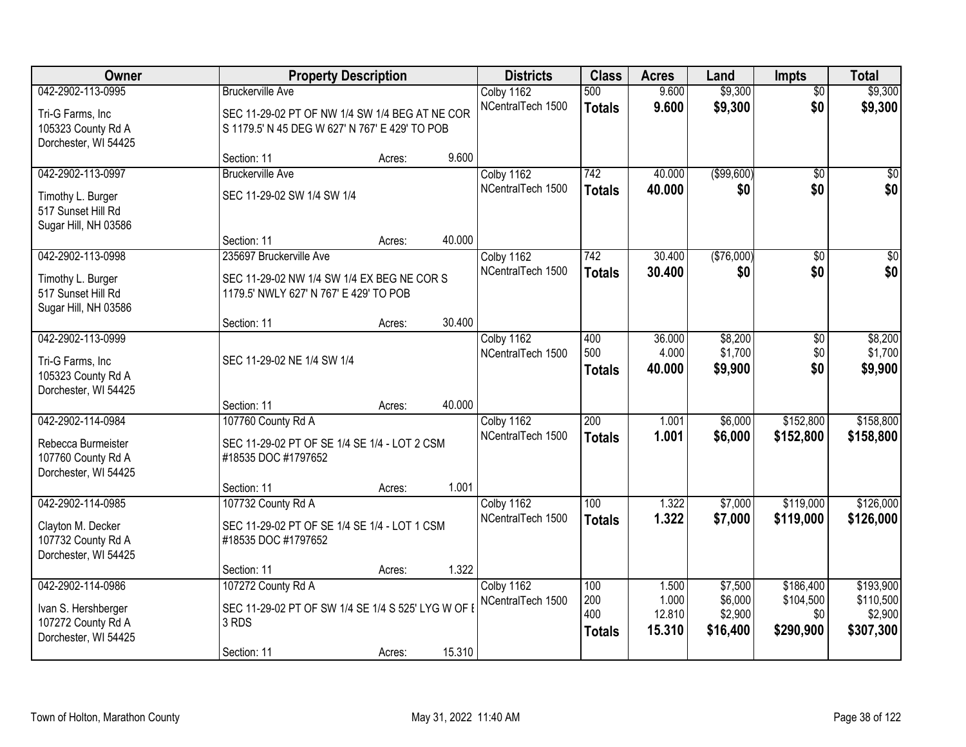| Owner                                      | <b>Property Description</b>                        |        |        | <b>Districts</b>  | <b>Class</b>     | <b>Acres</b> | Land        | <b>Impts</b>    | <b>Total</b>    |
|--------------------------------------------|----------------------------------------------------|--------|--------|-------------------|------------------|--------------|-------------|-----------------|-----------------|
| 042-2902-113-0995                          | <b>Bruckerville Ave</b>                            |        |        | Colby 1162        | 500              | 9.600        | \$9,300     | $\overline{50}$ | \$9,300         |
| Tri-G Farms, Inc                           | SEC 11-29-02 PT OF NW 1/4 SW 1/4 BEG AT NE COR     |        |        | NCentralTech 1500 | <b>Totals</b>    | 9.600        | \$9,300     | \$0             | \$9,300         |
| 105323 County Rd A                         | S 1179.5' N 45 DEG W 627' N 767' E 429' TO POB     |        |        |                   |                  |              |             |                 |                 |
| Dorchester, WI 54425                       |                                                    |        |        |                   |                  |              |             |                 |                 |
|                                            | Section: 11                                        | Acres: | 9.600  |                   |                  |              |             |                 |                 |
| 042-2902-113-0997                          | <b>Bruckerville Ave</b>                            |        |        | Colby 1162        | 742              | 40.000       | ( \$99,600) | $\overline{50}$ | \$0             |
| Timothy L. Burger                          | SEC 11-29-02 SW 1/4 SW 1/4                         |        |        | NCentralTech 1500 | <b>Totals</b>    | 40.000       | \$0         | \$0             | \$0             |
| 517 Sunset Hill Rd                         |                                                    |        |        |                   |                  |              |             |                 |                 |
| Sugar Hill, NH 03586                       |                                                    |        | 40.000 |                   |                  |              |             |                 |                 |
| 042-2902-113-0998                          | Section: 11<br>235697 Bruckerville Ave             | Acres: |        | Colby 1162        | 742              | 30.400       | (\$76,000)  | \$0             | $\overline{30}$ |
|                                            |                                                    |        |        | NCentralTech 1500 | <b>Totals</b>    | 30.400       | \$0         | \$0             | \$0             |
| Timothy L. Burger                          | SEC 11-29-02 NW 1/4 SW 1/4 EX BEG NE COR S         |        |        |                   |                  |              |             |                 |                 |
| 517 Sunset Hill Rd<br>Sugar Hill, NH 03586 | 1179.5' NWLY 627' N 767' E 429' TO POB             |        |        |                   |                  |              |             |                 |                 |
|                                            | Section: 11                                        | Acres: | 30.400 |                   |                  |              |             |                 |                 |
| 042-2902-113-0999                          |                                                    |        |        | Colby 1162        | 400              | 36.000       | \$8,200     | \$0             | \$8,200         |
|                                            | SEC 11-29-02 NE 1/4 SW 1/4                         |        |        | NCentralTech 1500 | 500              | 4.000        | \$1,700     | \$0             | \$1,700         |
| Tri-G Farms, Inc<br>105323 County Rd A     |                                                    |        |        |                   | <b>Totals</b>    | 40.000       | \$9,900     | \$0             | \$9,900         |
| Dorchester, WI 54425                       |                                                    |        |        |                   |                  |              |             |                 |                 |
|                                            | Section: 11                                        | Acres: | 40.000 |                   |                  |              |             |                 |                 |
| 042-2902-114-0984                          | 107760 County Rd A                                 |        |        | Colby 1162        | $\overline{200}$ | 1.001        | \$6,000     | \$152,800       | \$158,800       |
| Rebecca Burmeister                         | SEC 11-29-02 PT OF SE 1/4 SE 1/4 - LOT 2 CSM       |        |        | NCentralTech 1500 | <b>Totals</b>    | 1.001        | \$6,000     | \$152,800       | \$158,800       |
| 107760 County Rd A                         | #18535 DOC #1797652                                |        |        |                   |                  |              |             |                 |                 |
| Dorchester, WI 54425                       |                                                    |        |        |                   |                  |              |             |                 |                 |
|                                            | Section: 11                                        | Acres: | 1.001  |                   |                  |              |             |                 |                 |
| 042-2902-114-0985                          | 107732 County Rd A                                 |        |        | Colby 1162        | 100              | 1.322        | \$7,000     | \$119,000       | \$126,000       |
| Clayton M. Decker                          | SEC 11-29-02 PT OF SE 1/4 SE 1/4 - LOT 1 CSM       |        |        | NCentralTech 1500 | <b>Totals</b>    | 1.322        | \$7,000     | \$119,000       | \$126,000       |
| 107732 County Rd A                         | #18535 DOC #1797652                                |        |        |                   |                  |              |             |                 |                 |
| Dorchester, WI 54425                       |                                                    |        |        |                   |                  |              |             |                 |                 |
| 042-2902-114-0986                          | Section: 11<br>107272 County Rd A                  | Acres: | 1.322  | Colby 1162        | 100              | 1.500        | \$7,500     | \$186,400       | \$193,900       |
|                                            |                                                    |        |        | NCentralTech 1500 | 200              | 1.000        | \$6,000     | \$104,500       | \$110,500       |
| Ivan S. Hershberger                        | SEC 11-29-02 PT OF SW 1/4 SE 1/4 S 525' LYG W OF I |        |        |                   | 400              | 12.810       | \$2,900     | \$0             | \$2,900         |
| 107272 County Rd A<br>Dorchester, WI 54425 | 3 RDS                                              |        |        |                   | <b>Totals</b>    | 15.310       | \$16,400    | \$290,900       | \$307,300       |
|                                            | Section: 11                                        | Acres: | 15.310 |                   |                  |              |             |                 |                 |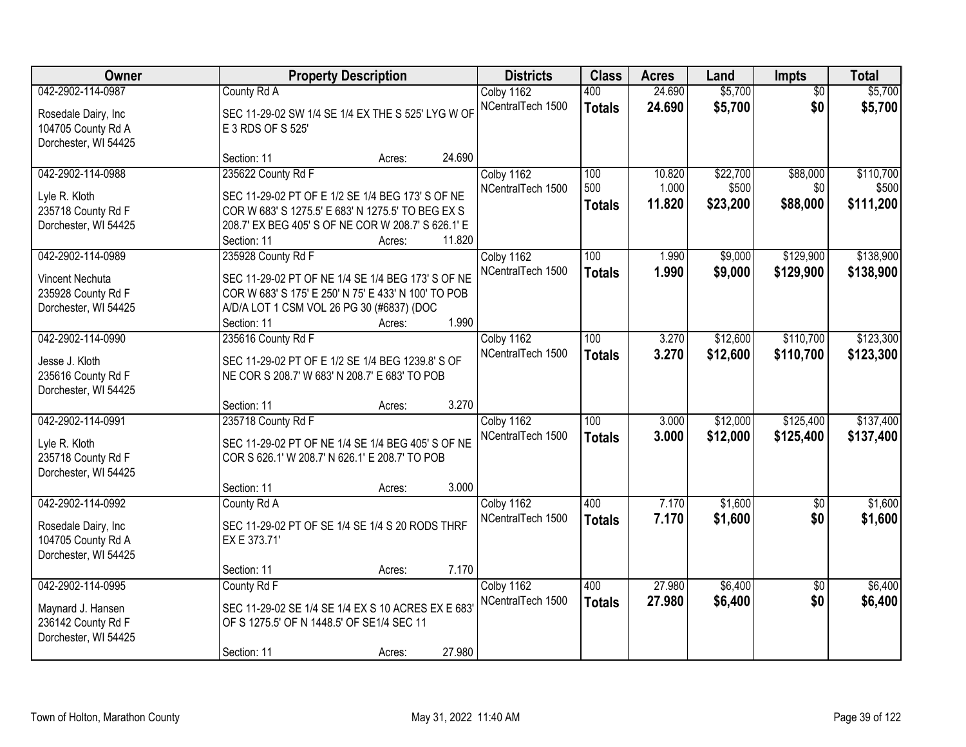| Owner                                                                                  | <b>Property Description</b>                                                                                                                                                                                          | <b>Districts</b>                | <b>Class</b>                      | <b>Acres</b>              | Land                          | Impts                       | <b>Total</b>                    |
|----------------------------------------------------------------------------------------|----------------------------------------------------------------------------------------------------------------------------------------------------------------------------------------------------------------------|---------------------------------|-----------------------------------|---------------------------|-------------------------------|-----------------------------|---------------------------------|
| 042-2902-114-0987<br>Rosedale Dairy, Inc<br>104705 County Rd A<br>Dorchester, WI 54425 | County Rd A<br>SEC 11-29-02 SW 1/4 SE 1/4 EX THE S 525' LYG W OF<br>E 3 RDS OF S 525'                                                                                                                                | Colby 1162<br>NCentralTech 1500 | 400<br><b>Totals</b>              | 24.690<br>24.690          | \$5,700<br>\$5,700            | $\overline{50}$<br>\$0      | \$5,700<br>\$5,700              |
|                                                                                        | 24.690<br>Section: 11<br>Acres:                                                                                                                                                                                      |                                 |                                   |                           |                               |                             |                                 |
| 042-2902-114-0988<br>Lyle R. Kloth<br>235718 County Rd F<br>Dorchester, WI 54425       | 235622 County Rd F<br>SEC 11-29-02 PT OF E 1/2 SE 1/4 BEG 173' S OF NE<br>COR W 683' S 1275.5' E 683' N 1275.5' TO BEG EX S<br>208.7' EX BEG 405' S OF NE COR W 208.7' S 626.1' E<br>11.820<br>Section: 11<br>Acres: | Colby 1162<br>NCentralTech 1500 | 100<br>500<br><b>Totals</b>       | 10.820<br>1.000<br>11.820 | \$22,700<br>\$500<br>\$23,200 | \$88,000<br>\$0<br>\$88,000 | \$110,700<br>\$500<br>\$111,200 |
| 042-2902-114-0989<br>Vincent Nechuta<br>235928 County Rd F<br>Dorchester, WI 54425     | 235928 County Rd F<br>SEC 11-29-02 PT OF NE 1/4 SE 1/4 BEG 173' S OF NE<br>COR W 683' S 175' E 250' N 75' E 433' N 100' TO POB<br>A/D/A LOT 1 CSM VOL 26 PG 30 (#6837) (DOC<br>1.990<br>Section: 11<br>Acres:        | Colby 1162<br>NCentralTech 1500 | 100<br><b>Totals</b>              | 1.990<br>1.990            | \$9,000<br>\$9,000            | \$129,900<br>\$129,900      | \$138,900<br>\$138,900          |
| 042-2902-114-0990<br>Jesse J. Kloth<br>235616 County Rd F<br>Dorchester, WI 54425      | 235616 County Rd F<br>SEC 11-29-02 PT OF E 1/2 SE 1/4 BEG 1239.8' S OF<br>NE COR S 208.7' W 683' N 208.7' E 683' TO POB<br>3.270<br>Section: 11<br>Acres:                                                            | Colby 1162<br>NCentralTech 1500 | 100<br><b>Totals</b>              | 3.270<br>3.270            | \$12,600<br>\$12,600          | \$110,700<br>\$110,700      | \$123,300<br>\$123,300          |
| 042-2902-114-0991<br>Lyle R. Kloth<br>235718 County Rd F<br>Dorchester, WI 54425       | 235718 County Rd F<br>SEC 11-29-02 PT OF NE 1/4 SE 1/4 BEG 405' S OF NE<br>COR S 626.1' W 208.7' N 626.1' E 208.7' TO POB<br>3.000<br>Section: 11<br>Acres:                                                          | Colby 1162<br>NCentralTech 1500 | $\overline{100}$<br><b>Totals</b> | 3.000<br>3.000            | \$12,000<br>\$12,000          | \$125,400<br>\$125,400      | \$137,400<br>\$137,400          |
| 042-2902-114-0992<br>Rosedale Dairy, Inc<br>104705 County Rd A<br>Dorchester, WI 54425 | County Rd A<br>SEC 11-29-02 PT OF SE 1/4 SE 1/4 S 20 RODS THRF<br>EX E 373.71'<br>7.170<br>Section: 11<br>Acres:                                                                                                     | Colby 1162<br>NCentralTech 1500 | 400<br><b>Totals</b>              | 7.170<br>7.170            | \$1,600<br>\$1,600            | $\overline{50}$<br>\$0      | \$1,600<br>\$1,600              |
| 042-2902-114-0995<br>Maynard J. Hansen<br>236142 County Rd F<br>Dorchester, WI 54425   | County Rd F<br>SEC 11-29-02 SE 1/4 SE 1/4 EX S 10 ACRES EX E 683<br>OF S 1275.5' OF N 1448.5' OF SE1/4 SEC 11<br>27.980<br>Section: 11<br>Acres:                                                                     | Colby 1162<br>NCentralTech 1500 | 400<br><b>Totals</b>              | 27.980<br>27.980          | \$6,400<br>\$6,400            | $\overline{50}$<br>\$0      | \$6,400<br>\$6,400              |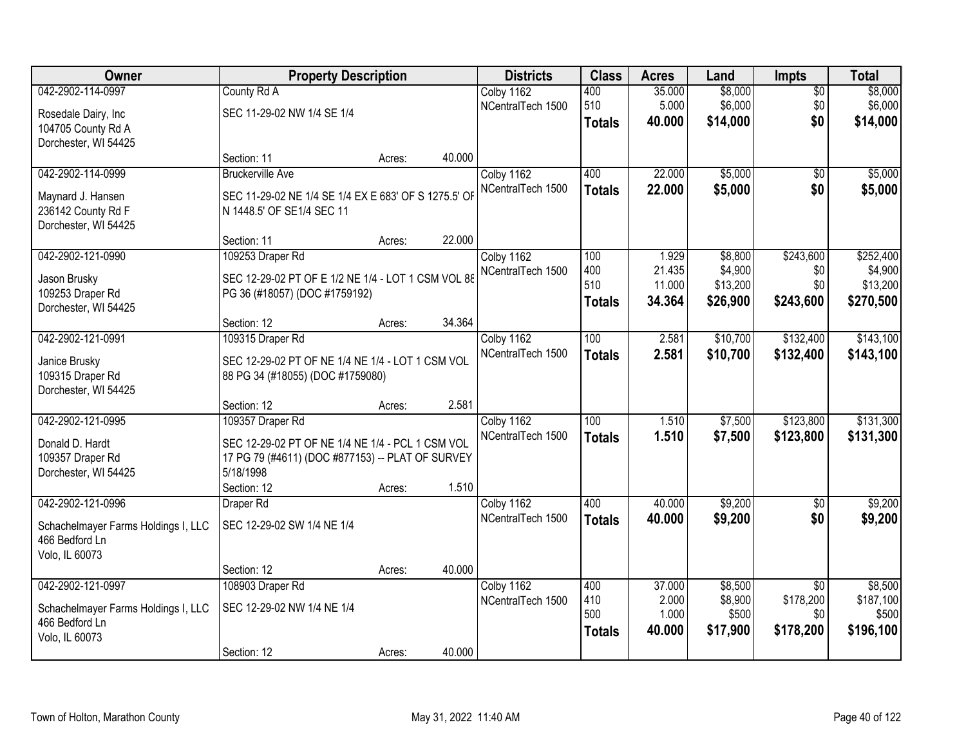| Owner                               | <b>Property Description</b>                          |        |        | <b>Districts</b>  | <b>Class</b>     | <b>Acres</b>     | Land             | Impts            | <b>Total</b>       |
|-------------------------------------|------------------------------------------------------|--------|--------|-------------------|------------------|------------------|------------------|------------------|--------------------|
| 042-2902-114-0997                   | County Rd A                                          |        |        | Colby 1162        | 400              | 35.000           | \$8,000          | $\overline{50}$  | \$8,000            |
| Rosedale Dairy, Inc                 | SEC 11-29-02 NW 1/4 SE 1/4                           |        |        | NCentralTech 1500 | 510              | 5.000            | \$6,000          | \$0              | \$6,000            |
| 104705 County Rd A                  |                                                      |        |        |                   | <b>Totals</b>    | 40.000           | \$14,000         | \$0              | \$14,000           |
| Dorchester, WI 54425                |                                                      |        |        |                   |                  |                  |                  |                  |                    |
|                                     | Section: 11                                          | Acres: | 40.000 |                   |                  |                  |                  |                  |                    |
| 042-2902-114-0999                   | <b>Bruckerville Ave</b>                              |        |        | Colby 1162        | 400              | 22.000           | \$5,000          | \$0              | \$5,000            |
| Maynard J. Hansen                   | SEC 11-29-02 NE 1/4 SE 1/4 EX E 683' OF S 1275.5' OF |        |        | NCentralTech 1500 | <b>Totals</b>    | 22.000           | \$5,000          | \$0              | \$5,000            |
| 236142 County Rd F                  | N 1448.5' OF SE1/4 SEC 11                            |        |        |                   |                  |                  |                  |                  |                    |
| Dorchester, WI 54425                |                                                      |        |        |                   |                  |                  |                  |                  |                    |
|                                     | Section: 11                                          | Acres: | 22.000 |                   |                  |                  |                  |                  |                    |
| 042-2902-121-0990                   | 109253 Draper Rd                                     |        |        | Colby 1162        | 100              | 1.929            | \$8,800          | \$243,600        | \$252,400          |
| Jason Brusky                        | SEC 12-29-02 PT OF E 1/2 NE 1/4 - LOT 1 CSM VOL 88   |        |        | NCentralTech 1500 | 400<br>510       | 21.435           | \$4,900          | \$0              | \$4,900            |
| 109253 Draper Rd                    | PG 36 (#18057) (DOC #1759192)                        |        |        |                   |                  | 11.000<br>34.364 | \$13,200         | \$0<br>\$243,600 | \$13,200           |
| Dorchester, WI 54425                |                                                      |        |        |                   | <b>Totals</b>    |                  | \$26,900         |                  | \$270,500          |
|                                     | Section: 12                                          | Acres: | 34.364 |                   |                  |                  |                  |                  |                    |
| 042-2902-121-0991                   | 109315 Draper Rd                                     |        |        | Colby 1162        | 100              | 2.581            | \$10,700         | \$132,400        | \$143,100          |
| Janice Brusky                       | SEC 12-29-02 PT OF NE 1/4 NE 1/4 - LOT 1 CSM VOL     |        |        | NCentralTech 1500 | <b>Totals</b>    | 2.581            | \$10,700         | \$132,400        | \$143,100          |
| 109315 Draper Rd                    | 88 PG 34 (#18055) (DOC #1759080)                     |        |        |                   |                  |                  |                  |                  |                    |
| Dorchester, WI 54425                |                                                      |        |        |                   |                  |                  |                  |                  |                    |
|                                     | Section: 12                                          | Acres: | 2.581  |                   |                  |                  |                  |                  |                    |
| 042-2902-121-0995                   | 109357 Draper Rd                                     |        |        | Colby 1162        | $\overline{100}$ | 1.510            | \$7,500          | \$123,800        | \$131,300          |
| Donald D. Hardt                     | SEC 12-29-02 PT OF NE 1/4 NE 1/4 - PCL 1 CSM VOL     |        |        | NCentralTech 1500 | <b>Totals</b>    | 1.510            | \$7,500          | \$123,800        | \$131,300          |
| 109357 Draper Rd                    | 17 PG 79 (#4611) (DOC #877153) -- PLAT OF SURVEY     |        |        |                   |                  |                  |                  |                  |                    |
| Dorchester, WI 54425                | 5/18/1998                                            |        |        |                   |                  |                  |                  |                  |                    |
|                                     | Section: 12                                          | Acres: | 1.510  |                   |                  |                  |                  |                  |                    |
| 042-2902-121-0996                   | Draper Rd                                            |        |        | Colby 1162        | 400              | 40.000           | \$9,200          | $\overline{50}$  | \$9,200            |
| Schachelmayer Farms Holdings I, LLC | SEC 12-29-02 SW 1/4 NE 1/4                           |        |        | NCentralTech 1500 | <b>Totals</b>    | 40.000           | \$9,200          | \$0              | \$9,200            |
| 466 Bedford Ln                      |                                                      |        |        |                   |                  |                  |                  |                  |                    |
| Volo, IL 60073                      |                                                      |        |        |                   |                  |                  |                  |                  |                    |
|                                     | Section: 12                                          | Acres: | 40.000 |                   |                  |                  |                  |                  |                    |
| 042-2902-121-0997                   | 108903 Draper Rd                                     |        |        | Colby 1162        | 400              | 37,000           | \$8,500          | $\overline{30}$  | \$8,500            |
| Schachelmayer Farms Holdings I, LLC | SEC 12-29-02 NW 1/4 NE 1/4                           |        |        | NCentralTech 1500 | 410<br>500       | 2.000<br>1.000   | \$8,900<br>\$500 | \$178,200<br>\$0 | \$187,100<br>\$500 |
| 466 Bedford Ln                      |                                                      |        |        |                   | <b>Totals</b>    | 40.000           | \$17,900         | \$178,200        | \$196,100          |
| Volo, IL 60073                      |                                                      |        |        |                   |                  |                  |                  |                  |                    |
|                                     | Section: 12                                          | Acres: | 40.000 |                   |                  |                  |                  |                  |                    |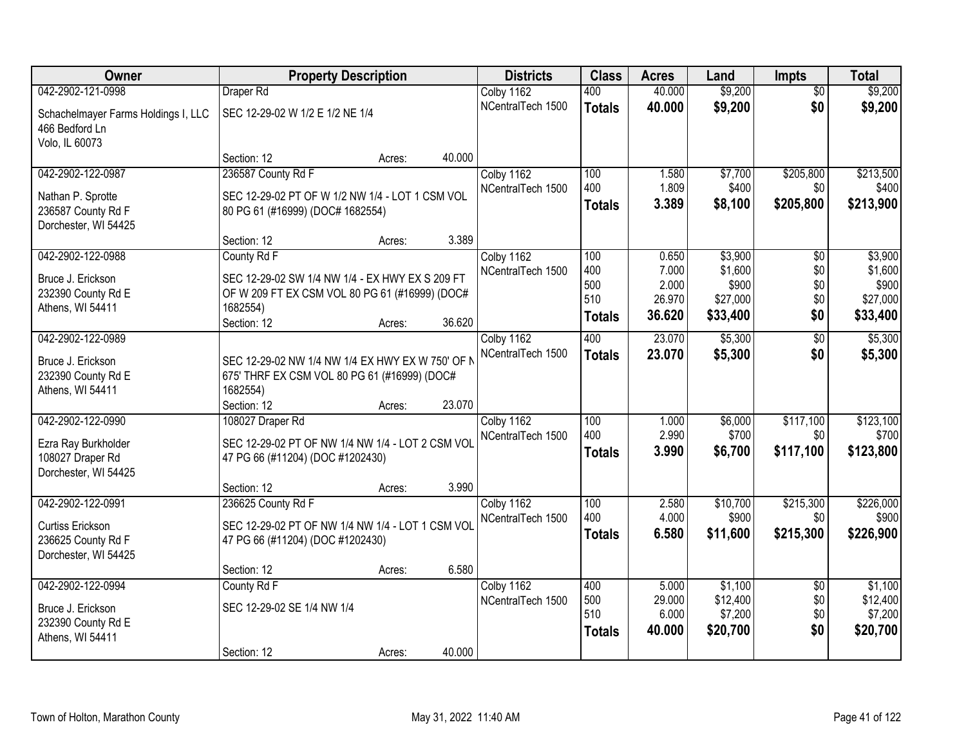| Owner                               | <b>Property Description</b>                      |                  | <b>Districts</b>  | <b>Class</b>  | <b>Acres</b>    | Land              | <b>Impts</b>    | <b>Total</b>      |
|-------------------------------------|--------------------------------------------------|------------------|-------------------|---------------|-----------------|-------------------|-----------------|-------------------|
| 042-2902-121-0998                   | Draper Rd                                        |                  | Colby 1162        | 400           | 40.000          | \$9,200           | $\overline{50}$ | \$9,200           |
| Schachelmayer Farms Holdings I, LLC | SEC 12-29-02 W 1/2 E 1/2 NE 1/4                  |                  | NCentralTech 1500 | <b>Totals</b> | 40.000          | \$9,200           | \$0             | \$9,200           |
| 466 Bedford Ln                      |                                                  |                  |                   |               |                 |                   |                 |                   |
| Volo, IL 60073                      |                                                  |                  |                   |               |                 |                   |                 |                   |
|                                     | Section: 12                                      | 40.000<br>Acres: |                   |               |                 |                   |                 |                   |
| 042-2902-122-0987                   | 236587 County Rd F                               |                  | Colby 1162        | 100           | 1.580           | \$7,700           | \$205,800       | \$213,500         |
| Nathan P. Sprotte                   | SEC 12-29-02 PT OF W 1/2 NW 1/4 - LOT 1 CSM VOL  |                  | NCentralTech 1500 | 400           | 1.809           | \$400             | \$0             | \$400             |
| 236587 County Rd F                  | 80 PG 61 (#16999) (DOC# 1682554)                 |                  |                   | <b>Totals</b> | 3.389           | \$8,100           | \$205,800       | \$213,900         |
| Dorchester, WI 54425                |                                                  |                  |                   |               |                 |                   |                 |                   |
|                                     | Section: 12                                      | 3.389<br>Acres:  |                   |               |                 |                   |                 |                   |
| 042-2902-122-0988                   | County Rd F                                      |                  | Colby 1162        | 100           | 0.650           | \$3,900           | \$0             | \$3,900           |
| Bruce J. Erickson                   | SEC 12-29-02 SW 1/4 NW 1/4 - EX HWY EX S 209 FT  |                  | NCentralTech 1500 | 400           | 7.000           | \$1,600           | \$0             | \$1,600           |
| 232390 County Rd E                  | OF W 209 FT EX CSM VOL 80 PG 61 (#16999) (DOC#   |                  |                   | 500<br>510    | 2.000<br>26.970 | \$900<br>\$27,000 | \$0<br>\$0      | \$900<br>\$27,000 |
| Athens, WI 54411                    | 1682554)                                         |                  |                   | Totals        | 36.620          | \$33,400          | \$0             | \$33,400          |
|                                     | Section: 12                                      | 36.620<br>Acres: |                   |               |                 |                   |                 |                   |
| 042-2902-122-0989                   |                                                  |                  | Colby 1162        | 400           | 23.070          | \$5,300           | \$0             | \$5,300           |
| Bruce J. Erickson                   | SEC 12-29-02 NW 1/4 NW 1/4 EX HWY EX W 750' OF N |                  | NCentralTech 1500 | <b>Totals</b> | 23.070          | \$5,300           | \$0             | \$5,300           |
| 232390 County Rd E                  | 675' THRF EX CSM VOL 80 PG 61 (#16999) (DOC#     |                  |                   |               |                 |                   |                 |                   |
| Athens, WI 54411                    | 1682554)                                         |                  |                   |               |                 |                   |                 |                   |
|                                     | Section: 12                                      | 23.070<br>Acres: |                   |               |                 |                   |                 |                   |
| 042-2902-122-0990                   | 108027 Draper Rd                                 |                  | Colby 1162        | 100           | 1.000           | \$6,000           | \$117,100       | \$123,100         |
| Ezra Ray Burkholder                 | SEC 12-29-02 PT OF NW 1/4 NW 1/4 - LOT 2 CSM VOI |                  | NCentralTech 1500 | 400           | 2.990           | \$700             | \$0             | \$700             |
| 108027 Draper Rd                    | 47 PG 66 (#11204) (DOC #1202430)                 |                  |                   | <b>Totals</b> | 3.990           | \$6,700           | \$117,100       | \$123,800         |
| Dorchester, WI 54425                |                                                  |                  |                   |               |                 |                   |                 |                   |
|                                     | Section: 12                                      | 3.990<br>Acres:  |                   |               |                 |                   |                 |                   |
| 042-2902-122-0991                   | 236625 County Rd F                               |                  | Colby 1162        | 100           | 2.580           | \$10,700          | \$215,300       | \$226,000         |
| Curtiss Erickson                    | SEC 12-29-02 PT OF NW 1/4 NW 1/4 - LOT 1 CSM VOL |                  | NCentralTech 1500 | 400           | 4.000           | \$900             | \$0             | \$900             |
| 236625 County Rd F                  | 47 PG 66 (#11204) (DOC #1202430)                 |                  |                   | <b>Totals</b> | 6.580           | \$11,600          | \$215,300       | \$226,900         |
| Dorchester, WI 54425                |                                                  |                  |                   |               |                 |                   |                 |                   |
|                                     | Section: 12                                      | 6.580<br>Acres:  |                   |               |                 |                   |                 |                   |
| 042-2902-122-0994                   | County Rd F                                      |                  | Colby 1162        | 400           | 5.000           | \$1,100           | $\overline{50}$ | \$1,100           |
| Bruce J. Erickson                   | SEC 12-29-02 SE 1/4 NW 1/4                       |                  | NCentralTech 1500 | 500           | 29.000          | \$12,400          | \$0             | \$12,400          |
| 232390 County Rd E                  |                                                  |                  |                   | 510           | 6.000           | \$7,200           | \$0             | \$7,200           |
| Athens, WI 54411                    |                                                  |                  |                   | <b>Totals</b> | 40.000          | \$20,700          | \$0             | \$20,700          |
|                                     | Section: 12                                      | 40.000<br>Acres: |                   |               |                 |                   |                 |                   |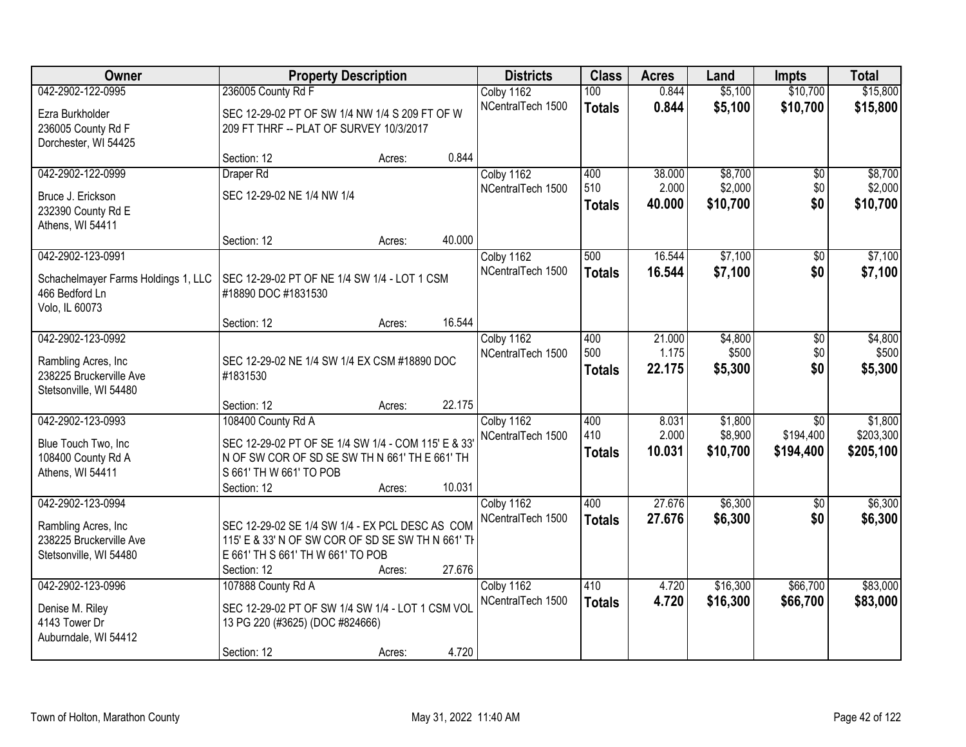| Owner                               | <b>Property Description</b>                        |        |        | <b>Districts</b>  | <b>Class</b>  | <b>Acres</b>    | Land                | <b>Impts</b>    | <b>Total</b> |
|-------------------------------------|----------------------------------------------------|--------|--------|-------------------|---------------|-----------------|---------------------|-----------------|--------------|
| 042-2902-122-0995                   | 236005 County Rd F                                 |        |        | Colby 1162        | 100           | 0.844           | \$5,100             | \$10,700        | \$15,800     |
| Ezra Burkholder                     | SEC 12-29-02 PT OF SW 1/4 NW 1/4 S 209 FT OF W     |        |        | NCentralTech 1500 | <b>Totals</b> | 0.844           | \$5,100             | \$10,700        | \$15,800     |
| 236005 County Rd F                  | 209 FT THRF -- PLAT OF SURVEY 10/3/2017            |        |        |                   |               |                 |                     |                 |              |
| Dorchester, WI 54425                |                                                    |        |        |                   |               |                 |                     |                 |              |
|                                     | Section: 12                                        | Acres: | 0.844  |                   |               |                 |                     |                 |              |
| 042-2902-122-0999                   | Draper Rd                                          |        |        | Colby 1162        | 400           | 38.000          | \$8,700             | \$0             | \$8,700      |
| Bruce J. Erickson                   | SEC 12-29-02 NE 1/4 NW 1/4                         |        |        | NCentralTech 1500 | 510           | 2.000           | \$2,000             | \$0             | \$2,000      |
| 232390 County Rd E                  |                                                    |        |        |                   | <b>Totals</b> | 40.000          | \$10,700            | \$0             | \$10,700     |
| Athens, WI 54411                    |                                                    |        |        |                   |               |                 |                     |                 |              |
|                                     | Section: 12                                        | Acres: | 40.000 |                   |               |                 |                     |                 |              |
| 042-2902-123-0991                   |                                                    |        |        | Colby 1162        | 500           | 16.544          | \$7,100             | \$0             | \$7,100      |
| Schachelmayer Farms Holdings 1, LLC | SEC 12-29-02 PT OF NE 1/4 SW 1/4 - LOT 1 CSM       |        |        | NCentralTech 1500 | <b>Totals</b> | 16.544          | \$7,100             | \$0             | \$7,100      |
| 466 Bedford Ln                      | #18890 DOC #1831530                                |        |        |                   |               |                 |                     |                 |              |
| Volo, IL 60073                      |                                                    |        |        |                   |               |                 |                     |                 |              |
|                                     | Section: 12                                        | Acres: | 16.544 |                   |               |                 |                     |                 |              |
| 042-2902-123-0992                   |                                                    |        |        | Colby 1162        | 400           | 21.000          | \$4,800             | \$0             | \$4,800      |
| Rambling Acres, Inc.                | SEC 12-29-02 NE 1/4 SW 1/4 EX CSM #18890 DOC       |        |        | NCentralTech 1500 | 500           | 1.175           | \$500               | \$0<br>\$0      | \$500        |
| 238225 Bruckerville Ave             | #1831530                                           |        |        |                   | <b>Totals</b> | 22.175          | \$5,300             |                 | \$5,300      |
| Stetsonville, WI 54480              |                                                    |        |        |                   |               |                 |                     |                 |              |
|                                     | Section: 12                                        | Acres: | 22.175 |                   |               |                 |                     |                 |              |
| 042-2902-123-0993                   | 108400 County Rd A                                 |        |        | Colby 1162        | 400<br>410    | 8.031           | \$1,800             | $\overline{50}$ | \$1,800      |
| Blue Touch Two, Inc                 | SEC 12-29-02 PT OF SE 1/4 SW 1/4 - COM 115' E & 33 |        |        | NCentralTech 1500 |               | 2.000<br>10.031 | \$8,900<br>\$10,700 | \$194,400       | \$203,300    |
| 108400 County Rd A                  | N OF SW COR OF SD SE SW TH N 661' TH E 661' TH     |        |        |                   | <b>Totals</b> |                 |                     | \$194,400       | \$205,100    |
| Athens, WI 54411                    | S 661' TH W 661' TO POB                            |        |        |                   |               |                 |                     |                 |              |
|                                     | Section: 12                                        | Acres: | 10.031 |                   |               |                 |                     |                 |              |
| 042-2902-123-0994                   |                                                    |        |        | Colby 1162        | 400           | 27.676          | \$6,300             | \$0             | \$6,300      |
| Rambling Acres, Inc                 | SEC 12-29-02 SE 1/4 SW 1/4 - EX PCL DESC AS COM    |        |        | NCentralTech 1500 | <b>Totals</b> | 27.676          | \$6,300             | \$0             | \$6,300      |
| 238225 Bruckerville Ave             | 115' E & 33' N OF SW COR OF SD SE SW TH N 661' TH  |        |        |                   |               |                 |                     |                 |              |
| Stetsonville, WI 54480              | E 661' TH S 661' TH W 661' TO POB                  |        |        |                   |               |                 |                     |                 |              |
|                                     | Section: 12                                        | Acres: | 27.676 |                   |               |                 |                     |                 |              |
| 042-2902-123-0996                   | 107888 County Rd A                                 |        |        | Colby 1162        | 410           | 4.720           | \$16,300            | \$66,700        | \$83,000     |
| Denise M. Riley                     | SEC 12-29-02 PT OF SW 1/4 SW 1/4 - LOT 1 CSM VOL   |        |        | NCentralTech 1500 | <b>Totals</b> | 4.720           | \$16,300            | \$66,700        | \$83,000     |
| 4143 Tower Dr                       | 13 PG 220 (#3625) (DOC #824666)                    |        |        |                   |               |                 |                     |                 |              |
| Auburndale, WI 54412                |                                                    |        |        |                   |               |                 |                     |                 |              |
|                                     | Section: 12                                        | Acres: | 4.720  |                   |               |                 |                     |                 |              |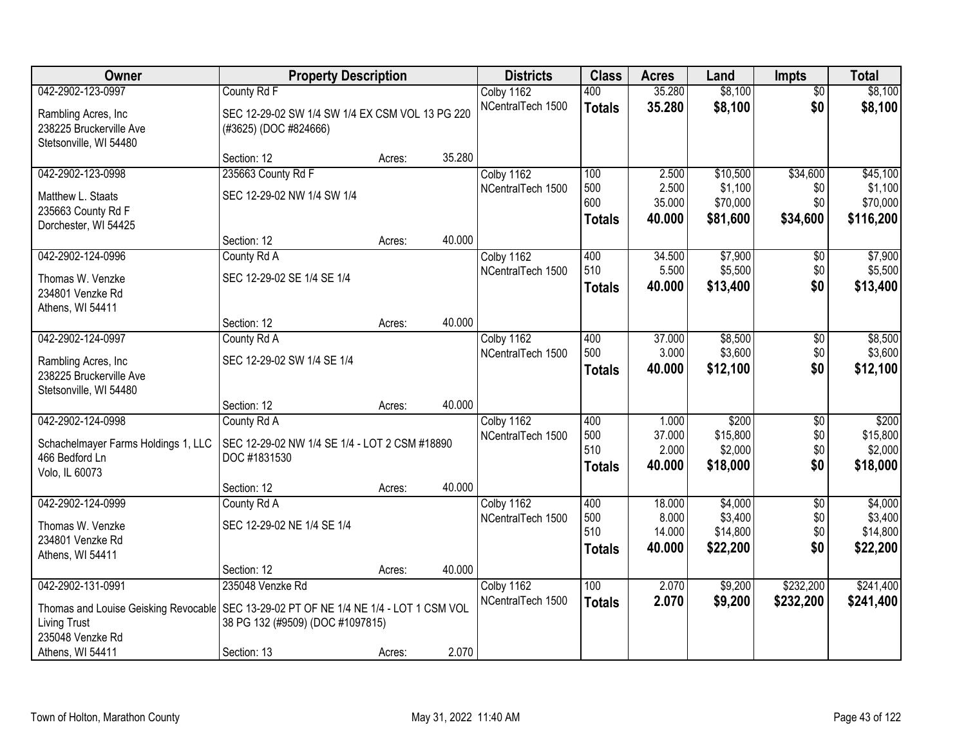| Owner                                                                                   | <b>Property Description</b>                     |        |        | <b>Districts</b>  | <b>Class</b>  | <b>Acres</b>     | Land                 | <b>Impts</b>    | <b>Total</b>        |
|-----------------------------------------------------------------------------------------|-------------------------------------------------|--------|--------|-------------------|---------------|------------------|----------------------|-----------------|---------------------|
| 042-2902-123-0997                                                                       | County Rd F                                     |        |        | Colby 1162        | 400           | 35.280           | \$8,100              | $\overline{50}$ | \$8,100             |
| Rambling Acres, Inc.                                                                    | SEC 12-29-02 SW 1/4 SW 1/4 EX CSM VOL 13 PG 220 |        |        | NCentralTech 1500 | <b>Totals</b> | 35.280           | \$8,100              | \$0             | \$8,100             |
| 238225 Bruckerville Ave                                                                 | (#3625) (DOC #824666)                           |        |        |                   |               |                  |                      |                 |                     |
| Stetsonville, WI 54480                                                                  |                                                 |        |        |                   |               |                  |                      |                 |                     |
|                                                                                         | Section: 12                                     | Acres: | 35.280 |                   |               |                  |                      |                 |                     |
| 042-2902-123-0998                                                                       | 235663 County Rd F                              |        |        | Colby 1162        | 100           | 2.500            | \$10,500             | \$34,600        | \$45,100            |
| Matthew L. Staats                                                                       | SEC 12-29-02 NW 1/4 SW 1/4                      |        |        | NCentralTech 1500 | 500<br>600    | 2.500            | \$1,100              | \$0             | \$1,100             |
| 235663 County Rd F                                                                      |                                                 |        |        |                   |               | 35.000<br>40.000 | \$70,000<br>\$81,600 | \$0             | \$70,000            |
| Dorchester, WI 54425                                                                    |                                                 |        |        |                   | <b>Totals</b> |                  |                      | \$34,600        | \$116,200           |
|                                                                                         | Section: 12                                     | Acres: | 40.000 |                   |               |                  |                      |                 |                     |
| 042-2902-124-0996                                                                       | County Rd A                                     |        |        | Colby 1162        | 400           | 34.500           | \$7,900              | $\sqrt[6]{3}$   | \$7,900             |
| Thomas W. Venzke                                                                        | SEC 12-29-02 SE 1/4 SE 1/4                      |        |        | NCentralTech 1500 | 510           | 5.500            | \$5,500              | \$0             | \$5,500             |
| 234801 Venzke Rd                                                                        |                                                 |        |        |                   | <b>Totals</b> | 40.000           | \$13,400             | \$0             | \$13,400            |
| Athens, WI 54411                                                                        |                                                 |        |        |                   |               |                  |                      |                 |                     |
|                                                                                         | Section: 12                                     | Acres: | 40.000 |                   |               |                  |                      |                 |                     |
| 042-2902-124-0997                                                                       | County Rd A                                     |        |        | Colby 1162        | 400           | 37.000           | \$8,500              | \$0             | \$8,500             |
| Rambling Acres, Inc                                                                     | SEC 12-29-02 SW 1/4 SE 1/4                      |        |        | NCentralTech 1500 | 500           | 3.000            | \$3,600              | \$0             | \$3,600             |
| 238225 Bruckerville Ave                                                                 |                                                 |        |        |                   | <b>Totals</b> | 40.000           | \$12,100             | \$0             | \$12,100            |
| Stetsonville, WI 54480                                                                  |                                                 |        |        |                   |               |                  |                      |                 |                     |
|                                                                                         | Section: 12                                     | Acres: | 40.000 |                   |               |                  |                      |                 |                     |
| 042-2902-124-0998                                                                       | County Rd A                                     |        |        | Colby 1162        | 400           | 1.000            | \$200                | \$0             | \$200               |
| Schachelmayer Farms Holdings 1, LLC                                                     | SEC 12-29-02 NW 1/4 SE 1/4 - LOT 2 CSM #18890   |        |        | NCentralTech 1500 | 500<br>510    | 37.000<br>2.000  | \$15,800<br>\$2,000  | \$0<br>\$0      | \$15,800<br>\$2,000 |
| 466 Bedford Ln                                                                          | DOC #1831530                                    |        |        |                   | <b>Totals</b> | 40.000           | \$18,000             | \$0             | \$18,000            |
| Volo, IL 60073                                                                          |                                                 |        |        |                   |               |                  |                      |                 |                     |
|                                                                                         | Section: 12                                     | Acres: | 40.000 |                   |               |                  |                      |                 |                     |
| 042-2902-124-0999                                                                       | County Rd A                                     |        |        | Colby 1162        | 400<br>500    | 18.000<br>8.000  | \$4,000<br>\$3,400   | $\overline{50}$ | \$4,000<br>\$3,400  |
| Thomas W. Venzke                                                                        | SEC 12-29-02 NE 1/4 SE 1/4                      |        |        | NCentralTech 1500 | 510           | 14.000           | \$14,800             | \$0<br>\$0      | \$14,800            |
| 234801 Venzke Rd                                                                        |                                                 |        |        |                   | <b>Totals</b> | 40.000           | \$22,200             | \$0             | \$22,200            |
| Athens, WI 54411                                                                        |                                                 |        |        |                   |               |                  |                      |                 |                     |
|                                                                                         | Section: 12                                     | Acres: | 40.000 |                   |               |                  |                      |                 |                     |
| 042-2902-131-0991                                                                       | 235048 Venzke Rd                                |        |        | Colby 1162        | 100           | 2.070            | \$9,200              | \$232,200       | \$241,400           |
| Thomas and Louise Geisking Revocable   SEC 13-29-02 PT OF NE 1/4 NE 1/4 - LOT 1 CSM VOL |                                                 |        |        | NCentralTech 1500 | <b>Totals</b> | 2.070            | \$9,200              | \$232,200       | \$241,400           |
| <b>Living Trust</b>                                                                     | 38 PG 132 (#9509) (DOC #1097815)                |        |        |                   |               |                  |                      |                 |                     |
| 235048 Venzke Rd                                                                        |                                                 |        |        |                   |               |                  |                      |                 |                     |
| Athens, WI 54411                                                                        | Section: 13                                     | Acres: | 2.070  |                   |               |                  |                      |                 |                     |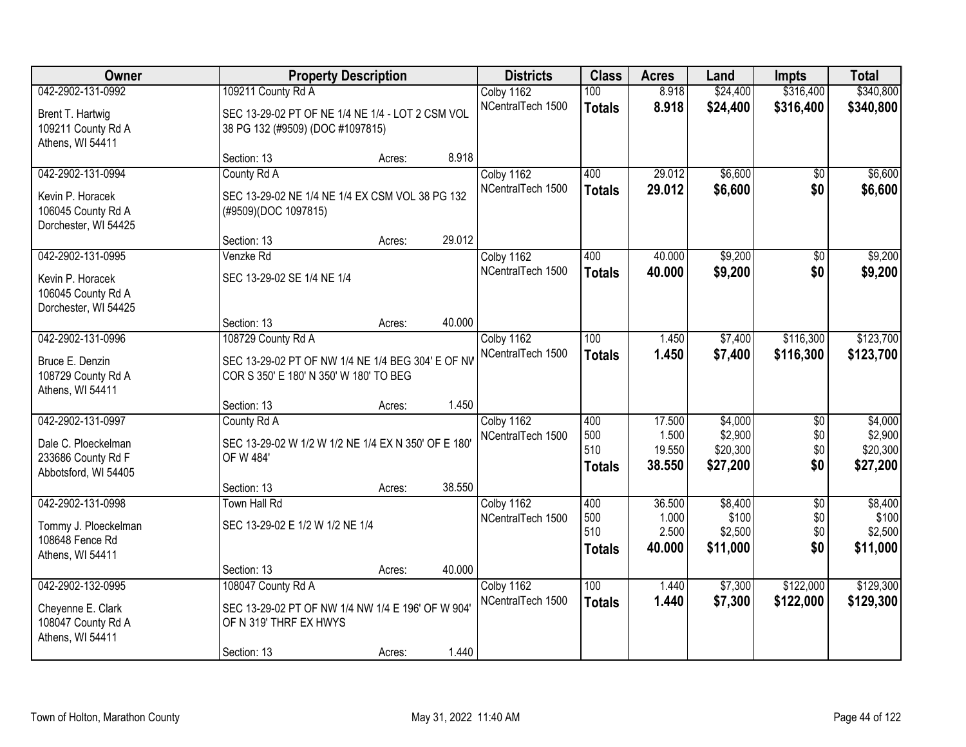| Owner                |                                                    | <b>Property Description</b> |        | <b>Districts</b>                | <b>Class</b>  | <b>Acres</b>    | Land                | <b>Impts</b>    | <b>Total</b>        |
|----------------------|----------------------------------------------------|-----------------------------|--------|---------------------------------|---------------|-----------------|---------------------|-----------------|---------------------|
| 042-2902-131-0992    | 109211 County Rd A                                 |                             |        | Colby 1162                      | 100           | 8.918           | \$24,400            | \$316,400       | \$340,800           |
| Brent T. Hartwig     | SEC 13-29-02 PT OF NE 1/4 NE 1/4 - LOT 2 CSM VOL   |                             |        | NCentralTech 1500               | <b>Totals</b> | 8.918           | \$24,400            | \$316,400       | \$340,800           |
| 109211 County Rd A   | 38 PG 132 (#9509) (DOC #1097815)                   |                             |        |                                 |               |                 |                     |                 |                     |
| Athens, WI 54411     |                                                    |                             |        |                                 |               |                 |                     |                 |                     |
|                      | Section: 13                                        | Acres:                      | 8.918  |                                 |               |                 |                     |                 |                     |
| 042-2902-131-0994    | County Rd A                                        |                             |        | Colby 1162                      | 400           | 29.012          | \$6,600             | $\overline{50}$ | \$6,600             |
| Kevin P. Horacek     | SEC 13-29-02 NE 1/4 NE 1/4 EX CSM VOL 38 PG 132    |                             |        | NCentralTech 1500               | <b>Totals</b> | 29.012          | \$6,600             | \$0             | \$6,600             |
| 106045 County Rd A   | (#9509)(DOC 1097815)                               |                             |        |                                 |               |                 |                     |                 |                     |
| Dorchester, WI 54425 |                                                    |                             |        |                                 |               |                 |                     |                 |                     |
|                      | Section: 13                                        | Acres:                      | 29.012 |                                 |               |                 |                     |                 |                     |
| 042-2902-131-0995    | Venzke Rd                                          |                             |        | Colby 1162                      | 400           | 40.000          | \$9,200             | $\sqrt{6}$      | \$9,200             |
| Kevin P. Horacek     | SEC 13-29-02 SE 1/4 NE 1/4                         |                             |        | NCentralTech 1500               | <b>Totals</b> | 40.000          | \$9,200             | \$0             | \$9,200             |
| 106045 County Rd A   |                                                    |                             |        |                                 |               |                 |                     |                 |                     |
| Dorchester, WI 54425 |                                                    |                             |        |                                 |               |                 |                     |                 |                     |
|                      | Section: 13                                        | Acres:                      | 40.000 |                                 |               |                 |                     |                 |                     |
| 042-2902-131-0996    | 108729 County Rd A                                 |                             |        | Colby 1162                      | 100           | 1.450           | \$7,400             | \$116,300       | \$123,700           |
| Bruce E. Denzin      | SEC 13-29-02 PT OF NW 1/4 NE 1/4 BEG 304' E OF NV  |                             |        | NCentralTech 1500               | <b>Totals</b> | 1.450           | \$7,400             | \$116,300       | \$123,700           |
| 108729 County Rd A   | COR S 350' E 180' N 350' W 180' TO BEG             |                             |        |                                 |               |                 |                     |                 |                     |
| Athens, WI 54411     |                                                    |                             |        |                                 |               |                 |                     |                 |                     |
|                      | Section: 13                                        | Acres:                      | 1.450  |                                 |               |                 |                     |                 |                     |
| 042-2902-131-0997    | County Rd A                                        |                             |        | Colby 1162                      | 400           | 17.500          | \$4,000             | $\overline{50}$ | \$4,000             |
| Dale C. Ploeckelman  | SEC 13-29-02 W 1/2 W 1/2 NE 1/4 EX N 350' OF E 180 |                             |        | NCentralTech 1500               | 500<br>510    | 1.500<br>19.550 | \$2,900<br>\$20,300 | \$0<br>\$0      | \$2,900<br>\$20,300 |
| 233686 County Rd F   | OF W 484'                                          |                             |        |                                 | <b>Totals</b> | 38.550          | \$27,200            | \$0             | \$27,200            |
| Abbotsford, WI 54405 |                                                    |                             |        |                                 |               |                 |                     |                 |                     |
|                      | Section: 13                                        | Acres:                      | 38.550 |                                 |               |                 |                     |                 |                     |
| 042-2902-131-0998    | Town Hall Rd                                       |                             |        | Colby 1162                      | 400<br>500    | 36.500<br>1.000 | \$8,400<br>\$100    | $\overline{50}$ | \$8,400<br>\$100    |
| Tommy J. Ploeckelman | SEC 13-29-02 E 1/2 W 1/2 NE 1/4                    |                             |        | NCentralTech 1500               | 510           | 2.500           | \$2,500             | \$0<br>\$0      | \$2,500             |
| 108648 Fence Rd      |                                                    |                             |        |                                 | <b>Totals</b> | 40.000          | \$11,000            | \$0             | \$11,000            |
| Athens, WI 54411     |                                                    |                             |        |                                 |               |                 |                     |                 |                     |
|                      | Section: 13                                        | Acres:                      | 40.000 |                                 |               |                 |                     |                 |                     |
| 042-2902-132-0995    | 108047 County Rd A                                 |                             |        | Colby 1162<br>NCentralTech 1500 | 100           | 1.440           | \$7,300             | \$122,000       | \$129,300           |
| Cheyenne E. Clark    | SEC 13-29-02 PT OF NW 1/4 NW 1/4 E 196' OF W 904'  |                             |        |                                 | <b>Totals</b> | 1.440           | \$7,300             | \$122,000       | \$129,300           |
| 108047 County Rd A   | OF N 319' THRF EX HWYS                             |                             |        |                                 |               |                 |                     |                 |                     |
| Athens, WI 54411     |                                                    |                             |        |                                 |               |                 |                     |                 |                     |
|                      | Section: 13                                        | Acres:                      | 1.440  |                                 |               |                 |                     |                 |                     |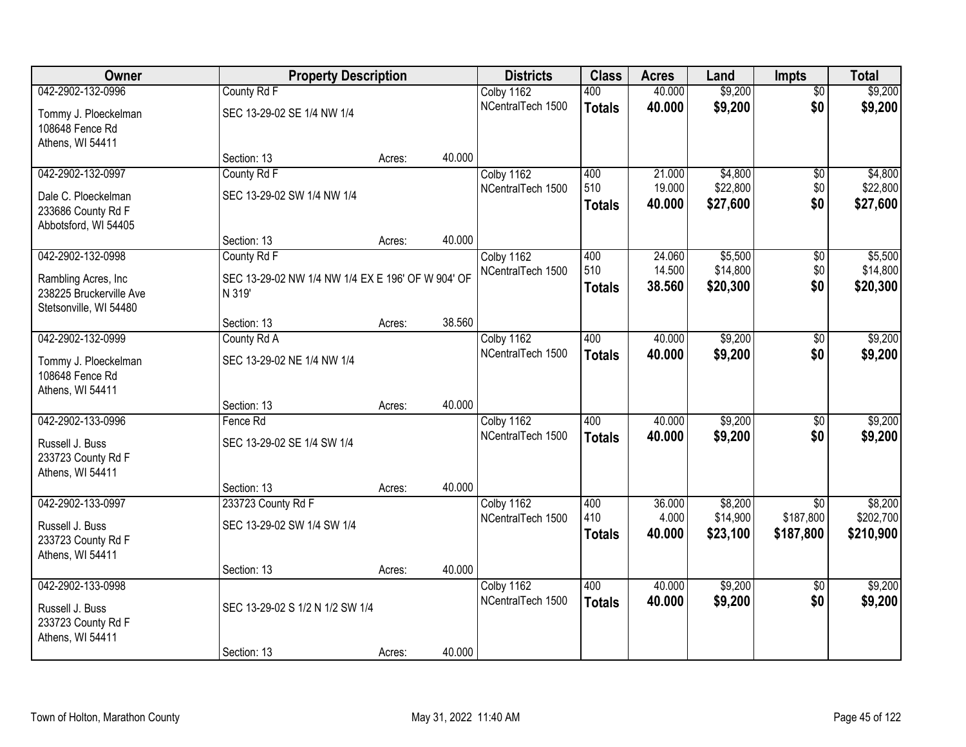| <b>Owner</b>                                              | <b>Property Description</b>                                 |        |        | <b>Districts</b>  | <b>Class</b>  | <b>Acres</b> | Land     | Impts           | <b>Total</b> |
|-----------------------------------------------------------|-------------------------------------------------------------|--------|--------|-------------------|---------------|--------------|----------|-----------------|--------------|
| 042-2902-132-0996                                         | County Rd F                                                 |        |        | Colby 1162        | 400           | 40.000       | \$9,200  | $\overline{50}$ | \$9,200      |
| Tommy J. Ploeckelman<br>108648 Fence Rd                   | SEC 13-29-02 SE 1/4 NW 1/4                                  |        |        | NCentralTech 1500 | <b>Totals</b> | 40.000       | \$9,200  | \$0             | \$9,200      |
| Athens, WI 54411                                          | Section: 13                                                 |        | 40.000 |                   |               |              |          |                 |              |
| 042-2902-132-0997                                         | County Rd F                                                 | Acres: |        | Colby 1162        | 400           | 21.000       | \$4,800  | $\overline{50}$ | \$4,800      |
|                                                           |                                                             |        |        | NCentralTech 1500 | 510           | 19.000       | \$22,800 | \$0             | \$22,800     |
| Dale C. Ploeckelman                                       | SEC 13-29-02 SW 1/4 NW 1/4                                  |        |        |                   | <b>Totals</b> | 40.000       | \$27,600 | \$0             | \$27,600     |
| 233686 County Rd F                                        |                                                             |        |        |                   |               |              |          |                 |              |
| Abbotsford, WI 54405                                      | Section: 13                                                 | Acres: | 40.000 |                   |               |              |          |                 |              |
| 042-2902-132-0998                                         | County Rd F                                                 |        |        | Colby 1162        | 400           | 24.060       | \$5,500  | \$0             | \$5,500      |
|                                                           |                                                             |        |        | NCentralTech 1500 | 510           | 14.500       | \$14,800 | \$0             | \$14,800     |
| Rambling Acres, Inc.<br>238225 Bruckerville Ave           | SEC 13-29-02 NW 1/4 NW 1/4 EX E 196' OF W 904' OF<br>N 319' |        |        |                   | <b>Totals</b> | 38.560       | \$20,300 | \$0             | \$20,300     |
| Stetsonville, WI 54480                                    |                                                             |        |        |                   |               |              |          |                 |              |
|                                                           | Section: 13                                                 | Acres: | 38.560 |                   |               |              |          |                 |              |
| 042-2902-132-0999                                         | County Rd A                                                 |        |        | Colby 1162        | 400           | 40.000       | \$9,200  | \$0             | \$9,200      |
| Tommy J. Ploeckelman<br>108648 Fence Rd                   | SEC 13-29-02 NE 1/4 NW 1/4                                  |        |        | NCentralTech 1500 | <b>Totals</b> | 40.000       | \$9,200  | \$0             | \$9,200      |
| Athens, WI 54411                                          |                                                             |        | 40.000 |                   |               |              |          |                 |              |
| 042-2902-133-0996                                         | Section: 13<br>Fence Rd                                     | Acres: |        | Colby 1162        | 400           | 40.000       | \$9,200  | $\overline{50}$ | \$9,200      |
|                                                           |                                                             |        |        | NCentralTech 1500 | <b>Totals</b> | 40.000       | \$9,200  | \$0             | \$9,200      |
| Russell J. Buss<br>233723 County Rd F                     | SEC 13-29-02 SE 1/4 SW 1/4                                  |        |        |                   |               |              |          |                 |              |
| Athens, WI 54411                                          |                                                             |        | 40.000 |                   |               |              |          |                 |              |
| 042-2902-133-0997                                         | Section: 13<br>233723 County Rd F                           | Acres: |        | Colby 1162        | 400           | 36.000       | \$8,200  | \$0             | \$8,200      |
|                                                           |                                                             |        |        | NCentralTech 1500 | 410           | 4.000        | \$14,900 | \$187,800       | \$202,700    |
| Russell J. Buss                                           | SEC 13-29-02 SW 1/4 SW 1/4                                  |        |        |                   | <b>Totals</b> | 40.000       | \$23,100 | \$187,800       | \$210,900    |
| 233723 County Rd F                                        |                                                             |        |        |                   |               |              |          |                 |              |
| Athens, WI 54411                                          | Section: 13                                                 | Acres: | 40.000 |                   |               |              |          |                 |              |
| 042-2902-133-0998                                         |                                                             |        |        | Colby 1162        | 400           | 40.000       | \$9,200  | $\overline{50}$ | \$9,200      |
|                                                           |                                                             |        |        | NCentralTech 1500 | <b>Totals</b> | 40.000       | \$9,200  | \$0             | \$9,200      |
| Russell J. Buss<br>233723 County Rd F<br>Athens, WI 54411 | SEC 13-29-02 S 1/2 N 1/2 SW 1/4                             |        |        |                   |               |              |          |                 |              |
|                                                           | Section: 13                                                 | Acres: | 40.000 |                   |               |              |          |                 |              |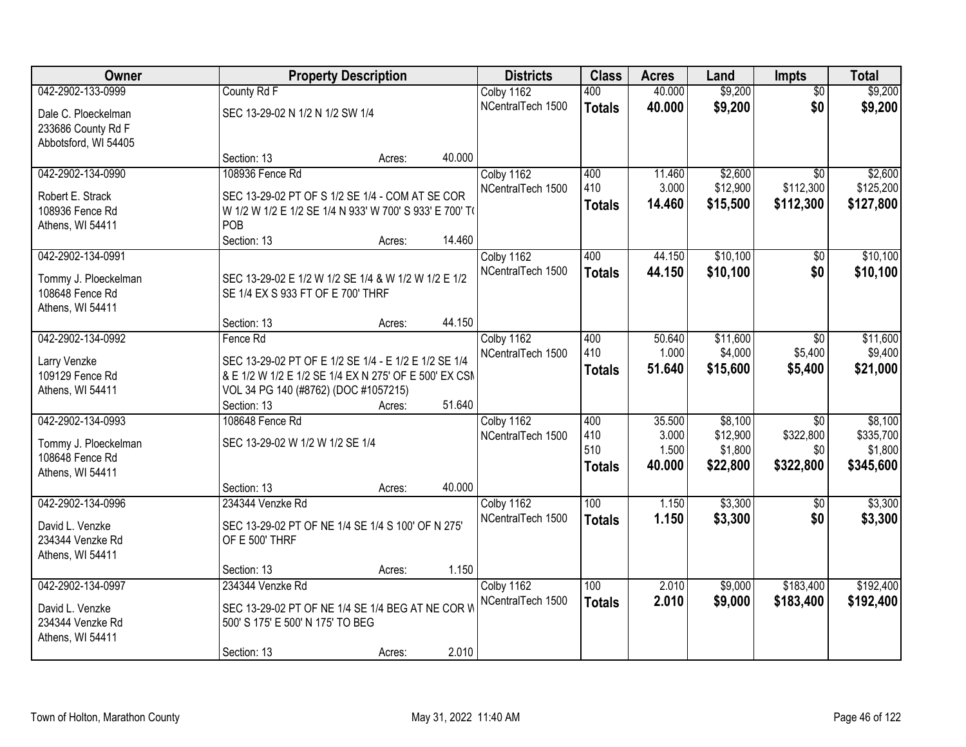| Owner                           |                                                         | <b>Property Description</b> |        | <b>Districts</b>  | <b>Class</b>  | <b>Acres</b> | Land     | <b>Impts</b>    | <b>Total</b> |
|---------------------------------|---------------------------------------------------------|-----------------------------|--------|-------------------|---------------|--------------|----------|-----------------|--------------|
| 042-2902-133-0999               | County Rd F                                             |                             |        | Colby 1162        | 400           | 40.000       | \$9,200  | $\overline{50}$ | \$9,200      |
| Dale C. Ploeckelman             | SEC 13-29-02 N 1/2 N 1/2 SW 1/4                         |                             |        | NCentralTech 1500 | <b>Totals</b> | 40.000       | \$9,200  | \$0             | \$9,200      |
| 233686 County Rd F              |                                                         |                             |        |                   |               |              |          |                 |              |
| Abbotsford, WI 54405            |                                                         |                             |        |                   |               |              |          |                 |              |
|                                 | Section: 13                                             | Acres:                      | 40.000 |                   |               |              |          |                 |              |
| 042-2902-134-0990               | 108936 Fence Rd                                         |                             |        | Colby 1162        | 400           | 11.460       | \$2,600  | $\overline{30}$ | \$2,600      |
| Robert E. Strack                | SEC 13-29-02 PT OF S 1/2 SE 1/4 - COM AT SE COR         |                             |        | NCentralTech 1500 | 410           | 3.000        | \$12,900 | \$112,300       | \$125,200    |
| 108936 Fence Rd                 | W 1/2 W 1/2 E 1/2 SE 1/4 N 933' W 700' S 933' E 700' TO |                             |        |                   | <b>Totals</b> | 14.460       | \$15,500 | \$112,300       | \$127,800    |
| Athens, WI 54411                | POB                                                     |                             |        |                   |               |              |          |                 |              |
|                                 | Section: 13                                             | Acres:                      | 14.460 |                   |               |              |          |                 |              |
| 042-2902-134-0991               |                                                         |                             |        | Colby 1162        | 400           | 44.150       | \$10,100 | $\sqrt{6}$      | \$10,100     |
| Tommy J. Ploeckelman            | SEC 13-29-02 E 1/2 W 1/2 SE 1/4 & W 1/2 W 1/2 E 1/2     |                             |        | NCentralTech 1500 | <b>Totals</b> | 44.150       | \$10,100 | \$0             | \$10,100     |
| 108648 Fence Rd                 | SE 1/4 EX S 933 FT OF E 700' THRF                       |                             |        |                   |               |              |          |                 |              |
| Athens, WI 54411                |                                                         |                             |        |                   |               |              |          |                 |              |
|                                 | Section: 13                                             | Acres:                      | 44.150 |                   |               |              |          |                 |              |
| 042-2902-134-0992               | Fence Rd                                                |                             |        | Colby 1162        | 400           | 50.640       | \$11,600 | $\sqrt{6}$      | \$11,600     |
|                                 | SEC 13-29-02 PT OF E 1/2 SE 1/4 - E 1/2 E 1/2 SE 1/4    |                             |        | NCentralTech 1500 | 410           | 1.000        | \$4,000  | \$5,400         | \$9,400      |
| Larry Venzke<br>109129 Fence Rd | & E 1/2 W 1/2 E 1/2 SE 1/4 EX N 275' OF E 500' EX CSM   |                             |        |                   | <b>Totals</b> | 51.640       | \$15,600 | \$5,400         | \$21,000     |
| Athens, WI 54411                | VOL 34 PG 140 (#8762) (DOC #1057215)                    |                             |        |                   |               |              |          |                 |              |
|                                 | Section: 13                                             | Acres:                      | 51.640 |                   |               |              |          |                 |              |
| 042-2902-134-0993               | 108648 Fence Rd                                         |                             |        | Colby 1162        | 400           | 35.500       | \$8,100  | $\overline{30}$ | \$8,100      |
|                                 |                                                         |                             |        | NCentralTech 1500 | 410           | 3.000        | \$12,900 | \$322,800       | \$335,700    |
| Tommy J. Ploeckelman            | SEC 13-29-02 W 1/2 W 1/2 SE 1/4                         |                             |        |                   | 510           | 1.500        | \$1,800  | \$0             | \$1,800      |
| 108648 Fence Rd                 |                                                         |                             |        |                   | <b>Totals</b> | 40.000       | \$22,800 | \$322,800       | \$345,600    |
| Athens, WI 54411                |                                                         |                             |        |                   |               |              |          |                 |              |
|                                 | Section: 13                                             | Acres:                      | 40.000 |                   |               |              |          |                 |              |
| 042-2902-134-0996               | 234344 Venzke Rd                                        |                             |        | Colby 1162        | 100           | 1.150        | \$3,300  | $\overline{50}$ | \$3,300      |
| David L. Venzke                 | SEC 13-29-02 PT OF NE 1/4 SE 1/4 S 100' OF N 275'       |                             |        | NCentralTech 1500 | <b>Totals</b> | 1.150        | \$3,300  | \$0             | \$3,300      |
| 234344 Venzke Rd                | OF E 500' THRF                                          |                             |        |                   |               |              |          |                 |              |
| Athens, WI 54411                |                                                         |                             |        |                   |               |              |          |                 |              |
|                                 | Section: 13                                             | Acres:                      | 1.150  |                   |               |              |          |                 |              |
| 042-2902-134-0997               | 234344 Venzke Rd                                        |                             |        | Colby 1162        | 100           | 2.010        | \$9,000  | \$183,400       | \$192,400    |
| David L. Venzke                 | SEC 13-29-02 PT OF NE 1/4 SE 1/4 BEG AT NE COR W        |                             |        | NCentralTech 1500 | <b>Totals</b> | 2.010        | \$9,000  | \$183,400       | \$192,400    |
| 234344 Venzke Rd                | 500' S 175' E 500' N 175' TO BEG                        |                             |        |                   |               |              |          |                 |              |
| Athens, WI 54411                |                                                         |                             |        |                   |               |              |          |                 |              |
|                                 | Section: 13                                             | Acres:                      | 2.010  |                   |               |              |          |                 |              |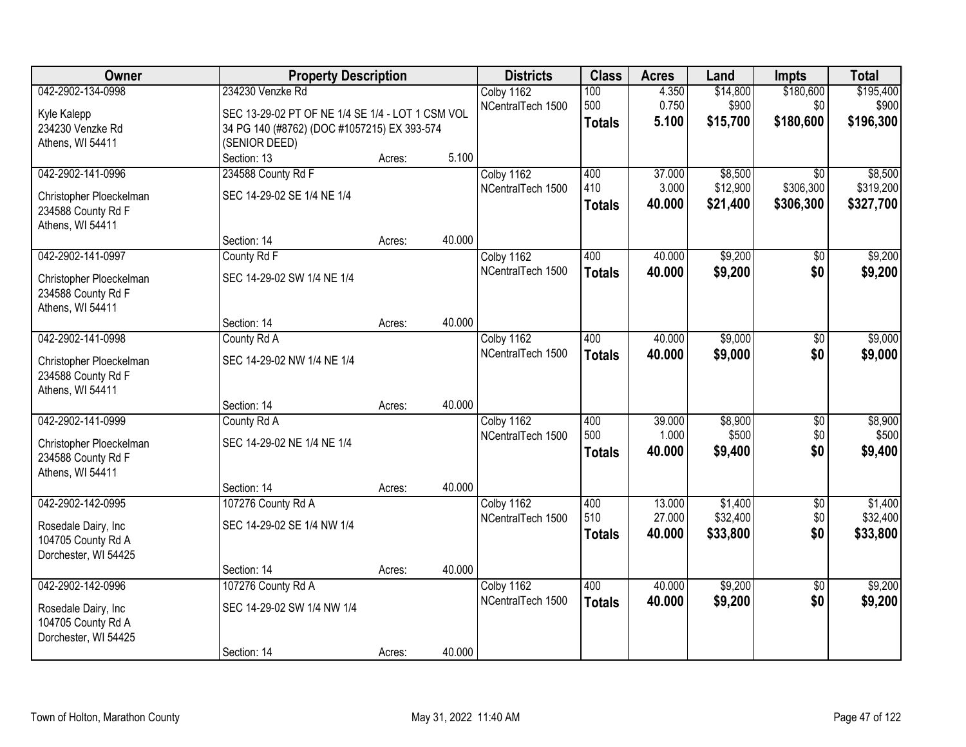| <b>Owner</b>                                                                            | <b>Property Description</b>                                                                                                          |        |        | <b>Districts</b>                | <b>Class</b>                | <b>Acres</b>               | Land                            | Impts                                     | <b>Total</b>                      |
|-----------------------------------------------------------------------------------------|--------------------------------------------------------------------------------------------------------------------------------------|--------|--------|---------------------------------|-----------------------------|----------------------------|---------------------------------|-------------------------------------------|-----------------------------------|
| 042-2902-134-0998<br>Kyle Kalepp<br>234230 Venzke Rd<br>Athens, WI 54411                | 234230 Venzke Rd<br>SEC 13-29-02 PT OF NE 1/4 SE 1/4 - LOT 1 CSM VOL<br>34 PG 140 (#8762) (DOC #1057215) EX 393-574<br>(SENIOR DEED) |        |        | Colby 1162<br>NCentralTech 1500 | 100<br>500<br><b>Totals</b> | 4.350<br>0.750<br>5.100    | \$14,800<br>\$900<br>\$15,700   | \$180,600<br>\$0<br>\$180,600             | \$195,400<br>\$900<br>\$196,300   |
|                                                                                         | Section: 13                                                                                                                          | Acres: | 5.100  |                                 |                             |                            |                                 |                                           |                                   |
| 042-2902-141-0996<br>Christopher Ploeckelman<br>234588 County Rd F<br>Athens, WI 54411  | 234588 County Rd F<br>SEC 14-29-02 SE 1/4 NE 1/4                                                                                     |        |        | Colby 1162<br>NCentralTech 1500 | 400<br>410<br><b>Totals</b> | 37.000<br>3.000<br>40.000  | \$8,500<br>\$12,900<br>\$21,400 | $\overline{30}$<br>\$306,300<br>\$306,300 | \$8,500<br>\$319,200<br>\$327,700 |
| 042-2902-141-0997                                                                       | Section: 14<br>County Rd F                                                                                                           | Acres: | 40.000 | Colby 1162                      | 400                         | 40.000                     | \$9,200                         | \$0                                       | \$9,200                           |
| Christopher Ploeckelman<br>234588 County Rd F<br>Athens, WI 54411                       | SEC 14-29-02 SW 1/4 NE 1/4                                                                                                           |        |        | NCentralTech 1500               | <b>Totals</b>               | 40.000                     | \$9,200                         | \$0                                       | \$9,200                           |
|                                                                                         | Section: 14                                                                                                                          | Acres: | 40.000 |                                 |                             |                            |                                 |                                           |                                   |
| 042-2902-141-0998<br>Christopher Ploeckelman<br>234588 County Rd F<br>Athens, WI 54411  | County Rd A<br>SEC 14-29-02 NW 1/4 NE 1/4                                                                                            |        |        | Colby 1162<br>NCentralTech 1500 | 400<br><b>Totals</b>        | 40.000<br>40.000           | \$9,000<br>\$9,000              | \$0<br>\$0                                | \$9,000<br>\$9,000                |
|                                                                                         | Section: 14                                                                                                                          | Acres: | 40.000 |                                 |                             |                            |                                 |                                           |                                   |
| 042-2902-141-0999<br>Christopher Ploeckelman<br>234588 County Rd F<br>Athens, WI 54411  | County Rd A<br>SEC 14-29-02 NE 1/4 NE 1/4<br>Section: 14                                                                             | Acres: | 40.000 | Colby 1162<br>NCentralTech 1500 | 400<br>500<br><b>Totals</b> | 39.000<br>1.000<br>40.000  | \$8,900<br>\$500<br>\$9,400     | $\overline{50}$<br>\$0<br>\$0             | \$8,900<br>\$500<br>\$9,400       |
| 042-2902-142-0995<br>Rosedale Dairy, Inc<br>104705 County Rd A<br>Dorchester, WI 54425  | 107276 County Rd A<br>SEC 14-29-02 SE 1/4 NW 1/4                                                                                     |        |        | Colby 1162<br>NCentralTech 1500 | 400<br>510<br><b>Totals</b> | 13.000<br>27.000<br>40.000 | \$1,400<br>\$32,400<br>\$33,800 | $\overline{50}$<br>\$0<br>\$0             | \$1,400<br>\$32,400<br>\$33,800   |
|                                                                                         | Section: 14                                                                                                                          | Acres: | 40.000 |                                 |                             |                            |                                 |                                           |                                   |
| 042-2902-142-0996<br>Rosedale Dairy, Inc.<br>104705 County Rd A<br>Dorchester, WI 54425 | 107276 County Rd A<br>SEC 14-29-02 SW 1/4 NW 1/4                                                                                     |        | 40.000 | Colby 1162<br>NCentralTech 1500 | 400<br><b>Totals</b>        | 40.000<br>40.000           | \$9,200<br>\$9,200              | $\overline{50}$<br>\$0                    | \$9,200<br>\$9,200                |
|                                                                                         | Section: 14                                                                                                                          | Acres: |        |                                 |                             |                            |                                 |                                           |                                   |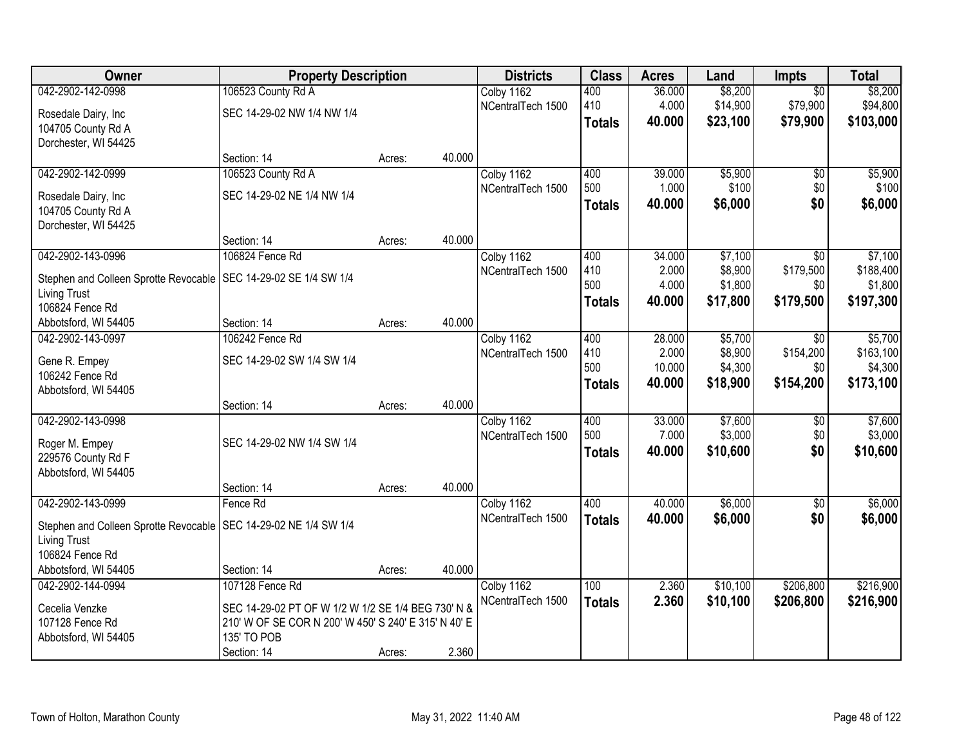| Owner                                 | <b>Property Description</b>                          |        |        | <b>Districts</b>  | <b>Class</b>  | <b>Acres</b> | Land     | <b>Impts</b>    | <b>Total</b> |
|---------------------------------------|------------------------------------------------------|--------|--------|-------------------|---------------|--------------|----------|-----------------|--------------|
| 042-2902-142-0998                     | 106523 County Rd A                                   |        |        | Colby 1162        | 400           | 36.000       | \$8,200  | $\overline{30}$ | \$8,200      |
| Rosedale Dairy, Inc                   | SEC 14-29-02 NW 1/4 NW 1/4                           |        |        | NCentralTech 1500 | 410           | 4.000        | \$14,900 | \$79,900        | \$94,800     |
| 104705 County Rd A                    |                                                      |        |        |                   | <b>Totals</b> | 40.000       | \$23,100 | \$79,900        | \$103,000    |
| Dorchester, WI 54425                  |                                                      |        |        |                   |               |              |          |                 |              |
|                                       | Section: 14                                          | Acres: | 40.000 |                   |               |              |          |                 |              |
| 042-2902-142-0999                     | 106523 County Rd A                                   |        |        | Colby 1162        | 400           | 39.000       | \$5,900  | \$0             | \$5,900      |
| Rosedale Dairy, Inc                   | SEC 14-29-02 NE 1/4 NW 1/4                           |        |        | NCentralTech 1500 | 500           | 1.000        | \$100    | \$0             | \$100        |
| 104705 County Rd A                    |                                                      |        |        |                   | <b>Totals</b> | 40.000       | \$6,000  | \$0             | \$6,000      |
| Dorchester, WI 54425                  |                                                      |        |        |                   |               |              |          |                 |              |
|                                       | Section: 14                                          | Acres: | 40.000 |                   |               |              |          |                 |              |
| 042-2902-143-0996                     | 106824 Fence Rd                                      |        |        | Colby 1162        | 400           | 34.000       | \$7,100  | \$0             | \$7,100      |
| Stephen and Colleen Sprotte Revocable | SEC 14-29-02 SE 1/4 SW 1/4                           |        |        | NCentralTech 1500 | 410           | 2.000        | \$8,900  | \$179,500       | \$188,400    |
| <b>Living Trust</b>                   |                                                      |        |        |                   | 500           | 4.000        | \$1,800  | \$0             | \$1,800      |
| 106824 Fence Rd                       |                                                      |        |        |                   | <b>Totals</b> | 40.000       | \$17,800 | \$179,500       | \$197,300    |
| Abbotsford, WI 54405                  | Section: 14                                          | Acres: | 40.000 |                   |               |              |          |                 |              |
| 042-2902-143-0997                     | 106242 Fence Rd                                      |        |        | Colby 1162        | 400           | 28.000       | \$5,700  | \$0             | \$5,700      |
| Gene R. Empey                         | SEC 14-29-02 SW 1/4 SW 1/4                           |        |        | NCentralTech 1500 | 410           | 2.000        | \$8,900  | \$154,200       | \$163,100    |
| 106242 Fence Rd                       |                                                      |        |        |                   | 500           | 10.000       | \$4,300  | \$0             | \$4,300      |
| Abbotsford, WI 54405                  |                                                      |        |        |                   | <b>Totals</b> | 40.000       | \$18,900 | \$154,200       | \$173,100    |
|                                       | Section: 14                                          | Acres: | 40.000 |                   |               |              |          |                 |              |
| 042-2902-143-0998                     |                                                      |        |        | Colby 1162        | 400           | 33.000       | \$7,600  | \$0             | \$7,600      |
| Roger M. Empey                        | SEC 14-29-02 NW 1/4 SW 1/4                           |        |        | NCentralTech 1500 | 500           | 7.000        | \$3,000  | \$0             | \$3,000      |
| 229576 County Rd F                    |                                                      |        |        |                   | <b>Totals</b> | 40.000       | \$10,600 | \$0             | \$10,600     |
| Abbotsford, WI 54405                  |                                                      |        |        |                   |               |              |          |                 |              |
|                                       | Section: 14                                          | Acres: | 40.000 |                   |               |              |          |                 |              |
| 042-2902-143-0999                     | Fence Rd                                             |        |        | Colby 1162        | 400           | 40.000       | \$6,000  | $\overline{60}$ | \$6,000      |
| Stephen and Colleen Sprotte Revocable | SEC 14-29-02 NE 1/4 SW 1/4                           |        |        | NCentralTech 1500 | <b>Totals</b> | 40.000       | \$6,000  | \$0             | \$6,000      |
| <b>Living Trust</b>                   |                                                      |        |        |                   |               |              |          |                 |              |
| 106824 Fence Rd                       |                                                      |        |        |                   |               |              |          |                 |              |
| Abbotsford, WI 54405                  | Section: 14                                          | Acres: | 40.000 |                   |               |              |          |                 |              |
| 042-2902-144-0994                     | 107128 Fence Rd                                      |        |        | Colby 1162        | 100           | 2.360        | \$10,100 | \$206,800       | \$216,900    |
| Cecelia Venzke                        | SEC 14-29-02 PT OF W 1/2 W 1/2 SE 1/4 BEG 730' N &   |        |        | NCentralTech 1500 | <b>Totals</b> | 2.360        | \$10,100 | \$206,800       | \$216,900    |
| 107128 Fence Rd                       | 210' W OF SE COR N 200' W 450' S 240' E 315' N 40' E |        |        |                   |               |              |          |                 |              |
| Abbotsford, WI 54405                  | 135' TO POB                                          |        |        |                   |               |              |          |                 |              |
|                                       | Section: 14                                          | Acres: | 2.360  |                   |               |              |          |                 |              |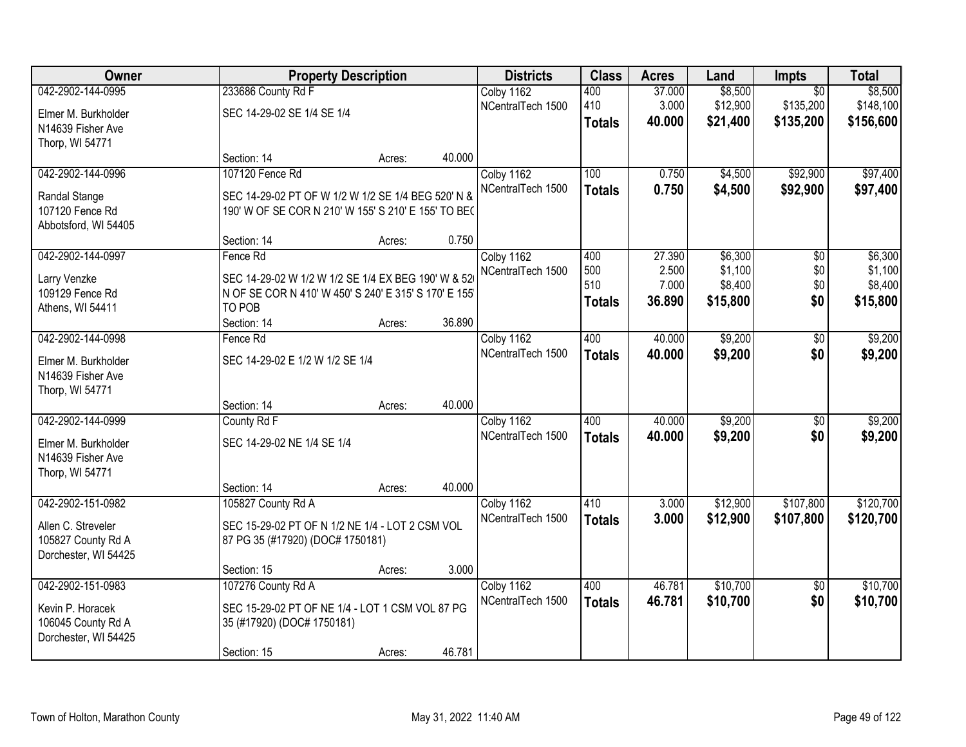| Owner                |                                                       | <b>Property Description</b> |        | <b>Districts</b>  | <b>Class</b>  | <b>Acres</b> | Land     | <b>Impts</b>    | <b>Total</b> |
|----------------------|-------------------------------------------------------|-----------------------------|--------|-------------------|---------------|--------------|----------|-----------------|--------------|
| 042-2902-144-0995    | 233686 County Rd F                                    |                             |        | Colby 1162        | 400           | 37.000       | \$8,500  | $\overline{50}$ | \$8,500      |
| Elmer M. Burkholder  | SEC 14-29-02 SE 1/4 SE 1/4                            |                             |        | NCentralTech 1500 | 410           | 3.000        | \$12,900 | \$135,200       | \$148,100    |
| N14639 Fisher Ave    |                                                       |                             |        |                   | <b>Totals</b> | 40.000       | \$21,400 | \$135,200       | \$156,600    |
| Thorp, WI 54771      |                                                       |                             |        |                   |               |              |          |                 |              |
|                      | Section: 14                                           | Acres:                      | 40.000 |                   |               |              |          |                 |              |
| 042-2902-144-0996    | 107120 Fence Rd                                       |                             |        | Colby 1162        | 100           | 0.750        | \$4,500  | \$92,900        | \$97,400     |
| Randal Stange        | SEC 14-29-02 PT OF W 1/2 W 1/2 SE 1/4 BEG 520' N &    |                             |        | NCentralTech 1500 | <b>Totals</b> | 0.750        | \$4,500  | \$92,900        | \$97,400     |
| 107120 Fence Rd      | 190' W OF SE COR N 210' W 155' S 210' E 155' TO BE(   |                             |        |                   |               |              |          |                 |              |
| Abbotsford, WI 54405 |                                                       |                             |        |                   |               |              |          |                 |              |
|                      | Section: 14                                           | Acres:                      | 0.750  |                   |               |              |          |                 |              |
| 042-2902-144-0997    | Fence Rd                                              |                             |        | Colby 1162        | 400           | 27.390       | \$6,300  | \$0             | \$6,300      |
| Larry Venzke         | SEC 14-29-02 W 1/2 W 1/2 SE 1/4 EX BEG 190' W & 52    |                             |        | NCentralTech 1500 | 500           | 2.500        | \$1,100  | \$0             | \$1,100      |
| 109129 Fence Rd      | N OF SE COR N 410' W 450' S 240' E 315' S 170' E 155' |                             |        |                   | 510           | 7.000        | \$8,400  | \$0             | \$8,400      |
| Athens, WI 54411     | TO POB                                                |                             |        |                   | <b>Totals</b> | 36.890       | \$15,800 | \$0             | \$15,800     |
|                      | Section: 14                                           | Acres:                      | 36.890 |                   |               |              |          |                 |              |
| 042-2902-144-0998    | Fence Rd                                              |                             |        | Colby 1162        | 400           | 40.000       | \$9,200  | \$0             | \$9,200      |
| Elmer M. Burkholder  | SEC 14-29-02 E 1/2 W 1/2 SE 1/4                       |                             |        | NCentralTech 1500 | <b>Totals</b> | 40.000       | \$9,200  | \$0             | \$9,200      |
| N14639 Fisher Ave    |                                                       |                             |        |                   |               |              |          |                 |              |
| Thorp, WI 54771      |                                                       |                             |        |                   |               |              |          |                 |              |
|                      | Section: 14                                           | Acres:                      | 40.000 |                   |               |              |          |                 |              |
| 042-2902-144-0999    | County Rd F                                           |                             |        | Colby 1162        | 400           | 40.000       | \$9,200  | $\overline{50}$ | \$9,200      |
| Elmer M. Burkholder  | SEC 14-29-02 NE 1/4 SE 1/4                            |                             |        | NCentralTech 1500 | <b>Totals</b> | 40.000       | \$9,200  | \$0             | \$9,200      |
| N14639 Fisher Ave    |                                                       |                             |        |                   |               |              |          |                 |              |
| Thorp, WI 54771      |                                                       |                             |        |                   |               |              |          |                 |              |
|                      | Section: 14                                           | Acres:                      | 40.000 |                   |               |              |          |                 |              |
| 042-2902-151-0982    | 105827 County Rd A                                    |                             |        | Colby 1162        | 410           | 3.000        | \$12,900 | \$107,800       | \$120,700    |
| Allen C. Streveler   | SEC 15-29-02 PT OF N 1/2 NE 1/4 - LOT 2 CSM VOL       |                             |        | NCentralTech 1500 | <b>Totals</b> | 3.000        | \$12,900 | \$107,800       | \$120,700    |
| 105827 County Rd A   | 87 PG 35 (#17920) (DOC# 1750181)                      |                             |        |                   |               |              |          |                 |              |
| Dorchester, WI 54425 |                                                       |                             |        |                   |               |              |          |                 |              |
|                      | Section: 15                                           | Acres:                      | 3.000  |                   |               |              |          |                 |              |
| 042-2902-151-0983    | 107276 County Rd A                                    |                             |        | Colby 1162        | 400           | 46.781       | \$10,700 | $\overline{50}$ | \$10,700     |
| Kevin P. Horacek     | SEC 15-29-02 PT OF NE 1/4 - LOT 1 CSM VOL 87 PG       |                             |        | NCentralTech 1500 | <b>Totals</b> | 46.781       | \$10,700 | \$0             | \$10,700     |
| 106045 County Rd A   | 35 (#17920) (DOC# 1750181)                            |                             |        |                   |               |              |          |                 |              |
| Dorchester, WI 54425 |                                                       |                             |        |                   |               |              |          |                 |              |
|                      | Section: 15                                           | Acres:                      | 46.781 |                   |               |              |          |                 |              |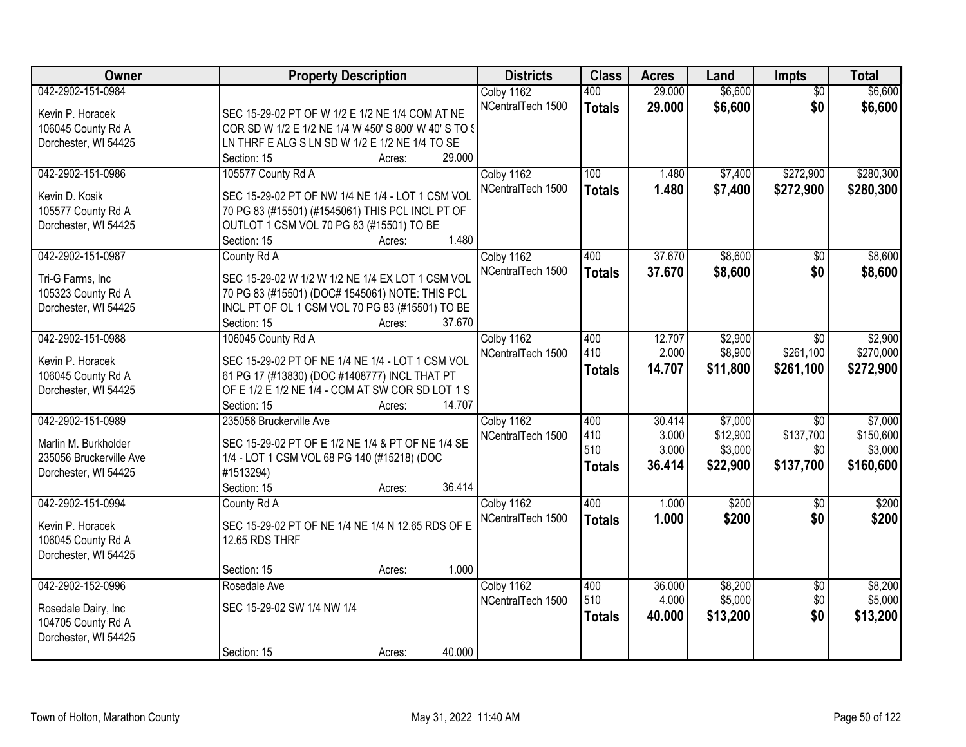| Owner                   | <b>Property Description</b>                           | <b>Districts</b>  | <b>Class</b>  | <b>Acres</b>    | Land     | <b>Impts</b>    | <b>Total</b>       |
|-------------------------|-------------------------------------------------------|-------------------|---------------|-----------------|----------|-----------------|--------------------|
| 042-2902-151-0984       |                                                       | Colby 1162        | 400           | 29.000          | \$6,600  | $\overline{50}$ | \$6,600            |
| Kevin P. Horacek        | SEC 15-29-02 PT OF W 1/2 E 1/2 NE 1/4 COM AT NE       | NCentralTech 1500 | <b>Totals</b> | 29.000          | \$6,600  | \$0             | \$6,600            |
| 106045 County Rd A      | COR SD W 1/2 E 1/2 NE 1/4 W 450' S 800' W 40' S TO \$ |                   |               |                 |          |                 |                    |
| Dorchester, WI 54425    | LN THRF E ALG S LN SD W 1/2 E 1/2 NE 1/4 TO SE        |                   |               |                 |          |                 |                    |
|                         | 29.000<br>Section: 15<br>Acres:                       |                   |               |                 |          |                 |                    |
| 042-2902-151-0986       | 105577 County Rd A                                    | Colby 1162        | 100           | 1.480           | \$7,400  | \$272,900       | \$280,300          |
|                         |                                                       | NCentralTech 1500 | <b>Totals</b> | 1.480           | \$7,400  | \$272,900       | \$280,300          |
| Kevin D. Kosik          | SEC 15-29-02 PT OF NW 1/4 NE 1/4 - LOT 1 CSM VOL      |                   |               |                 |          |                 |                    |
| 105577 County Rd A      | 70 PG 83 (#15501) (#1545061) THIS PCL INCL PT OF      |                   |               |                 |          |                 |                    |
| Dorchester, WI 54425    | OUTLOT 1 CSM VOL 70 PG 83 (#15501) TO BE              |                   |               |                 |          |                 |                    |
|                         | 1.480<br>Section: 15<br>Acres:                        |                   |               |                 |          |                 |                    |
| 042-2902-151-0987       | County Rd A                                           | Colby 1162        | 400           | 37.670          | \$8,600  | \$0             | \$8,600            |
| Tri-G Farms, Inc        | SEC 15-29-02 W 1/2 W 1/2 NE 1/4 EX LOT 1 CSM VOL      | NCentralTech 1500 | <b>Totals</b> | 37.670          | \$8,600  | \$0             | \$8,600            |
| 105323 County Rd A      | 70 PG 83 (#15501) (DOC# 1545061) NOTE: THIS PCL       |                   |               |                 |          |                 |                    |
| Dorchester, WI 54425    | INCL PT OF OL 1 CSM VOL 70 PG 83 (#15501) TO BE       |                   |               |                 |          |                 |                    |
|                         | 37.670<br>Section: 15<br>Acres:                       |                   |               |                 |          |                 |                    |
| 042-2902-151-0988       | 106045 County Rd A                                    | Colby 1162        | 400           | 12.707          | \$2,900  | \$0             | \$2,900            |
|                         |                                                       | NCentralTech 1500 | 410           | 2.000           | \$8,900  | \$261,100       | \$270,000          |
| Kevin P. Horacek        | SEC 15-29-02 PT OF NE 1/4 NE 1/4 - LOT 1 CSM VOL      |                   | <b>Totals</b> | 14.707          | \$11,800 | \$261,100       | \$272,900          |
| 106045 County Rd A      | 61 PG 17 (#13830) (DOC #1408777) INCL THAT PT         |                   |               |                 |          |                 |                    |
| Dorchester, WI 54425    | OF E 1/2 E 1/2 NE 1/4 - COM AT SW COR SD LOT 1 S      |                   |               |                 |          |                 |                    |
|                         | 14.707<br>Section: 15<br>Acres:                       |                   |               |                 |          |                 |                    |
| 042-2902-151-0989       | 235056 Bruckerville Ave                               | Colby 1162        | 400           | 30.414          | \$7,000  | $\overline{30}$ | \$7,000            |
| Marlin M. Burkholder    | SEC 15-29-02 PT OF E 1/2 NE 1/4 & PT OF NE 1/4 SE     | NCentralTech 1500 | 410           | 3.000           | \$12,900 | \$137,700       | \$150,600          |
| 235056 Bruckerville Ave | 1/4 - LOT 1 CSM VOL 68 PG 140 (#15218) (DOC           |                   | 510           | 3.000           | \$3,000  | \$0             | \$3,000            |
| Dorchester, WI 54425    | #1513294)                                             |                   | <b>Totals</b> | 36.414          | \$22,900 | \$137,700       | \$160,600          |
|                         | 36.414<br>Section: 15<br>Acres:                       |                   |               |                 |          |                 |                    |
| 042-2902-151-0994       | County Rd A                                           | Colby 1162        | 400           | 1.000           | \$200    | $\overline{50}$ | \$200              |
|                         |                                                       | NCentralTech 1500 | <b>Totals</b> | 1.000           | \$200    | \$0             | \$200              |
| Kevin P. Horacek        | SEC 15-29-02 PT OF NE 1/4 NE 1/4 N 12.65 RDS OF E     |                   |               |                 |          |                 |                    |
| 106045 County Rd A      | 12.65 RDS THRF                                        |                   |               |                 |          |                 |                    |
| Dorchester, WI 54425    |                                                       |                   |               |                 |          |                 |                    |
|                         | 1.000<br>Section: 15<br>Acres:                        |                   |               |                 |          |                 |                    |
| 042-2902-152-0996       | Rosedale Ave                                          | Colby 1162        | 400<br>510    | 36.000<br>4.000 | \$8,200  | $\overline{50}$ | \$8,200<br>\$5,000 |
| Rosedale Dairy, Inc.    | SEC 15-29-02 SW 1/4 NW 1/4                            | NCentralTech 1500 |               |                 | \$5,000  | \$0             |                    |
| 104705 County Rd A      |                                                       |                   | <b>Totals</b> | 40.000          | \$13,200 | \$0             | \$13,200           |
| Dorchester, WI 54425    |                                                       |                   |               |                 |          |                 |                    |
|                         | 40.000<br>Section: 15<br>Acres:                       |                   |               |                 |          |                 |                    |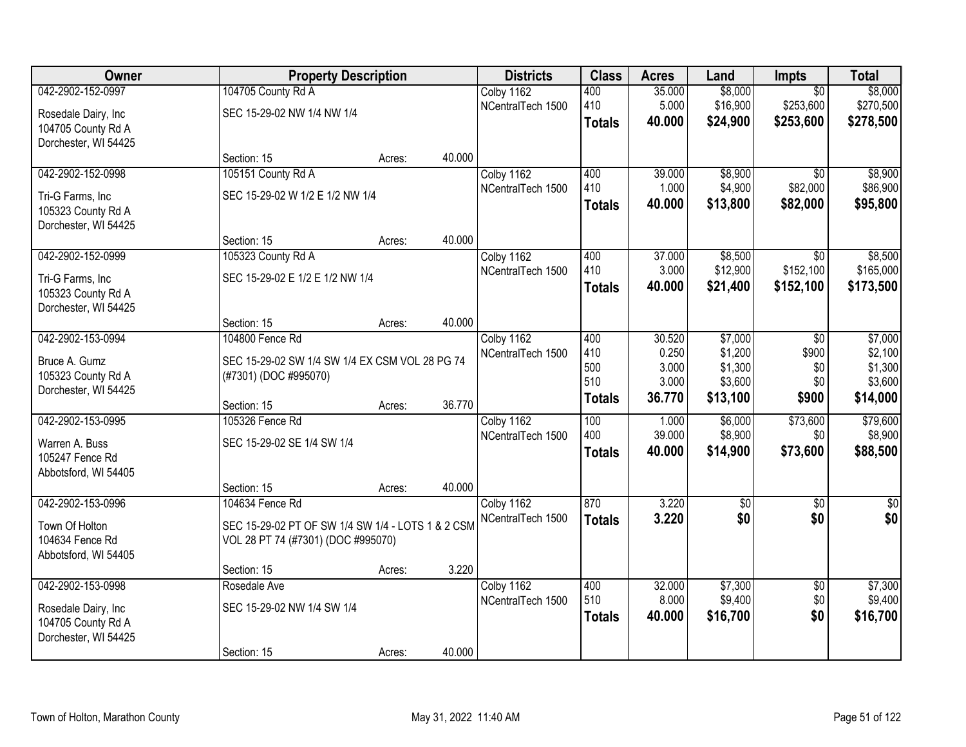| Owner                | <b>Property Description</b>                       |        |        | <b>Districts</b>  | <b>Class</b>  | <b>Acres</b> | Land       | Impts           | <b>Total</b>  |
|----------------------|---------------------------------------------------|--------|--------|-------------------|---------------|--------------|------------|-----------------|---------------|
| 042-2902-152-0997    | 104705 County Rd A                                |        |        | Colby 1162        | 400           | 35.000       | \$8,000    | $\overline{50}$ | \$8,000       |
| Rosedale Dairy, Inc  | SEC 15-29-02 NW 1/4 NW 1/4                        |        |        | NCentralTech 1500 | 410           | 5.000        | \$16,900   | \$253,600       | \$270,500     |
| 104705 County Rd A   |                                                   |        |        |                   | <b>Totals</b> | 40.000       | \$24,900   | \$253,600       | \$278,500     |
| Dorchester, WI 54425 |                                                   |        |        |                   |               |              |            |                 |               |
|                      | Section: 15                                       | Acres: | 40.000 |                   |               |              |            |                 |               |
| 042-2902-152-0998    | 105151 County Rd A                                |        |        | Colby 1162        | 400           | 39.000       | \$8,900    | $\overline{50}$ | \$8,900       |
| Tri-G Farms, Inc     | SEC 15-29-02 W 1/2 E 1/2 NW 1/4                   |        |        | NCentralTech 1500 | 410           | 1.000        | \$4,900    | \$82,000        | \$86,900      |
| 105323 County Rd A   |                                                   |        |        |                   | <b>Totals</b> | 40.000       | \$13,800   | \$82,000        | \$95,800      |
| Dorchester, WI 54425 |                                                   |        |        |                   |               |              |            |                 |               |
|                      | Section: 15                                       | Acres: | 40.000 |                   |               |              |            |                 |               |
| 042-2902-152-0999    | 105323 County Rd A                                |        |        | Colby 1162        | 400           | 37.000       | \$8,500    | \$0             | \$8,500       |
| Tri-G Farms, Inc     | SEC 15-29-02 E 1/2 E 1/2 NW 1/4                   |        |        | NCentralTech 1500 | 410           | 3.000        | \$12,900   | \$152,100       | \$165,000     |
| 105323 County Rd A   |                                                   |        |        |                   | <b>Totals</b> | 40.000       | \$21,400   | \$152,100       | \$173,500     |
| Dorchester, WI 54425 |                                                   |        |        |                   |               |              |            |                 |               |
|                      | Section: 15                                       | Acres: | 40.000 |                   |               |              |            |                 |               |
| 042-2902-153-0994    | 104800 Fence Rd                                   |        |        | Colby 1162        | 400           | 30.520       | \$7,000    | \$0             | \$7,000       |
| Bruce A. Gumz        | SEC 15-29-02 SW 1/4 SW 1/4 EX CSM VOL 28 PG 74    |        |        | NCentralTech 1500 | 410           | 0.250        | \$1,200    | \$900           | \$2,100       |
| 105323 County Rd A   | (#7301) (DOC #995070)                             |        |        |                   | 500           | 3.000        | \$1,300    | \$0             | \$1,300       |
| Dorchester, WI 54425 |                                                   |        |        |                   | 510           | 3.000        | \$3,600    | \$0             | \$3,600       |
|                      | Section: 15                                       | Acres: | 36.770 |                   | <b>Totals</b> | 36.770       | \$13,100   | \$900           | \$14,000      |
| 042-2902-153-0995    | 105326 Fence Rd                                   |        |        | Colby 1162        | 100           | 1.000        | \$6,000    | \$73,600        | \$79,600      |
| Warren A. Buss       | SEC 15-29-02 SE 1/4 SW 1/4                        |        |        | NCentralTech 1500 | 400           | 39.000       | \$8,900    | \$0             | \$8,900       |
| 105247 Fence Rd      |                                                   |        |        |                   | <b>Totals</b> | 40.000       | \$14,900   | \$73,600        | \$88,500      |
| Abbotsford, WI 54405 |                                                   |        |        |                   |               |              |            |                 |               |
|                      | Section: 15                                       | Acres: | 40.000 |                   |               |              |            |                 |               |
| 042-2902-153-0996    | 104634 Fence Rd                                   |        |        | Colby 1162        | 870           | 3.220        | $\sqrt{6}$ | $\sqrt{6}$      | $\frac{1}{6}$ |
| Town Of Holton       | SEC 15-29-02 PT OF SW 1/4 SW 1/4 - LOTS 1 & 2 CSM |        |        | NCentralTech 1500 | <b>Totals</b> | 3.220        | \$0        | \$0             | \$0           |
| 104634 Fence Rd      | VOL 28 PT 74 (#7301) (DOC #995070)                |        |        |                   |               |              |            |                 |               |
| Abbotsford, WI 54405 |                                                   |        |        |                   |               |              |            |                 |               |
|                      | Section: 15                                       | Acres: | 3.220  |                   |               |              |            |                 |               |
| 042-2902-153-0998    | Rosedale Ave                                      |        |        | Colby 1162        | 400           | 32.000       | \$7,300    | $\overline{50}$ | \$7,300       |
| Rosedale Dairy, Inc  | SEC 15-29-02 NW 1/4 SW 1/4                        |        |        | NCentralTech 1500 | 510           | 8.000        | \$9,400    | \$0             | \$9,400       |
| 104705 County Rd A   |                                                   |        |        |                   | <b>Totals</b> | 40.000       | \$16,700   | \$0             | \$16,700      |
| Dorchester, WI 54425 |                                                   |        |        |                   |               |              |            |                 |               |
|                      | Section: 15                                       | Acres: | 40.000 |                   |               |              |            |                 |               |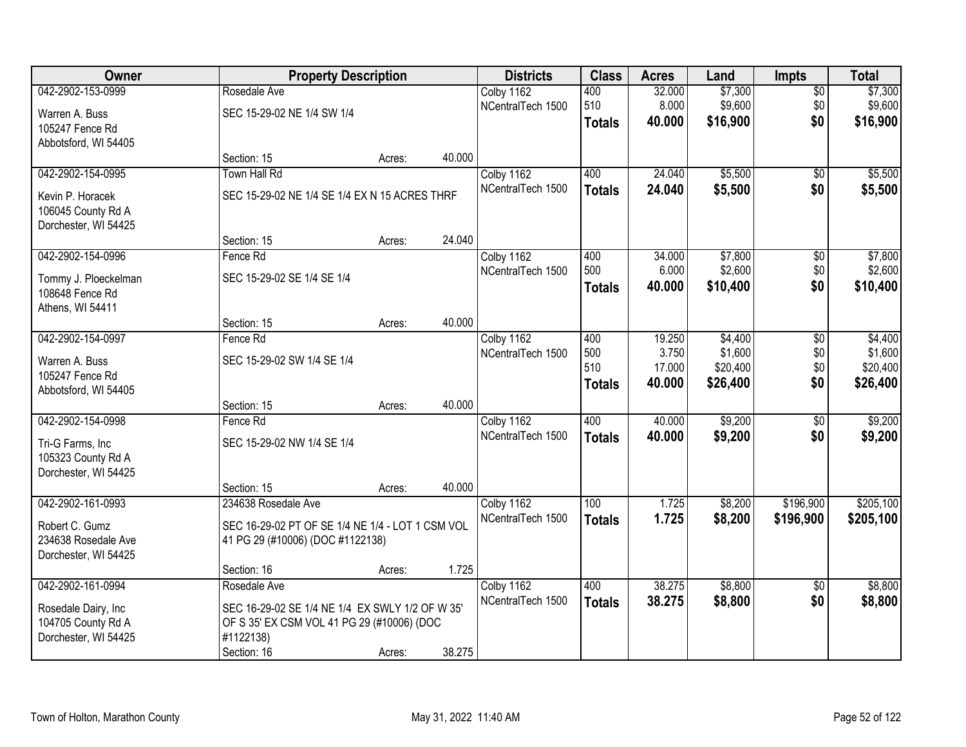| Owner                |                                                  | <b>Property Description</b> |        | <b>Districts</b>  | <b>Class</b>  | <b>Acres</b>     | Land     | <b>Impts</b>    | <b>Total</b> |
|----------------------|--------------------------------------------------|-----------------------------|--------|-------------------|---------------|------------------|----------|-----------------|--------------|
| 042-2902-153-0999    | Rosedale Ave                                     |                             |        | Colby 1162        | 400           | 32.000           | \$7,300  | $\sqrt{$0}$     | \$7,300      |
| Warren A. Buss       | SEC 15-29-02 NE 1/4 SW 1/4                       |                             |        | NCentralTech 1500 | 510           | 8.000            | \$9,600  | \$0             | \$9,600      |
| 105247 Fence Rd      |                                                  |                             |        |                   | <b>Totals</b> | 40.000           | \$16,900 | \$0             | \$16,900     |
| Abbotsford, WI 54405 |                                                  |                             |        |                   |               |                  |          |                 |              |
|                      | Section: 15                                      | Acres:                      | 40.000 |                   |               |                  |          |                 |              |
| 042-2902-154-0995    | <b>Town Hall Rd</b>                              |                             |        | Colby 1162        | 400           | 24.040           | \$5,500  | $\overline{50}$ | \$5,500      |
| Kevin P. Horacek     | SEC 15-29-02 NE 1/4 SE 1/4 EX N 15 ACRES THRF    |                             |        | NCentralTech 1500 | <b>Totals</b> | 24.040           | \$5,500  | \$0             | \$5,500      |
| 106045 County Rd A   |                                                  |                             |        |                   |               |                  |          |                 |              |
| Dorchester, WI 54425 |                                                  |                             |        |                   |               |                  |          |                 |              |
|                      | Section: 15                                      | Acres:                      | 24.040 |                   |               |                  |          |                 |              |
| 042-2902-154-0996    | Fence Rd                                         |                             |        | Colby 1162        | 400           | 34.000           | \$7,800  | \$0             | \$7,800      |
| Tommy J. Ploeckelman | SEC 15-29-02 SE 1/4 SE 1/4                       |                             |        | NCentralTech 1500 | 500           | 6.000            | \$2,600  | \$0             | \$2,600      |
| 108648 Fence Rd      |                                                  |                             |        |                   | <b>Totals</b> | 40.000           | \$10,400 | \$0             | \$10,400     |
| Athens, WI 54411     |                                                  |                             |        |                   |               |                  |          |                 |              |
|                      | Section: 15                                      | Acres:                      | 40.000 |                   |               |                  |          |                 |              |
| 042-2902-154-0997    | Fence Rd                                         |                             |        | Colby 1162        | 400           | 19.250           | \$4,400  | $\sqrt[6]{3}$   | \$4,400      |
| Warren A. Buss       | SEC 15-29-02 SW 1/4 SE 1/4                       |                             |        | NCentralTech 1500 | 500           | 3.750            | \$1,600  | \$0             | \$1,600      |
| 105247 Fence Rd      |                                                  |                             |        |                   | 510           | 17.000<br>40.000 | \$20,400 | \$0<br>\$0      | \$20,400     |
| Abbotsford, WI 54405 |                                                  |                             |        |                   | <b>Totals</b> |                  | \$26,400 |                 | \$26,400     |
|                      | Section: 15                                      | Acres:                      | 40.000 |                   |               |                  |          |                 |              |
| 042-2902-154-0998    | Fence Rd                                         |                             |        | Colby 1162        | 400           | 40.000           | \$9,200  | $\overline{50}$ | \$9,200      |
| Tri-G Farms, Inc     | SEC 15-29-02 NW 1/4 SE 1/4                       |                             |        | NCentralTech 1500 | <b>Totals</b> | 40.000           | \$9,200  | \$0             | \$9,200      |
| 105323 County Rd A   |                                                  |                             |        |                   |               |                  |          |                 |              |
| Dorchester, WI 54425 |                                                  |                             |        |                   |               |                  |          |                 |              |
|                      | Section: 15                                      | Acres:                      | 40.000 |                   |               |                  |          |                 |              |
| 042-2902-161-0993    | 234638 Rosedale Ave                              |                             |        | Colby 1162        | 100           | 1.725            | \$8,200  | \$196,900       | \$205,100    |
| Robert C. Gumz       | SEC 16-29-02 PT OF SE 1/4 NE 1/4 - LOT 1 CSM VOL |                             |        | NCentralTech 1500 | <b>Totals</b> | 1.725            | \$8,200  | \$196,900       | \$205,100    |
| 234638 Rosedale Ave  | 41 PG 29 (#10006) (DOC #1122138)                 |                             |        |                   |               |                  |          |                 |              |
| Dorchester, WI 54425 |                                                  |                             |        |                   |               |                  |          |                 |              |
|                      | Section: 16                                      | Acres:                      | 1.725  |                   |               |                  |          |                 |              |
| 042-2902-161-0994    | Rosedale Ave                                     |                             |        | Colby 1162        | 400           | 38.275           | \$8,800  | $\overline{50}$ | \$8,800      |
| Rosedale Dairy, Inc. | SEC 16-29-02 SE 1/4 NE 1/4 EX SWLY 1/2 OF W 35'  |                             |        | NCentralTech 1500 | <b>Totals</b> | 38.275           | \$8,800  | \$0             | \$8,800      |
| 104705 County Rd A   | OF S 35' EX CSM VOL 41 PG 29 (#10006) (DOC       |                             |        |                   |               |                  |          |                 |              |
| Dorchester, WI 54425 | #1122138)                                        |                             |        |                   |               |                  |          |                 |              |
|                      | Section: 16                                      | Acres:                      | 38.275 |                   |               |                  |          |                 |              |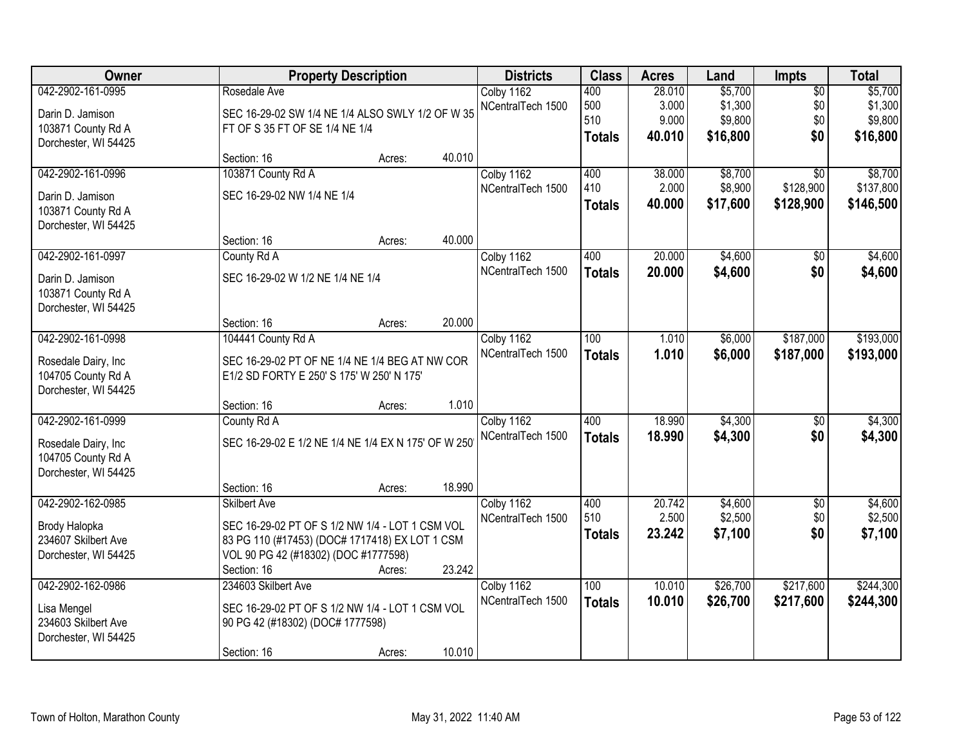| Owner                |                                                     | <b>Property Description</b> |        | <b>Districts</b>  | <b>Class</b>  | <b>Acres</b> | Land     | <b>Impts</b>    | <b>Total</b> |
|----------------------|-----------------------------------------------------|-----------------------------|--------|-------------------|---------------|--------------|----------|-----------------|--------------|
| 042-2902-161-0995    | Rosedale Ave                                        |                             |        | Colby 1162        | 400           | 28.010       | \$5,700  | $\overline{60}$ | \$5,700      |
| Darin D. Jamison     | SEC 16-29-02 SW 1/4 NE 1/4 ALSO SWLY 1/2 OF W 35    |                             |        | NCentralTech 1500 | 500           | 3.000        | \$1,300  | \$0             | \$1,300      |
| 103871 County Rd A   | FT OF S 35 FT OF SE 1/4 NE 1/4                      |                             |        |                   | 510           | 9.000        | \$9,800  | \$0             | \$9,800      |
| Dorchester, WI 54425 |                                                     |                             |        |                   | <b>Totals</b> | 40.010       | \$16,800 | \$0             | \$16,800     |
|                      | Section: 16                                         | Acres:                      | 40.010 |                   |               |              |          |                 |              |
| 042-2902-161-0996    | 103871 County Rd A                                  |                             |        | Colby 1162        | 400           | 38.000       | \$8,700  | $\overline{30}$ | \$8,700      |
| Darin D. Jamison     | SEC 16-29-02 NW 1/4 NE 1/4                          |                             |        | NCentralTech 1500 | 410           | 2.000        | \$8,900  | \$128,900       | \$137,800    |
| 103871 County Rd A   |                                                     |                             |        |                   | <b>Totals</b> | 40.000       | \$17,600 | \$128,900       | \$146,500    |
| Dorchester, WI 54425 |                                                     |                             |        |                   |               |              |          |                 |              |
|                      | Section: 16                                         | Acres:                      | 40.000 |                   |               |              |          |                 |              |
| 042-2902-161-0997    | County Rd A                                         |                             |        | Colby 1162        | 400           | 20.000       | \$4,600  | $\sqrt[6]{}$    | \$4,600      |
| Darin D. Jamison     | SEC 16-29-02 W 1/2 NE 1/4 NE 1/4                    |                             |        | NCentralTech 1500 | <b>Totals</b> | 20.000       | \$4,600  | \$0             | \$4,600      |
| 103871 County Rd A   |                                                     |                             |        |                   |               |              |          |                 |              |
| Dorchester, WI 54425 |                                                     |                             |        |                   |               |              |          |                 |              |
|                      | Section: 16                                         | Acres:                      | 20.000 |                   |               |              |          |                 |              |
| 042-2902-161-0998    | 104441 County Rd A                                  |                             |        | Colby 1162        | 100           | 1.010        | \$6,000  | \$187,000       | \$193,000    |
| Rosedale Dairy, Inc  | SEC 16-29-02 PT OF NE 1/4 NE 1/4 BEG AT NW COR      |                             |        | NCentralTech 1500 | <b>Totals</b> | 1.010        | \$6,000  | \$187,000       | \$193,000    |
| 104705 County Rd A   | E1/2 SD FORTY E 250' S 175' W 250' N 175'           |                             |        |                   |               |              |          |                 |              |
| Dorchester, WI 54425 |                                                     |                             |        |                   |               |              |          |                 |              |
|                      | Section: 16                                         | Acres:                      | 1.010  |                   |               |              |          |                 |              |
| 042-2902-161-0999    | County Rd A                                         |                             |        | Colby 1162        | 400           | 18.990       | \$4,300  | \$0             | \$4,300      |
| Rosedale Dairy, Inc  | SEC 16-29-02 E 1/2 NE 1/4 NE 1/4 EX N 175' OF W 250 |                             |        | NCentralTech 1500 | <b>Totals</b> | 18,990       | \$4,300  | \$0             | \$4,300      |
| 104705 County Rd A   |                                                     |                             |        |                   |               |              |          |                 |              |
| Dorchester, WI 54425 |                                                     |                             |        |                   |               |              |          |                 |              |
|                      | Section: 16                                         | Acres:                      | 18.990 |                   |               |              |          |                 |              |
| 042-2902-162-0985    | <b>Skilbert Ave</b>                                 |                             |        | Colby 1162        | 400           | 20.742       | \$4,600  | $\overline{50}$ | \$4,600      |
| Brody Halopka        | SEC 16-29-02 PT OF S 1/2 NW 1/4 - LOT 1 CSM VOL     |                             |        | NCentralTech 1500 | 510           | 2.500        | \$2,500  | \$0             | \$2,500      |
| 234607 Skilbert Ave  | 83 PG 110 (#17453) (DOC# 1717418) EX LOT 1 CSM      |                             |        |                   | <b>Totals</b> | 23.242       | \$7,100  | \$0             | \$7,100      |
| Dorchester, WI 54425 | VOL 90 PG 42 (#18302) (DOC #1777598)                |                             |        |                   |               |              |          |                 |              |
|                      | Section: 16                                         | Acres:                      | 23.242 |                   |               |              |          |                 |              |
| 042-2902-162-0986    | 234603 Skilbert Ave                                 |                             |        | Colby 1162        | 100           | 10.010       | \$26,700 | \$217,600       | \$244,300    |
| Lisa Mengel          | SEC 16-29-02 PT OF S 1/2 NW 1/4 - LOT 1 CSM VOL     |                             |        | NCentralTech 1500 | <b>Totals</b> | 10.010       | \$26,700 | \$217,600       | \$244,300    |
| 234603 Skilbert Ave  | 90 PG 42 (#18302) (DOC# 1777598)                    |                             |        |                   |               |              |          |                 |              |
| Dorchester, WI 54425 |                                                     |                             |        |                   |               |              |          |                 |              |
|                      | Section: 16                                         | Acres:                      | 10.010 |                   |               |              |          |                 |              |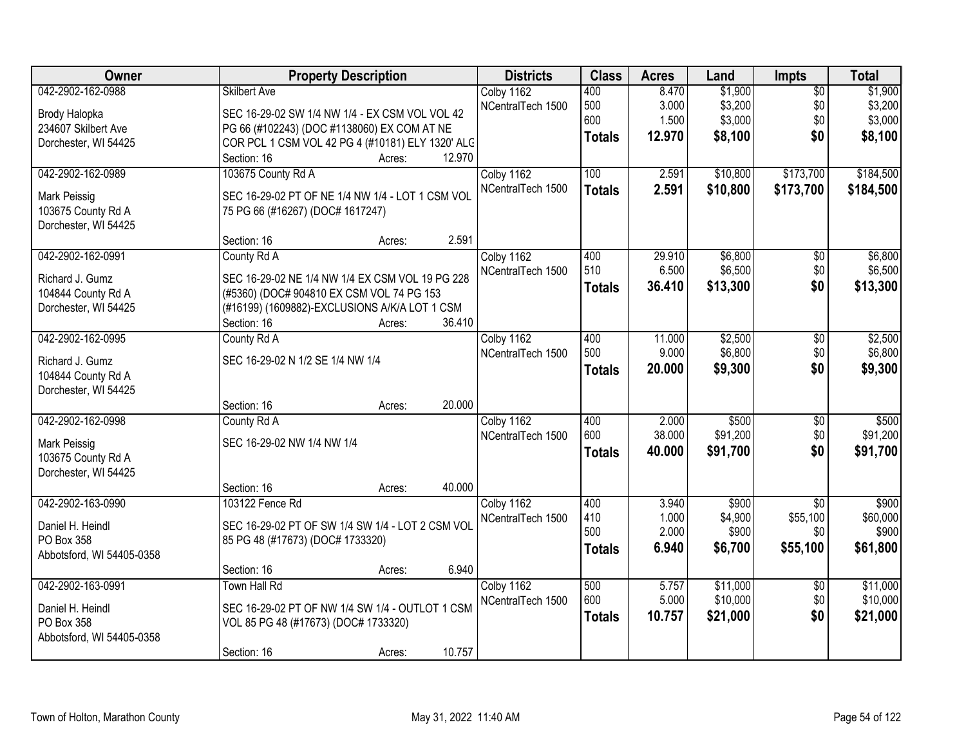| Owner                                      | <b>Property Description</b>                                                                | <b>Districts</b>  | <b>Class</b>  | <b>Acres</b> | Land     | <b>Impts</b>    | <b>Total</b> |
|--------------------------------------------|--------------------------------------------------------------------------------------------|-------------------|---------------|--------------|----------|-----------------|--------------|
| 042-2902-162-0988                          | <b>Skilbert Ave</b>                                                                        | Colby 1162        | 400           | 8.470        | \$1,900  | $\overline{50}$ | \$1,900      |
| Brody Halopka                              | SEC 16-29-02 SW 1/4 NW 1/4 - EX CSM VOL VOL 42                                             | NCentralTech 1500 | 500           | 3.000        | \$3,200  | \$0             | \$3,200      |
| 234607 Skilbert Ave                        | PG 66 (#102243) (DOC #1138060) EX COM AT NE                                                |                   | 600           | 1.500        | \$3,000  | \$0             | \$3,000      |
| Dorchester, WI 54425                       | COR PCL 1 CSM VOL 42 PG 4 (#10181) ELY 1320' ALC                                           |                   | <b>Totals</b> | 12.970       | \$8,100  | \$0             | \$8,100      |
|                                            | Section: 16<br>Acres:                                                                      | 12.970            |               |              |          |                 |              |
| 042-2902-162-0989                          | 103675 County Rd A                                                                         | Colby 1162        | 100           | 2.591        | \$10,800 | \$173,700       | \$184,500    |
| Mark Peissig                               | SEC 16-29-02 PT OF NE 1/4 NW 1/4 - LOT 1 CSM VOL                                           | NCentralTech 1500 | <b>Totals</b> | 2.591        | \$10,800 | \$173,700       | \$184,500    |
| 103675 County Rd A                         | 75 PG 66 (#16267) (DOC# 1617247)                                                           |                   |               |              |          |                 |              |
| Dorchester, WI 54425                       |                                                                                            |                   |               |              |          |                 |              |
|                                            | Section: 16<br>Acres:                                                                      | 2.591             |               |              |          |                 |              |
| 042-2902-162-0991                          | County Rd A                                                                                | Colby 1162        | 400           | 29.910       | \$6,800  | \$0             | \$6,800      |
|                                            |                                                                                            | NCentralTech 1500 | 510           | 6.500        | \$6,500  | \$0             | \$6,500      |
| Richard J. Gumz                            | SEC 16-29-02 NE 1/4 NW 1/4 EX CSM VOL 19 PG 228                                            |                   | <b>Totals</b> | 36.410       | \$13,300 | \$0             | \$13,300     |
| 104844 County Rd A<br>Dorchester, WI 54425 | (#5360) (DOC# 904810 EX CSM VOL 74 PG 153<br>(#16199) (1609882)-EXCLUSIONS A/K/A LOT 1 CSM |                   |               |              |          |                 |              |
|                                            | Section: 16<br>Acres:                                                                      | 36.410            |               |              |          |                 |              |
| 042-2902-162-0995                          | County Rd A                                                                                | Colby 1162        | 400           | 11.000       | \$2,500  | \$0             | \$2,500      |
|                                            |                                                                                            | NCentralTech 1500 | 500           | 9.000        | \$6,800  | \$0             | \$6,800      |
| Richard J. Gumz                            | SEC 16-29-02 N 1/2 SE 1/4 NW 1/4                                                           |                   | <b>Totals</b> | 20.000       | \$9,300  | \$0             | \$9,300      |
| 104844 County Rd A                         |                                                                                            |                   |               |              |          |                 |              |
| Dorchester, WI 54425                       |                                                                                            |                   |               |              |          |                 |              |
|                                            | Section: 16<br>Acres:                                                                      | 20.000            |               |              |          |                 |              |
| 042-2902-162-0998                          | County Rd A                                                                                | Colby 1162        | 400           | 2.000        | \$500    | \$0             | \$500        |
| Mark Peissig                               | SEC 16-29-02 NW 1/4 NW 1/4                                                                 | NCentralTech 1500 | 600           | 38.000       | \$91,200 | \$0             | \$91,200     |
| 103675 County Rd A                         |                                                                                            |                   | <b>Totals</b> | 40.000       | \$91,700 | \$0             | \$91,700     |
| Dorchester, WI 54425                       |                                                                                            |                   |               |              |          |                 |              |
|                                            | Section: 16<br>Acres:                                                                      | 40.000            |               |              |          |                 |              |
| 042-2902-163-0990                          | 103122 Fence Rd                                                                            | Colby 1162        | 400           | 3.940        | \$900    | $\overline{50}$ | \$900        |
| Daniel H. Heindl                           | SEC 16-29-02 PT OF SW 1/4 SW 1/4 - LOT 2 CSM VOL                                           | NCentralTech 1500 | 410           | 1.000        | \$4,900  | \$55,100        | \$60,000     |
| PO Box 358                                 | 85 PG 48 (#17673) (DOC# 1733320)                                                           |                   | 500           | 2.000        | \$900    | \$0             | \$900        |
| Abbotsford, WI 54405-0358                  |                                                                                            |                   | <b>Totals</b> | 6.940        | \$6,700  | \$55,100        | \$61,800     |
|                                            | Section: 16<br>Acres:                                                                      | 6.940             |               |              |          |                 |              |
| 042-2902-163-0991                          | <b>Town Hall Rd</b>                                                                        | Colby 1162        | 500           | 5.757        | \$11,000 | $\overline{30}$ | \$11,000     |
| Daniel H. Heindl                           | SEC 16-29-02 PT OF NW 1/4 SW 1/4 - OUTLOT 1 CSM                                            | NCentralTech 1500 | 600           | 5.000        | \$10,000 | \$0             | \$10,000     |
| PO Box 358                                 | VOL 85 PG 48 (#17673) (DOC# 1733320)                                                       |                   | <b>Totals</b> | 10.757       | \$21,000 | \$0             | \$21,000     |
| Abbotsford, WI 54405-0358                  |                                                                                            |                   |               |              |          |                 |              |
|                                            | Section: 16<br>Acres:                                                                      | 10.757            |               |              |          |                 |              |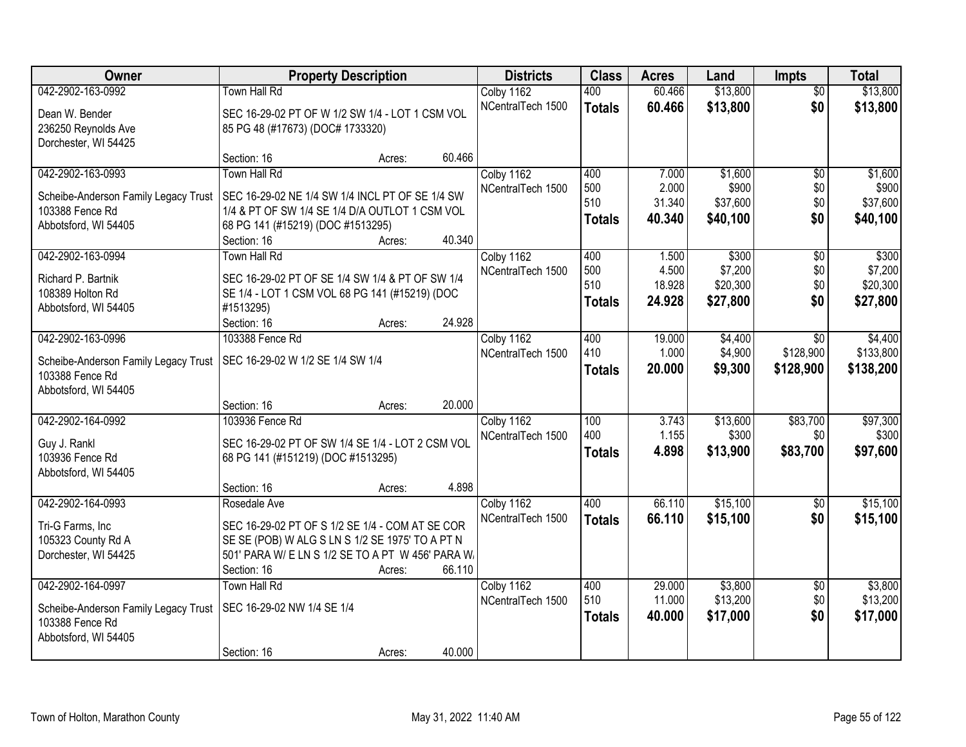| Owner                                | <b>Property Description</b>                       |        |        | <b>Districts</b>  | <b>Class</b>  | <b>Acres</b>     | Land                | Impts                  | <b>Total</b>        |
|--------------------------------------|---------------------------------------------------|--------|--------|-------------------|---------------|------------------|---------------------|------------------------|---------------------|
| 042-2902-163-0992                    | Town Hall Rd                                      |        |        | Colby 1162        | 400           | 60.466           | \$13,800            | $\overline{50}$        | \$13,800            |
| Dean W. Bender                       | SEC 16-29-02 PT OF W 1/2 SW 1/4 - LOT 1 CSM VOL   |        |        | NCentralTech 1500 | <b>Totals</b> | 60.466           | \$13,800            | \$0                    | \$13,800            |
| 236250 Reynolds Ave                  | 85 PG 48 (#17673) (DOC# 1733320)                  |        |        |                   |               |                  |                     |                        |                     |
| Dorchester, WI 54425                 |                                                   |        |        |                   |               |                  |                     |                        |                     |
|                                      | Section: 16                                       | Acres: | 60.466 |                   |               |                  |                     |                        |                     |
| 042-2902-163-0993                    | Town Hall Rd                                      |        |        | Colby 1162        | 400           | 7.000            | \$1,600             | $\overline{50}$        | \$1,600             |
| Scheibe-Anderson Family Legacy Trust | SEC 16-29-02 NE 1/4 SW 1/4 INCL PT OF SE 1/4 SW   |        |        | NCentralTech 1500 | 500           | 2.000            | \$900               | \$0                    | \$900               |
| 103388 Fence Rd                      | 1/4 & PT OF SW 1/4 SE 1/4 D/A OUTLOT 1 CSM VOL    |        |        |                   | 510           | 31.340           | \$37,600            | \$0                    | \$37,600            |
| Abbotsford, WI 54405                 | 68 PG 141 (#15219) (DOC #1513295)                 |        |        |                   | <b>Totals</b> | 40.340           | \$40,100            | \$0                    | \$40,100            |
|                                      | Section: 16                                       | Acres: | 40.340 |                   |               |                  |                     |                        |                     |
| 042-2902-163-0994                    | Town Hall Rd                                      |        |        | Colby 1162        | 400           | 1.500            | \$300               | $\overline{50}$        | \$300               |
| Richard P. Bartnik                   | SEC 16-29-02 PT OF SE 1/4 SW 1/4 & PT OF SW 1/4   |        |        | NCentralTech 1500 | 500<br>510    | 4.500            | \$7,200             | \$0                    | \$7,200             |
| 108389 Holton Rd                     | SE 1/4 - LOT 1 CSM VOL 68 PG 141 (#15219) (DOC    |        |        |                   |               | 18.928<br>24.928 | \$20,300            | \$0                    | \$20,300            |
| Abbotsford, WI 54405                 | #1513295)                                         |        |        |                   | <b>Totals</b> |                  | \$27,800            | \$0                    | \$27,800            |
|                                      | Section: 16                                       | Acres: | 24.928 |                   |               |                  |                     |                        |                     |
| 042-2902-163-0996                    | 103388 Fence Rd                                   |        |        | Colby 1162        | 400           | 19.000           | \$4,400             | \$0                    | \$4,400             |
| Scheibe-Anderson Family Legacy Trust | SEC 16-29-02 W 1/2 SE 1/4 SW 1/4                  |        |        | NCentralTech 1500 | 410           | 1.000            | \$4,900             | \$128,900              | \$133,800           |
| 103388 Fence Rd                      |                                                   |        |        |                   | <b>Totals</b> | 20.000           | \$9,300             | \$128,900              | \$138,200           |
| Abbotsford, WI 54405                 |                                                   |        |        |                   |               |                  |                     |                        |                     |
|                                      | Section: 16                                       | Acres: | 20.000 |                   |               |                  |                     |                        |                     |
| 042-2902-164-0992                    | 103936 Fence Rd                                   |        |        | Colby 1162        | 100           | 3.743            | \$13,600            | \$83,700               | \$97,300            |
| Guy J. Rankl                         | SEC 16-29-02 PT OF SW 1/4 SE 1/4 - LOT 2 CSM VOL  |        |        | NCentralTech 1500 | 400           | 1.155<br>4.898   | \$300               | \$0                    | \$300               |
| 103936 Fence Rd                      | 68 PG 141 (#151219) (DOC #1513295)                |        |        |                   | <b>Totals</b> |                  | \$13,900            | \$83,700               | \$97,600            |
| Abbotsford, WI 54405                 |                                                   |        |        |                   |               |                  |                     |                        |                     |
|                                      | Section: 16                                       | Acres: | 4.898  |                   |               |                  |                     |                        |                     |
| 042-2902-164-0993                    | Rosedale Ave                                      |        |        | Colby 1162        | 400           | 66.110           | \$15,100            | $\overline{50}$        | \$15,100            |
| Tri-G Farms, Inc                     | SEC 16-29-02 PT OF S 1/2 SE 1/4 - COM AT SE COR   |        |        | NCentralTech 1500 | <b>Totals</b> | 66.110           | \$15,100            | \$0                    | \$15,100            |
| 105323 County Rd A                   | SE SE (POB) W ALG S LN S 1/2 SE 1975' TO A PT N   |        |        |                   |               |                  |                     |                        |                     |
| Dorchester, WI 54425                 | 501' PARA W/ E LN S 1/2 SE TO A PT W 456' PARA W/ |        |        |                   |               |                  |                     |                        |                     |
|                                      | Section: 16                                       | Acres: | 66.110 |                   |               |                  |                     |                        |                     |
| 042-2902-164-0997                    | <b>Town Hall Rd</b>                               |        |        | Colby 1162        | 400<br>510    | 29.000<br>11.000 | \$3,800<br>\$13,200 | $\overline{50}$<br>\$0 | \$3,800<br>\$13,200 |
| Scheibe-Anderson Family Legacy Trust | SEC 16-29-02 NW 1/4 SE 1/4                        |        |        | NCentralTech 1500 |               | 40.000           | \$17,000            | \$0                    |                     |
| 103388 Fence Rd                      |                                                   |        |        |                   | <b>Totals</b> |                  |                     |                        | \$17,000            |
| Abbotsford, WI 54405                 |                                                   |        |        |                   |               |                  |                     |                        |                     |
|                                      | Section: 16                                       | Acres: | 40.000 |                   |               |                  |                     |                        |                     |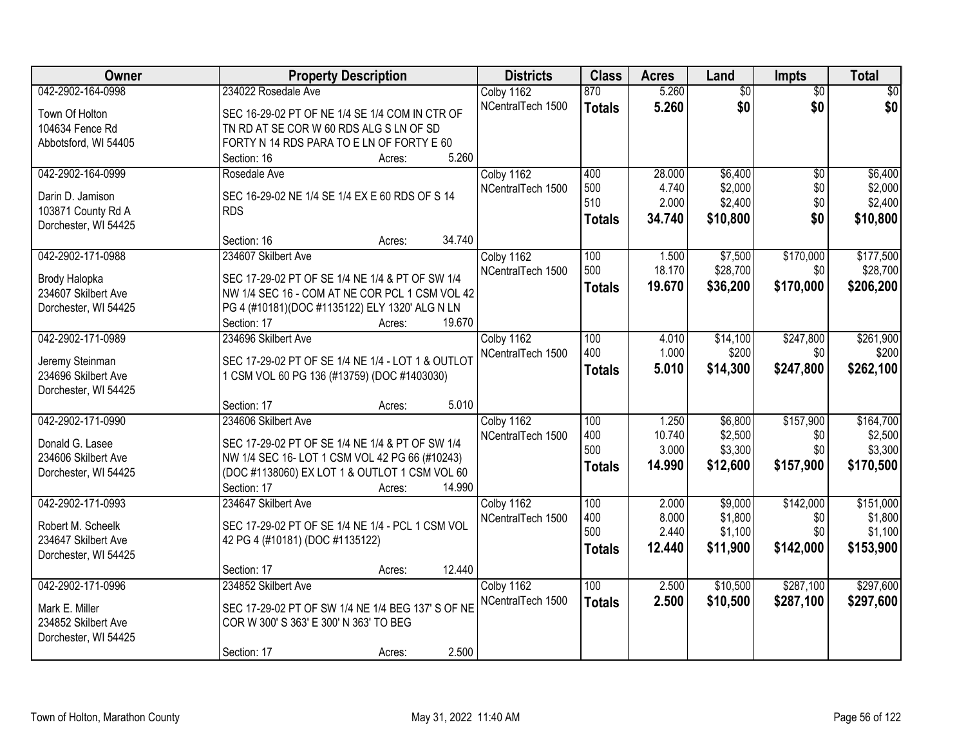| Owner                                       | <b>Property Description</b>                                                                       | <b>Districts</b>  | <b>Class</b>  | <b>Acres</b> | Land            | <b>Impts</b>    | <b>Total</b>    |
|---------------------------------------------|---------------------------------------------------------------------------------------------------|-------------------|---------------|--------------|-----------------|-----------------|-----------------|
| 042-2902-164-0998                           | 234022 Rosedale Ave                                                                               | Colby 1162        | 870           | 5.260        | $\overline{50}$ | $\overline{50}$ | $\overline{30}$ |
| Town Of Holton                              | SEC 16-29-02 PT OF NE 1/4 SE 1/4 COM IN CTR OF                                                    | NCentralTech 1500 | <b>Totals</b> | 5.260        | \$0             | \$0             | \$0             |
| 104634 Fence Rd                             | TN RD AT SE COR W 60 RDS ALG S LN OF SD                                                           |                   |               |              |                 |                 |                 |
| Abbotsford, WI 54405                        | FORTY N 14 RDS PARA TO E LN OF FORTY E 60                                                         |                   |               |              |                 |                 |                 |
|                                             | 5.260<br>Section: 16<br>Acres:                                                                    |                   |               |              |                 |                 |                 |
| 042-2902-164-0999                           | Rosedale Ave                                                                                      | Colby 1162        | 400           | 28.000       | \$6,400         | $\overline{50}$ | \$6,400         |
| Darin D. Jamison                            | SEC 16-29-02 NE 1/4 SE 1/4 EX E 60 RDS OF S 14                                                    | NCentralTech 1500 | 500           | 4.740        | \$2,000         | \$0             | \$2,000         |
| 103871 County Rd A                          | <b>RDS</b>                                                                                        |                   | 510           | 2.000        | \$2,400         | \$0             | \$2,400         |
| Dorchester, WI 54425                        |                                                                                                   |                   | <b>Totals</b> | 34.740       | \$10,800        | \$0             | \$10,800        |
|                                             | 34.740<br>Section: 16<br>Acres:                                                                   |                   |               |              |                 |                 |                 |
| 042-2902-171-0988                           | 234607 Skilbert Ave                                                                               | Colby 1162        | 100           | 1.500        | \$7,500         | \$170,000       | \$177,500       |
|                                             |                                                                                                   | NCentralTech 1500 | 500           | 18.170       | \$28,700        | \$0             | \$28,700        |
| Brody Halopka<br>234607 Skilbert Ave        | SEC 17-29-02 PT OF SE 1/4 NE 1/4 & PT OF SW 1/4<br>NW 1/4 SEC 16 - COM AT NE COR PCL 1 CSM VOL 42 |                   | <b>Totals</b> | 19.670       | \$36,200        | \$170,000       | \$206,200       |
|                                             | PG 4 (#10181)(DOC #1135122) ELY 1320' ALG N LN                                                    |                   |               |              |                 |                 |                 |
| Dorchester, WI 54425                        | Section: 17<br>19.670<br>Acres:                                                                   |                   |               |              |                 |                 |                 |
| 042-2902-171-0989                           | 234696 Skilbert Ave                                                                               | Colby 1162        | 100           | 4.010        | \$14,100        | \$247,800       | \$261,900       |
|                                             |                                                                                                   | NCentralTech 1500 | 400           | 1.000        | \$200           | \$0             | \$200           |
| Jeremy Steinman                             | SEC 17-29-02 PT OF SE 1/4 NE 1/4 - LOT 1 & OUTLOT                                                 |                   | <b>Totals</b> | 5.010        | \$14,300        | \$247,800       | \$262,100       |
| 234696 Skilbert Ave                         | 1 CSM VOL 60 PG 136 (#13759) (DOC #1403030)                                                       |                   |               |              |                 |                 |                 |
| Dorchester, WI 54425                        |                                                                                                   |                   |               |              |                 |                 |                 |
|                                             | 5.010<br>Section: 17<br>Acres:                                                                    |                   |               |              |                 |                 |                 |
| 042-2902-171-0990                           | 234606 Skilbert Ave                                                                               | Colby 1162        | 100           | 1.250        | \$6,800         | \$157,900       | \$164,700       |
| Donald G. Lasee                             | SEC 17-29-02 PT OF SE 1/4 NE 1/4 & PT OF SW 1/4                                                   | NCentralTech 1500 | 400           | 10.740       | \$2,500         | \$0             | \$2,500         |
| 234606 Skilbert Ave                         | NW 1/4 SEC 16-LOT 1 CSM VOL 42 PG 66 (#10243)                                                     |                   | 500           | 3.000        | \$3,300         | \$0             | \$3,300         |
| Dorchester, WI 54425                        | (DOC #1138060) EX LOT 1 & OUTLOT 1 CSM VOL 60                                                     |                   | <b>Totals</b> | 14.990       | \$12,600        | \$157,900       | \$170,500       |
|                                             | Section: 17<br>14.990<br>Acres:                                                                   |                   |               |              |                 |                 |                 |
| 042-2902-171-0993                           | 234647 Skilbert Ave                                                                               | Colby 1162        | 100           | 2.000        | \$9,000         | \$142,000       | \$151,000       |
| Robert M. Scheelk                           | SEC 17-29-02 PT OF SE 1/4 NE 1/4 - PCL 1 CSM VOL                                                  | NCentralTech 1500 | 400           | 8.000        | \$1,800         | \$0             | \$1,800         |
| 234647 Skilbert Ave                         | 42 PG 4 (#10181) (DOC #1135122)                                                                   |                   | 500           | 2.440        | \$1,100         | \$0             | \$1,100         |
| Dorchester, WI 54425                        |                                                                                                   |                   | Totals        | 12.440       | \$11,900        | \$142,000       | \$153,900       |
|                                             | 12.440<br>Section: 17<br>Acres:                                                                   |                   |               |              |                 |                 |                 |
| 042-2902-171-0996                           | 234852 Skilbert Ave                                                                               | Colby 1162        | 100           | 2.500        | \$10,500        | \$287,100       | \$297,600       |
|                                             |                                                                                                   | NCentralTech 1500 | <b>Totals</b> | 2.500        | \$10,500        | \$287,100       | \$297,600       |
| Mark E. Miller                              | SEC 17-29-02 PT OF SW 1/4 NE 1/4 BEG 137' S OF NE                                                 |                   |               |              |                 |                 |                 |
| 234852 Skilbert Ave<br>Dorchester, WI 54425 | COR W 300' S 363' E 300' N 363' TO BEG                                                            |                   |               |              |                 |                 |                 |
|                                             | 2.500<br>Section: 17<br>Acres:                                                                    |                   |               |              |                 |                 |                 |
|                                             |                                                                                                   |                   |               |              |                 |                 |                 |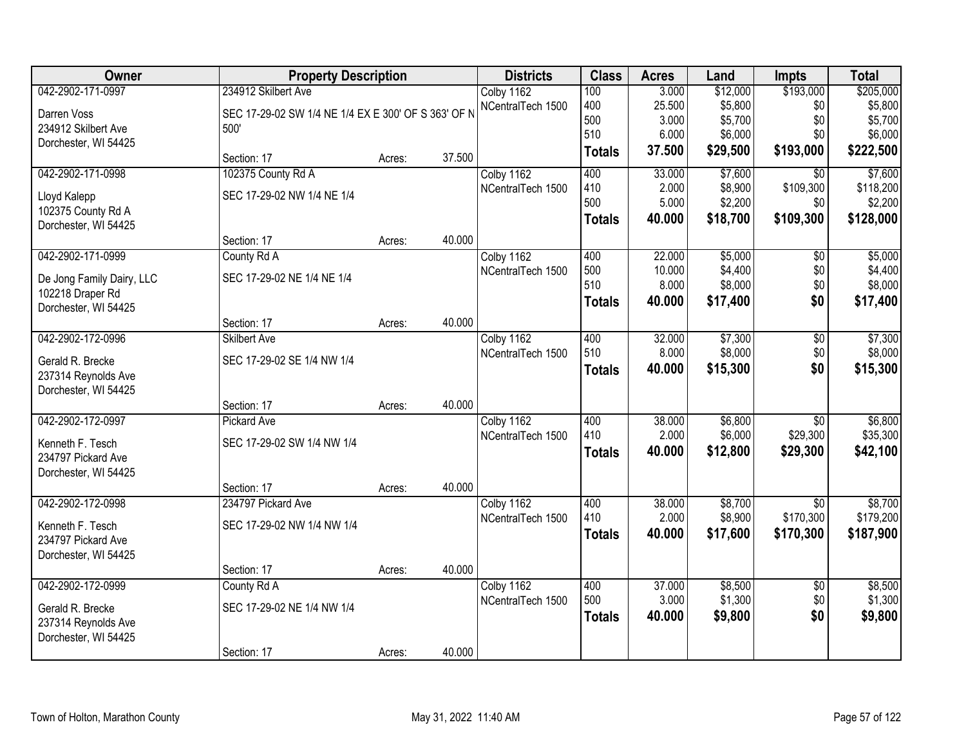| Owner                     | <b>Property Description</b>                         |        |        | <b>Districts</b>  | <b>Class</b>  | <b>Acres</b> | Land     | <b>Impts</b>    | <b>Total</b> |
|---------------------------|-----------------------------------------------------|--------|--------|-------------------|---------------|--------------|----------|-----------------|--------------|
| 042-2902-171-0997         | 234912 Skilbert Ave                                 |        |        | Colby 1162        | 100           | 3.000        | \$12,000 | \$193,000       | \$205,000    |
| Darren Voss               | SEC 17-29-02 SW 1/4 NE 1/4 EX E 300' OF S 363' OF N |        |        | NCentralTech 1500 | 400           | 25.500       | \$5,800  | \$0             | \$5,800      |
| 234912 Skilbert Ave       | 500'                                                |        |        |                   | 500           | 3.000        | \$5,700  | \$0             | \$5,700      |
| Dorchester, WI 54425      |                                                     |        |        |                   | 510           | 6.000        | \$6,000  | \$0             | \$6,000      |
|                           | Section: 17                                         | Acres: | 37.500 |                   | <b>Totals</b> | 37.500       | \$29,500 | \$193,000       | \$222,500    |
| 042-2902-171-0998         | 102375 County Rd A                                  |        |        | Colby 1162        | 400           | 33.000       | \$7,600  | $\overline{50}$ | \$7,600      |
| Lloyd Kalepp              | SEC 17-29-02 NW 1/4 NE 1/4                          |        |        | NCentralTech 1500 | 410           | 2.000        | \$8,900  | \$109,300       | \$118,200    |
| 102375 County Rd A        |                                                     |        |        |                   | 500           | 5.000        | \$2,200  | \$0             | \$2,200      |
| Dorchester, WI 54425      |                                                     |        |        |                   | <b>Totals</b> | 40.000       | \$18,700 | \$109,300       | \$128,000    |
|                           | Section: 17                                         | Acres: | 40.000 |                   |               |              |          |                 |              |
| 042-2902-171-0999         | County Rd A                                         |        |        | Colby 1162        | 400           | 22.000       | \$5,000  | $\overline{50}$ | \$5,000      |
| De Jong Family Dairy, LLC | SEC 17-29-02 NE 1/4 NE 1/4                          |        |        | NCentralTech 1500 | 500           | 10.000       | \$4,400  | \$0             | \$4,400      |
| 102218 Draper Rd          |                                                     |        |        |                   | 510           | 8.000        | \$8,000  | \$0             | \$8,000      |
| Dorchester, WI 54425      |                                                     |        |        |                   | <b>Totals</b> | 40.000       | \$17,400 | \$0             | \$17,400     |
|                           | Section: 17                                         | Acres: | 40.000 |                   |               |              |          |                 |              |
| 042-2902-172-0996         | <b>Skilbert Ave</b>                                 |        |        | Colby 1162        | 400           | 32.000       | \$7,300  | $\overline{50}$ | \$7,300      |
| Gerald R. Brecke          | SEC 17-29-02 SE 1/4 NW 1/4                          |        |        | NCentralTech 1500 | 510           | 8.000        | \$8,000  | \$0             | \$8,000      |
| 237314 Reynolds Ave       |                                                     |        |        |                   | <b>Totals</b> | 40.000       | \$15,300 | \$0             | \$15,300     |
| Dorchester, WI 54425      |                                                     |        |        |                   |               |              |          |                 |              |
|                           | Section: 17                                         | Acres: | 40.000 |                   |               |              |          |                 |              |
| 042-2902-172-0997         | Pickard Ave                                         |        |        | Colby 1162        | 400           | 38.000       | \$6,800  | $\overline{60}$ | \$6,800      |
| Kenneth F. Tesch          | SEC 17-29-02 SW 1/4 NW 1/4                          |        |        | NCentralTech 1500 | 410           | 2.000        | \$6,000  | \$29,300        | \$35,300     |
| 234797 Pickard Ave        |                                                     |        |        |                   | <b>Totals</b> | 40.000       | \$12,800 | \$29,300        | \$42,100     |
| Dorchester, WI 54425      |                                                     |        |        |                   |               |              |          |                 |              |
|                           | Section: 17                                         | Acres: | 40.000 |                   |               |              |          |                 |              |
| 042-2902-172-0998         | 234797 Pickard Ave                                  |        |        | Colby 1162        | 400           | 38.000       | \$8,700  | $\overline{50}$ | \$8,700      |
| Kenneth F. Tesch          | SEC 17-29-02 NW 1/4 NW 1/4                          |        |        | NCentralTech 1500 | 410           | 2.000        | \$8,900  | \$170,300       | \$179,200    |
| 234797 Pickard Ave        |                                                     |        |        |                   | <b>Totals</b> | 40,000       | \$17,600 | \$170,300       | \$187,900    |
| Dorchester, WI 54425      |                                                     |        |        |                   |               |              |          |                 |              |
|                           | Section: 17                                         | Acres: | 40.000 |                   |               |              |          |                 |              |
| 042-2902-172-0999         | County Rd A                                         |        |        | Colby 1162        | 400           | 37.000       | \$8,500  | $\overline{30}$ | \$8,500      |
| Gerald R. Brecke          | SEC 17-29-02 NE 1/4 NW 1/4                          |        |        | NCentralTech 1500 | 500           | 3.000        | \$1,300  | \$0             | \$1,300      |
| 237314 Reynolds Ave       |                                                     |        |        |                   | <b>Totals</b> | 40.000       | \$9,800  | \$0             | \$9,800      |
| Dorchester, WI 54425      |                                                     |        |        |                   |               |              |          |                 |              |
|                           | Section: 17                                         | Acres: | 40.000 |                   |               |              |          |                 |              |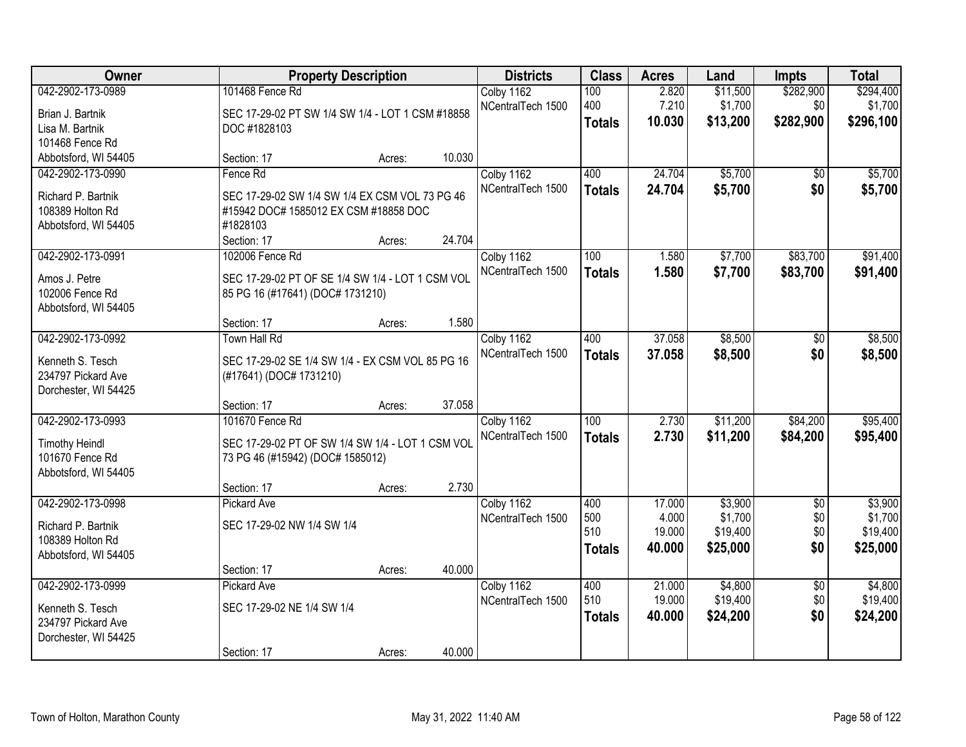| Owner                                                          | <b>Property Description</b>                                                                                        |        |        | <b>Districts</b>                | <b>Class</b>                | <b>Acres</b>              | Land                            | <b>Impts</b>         | <b>Total</b>                    |
|----------------------------------------------------------------|--------------------------------------------------------------------------------------------------------------------|--------|--------|---------------------------------|-----------------------------|---------------------------|---------------------------------|----------------------|---------------------------------|
| 042-2902-173-0989<br>Brian J. Bartnik                          | 101468 Fence Rd<br>SEC 17-29-02 PT SW 1/4 SW 1/4 - LOT 1 CSM #18858                                                |        |        | Colby 1162<br>NCentralTech 1500 | 100<br>400                  | 2.820<br>7.210            | \$11,500<br>\$1,700             | \$282,900<br>\$0     | \$294,400<br>\$1,700            |
| Lisa M. Bartnik<br>101468 Fence Rd                             | DOC #1828103                                                                                                       |        |        |                                 | <b>Totals</b>               | 10.030                    | \$13,200                        | \$282,900            | \$296,100                       |
| Abbotsford, WI 54405                                           | Section: 17                                                                                                        | Acres: | 10.030 |                                 |                             |                           |                                 |                      |                                 |
| 042-2902-173-0990                                              | Fence Rd                                                                                                           |        |        | Colby 1162                      | 400                         | 24.704                    | \$5,700                         | $\overline{30}$      | \$5,700                         |
| Richard P. Bartnik<br>108389 Holton Rd<br>Abbotsford, WI 54405 | SEC 17-29-02 SW 1/4 SW 1/4 EX CSM VOL 73 PG 46<br>#15942 DOC# 1585012 EX CSM #18858 DOC<br>#1828103<br>Section: 17 | Acres: | 24.704 | NCentralTech 1500               | <b>Totals</b>               | 24.704                    | \$5,700                         | \$0                  | \$5,700                         |
| 042-2902-173-0991                                              | 102006 Fence Rd                                                                                                    |        |        | Colby 1162                      | 100                         | 1.580                     | \$7,700                         | \$83,700             | \$91,400                        |
| Amos J. Petre<br>102006 Fence Rd<br>Abbotsford, WI 54405       | SEC 17-29-02 PT OF SE 1/4 SW 1/4 - LOT 1 CSM VOL<br>85 PG 16 (#17641) (DOC# 1731210)                               |        |        | NCentralTech 1500               | <b>Totals</b>               | 1.580                     | \$7,700                         | \$83,700             | \$91,400                        |
|                                                                | Section: 17                                                                                                        | Acres: | 1.580  |                                 |                             |                           |                                 |                      |                                 |
| 042-2902-173-0992                                              | <b>Town Hall Rd</b>                                                                                                |        |        | Colby 1162                      | 400                         | 37.058                    | \$8,500                         | \$0                  | \$8,500                         |
| Kenneth S. Tesch<br>234797 Pickard Ave<br>Dorchester, WI 54425 | SEC 17-29-02 SE 1/4 SW 1/4 - EX CSM VOL 85 PG 16<br>(#17641) (DOC# 1731210)                                        |        |        | NCentralTech 1500               | <b>Totals</b>               | 37.058                    | \$8,500                         | \$0                  | \$8,500                         |
|                                                                | Section: 17                                                                                                        | Acres: | 37.058 |                                 |                             |                           |                                 |                      |                                 |
| 042-2902-173-0993<br><b>Timothy Heindl</b><br>101670 Fence Rd  | 101670 Fence Rd<br>SEC 17-29-02 PT OF SW 1/4 SW 1/4 - LOT 1 CSM VOL<br>73 PG 46 (#15942) (DOC# 1585012)            |        |        | Colby 1162<br>NCentralTech 1500 | 100<br><b>Totals</b>        | 2.730<br>2.730            | \$11,200<br>\$11,200            | \$84,200<br>\$84,200 | \$95,400<br>\$95,400            |
| Abbotsford, WI 54405                                           | Section: 17                                                                                                        | Acres: | 2.730  |                                 |                             |                           |                                 |                      |                                 |
| 042-2902-173-0998                                              | <b>Pickard Ave</b>                                                                                                 |        |        | Colby 1162                      | 400                         | 17.000                    | \$3,900                         | $\overline{50}$      | \$3,900                         |
| Richard P. Bartnik<br>108389 Holton Rd<br>Abbotsford, WI 54405 | SEC 17-29-02 NW 1/4 SW 1/4                                                                                         |        |        | NCentralTech 1500               | 500<br>510<br><b>Totals</b> | 4.000<br>19.000<br>40.000 | \$1,700<br>\$19,400<br>\$25,000 | \$0<br>\$0<br>\$0    | \$1,700<br>\$19,400<br>\$25,000 |
|                                                                | Section: 17                                                                                                        | Acres: | 40.000 |                                 |                             |                           |                                 |                      |                                 |
| 042-2902-173-0999                                              | Pickard Ave                                                                                                        |        |        | Colby 1162                      | 400                         | 21.000                    | \$4,800                         | $\overline{50}$      | \$4,800                         |
| Kenneth S. Tesch<br>234797 Pickard Ave<br>Dorchester, WI 54425 | SEC 17-29-02 NE 1/4 SW 1/4                                                                                         |        |        | NCentralTech 1500               | 510<br><b>Totals</b>        | 19.000<br>40.000          | \$19,400<br>\$24,200            | \$0<br>\$0           | \$19,400<br>\$24,200            |
|                                                                | Section: 17                                                                                                        | Acres: | 40.000 |                                 |                             |                           |                                 |                      |                                 |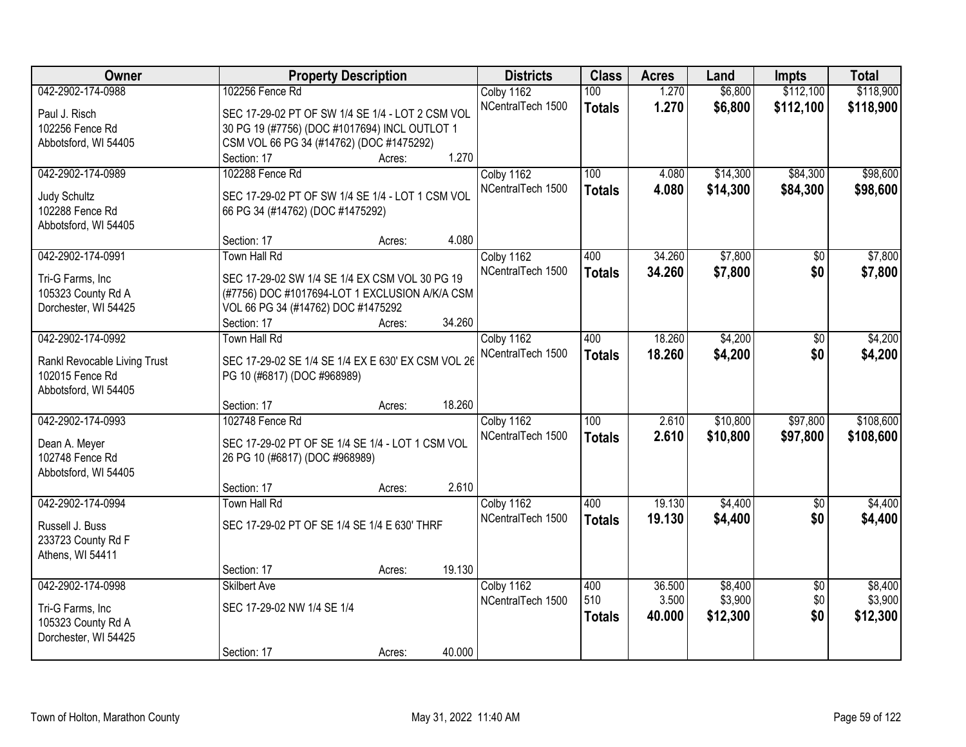| Owner                        | <b>Property Description</b>                        |        |        | <b>Districts</b>  | <b>Class</b>     | <b>Acres</b> | Land     | <b>Impts</b>    | <b>Total</b> |
|------------------------------|----------------------------------------------------|--------|--------|-------------------|------------------|--------------|----------|-----------------|--------------|
| 042-2902-174-0988            | 102256 Fence Rd                                    |        |        | Colby 1162        | 100              | 1.270        | \$6,800  | \$112,100       | \$118,900    |
| Paul J. Risch                | SEC 17-29-02 PT OF SW 1/4 SE 1/4 - LOT 2 CSM VOL   |        |        | NCentralTech 1500 | <b>Totals</b>    | 1.270        | \$6,800  | \$112,100       | \$118,900    |
| 102256 Fence Rd              | 30 PG 19 (#7756) (DOC #1017694) INCL OUTLOT 1      |        |        |                   |                  |              |          |                 |              |
| Abbotsford, WI 54405         | CSM VOL 66 PG 34 (#14762) (DOC #1475292)           |        |        |                   |                  |              |          |                 |              |
|                              | Section: 17                                        | Acres: | 1.270  |                   |                  |              |          |                 |              |
| 042-2902-174-0989            | 102288 Fence Rd                                    |        |        | Colby 1162        | 100              | 4.080        | \$14,300 | \$84,300        | \$98,600     |
|                              |                                                    |        |        | NCentralTech 1500 | <b>Totals</b>    | 4.080        | \$14,300 | \$84,300        | \$98,600     |
| <b>Judy Schultz</b>          | SEC 17-29-02 PT OF SW 1/4 SE 1/4 - LOT 1 CSM VOL   |        |        |                   |                  |              |          |                 |              |
| 102288 Fence Rd              | 66 PG 34 (#14762) (DOC #1475292)                   |        |        |                   |                  |              |          |                 |              |
| Abbotsford, WI 54405         | Section: 17                                        | Acres: | 4.080  |                   |                  |              |          |                 |              |
| 042-2902-174-0991            | <b>Town Hall Rd</b>                                |        |        | Colby 1162        | 400              | 34.260       | \$7,800  | \$0             | \$7,800      |
|                              |                                                    |        |        | NCentralTech 1500 |                  |              |          |                 |              |
| Tri-G Farms, Inc             | SEC 17-29-02 SW 1/4 SE 1/4 EX CSM VOL 30 PG 19     |        |        |                   | <b>Totals</b>    | 34.260       | \$7,800  | \$0             | \$7,800      |
| 105323 County Rd A           | (#7756) DOC #1017694-LOT 1 EXCLUSION A/K/A CSM     |        |        |                   |                  |              |          |                 |              |
| Dorchester, WI 54425         | VOL 66 PG 34 (#14762) DOC #1475292                 |        |        |                   |                  |              |          |                 |              |
|                              | Section: 17                                        | Acres: | 34.260 |                   |                  |              |          |                 |              |
| 042-2902-174-0992            | <b>Town Hall Rd</b>                                |        |        | Colby 1162        | 400              | 18.260       | \$4,200  | \$0             | \$4,200      |
| Rankl Revocable Living Trust | SEC 17-29-02 SE 1/4 SE 1/4 EX E 630' EX CSM VOL 26 |        |        | NCentralTech 1500 | <b>Totals</b>    | 18.260       | \$4,200  | \$0             | \$4,200      |
| 102015 Fence Rd              | PG 10 (#6817) (DOC #968989)                        |        |        |                   |                  |              |          |                 |              |
| Abbotsford, WI 54405         |                                                    |        |        |                   |                  |              |          |                 |              |
|                              | Section: 17                                        | Acres: | 18.260 |                   |                  |              |          |                 |              |
| 042-2902-174-0993            | 102748 Fence Rd                                    |        |        | Colby 1162        | $\overline{100}$ | 2.610        | \$10,800 | \$97,800        | \$108,600    |
|                              |                                                    |        |        | NCentralTech 1500 | <b>Totals</b>    | 2.610        | \$10,800 | \$97,800        | \$108,600    |
| Dean A. Meyer                | SEC 17-29-02 PT OF SE 1/4 SE 1/4 - LOT 1 CSM VOL   |        |        |                   |                  |              |          |                 |              |
| 102748 Fence Rd              | 26 PG 10 (#6817) (DOC #968989)                     |        |        |                   |                  |              |          |                 |              |
| Abbotsford, WI 54405         | Section: 17                                        |        | 2.610  |                   |                  |              |          |                 |              |
| 042-2902-174-0994            | <b>Town Hall Rd</b>                                | Acres: |        | Colby 1162        | 400              | 19.130       | \$4,400  | $\overline{50}$ | \$4,400      |
|                              |                                                    |        |        | NCentralTech 1500 |                  | 19.130       | \$4,400  | \$0             | \$4,400      |
| Russell J. Buss              | SEC 17-29-02 PT OF SE 1/4 SE 1/4 E 630' THRF       |        |        |                   | <b>Totals</b>    |              |          |                 |              |
| 233723 County Rd F           |                                                    |        |        |                   |                  |              |          |                 |              |
| Athens, WI 54411             |                                                    |        |        |                   |                  |              |          |                 |              |
|                              | Section: 17                                        | Acres: | 19.130 |                   |                  |              |          |                 |              |
| 042-2902-174-0998            | <b>Skilbert Ave</b>                                |        |        | Colby 1162        | 400              | 36.500       | \$8,400  | $\overline{50}$ | \$8,400      |
| Tri-G Farms, Inc             | SEC 17-29-02 NW 1/4 SE 1/4                         |        |        | NCentralTech 1500 | 510              | 3.500        | \$3,900  | \$0             | \$3,900      |
| 105323 County Rd A           |                                                    |        |        |                   | <b>Totals</b>    | 40.000       | \$12,300 | \$0             | \$12,300     |
| Dorchester, WI 54425         |                                                    |        |        |                   |                  |              |          |                 |              |
|                              | Section: 17                                        | Acres: | 40.000 |                   |                  |              |          |                 |              |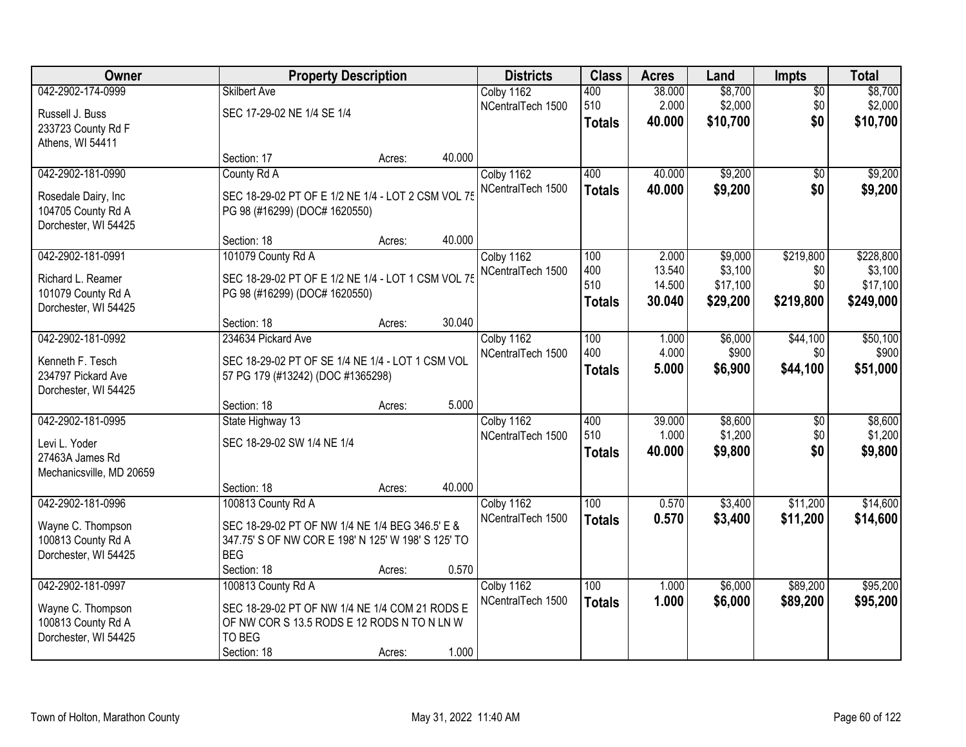| Owner                    |                                                    | <b>Property Description</b> |        |                   | <b>Class</b>     | <b>Acres</b> | Land     | <b>Impts</b>    | <b>Total</b> |
|--------------------------|----------------------------------------------------|-----------------------------|--------|-------------------|------------------|--------------|----------|-----------------|--------------|
| 042-2902-174-0999        | <b>Skilbert Ave</b>                                |                             |        | Colby 1162        | 400              | 38.000       | \$8,700  | $\overline{50}$ | \$8,700      |
| Russell J. Buss          | SEC 17-29-02 NE 1/4 SE 1/4                         |                             |        | NCentralTech 1500 | 510              | 2.000        | \$2,000  | \$0             | \$2,000      |
| 233723 County Rd F       |                                                    |                             |        |                   | <b>Totals</b>    | 40.000       | \$10,700 | \$0             | \$10,700     |
| Athens, WI 54411         |                                                    |                             |        |                   |                  |              |          |                 |              |
|                          | Section: 17                                        | Acres:                      | 40.000 |                   |                  |              |          |                 |              |
| 042-2902-181-0990        | County Rd A                                        |                             |        | Colby 1162        | 400              | 40.000       | \$9,200  | $\overline{50}$ | \$9,200      |
| Rosedale Dairy, Inc      | SEC 18-29-02 PT OF E 1/2 NE 1/4 - LOT 2 CSM VOL 7  |                             |        | NCentralTech 1500 | <b>Totals</b>    | 40.000       | \$9,200  | \$0             | \$9,200      |
| 104705 County Rd A       | PG 98 (#16299) (DOC# 1620550)                      |                             |        |                   |                  |              |          |                 |              |
| Dorchester, WI 54425     |                                                    |                             |        |                   |                  |              |          |                 |              |
|                          | Section: 18                                        | Acres:                      | 40.000 |                   |                  |              |          |                 |              |
| 042-2902-181-0991        | 101079 County Rd A                                 |                             |        | Colby 1162        | 100              | 2.000        | \$9,000  | \$219,800       | \$228,800    |
| Richard L. Reamer        | SEC 18-29-02 PT OF E 1/2 NE 1/4 - LOT 1 CSM VOL 75 |                             |        | NCentralTech 1500 | 400              | 13.540       | \$3,100  | \$0             | \$3,100      |
| 101079 County Rd A       | PG 98 (#16299) (DOC# 1620550)                      |                             |        |                   | 510              | 14.500       | \$17,100 | \$0             | \$17,100     |
| Dorchester, WI 54425     |                                                    |                             |        |                   | <b>Totals</b>    | 30,040       | \$29,200 | \$219,800       | \$249,000    |
|                          | Section: 18                                        | Acres:                      | 30.040 |                   |                  |              |          |                 |              |
| 042-2902-181-0992        | 234634 Pickard Ave                                 |                             |        | Colby 1162        | 100              | 1.000        | \$6,000  | \$44,100        | \$50,100     |
| Kenneth F. Tesch         | SEC 18-29-02 PT OF SE 1/4 NE 1/4 - LOT 1 CSM VOL   |                             |        | NCentralTech 1500 | 400              | 4.000        | \$900    | \$0             | \$900        |
| 234797 Pickard Ave       | 57 PG 179 (#13242) (DOC #1365298)                  |                             |        |                   | <b>Totals</b>    | 5.000        | \$6,900  | \$44,100        | \$51,000     |
| Dorchester, WI 54425     |                                                    |                             |        |                   |                  |              |          |                 |              |
|                          | Section: 18                                        | Acres:                      | 5.000  |                   |                  |              |          |                 |              |
| 042-2902-181-0995        | State Highway 13                                   |                             |        | Colby 1162        | 400              | 39.000       | \$8,600  | $\overline{50}$ | \$8,600      |
| Levi L. Yoder            | SEC 18-29-02 SW 1/4 NE 1/4                         |                             |        | NCentralTech 1500 | 510              | 1.000        | \$1,200  | \$0             | \$1,200      |
| 27463A James Rd          |                                                    |                             |        |                   | <b>Totals</b>    | 40.000       | \$9,800  | \$0             | \$9,800      |
| Mechanicsville, MD 20659 |                                                    |                             |        |                   |                  |              |          |                 |              |
|                          | Section: 18                                        | Acres:                      | 40.000 |                   |                  |              |          |                 |              |
| 042-2902-181-0996        | 100813 County Rd A                                 |                             |        | Colby 1162        | $\overline{100}$ | 0.570        | \$3,400  | \$11,200        | \$14,600     |
| Wayne C. Thompson        | SEC 18-29-02 PT OF NW 1/4 NE 1/4 BEG 346.5' E &    |                             |        | NCentralTech 1500 | <b>Totals</b>    | 0.570        | \$3,400  | \$11,200        | \$14,600     |
| 100813 County Rd A       | 347.75' S OF NW COR E 198' N 125' W 198' S 125' TO |                             |        |                   |                  |              |          |                 |              |
| Dorchester, WI 54425     | <b>BEG</b>                                         |                             |        |                   |                  |              |          |                 |              |
|                          | Section: 18                                        | Acres:                      | 0.570  |                   |                  |              |          |                 |              |
| 042-2902-181-0997        | 100813 County Rd A                                 |                             |        | Colby 1162        | 100              | 1.000        | \$6,000  | \$89,200        | \$95,200     |
| Wayne C. Thompson        | SEC 18-29-02 PT OF NW 1/4 NE 1/4 COM 21 RODS E     |                             |        | NCentralTech 1500 | <b>Totals</b>    | 1.000        | \$6,000  | \$89,200        | \$95,200     |
| 100813 County Rd A       | OF NW COR S 13.5 RODS E 12 RODS N TO N LN W        |                             |        |                   |                  |              |          |                 |              |
| Dorchester, WI 54425     | TO BEG                                             |                             |        |                   |                  |              |          |                 |              |
|                          | Section: 18                                        | Acres:                      | 1.000  |                   |                  |              |          |                 |              |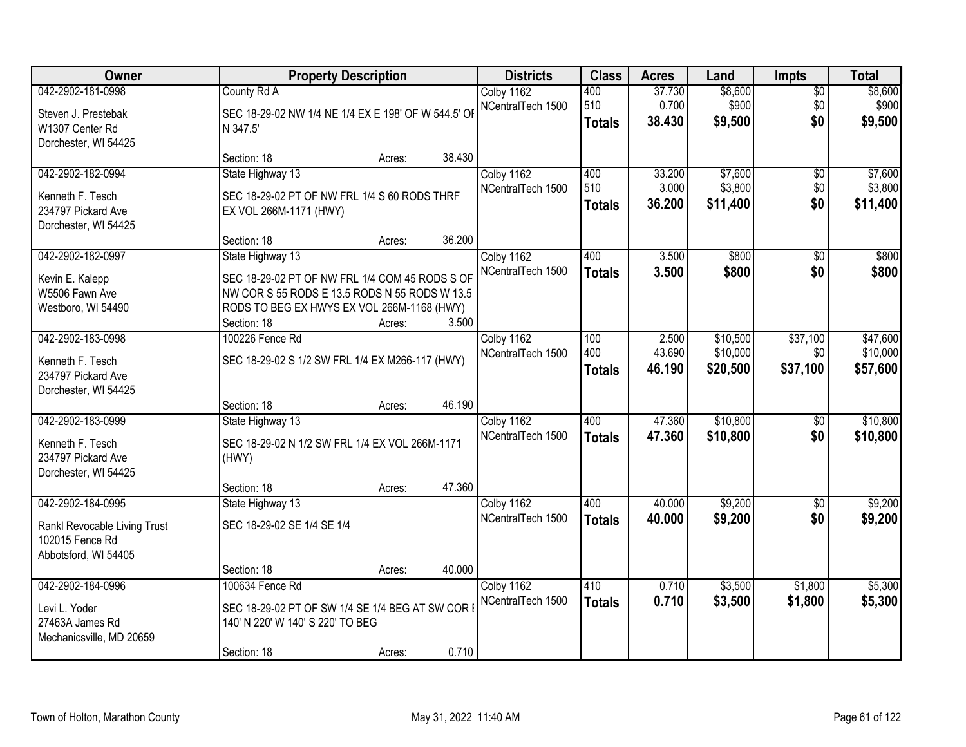| Owner                                      |                                                     | <b>Property Description</b> |        | <b>Districts</b>  | <b>Class</b>  | <b>Acres</b>     | Land                 | <b>Impts</b>    | <b>Total</b>         |
|--------------------------------------------|-----------------------------------------------------|-----------------------------|--------|-------------------|---------------|------------------|----------------------|-----------------|----------------------|
| 042-2902-181-0998                          | County Rd A                                         |                             |        | Colby 1162        | 400           | 37.730           | \$8,600              | $\overline{50}$ | \$8,600              |
| Steven J. Prestebak                        | SEC 18-29-02 NW 1/4 NE 1/4 EX E 198' OF W 544.5' OF |                             |        | NCentralTech 1500 | 510           | 0.700<br>38.430  | \$900<br>\$9,500     | \$0<br>\$0      | \$900                |
| W1307 Center Rd                            | N 347.5'                                            |                             |        |                   | <b>Totals</b> |                  |                      |                 | \$9,500              |
| Dorchester, WI 54425                       |                                                     |                             | 38.430 |                   |               |                  |                      |                 |                      |
| 042-2902-182-0994                          | Section: 18<br>State Highway 13                     | Acres:                      |        | Colby 1162        | 400           | 33.200           | \$7,600              | $\overline{50}$ | \$7,600              |
|                                            |                                                     |                             |        | NCentralTech 1500 | 510           | 3.000            | \$3,800              | \$0             | \$3,800              |
| Kenneth F. Tesch                           | SEC 18-29-02 PT OF NW FRL 1/4 S 60 RODS THRF        |                             |        |                   | <b>Totals</b> | 36.200           | \$11,400             | \$0             | \$11,400             |
| 234797 Pickard Ave<br>Dorchester, WI 54425 | EX VOL 266M-1171 (HWY)                              |                             |        |                   |               |                  |                      |                 |                      |
|                                            | Section: 18                                         | Acres:                      | 36.200 |                   |               |                  |                      |                 |                      |
| 042-2902-182-0997                          | State Highway 13                                    |                             |        | Colby 1162        | 400           | 3.500            | \$800                | \$0             | \$800                |
| Kevin E. Kalepp                            | SEC 18-29-02 PT OF NW FRL 1/4 COM 45 RODS S OF      |                             |        | NCentralTech 1500 | <b>Totals</b> | 3.500            | \$800                | \$0             | \$800                |
| W5506 Fawn Ave                             | NW COR S 55 RODS E 13.5 RODS N 55 RODS W 13.5       |                             |        |                   |               |                  |                      |                 |                      |
| Westboro, WI 54490                         | RODS TO BEG EX HWYS EX VOL 266M-1168 (HWY)          |                             |        |                   |               |                  |                      |                 |                      |
|                                            | Section: 18                                         | Acres:                      | 3.500  |                   |               |                  |                      |                 |                      |
| 042-2902-183-0998                          | 100226 Fence Rd                                     |                             |        | Colby 1162        | 100           | 2.500            | \$10,500             | \$37,100        | \$47,600             |
| Kenneth F. Tesch                           | SEC 18-29-02 S 1/2 SW FRL 1/4 EX M266-117 (HWY)     |                             |        | NCentralTech 1500 | 400           | 43.690<br>46.190 | \$10,000<br>\$20,500 | \$0<br>\$37,100 | \$10,000<br>\$57,600 |
| 234797 Pickard Ave                         |                                                     |                             |        |                   | <b>Totals</b> |                  |                      |                 |                      |
| Dorchester, WI 54425                       |                                                     |                             | 46.190 |                   |               |                  |                      |                 |                      |
| 042-2902-183-0999                          | Section: 18<br>State Highway 13                     | Acres:                      |        | Colby 1162        | 400           | 47.360           | \$10,800             | \$0             | \$10,800             |
|                                            |                                                     |                             |        | NCentralTech 1500 | <b>Totals</b> | 47.360           | \$10,800             | \$0             | \$10,800             |
| Kenneth F. Tesch                           | SEC 18-29-02 N 1/2 SW FRL 1/4 EX VOL 266M-1171      |                             |        |                   |               |                  |                      |                 |                      |
| 234797 Pickard Ave<br>Dorchester, WI 54425 | (HWY)                                               |                             |        |                   |               |                  |                      |                 |                      |
|                                            | Section: 18                                         | Acres:                      | 47.360 |                   |               |                  |                      |                 |                      |
| 042-2902-184-0995                          | State Highway 13                                    |                             |        | Colby 1162        | 400           | 40.000           | \$9,200              | $\overline{50}$ | \$9,200              |
| Rankl Revocable Living Trust               | SEC 18-29-02 SE 1/4 SE 1/4                          |                             |        | NCentralTech 1500 | <b>Totals</b> | 40.000           | \$9,200              | \$0             | \$9,200              |
| 102015 Fence Rd                            |                                                     |                             |        |                   |               |                  |                      |                 |                      |
| Abbotsford, WI 54405                       |                                                     |                             |        |                   |               |                  |                      |                 |                      |
|                                            | Section: 18                                         | Acres:                      | 40.000 |                   |               |                  |                      |                 |                      |
| 042-2902-184-0996                          | 100634 Fence Rd                                     |                             |        | Colby 1162        | 410           | 0.710            | \$3,500              | \$1,800         | \$5,300              |
| Levi L. Yoder                              | SEC 18-29-02 PT OF SW 1/4 SE 1/4 BEG AT SW COR I    |                             |        | NCentralTech 1500 | <b>Totals</b> | 0.710            | \$3,500              | \$1,800         | \$5,300              |
| 27463A James Rd                            | 140' N 220' W 140' S 220' TO BEG                    |                             |        |                   |               |                  |                      |                 |                      |
| Mechanicsville, MD 20659                   |                                                     |                             |        |                   |               |                  |                      |                 |                      |
|                                            | Section: 18                                         | Acres:                      | 0.710  |                   |               |                  |                      |                 |                      |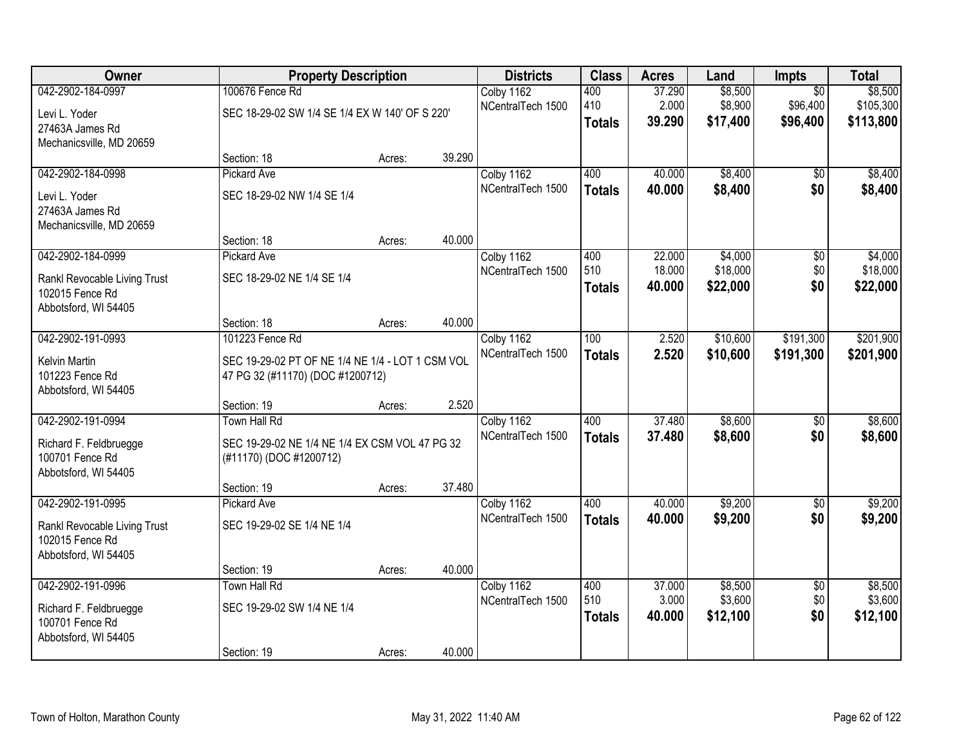| 042-2902-184-0997<br>100676 Fence Rd<br>\$8,500<br>Colby 1162<br>400<br>37.290<br>$\overline{50}$<br>2.000<br>\$8,900<br>410<br>\$96,400<br>NCentralTech 1500<br>SEC 18-29-02 SW 1/4 SE 1/4 EX W 140' OF S 220'<br>Levi L. Yoder<br>39.290<br>\$17,400<br>\$96,400<br><b>Totals</b><br>27463A James Rd<br>Mechanicsville, MD 20659<br>39.290<br>Section: 18<br>Acres:<br>042-2902-184-0998<br>400<br>\$8,400<br><b>Pickard Ave</b><br>Colby 1162<br>40.000<br>$\overline{50}$<br>NCentralTech 1500<br>40.000<br>\$8,400<br>\$0<br><b>Totals</b><br>SEC 18-29-02 NW 1/4 SE 1/4<br>Levi L. Yoder<br>27463A James Rd<br>Mechanicsville, MD 20659<br>40.000<br>Section: 18<br>Acres:<br>042-2902-184-0999<br>\$4,000<br>Colby 1162<br>400<br>22.000<br>\$0<br><b>Pickard Ave</b><br>510<br>\$18,000<br>\$0<br>18.000<br>NCentralTech 1500<br>SEC 18-29-02 NE 1/4 SE 1/4<br>Rankl Revocable Living Trust<br>\$0<br>\$22,000<br>40.000<br><b>Totals</b><br>102015 Fence Rd<br>Abbotsford, WI 54405<br>40.000<br>Section: 18<br>Acres:<br>042-2902-191-0993<br>\$10,600<br>\$191,300<br>101223 Fence Rd<br>Colby 1162<br>100<br>2.520<br>NCentralTech 1500<br>2.520<br>\$10,600<br>\$191,300<br><b>Totals</b><br>SEC 19-29-02 PT OF NE 1/4 NE 1/4 - LOT 1 CSM VOL<br><b>Kelvin Martin</b><br>101223 Fence Rd<br>47 PG 32 (#11170) (DOC #1200712)<br>Abbotsford, WI 54405<br>2.520<br>Section: 19<br>Acres:<br>042-2902-191-0994<br>400<br>37.480<br>\$8,600<br>Town Hall Rd<br>\$0<br>Colby 1162<br>37.480<br>\$8,600<br>\$0<br>NCentralTech 1500<br><b>Totals</b><br>SEC 19-29-02 NE 1/4 NE 1/4 EX CSM VOL 47 PG 32<br>Richard F. Feldbruegge<br>100701 Fence Rd<br>(#11170) (DOC #1200712)<br>Abbotsford, WI 54405<br>37.480<br>Section: 19<br>Acres:<br>\$9,200<br>042-2902-191-0995<br>400<br>40.000<br>Colby 1162<br>$\overline{50}$<br><b>Pickard Ave</b><br>NCentralTech 1500<br>\$9,200<br>\$0<br>40.000<br><b>Totals</b><br>SEC 19-29-02 SE 1/4 NE 1/4<br>Rankl Revocable Living Trust<br>102015 Fence Rd<br>Abbotsford, WI 54405<br>40.000<br>Section: 19<br>Acres: | Owner             | <b>Property Description</b> |  | <b>Districts</b> | <b>Class</b> | <b>Acres</b> | Land    | <b>Impts</b>    | <b>Total</b>                      |
|------------------------------------------------------------------------------------------------------------------------------------------------------------------------------------------------------------------------------------------------------------------------------------------------------------------------------------------------------------------------------------------------------------------------------------------------------------------------------------------------------------------------------------------------------------------------------------------------------------------------------------------------------------------------------------------------------------------------------------------------------------------------------------------------------------------------------------------------------------------------------------------------------------------------------------------------------------------------------------------------------------------------------------------------------------------------------------------------------------------------------------------------------------------------------------------------------------------------------------------------------------------------------------------------------------------------------------------------------------------------------------------------------------------------------------------------------------------------------------------------------------------------------------------------------------------------------------------------------------------------------------------------------------------------------------------------------------------------------------------------------------------------------------------------------------------------------------------------------------------------------------------------------------------------------------------------------------------------------------------------------------------------------------------------------------------------|-------------------|-----------------------------|--|------------------|--------------|--------------|---------|-----------------|-----------------------------------|
|                                                                                                                                                                                                                                                                                                                                                                                                                                                                                                                                                                                                                                                                                                                                                                                                                                                                                                                                                                                                                                                                                                                                                                                                                                                                                                                                                                                                                                                                                                                                                                                                                                                                                                                                                                                                                                                                                                                                                                                                                                                                        |                   |                             |  |                  |              |              |         |                 | \$8,500<br>\$105,300<br>\$113,800 |
|                                                                                                                                                                                                                                                                                                                                                                                                                                                                                                                                                                                                                                                                                                                                                                                                                                                                                                                                                                                                                                                                                                                                                                                                                                                                                                                                                                                                                                                                                                                                                                                                                                                                                                                                                                                                                                                                                                                                                                                                                                                                        |                   |                             |  |                  |              |              |         |                 |                                   |
|                                                                                                                                                                                                                                                                                                                                                                                                                                                                                                                                                                                                                                                                                                                                                                                                                                                                                                                                                                                                                                                                                                                                                                                                                                                                                                                                                                                                                                                                                                                                                                                                                                                                                                                                                                                                                                                                                                                                                                                                                                                                        |                   |                             |  |                  |              |              |         |                 | \$8,400<br>\$8,400                |
|                                                                                                                                                                                                                                                                                                                                                                                                                                                                                                                                                                                                                                                                                                                                                                                                                                                                                                                                                                                                                                                                                                                                                                                                                                                                                                                                                                                                                                                                                                                                                                                                                                                                                                                                                                                                                                                                                                                                                                                                                                                                        |                   |                             |  |                  |              |              |         |                 | \$4,000                           |
|                                                                                                                                                                                                                                                                                                                                                                                                                                                                                                                                                                                                                                                                                                                                                                                                                                                                                                                                                                                                                                                                                                                                                                                                                                                                                                                                                                                                                                                                                                                                                                                                                                                                                                                                                                                                                                                                                                                                                                                                                                                                        |                   |                             |  |                  |              |              |         |                 | \$18,000<br>\$22,000              |
|                                                                                                                                                                                                                                                                                                                                                                                                                                                                                                                                                                                                                                                                                                                                                                                                                                                                                                                                                                                                                                                                                                                                                                                                                                                                                                                                                                                                                                                                                                                                                                                                                                                                                                                                                                                                                                                                                                                                                                                                                                                                        |                   |                             |  |                  |              |              |         |                 |                                   |
|                                                                                                                                                                                                                                                                                                                                                                                                                                                                                                                                                                                                                                                                                                                                                                                                                                                                                                                                                                                                                                                                                                                                                                                                                                                                                                                                                                                                                                                                                                                                                                                                                                                                                                                                                                                                                                                                                                                                                                                                                                                                        |                   |                             |  |                  |              |              |         |                 | \$201,900<br>\$201,900            |
|                                                                                                                                                                                                                                                                                                                                                                                                                                                                                                                                                                                                                                                                                                                                                                                                                                                                                                                                                                                                                                                                                                                                                                                                                                                                                                                                                                                                                                                                                                                                                                                                                                                                                                                                                                                                                                                                                                                                                                                                                                                                        |                   |                             |  |                  |              |              |         |                 |                                   |
|                                                                                                                                                                                                                                                                                                                                                                                                                                                                                                                                                                                                                                                                                                                                                                                                                                                                                                                                                                                                                                                                                                                                                                                                                                                                                                                                                                                                                                                                                                                                                                                                                                                                                                                                                                                                                                                                                                                                                                                                                                                                        |                   |                             |  |                  |              |              |         |                 | \$8,600<br>\$8,600                |
|                                                                                                                                                                                                                                                                                                                                                                                                                                                                                                                                                                                                                                                                                                                                                                                                                                                                                                                                                                                                                                                                                                                                                                                                                                                                                                                                                                                                                                                                                                                                                                                                                                                                                                                                                                                                                                                                                                                                                                                                                                                                        |                   |                             |  |                  |              |              |         |                 | \$9,200                           |
|                                                                                                                                                                                                                                                                                                                                                                                                                                                                                                                                                                                                                                                                                                                                                                                                                                                                                                                                                                                                                                                                                                                                                                                                                                                                                                                                                                                                                                                                                                                                                                                                                                                                                                                                                                                                                                                                                                                                                                                                                                                                        |                   |                             |  |                  |              |              |         |                 | \$9,200                           |
|                                                                                                                                                                                                                                                                                                                                                                                                                                                                                                                                                                                                                                                                                                                                                                                                                                                                                                                                                                                                                                                                                                                                                                                                                                                                                                                                                                                                                                                                                                                                                                                                                                                                                                                                                                                                                                                                                                                                                                                                                                                                        |                   |                             |  |                  |              |              |         |                 |                                   |
| 510<br>\$0<br>3.000<br>\$3,600<br>NCentralTech 1500<br>SEC 19-29-02 SW 1/4 NE 1/4<br>Richard F. Feldbruegge<br>\$0<br>40.000<br>\$12,100<br><b>Totals</b><br>100701 Fence Rd<br>Abbotsford, WI 54405<br>40.000<br>Section: 19<br>Acres:                                                                                                                                                                                                                                                                                                                                                                                                                                                                                                                                                                                                                                                                                                                                                                                                                                                                                                                                                                                                                                                                                                                                                                                                                                                                                                                                                                                                                                                                                                                                                                                                                                                                                                                                                                                                                                | 042-2902-191-0996 | Town Hall Rd                |  | Colby 1162       | 400          | 37.000       | \$8,500 | $\overline{50}$ | \$8,500<br>\$3,600<br>\$12,100    |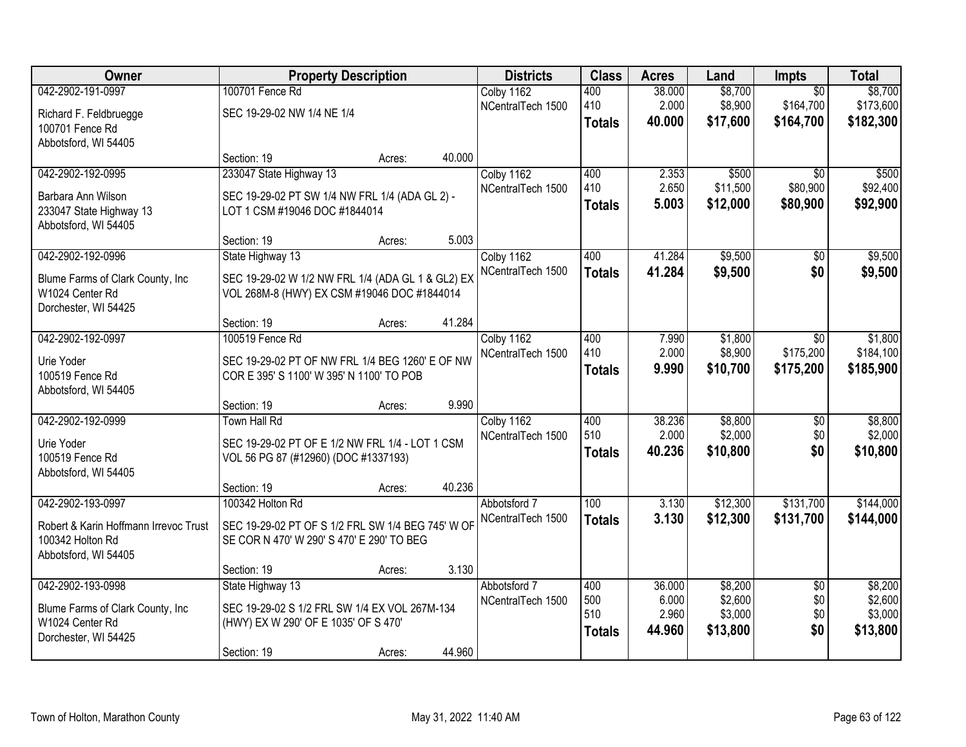| Owner                                                     |                                                                                                | <b>Property Description</b> |        | <b>Districts</b>                | <b>Class</b>  | <b>Acres</b>   | Land               | Impts                   | <b>Total</b> |
|-----------------------------------------------------------|------------------------------------------------------------------------------------------------|-----------------------------|--------|---------------------------------|---------------|----------------|--------------------|-------------------------|--------------|
| 042-2902-191-0997                                         | 100701 Fence Rd                                                                                |                             |        | Colby 1162                      | 400           | 38.000         | \$8,700            | $\overline{50}$         | \$8,700      |
| Richard F. Feldbruegge                                    | SEC 19-29-02 NW 1/4 NE 1/4                                                                     |                             |        | NCentralTech 1500               | 410           | 2.000          | \$8,900            | \$164,700               | \$173,600    |
| 100701 Fence Rd                                           |                                                                                                |                             |        |                                 | <b>Totals</b> | 40.000         | \$17,600           | \$164,700               | \$182,300    |
| Abbotsford, WI 54405                                      |                                                                                                |                             |        |                                 |               |                |                    |                         |              |
|                                                           | Section: 19                                                                                    | Acres:                      | 40.000 |                                 |               |                |                    |                         |              |
| 042-2902-192-0995                                         | 233047 State Highway 13                                                                        |                             |        | Colby 1162                      | 400           | 2.353          | \$500              | $\overline{50}$         | \$500        |
| Barbara Ann Wilson                                        | SEC 19-29-02 PT SW 1/4 NW FRL 1/4 (ADA GL 2) -                                                 |                             |        | NCentralTech 1500               | 410           | 2.650          | \$11,500           | \$80,900                | \$92,400     |
| 233047 State Highway 13                                   | LOT 1 CSM #19046 DOC #1844014                                                                  |                             |        |                                 | <b>Totals</b> | 5.003          | \$12,000           | \$80,900                | \$92,900     |
| Abbotsford, WI 54405                                      |                                                                                                |                             |        |                                 |               |                |                    |                         |              |
|                                                           | Section: 19                                                                                    | Acres:                      | 5.003  |                                 |               |                |                    |                         |              |
| 042-2902-192-0996                                         | State Highway 13                                                                               |                             |        | Colby 1162<br>NCentralTech 1500 | 400           | 41.284         | \$9,500            | $\overline{50}$         | \$9,500      |
| Blume Farms of Clark County, Inc                          | SEC 19-29-02 W 1/2 NW FRL 1/4 (ADA GL 1 & GL2) EX                                              |                             |        |                                 | <b>Totals</b> | 41.284         | \$9,500            | \$0                     | \$9,500      |
| W1024 Center Rd                                           | VOL 268M-8 (HWY) EX CSM #19046 DOC #1844014                                                    |                             |        |                                 |               |                |                    |                         |              |
| Dorchester, WI 54425                                      |                                                                                                |                             |        |                                 |               |                |                    |                         |              |
| 042-2902-192-0997                                         | Section: 19<br>100519 Fence Rd                                                                 | Acres:                      | 41.284 |                                 |               |                |                    |                         | \$1,800      |
|                                                           |                                                                                                |                             |        | Colby 1162<br>NCentralTech 1500 | 400<br>410    | 7.990<br>2.000 | \$1,800<br>\$8,900 | $\sqrt{6}$<br>\$175,200 | \$184,100    |
| Urie Yoder                                                | SEC 19-29-02 PT OF NW FRL 1/4 BEG 1260' E OF NW                                                |                             |        |                                 | <b>Totals</b> | 9.990          | \$10,700           | \$175,200               | \$185,900    |
| 100519 Fence Rd                                           | COR E 395' S 1100' W 395' N 1100' TO POB                                                       |                             |        |                                 |               |                |                    |                         |              |
| Abbotsford, WI 54405                                      |                                                                                                |                             | 9.990  |                                 |               |                |                    |                         |              |
| 042-2902-192-0999                                         | Section: 19<br><b>Town Hall Rd</b>                                                             | Acres:                      |        | Colby 1162                      | 400           | 38.236         | \$8,800            | $\overline{60}$         | \$8,800      |
|                                                           |                                                                                                |                             |        | NCentralTech 1500               | 510           | 2.000          | \$2,000            | \$0                     | \$2,000      |
| Urie Yoder                                                | SEC 19-29-02 PT OF E 1/2 NW FRL 1/4 - LOT 1 CSM                                                |                             |        |                                 | <b>Totals</b> | 40.236         | \$10,800           | \$0                     | \$10,800     |
| 100519 Fence Rd<br>Abbotsford, WI 54405                   | VOL 56 PG 87 (#12960) (DOC #1337193)                                                           |                             |        |                                 |               |                |                    |                         |              |
|                                                           | Section: 19                                                                                    | Acres:                      | 40.236 |                                 |               |                |                    |                         |              |
| 042-2902-193-0997                                         | 100342 Holton Rd                                                                               |                             |        | Abbotsford 7                    | 100           | 3.130          | \$12,300           | \$131,700               | \$144,000    |
|                                                           |                                                                                                |                             |        | NCentralTech 1500               | <b>Totals</b> | 3.130          | \$12,300           | \$131,700               | \$144,000    |
| Robert & Karin Hoffmann Irrevoc Trust<br>100342 Holton Rd | SEC 19-29-02 PT OF S 1/2 FRL SW 1/4 BEG 745' W OF<br>SE COR N 470' W 290' S 470' E 290' TO BEG |                             |        |                                 |               |                |                    |                         |              |
| Abbotsford, WI 54405                                      |                                                                                                |                             |        |                                 |               |                |                    |                         |              |
|                                                           | Section: 19                                                                                    | Acres:                      | 3.130  |                                 |               |                |                    |                         |              |
| 042-2902-193-0998                                         | State Highway 13                                                                               |                             |        | Abbotsford 7                    | 400           | 36.000         | \$8,200            | $\overline{50}$         | \$8,200      |
| Blume Farms of Clark County, Inc                          | SEC 19-29-02 S 1/2 FRL SW 1/4 EX VOL 267M-134                                                  |                             |        | NCentralTech 1500               | 500           | 6.000          | \$2,600            | \$0                     | \$2,600      |
| W1024 Center Rd                                           | (HWY) EX W 290' OF E 1035' OF S 470'                                                           |                             |        |                                 | 510           | 2.960          | \$3,000            | \$0                     | \$3,000      |
| Dorchester, WI 54425                                      |                                                                                                |                             |        |                                 | <b>Totals</b> | 44.960         | \$13,800           | \$0                     | \$13,800     |
|                                                           | Section: 19                                                                                    | Acres:                      | 44.960 |                                 |               |                |                    |                         |              |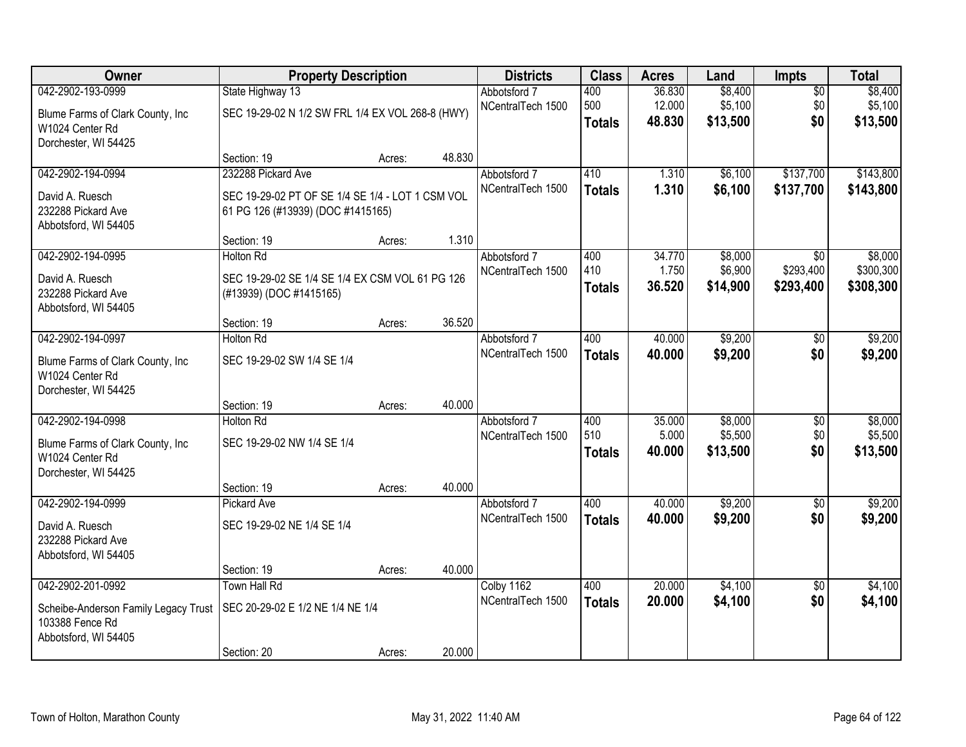| <b>Owner</b>                                                                    | <b>Property Description</b>                                                           |        |        | <b>Districts</b>                  | <b>Class</b>                | <b>Acres</b>               | Land                           | <b>Impts</b>                  | <b>Total</b>                   |
|---------------------------------------------------------------------------------|---------------------------------------------------------------------------------------|--------|--------|-----------------------------------|-----------------------------|----------------------------|--------------------------------|-------------------------------|--------------------------------|
| 042-2902-193-0999<br>Blume Farms of Clark County, Inc<br>W1024 Center Rd        | State Highway 13<br>SEC 19-29-02 N 1/2 SW FRL 1/4 EX VOL 268-8 (HWY)                  |        |        | Abbotsford 7<br>NCentralTech 1500 | 400<br>500<br><b>Totals</b> | 36.830<br>12.000<br>48.830 | \$8,400<br>\$5,100<br>\$13,500 | $\overline{50}$<br>\$0<br>\$0 | \$8,400<br>\$5,100<br>\$13,500 |
| Dorchester, WI 54425                                                            | Section: 19                                                                           | Acres: | 48.830 |                                   |                             |                            |                                |                               |                                |
| 042-2902-194-0994                                                               | 232288 Pickard Ave                                                                    |        |        | Abbotsford 7<br>NCentralTech 1500 | 410<br><b>Totals</b>        | 1.310<br>1.310             | \$6,100<br>\$6,100             | \$137,700<br>\$137,700        | \$143,800<br>\$143,800         |
| David A. Ruesch<br>232288 Pickard Ave<br>Abbotsford, WI 54405                   | SEC 19-29-02 PT OF SE 1/4 SE 1/4 - LOT 1 CSM VOL<br>61 PG 126 (#13939) (DOC #1415165) |        |        |                                   |                             |                            |                                |                               |                                |
|                                                                                 | Section: 19                                                                           | Acres: | 1.310  |                                   |                             |                            |                                |                               |                                |
| 042-2902-194-0995                                                               | <b>Holton Rd</b>                                                                      |        |        | Abbotsford 7                      | 400                         | 34.770                     | \$8,000                        | \$0                           | \$8,000                        |
| David A. Ruesch<br>232288 Pickard Ave<br>Abbotsford, WI 54405                   | SEC 19-29-02 SE 1/4 SE 1/4 EX CSM VOL 61 PG 126<br>(#13939) (DOC #1415165)            |        |        | NCentralTech 1500                 | 410<br><b>Totals</b>        | 1.750<br>36.520            | \$6,900<br>\$14,900            | \$293,400<br>\$293,400        | \$300,300<br>\$308,300         |
|                                                                                 | Section: 19                                                                           | Acres: | 36.520 |                                   |                             |                            |                                |                               |                                |
| 042-2902-194-0997                                                               | <b>Holton Rd</b>                                                                      |        |        | Abbotsford 7                      | 400                         | 40.000                     | \$9,200                        | \$0                           | \$9,200                        |
| Blume Farms of Clark County, Inc.<br>W1024 Center Rd<br>Dorchester, WI 54425    | SEC 19-29-02 SW 1/4 SE 1/4                                                            |        |        | NCentralTech 1500                 | <b>Totals</b>               | 40.000                     | \$9,200                        | \$0                           | \$9,200                        |
|                                                                                 | Section: 19                                                                           | Acres: | 40.000 |                                   |                             |                            |                                |                               |                                |
| 042-2902-194-0998                                                               | <b>Holton Rd</b>                                                                      |        |        | Abbotsford 7                      | 400                         | 35.000                     | \$8,000                        | $\overline{50}$               | \$8,000                        |
| Blume Farms of Clark County, Inc.<br>W1024 Center Rd<br>Dorchester, WI 54425    | SEC 19-29-02 NW 1/4 SE 1/4                                                            |        |        | NCentralTech 1500                 | 510<br><b>Totals</b>        | 5.000<br>40.000            | \$5,500<br>\$13,500            | \$0<br>\$0                    | \$5,500<br>\$13,500            |
|                                                                                 | Section: 19                                                                           | Acres: | 40.000 |                                   |                             |                            |                                |                               |                                |
| 042-2902-194-0999                                                               | Pickard Ave                                                                           |        |        | Abbotsford 7                      | 400                         | 40.000                     | \$9,200                        | $\sqrt{6}$                    | \$9,200                        |
| David A. Ruesch<br>232288 Pickard Ave<br>Abbotsford, WI 54405                   | SEC 19-29-02 NE 1/4 SE 1/4                                                            |        |        | NCentralTech 1500                 | <b>Totals</b>               | 40.000                     | \$9,200                        | \$0                           | \$9,200                        |
|                                                                                 | Section: 19                                                                           | Acres: | 40.000 |                                   |                             |                            |                                |                               |                                |
| 042-2902-201-0992                                                               | Town Hall Rd                                                                          |        |        | Colby 1162                        | 400                         | 20.000                     | \$4,100                        | $\overline{50}$               | \$4,100                        |
| Scheibe-Anderson Family Legacy Trust<br>103388 Fence Rd<br>Abbotsford, WI 54405 | SEC 20-29-02 E 1/2 NE 1/4 NE 1/4                                                      |        |        | NCentralTech 1500                 | <b>Totals</b>               | 20.000                     | \$4,100                        | \$0                           | \$4,100                        |
|                                                                                 | Section: 20                                                                           | Acres: | 20.000 |                                   |                             |                            |                                |                               |                                |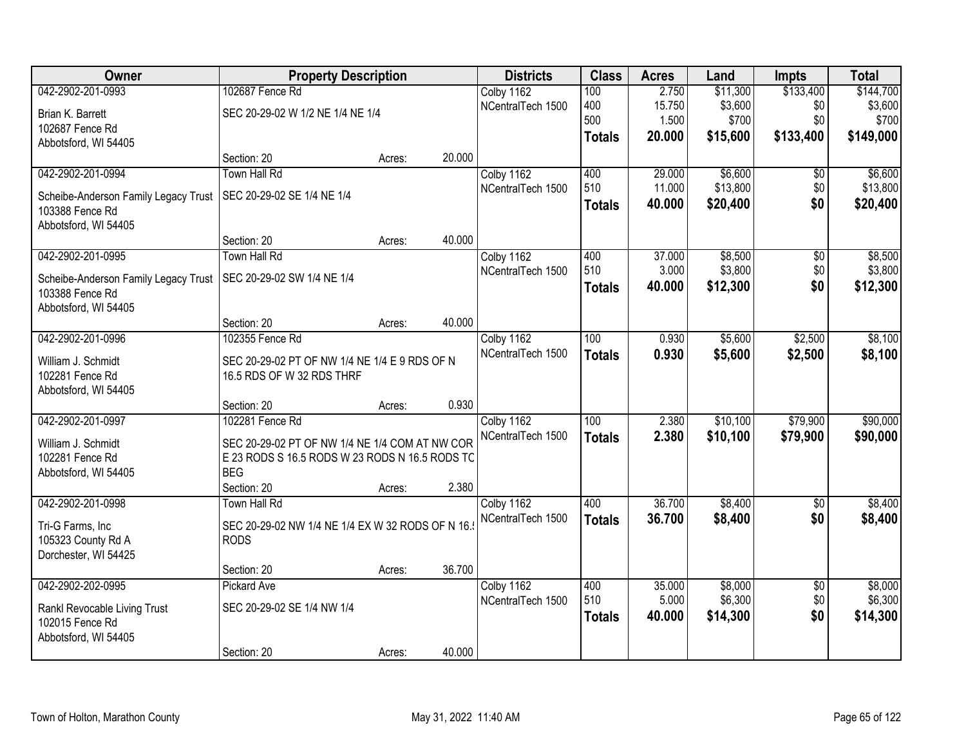| Owner                                | <b>Property Description</b>                      |        |        | <b>Districts</b>  | <b>Class</b>     | <b>Acres</b> | Land     | <b>Impts</b>    | <b>Total</b> |
|--------------------------------------|--------------------------------------------------|--------|--------|-------------------|------------------|--------------|----------|-----------------|--------------|
| 042-2902-201-0993                    | 102687 Fence Rd                                  |        |        | Colby 1162        | 100              | 2.750        | \$11,300 | \$133,400       | \$144,700    |
| Brian K. Barrett                     | SEC 20-29-02 W 1/2 NE 1/4 NE 1/4                 |        |        | NCentralTech 1500 | 400              | 15.750       | \$3,600  | \$0             | \$3,600      |
| 102687 Fence Rd                      |                                                  |        |        |                   | 500              | 1.500        | \$700    | \$0             | \$700        |
| Abbotsford, WI 54405                 |                                                  |        |        |                   | <b>Totals</b>    | 20.000       | \$15,600 | \$133,400       | \$149,000    |
|                                      | Section: 20                                      | Acres: | 20.000 |                   |                  |              |          |                 |              |
| 042-2902-201-0994                    | <b>Town Hall Rd</b>                              |        |        | Colby 1162        | 400              | 29.000       | \$6,600  | \$0             | \$6,600      |
| Scheibe-Anderson Family Legacy Trust | SEC 20-29-02 SE 1/4 NE 1/4                       |        |        | NCentralTech 1500 | 510              | 11.000       | \$13,800 | \$0             | \$13,800     |
| 103388 Fence Rd                      |                                                  |        |        |                   | <b>Totals</b>    | 40.000       | \$20,400 | \$0             | \$20,400     |
| Abbotsford, WI 54405                 |                                                  |        |        |                   |                  |              |          |                 |              |
|                                      | Section: 20                                      | Acres: | 40.000 |                   |                  |              |          |                 |              |
| 042-2902-201-0995                    | <b>Town Hall Rd</b>                              |        |        | Colby 1162        | 400              | 37.000       | \$8,500  | \$0             | \$8,500      |
| Scheibe-Anderson Family Legacy Trust | SEC 20-29-02 SW 1/4 NE 1/4                       |        |        | NCentralTech 1500 | 510              | 3.000        | \$3,800  | \$0             | \$3,800      |
| 103388 Fence Rd                      |                                                  |        |        |                   | <b>Totals</b>    | 40.000       | \$12,300 | \$0             | \$12,300     |
| Abbotsford, WI 54405                 |                                                  |        |        |                   |                  |              |          |                 |              |
|                                      | Section: 20                                      | Acres: | 40.000 |                   |                  |              |          |                 |              |
| 042-2902-201-0996                    | 102355 Fence Rd                                  |        |        | Colby 1162        | 100              | 0.930        | \$5,600  | \$2,500         | \$8,100      |
| William J. Schmidt                   | SEC 20-29-02 PT OF NW 1/4 NE 1/4 E 9 RDS OF N    |        |        | NCentralTech 1500 | <b>Totals</b>    | 0.930        | \$5,600  | \$2,500         | \$8,100      |
| 102281 Fence Rd                      | 16.5 RDS OF W 32 RDS THRF                        |        |        |                   |                  |              |          |                 |              |
| Abbotsford, WI 54405                 |                                                  |        |        |                   |                  |              |          |                 |              |
|                                      | Section: 20                                      | Acres: | 0.930  |                   |                  |              |          |                 |              |
| 042-2902-201-0997                    | 102281 Fence Rd                                  |        |        | Colby 1162        | $\overline{100}$ | 2.380        | \$10,100 | \$79,900        | \$90,000     |
| William J. Schmidt                   | SEC 20-29-02 PT OF NW 1/4 NE 1/4 COM AT NW COR   |        |        | NCentralTech 1500 | <b>Totals</b>    | 2.380        | \$10,100 | \$79,900        | \$90,000     |
| 102281 Fence Rd                      | E 23 RODS S 16.5 RODS W 23 RODS N 16.5 RODS TC   |        |        |                   |                  |              |          |                 |              |
| Abbotsford, WI 54405                 | <b>BEG</b>                                       |        |        |                   |                  |              |          |                 |              |
|                                      | Section: 20                                      | Acres: | 2.380  |                   |                  |              |          |                 |              |
| 042-2902-201-0998                    | <b>Town Hall Rd</b>                              |        |        | Colby 1162        | 400              | 36.700       | \$8,400  | $\overline{50}$ | \$8,400      |
| Tri-G Farms, Inc                     | SEC 20-29-02 NW 1/4 NE 1/4 EX W 32 RODS OF N 16. |        |        | NCentralTech 1500 | <b>Totals</b>    | 36.700       | \$8,400  | \$0             | \$8,400      |
| 105323 County Rd A                   | <b>RODS</b>                                      |        |        |                   |                  |              |          |                 |              |
| Dorchester, WI 54425                 |                                                  |        |        |                   |                  |              |          |                 |              |
|                                      | Section: 20                                      | Acres: | 36.700 |                   |                  |              |          |                 |              |
| 042-2902-202-0995                    | Pickard Ave                                      |        |        | Colby 1162        | 400              | 35.000       | \$8,000  | $\overline{50}$ | \$8,000      |
| Rankl Revocable Living Trust         | SEC 20-29-02 SE 1/4 NW 1/4                       |        |        | NCentralTech 1500 | 510              | 5.000        | \$6,300  | \$0             | \$6,300      |
| 102015 Fence Rd                      |                                                  |        |        |                   | <b>Totals</b>    | 40.000       | \$14,300 | \$0             | \$14,300     |
| Abbotsford, WI 54405                 |                                                  |        |        |                   |                  |              |          |                 |              |
|                                      | Section: 20                                      | Acres: | 40.000 |                   |                  |              |          |                 |              |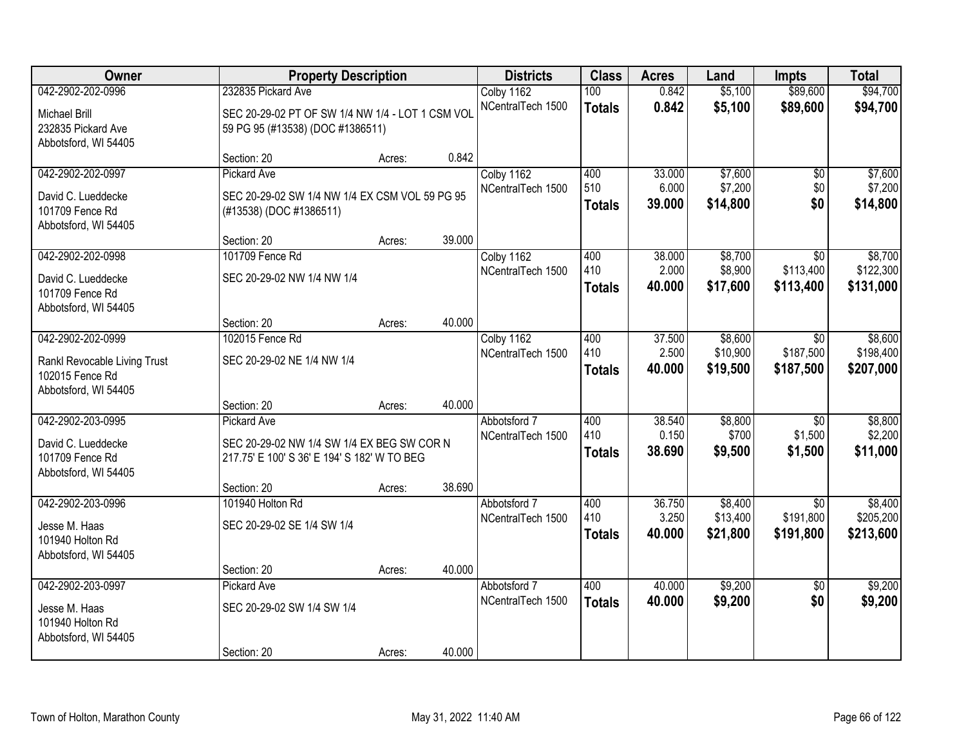| Owner                        | <b>Property Description</b>                      |        |        | <b>Districts</b>  | <b>Class</b>  | <b>Acres</b>    | Land     | <b>Impts</b>    | <b>Total</b> |
|------------------------------|--------------------------------------------------|--------|--------|-------------------|---------------|-----------------|----------|-----------------|--------------|
| 042-2902-202-0996            | 232835 Pickard Ave                               |        |        | Colby 1162        | 100           | 0.842           | \$5,100  | \$89,600        | \$94,700     |
| Michael Brill                | SEC 20-29-02 PT OF SW 1/4 NW 1/4 - LOT 1 CSM VOL |        |        | NCentralTech 1500 | <b>Totals</b> | 0.842           | \$5,100  | \$89,600        | \$94,700     |
| 232835 Pickard Ave           | 59 PG 95 (#13538) (DOC #1386511)                 |        |        |                   |               |                 |          |                 |              |
| Abbotsford, WI 54405         |                                                  |        |        |                   |               |                 |          |                 |              |
|                              | Section: 20                                      | Acres: | 0.842  |                   |               |                 |          |                 |              |
| 042-2902-202-0997            | <b>Pickard Ave</b>                               |        |        | Colby 1162        | 400           | 33.000          | \$7,600  | $\overline{50}$ | \$7,600      |
| David C. Lueddecke           | SEC 20-29-02 SW 1/4 NW 1/4 EX CSM VOL 59 PG 95   |        |        | NCentralTech 1500 | 510           | 6.000           | \$7,200  | \$0             | \$7,200      |
| 101709 Fence Rd              | (#13538) (DOC #1386511)                          |        |        |                   | <b>Totals</b> | 39.000          | \$14,800 | \$0             | \$14,800     |
| Abbotsford, WI 54405         |                                                  |        |        |                   |               |                 |          |                 |              |
|                              | Section: 20                                      | Acres: | 39.000 |                   |               |                 |          |                 |              |
| 042-2902-202-0998            | 101709 Fence Rd                                  |        |        | Colby 1162        | 400           | 38.000          | \$8,700  | \$0             | \$8,700      |
| David C. Lueddecke           | SEC 20-29-02 NW 1/4 NW 1/4                       |        |        | NCentralTech 1500 | 410           | 2.000           | \$8,900  | \$113,400       | \$122,300    |
| 101709 Fence Rd              |                                                  |        |        |                   | <b>Totals</b> | 40.000          | \$17,600 | \$113,400       | \$131,000    |
| Abbotsford, WI 54405         |                                                  |        |        |                   |               |                 |          |                 |              |
|                              | Section: 20                                      | Acres: | 40.000 |                   |               |                 |          |                 |              |
| 042-2902-202-0999            | 102015 Fence Rd                                  |        |        | Colby 1162        | 400           | 37.500          | \$8,600  | $\sqrt{6}$      | \$8,600      |
| Rankl Revocable Living Trust | SEC 20-29-02 NE 1/4 NW 1/4                       |        |        | NCentralTech 1500 | 410           | 2.500           | \$10,900 | \$187,500       | \$198,400    |
| 102015 Fence Rd              |                                                  |        |        |                   | <b>Totals</b> | 40.000          | \$19,500 | \$187,500       | \$207,000    |
| Abbotsford, WI 54405         |                                                  |        |        |                   |               |                 |          |                 |              |
|                              | Section: 20                                      | Acres: | 40.000 |                   |               |                 |          |                 |              |
| 042-2902-203-0995            | <b>Pickard Ave</b>                               |        |        | Abbotsford 7      | 400           | 38.540          | \$8,800  | $\overline{30}$ | \$8,800      |
| David C. Lueddecke           | SEC 20-29-02 NW 1/4 SW 1/4 EX BEG SW COR N       |        |        | NCentralTech 1500 | 410           | 0.150           | \$700    | \$1,500         | \$2,200      |
| 101709 Fence Rd              | 217.75' E 100' S 36' E 194' S 182' W TO BEG      |        |        |                   | <b>Totals</b> | 38.690          | \$9,500  | \$1,500         | \$11,000     |
| Abbotsford, WI 54405         |                                                  |        |        |                   |               |                 |          |                 |              |
|                              | Section: 20                                      | Acres: | 38.690 |                   |               |                 |          |                 |              |
| 042-2902-203-0996            | 101940 Holton Rd                                 |        |        | Abbotsford 7      | 400           | 36.750          | \$8,400  | $\overline{50}$ | \$8,400      |
| Jesse M. Haas                | SEC 20-29-02 SE 1/4 SW 1/4                       |        |        | NCentralTech 1500 | 410           | 3.250<br>40.000 | \$13,400 | \$191,800       | \$205,200    |
| 101940 Holton Rd             |                                                  |        |        |                   | <b>Totals</b> |                 | \$21,800 | \$191,800       | \$213,600    |
| Abbotsford, WI 54405         |                                                  |        |        |                   |               |                 |          |                 |              |
|                              | Section: 20                                      | Acres: | 40.000 |                   |               |                 |          |                 |              |
| 042-2902-203-0997            | Pickard Ave                                      |        |        | Abbotsford 7      | 400           | 40.000          | \$9,200  | $\overline{50}$ | \$9,200      |
| Jesse M. Haas                | SEC 20-29-02 SW 1/4 SW 1/4                       |        |        | NCentralTech 1500 | <b>Totals</b> | 40.000          | \$9,200  | \$0             | \$9,200      |
| 101940 Holton Rd             |                                                  |        |        |                   |               |                 |          |                 |              |
| Abbotsford, WI 54405         |                                                  |        |        |                   |               |                 |          |                 |              |
|                              | Section: 20                                      | Acres: | 40.000 |                   |               |                 |          |                 |              |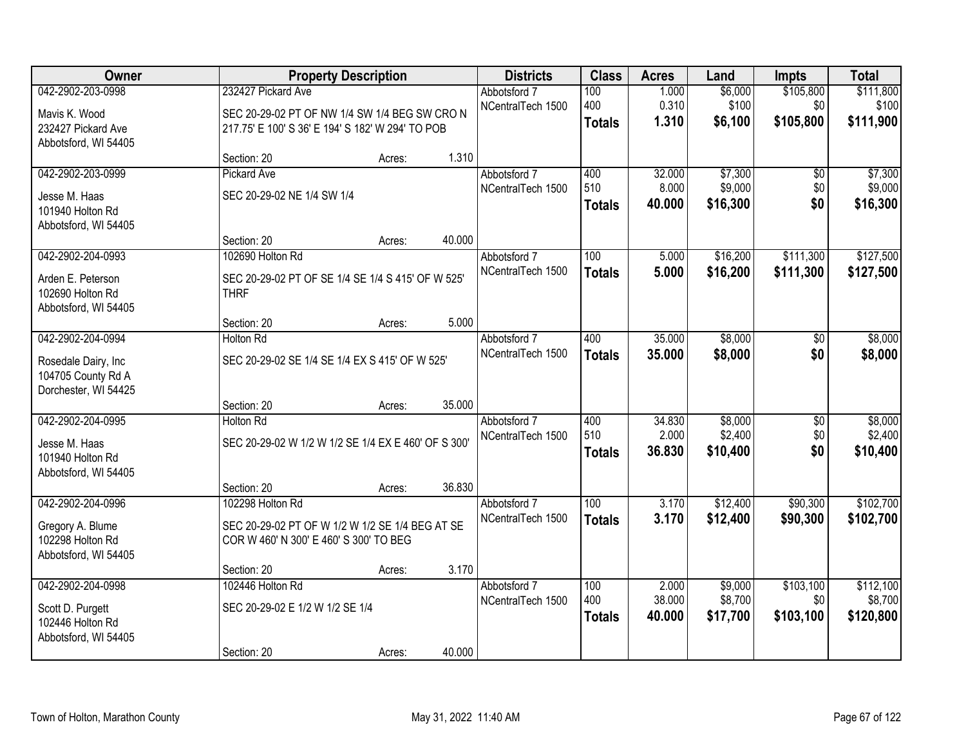| Owner                                                             |                                                                                                   | <b>Property Description</b> |        | <b>Districts</b>                  | <b>Class</b>         | <b>Acres</b>     | Land                | <b>Impts</b>     | <b>Total</b>         |
|-------------------------------------------------------------------|---------------------------------------------------------------------------------------------------|-----------------------------|--------|-----------------------------------|----------------------|------------------|---------------------|------------------|----------------------|
| 042-2902-203-0998                                                 | 232427 Pickard Ave                                                                                |                             |        | Abbotsford 7<br>NCentralTech 1500 | 100<br>400           | 1.000<br>0.310   | \$6,000<br>\$100    | \$105,800<br>\$0 | \$111,800<br>\$100   |
| Mavis K. Wood<br>232427 Pickard Ave<br>Abbotsford, WI 54405       | SEC 20-29-02 PT OF NW 1/4 SW 1/4 BEG SW CRO N<br>217.75' E 100' S 36' E 194' S 182' W 294' TO POB |                             |        |                                   | <b>Totals</b>        | 1.310            | \$6,100             | \$105,800        | \$111,900            |
|                                                                   | Section: 20                                                                                       | Acres:                      | 1.310  |                                   |                      |                  |                     |                  |                      |
| 042-2902-203-0999                                                 | <b>Pickard Ave</b>                                                                                |                             |        | Abbotsford 7                      | 400                  | 32.000           | \$7,300             | \$0              | \$7,300              |
| Jesse M. Haas<br>101940 Holton Rd<br>Abbotsford, WI 54405         | SEC 20-29-02 NE 1/4 SW 1/4                                                                        |                             |        | NCentralTech 1500                 | 510<br><b>Totals</b> | 8.000<br>40.000  | \$9,000<br>\$16,300 | \$0<br>\$0       | \$9,000<br>\$16,300  |
|                                                                   | Section: 20                                                                                       | Acres:                      | 40.000 |                                   |                      |                  |                     |                  |                      |
| 042-2902-204-0993                                                 | 102690 Holton Rd                                                                                  |                             |        | Abbotsford 7                      | 100                  | 5.000            | \$16,200            | \$111,300        | \$127,500            |
| Arden E. Peterson<br>102690 Holton Rd<br>Abbotsford, WI 54405     | SEC 20-29-02 PT OF SE 1/4 SE 1/4 S 415' OF W 525'<br><b>THRF</b>                                  |                             |        | NCentralTech 1500                 | <b>Totals</b>        | 5.000            | \$16,200            | \$111,300        | \$127,500            |
|                                                                   | Section: 20                                                                                       | Acres:                      | 5.000  |                                   |                      |                  |                     |                  |                      |
| 042-2902-204-0994                                                 | <b>Holton Rd</b>                                                                                  |                             |        | Abbotsford 7                      | 400                  | 35.000           | \$8,000             | \$0              | \$8,000              |
| Rosedale Dairy, Inc<br>104705 County Rd A<br>Dorchester, WI 54425 | SEC 20-29-02 SE 1/4 SE 1/4 EX S 415' OF W 525'                                                    |                             |        | NCentralTech 1500                 | <b>Totals</b>        | 35.000           | \$8,000             | \$0              | \$8,000              |
|                                                                   | Section: 20                                                                                       | Acres:                      | 35.000 |                                   |                      |                  |                     |                  |                      |
| 042-2902-204-0995                                                 | <b>Holton Rd</b>                                                                                  |                             |        | Abbotsford 7                      | 400                  | 34.830           | \$8,000             | $\overline{50}$  | \$8,000              |
| Jesse M. Haas<br>101940 Holton Rd<br>Abbotsford, WI 54405         | SEC 20-29-02 W 1/2 W 1/2 SE 1/4 EX E 460' OF S 300'                                               |                             |        | NCentralTech 1500                 | 510<br><b>Totals</b> | 2.000<br>36.830  | \$2,400<br>\$10,400 | \$0<br>\$0       | \$2,400<br>\$10,400  |
|                                                                   | Section: 20                                                                                       | Acres:                      | 36.830 |                                   |                      |                  |                     |                  |                      |
| 042-2902-204-0996                                                 | 102298 Holton Rd                                                                                  |                             |        | Abbotsford 7                      | 100                  | 3.170            | \$12,400            | \$90,300         | \$102,700            |
| Gregory A. Blume<br>102298 Holton Rd<br>Abbotsford, WI 54405      | SEC 20-29-02 PT OF W 1/2 W 1/2 SE 1/4 BEG AT SE<br>COR W 460' N 300' E 460' S 300' TO BEG         |                             |        | NCentralTech 1500                 | <b>Totals</b>        | 3.170            | \$12,400            | \$90,300         | \$102,700            |
|                                                                   | Section: 20                                                                                       | Acres:                      | 3.170  |                                   |                      |                  |                     |                  |                      |
| 042-2902-204-0998                                                 | 102446 Holton Rd                                                                                  |                             |        | Abbotsford 7                      | 100                  | 2.000            | \$9,000             | \$103,100        | \$112,100            |
| Scott D. Purgett<br>102446 Holton Rd<br>Abbotsford, WI 54405      | SEC 20-29-02 E 1/2 W 1/2 SE 1/4                                                                   |                             |        | NCentralTech 1500                 | 400<br><b>Totals</b> | 38.000<br>40.000 | \$8,700<br>\$17,700 | \$0<br>\$103,100 | \$8,700<br>\$120,800 |
|                                                                   | Section: 20                                                                                       | Acres:                      | 40.000 |                                   |                      |                  |                     |                  |                      |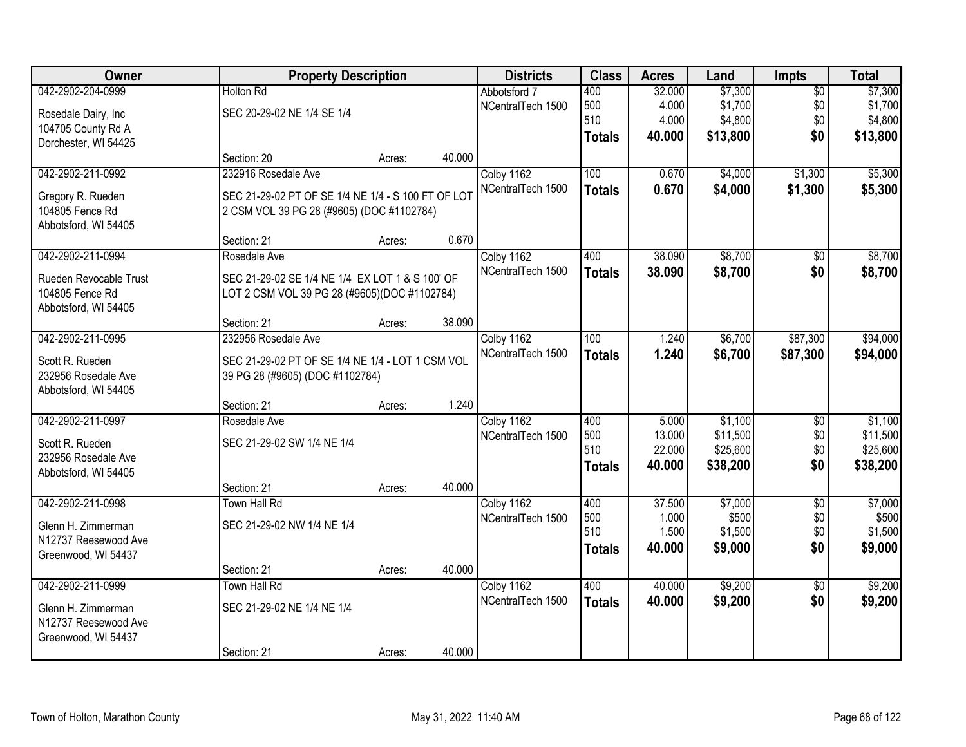| Owner                  |                                                    | <b>Property Description</b> |        | <b>Districts</b>  | <b>Class</b>  | <b>Acres</b> | Land     | Impts           | <b>Total</b> |
|------------------------|----------------------------------------------------|-----------------------------|--------|-------------------|---------------|--------------|----------|-----------------|--------------|
| 042-2902-204-0999      | <b>Holton Rd</b>                                   |                             |        | Abbotsford 7      | 400           | 32.000       | \$7,300  | $\overline{50}$ | \$7,300      |
| Rosedale Dairy, Inc    | SEC 20-29-02 NE 1/4 SE 1/4                         |                             |        | NCentralTech 1500 | 500           | 4.000        | \$1,700  | \$0             | \$1,700      |
| 104705 County Rd A     |                                                    |                             |        |                   | 510           | 4.000        | \$4,800  | \$0             | \$4,800      |
| Dorchester, WI 54425   |                                                    |                             |        |                   | <b>Totals</b> | 40.000       | \$13,800 | \$0             | \$13,800     |
|                        | Section: 20                                        | Acres:                      | 40.000 |                   |               |              |          |                 |              |
| 042-2902-211-0992      | 232916 Rosedale Ave                                |                             |        | Colby 1162        | 100           | 0.670        | \$4,000  | \$1,300         | \$5,300      |
| Gregory R. Rueden      | SEC 21-29-02 PT OF SE 1/4 NE 1/4 - S 100 FT OF LOT |                             |        | NCentralTech 1500 | <b>Totals</b> | 0.670        | \$4,000  | \$1,300         | \$5,300      |
| 104805 Fence Rd        | 2 CSM VOL 39 PG 28 (#9605) (DOC #1102784)          |                             |        |                   |               |              |          |                 |              |
| Abbotsford, WI 54405   |                                                    |                             |        |                   |               |              |          |                 |              |
|                        | Section: 21                                        | Acres:                      | 0.670  |                   |               |              |          |                 |              |
| 042-2902-211-0994      | Rosedale Ave                                       |                             |        | Colby 1162        | 400           | 38.090       | \$8,700  | \$0             | \$8,700      |
| Rueden Revocable Trust | SEC 21-29-02 SE 1/4 NE 1/4 EX LOT 1 & S 100' OF    |                             |        | NCentralTech 1500 | <b>Totals</b> | 38.090       | \$8,700  | \$0             | \$8,700      |
| 104805 Fence Rd        | LOT 2 CSM VOL 39 PG 28 (#9605)(DOC #1102784)       |                             |        |                   |               |              |          |                 |              |
| Abbotsford, WI 54405   |                                                    |                             |        |                   |               |              |          |                 |              |
|                        | Section: 21                                        | Acres:                      | 38.090 |                   |               |              |          |                 |              |
| 042-2902-211-0995      | 232956 Rosedale Ave                                |                             |        | Colby 1162        | 100           | 1.240        | \$6,700  | \$87,300        | \$94,000     |
| Scott R. Rueden        | SEC 21-29-02 PT OF SE 1/4 NE 1/4 - LOT 1 CSM VOL   |                             |        | NCentralTech 1500 | <b>Totals</b> | 1.240        | \$6,700  | \$87,300        | \$94,000     |
| 232956 Rosedale Ave    | 39 PG 28 (#9605) (DOC #1102784)                    |                             |        |                   |               |              |          |                 |              |
| Abbotsford, WI 54405   |                                                    |                             |        |                   |               |              |          |                 |              |
|                        | Section: 21                                        | Acres:                      | 1.240  |                   |               |              |          |                 |              |
| 042-2902-211-0997      | Rosedale Ave                                       |                             |        | Colby 1162        | 400           | 5.000        | \$1,100  | $\overline{50}$ | \$1,100      |
| Scott R. Rueden        | SEC 21-29-02 SW 1/4 NE 1/4                         |                             |        | NCentralTech 1500 | 500           | 13.000       | \$11,500 | \$0             | \$11,500     |
| 232956 Rosedale Ave    |                                                    |                             |        |                   | 510           | 22.000       | \$25,600 | \$0             | \$25,600     |
| Abbotsford, WI 54405   |                                                    |                             |        |                   | <b>Totals</b> | 40.000       | \$38,200 | \$0             | \$38,200     |
|                        | Section: 21                                        | Acres:                      | 40.000 |                   |               |              |          |                 |              |
| 042-2902-211-0998      | Town Hall Rd                                       |                             |        | Colby 1162        | 400           | 37.500       | \$7,000  | $\overline{50}$ | \$7,000      |
| Glenn H. Zimmerman     | SEC 21-29-02 NW 1/4 NE 1/4                         |                             |        | NCentralTech 1500 | 500           | 1.000        | \$500    | \$0             | \$500        |
| N12737 Reesewood Ave   |                                                    |                             |        |                   | 510           | 1.500        | \$1,500  | \$0             | \$1,500      |
| Greenwood, WI 54437    |                                                    |                             |        |                   | <b>Totals</b> | 40.000       | \$9,000  | \$0             | \$9,000      |
|                        | Section: 21                                        | Acres:                      | 40.000 |                   |               |              |          |                 |              |
| 042-2902-211-0999      | <b>Town Hall Rd</b>                                |                             |        | Colby 1162        | 400           | 40.000       | \$9,200  | $\overline{50}$ | \$9,200      |
| Glenn H. Zimmerman     | SEC 21-29-02 NE 1/4 NE 1/4                         |                             |        | NCentralTech 1500 | <b>Totals</b> | 40.000       | \$9,200  | \$0             | \$9,200      |
| N12737 Reesewood Ave   |                                                    |                             |        |                   |               |              |          |                 |              |
| Greenwood, WI 54437    |                                                    |                             |        |                   |               |              |          |                 |              |
|                        | Section: 21                                        | Acres:                      | 40.000 |                   |               |              |          |                 |              |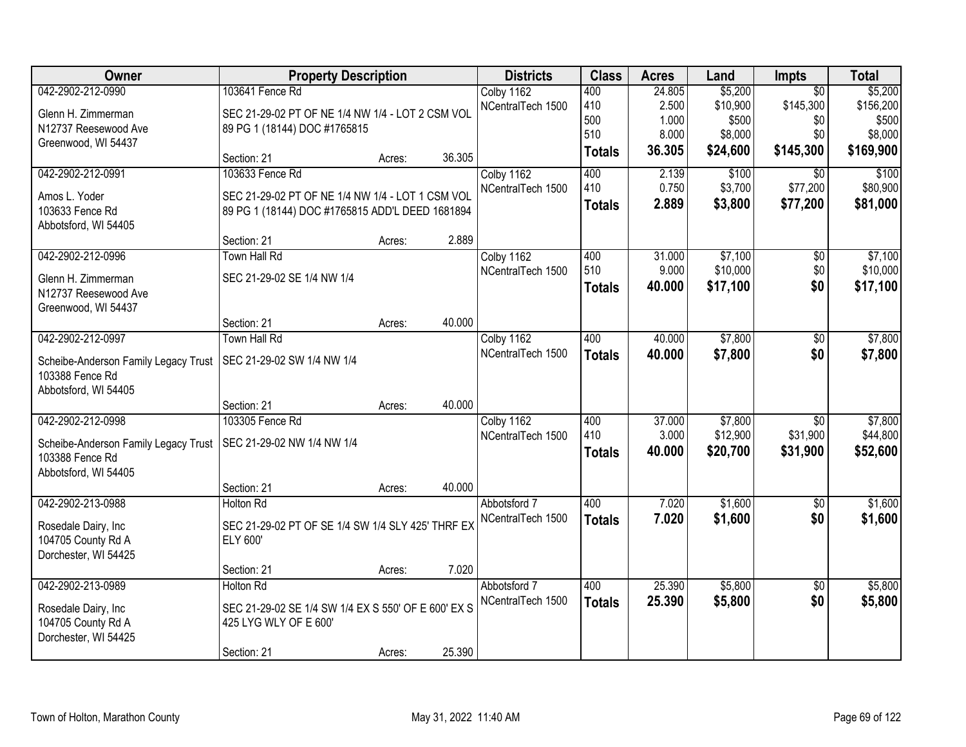| Owner                                | <b>Property Description</b>                         |        |        | <b>Districts</b>  | <b>Class</b>  | <b>Acres</b> | Land     | <b>Impts</b>    | <b>Total</b> |
|--------------------------------------|-----------------------------------------------------|--------|--------|-------------------|---------------|--------------|----------|-----------------|--------------|
| 042-2902-212-0990                    | 103641 Fence Rd                                     |        |        | Colby 1162        | 400           | 24.805       | \$5,200  | $\overline{30}$ | \$5,200      |
| Glenn H. Zimmerman                   | SEC 21-29-02 PT OF NE 1/4 NW 1/4 - LOT 2 CSM VOL    |        |        | NCentralTech 1500 | 410           | 2.500        | \$10,900 | \$145,300       | \$156,200    |
| N12737 Reesewood Ave                 | 89 PG 1 (18144) DOC #1765815                        |        |        |                   | 500           | 1.000        | \$500    | \$0             | \$500        |
| Greenwood, WI 54437                  |                                                     |        |        |                   | 510           | 8.000        | \$8,000  | \$0             | \$8,000      |
|                                      | Section: 21                                         | Acres: | 36.305 |                   | <b>Totals</b> | 36.305       | \$24,600 | \$145,300       | \$169,900    |
| 042-2902-212-0991                    | 103633 Fence Rd                                     |        |        | Colby 1162        | 400           | 2.139        | \$100    | $\overline{50}$ | \$100        |
| Amos L. Yoder                        | SEC 21-29-02 PT OF NE 1/4 NW 1/4 - LOT 1 CSM VOL    |        |        | NCentralTech 1500 | 410           | 0.750        | \$3,700  | \$77,200        | \$80,900     |
| 103633 Fence Rd                      | 89 PG 1 (18144) DOC #1765815 ADD'L DEED 1681894     |        |        |                   | <b>Totals</b> | 2.889        | \$3,800  | \$77,200        | \$81,000     |
| Abbotsford, WI 54405                 |                                                     |        |        |                   |               |              |          |                 |              |
|                                      | Section: 21                                         | Acres: | 2.889  |                   |               |              |          |                 |              |
| 042-2902-212-0996                    | Town Hall Rd                                        |        |        | Colby 1162        | 400           | 31.000       | \$7,100  | \$0             | \$7,100      |
| Glenn H. Zimmerman                   | SEC 21-29-02 SE 1/4 NW 1/4                          |        |        | NCentralTech 1500 | 510           | 9.000        | \$10,000 | \$0             | \$10,000     |
| N12737 Reesewood Ave                 |                                                     |        |        |                   | <b>Totals</b> | 40.000       | \$17,100 | \$0             | \$17,100     |
| Greenwood, WI 54437                  |                                                     |        |        |                   |               |              |          |                 |              |
|                                      | Section: 21                                         | Acres: | 40.000 |                   |               |              |          |                 |              |
| 042-2902-212-0997                    | Town Hall Rd                                        |        |        | Colby 1162        | 400           | 40.000       | \$7,800  | \$0             | \$7,800      |
| Scheibe-Anderson Family Legacy Trust | SEC 21-29-02 SW 1/4 NW 1/4                          |        |        | NCentralTech 1500 | <b>Totals</b> | 40.000       | \$7,800  | \$0             | \$7,800      |
| 103388 Fence Rd                      |                                                     |        |        |                   |               |              |          |                 |              |
| Abbotsford, WI 54405                 |                                                     |        |        |                   |               |              |          |                 |              |
|                                      | Section: 21                                         | Acres: | 40.000 |                   |               |              |          |                 |              |
| 042-2902-212-0998                    | 103305 Fence Rd                                     |        |        | Colby 1162        | 400           | 37.000       | \$7,800  | $\overline{30}$ | \$7,800      |
| Scheibe-Anderson Family Legacy Trust | SEC 21-29-02 NW 1/4 NW 1/4                          |        |        | NCentralTech 1500 | 410           | 3.000        | \$12,900 | \$31,900        | \$44,800     |
| 103388 Fence Rd                      |                                                     |        |        |                   | <b>Totals</b> | 40.000       | \$20,700 | \$31,900        | \$52,600     |
| Abbotsford, WI 54405                 |                                                     |        |        |                   |               |              |          |                 |              |
|                                      | Section: 21                                         | Acres: | 40.000 |                   |               |              |          |                 |              |
| 042-2902-213-0988                    | <b>Holton Rd</b>                                    |        |        | Abbotsford 7      | 400           | 7.020        | \$1,600  | $\overline{50}$ | \$1,600      |
| Rosedale Dairy, Inc.                 | SEC 21-29-02 PT OF SE 1/4 SW 1/4 SLY 425' THRF EX   |        |        | NCentralTech 1500 | <b>Totals</b> | 7.020        | \$1,600  | \$0             | \$1,600      |
| 104705 County Rd A                   | ELY 600'                                            |        |        |                   |               |              |          |                 |              |
| Dorchester, WI 54425                 |                                                     |        |        |                   |               |              |          |                 |              |
|                                      | Section: 21                                         | Acres: | 7.020  |                   |               |              |          |                 |              |
| 042-2902-213-0989                    | <b>Holton Rd</b>                                    |        |        | Abbotsford 7      | 400           | 25.390       | \$5,800  | $\overline{30}$ | \$5,800      |
| Rosedale Dairy, Inc                  | SEC 21-29-02 SE 1/4 SW 1/4 EX S 550' OF E 600' EX S |        |        | NCentralTech 1500 | <b>Totals</b> | 25.390       | \$5,800  | \$0             | \$5,800      |
| 104705 County Rd A                   | 425 LYG WLY OF E 600'                               |        |        |                   |               |              |          |                 |              |
| Dorchester, WI 54425                 |                                                     |        |        |                   |               |              |          |                 |              |
|                                      | Section: 21                                         | Acres: | 25.390 |                   |               |              |          |                 |              |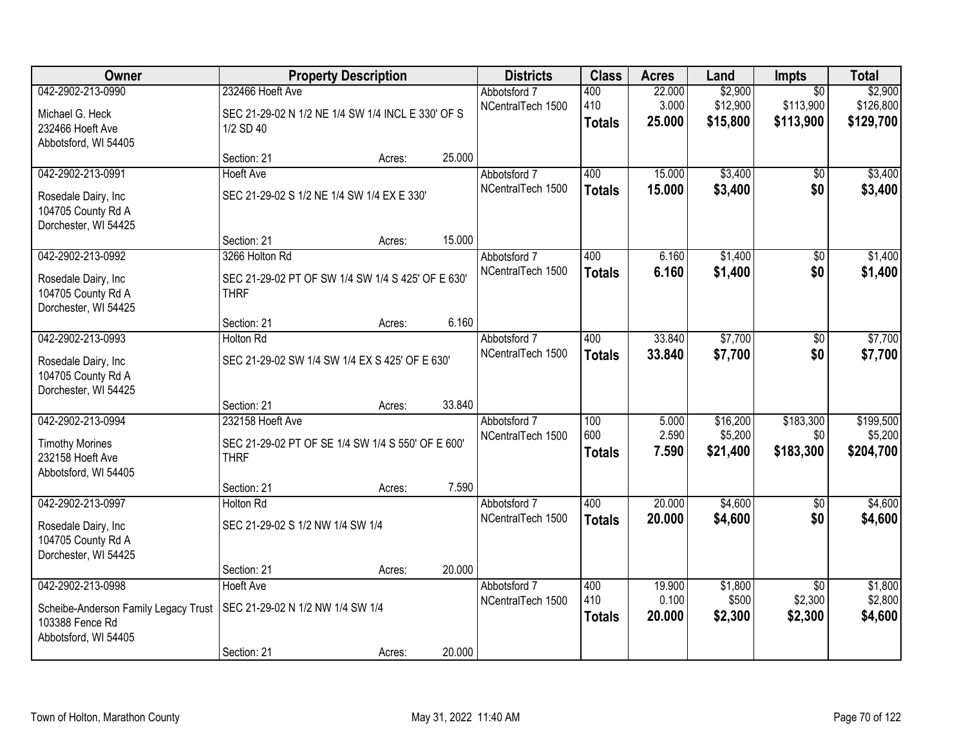| Owner                                                                                   |                                                                                      | <b>Property Description</b> |        | <b>Districts</b>                  | <b>Class</b>                | <b>Acres</b>              | Land                            | <b>Impts</b>                          | <b>Total</b>                      |
|-----------------------------------------------------------------------------------------|--------------------------------------------------------------------------------------|-----------------------------|--------|-----------------------------------|-----------------------------|---------------------------|---------------------------------|---------------------------------------|-----------------------------------|
| 042-2902-213-0990                                                                       | 232466 Hoeft Ave                                                                     |                             |        | Abbotsford 7                      | 400                         | 22.000                    | \$2,900                         | $\overline{30}$                       | \$2,900                           |
| Michael G. Heck<br>232466 Hoeft Ave<br>Abbotsford, WI 54405                             | SEC 21-29-02 N 1/2 NE 1/4 SW 1/4 INCL E 330' OF S<br>1/2 SD 40                       |                             |        | NCentralTech 1500                 | 410<br><b>Totals</b>        | 3.000<br>25.000           | \$12,900<br>\$15,800            | \$113,900<br>\$113,900                | \$126,800<br>\$129,700            |
|                                                                                         | Section: 21                                                                          | Acres:                      | 25.000 |                                   |                             |                           |                                 |                                       |                                   |
| 042-2902-213-0991                                                                       | <b>Hoeft Ave</b>                                                                     |                             |        | Abbotsford 7                      | 400                         | 15.000                    | \$3,400                         | $\overline{50}$                       | \$3,400                           |
| Rosedale Dairy, Inc.<br>104705 County Rd A<br>Dorchester, WI 54425                      | SEC 21-29-02 S 1/2 NE 1/4 SW 1/4 EX E 330'                                           |                             |        | NCentralTech 1500                 | <b>Totals</b>               | 15.000                    | \$3,400                         | \$0                                   | \$3,400                           |
|                                                                                         | Section: 21                                                                          | Acres:                      | 15.000 |                                   |                             |                           |                                 |                                       |                                   |
| 042-2902-213-0992                                                                       | 3266 Holton Rd                                                                       |                             |        | Abbotsford 7                      | 400                         | 6.160                     | \$1,400                         | \$0                                   | \$1,400                           |
| Rosedale Dairy, Inc<br>104705 County Rd A<br>Dorchester, WI 54425                       | SEC 21-29-02 PT OF SW 1/4 SW 1/4 S 425' OF E 630'<br><b>THRF</b>                     |                             |        | NCentralTech 1500                 | <b>Totals</b>               | 6.160                     | \$1,400                         | \$0                                   | \$1,400                           |
|                                                                                         | Section: 21                                                                          | Acres:                      | 6.160  |                                   |                             |                           |                                 |                                       |                                   |
| 042-2902-213-0993                                                                       | <b>Holton Rd</b>                                                                     |                             |        | Abbotsford 7                      | 400                         | 33.840                    | \$7,700                         | \$0                                   | \$7,700                           |
| Rosedale Dairy, Inc<br>104705 County Rd A<br>Dorchester, WI 54425                       | SEC 21-29-02 SW 1/4 SW 1/4 EX S 425' OF E 630'                                       |                             |        | NCentralTech 1500                 | <b>Totals</b>               | 33.840                    | \$7,700                         | \$0                                   | \$7,700                           |
|                                                                                         | Section: 21                                                                          | Acres:                      | 33.840 |                                   |                             |                           |                                 |                                       |                                   |
| 042-2902-213-0994<br><b>Timothy Morines</b><br>232158 Hoeft Ave<br>Abbotsford, WI 54405 | 232158 Hoeft Ave<br>SEC 21-29-02 PT OF SE 1/4 SW 1/4 S 550' OF E 600'<br><b>THRF</b> |                             |        | Abbotsford 7<br>NCentralTech 1500 | 100<br>600<br><b>Totals</b> | 5.000<br>2.590<br>7.590   | \$16,200<br>\$5,200<br>\$21,400 | \$183,300<br>\$0<br>\$183,300         | \$199,500<br>\$5,200<br>\$204,700 |
|                                                                                         | Section: 21                                                                          | Acres:                      | 7.590  |                                   |                             |                           |                                 |                                       |                                   |
| 042-2902-213-0997                                                                       | <b>Holton Rd</b>                                                                     |                             |        | Abbotsford 7                      | 400                         | 20.000                    | \$4,600                         | \$0                                   | \$4,600                           |
| Rosedale Dairy, Inc<br>104705 County Rd A<br>Dorchester, WI 54425                       | SEC 21-29-02 S 1/2 NW 1/4 SW 1/4                                                     |                             |        | NCentralTech 1500                 | <b>Totals</b>               | 20.000                    | \$4,600                         | \$0                                   | \$4,600                           |
|                                                                                         | Section: 21                                                                          | Acres:                      | 20.000 |                                   |                             |                           |                                 |                                       |                                   |
| 042-2902-213-0998<br>Scheibe-Anderson Family Legacy Trust<br>103388 Fence Rd            | <b>Hoeft Ave</b><br>SEC 21-29-02 N 1/2 NW 1/4 SW 1/4                                 |                             |        | Abbotsford 7<br>NCentralTech 1500 | 400<br>410<br><b>Totals</b> | 19.900<br>0.100<br>20.000 | \$1,800<br>\$500<br>\$2,300     | $\overline{50}$<br>\$2,300<br>\$2,300 | \$1,800<br>\$2,800<br>\$4,600     |
| Abbotsford, WI 54405                                                                    | Section: 21                                                                          | Acres:                      | 20.000 |                                   |                             |                           |                                 |                                       |                                   |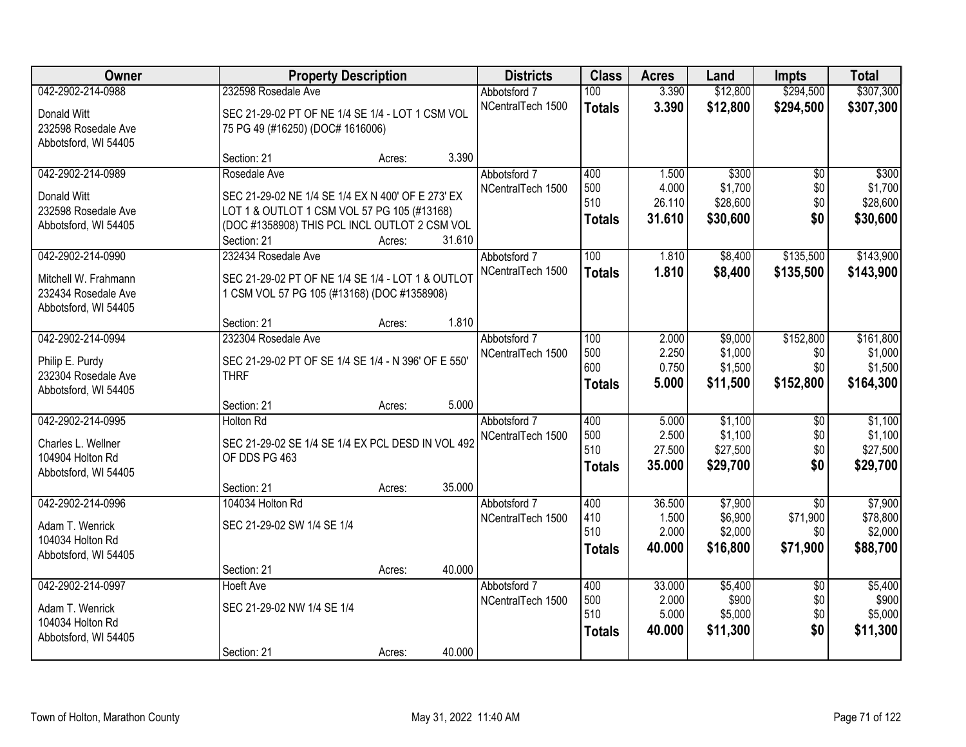| Owner                | <b>Property Description</b>                         | <b>Districts</b>                  | <b>Class</b>  | <b>Acres</b>    | Land                | <b>Impts</b>                | <b>Total</b>        |
|----------------------|-----------------------------------------------------|-----------------------------------|---------------|-----------------|---------------------|-----------------------------|---------------------|
| 042-2902-214-0988    | 232598 Rosedale Ave                                 | Abbotsford 7                      | 100           | 3.390           | \$12,800            | \$294,500                   | \$307,300           |
| Donald Witt          | SEC 21-29-02 PT OF NE 1/4 SE 1/4 - LOT 1 CSM VOL    | NCentralTech 1500                 | <b>Totals</b> | 3.390           | \$12,800            | \$294,500                   | \$307,300           |
| 232598 Rosedale Ave  | 75 PG 49 (#16250) (DOC# 1616006)                    |                                   |               |                 |                     |                             |                     |
| Abbotsford, WI 54405 |                                                     |                                   |               |                 |                     |                             |                     |
|                      | 3.390<br>Section: 21<br>Acres:                      |                                   |               |                 |                     |                             |                     |
| 042-2902-214-0989    | Rosedale Ave                                        | Abbotsford 7                      | 400           | 1.500           | \$300               | $\overline{50}$             | \$300               |
| Donald Witt          | SEC 21-29-02 NE 1/4 SE 1/4 EX N 400' OF E 273' EX   | NCentralTech 1500                 | 500           | 4.000           | \$1,700             | \$0                         | \$1,700             |
| 232598 Rosedale Ave  | LOT 1 & OUTLOT 1 CSM VOL 57 PG 105 (#13168)         |                                   | 510           | 26.110          | \$28,600            | \$0                         | \$28,600            |
| Abbotsford, WI 54405 | (DOC #1358908) THIS PCL INCL OUTLOT 2 CSM VOL       |                                   | <b>Totals</b> | 31.610          | \$30,600            | \$0                         | \$30,600            |
|                      | 31.610<br>Section: 21<br>Acres:                     |                                   |               |                 |                     |                             |                     |
| 042-2902-214-0990    | 232434 Rosedale Ave                                 | Abbotsford 7                      | 100           | 1.810           | \$8,400             | \$135,500                   | \$143,900           |
| Mitchell W. Frahmann | SEC 21-29-02 PT OF NE 1/4 SE 1/4 - LOT 1 & OUTLOT   | NCentralTech 1500                 | <b>Totals</b> | 1.810           | \$8,400             | \$135,500                   | \$143,900           |
| 232434 Rosedale Ave  | 1 CSM VOL 57 PG 105 (#13168) (DOC #1358908)         |                                   |               |                 |                     |                             |                     |
| Abbotsford, WI 54405 |                                                     |                                   |               |                 |                     |                             |                     |
|                      | 1.810<br>Section: 21<br>Acres:                      |                                   |               |                 |                     |                             |                     |
| 042-2902-214-0994    | 232304 Rosedale Ave                                 | Abbotsford 7                      | 100           | 2.000           | \$9,000             | \$152,800                   | \$161,800           |
| Philip E. Purdy      | SEC 21-29-02 PT OF SE 1/4 SE 1/4 - N 396' OF E 550' | NCentralTech 1500                 | 500<br>600    | 2.250<br>0.750  | \$1,000             | \$0<br>\$0                  | \$1,000<br>\$1,500  |
| 232304 Rosedale Ave  | <b>THRF</b>                                         |                                   | <b>Totals</b> | 5.000           | \$1,500<br>\$11,500 | \$152,800                   | \$164,300           |
| Abbotsford, WI 54405 |                                                     |                                   |               |                 |                     |                             |                     |
|                      | 5.000<br>Section: 21<br>Acres:                      |                                   |               |                 |                     |                             |                     |
| 042-2902-214-0995    | <b>Holton Rd</b>                                    | Abbotsford 7                      | 400           | 5.000           | \$1,100             | $\overline{50}$             | \$1,100             |
| Charles L. Wellner   | SEC 21-29-02 SE 1/4 SE 1/4 EX PCL DESD IN VOL 492   | NCentralTech 1500                 | 500<br>510    | 2.500<br>27.500 | \$1,100<br>\$27,500 | \$0<br>\$0                  | \$1,100<br>\$27,500 |
| 104904 Holton Rd     | OF DDS PG 463                                       |                                   | <b>Totals</b> | 35.000          | \$29,700            | \$0                         | \$29,700            |
| Abbotsford, WI 54405 |                                                     |                                   |               |                 |                     |                             |                     |
|                      | 35.000<br>Section: 21<br>Acres:                     |                                   |               |                 |                     |                             |                     |
| 042-2902-214-0996    | 104034 Holton Rd                                    | Abbotsford 7                      | 400<br>410    | 36.500<br>1.500 | \$7,900<br>\$6,900  | $\overline{30}$<br>\$71,900 | \$7,900<br>\$78,800 |
| Adam T. Wenrick      | SEC 21-29-02 SW 1/4 SE 1/4                          | NCentralTech 1500                 | 510           | 2.000           | \$2,000             | \$0                         | \$2,000             |
| 104034 Holton Rd     |                                                     |                                   | <b>Totals</b> | 40.000          | \$16,800            | \$71,900                    | \$88,700            |
| Abbotsford, WI 54405 |                                                     |                                   |               |                 |                     |                             |                     |
|                      | 40.000<br>Section: 21<br>Acres:                     |                                   |               |                 |                     |                             |                     |
| 042-2902-214-0997    | Hoeft Ave                                           | Abbotsford 7<br>NCentralTech 1500 | 400<br>500    | 33.000<br>2.000 | \$5,400<br>\$900    | $\overline{50}$<br>\$0      | \$5,400<br>\$900    |
| Adam T. Wenrick      | SEC 21-29-02 NW 1/4 SE 1/4                          |                                   | 510           | 5.000           | \$5,000             | \$0                         | \$5,000             |
| 104034 Holton Rd     |                                                     |                                   | <b>Totals</b> | 40.000          | \$11,300            | \$0                         | \$11,300            |
| Abbotsford, WI 54405 |                                                     |                                   |               |                 |                     |                             |                     |
|                      | 40.000<br>Section: 21<br>Acres:                     |                                   |               |                 |                     |                             |                     |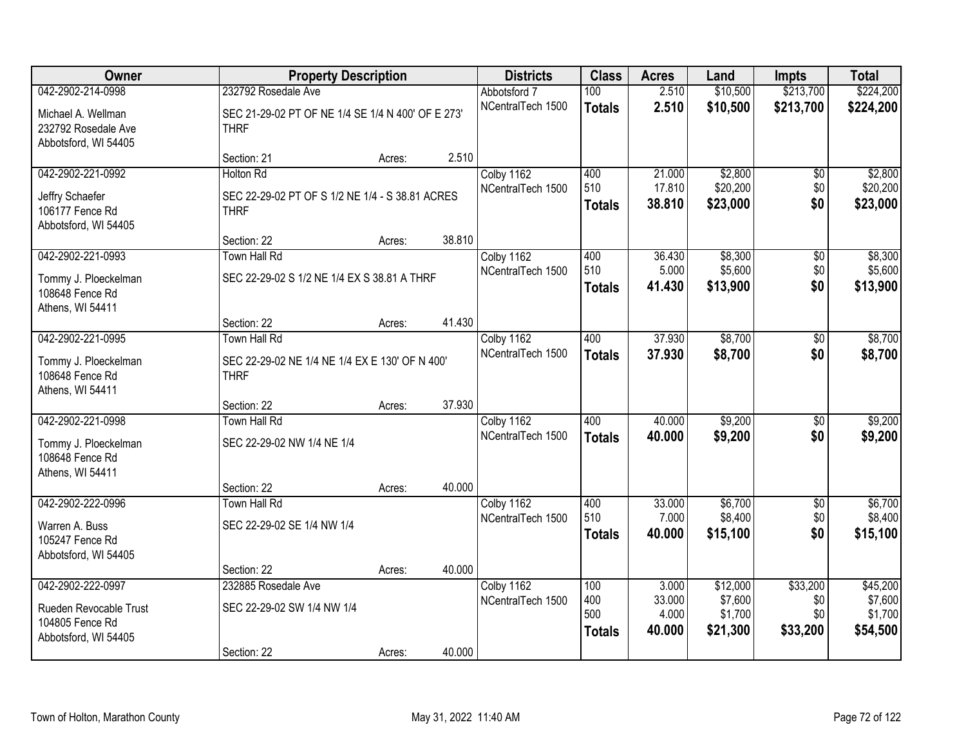| Owner                                                             |                                                                  | <b>Property Description</b> |        | <b>Districts</b>                | <b>Class</b>                | <b>Acres</b>              | Land                           | <b>Impts</b>           | <b>Total</b>                   |
|-------------------------------------------------------------------|------------------------------------------------------------------|-----------------------------|--------|---------------------------------|-----------------------------|---------------------------|--------------------------------|------------------------|--------------------------------|
| 042-2902-214-0998                                                 | 232792 Rosedale Ave                                              |                             |        | Abbotsford 7                    | 100                         | 2.510                     | \$10,500                       | \$213,700              | \$224,200                      |
| Michael A. Wellman<br>232792 Rosedale Ave<br>Abbotsford, WI 54405 | SEC 21-29-02 PT OF NE 1/4 SE 1/4 N 400' OF E 273'<br><b>THRF</b> |                             |        | NCentralTech 1500               | <b>Totals</b>               | 2.510                     | \$10,500                       | \$213,700              | \$224,200                      |
|                                                                   | Section: 21                                                      | Acres:                      | 2.510  |                                 |                             |                           |                                |                        |                                |
| 042-2902-221-0992                                                 | <b>Holton Rd</b>                                                 |                             |        | Colby 1162                      | 400                         | 21.000                    | \$2,800                        | $\overline{50}$        | \$2,800                        |
| Jeffry Schaefer<br>106177 Fence Rd<br>Abbotsford, WI 54405        | SEC 22-29-02 PT OF S 1/2 NE 1/4 - S 38.81 ACRES<br><b>THRF</b>   |                             |        | NCentralTech 1500               | 510<br><b>Totals</b>        | 17.810<br>38.810          | \$20,200<br>\$23,000           | \$0<br>\$0             | \$20,200<br>\$23,000           |
|                                                                   | Section: 22                                                      | Acres:                      | 38.810 |                                 |                             |                           |                                |                        |                                |
| 042-2902-221-0993                                                 | <b>Town Hall Rd</b>                                              |                             |        | Colby 1162                      | 400                         | 36.430                    | \$8,300                        | \$0                    | \$8,300                        |
| Tommy J. Ploeckelman<br>108648 Fence Rd<br>Athens, WI 54411       | SEC 22-29-02 S 1/2 NE 1/4 EX S 38.81 A THRF                      |                             |        | NCentralTech 1500               | 510<br><b>Totals</b>        | 5.000<br>41.430           | \$5,600<br>\$13,900            | \$0<br>\$0             | \$5,600<br>\$13,900            |
|                                                                   | Section: 22                                                      | Acres:                      | 41.430 |                                 |                             |                           |                                |                        |                                |
| 042-2902-221-0995                                                 | Town Hall Rd                                                     |                             |        | Colby 1162                      | 400                         | 37.930                    | \$8,700                        | \$0                    | \$8,700                        |
| Tommy J. Ploeckelman<br>108648 Fence Rd<br>Athens, WI 54411       | SEC 22-29-02 NE 1/4 NE 1/4 EX E 130' OF N 400'<br><b>THRF</b>    |                             |        | NCentralTech 1500               | <b>Totals</b>               | 37.930                    | \$8,700                        | \$0                    | \$8,700                        |
|                                                                   | Section: 22                                                      | Acres:                      | 37.930 |                                 |                             |                           |                                |                        |                                |
| 042-2902-221-0998                                                 | <b>Town Hall Rd</b>                                              |                             |        | Colby 1162<br>NCentralTech 1500 | 400                         | 40.000                    | \$9,200                        | $\overline{50}$        | \$9,200                        |
| Tommy J. Ploeckelman<br>108648 Fence Rd<br>Athens, WI 54411       | SEC 22-29-02 NW 1/4 NE 1/4                                       |                             |        |                                 | <b>Totals</b>               | 40.000                    | \$9,200                        | \$0                    | \$9,200                        |
|                                                                   | Section: 22                                                      | Acres:                      | 40.000 |                                 |                             |                           |                                |                        |                                |
| 042-2902-222-0996                                                 | <b>Town Hall Rd</b>                                              |                             |        | Colby 1162                      | 400                         | 33.000                    | \$6,700                        | $\overline{50}$        | \$6,700                        |
| Warren A. Buss<br>105247 Fence Rd<br>Abbotsford, WI 54405         | SEC 22-29-02 SE 1/4 NW 1/4                                       |                             |        | NCentralTech 1500               | 510<br><b>Totals</b>        | 7.000<br>40.000           | \$8,400<br>\$15,100            | \$0<br>\$0             | \$8,400<br>\$15,100            |
|                                                                   | Section: 22                                                      | Acres:                      | 40.000 |                                 |                             |                           |                                |                        |                                |
| 042-2902-222-0997                                                 | 232885 Rosedale Ave                                              |                             |        | Colby 1162                      | 100                         | 3.000                     | \$12,000                       | \$33,200               | \$45,200                       |
| Rueden Revocable Trust<br>104805 Fence Rd<br>Abbotsford, WI 54405 | SEC 22-29-02 SW 1/4 NW 1/4                                       |                             |        | NCentralTech 1500               | 400<br>500<br><b>Totals</b> | 33.000<br>4.000<br>40.000 | \$7,600<br>\$1,700<br>\$21,300 | \$0<br>\$0<br>\$33,200 | \$7,600<br>\$1,700<br>\$54,500 |
|                                                                   | Section: 22                                                      | Acres:                      | 40.000 |                                 |                             |                           |                                |                        |                                |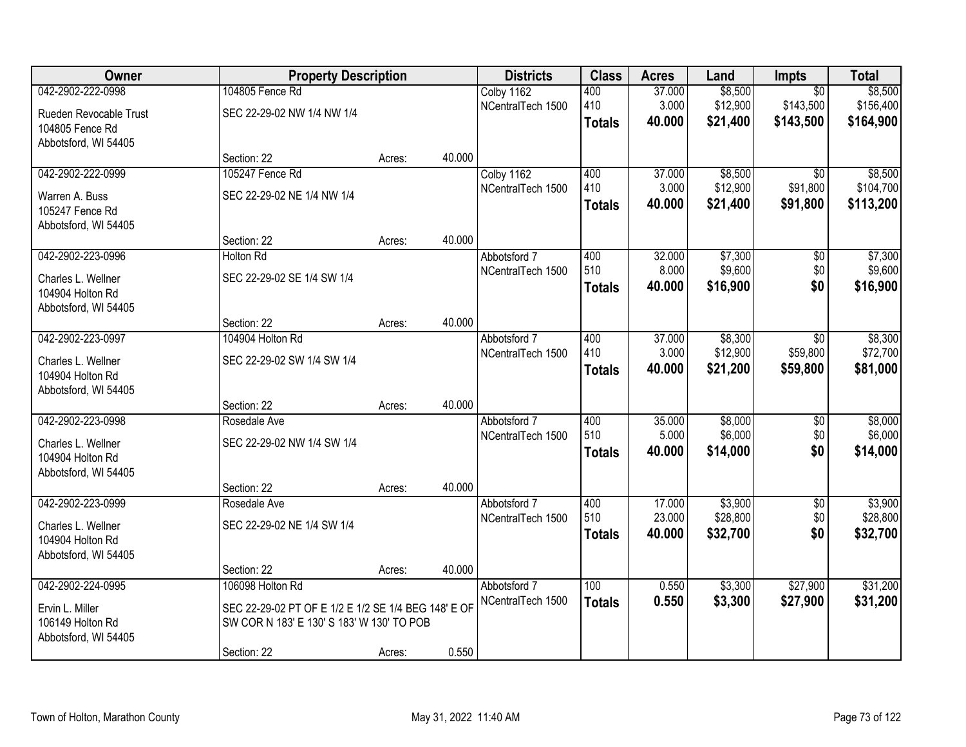| Owner                  | <b>Property Description</b>                         |        |        | <b>Districts</b>  | <b>Class</b>  | <b>Acres</b> | Land     | <b>Impts</b>    | <b>Total</b> |
|------------------------|-----------------------------------------------------|--------|--------|-------------------|---------------|--------------|----------|-----------------|--------------|
| 042-2902-222-0998      | 104805 Fence Rd                                     |        |        | Colby 1162        | 400           | 37.000       | \$8,500  | $\overline{50}$ | \$8,500      |
| Rueden Revocable Trust | SEC 22-29-02 NW 1/4 NW 1/4                          |        |        | NCentralTech 1500 | 410           | 3.000        | \$12,900 | \$143,500       | \$156,400    |
| 104805 Fence Rd        |                                                     |        |        |                   | <b>Totals</b> | 40.000       | \$21,400 | \$143,500       | \$164,900    |
| Abbotsford, WI 54405   |                                                     |        |        |                   |               |              |          |                 |              |
|                        | Section: 22                                         | Acres: | 40.000 |                   |               |              |          |                 |              |
| 042-2902-222-0999      | 105247 Fence Rd                                     |        |        | Colby 1162        | 400           | 37.000       | \$8,500  | $\overline{50}$ | \$8,500      |
| Warren A. Buss         | SEC 22-29-02 NE 1/4 NW 1/4                          |        |        | NCentralTech 1500 | 410           | 3.000        | \$12,900 | \$91,800        | \$104,700    |
| 105247 Fence Rd        |                                                     |        |        |                   | <b>Totals</b> | 40.000       | \$21,400 | \$91,800        | \$113,200    |
| Abbotsford, WI 54405   |                                                     |        |        |                   |               |              |          |                 |              |
|                        | Section: 22                                         | Acres: | 40.000 |                   |               |              |          |                 |              |
| 042-2902-223-0996      | <b>Holton Rd</b>                                    |        |        | Abbotsford 7      | 400           | 32.000       | \$7,300  | \$0             | \$7,300      |
| Charles L. Wellner     | SEC 22-29-02 SE 1/4 SW 1/4                          |        |        | NCentralTech 1500 | 510           | 8.000        | \$9,600  | \$0             | \$9,600      |
| 104904 Holton Rd       |                                                     |        |        |                   | <b>Totals</b> | 40.000       | \$16,900 | \$0             | \$16,900     |
| Abbotsford, WI 54405   |                                                     |        |        |                   |               |              |          |                 |              |
|                        | Section: 22                                         | Acres: | 40.000 |                   |               |              |          |                 |              |
| 042-2902-223-0997      | 104904 Holton Rd                                    |        |        | Abbotsford 7      | 400           | 37.000       | \$8,300  | $\sqrt{6}$      | \$8,300      |
| Charles L. Wellner     | SEC 22-29-02 SW 1/4 SW 1/4                          |        |        | NCentralTech 1500 | 410           | 3.000        | \$12,900 | \$59,800        | \$72,700     |
| 104904 Holton Rd       |                                                     |        |        |                   | <b>Totals</b> | 40.000       | \$21,200 | \$59,800        | \$81,000     |
| Abbotsford, WI 54405   |                                                     |        |        |                   |               |              |          |                 |              |
|                        | Section: 22                                         | Acres: | 40.000 |                   |               |              |          |                 |              |
| 042-2902-223-0998      | Rosedale Ave                                        |        |        | Abbotsford 7      | 400           | 35.000       | \$8,000  | $\overline{50}$ | \$8,000      |
| Charles L. Wellner     | SEC 22-29-02 NW 1/4 SW 1/4                          |        |        | NCentralTech 1500 | 510           | 5.000        | \$6,000  | \$0             | \$6,000      |
| 104904 Holton Rd       |                                                     |        |        |                   | <b>Totals</b> | 40.000       | \$14,000 | \$0             | \$14,000     |
| Abbotsford, WI 54405   |                                                     |        |        |                   |               |              |          |                 |              |
|                        | Section: 22                                         | Acres: | 40.000 |                   |               |              |          |                 |              |
| 042-2902-223-0999      | Rosedale Ave                                        |        |        | Abbotsford 7      | 400           | 17.000       | \$3,900  | $\overline{50}$ | \$3,900      |
| Charles L. Wellner     | SEC 22-29-02 NE 1/4 SW 1/4                          |        |        | NCentralTech 1500 | 510           | 23.000       | \$28,800 | \$0<br>\$0      | \$28,800     |
| 104904 Holton Rd       |                                                     |        |        |                   | <b>Totals</b> | 40.000       | \$32,700 |                 | \$32,700     |
| Abbotsford, WI 54405   |                                                     |        |        |                   |               |              |          |                 |              |
|                        | Section: 22                                         | Acres: | 40.000 |                   |               |              |          |                 |              |
| 042-2902-224-0995      | 106098 Holton Rd                                    |        |        | Abbotsford 7      | 100           | 0.550        | \$3,300  | \$27,900        | \$31,200     |
| Ervin L. Miller        | SEC 22-29-02 PT OF E 1/2 E 1/2 SE 1/4 BEG 148' E OF |        |        | NCentralTech 1500 | <b>Totals</b> | 0.550        | \$3,300  | \$27,900        | \$31,200     |
| 106149 Holton Rd       | SW COR N 183' E 130' S 183' W 130' TO POB           |        |        |                   |               |              |          |                 |              |
| Abbotsford, WI 54405   |                                                     |        |        |                   |               |              |          |                 |              |
|                        | Section: 22                                         | Acres: | 0.550  |                   |               |              |          |                 |              |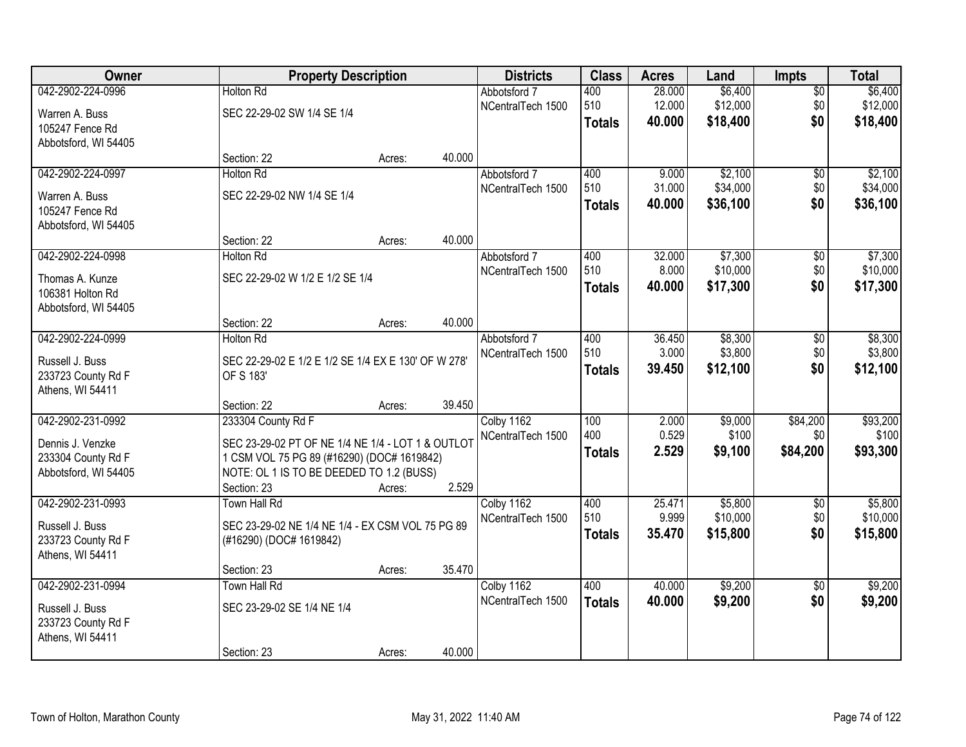| Owner                |                                                     | <b>Property Description</b> |        | <b>Districts</b>  | <b>Class</b>  | <b>Acres</b> | Land     | Impts           | <b>Total</b> |
|----------------------|-----------------------------------------------------|-----------------------------|--------|-------------------|---------------|--------------|----------|-----------------|--------------|
| 042-2902-224-0996    | <b>Holton Rd</b>                                    |                             |        | Abbotsford 7      | 400           | 28.000       | \$6,400  | $\overline{50}$ | \$6,400      |
| Warren A. Buss       | SEC 22-29-02 SW 1/4 SE 1/4                          |                             |        | NCentralTech 1500 | 510           | 12.000       | \$12,000 | \$0             | \$12,000     |
| 105247 Fence Rd      |                                                     |                             |        |                   | <b>Totals</b> | 40.000       | \$18,400 | \$0             | \$18,400     |
| Abbotsford, WI 54405 |                                                     |                             |        |                   |               |              |          |                 |              |
|                      | Section: 22                                         | Acres:                      | 40.000 |                   |               |              |          |                 |              |
| 042-2902-224-0997    | <b>Holton Rd</b>                                    |                             |        | Abbotsford 7      | 400           | 9.000        | \$2,100  | \$0             | \$2,100      |
| Warren A. Buss       | SEC 22-29-02 NW 1/4 SE 1/4                          |                             |        | NCentralTech 1500 | 510           | 31.000       | \$34,000 | \$0             | \$34,000     |
| 105247 Fence Rd      |                                                     |                             |        |                   | <b>Totals</b> | 40.000       | \$36,100 | \$0             | \$36,100     |
| Abbotsford, WI 54405 |                                                     |                             |        |                   |               |              |          |                 |              |
|                      | Section: 22                                         | Acres:                      | 40.000 |                   |               |              |          |                 |              |
| 042-2902-224-0998    | <b>Holton Rd</b>                                    |                             |        | Abbotsford 7      | 400           | 32.000       | \$7,300  | \$0             | \$7,300      |
| Thomas A. Kunze      | SEC 22-29-02 W 1/2 E 1/2 SE 1/4                     |                             |        | NCentralTech 1500 | 510           | 8.000        | \$10,000 | \$0             | \$10,000     |
| 106381 Holton Rd     |                                                     |                             |        |                   | <b>Totals</b> | 40.000       | \$17,300 | \$0             | \$17,300     |
| Abbotsford, WI 54405 |                                                     |                             |        |                   |               |              |          |                 |              |
|                      | Section: 22                                         | Acres:                      | 40.000 |                   |               |              |          |                 |              |
| 042-2902-224-0999    | <b>Holton Rd</b>                                    |                             |        | Abbotsford 7      | 400           | 36.450       | \$8,300  | \$0             | \$8,300      |
| Russell J. Buss      | SEC 22-29-02 E 1/2 E 1/2 SE 1/4 EX E 130' OF W 278' |                             |        | NCentralTech 1500 | 510           | 3.000        | \$3,800  | \$0             | \$3,800      |
| 233723 County Rd F   | OF S 183'                                           |                             |        |                   | <b>Totals</b> | 39.450       | \$12,100 | \$0             | \$12,100     |
| Athens, WI 54411     |                                                     |                             |        |                   |               |              |          |                 |              |
|                      | Section: 22                                         | Acres:                      | 39.450 |                   |               |              |          |                 |              |
| 042-2902-231-0992    | 233304 County Rd F                                  |                             |        | Colby 1162        | 100           | 2.000        | \$9,000  | \$84,200        | \$93,200     |
| Dennis J. Venzke     | SEC 23-29-02 PT OF NE 1/4 NE 1/4 - LOT 1 & OUTLOT   |                             |        | NCentralTech 1500 | 400           | 0.529        | \$100    | \$0             | \$100        |
| 233304 County Rd F   | 1 CSM VOL 75 PG 89 (#16290) (DOC# 1619842)          |                             |        |                   | <b>Totals</b> | 2.529        | \$9,100  | \$84,200        | \$93,300     |
| Abbotsford, WI 54405 | NOTE: OL 1 IS TO BE DEEDED TO 1.2 (BUSS)            |                             |        |                   |               |              |          |                 |              |
|                      | Section: 23                                         | Acres:                      | 2.529  |                   |               |              |          |                 |              |
| 042-2902-231-0993    | Town Hall Rd                                        |                             |        | Colby 1162        | 400           | 25.471       | \$5,800  | $\sqrt{6}$      | \$5,800      |
| Russell J. Buss      | SEC 23-29-02 NE 1/4 NE 1/4 - EX CSM VOL 75 PG 89    |                             |        | NCentralTech 1500 | 510           | 9.999        | \$10,000 | \$0             | \$10,000     |
| 233723 County Rd F   | (#16290) (DOC# 1619842)                             |                             |        |                   | <b>Totals</b> | 35.470       | \$15,800 | \$0             | \$15,800     |
| Athens, WI 54411     |                                                     |                             |        |                   |               |              |          |                 |              |
|                      | Section: 23                                         | Acres:                      | 35.470 |                   |               |              |          |                 |              |
| 042-2902-231-0994    | <b>Town Hall Rd</b>                                 |                             |        | Colby 1162        | 400           | 40.000       | \$9,200  | $\overline{50}$ | \$9,200      |
| Russell J. Buss      | SEC 23-29-02 SE 1/4 NE 1/4                          |                             |        | NCentralTech 1500 | <b>Totals</b> | 40.000       | \$9,200  | \$0             | \$9,200      |
| 233723 County Rd F   |                                                     |                             |        |                   |               |              |          |                 |              |
| Athens, WI 54411     |                                                     |                             |        |                   |               |              |          |                 |              |
|                      | Section: 23                                         | Acres:                      | 40.000 |                   |               |              |          |                 |              |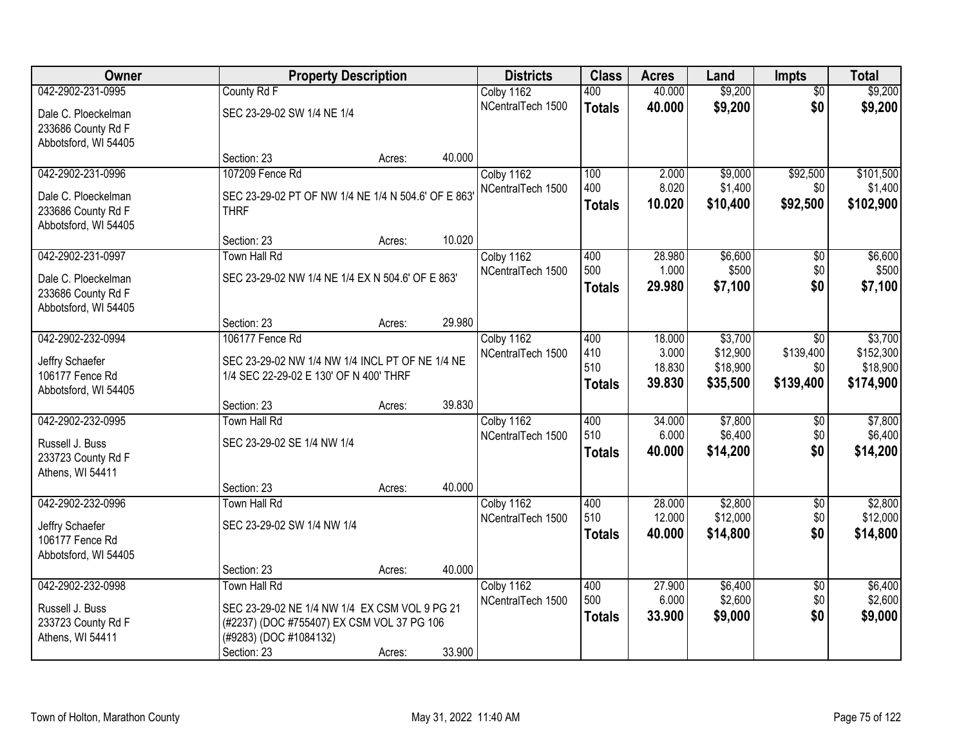| Owner                |                                                     | <b>Property Description</b> |        | <b>Districts</b>  | <b>Class</b>  | <b>Acres</b>     | Land                 | <b>Impts</b>           | <b>Total</b>          |
|----------------------|-----------------------------------------------------|-----------------------------|--------|-------------------|---------------|------------------|----------------------|------------------------|-----------------------|
| 042-2902-231-0995    | County Rd F                                         |                             |        | Colby 1162        | 400           | 40.000           | \$9,200              | $\overline{50}$        | \$9,200               |
| Dale C. Ploeckelman  | SEC 23-29-02 SW 1/4 NE 1/4                          |                             |        | NCentralTech 1500 | <b>Totals</b> | 40.000           | \$9,200              | \$0                    | \$9,200               |
| 233686 County Rd F   |                                                     |                             |        |                   |               |                  |                      |                        |                       |
| Abbotsford, WI 54405 |                                                     |                             |        |                   |               |                  |                      |                        |                       |
|                      | Section: 23                                         | Acres:                      | 40.000 |                   |               |                  |                      |                        |                       |
| 042-2902-231-0996    | 107209 Fence Rd                                     |                             |        | Colby 1162        | 100           | 2.000            | \$9,000              | \$92,500               | \$101,500             |
| Dale C. Ploeckelman  | SEC 23-29-02 PT OF NW 1/4 NE 1/4 N 504.6' OF E 863' |                             |        | NCentralTech 1500 | 400           | 8.020            | \$1,400              | \$0                    | \$1,400               |
| 233686 County Rd F   | <b>THRF</b>                                         |                             |        |                   | <b>Totals</b> | 10.020           | \$10,400             | \$92,500               | \$102,900             |
| Abbotsford, WI 54405 |                                                     |                             |        |                   |               |                  |                      |                        |                       |
|                      | Section: 23                                         | Acres:                      | 10.020 |                   |               |                  |                      |                        |                       |
| 042-2902-231-0997    | Town Hall Rd                                        |                             |        | Colby 1162        | 400           | 28.980           | \$6,600              | \$0                    | \$6,600               |
| Dale C. Ploeckelman  | SEC 23-29-02 NW 1/4 NE 1/4 EX N 504.6' OF E 863'    |                             |        | NCentralTech 1500 | 500           | 1.000            | \$500                | \$0                    | \$500                 |
| 233686 County Rd F   |                                                     |                             |        |                   | <b>Totals</b> | 29.980           | \$7,100              | \$0                    | \$7,100               |
| Abbotsford, WI 54405 |                                                     |                             |        |                   |               |                  |                      |                        |                       |
|                      | Section: 23                                         | Acres:                      | 29.980 |                   |               |                  |                      |                        |                       |
| 042-2902-232-0994    | 106177 Fence Rd                                     |                             |        | Colby 1162        | 400           | 18.000           | \$3,700              | $\sqrt{6}$             | \$3,700               |
| Jeffry Schaefer      | SEC 23-29-02 NW 1/4 NW 1/4 INCL PT OF NE 1/4 NE     |                             |        | NCentralTech 1500 | 410<br>510    | 3.000<br>18.830  | \$12,900<br>\$18,900 | \$139,400              | \$152,300             |
| 106177 Fence Rd      | 1/4 SEC 22-29-02 E 130' OF N 400' THRF              |                             |        |                   |               | 39.830           | \$35,500             | \$0<br>\$139,400       | \$18,900<br>\$174,900 |
| Abbotsford, WI 54405 |                                                     |                             |        |                   | <b>Totals</b> |                  |                      |                        |                       |
|                      | Section: 23                                         | Acres:                      | 39.830 |                   |               |                  |                      |                        |                       |
| 042-2902-232-0995    | Town Hall Rd                                        |                             |        | Colby 1162        | 400           | 34.000           | \$7,800              | \$0                    | \$7,800               |
| Russell J. Buss      | SEC 23-29-02 SE 1/4 NW 1/4                          |                             |        | NCentralTech 1500 | 510           | 6.000            | \$6,400              | \$0<br>\$0             | \$6,400               |
| 233723 County Rd F   |                                                     |                             |        |                   | <b>Totals</b> | 40.000           | \$14,200             |                        | \$14,200              |
| Athens, WI 54411     |                                                     |                             |        |                   |               |                  |                      |                        |                       |
|                      | Section: 23                                         | Acres:                      | 40.000 |                   |               |                  |                      |                        |                       |
| 042-2902-232-0996    | Town Hall Rd                                        |                             |        | Colby 1162        | 400<br>510    | 28.000<br>12.000 | \$2,800<br>\$12,000  | $\sqrt{6}$             | \$2,800<br>\$12,000   |
| Jeffry Schaefer      | SEC 23-29-02 SW 1/4 NW 1/4                          |                             |        | NCentralTech 1500 | <b>Totals</b> | 40.000           | \$14,800             | \$0<br>\$0             | \$14,800              |
| 106177 Fence Rd      |                                                     |                             |        |                   |               |                  |                      |                        |                       |
| Abbotsford, WI 54405 |                                                     |                             |        |                   |               |                  |                      |                        |                       |
|                      | Section: 23                                         | Acres:                      | 40.000 |                   |               |                  |                      |                        |                       |
| 042-2902-232-0998    | Town Hall Rd                                        |                             |        | Colby 1162        | 400<br>500    | 27.900<br>6.000  | \$6,400<br>\$2,600   | $\overline{60}$<br>\$0 | \$6,400<br>\$2,600    |
| Russell J. Buss      | SEC 23-29-02 NE 1/4 NW 1/4 EX CSM VOL 9 PG 21       |                             |        | NCentralTech 1500 |               | 33.900           | \$9,000              | \$0                    | \$9,000               |
| 233723 County Rd F   | (#2237) (DOC #755407) EX CSM VOL 37 PG 106          |                             |        |                   | <b>Totals</b> |                  |                      |                        |                       |
| Athens, WI 54411     | (#9283) (DOC #1084132)                              |                             |        |                   |               |                  |                      |                        |                       |
|                      | Section: 23                                         | Acres:                      | 33.900 |                   |               |                  |                      |                        |                       |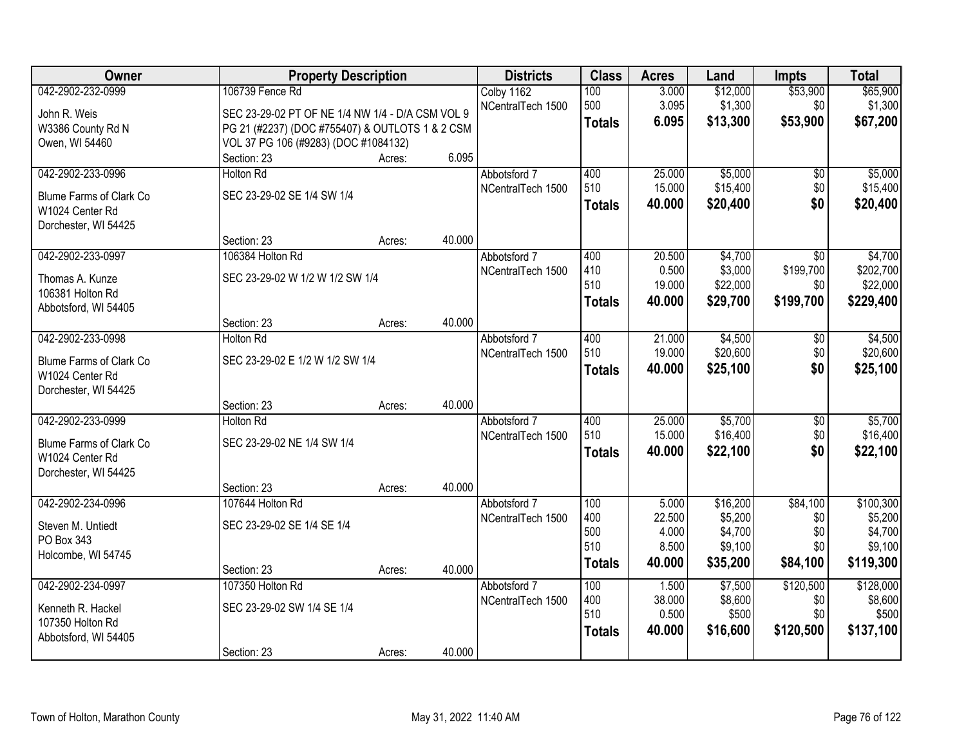| 042-2902-232-0999<br>106739 Fence Rd<br>\$12,000<br>\$53,900<br>Colby 1162<br>100<br>3.000<br>500<br>3.095<br>\$1,300<br>\$0<br>NCentralTech 1500<br>SEC 23-29-02 PT OF NE 1/4 NW 1/4 - D/A CSM VOL 9<br>John R. Weis<br>\$53,900<br>6.095<br>\$13,300<br>\$67,200<br><b>Totals</b><br>PG 21 (#2237) (DOC #755407) & OUTLOTS 1 & 2 CSM<br>W3386 County Rd N<br>VOL 37 PG 106 (#9283) (DOC #1084132)<br>Owen, WI 54460<br>6.095<br>Section: 23<br>Acres:<br>\$5,000<br>042-2902-233-0996<br><b>Holton Rd</b><br>400<br>25.000<br>Abbotsford 7<br>$\overline{50}$<br>510<br>15.000<br>\$15,400<br>\$0<br>NCentralTech 1500<br>SEC 23-29-02 SE 1/4 SW 1/4<br><b>Blume Farms of Clark Co</b><br>\$0<br>40.000<br>\$20,400<br><b>Totals</b><br>W1024 Center Rd<br>Dorchester, WI 54425<br>40.000<br>Section: 23<br>Acres:<br>042-2902-233-0997<br>106384 Holton Rd<br>400<br>20.500<br>\$4,700<br>\$0<br>Abbotsford 7<br>410<br>\$3,000<br>\$199,700<br>0.500<br>NCentralTech 1500<br>SEC 23-29-02 W 1/2 W 1/2 SW 1/4<br>Thomas A. Kunze<br>510<br>19.000<br>\$22,000<br>\$0<br>106381 Holton Rd<br>\$29,700<br>\$199,700<br>\$229,400<br>40.000<br><b>Totals</b> | Owner                | <b>Property Description</b> | <b>Districts</b> | <b>Class</b> | <b>Acres</b> | Land | <b>Impts</b> | <b>Total</b> |
|--------------------------------------------------------------------------------------------------------------------------------------------------------------------------------------------------------------------------------------------------------------------------------------------------------------------------------------------------------------------------------------------------------------------------------------------------------------------------------------------------------------------------------------------------------------------------------------------------------------------------------------------------------------------------------------------------------------------------------------------------------------------------------------------------------------------------------------------------------------------------------------------------------------------------------------------------------------------------------------------------------------------------------------------------------------------------------------------------------------------------------------------------------------|----------------------|-----------------------------|------------------|--------------|--------------|------|--------------|--------------|
|                                                                                                                                                                                                                                                                                                                                                                                                                                                                                                                                                                                                                                                                                                                                                                                                                                                                                                                                                                                                                                                                                                                                                              |                      |                             |                  |              |              |      |              | \$65,900     |
|                                                                                                                                                                                                                                                                                                                                                                                                                                                                                                                                                                                                                                                                                                                                                                                                                                                                                                                                                                                                                                                                                                                                                              |                      |                             |                  |              |              |      |              | \$1,300      |
|                                                                                                                                                                                                                                                                                                                                                                                                                                                                                                                                                                                                                                                                                                                                                                                                                                                                                                                                                                                                                                                                                                                                                              |                      |                             |                  |              |              |      |              |              |
|                                                                                                                                                                                                                                                                                                                                                                                                                                                                                                                                                                                                                                                                                                                                                                                                                                                                                                                                                                                                                                                                                                                                                              |                      |                             |                  |              |              |      |              |              |
|                                                                                                                                                                                                                                                                                                                                                                                                                                                                                                                                                                                                                                                                                                                                                                                                                                                                                                                                                                                                                                                                                                                                                              |                      |                             |                  |              |              |      |              |              |
|                                                                                                                                                                                                                                                                                                                                                                                                                                                                                                                                                                                                                                                                                                                                                                                                                                                                                                                                                                                                                                                                                                                                                              |                      |                             |                  |              |              |      |              | \$5,000      |
|                                                                                                                                                                                                                                                                                                                                                                                                                                                                                                                                                                                                                                                                                                                                                                                                                                                                                                                                                                                                                                                                                                                                                              |                      |                             |                  |              |              |      |              | \$15,400     |
|                                                                                                                                                                                                                                                                                                                                                                                                                                                                                                                                                                                                                                                                                                                                                                                                                                                                                                                                                                                                                                                                                                                                                              |                      |                             |                  |              |              |      |              | \$20,400     |
|                                                                                                                                                                                                                                                                                                                                                                                                                                                                                                                                                                                                                                                                                                                                                                                                                                                                                                                                                                                                                                                                                                                                                              |                      |                             |                  |              |              |      |              |              |
|                                                                                                                                                                                                                                                                                                                                                                                                                                                                                                                                                                                                                                                                                                                                                                                                                                                                                                                                                                                                                                                                                                                                                              |                      |                             |                  |              |              |      |              |              |
|                                                                                                                                                                                                                                                                                                                                                                                                                                                                                                                                                                                                                                                                                                                                                                                                                                                                                                                                                                                                                                                                                                                                                              |                      |                             |                  |              |              |      |              | \$4,700      |
|                                                                                                                                                                                                                                                                                                                                                                                                                                                                                                                                                                                                                                                                                                                                                                                                                                                                                                                                                                                                                                                                                                                                                              |                      |                             |                  |              |              |      |              | \$202,700    |
|                                                                                                                                                                                                                                                                                                                                                                                                                                                                                                                                                                                                                                                                                                                                                                                                                                                                                                                                                                                                                                                                                                                                                              |                      |                             |                  |              |              |      |              | \$22,000     |
|                                                                                                                                                                                                                                                                                                                                                                                                                                                                                                                                                                                                                                                                                                                                                                                                                                                                                                                                                                                                                                                                                                                                                              | Abbotsford, WI 54405 |                             |                  |              |              |      |              |              |
| 40.000<br>Section: 23<br>Acres:                                                                                                                                                                                                                                                                                                                                                                                                                                                                                                                                                                                                                                                                                                                                                                                                                                                                                                                                                                                                                                                                                                                              |                      |                             |                  |              |              |      |              |              |
| 042-2902-233-0998<br>21.000<br>\$4,500<br><b>Holton Rd</b><br>400<br>Abbotsford 7<br>\$0                                                                                                                                                                                                                                                                                                                                                                                                                                                                                                                                                                                                                                                                                                                                                                                                                                                                                                                                                                                                                                                                     |                      |                             |                  |              |              |      |              | \$4,500      |
| 510<br>19.000<br>\$20,600<br>\$0<br>NCentralTech 1500<br>SEC 23-29-02 E 1/2 W 1/2 SW 1/4<br>Blume Farms of Clark Co                                                                                                                                                                                                                                                                                                                                                                                                                                                                                                                                                                                                                                                                                                                                                                                                                                                                                                                                                                                                                                          |                      |                             |                  |              |              |      |              | \$20,600     |
| \$0<br>\$25,100<br>40.000<br><b>Totals</b><br>W1024 Center Rd                                                                                                                                                                                                                                                                                                                                                                                                                                                                                                                                                                                                                                                                                                                                                                                                                                                                                                                                                                                                                                                                                                |                      |                             |                  |              |              |      |              | \$25,100     |
| Dorchester, WI 54425                                                                                                                                                                                                                                                                                                                                                                                                                                                                                                                                                                                                                                                                                                                                                                                                                                                                                                                                                                                                                                                                                                                                         |                      |                             |                  |              |              |      |              |              |
| 40.000<br>Section: 23<br>Acres:                                                                                                                                                                                                                                                                                                                                                                                                                                                                                                                                                                                                                                                                                                                                                                                                                                                                                                                                                                                                                                                                                                                              |                      |                             |                  |              |              |      |              |              |
| \$5,700<br>042-2902-233-0999<br>25.000<br><b>Holton Rd</b><br>400<br>\$0<br>Abbotsford 7                                                                                                                                                                                                                                                                                                                                                                                                                                                                                                                                                                                                                                                                                                                                                                                                                                                                                                                                                                                                                                                                     |                      |                             |                  |              |              |      |              | \$5,700      |
| 510<br>15.000<br>\$16,400<br>\$0<br>NCentralTech 1500                                                                                                                                                                                                                                                                                                                                                                                                                                                                                                                                                                                                                                                                                                                                                                                                                                                                                                                                                                                                                                                                                                        |                      |                             |                  |              |              |      |              | \$16,400     |
| SEC 23-29-02 NE 1/4 SW 1/4<br>Blume Farms of Clark Co<br>\$0<br>40.000<br>\$22,100<br><b>Totals</b><br>W1024 Center Rd                                                                                                                                                                                                                                                                                                                                                                                                                                                                                                                                                                                                                                                                                                                                                                                                                                                                                                                                                                                                                                       |                      |                             |                  |              |              |      |              | \$22,100     |
| Dorchester, WI 54425                                                                                                                                                                                                                                                                                                                                                                                                                                                                                                                                                                                                                                                                                                                                                                                                                                                                                                                                                                                                                                                                                                                                         |                      |                             |                  |              |              |      |              |              |
| 40.000<br>Section: 23<br>Acres:                                                                                                                                                                                                                                                                                                                                                                                                                                                                                                                                                                                                                                                                                                                                                                                                                                                                                                                                                                                                                                                                                                                              |                      |                             |                  |              |              |      |              |              |
| \$16,200<br>\$84,100<br>042-2902-234-0996<br>100<br>5.000<br>107644 Holton Rd<br>Abbotsford 7                                                                                                                                                                                                                                                                                                                                                                                                                                                                                                                                                                                                                                                                                                                                                                                                                                                                                                                                                                                                                                                                |                      |                             |                  |              |              |      |              | \$100,300    |
| \$5,200<br>400<br>22.500<br>\$0<br>NCentralTech 1500                                                                                                                                                                                                                                                                                                                                                                                                                                                                                                                                                                                                                                                                                                                                                                                                                                                                                                                                                                                                                                                                                                         |                      |                             |                  |              |              |      |              | \$5,200      |
| SEC 23-29-02 SE 1/4 SE 1/4<br>Steven M. Untiedt<br>500<br>\$4,700<br>\$0<br>4.000                                                                                                                                                                                                                                                                                                                                                                                                                                                                                                                                                                                                                                                                                                                                                                                                                                                                                                                                                                                                                                                                            |                      |                             |                  |              |              |      |              | \$4,700      |
| PO Box 343<br>510<br>8.500<br>\$9,100<br>\$0<br>Holcombe, WI 54745                                                                                                                                                                                                                                                                                                                                                                                                                                                                                                                                                                                                                                                                                                                                                                                                                                                                                                                                                                                                                                                                                           |                      |                             |                  |              |              |      |              | \$9,100      |
| 40.000<br>\$35,200<br>\$84,100<br><b>Totals</b><br>40.000<br>Section: 23<br>Acres:                                                                                                                                                                                                                                                                                                                                                                                                                                                                                                                                                                                                                                                                                                                                                                                                                                                                                                                                                                                                                                                                           |                      |                             |                  |              |              |      |              | \$119,300    |
| 042-2902-234-0997<br>107350 Holton Rd<br>\$120,500<br>100<br>1.500<br>\$7,500<br>Abbotsford 7                                                                                                                                                                                                                                                                                                                                                                                                                                                                                                                                                                                                                                                                                                                                                                                                                                                                                                                                                                                                                                                                |                      |                             |                  |              |              |      |              | \$128,000    |
| 400<br>38.000<br>\$8,600<br>\$0<br>NCentralTech 1500                                                                                                                                                                                                                                                                                                                                                                                                                                                                                                                                                                                                                                                                                                                                                                                                                                                                                                                                                                                                                                                                                                         |                      |                             |                  |              |              |      |              | \$8,600      |
| SEC 23-29-02 SW 1/4 SE 1/4<br>Kenneth R. Hackel<br>510<br>0.500<br>\$500<br>\$0                                                                                                                                                                                                                                                                                                                                                                                                                                                                                                                                                                                                                                                                                                                                                                                                                                                                                                                                                                                                                                                                              |                      |                             |                  |              |              |      |              | \$500        |
| 107350 Holton Rd<br>\$120,500<br>40.000<br>\$16,600<br><b>Totals</b><br>Abbotsford, WI 54405                                                                                                                                                                                                                                                                                                                                                                                                                                                                                                                                                                                                                                                                                                                                                                                                                                                                                                                                                                                                                                                                 |                      |                             |                  |              |              |      |              | \$137,100    |
| 40.000<br>Section: 23<br>Acres:                                                                                                                                                                                                                                                                                                                                                                                                                                                                                                                                                                                                                                                                                                                                                                                                                                                                                                                                                                                                                                                                                                                              |                      |                             |                  |              |              |      |              |              |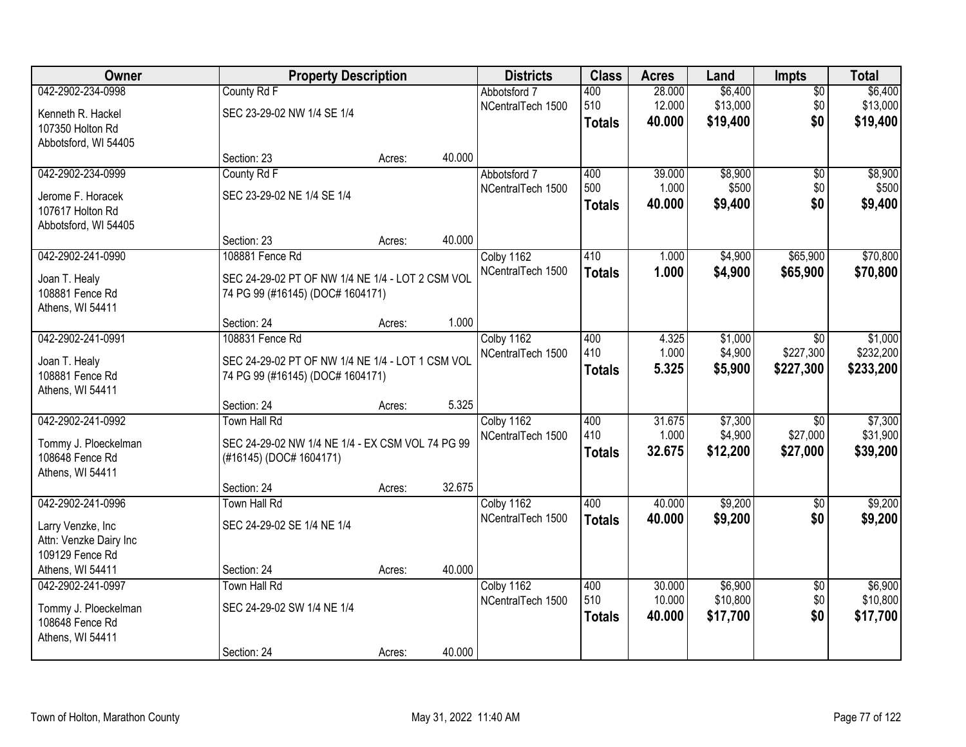| Owner                  |                                                  | <b>Property Description</b> |        | <b>Districts</b>  | <b>Class</b>  | <b>Acres</b>     | Land     | <b>Impts</b>    | <b>Total</b> |
|------------------------|--------------------------------------------------|-----------------------------|--------|-------------------|---------------|------------------|----------|-----------------|--------------|
| 042-2902-234-0998      | County Rd F                                      |                             |        | Abbotsford 7      | 400           | 28.000           | \$6,400  | $\overline{50}$ | \$6,400      |
| Kenneth R. Hackel      | SEC 23-29-02 NW 1/4 SE 1/4                       |                             |        | NCentralTech 1500 | 510           | 12.000           | \$13,000 | \$0             | \$13,000     |
| 107350 Holton Rd       |                                                  |                             |        |                   | <b>Totals</b> | 40.000           | \$19,400 | \$0             | \$19,400     |
| Abbotsford, WI 54405   |                                                  |                             |        |                   |               |                  |          |                 |              |
|                        | Section: 23                                      | Acres:                      | 40.000 |                   |               |                  |          |                 |              |
| 042-2902-234-0999      | County Rd F                                      |                             |        | Abbotsford 7      | 400           | 39.000           | \$8,900  | \$0             | \$8,900      |
| Jerome F. Horacek      | SEC 23-29-02 NE 1/4 SE 1/4                       |                             |        | NCentralTech 1500 | 500           | 1.000            | \$500    | \$0             | \$500        |
| 107617 Holton Rd       |                                                  |                             |        |                   | <b>Totals</b> | 40.000           | \$9,400  | \$0             | \$9,400      |
| Abbotsford, WI 54405   |                                                  |                             |        |                   |               |                  |          |                 |              |
|                        | Section: 23                                      | Acres:                      | 40.000 |                   |               |                  |          |                 |              |
| 042-2902-241-0990      | 108881 Fence Rd                                  |                             |        | Colby 1162        | 410           | 1.000            | \$4,900  | \$65,900        | \$70,800     |
| Joan T. Healy          | SEC 24-29-02 PT OF NW 1/4 NE 1/4 - LOT 2 CSM VOL |                             |        | NCentralTech 1500 | <b>Totals</b> | 1.000            | \$4,900  | \$65,900        | \$70,800     |
| 108881 Fence Rd        | 74 PG 99 (#16145) (DOC# 1604171)                 |                             |        |                   |               |                  |          |                 |              |
| Athens, WI 54411       |                                                  |                             |        |                   |               |                  |          |                 |              |
|                        | Section: 24                                      | Acres:                      | 1.000  |                   |               |                  |          |                 |              |
| 042-2902-241-0991      | 108831 Fence Rd                                  |                             |        | Colby 1162        | 400           | 4.325            | \$1,000  | \$0             | \$1,000      |
| Joan T. Healy          | SEC 24-29-02 PT OF NW 1/4 NE 1/4 - LOT 1 CSM VOL |                             |        | NCentralTech 1500 | 410           | 1.000            | \$4,900  | \$227,300       | \$232,200    |
| 108881 Fence Rd        | 74 PG 99 (#16145) (DOC# 1604171)                 |                             |        |                   | <b>Totals</b> | 5.325            | \$5,900  | \$227,300       | \$233,200    |
| Athens, WI 54411       |                                                  |                             |        |                   |               |                  |          |                 |              |
|                        | Section: 24                                      | Acres:                      | 5.325  |                   |               |                  |          |                 |              |
| 042-2902-241-0992      | <b>Town Hall Rd</b>                              |                             |        | Colby 1162        | 400           | 31.675           | \$7,300  | $\overline{30}$ | \$7,300      |
| Tommy J. Ploeckelman   | SEC 24-29-02 NW 1/4 NE 1/4 - EX CSM VOL 74 PG 99 |                             |        | NCentralTech 1500 | 410           | 1.000            | \$4,900  | \$27,000        | \$31,900     |
| 108648 Fence Rd        | (#16145) (DOC# 1604171)                          |                             |        |                   | <b>Totals</b> | 32.675           | \$12,200 | \$27,000        | \$39,200     |
| Athens, WI 54411       |                                                  |                             |        |                   |               |                  |          |                 |              |
|                        | Section: 24                                      | Acres:                      | 32.675 |                   |               |                  |          |                 |              |
| 042-2902-241-0996      | <b>Town Hall Rd</b>                              |                             |        | Colby 1162        | 400           | 40.000           | \$9,200  | $\overline{50}$ | \$9,200      |
| Larry Venzke, Inc      | SEC 24-29-02 SE 1/4 NE 1/4                       |                             |        | NCentralTech 1500 | <b>Totals</b> | 40.000           | \$9,200  | \$0             | \$9,200      |
| Attn: Venzke Dairy Inc |                                                  |                             |        |                   |               |                  |          |                 |              |
| 109129 Fence Rd        |                                                  |                             |        |                   |               |                  |          |                 |              |
| Athens, WI 54411       | Section: 24                                      | Acres:                      | 40.000 |                   |               |                  |          |                 |              |
| 042-2902-241-0997      | Town Hall Rd                                     |                             |        | Colby 1162        | 400<br>510    | 30.000<br>10.000 | \$6,900  | $\overline{50}$ | \$6,900      |
| Tommy J. Ploeckelman   | SEC 24-29-02 SW 1/4 NE 1/4                       |                             |        | NCentralTech 1500 |               |                  | \$10,800 | \$0             | \$10,800     |
| 108648 Fence Rd        |                                                  |                             |        |                   | <b>Totals</b> | 40.000           | \$17,700 | \$0             | \$17,700     |
| Athens, WI 54411       |                                                  |                             |        |                   |               |                  |          |                 |              |
|                        | Section: 24                                      | Acres:                      | 40.000 |                   |               |                  |          |                 |              |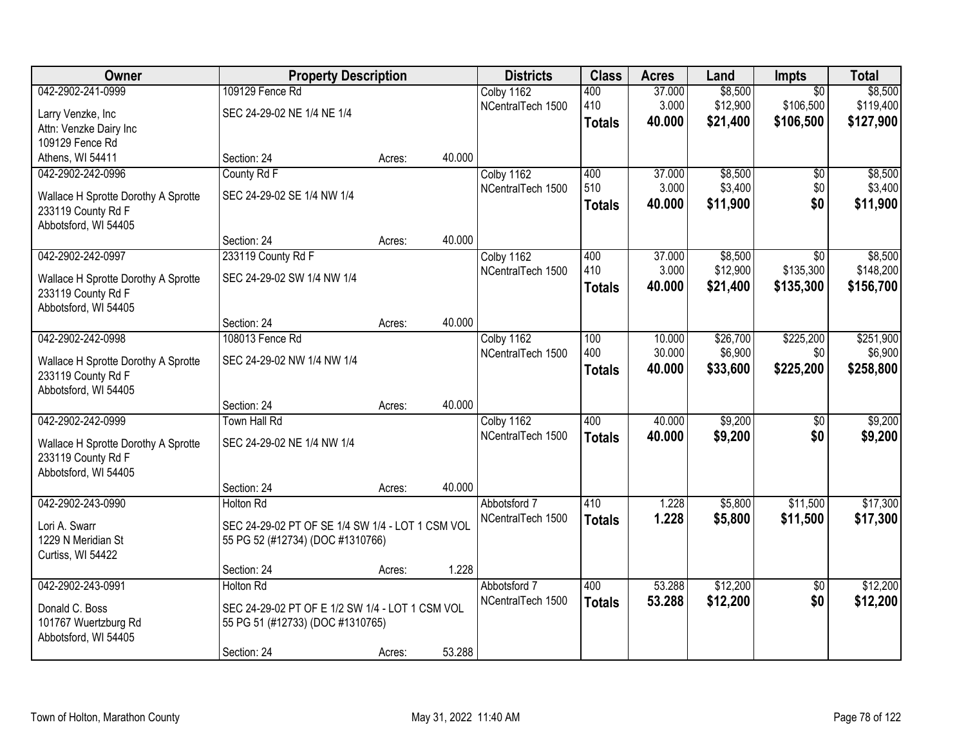| Owner                               | <b>Property Description</b>                      |        |        | <b>Districts</b>  | <b>Class</b>  | <b>Acres</b> | Land     | <b>Impts</b>    | <b>Total</b> |
|-------------------------------------|--------------------------------------------------|--------|--------|-------------------|---------------|--------------|----------|-----------------|--------------|
| 042-2902-241-0999                   | 109129 Fence Rd                                  |        |        | Colby 1162        | 400           | 37.000       | \$8,500  | $\overline{50}$ | \$8,500      |
| Larry Venzke, Inc                   | SEC 24-29-02 NE 1/4 NE 1/4                       |        |        | NCentralTech 1500 | 410           | 3.000        | \$12,900 | \$106,500       | \$119,400    |
| Attn: Venzke Dairy Inc              |                                                  |        |        |                   | <b>Totals</b> | 40.000       | \$21,400 | \$106,500       | \$127,900    |
| 109129 Fence Rd                     |                                                  |        |        |                   |               |              |          |                 |              |
| Athens, WI 54411                    | Section: 24                                      | Acres: | 40.000 |                   |               |              |          |                 |              |
| 042-2902-242-0996                   | County Rd F                                      |        |        | Colby 1162        | 400           | 37.000       | \$8,500  | \$0             | \$8,500      |
| Wallace H Sprotte Dorothy A Sprotte | SEC 24-29-02 SE 1/4 NW 1/4                       |        |        | NCentralTech 1500 | 510           | 3.000        | \$3,400  | \$0             | \$3,400      |
| 233119 County Rd F                  |                                                  |        |        |                   | <b>Totals</b> | 40.000       | \$11,900 | \$0             | \$11,900     |
| Abbotsford, WI 54405                |                                                  |        |        |                   |               |              |          |                 |              |
|                                     | Section: 24                                      | Acres: | 40.000 |                   |               |              |          |                 |              |
| 042-2902-242-0997                   | 233119 County Rd F                               |        |        | Colby 1162        | 400           | 37.000       | \$8,500  | \$0             | \$8,500      |
| Wallace H Sprotte Dorothy A Sprotte | SEC 24-29-02 SW 1/4 NW 1/4                       |        |        | NCentralTech 1500 | 410           | 3.000        | \$12,900 | \$135,300       | \$148,200    |
| 233119 County Rd F                  |                                                  |        |        |                   | <b>Totals</b> | 40.000       | \$21,400 | \$135,300       | \$156,700    |
| Abbotsford, WI 54405                |                                                  |        |        |                   |               |              |          |                 |              |
|                                     | Section: 24                                      | Acres: | 40.000 |                   |               |              |          |                 |              |
| 042-2902-242-0998                   | 108013 Fence Rd                                  |        |        | Colby 1162        | 100           | 10.000       | \$26,700 | \$225,200       | \$251,900    |
| Wallace H Sprotte Dorothy A Sprotte | SEC 24-29-02 NW 1/4 NW 1/4                       |        |        | NCentralTech 1500 | 400           | 30.000       | \$6,900  | \$0             | \$6,900      |
| 233119 County Rd F                  |                                                  |        |        |                   | <b>Totals</b> | 40.000       | \$33,600 | \$225,200       | \$258,800    |
| Abbotsford, WI 54405                |                                                  |        |        |                   |               |              |          |                 |              |
|                                     | Section: 24                                      | Acres: | 40.000 |                   |               |              |          |                 |              |
| 042-2902-242-0999                   | <b>Town Hall Rd</b>                              |        |        | Colby 1162        | 400           | 40.000       | \$9,200  | $\overline{50}$ | \$9,200      |
| Wallace H Sprotte Dorothy A Sprotte | SEC 24-29-02 NE 1/4 NW 1/4                       |        |        | NCentralTech 1500 | <b>Totals</b> | 40.000       | \$9,200  | \$0             | \$9,200      |
| 233119 County Rd F                  |                                                  |        |        |                   |               |              |          |                 |              |
| Abbotsford, WI 54405                |                                                  |        |        |                   |               |              |          |                 |              |
|                                     | Section: 24                                      | Acres: | 40.000 |                   |               |              |          |                 |              |
| 042-2902-243-0990                   | <b>Holton Rd</b>                                 |        |        | Abbotsford 7      | 410           | 1.228        | \$5,800  | \$11,500        | \$17,300     |
| Lori A. Swarr                       | SEC 24-29-02 PT OF SE 1/4 SW 1/4 - LOT 1 CSM VOL |        |        | NCentralTech 1500 | <b>Totals</b> | 1.228        | \$5,800  | \$11,500        | \$17,300     |
| 1229 N Meridian St                  | 55 PG 52 (#12734) (DOC #1310766)                 |        |        |                   |               |              |          |                 |              |
| Curtiss, WI 54422                   |                                                  |        |        |                   |               |              |          |                 |              |
|                                     | Section: 24                                      | Acres: | 1.228  |                   |               |              |          |                 |              |
| 042-2902-243-0991                   | Holton Rd                                        |        |        | Abbotsford 7      | 400           | 53.288       | \$12,200 | $\overline{50}$ | \$12,200     |
| Donald C. Boss                      | SEC 24-29-02 PT OF E 1/2 SW 1/4 - LOT 1 CSM VOL  |        |        | NCentralTech 1500 | <b>Totals</b> | 53.288       | \$12,200 | \$0             | \$12,200     |
| 101767 Wuertzburg Rd                | 55 PG 51 (#12733) (DOC #1310765)                 |        |        |                   |               |              |          |                 |              |
| Abbotsford, WI 54405                |                                                  |        |        |                   |               |              |          |                 |              |
|                                     | Section: 24                                      | Acres: | 53.288 |                   |               |              |          |                 |              |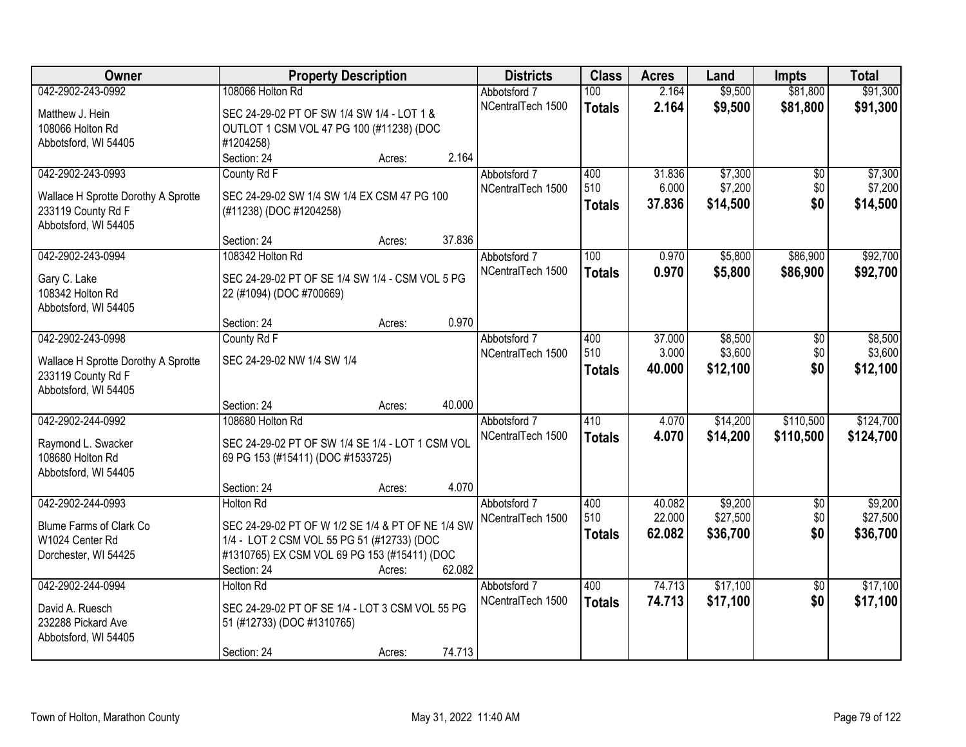| Owner                               | <b>Property Description</b>                       | <b>Districts</b>  | <b>Class</b>  | <b>Acres</b> | Land     | <b>Impts</b>    | <b>Total</b> |
|-------------------------------------|---------------------------------------------------|-------------------|---------------|--------------|----------|-----------------|--------------|
| 042-2902-243-0992                   | 108066 Holton Rd                                  | Abbotsford 7      | 100           | 2.164        | \$9,500  | \$81,800        | \$91,300     |
| Matthew J. Hein                     | SEC 24-29-02 PT OF SW 1/4 SW 1/4 - LOT 1 &        | NCentralTech 1500 | <b>Totals</b> | 2.164        | \$9,500  | \$81,800        | \$91,300     |
| 108066 Holton Rd                    | OUTLOT 1 CSM VOL 47 PG 100 (#11238) (DOC          |                   |               |              |          |                 |              |
| Abbotsford, WI 54405                | #1204258)                                         |                   |               |              |          |                 |              |
|                                     | 2.164<br>Section: 24<br>Acres:                    |                   |               |              |          |                 |              |
| 042-2902-243-0993                   | County Rd F                                       | Abbotsford 7      | 400           | 31.836       | \$7,300  | $\overline{50}$ | \$7,300      |
| Wallace H Sprotte Dorothy A Sprotte | SEC 24-29-02 SW 1/4 SW 1/4 EX CSM 47 PG 100       | NCentralTech 1500 | 510           | 6.000        | \$7,200  | \$0             | \$7,200      |
| 233119 County Rd F                  | (#11238) (DOC #1204258)                           |                   | Totals        | 37.836       | \$14,500 | \$0             | \$14,500     |
| Abbotsford, WI 54405                |                                                   |                   |               |              |          |                 |              |
|                                     | 37.836<br>Section: 24<br>Acres:                   |                   |               |              |          |                 |              |
| 042-2902-243-0994                   | 108342 Holton Rd                                  | Abbotsford 7      | 100           | 0.970        | \$5,800  | \$86,900        | \$92,700     |
| Gary C. Lake                        | SEC 24-29-02 PT OF SE 1/4 SW 1/4 - CSM VOL 5 PG   | NCentralTech 1500 | <b>Totals</b> | 0.970        | \$5,800  | \$86,900        | \$92,700     |
| 108342 Holton Rd                    | 22 (#1094) (DOC #700669)                          |                   |               |              |          |                 |              |
| Abbotsford, WI 54405                |                                                   |                   |               |              |          |                 |              |
|                                     | 0.970<br>Section: 24<br>Acres:                    |                   |               |              |          |                 |              |
| 042-2902-243-0998                   | County Rd F                                       | Abbotsford 7      | 400           | 37.000       | \$8,500  | \$0             | \$8,500      |
| Wallace H Sprotte Dorothy A Sprotte | SEC 24-29-02 NW 1/4 SW 1/4                        | NCentralTech 1500 | 510           | 3.000        | \$3,600  | \$0             | \$3,600      |
| 233119 County Rd F                  |                                                   |                   | <b>Totals</b> | 40.000       | \$12,100 | \$0             | \$12,100     |
| Abbotsford, WI 54405                |                                                   |                   |               |              |          |                 |              |
|                                     | 40.000<br>Section: 24<br>Acres:                   |                   |               |              |          |                 |              |
| 042-2902-244-0992                   | 108680 Holton Rd                                  | Abbotsford 7      | 410           | 4.070        | \$14,200 | \$110,500       | \$124,700    |
| Raymond L. Swacker                  | SEC 24-29-02 PT OF SW 1/4 SE 1/4 - LOT 1 CSM VOL  | NCentralTech 1500 | <b>Totals</b> | 4.070        | \$14,200 | \$110,500       | \$124,700    |
| 108680 Holton Rd                    | 69 PG 153 (#15411) (DOC #1533725)                 |                   |               |              |          |                 |              |
| Abbotsford, WI 54405                |                                                   |                   |               |              |          |                 |              |
|                                     | 4.070<br>Section: 24<br>Acres:                    |                   |               |              |          |                 |              |
| 042-2902-244-0993                   | <b>Holton Rd</b>                                  | Abbotsford 7      | 400           | 40.082       | \$9,200  | $\sqrt{6}$      | \$9,200      |
| Blume Farms of Clark Co             | SEC 24-29-02 PT OF W 1/2 SE 1/4 & PT OF NE 1/4 SW | NCentralTech 1500 | 510           | 22.000       | \$27,500 | \$0             | \$27,500     |
| W1024 Center Rd                     | 1/4 - LOT 2 CSM VOL 55 PG 51 (#12733) (DOC        |                   | <b>Totals</b> | 62.082       | \$36,700 | \$0             | \$36,700     |
| Dorchester, WI 54425                | #1310765) EX CSM VOL 69 PG 153 (#15411) (DOC      |                   |               |              |          |                 |              |
|                                     | 62.082<br>Section: 24<br>Acres:                   |                   |               |              |          |                 |              |
| 042-2902-244-0994                   | <b>Holton Rd</b>                                  | Abbotsford 7      | 400           | 74.713       | \$17,100 | $\overline{50}$ | \$17,100     |
| David A. Ruesch                     | SEC 24-29-02 PT OF SE 1/4 - LOT 3 CSM VOL 55 PG   | NCentralTech 1500 | <b>Totals</b> | 74.713       | \$17,100 | \$0             | \$17,100     |
| 232288 Pickard Ave                  | 51 (#12733) (DOC #1310765)                        |                   |               |              |          |                 |              |
| Abbotsford, WI 54405                |                                                   |                   |               |              |          |                 |              |
|                                     | 74.713<br>Section: 24<br>Acres:                   |                   |               |              |          |                 |              |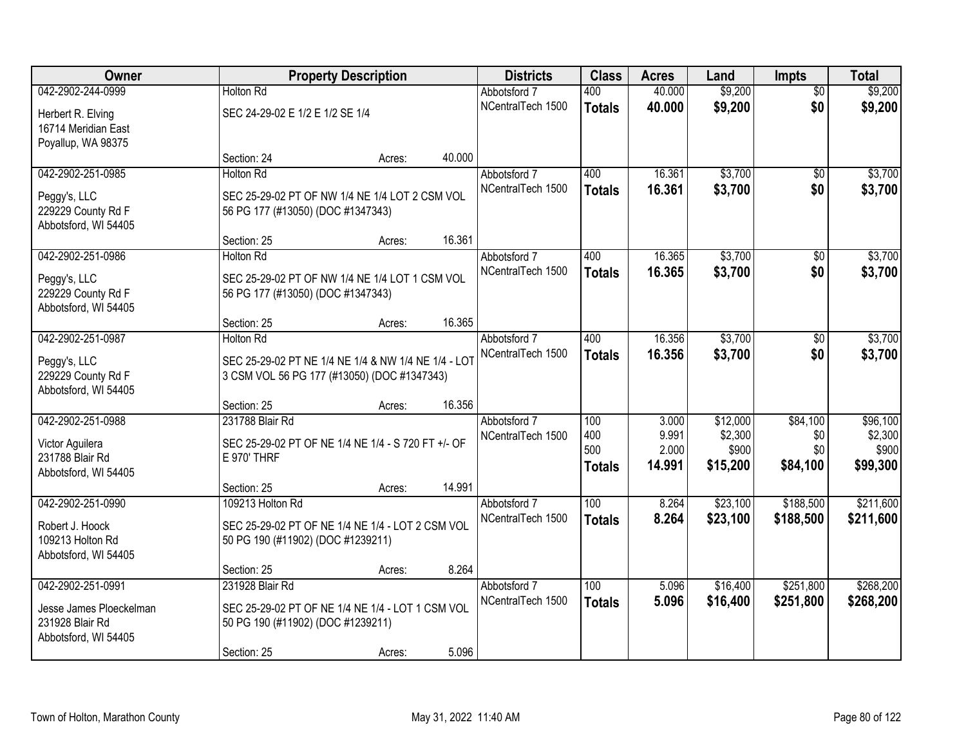| Owner                                      |                                                     | <b>Property Description</b> |        | <b>Districts</b>                  | <b>Class</b>  | <b>Acres</b>     | Land               | <b>Impts</b>           | <b>Total</b>       |
|--------------------------------------------|-----------------------------------------------------|-----------------------------|--------|-----------------------------------|---------------|------------------|--------------------|------------------------|--------------------|
| 042-2902-244-0999                          | <b>Holton Rd</b>                                    |                             |        | Abbotsford 7<br>NCentralTech 1500 | 400           | 40.000<br>40.000 | \$9,200<br>\$9,200 | $\overline{50}$<br>\$0 | \$9,200<br>\$9,200 |
| Herbert R. Elving                          | SEC 24-29-02 E 1/2 E 1/2 SE 1/4                     |                             |        |                                   | <b>Totals</b> |                  |                    |                        |                    |
| 16714 Meridian East                        |                                                     |                             |        |                                   |               |                  |                    |                        |                    |
| Poyallup, WA 98375                         |                                                     |                             | 40.000 |                                   |               |                  |                    |                        |                    |
| 042-2902-251-0985                          | Section: 24<br><b>Holton Rd</b>                     | Acres:                      |        | Abbotsford 7                      | 400           | 16.361           | \$3,700            | $\overline{50}$        | \$3,700            |
|                                            |                                                     |                             |        | NCentralTech 1500                 |               | 16.361           | \$3,700            | \$0                    | \$3,700            |
| Peggy's, LLC                               | SEC 25-29-02 PT OF NW 1/4 NE 1/4 LOT 2 CSM VOL      |                             |        |                                   | <b>Totals</b> |                  |                    |                        |                    |
| 229229 County Rd F                         | 56 PG 177 (#13050) (DOC #1347343)                   |                             |        |                                   |               |                  |                    |                        |                    |
| Abbotsford, WI 54405                       |                                                     |                             |        |                                   |               |                  |                    |                        |                    |
|                                            | Section: 25                                         | Acres:                      | 16.361 |                                   |               |                  |                    |                        |                    |
| 042-2902-251-0986                          | <b>Holton Rd</b>                                    |                             |        | Abbotsford 7                      | 400           | 16.365           | \$3,700            | \$0                    | \$3,700            |
| Peggy's, LLC                               | SEC 25-29-02 PT OF NW 1/4 NE 1/4 LOT 1 CSM VOL      |                             |        | NCentralTech 1500                 | <b>Totals</b> | 16.365           | \$3,700            | \$0                    | \$3,700            |
| 229229 County Rd F                         | 56 PG 177 (#13050) (DOC #1347343)                   |                             |        |                                   |               |                  |                    |                        |                    |
| Abbotsford, WI 54405                       |                                                     |                             |        |                                   |               |                  |                    |                        |                    |
|                                            | Section: 25                                         | Acres:                      | 16.365 |                                   |               |                  |                    |                        |                    |
| 042-2902-251-0987                          | <b>Holton Rd</b>                                    |                             |        | Abbotsford 7                      | 400           | 16.356           | \$3,700            | \$0                    | \$3,700            |
| Peggy's, LLC                               | SEC 25-29-02 PT NE 1/4 NE 1/4 & NW 1/4 NE 1/4 - LOT |                             |        | NCentralTech 1500                 | <b>Totals</b> | 16.356           | \$3,700            | \$0                    | \$3,700            |
| 229229 County Rd F                         | 3 CSM VOL 56 PG 177 (#13050) (DOC #1347343)         |                             |        |                                   |               |                  |                    |                        |                    |
| Abbotsford, WI 54405                       |                                                     |                             |        |                                   |               |                  |                    |                        |                    |
|                                            | Section: 25                                         | Acres:                      | 16.356 |                                   |               |                  |                    |                        |                    |
| 042-2902-251-0988                          | 231788 Blair Rd                                     |                             |        | Abbotsford 7                      | 100           | 3.000            | \$12,000           | \$84,100               | \$96,100           |
| Victor Aguilera                            | SEC 25-29-02 PT OF NE 1/4 NE 1/4 - S 720 FT +/- OF  |                             |        | NCentralTech 1500                 | 400           | 9.991            | \$2,300            | \$0                    | \$2,300            |
| 231788 Blair Rd                            | E 970' THRF                                         |                             |        |                                   | 500           | 2.000            | \$900              | \$0                    | \$900              |
| Abbotsford, WI 54405                       |                                                     |                             |        |                                   | <b>Totals</b> | 14.991           | \$15,200           | \$84,100               | \$99,300           |
|                                            | Section: 25                                         | Acres:                      | 14.991 |                                   |               |                  |                    |                        |                    |
| 042-2902-251-0990                          | 109213 Holton Rd                                    |                             |        | Abbotsford 7                      | 100           | 8.264            | \$23,100           | \$188,500              | \$211,600          |
| Robert J. Hoock                            | SEC 25-29-02 PT OF NE 1/4 NE 1/4 - LOT 2 CSM VOL    |                             |        | NCentralTech 1500                 | <b>Totals</b> | 8.264            | \$23,100           | \$188,500              | \$211,600          |
| 109213 Holton Rd                           | 50 PG 190 (#11902) (DOC #1239211)                   |                             |        |                                   |               |                  |                    |                        |                    |
| Abbotsford, WI 54405                       |                                                     |                             |        |                                   |               |                  |                    |                        |                    |
|                                            | Section: 25                                         | Acres:                      | 8.264  |                                   |               |                  |                    |                        |                    |
| 042-2902-251-0991                          | 231928 Blair Rd                                     |                             |        | Abbotsford 7                      | 100           | 5.096            | \$16,400           | \$251,800              | \$268,200          |
|                                            |                                                     |                             |        | NCentralTech 1500                 | <b>Totals</b> | 5.096            | \$16,400           | \$251,800              | \$268,200          |
| Jesse James Ploeckelman<br>231928 Blair Rd | SEC 25-29-02 PT OF NE 1/4 NE 1/4 - LOT 1 CSM VOL    |                             |        |                                   |               |                  |                    |                        |                    |
| Abbotsford, WI 54405                       | 50 PG 190 (#11902) (DOC #1239211)                   |                             |        |                                   |               |                  |                    |                        |                    |
|                                            | Section: 25                                         | Acres:                      | 5.096  |                                   |               |                  |                    |                        |                    |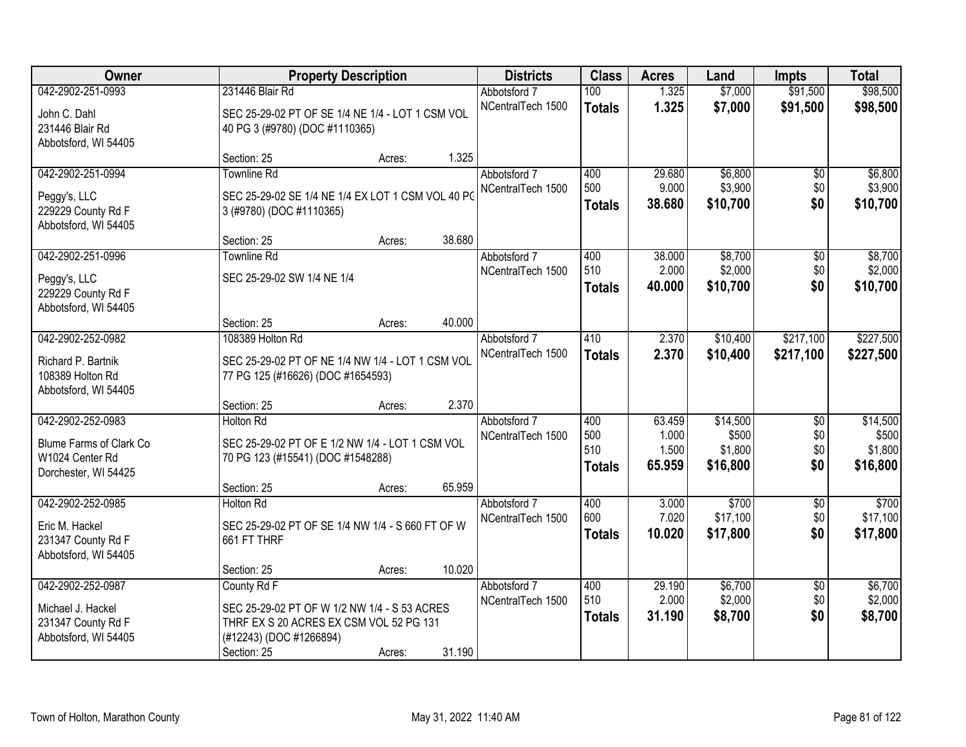| Owner                   |                                                   | <b>Property Description</b> |        | <b>Districts</b>  | <b>Class</b>  | <b>Acres</b> | Land     | <b>Impts</b>    | <b>Total</b> |
|-------------------------|---------------------------------------------------|-----------------------------|--------|-------------------|---------------|--------------|----------|-----------------|--------------|
| 042-2902-251-0993       | 231446 Blair Rd                                   |                             |        | Abbotsford 7      | 100           | 1.325        | \$7,000  | \$91,500        | \$98,500     |
| John C. Dahl            | SEC 25-29-02 PT OF SE 1/4 NE 1/4 - LOT 1 CSM VOL  |                             |        | NCentralTech 1500 | <b>Totals</b> | 1.325        | \$7,000  | \$91,500        | \$98,500     |
| 231446 Blair Rd         | 40 PG 3 (#9780) (DOC #1110365)                    |                             |        |                   |               |              |          |                 |              |
| Abbotsford, WI 54405    |                                                   |                             |        |                   |               |              |          |                 |              |
|                         | Section: 25                                       | Acres:                      | 1.325  |                   |               |              |          |                 |              |
| 042-2902-251-0994       | <b>Townline Rd</b>                                |                             |        | Abbotsford 7      | 400           | 29.680       | \$6,800  | \$0             | \$6,800      |
| Peggy's, LLC            | SEC 25-29-02 SE 1/4 NE 1/4 EX LOT 1 CSM VOL 40 PO |                             |        | NCentralTech 1500 | 500           | 9.000        | \$3,900  | \$0             | \$3,900      |
| 229229 County Rd F      | 3 (#9780) (DOC #1110365)                          |                             |        |                   | <b>Totals</b> | 38.680       | \$10,700 | \$0             | \$10,700     |
| Abbotsford, WI 54405    |                                                   |                             |        |                   |               |              |          |                 |              |
|                         | Section: 25                                       | Acres:                      | 38.680 |                   |               |              |          |                 |              |
| 042-2902-251-0996       | <b>Townline Rd</b>                                |                             |        | Abbotsford 7      | 400           | 38.000       | \$8,700  | \$0             | \$8,700      |
| Peggy's, LLC            | SEC 25-29-02 SW 1/4 NE 1/4                        |                             |        | NCentralTech 1500 | 510           | 2.000        | \$2,000  | \$0             | \$2,000      |
| 229229 County Rd F      |                                                   |                             |        |                   | <b>Totals</b> | 40.000       | \$10,700 | \$0             | \$10,700     |
| Abbotsford, WI 54405    |                                                   |                             |        |                   |               |              |          |                 |              |
|                         | Section: 25                                       | Acres:                      | 40.000 |                   |               |              |          |                 |              |
| 042-2902-252-0982       | 108389 Holton Rd                                  |                             |        | Abbotsford 7      | 410           | 2.370        | \$10,400 | \$217,100       | \$227,500    |
| Richard P. Bartnik      | SEC 25-29-02 PT OF NE 1/4 NW 1/4 - LOT 1 CSM VOL  |                             |        | NCentralTech 1500 | <b>Totals</b> | 2.370        | \$10,400 | \$217,100       | \$227,500    |
| 108389 Holton Rd        | 77 PG 125 (#16626) (DOC #1654593)                 |                             |        |                   |               |              |          |                 |              |
| Abbotsford, WI 54405    |                                                   |                             |        |                   |               |              |          |                 |              |
|                         | Section: 25                                       | Acres:                      | 2.370  |                   |               |              |          |                 |              |
| 042-2902-252-0983       | <b>Holton Rd</b>                                  |                             |        | Abbotsford 7      | 400           | 63.459       | \$14,500 | $\overline{50}$ | \$14,500     |
| Blume Farms of Clark Co | SEC 25-29-02 PT OF E 1/2 NW 1/4 - LOT 1 CSM VOL   |                             |        | NCentralTech 1500 | 500           | 1.000        | \$500    | \$0             | \$500        |
| W1024 Center Rd         | 70 PG 123 (#15541) (DOC #1548288)                 |                             |        |                   | 510           | 1.500        | \$1,800  | \$0             | \$1,800      |
| Dorchester, WI 54425    |                                                   |                             |        |                   | <b>Totals</b> | 65.959       | \$16,800 | \$0             | \$16,800     |
|                         | Section: 25                                       | Acres:                      | 65.959 |                   |               |              |          |                 |              |
| 042-2902-252-0985       | <b>Holton Rd</b>                                  |                             |        | Abbotsford 7      | 400           | 3.000        | \$700    | $\overline{50}$ | \$700        |
| Eric M. Hackel          | SEC 25-29-02 PT OF SE 1/4 NW 1/4 - S 660 FT OF W  |                             |        | NCentralTech 1500 | 600           | 7.020        | \$17,100 | \$0             | \$17,100     |
| 231347 County Rd F      | 661 FT THRF                                       |                             |        |                   | <b>Totals</b> | 10.020       | \$17,800 | \$0             | \$17,800     |
| Abbotsford, WI 54405    |                                                   |                             |        |                   |               |              |          |                 |              |
|                         | Section: 25                                       | Acres:                      | 10.020 |                   |               |              |          |                 |              |
| 042-2902-252-0987       | County Rd F                                       |                             |        | Abbotsford 7      | 400           | 29.190       | \$6,700  | $\overline{30}$ | \$6,700      |
| Michael J. Hackel       | SEC 25-29-02 PT OF W 1/2 NW 1/4 - S 53 ACRES      |                             |        | NCentralTech 1500 | 510           | 2.000        | \$2,000  | \$0             | \$2,000      |
| 231347 County Rd F      | THRF EX S 20 ACRES EX CSM VOL 52 PG 131           |                             |        |                   | <b>Totals</b> | 31.190       | \$8,700  | \$0             | \$8,700      |
| Abbotsford, WI 54405    | (#12243) (DOC #1266894)                           |                             |        |                   |               |              |          |                 |              |
|                         | Section: 25                                       | Acres:                      | 31.190 |                   |               |              |          |                 |              |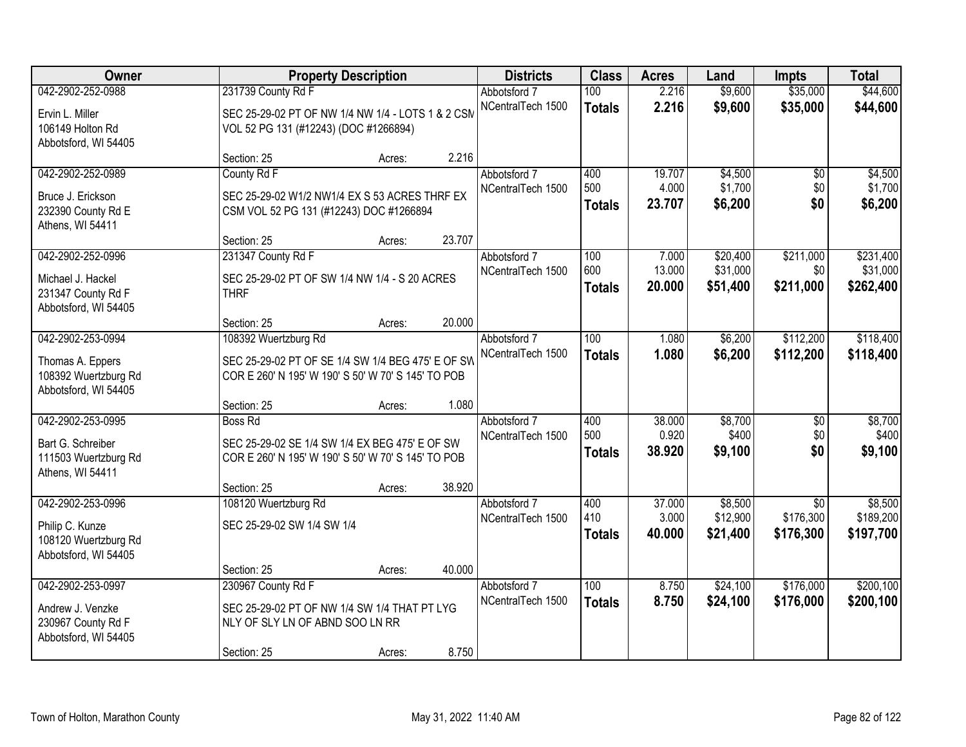| Owner                                                                                 | <b>Property Description</b>                                                                                                                     |        | <b>Districts</b>                  | <b>Class</b>                | <b>Acres</b>              | Land                             | <b>Impts</b>                              | <b>Total</b>                       |
|---------------------------------------------------------------------------------------|-------------------------------------------------------------------------------------------------------------------------------------------------|--------|-----------------------------------|-----------------------------|---------------------------|----------------------------------|-------------------------------------------|------------------------------------|
| 042-2902-252-0988                                                                     | 231739 County Rd F                                                                                                                              |        | Abbotsford 7                      | 100                         | 2.216                     | \$9,600                          | \$35,000                                  | \$44,600                           |
| Ervin L. Miller<br>106149 Holton Rd<br>Abbotsford, WI 54405                           | SEC 25-29-02 PT OF NW 1/4 NW 1/4 - LOTS 1 & 2 CSM<br>VOL 52 PG 131 (#12243) (DOC #1266894)                                                      |        | NCentralTech 1500                 | <b>Totals</b>               | 2.216                     | \$9,600                          | \$35,000                                  | \$44,600                           |
|                                                                                       | Section: 25<br>Acres:                                                                                                                           | 2.216  |                                   |                             |                           |                                  |                                           |                                    |
| 042-2902-252-0989<br>Bruce J. Erickson<br>232390 County Rd E<br>Athens, WI 54411      | County Rd F<br>SEC 25-29-02 W1/2 NW1/4 EX S 53 ACRES THRF EX<br>CSM VOL 52 PG 131 (#12243) DOC #1266894                                         |        | Abbotsford 7<br>NCentralTech 1500 | 400<br>500<br><b>Totals</b> | 19.707<br>4.000<br>23.707 | \$4,500<br>\$1,700<br>\$6,200    | $\overline{50}$<br>\$0<br>\$0             | \$4,500<br>\$1,700<br>\$6,200      |
|                                                                                       | Section: 25<br>Acres:                                                                                                                           | 23.707 |                                   |                             |                           |                                  |                                           |                                    |
| 042-2902-252-0996<br>Michael J. Hackel<br>231347 County Rd F<br>Abbotsford, WI 54405  | 231347 County Rd F<br>SEC 25-29-02 PT OF SW 1/4 NW 1/4 - S 20 ACRES<br><b>THRF</b>                                                              |        | Abbotsford 7<br>NCentralTech 1500 | 100<br>600<br><b>Totals</b> | 7.000<br>13.000<br>20.000 | \$20,400<br>\$31,000<br>\$51,400 | \$211,000<br>\$0<br>\$211,000             | \$231,400<br>\$31,000<br>\$262,400 |
|                                                                                       | Section: 25<br>Acres:                                                                                                                           | 20.000 |                                   |                             |                           |                                  |                                           |                                    |
| 042-2902-253-0994<br>Thomas A. Eppers<br>108392 Wuertzburg Rd<br>Abbotsford, WI 54405 | 108392 Wuertzburg Rd<br>SEC 25-29-02 PT OF SE 1/4 SW 1/4 BEG 475' E OF SW<br>COR E 260' N 195' W 190' S 50' W 70' S 145' TO POB                 |        | Abbotsford 7<br>NCentralTech 1500 | 100<br><b>Totals</b>        | 1.080<br>1.080            | \$6,200<br>\$6,200               | \$112,200<br>\$112,200                    | \$118,400<br>\$118,400             |
|                                                                                       | Section: 25<br>Acres:                                                                                                                           | 1.080  |                                   |                             |                           |                                  |                                           |                                    |
| 042-2902-253-0995<br>Bart G. Schreiber<br>111503 Wuertzburg Rd<br>Athens, WI 54411    | <b>Boss Rd</b><br>SEC 25-29-02 SE 1/4 SW 1/4 EX BEG 475' E OF SW<br>COR E 260' N 195' W 190' S 50' W 70' S 145' TO POB<br>Section: 25<br>Acres: | 38.920 | Abbotsford 7<br>NCentralTech 1500 | 400<br>500<br><b>Totals</b> | 38.000<br>0.920<br>38.920 | \$8,700<br>\$400<br>\$9,100      | $\overline{30}$<br>\$0<br>\$0             | \$8,700<br>\$400<br>\$9,100        |
| 042-2902-253-0996<br>Philip C. Kunze<br>108120 Wuertzburg Rd<br>Abbotsford, WI 54405  | 108120 Wuertzburg Rd<br>SEC 25-29-02 SW 1/4 SW 1/4<br>Section: 25<br>Acres:                                                                     | 40.000 | Abbotsford 7<br>NCentralTech 1500 | 400<br>410<br><b>Totals</b> | 37.000<br>3.000<br>40.000 | \$8,500<br>\$12,900<br>\$21,400  | $\overline{30}$<br>\$176,300<br>\$176,300 | \$8,500<br>\$189,200<br>\$197,700  |
| 042-2902-253-0997<br>Andrew J. Venzke<br>230967 County Rd F<br>Abbotsford, WI 54405   | 230967 County Rd F<br>SEC 25-29-02 PT OF NW 1/4 SW 1/4 THAT PT LYG<br>NLY OF SLY LN OF ABND SOO LN RR<br>Section: 25<br>Acres:                  | 8.750  | Abbotsford 7<br>NCentralTech 1500 | 100<br><b>Totals</b>        | 8.750<br>8.750            | \$24,100<br>\$24,100             | \$176,000<br>\$176,000                    | \$200,100<br>\$200,100             |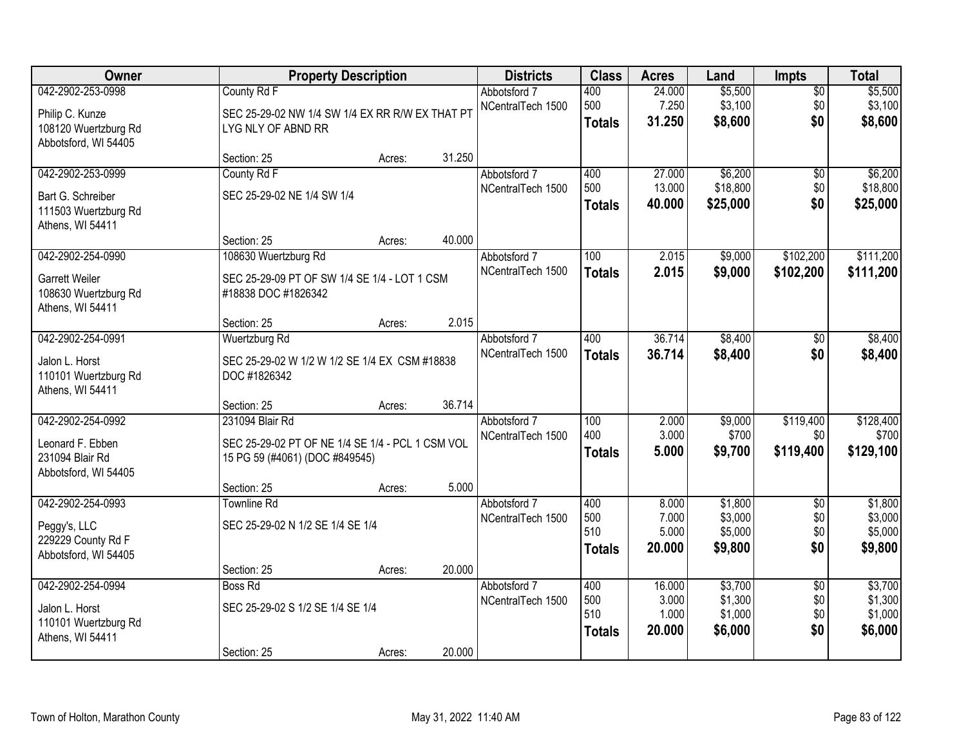| Owner                                                                                |                                                                                                       | <b>Property Description</b> |        | <b>Districts</b>                  | <b>Class</b>                       | <b>Acres</b>                       | Land                                     | <b>Impts</b>                         | <b>Total</b>                             |
|--------------------------------------------------------------------------------------|-------------------------------------------------------------------------------------------------------|-----------------------------|--------|-----------------------------------|------------------------------------|------------------------------------|------------------------------------------|--------------------------------------|------------------------------------------|
| 042-2902-253-0998<br>Philip C. Kunze<br>108120 Wuertzburg Rd<br>Abbotsford, WI 54405 | County Rd F<br>SEC 25-29-02 NW 1/4 SW 1/4 EX RR R/W EX THAT PT<br>LYG NLY OF ABND RR                  |                             |        | Abbotsford 7<br>NCentralTech 1500 | 400<br>500<br><b>Totals</b>        | 24.000<br>7.250<br>31.250          | \$5,500<br>\$3,100<br>\$8,600            | $\overline{50}$<br>\$0<br>\$0        | \$5,500<br>\$3,100<br>\$8,600            |
|                                                                                      | Section: 25                                                                                           | Acres:                      | 31.250 |                                   |                                    |                                    |                                          |                                      |                                          |
| 042-2902-253-0999<br>Bart G. Schreiber<br>111503 Wuertzburg Rd<br>Athens, WI 54411   | County Rd F<br>SEC 25-29-02 NE 1/4 SW 1/4                                                             |                             |        | Abbotsford 7<br>NCentralTech 1500 | 400<br>500<br><b>Totals</b>        | 27.000<br>13.000<br>40.000         | \$6,200<br>\$18,800<br>\$25,000          | \$0<br>\$0<br>\$0                    | \$6,200<br>\$18,800<br>\$25,000          |
| 042-2902-254-0990                                                                    | Section: 25<br>108630 Wuertzburg Rd                                                                   | Acres:                      | 40.000 | Abbotsford 7                      | 100                                | 2.015                              | \$9,000                                  | \$102,200                            | \$111,200                                |
| <b>Garrett Weiler</b><br>108630 Wuertzburg Rd<br>Athens, WI 54411                    | SEC 25-29-09 PT OF SW 1/4 SE 1/4 - LOT 1 CSM<br>#18838 DOC #1826342                                   |                             |        | NCentralTech 1500                 | <b>Totals</b>                      | 2.015                              | \$9,000                                  | \$102,200                            | \$111,200                                |
|                                                                                      | Section: 25                                                                                           | Acres:                      | 2.015  |                                   |                                    |                                    |                                          |                                      |                                          |
| 042-2902-254-0991<br>Jalon L. Horst<br>110101 Wuertzburg Rd                          | Wuertzburg Rd<br>SEC 25-29-02 W 1/2 W 1/2 SE 1/4 EX CSM #18838<br>DOC #1826342                        |                             |        | Abbotsford 7<br>NCentralTech 1500 | 400<br><b>Totals</b>               | 36.714<br>36.714                   | \$8,400<br>\$8,400                       | \$0<br>\$0                           | \$8,400<br>\$8,400                       |
| Athens, WI 54411                                                                     | Section: 25                                                                                           | Acres:                      | 36.714 |                                   |                                    |                                    |                                          |                                      |                                          |
| 042-2902-254-0992<br>Leonard F. Ebben<br>231094 Blair Rd<br>Abbotsford, WI 54405     | 231094 Blair Rd<br>SEC 25-29-02 PT OF NE 1/4 SE 1/4 - PCL 1 CSM VOL<br>15 PG 59 (#4061) (DOC #849545) |                             |        | Abbotsford 7<br>NCentralTech 1500 | 100<br>400<br><b>Totals</b>        | 2.000<br>3.000<br>5.000            | \$9,000<br>\$700<br>\$9,700              | \$119,400<br>\$0<br>\$119,400        | \$128,400<br>\$700<br>\$129,100          |
|                                                                                      | Section: 25                                                                                           | Acres:                      | 5.000  |                                   |                                    |                                    |                                          |                                      |                                          |
| 042-2902-254-0993<br>Peggy's, LLC<br>229229 County Rd F<br>Abbotsford, WI 54405      | <b>Townline Rd</b><br>SEC 25-29-02 N 1/2 SE 1/4 SE 1/4                                                |                             |        | Abbotsford 7<br>NCentralTech 1500 | 400<br>500<br>510<br><b>Totals</b> | 8.000<br>7.000<br>5.000<br>20.000  | \$1,800<br>\$3,000<br>\$5,000<br>\$9,800 | $\overline{50}$<br>\$0<br>\$0<br>\$0 | \$1,800<br>\$3,000<br>\$5,000<br>\$9,800 |
|                                                                                      | Section: 25                                                                                           | Acres:                      | 20.000 |                                   |                                    |                                    |                                          |                                      |                                          |
| 042-2902-254-0994<br>Jalon L. Horst<br>110101 Wuertzburg Rd<br>Athens, WI 54411      | Boss Rd<br>SEC 25-29-02 S 1/2 SE 1/4 SE 1/4                                                           |                             |        | Abbotsford 7<br>NCentralTech 1500 | 400<br>500<br>510<br><b>Totals</b> | 16.000<br>3.000<br>1.000<br>20.000 | \$3,700<br>\$1,300<br>\$1,000<br>\$6,000 | $\overline{50}$<br>\$0<br>\$0<br>\$0 | \$3,700<br>\$1,300<br>\$1,000<br>\$6,000 |
|                                                                                      | Section: 25                                                                                           | Acres:                      | 20.000 |                                   |                                    |                                    |                                          |                                      |                                          |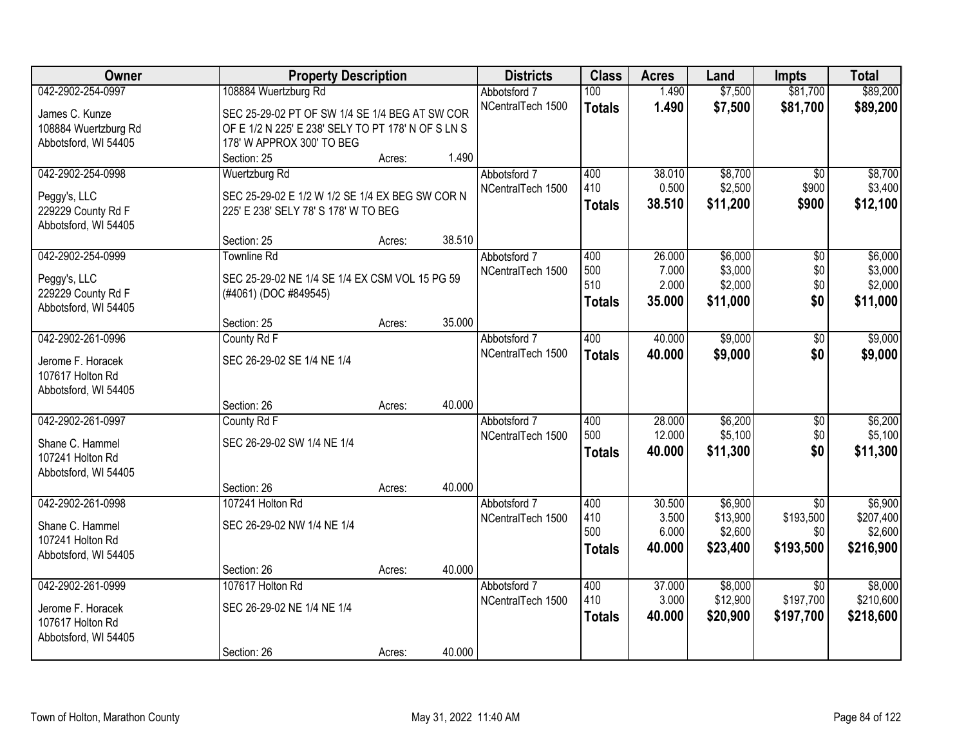| Owner                              | <b>Property Description</b>                                                             |        |        | <b>Districts</b>  | <b>Class</b>  | <b>Acres</b> | Land     | <b>Impts</b>    | <b>Total</b> |
|------------------------------------|-----------------------------------------------------------------------------------------|--------|--------|-------------------|---------------|--------------|----------|-----------------|--------------|
| 042-2902-254-0997                  | 108884 Wuertzburg Rd                                                                    |        |        | Abbotsford 7      | 100           | 1.490        | \$7,500  | \$81,700        | \$89,200     |
| James C. Kunze                     | SEC 25-29-02 PT OF SW 1/4 SE 1/4 BEG AT SW COR                                          |        |        | NCentralTech 1500 | <b>Totals</b> | 1.490        | \$7,500  | \$81,700        | \$89,200     |
| 108884 Wuertzburg Rd               | OF E 1/2 N 225' E 238' SELY TO PT 178' N OF S LN S                                      |        |        |                   |               |              |          |                 |              |
| Abbotsford, WI 54405               | 178' W APPROX 300' TO BEG                                                               |        |        |                   |               |              |          |                 |              |
|                                    | Section: 25                                                                             | Acres: | 1.490  |                   |               |              |          |                 |              |
| 042-2902-254-0998                  | <b>Wuertzburg Rd</b>                                                                    |        |        | Abbotsford 7      | 400           | 38.010       | \$8,700  | $\overline{50}$ | \$8,700      |
|                                    |                                                                                         |        |        | NCentralTech 1500 | 410           | 0.500        | \$2,500  | \$900           | \$3,400      |
| Peggy's, LLC<br>229229 County Rd F | SEC 25-29-02 E 1/2 W 1/2 SE 1/4 EX BEG SW COR N<br>225' E 238' SELY 78' S 178' W TO BEG |        |        |                   | <b>Totals</b> | 38.510       | \$11,200 | \$900           | \$12,100     |
| Abbotsford, WI 54405               |                                                                                         |        |        |                   |               |              |          |                 |              |
|                                    | Section: 25                                                                             | Acres: | 38.510 |                   |               |              |          |                 |              |
| 042-2902-254-0999                  | <b>Townline Rd</b>                                                                      |        |        | Abbotsford 7      | 400           | 26.000       | \$6,000  | \$0             | \$6,000      |
|                                    |                                                                                         |        |        | NCentralTech 1500 | 500           | 7.000        | \$3,000  | \$0             | \$3,000      |
| Peggy's, LLC                       | SEC 25-29-02 NE 1/4 SE 1/4 EX CSM VOL 15 PG 59                                          |        |        |                   | 510           | 2.000        | \$2,000  | \$0             | \$2,000      |
| 229229 County Rd F                 | (#4061) (DOC #849545)                                                                   |        |        |                   | <b>Totals</b> | 35.000       | \$11,000 | \$0             | \$11,000     |
| Abbotsford, WI 54405               | Section: 25                                                                             | Acres: | 35.000 |                   |               |              |          |                 |              |
| 042-2902-261-0996                  | County Rd F                                                                             |        |        | Abbotsford 7      | 400           | 40.000       | \$9,000  | \$0             | \$9,000      |
|                                    |                                                                                         |        |        | NCentralTech 1500 | <b>Totals</b> | 40.000       | \$9,000  | \$0             | \$9,000      |
| Jerome F. Horacek                  | SEC 26-29-02 SE 1/4 NE 1/4                                                              |        |        |                   |               |              |          |                 |              |
| 107617 Holton Rd                   |                                                                                         |        |        |                   |               |              |          |                 |              |
| Abbotsford, WI 54405               |                                                                                         |        |        |                   |               |              |          |                 |              |
|                                    | Section: 26                                                                             | Acres: | 40.000 |                   |               |              |          |                 |              |
| 042-2902-261-0997                  | County Rd F                                                                             |        |        | Abbotsford 7      | 400           | 28.000       | \$6,200  | $\overline{50}$ | \$6,200      |
| Shane C. Hammel                    | SEC 26-29-02 SW 1/4 NE 1/4                                                              |        |        | NCentralTech 1500 | 500           | 12.000       | \$5,100  | \$0             | \$5,100      |
| 107241 Holton Rd                   |                                                                                         |        |        |                   | <b>Totals</b> | 40.000       | \$11,300 | \$0             | \$11,300     |
| Abbotsford, WI 54405               |                                                                                         |        |        |                   |               |              |          |                 |              |
|                                    | Section: 26                                                                             | Acres: | 40.000 |                   |               |              |          |                 |              |
| 042-2902-261-0998                  | 107241 Holton Rd                                                                        |        |        | Abbotsford 7      | 400           | 30.500       | \$6,900  | $\overline{50}$ | \$6,900      |
| Shane C. Hammel                    | SEC 26-29-02 NW 1/4 NE 1/4                                                              |        |        | NCentralTech 1500 | 410           | 3.500        | \$13,900 | \$193,500       | \$207,400    |
| 107241 Holton Rd                   |                                                                                         |        |        |                   | 500           | 6.000        | \$2,600  | \$0             | \$2,600      |
| Abbotsford, WI 54405               |                                                                                         |        |        |                   | <b>Totals</b> | 40.000       | \$23,400 | \$193,500       | \$216,900    |
|                                    | Section: 26                                                                             | Acres: | 40.000 |                   |               |              |          |                 |              |
| 042-2902-261-0999                  | 107617 Holton Rd                                                                        |        |        | Abbotsford 7      | 400           | 37,000       | \$8,000  | $\overline{30}$ | \$8,000      |
| Jerome F. Horacek                  | SEC 26-29-02 NE 1/4 NE 1/4                                                              |        |        | NCentralTech 1500 | 410           | 3.000        | \$12,900 | \$197,700       | \$210,600    |
| 107617 Holton Rd                   |                                                                                         |        |        |                   | <b>Totals</b> | 40.000       | \$20,900 | \$197,700       | \$218,600    |
| Abbotsford, WI 54405               |                                                                                         |        |        |                   |               |              |          |                 |              |
|                                    | Section: 26                                                                             | Acres: | 40.000 |                   |               |              |          |                 |              |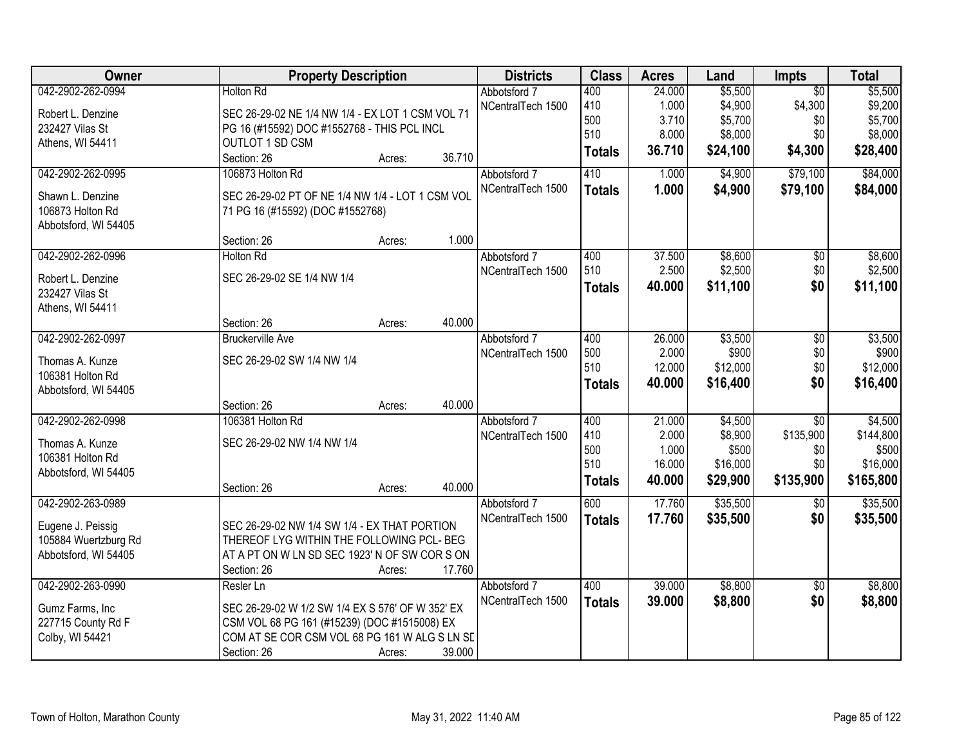| Owner                | <b>Property Description</b>                      | <b>Districts</b>  | <b>Class</b>  | <b>Acres</b> | Land     | <b>Impts</b>    | <b>Total</b> |
|----------------------|--------------------------------------------------|-------------------|---------------|--------------|----------|-----------------|--------------|
| 042-2902-262-0994    | <b>Holton Rd</b>                                 | Abbotsford 7      | 400           | 24.000       | \$5,500  | $\overline{30}$ | \$5,500      |
| Robert L. Denzine    | SEC 26-29-02 NE 1/4 NW 1/4 - EX LOT 1 CSM VOL 71 | NCentralTech 1500 | 410           | 1.000        | \$4,900  | \$4,300         | \$9,200      |
| 232427 Vilas St      | PG 16 (#15592) DOC #1552768 - THIS PCL INCL      |                   | 500           | 3.710        | \$5,700  | \$0             | \$5,700      |
| Athens, WI 54411     | <b>OUTLOT 1 SD CSM</b>                           |                   | 510           | 8.000        | \$8,000  | \$0             | \$8,000      |
|                      | Section: 26<br>36.710<br>Acres:                  |                   | <b>Totals</b> | 36.710       | \$24,100 | \$4,300         | \$28,400     |
| 042-2902-262-0995    | 106873 Holton Rd                                 | Abbotsford 7      | 410           | 1.000        | \$4,900  | \$79,100        | \$84,000     |
| Shawn L. Denzine     | SEC 26-29-02 PT OF NE 1/4 NW 1/4 - LOT 1 CSM VOL | NCentralTech 1500 | <b>Totals</b> | 1.000        | \$4,900  | \$79,100        | \$84,000     |
| 106873 Holton Rd     | 71 PG 16 (#15592) (DOC #1552768)                 |                   |               |              |          |                 |              |
| Abbotsford, WI 54405 |                                                  |                   |               |              |          |                 |              |
|                      | 1.000<br>Section: 26<br>Acres:                   |                   |               |              |          |                 |              |
| 042-2902-262-0996    | Holton Rd                                        | Abbotsford 7      | 400           | 37.500       | \$8,600  | \$0             | \$8,600      |
|                      |                                                  | NCentralTech 1500 | 510           | 2.500        | \$2,500  | \$0             | \$2,500      |
| Robert L. Denzine    | SEC 26-29-02 SE 1/4 NW 1/4                       |                   | <b>Totals</b> | 40.000       | \$11,100 | \$0             | \$11,100     |
| 232427 Vilas St      |                                                  |                   |               |              |          |                 |              |
| Athens, WI 54411     | 40.000<br>Section: 26<br>Acres:                  |                   |               |              |          |                 |              |
| 042-2902-262-0997    | <b>Bruckerville Ave</b>                          | Abbotsford 7      | 400           | 26.000       | \$3,500  | $\overline{50}$ | \$3,500      |
|                      |                                                  | NCentralTech 1500 | 500           | 2.000        | \$900    | \$0             | \$900        |
| Thomas A. Kunze      | SEC 26-29-02 SW 1/4 NW 1/4                       |                   | 510           | 12.000       | \$12,000 | \$0             | \$12,000     |
| 106381 Holton Rd     |                                                  |                   | <b>Totals</b> | 40.000       | \$16,400 | \$0             | \$16,400     |
| Abbotsford, WI 54405 |                                                  |                   |               |              |          |                 |              |
|                      | 40.000<br>Section: 26<br>Acres:                  |                   |               |              |          |                 |              |
| 042-2902-262-0998    | 106381 Holton Rd                                 | Abbotsford 7      | 400           | 21.000       | \$4,500  | $\overline{30}$ | \$4,500      |
| Thomas A. Kunze      | SEC 26-29-02 NW 1/4 NW 1/4                       | NCentralTech 1500 | 410           | 2.000        | \$8,900  | \$135,900       | \$144,800    |
| 106381 Holton Rd     |                                                  |                   | 500           | 1.000        | \$500    | \$0             | \$500        |
| Abbotsford, WI 54405 |                                                  |                   | 510           | 16.000       | \$16,000 | \$0             | \$16,000     |
|                      | 40.000<br>Section: 26<br>Acres:                  |                   | <b>Totals</b> | 40.000       | \$29,900 | \$135,900       | \$165,800    |
| 042-2902-263-0989    |                                                  | Abbotsford 7      | 600           | 17.760       | \$35,500 | \$0             | \$35,500     |
| Eugene J. Peissig    | SEC 26-29-02 NW 1/4 SW 1/4 - EX THAT PORTION     | NCentralTech 1500 | <b>Totals</b> | 17.760       | \$35,500 | \$0             | \$35,500     |
| 105884 Wuertzburg Rd | THEREOF LYG WITHIN THE FOLLOWING PCL- BEG        |                   |               |              |          |                 |              |
| Abbotsford, WI 54405 | AT A PT ON W LN SD SEC 1923' N OF SW CORS ON     |                   |               |              |          |                 |              |
|                      | 17.760<br>Section: 26<br>Acres:                  |                   |               |              |          |                 |              |
| 042-2902-263-0990    | Resler Ln                                        | Abbotsford 7      | 400           | 39.000       | \$8,800  | $\overline{30}$ | \$8,800      |
| Gumz Farms, Inc      | SEC 26-29-02 W 1/2 SW 1/4 EX S 576' OF W 352' EX | NCentralTech 1500 | <b>Totals</b> | 39.000       | \$8,800  | \$0             | \$8,800      |
| 227715 County Rd F   | CSM VOL 68 PG 161 (#15239) (DOC #1515008) EX     |                   |               |              |          |                 |              |
| Colby, WI 54421      | COM AT SE COR CSM VOL 68 PG 161 W ALG S LN SD    |                   |               |              |          |                 |              |
|                      | 39.000<br>Section: 26<br>Acres:                  |                   |               |              |          |                 |              |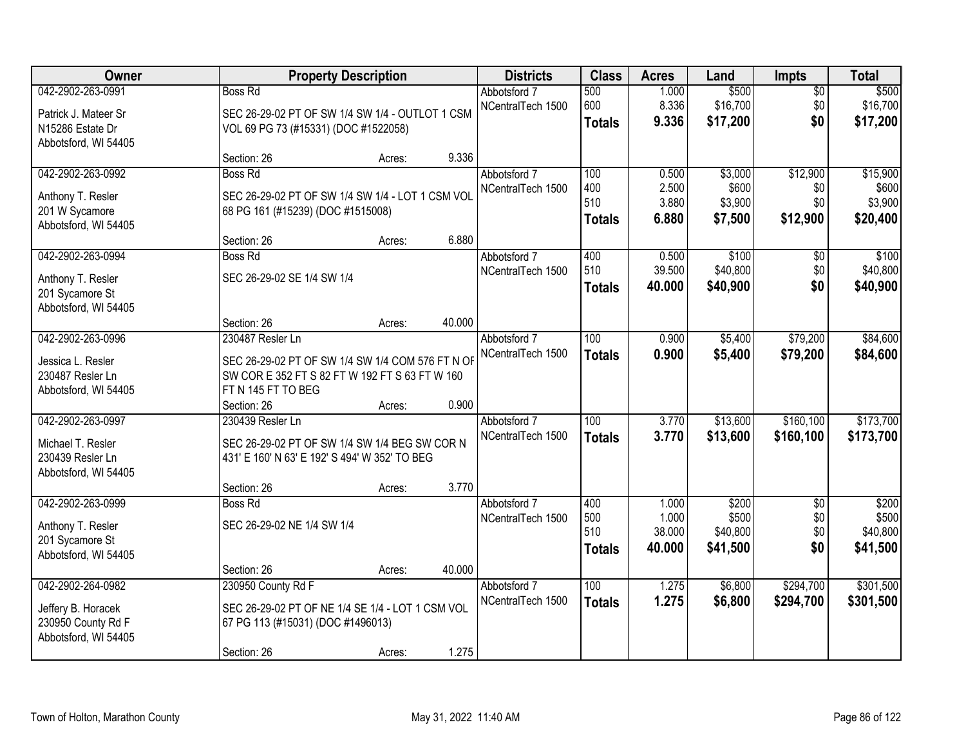| Owner                                                                                 |                                                                                                                                                             | <b>Property Description</b> |        |                                   | <b>Class</b>                       | <b>Acres</b>                       | Land                                   | <b>Impts</b>                         | <b>Total</b>                             |
|---------------------------------------------------------------------------------------|-------------------------------------------------------------------------------------------------------------------------------------------------------------|-----------------------------|--------|-----------------------------------|------------------------------------|------------------------------------|----------------------------------------|--------------------------------------|------------------------------------------|
| 042-2902-263-0991<br>Patrick J. Mateer Sr<br>N15286 Estate Dr<br>Abbotsford, WI 54405 | <b>Boss Rd</b><br>SEC 26-29-02 PT OF SW 1/4 SW 1/4 - OUTLOT 1 CSM<br>VOL 69 PG 73 (#15331) (DOC #1522058)                                                   |                             |        | Abbotsford 7<br>NCentralTech 1500 | 500<br>600<br><b>Totals</b>        | 1.000<br>8.336<br>9.336            | \$500<br>\$16,700<br>\$17,200          | $\overline{50}$<br>\$0<br>\$0        | \$500<br>\$16,700<br>\$17,200            |
|                                                                                       | Section: 26                                                                                                                                                 | Acres:                      | 9.336  |                                   |                                    |                                    |                                        |                                      |                                          |
| 042-2902-263-0992<br>Anthony T. Resler<br>201 W Sycamore<br>Abbotsford, WI 54405      | Boss Rd<br>SEC 26-29-02 PT OF SW 1/4 SW 1/4 - LOT 1 CSM VOL<br>68 PG 161 (#15239) (DOC #1515008)<br>Section: 26                                             | Acres:                      | 6.880  | Abbotsford 7<br>NCentralTech 1500 | 100<br>400<br>510<br><b>Totals</b> | 0.500<br>2.500<br>3.880<br>6.880   | \$3,000<br>\$600<br>\$3,900<br>\$7,500 | \$12,900<br>\$0<br>\$0<br>\$12,900   | \$15,900<br>\$600<br>\$3,900<br>\$20,400 |
| 042-2902-263-0994<br>Anthony T. Resler<br>201 Sycamore St<br>Abbotsford, WI 54405     | Boss Rd<br>SEC 26-29-02 SE 1/4 SW 1/4<br>Section: 26                                                                                                        | Acres:                      | 40.000 | Abbotsford 7<br>NCentralTech 1500 | 400<br>510<br><b>Totals</b>        | 0.500<br>39.500<br>40.000          | \$100<br>\$40,800<br>\$40,900          | \$0<br>\$0<br>\$0                    | \$100<br>\$40,800<br>\$40,900            |
| 042-2902-263-0996<br>Jessica L. Resler<br>230487 Resler Ln<br>Abbotsford, WI 54405    | 230487 Resler Ln<br>SEC 26-29-02 PT OF SW 1/4 SW 1/4 COM 576 FT N OF<br>SW COR E 352 FT S 82 FT W 192 FT S 63 FT W 160<br>FT N 145 FT TO BEG<br>Section: 26 | Acres:                      | 0.900  | Abbotsford 7<br>NCentralTech 1500 | 100<br><b>Totals</b>               | 0.900<br>0.900                     | \$5,400<br>\$5,400                     | \$79,200<br>\$79,200                 | \$84,600<br>\$84,600                     |
| 042-2902-263-0997<br>Michael T. Resler<br>230439 Resler Ln<br>Abbotsford, WI 54405    | 230439 Resler Ln<br>SEC 26-29-02 PT OF SW 1/4 SW 1/4 BEG SW COR N<br>431' E 160' N 63' E 192' S 494' W 352' TO BEG<br>Section: 26                           | Acres:                      | 3.770  | Abbotsford 7<br>NCentralTech 1500 | 100<br><b>Totals</b>               | 3.770<br>3.770                     | \$13,600<br>\$13,600                   | \$160, 100<br>\$160,100              | \$173,700<br>\$173,700                   |
| 042-2902-263-0999<br>Anthony T. Resler<br>201 Sycamore St<br>Abbotsford, WI 54405     | <b>Boss Rd</b><br>SEC 26-29-02 NE 1/4 SW 1/4<br>Section: 26                                                                                                 | Acres:                      | 40.000 | Abbotsford 7<br>NCentralTech 1500 | 400<br>500<br>510<br>Totals        | 1.000<br>1.000<br>38.000<br>40.000 | \$200<br>\$500<br>\$40,800<br>\$41,500 | $\overline{50}$<br>\$0<br>\$0<br>\$0 | \$200<br>\$500<br>\$40,800<br>\$41,500   |
| 042-2902-264-0982<br>Jeffery B. Horacek<br>230950 County Rd F<br>Abbotsford, WI 54405 | 230950 County Rd F<br>SEC 26-29-02 PT OF NE 1/4 SE 1/4 - LOT 1 CSM VOL<br>67 PG 113 (#15031) (DOC #1496013)<br>Section: 26                                  | Acres:                      | 1.275  | Abbotsford 7<br>NCentralTech 1500 | 100<br><b>Totals</b>               | 1.275<br>1.275                     | \$6,800<br>\$6,800                     | \$294,700<br>\$294,700               | \$301,500<br>\$301,500                   |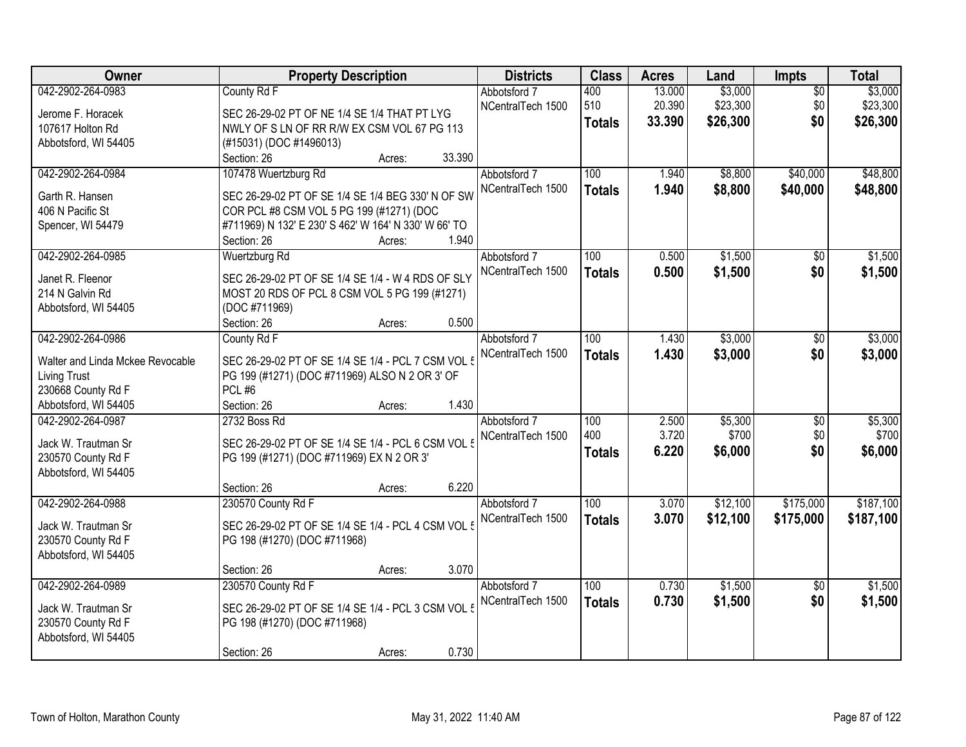| Owner                                      | <b>Property Description</b>                          |        | <b>Districts</b>  | <b>Class</b>     | <b>Acres</b> | Land     | <b>Impts</b>    | <b>Total</b> |
|--------------------------------------------|------------------------------------------------------|--------|-------------------|------------------|--------------|----------|-----------------|--------------|
| 042-2902-264-0983                          | County Rd F                                          |        | Abbotsford 7      | 400              | 13.000       | \$3,000  | $\overline{50}$ | \$3,000      |
| Jerome F. Horacek                          | SEC 26-29-02 PT OF NE 1/4 SE 1/4 THAT PT LYG         |        | NCentralTech 1500 | 510              | 20.390       | \$23,300 | \$0             | \$23,300     |
| 107617 Holton Rd                           | NWLY OF S LN OF RR R/W EX CSM VOL 67 PG 113          |        |                   | <b>Totals</b>    | 33.390       | \$26,300 | \$0             | \$26,300     |
| Abbotsford, WI 54405                       | (#15031) (DOC #1496013)                              |        |                   |                  |              |          |                 |              |
|                                            | Section: 26                                          | Acres: | 33.390            |                  |              |          |                 |              |
| 042-2902-264-0984                          | 107478 Wuertzburg Rd                                 |        | Abbotsford 7      | 100              | 1.940        | \$8,800  | \$40,000        | \$48,800     |
|                                            |                                                      |        | NCentralTech 1500 | <b>Totals</b>    | 1.940        | \$8,800  | \$40,000        | \$48,800     |
| Garth R. Hansen                            | SEC 26-29-02 PT OF SE 1/4 SE 1/4 BEG 330' N OF SW    |        |                   |                  |              |          |                 |              |
| 406 N Pacific St                           | COR PCL #8 CSM VOL 5 PG 199 (#1271) (DOC             |        |                   |                  |              |          |                 |              |
| Spencer, WI 54479                          | #711969) N 132' E 230' S 462' W 164' N 330' W 66' TO |        |                   |                  |              |          |                 |              |
|                                            | Section: 26                                          | Acres: | 1.940             |                  |              |          |                 |              |
| 042-2902-264-0985                          | Wuertzburg Rd                                        |        | Abbotsford 7      | 100              | 0.500        | \$1,500  | $\overline{50}$ | \$1,500      |
| Janet R. Fleenor                           | SEC 26-29-02 PT OF SE 1/4 SE 1/4 - W 4 RDS OF SLY    |        | NCentralTech 1500 | <b>Totals</b>    | 0.500        | \$1,500  | \$0             | \$1,500      |
| 214 N Galvin Rd                            | MOST 20 RDS OF PCL 8 CSM VOL 5 PG 199 (#1271)        |        |                   |                  |              |          |                 |              |
| Abbotsford, WI 54405                       | (DOC #711969)                                        |        |                   |                  |              |          |                 |              |
|                                            | Section: 26                                          | Acres: | 0.500             |                  |              |          |                 |              |
| 042-2902-264-0986                          | County Rd F                                          |        | Abbotsford 7      | 100              | 1.430        | \$3,000  | \$0             | \$3,000      |
|                                            |                                                      |        | NCentralTech 1500 |                  | 1.430        | \$3,000  | \$0             | \$3,000      |
| Walter and Linda Mckee Revocable           | SEC 26-29-02 PT OF SE 1/4 SE 1/4 - PCL 7 CSM VOL 5   |        |                   | <b>Totals</b>    |              |          |                 |              |
| <b>Living Trust</b>                        | PG 199 (#1271) (DOC #711969) ALSO N 2 OR 3' OF       |        |                   |                  |              |          |                 |              |
| 230668 County Rd F                         | PCL #6                                               |        |                   |                  |              |          |                 |              |
| Abbotsford, WI 54405                       | Section: 26                                          | Acres: | 1.430             |                  |              |          |                 |              |
| 042-2902-264-0987                          | 2732 Boss Rd                                         |        | Abbotsford 7      | $\overline{100}$ | 2.500        | \$5,300  | $\overline{50}$ | \$5,300      |
| Jack W. Trautman Sr                        | SEC 26-29-02 PT OF SE 1/4 SE 1/4 - PCL 6 CSM VOL {   |        | NCentralTech 1500 | 400              | 3.720        | \$700    | \$0             | \$700        |
| 230570 County Rd F                         |                                                      |        |                   | <b>Totals</b>    | 6.220        | \$6,000  | \$0             | \$6,000      |
| Abbotsford, WI 54405                       | PG 199 (#1271) (DOC #711969) EX N 2 OR 3'            |        |                   |                  |              |          |                 |              |
|                                            | Section: 26                                          | Acres: | 6.220             |                  |              |          |                 |              |
| 042-2902-264-0988                          |                                                      |        | Abbotsford 7      | 100              | 3.070        | \$12,100 | \$175,000       | \$187,100    |
|                                            | 230570 County Rd F                                   |        |                   |                  |              |          |                 |              |
| Jack W. Trautman Sr                        | SEC 26-29-02 PT OF SE 1/4 SE 1/4 - PCL 4 CSM VOL 5   |        | NCentralTech 1500 | <b>Totals</b>    | 3.070        | \$12,100 | \$175,000       | \$187,100    |
| 230570 County Rd F                         | PG 198 (#1270) (DOC #711968)                         |        |                   |                  |              |          |                 |              |
| Abbotsford, WI 54405                       |                                                      |        |                   |                  |              |          |                 |              |
|                                            | Section: 26                                          | Acres: | 3.070             |                  |              |          |                 |              |
| 042-2902-264-0989                          | 230570 County Rd F                                   |        | Abbotsford 7      | 100              | 0.730        | \$1,500  | $\overline{50}$ | \$1,500      |
|                                            | SEC 26-29-02 PT OF SE 1/4 SE 1/4 - PCL 3 CSM VOL 5   |        | NCentralTech 1500 | <b>Totals</b>    | 0.730        | \$1,500  | \$0             | \$1,500      |
| Jack W. Trautman Sr                        |                                                      |        |                   |                  |              |          |                 |              |
| 230570 County Rd F<br>Abbotsford, WI 54405 | PG 198 (#1270) (DOC #711968)                         |        |                   |                  |              |          |                 |              |
|                                            |                                                      |        | 0.730             |                  |              |          |                 |              |
|                                            | Section: 26                                          | Acres: |                   |                  |              |          |                 |              |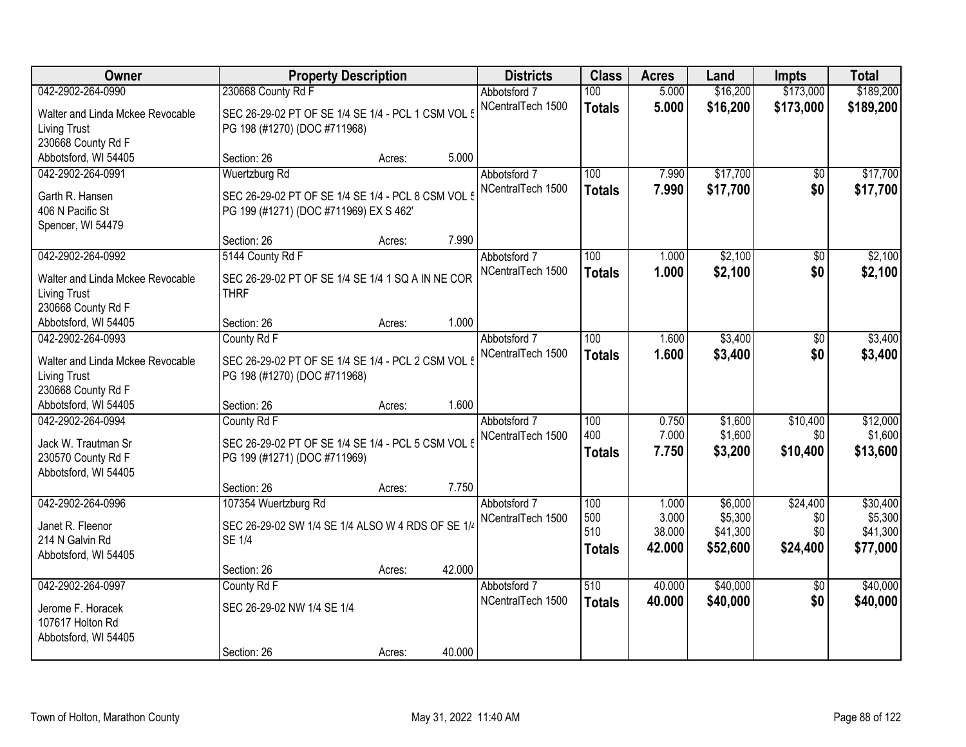| Owner                            | <b>Property Description</b>                        |        |        | <b>Districts</b>  | <b>Class</b>  | <b>Acres</b>    | Land                | Impts           | <b>Total</b>        |
|----------------------------------|----------------------------------------------------|--------|--------|-------------------|---------------|-----------------|---------------------|-----------------|---------------------|
| 042-2902-264-0990                | 230668 County Rd F                                 |        |        | Abbotsford 7      | 100           | 5.000           | \$16,200            | \$173,000       | \$189,200           |
| Walter and Linda Mckee Revocable | SEC 26-29-02 PT OF SE 1/4 SE 1/4 - PCL 1 CSM VOL 5 |        |        | NCentralTech 1500 | <b>Totals</b> | 5.000           | \$16,200            | \$173,000       | \$189,200           |
| Living Trust                     | PG 198 (#1270) (DOC #711968)                       |        |        |                   |               |                 |                     |                 |                     |
| 230668 County Rd F               |                                                    |        |        |                   |               |                 |                     |                 |                     |
| Abbotsford, WI 54405             | Section: 26                                        | Acres: | 5.000  |                   |               |                 |                     |                 |                     |
| 042-2902-264-0991                | Wuertzburg Rd                                      |        |        | Abbotsford 7      | 100           | 7.990           | \$17,700            | $\overline{50}$ | \$17,700            |
| Garth R. Hansen                  | SEC 26-29-02 PT OF SE 1/4 SE 1/4 - PCL 8 CSM VOL 5 |        |        | NCentralTech 1500 | <b>Totals</b> | 7.990           | \$17,700            | \$0             | \$17,700            |
| 406 N Pacific St                 | PG 199 (#1271) (DOC #711969) EX S 462'             |        |        |                   |               |                 |                     |                 |                     |
| Spencer, WI 54479                |                                                    |        |        |                   |               |                 |                     |                 |                     |
|                                  | Section: 26                                        | Acres: | 7.990  |                   |               |                 |                     |                 |                     |
| 042-2902-264-0992                | 5144 County Rd F                                   |        |        | Abbotsford 7      | 100           | 1.000           | \$2,100             | \$0             | \$2,100             |
| Walter and Linda Mckee Revocable | SEC 26-29-02 PT OF SE 1/4 SE 1/4 1 SQ A IN NE COR  |        |        | NCentralTech 1500 | <b>Totals</b> | 1.000           | \$2,100             | \$0             | \$2,100             |
| Living Trust                     | <b>THRF</b>                                        |        |        |                   |               |                 |                     |                 |                     |
| 230668 County Rd F               |                                                    |        |        |                   |               |                 |                     |                 |                     |
| Abbotsford, WI 54405             | Section: 26                                        | Acres: | 1.000  |                   |               |                 |                     |                 |                     |
| 042-2902-264-0993                | County Rd F                                        |        |        | Abbotsford 7      | 100           | 1.600           | \$3,400             | \$0             | \$3,400             |
| Walter and Linda Mckee Revocable | SEC 26-29-02 PT OF SE 1/4 SE 1/4 - PCL 2 CSM VOL 5 |        |        | NCentralTech 1500 | <b>Totals</b> | 1.600           | \$3,400             | \$0             | \$3,400             |
| <b>Living Trust</b>              | PG 198 (#1270) (DOC #711968)                       |        |        |                   |               |                 |                     |                 |                     |
| 230668 County Rd F               |                                                    |        |        |                   |               |                 |                     |                 |                     |
| Abbotsford, WI 54405             | Section: 26                                        | Acres: | 1.600  |                   |               |                 |                     |                 |                     |
| 042-2902-264-0994                | County Rd F                                        |        |        | Abbotsford 7      | 100           | 0.750           | \$1,600             | \$10,400        | \$12,000            |
| Jack W. Trautman Sr              | SEC 26-29-02 PT OF SE 1/4 SE 1/4 - PCL 5 CSM VOL 5 |        |        | NCentralTech 1500 | 400           | 7.000           | \$1,600             | \$0             | \$1,600             |
| 230570 County Rd F               | PG 199 (#1271) (DOC #711969)                       |        |        |                   | <b>Totals</b> | 7.750           | \$3,200             | \$10,400        | \$13,600            |
| Abbotsford, WI 54405             |                                                    |        |        |                   |               |                 |                     |                 |                     |
|                                  | Section: 26                                        | Acres: | 7.750  |                   |               |                 |                     |                 |                     |
| 042-2902-264-0996                | 107354 Wuertzburg Rd                               |        |        | Abbotsford 7      | 100           | 1.000           | \$6,000             | \$24,400        | \$30,400            |
| Janet R. Fleenor                 | SEC 26-29-02 SW 1/4 SE 1/4 ALSO W 4 RDS OF SE 1/4  |        |        | NCentralTech 1500 | 500<br>510    | 3.000<br>38.000 | \$5,300<br>\$41,300 | \$0<br>\$0      | \$5,300<br>\$41,300 |
| 214 N Galvin Rd                  | <b>SE 1/4</b>                                      |        |        |                   | Totals        | 42.000          | \$52,600            | \$24,400        | \$77,000            |
| Abbotsford, WI 54405             |                                                    |        |        |                   |               |                 |                     |                 |                     |
|                                  | Section: 26                                        | Acres: | 42.000 |                   |               |                 |                     |                 |                     |
| 042-2902-264-0997                | County Rd F                                        |        |        | Abbotsford 7      | 510           | 40.000          | \$40,000            | $\overline{30}$ | \$40,000            |
| Jerome F. Horacek                | SEC 26-29-02 NW 1/4 SE 1/4                         |        |        | NCentralTech 1500 | <b>Totals</b> | 40.000          | \$40,000            | \$0             | \$40,000            |
| 107617 Holton Rd                 |                                                    |        |        |                   |               |                 |                     |                 |                     |
| Abbotsford, WI 54405             |                                                    |        |        |                   |               |                 |                     |                 |                     |
|                                  | Section: 26                                        | Acres: | 40.000 |                   |               |                 |                     |                 |                     |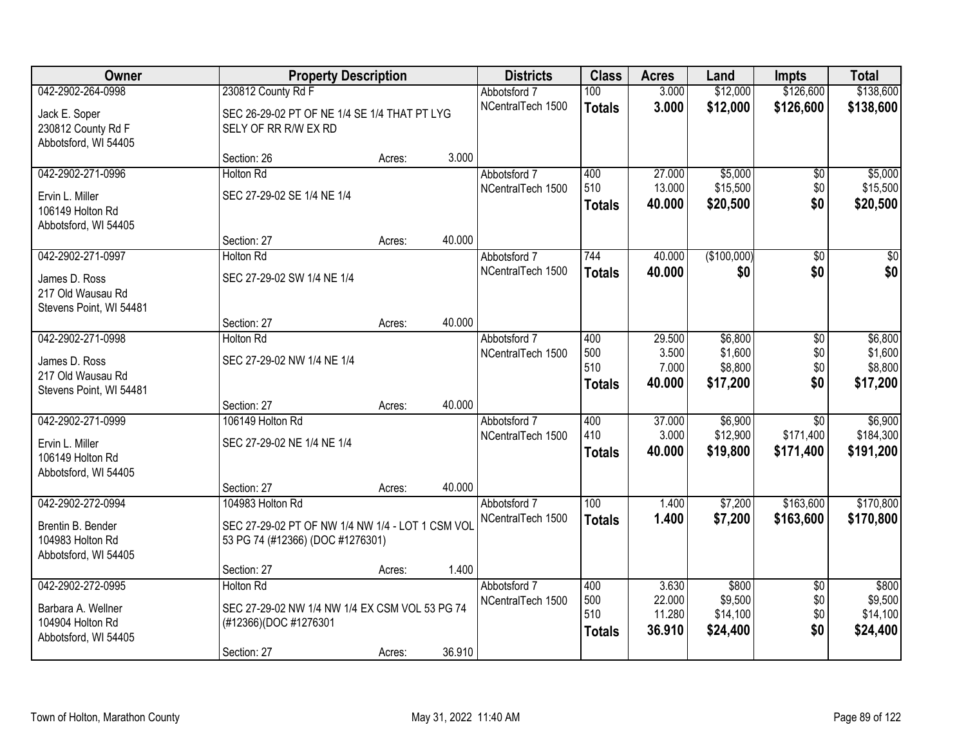| Owner                              |                                                  | <b>Property Description</b> |        |                   | <b>Class</b>  | <b>Acres</b>     | Land                 | <b>Impts</b>    | <b>Total</b>         |
|------------------------------------|--------------------------------------------------|-----------------------------|--------|-------------------|---------------|------------------|----------------------|-----------------|----------------------|
| 042-2902-264-0998                  | 230812 County Rd F                               |                             |        | Abbotsford 7      | 100           | 3.000            | \$12,000             | \$126,600       | \$138,600            |
| Jack E. Soper                      | SEC 26-29-02 PT OF NE 1/4 SE 1/4 THAT PT LYG     |                             |        | NCentralTech 1500 | <b>Totals</b> | 3.000            | \$12,000             | \$126,600       | \$138,600            |
| 230812 County Rd F                 | SELY OF RR R/W EX RD                             |                             |        |                   |               |                  |                      |                 |                      |
| Abbotsford, WI 54405               |                                                  |                             |        |                   |               |                  |                      |                 |                      |
|                                    | Section: 26                                      | Acres:                      | 3.000  |                   |               |                  |                      |                 |                      |
| 042-2902-271-0996                  | <b>Holton Rd</b>                                 |                             |        | Abbotsford 7      | 400<br>510    | 27.000<br>13.000 | \$5,000              | \$0             | \$5,000              |
| Ervin L. Miller                    | SEC 27-29-02 SE 1/4 NE 1/4                       |                             |        | NCentralTech 1500 | Totals        | 40.000           | \$15,500<br>\$20,500 | \$0<br>\$0      | \$15,500<br>\$20,500 |
| 106149 Holton Rd                   |                                                  |                             |        |                   |               |                  |                      |                 |                      |
| Abbotsford, WI 54405               |                                                  |                             |        |                   |               |                  |                      |                 |                      |
| 042-2902-271-0997                  | Section: 27<br><b>Holton Rd</b>                  | Acres:                      | 40.000 | Abbotsford 7      | 744           | 40.000           | (\$100,000)          | \$0             | $\overline{\$0}$     |
|                                    |                                                  |                             |        | NCentralTech 1500 | <b>Totals</b> | 40.000           | \$0                  | \$0             | \$0                  |
| James D. Ross                      | SEC 27-29-02 SW 1/4 NE 1/4                       |                             |        |                   |               |                  |                      |                 |                      |
| 217 Old Wausau Rd                  |                                                  |                             |        |                   |               |                  |                      |                 |                      |
| Stevens Point, WI 54481            | Section: 27                                      | Acres:                      | 40.000 |                   |               |                  |                      |                 |                      |
| 042-2902-271-0998                  | <b>Holton Rd</b>                                 |                             |        | Abbotsford 7      | 400           | 29.500           | \$6,800              | $\sqrt[6]{}$    | \$6,800              |
|                                    |                                                  |                             |        | NCentralTech 1500 | 500           | 3.500            | \$1,600              | \$0             | \$1,600              |
| James D. Ross<br>217 Old Wausau Rd | SEC 27-29-02 NW 1/4 NE 1/4                       |                             |        |                   | 510           | 7.000            | \$8,800              | \$0             | \$8,800              |
| Stevens Point, WI 54481            |                                                  |                             |        |                   | <b>Totals</b> | 40.000           | \$17,200             | \$0             | \$17,200             |
|                                    | Section: 27                                      | Acres:                      | 40.000 |                   |               |                  |                      |                 |                      |
| 042-2902-271-0999                  | 106149 Holton Rd                                 |                             |        | Abbotsford 7      | 400           | 37.000           | \$6,900              | $\overline{30}$ | \$6,900              |
| Ervin L. Miller                    | SEC 27-29-02 NE 1/4 NE 1/4                       |                             |        | NCentralTech 1500 | 410           | 3.000            | \$12,900             | \$171,400       | \$184,300            |
| 106149 Holton Rd                   |                                                  |                             |        |                   | <b>Totals</b> | 40.000           | \$19,800             | \$171,400       | \$191,200            |
| Abbotsford, WI 54405               |                                                  |                             |        |                   |               |                  |                      |                 |                      |
|                                    | Section: 27                                      | Acres:                      | 40.000 |                   |               |                  |                      |                 |                      |
| 042-2902-272-0994                  | 104983 Holton Rd                                 |                             |        | Abbotsford 7      | 100           | 1.400            | \$7,200              | \$163,600       | \$170,800            |
| Brentin B. Bender                  | SEC 27-29-02 PT OF NW 1/4 NW 1/4 - LOT 1 CSM VOL |                             |        | NCentralTech 1500 | <b>Totals</b> | 1.400            | \$7,200              | \$163,600       | \$170,800            |
| 104983 Holton Rd                   | 53 PG 74 (#12366) (DOC #1276301)                 |                             |        |                   |               |                  |                      |                 |                      |
| Abbotsford, WI 54405               |                                                  |                             |        |                   |               |                  |                      |                 |                      |
|                                    | Section: 27                                      | Acres:                      | 1.400  |                   |               |                  |                      |                 |                      |
| 042-2902-272-0995                  | <b>Holton Rd</b>                                 |                             |        | Abbotsford 7      | 400<br>500    | 3.630<br>22.000  | \$800                | $\overline{50}$ | \$800<br>\$9,500     |
| Barbara A. Wellner                 | SEC 27-29-02 NW 1/4 NW 1/4 EX CSM VOL 53 PG 74   |                             |        | NCentralTech 1500 | 510           | 11.280           | \$9,500<br>\$14,100  | \$0<br>\$0      | \$14,100             |
| 104904 Holton Rd                   | (#12366)(DOC #1276301                            |                             |        |                   | <b>Totals</b> | 36.910           | \$24,400             | \$0             | \$24,400             |
| Abbotsford, WI 54405               |                                                  |                             |        |                   |               |                  |                      |                 |                      |
|                                    | Section: 27                                      | Acres:                      | 36.910 |                   |               |                  |                      |                 |                      |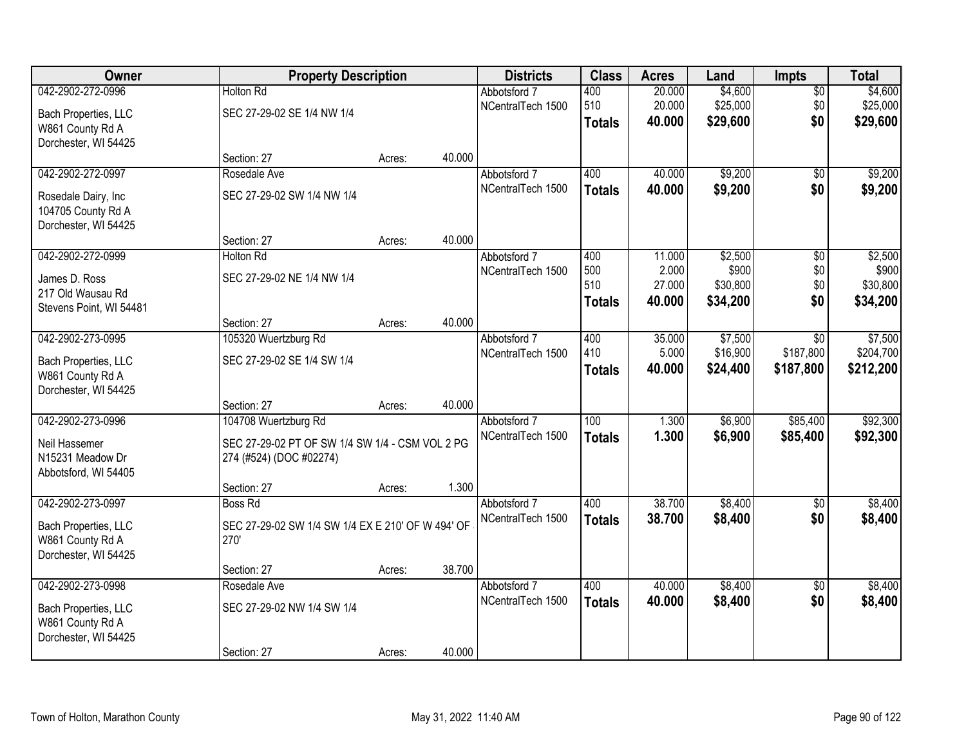| Owner                   | <b>Property Description</b>                       |        |        | <b>Districts</b>  | <b>Class</b>     | <b>Acres</b> | Land     | <b>Impts</b>    | <b>Total</b> |
|-------------------------|---------------------------------------------------|--------|--------|-------------------|------------------|--------------|----------|-----------------|--------------|
| 042-2902-272-0996       | <b>Holton Rd</b>                                  |        |        | Abbotsford 7      | 400              | 20.000       | \$4,600  | $\overline{50}$ | \$4,600      |
| Bach Properties, LLC    | SEC 27-29-02 SE 1/4 NW 1/4                        |        |        | NCentralTech 1500 | 510              | 20.000       | \$25,000 | \$0             | \$25,000     |
| W861 County Rd A        |                                                   |        |        |                   | <b>Totals</b>    | 40.000       | \$29,600 | \$0             | \$29,600     |
| Dorchester, WI 54425    |                                                   |        |        |                   |                  |              |          |                 |              |
|                         | Section: 27                                       | Acres: | 40.000 |                   |                  |              |          |                 |              |
| 042-2902-272-0997       | Rosedale Ave                                      |        |        | Abbotsford 7      | 400              | 40.000       | \$9,200  | \$0             | \$9,200      |
| Rosedale Dairy, Inc     | SEC 27-29-02 SW 1/4 NW 1/4                        |        |        | NCentralTech 1500 | <b>Totals</b>    | 40.000       | \$9,200  | \$0             | \$9,200      |
| 104705 County Rd A      |                                                   |        |        |                   |                  |              |          |                 |              |
| Dorchester, WI 54425    |                                                   |        |        |                   |                  |              |          |                 |              |
|                         | Section: 27                                       | Acres: | 40.000 |                   |                  |              |          |                 |              |
| 042-2902-272-0999       | <b>Holton Rd</b>                                  |        |        | Abbotsford 7      | 400              | 11.000       | \$2,500  | $\overline{50}$ | \$2,500      |
| James D. Ross           | SEC 27-29-02 NE 1/4 NW 1/4                        |        |        | NCentralTech 1500 | 500              | 2.000        | \$900    | \$0             | \$900        |
| 217 Old Wausau Rd       |                                                   |        |        |                   | 510              | 27.000       | \$30,800 | \$0             | \$30,800     |
| Stevens Point, WI 54481 |                                                   |        |        |                   | <b>Totals</b>    | 40.000       | \$34,200 | \$0             | \$34,200     |
|                         | Section: 27                                       | Acres: | 40.000 |                   |                  |              |          |                 |              |
| 042-2902-273-0995       | 105320 Wuertzburg Rd                              |        |        | Abbotsford 7      | 400              | 35.000       | \$7,500  | $\overline{30}$ | \$7,500      |
| Bach Properties, LLC    | SEC 27-29-02 SE 1/4 SW 1/4                        |        |        | NCentralTech 1500 | 410              | 5.000        | \$16,900 | \$187,800       | \$204,700    |
| W861 County Rd A        |                                                   |        |        |                   | <b>Totals</b>    | 40.000       | \$24,400 | \$187,800       | \$212,200    |
| Dorchester, WI 54425    |                                                   |        |        |                   |                  |              |          |                 |              |
|                         | Section: 27                                       | Acres: | 40.000 |                   |                  |              |          |                 |              |
| 042-2902-273-0996       | 104708 Wuertzburg Rd                              |        |        | Abbotsford 7      | $\overline{100}$ | 1.300        | \$6,900  | \$85,400        | \$92,300     |
| Neil Hassemer           | SEC 27-29-02 PT OF SW 1/4 SW 1/4 - CSM VOL 2 PG   |        |        | NCentralTech 1500 | <b>Totals</b>    | 1.300        | \$6,900  | \$85,400        | \$92,300     |
| N15231 Meadow Dr        | 274 (#524) (DOC #02274)                           |        |        |                   |                  |              |          |                 |              |
| Abbotsford, WI 54405    |                                                   |        |        |                   |                  |              |          |                 |              |
|                         | Section: 27                                       | Acres: | 1.300  |                   |                  |              |          |                 |              |
| 042-2902-273-0997       | <b>Boss Rd</b>                                    |        |        | Abbotsford 7      | 400              | 38.700       | \$8,400  | $\overline{50}$ | \$8,400      |
| Bach Properties, LLC    | SEC 27-29-02 SW 1/4 SW 1/4 EX E 210' OF W 494' OF |        |        | NCentralTech 1500 | <b>Totals</b>    | 38.700       | \$8,400  | \$0             | \$8,400      |
| W861 County Rd A        | 270'                                              |        |        |                   |                  |              |          |                 |              |
| Dorchester, WI 54425    |                                                   |        |        |                   |                  |              |          |                 |              |
|                         | Section: 27                                       | Acres: | 38.700 |                   |                  |              |          |                 |              |
| 042-2902-273-0998       | Rosedale Ave                                      |        |        | Abbotsford 7      | 400              | 40.000       | \$8,400  | $\overline{50}$ | \$8,400      |
| Bach Properties, LLC    | SEC 27-29-02 NW 1/4 SW 1/4                        |        |        | NCentralTech 1500 | <b>Totals</b>    | 40.000       | \$8,400  | \$0             | \$8,400      |
| W861 County Rd A        |                                                   |        |        |                   |                  |              |          |                 |              |
| Dorchester, WI 54425    |                                                   |        |        |                   |                  |              |          |                 |              |
|                         | Section: 27                                       | Acres: | 40.000 |                   |                  |              |          |                 |              |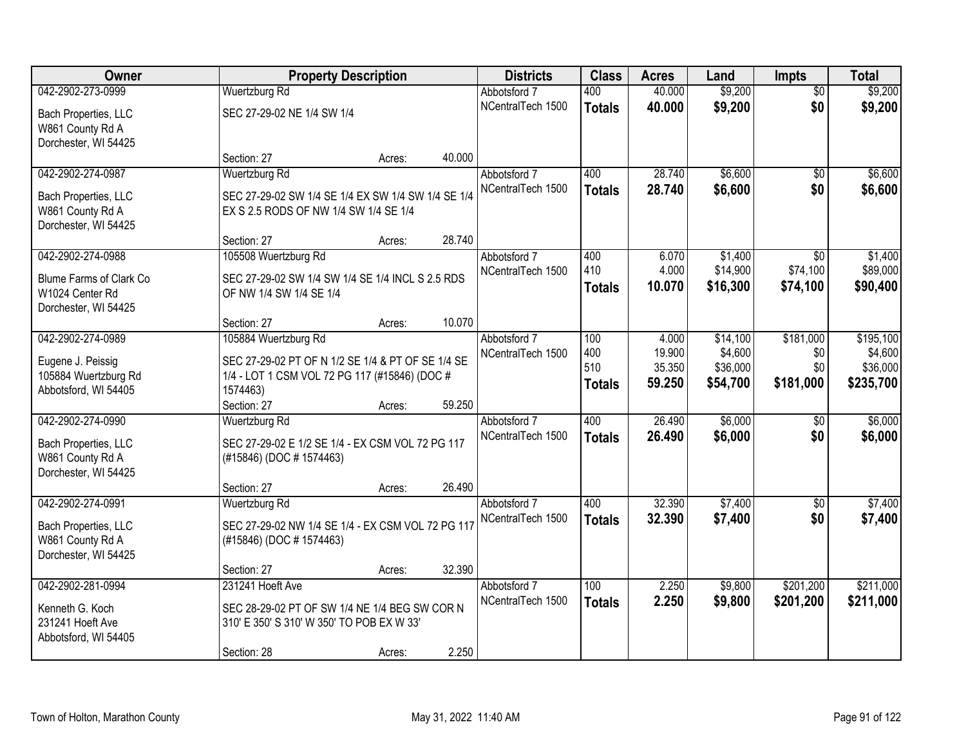| Owner                                                              |                                                                                             | <b>Property Description</b> |        | <b>Districts</b>                  | <b>Class</b>         | <b>Acres</b>     | Land                 | <b>Impts</b>         | <b>Total</b>         |
|--------------------------------------------------------------------|---------------------------------------------------------------------------------------------|-----------------------------|--------|-----------------------------------|----------------------|------------------|----------------------|----------------------|----------------------|
| 042-2902-273-0999                                                  | <b>Wuertzburg Rd</b>                                                                        |                             |        | Abbotsford 7                      | 400                  | 40.000           | \$9,200              | $\overline{50}$      | \$9,200              |
| Bach Properties, LLC<br>W861 County Rd A<br>Dorchester, WI 54425   | SEC 27-29-02 NE 1/4 SW 1/4                                                                  |                             |        | NCentralTech 1500                 | <b>Totals</b>        | 40.000           | \$9,200              | \$0                  | \$9,200              |
|                                                                    | Section: 27                                                                                 | Acres:                      | 40.000 |                                   |                      |                  |                      |                      |                      |
| 042-2902-274-0987                                                  | <b>Wuertzburg Rd</b>                                                                        |                             |        | Abbotsford 7<br>NCentralTech 1500 | 400                  | 28.740<br>28.740 | \$6,600<br>\$6,600   | \$0<br>\$0           | \$6,600<br>\$6,600   |
| Bach Properties, LLC<br>W861 County Rd A<br>Dorchester, WI 54425   | SEC 27-29-02 SW 1/4 SE 1/4 EX SW 1/4 SW 1/4 SE 1/4<br>EX S 2.5 RODS OF NW 1/4 SW 1/4 SE 1/4 |                             |        |                                   | <b>Totals</b>        |                  |                      |                      |                      |
|                                                                    | Section: 27                                                                                 | Acres:                      | 28.740 |                                   |                      |                  |                      |                      |                      |
| 042-2902-274-0988                                                  | 105508 Wuertzburg Rd                                                                        |                             |        | Abbotsford 7                      | 400                  | 6.070            | \$1,400              | $\sqrt{6}$           | \$1,400              |
| Blume Farms of Clark Co<br>W1024 Center Rd<br>Dorchester, WI 54425 | SEC 27-29-02 SW 1/4 SW 1/4 SE 1/4 INCL S 2.5 RDS<br>OF NW 1/4 SW 1/4 SE 1/4                 |                             |        | NCentralTech 1500                 | 410<br><b>Totals</b> | 4.000<br>10.070  | \$14,900<br>\$16,300 | \$74,100<br>\$74,100 | \$89,000<br>\$90,400 |
|                                                                    | Section: 27                                                                                 | Acres:                      | 10.070 |                                   |                      |                  |                      |                      |                      |
| 042-2902-274-0989                                                  | 105884 Wuertzburg Rd                                                                        |                             |        | Abbotsford 7                      | 100                  | 4.000            | \$14,100             | \$181,000            | \$195,100            |
| Eugene J. Peissig                                                  | SEC 27-29-02 PT OF N 1/2 SE 1/4 & PT OF SE 1/4 SE                                           |                             |        | NCentralTech 1500                 | 400                  | 19.900           | \$4,600              | \$0                  | \$4,600              |
| 105884 Wuertzburg Rd                                               | 1/4 - LOT 1 CSM VOL 72 PG 117 (#15846) (DOC #                                               |                             |        |                                   | 510                  | 35.350           | \$36,000             | \$0                  | \$36,000             |
| Abbotsford, WI 54405                                               | 1574463)                                                                                    |                             |        |                                   | <b>Totals</b>        | 59.250           | \$54,700             | \$181,000            | \$235,700            |
|                                                                    | Section: 27                                                                                 | Acres:                      | 59.250 |                                   |                      |                  |                      |                      |                      |
| 042-2902-274-0990                                                  | Wuertzburg Rd                                                                               |                             |        | Abbotsford 7                      | 400                  | 26.490           | \$6,000              | \$0                  | \$6,000              |
| Bach Properties, LLC<br>W861 County Rd A<br>Dorchester, WI 54425   | SEC 27-29-02 E 1/2 SE 1/4 - EX CSM VOL 72 PG 117<br>(#15846) (DOC # 1574463)                |                             |        | NCentralTech 1500                 | <b>Totals</b>        | 26.490           | \$6,000              | \$0                  | \$6,000              |
|                                                                    | Section: 27                                                                                 | Acres:                      | 26.490 |                                   |                      |                  |                      |                      |                      |
| 042-2902-274-0991                                                  | Wuertzburg Rd                                                                               |                             |        | Abbotsford 7                      | 400                  | 32.390           | \$7,400              | \$0                  | \$7,400              |
| Bach Properties, LLC<br>W861 County Rd A<br>Dorchester, WI 54425   | SEC 27-29-02 NW 1/4 SE 1/4 - EX CSM VOL 72 PG 117<br>(#15846) (DOC # 1574463)               |                             |        | NCentralTech 1500                 | <b>Totals</b>        | 32.390           | \$7,400              | \$0                  | \$7,400              |
|                                                                    | Section: 27                                                                                 | Acres:                      | 32.390 |                                   |                      |                  |                      |                      |                      |
| 042-2902-281-0994                                                  | 231241 Hoeft Ave                                                                            |                             |        | Abbotsford 7                      | 100                  | 2.250            | \$9,800              | \$201,200            | \$211,000            |
| Kenneth G. Koch                                                    | SEC 28-29-02 PT OF SW 1/4 NE 1/4 BEG SW COR N                                               |                             |        | NCentralTech 1500                 | <b>Totals</b>        | 2.250            | \$9,800              | \$201,200            | \$211,000            |
| 231241 Hoeft Ave<br>Abbotsford, WI 54405                           | 310' E 350' S 310' W 350' TO POB EX W 33'                                                   |                             |        |                                   |                      |                  |                      |                      |                      |
|                                                                    | Section: 28                                                                                 | Acres:                      | 2.250  |                                   |                      |                  |                      |                      |                      |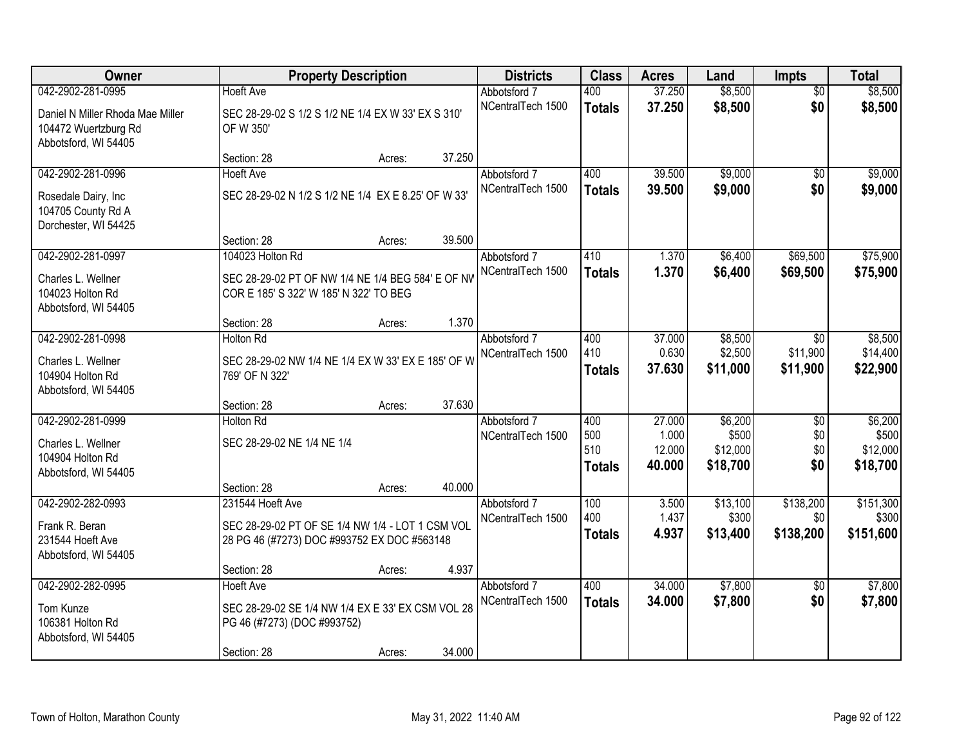| Owner                                                                               |                                                                                                                     | <b>Property Description</b> |        | <b>Districts</b>                  | <b>Class</b>                       | <b>Acres</b>                        | Land                                     | <b>Impts</b>                         | <b>Total</b>                             |
|-------------------------------------------------------------------------------------|---------------------------------------------------------------------------------------------------------------------|-----------------------------|--------|-----------------------------------|------------------------------------|-------------------------------------|------------------------------------------|--------------------------------------|------------------------------------------|
| 042-2902-281-0995                                                                   | <b>Hoeft Ave</b>                                                                                                    |                             |        | Abbotsford 7                      | 400                                | 37.250                              | \$8,500                                  | $\overline{50}$                      | \$8,500                                  |
| Daniel N Miller Rhoda Mae Miller<br>104472 Wuertzburg Rd<br>Abbotsford, WI 54405    | SEC 28-29-02 S 1/2 S 1/2 NE 1/4 EX W 33' EX S 310'<br>OF W 350'                                                     |                             |        | NCentralTech 1500                 | <b>Totals</b>                      | 37.250                              | \$8,500                                  | \$0                                  | \$8,500                                  |
|                                                                                     | Section: 28                                                                                                         | Acres:                      | 37.250 |                                   |                                    |                                     |                                          |                                      |                                          |
| 042-2902-281-0996                                                                   | <b>Hoeft Ave</b>                                                                                                    |                             |        | Abbotsford 7                      | 400                                | 39.500                              | \$9,000                                  | $\overline{50}$                      | \$9,000                                  |
| Rosedale Dairy, Inc.<br>104705 County Rd A<br>Dorchester, WI 54425                  | SEC 28-29-02 N 1/2 S 1/2 NE 1/4 EX E 8.25' OF W 33'                                                                 |                             |        | NCentralTech 1500                 | <b>Totals</b>                      | 39.500                              | \$9,000                                  | \$0                                  | \$9,000                                  |
|                                                                                     | Section: 28                                                                                                         | Acres:                      | 39.500 |                                   |                                    |                                     |                                          |                                      |                                          |
| 042-2902-281-0997                                                                   | 104023 Holton Rd                                                                                                    |                             |        | Abbotsford 7                      | 410                                | 1.370                               | \$6,400                                  | \$69,500                             | \$75,900                                 |
| Charles L. Wellner<br>104023 Holton Rd<br>Abbotsford, WI 54405                      | SEC 28-29-02 PT OF NW 1/4 NE 1/4 BEG 584' E OF NV<br>COR E 185' S 322' W 185' N 322' TO BEG                         |                             |        | NCentralTech 1500                 | <b>Totals</b>                      | 1.370                               | \$6,400                                  | \$69,500                             | \$75,900                                 |
|                                                                                     | Section: 28                                                                                                         | Acres:                      | 1.370  |                                   |                                    |                                     |                                          |                                      |                                          |
| 042-2902-281-0998<br>Charles L. Wellner<br>104904 Holton Rd<br>Abbotsford, WI 54405 | Holton Rd<br>SEC 28-29-02 NW 1/4 NE 1/4 EX W 33' EX E 185' OF W<br>769' OF N 322'                                   |                             |        | Abbotsford 7<br>NCentralTech 1500 | 400<br>410<br><b>Totals</b>        | 37.000<br>0.630<br>37.630           | \$8,500<br>\$2,500<br>\$11,000           | $\sqrt{6}$<br>\$11,900<br>\$11,900   | \$8,500<br>\$14,400<br>\$22,900          |
|                                                                                     | Section: 28                                                                                                         | Acres:                      | 37.630 |                                   |                                    |                                     |                                          |                                      |                                          |
| 042-2902-281-0999<br>Charles L. Wellner<br>104904 Holton Rd<br>Abbotsford, WI 54405 | <b>Holton Rd</b><br>SEC 28-29-02 NE 1/4 NE 1/4                                                                      |                             |        | Abbotsford 7<br>NCentralTech 1500 | 400<br>500<br>510<br><b>Totals</b> | 27.000<br>1.000<br>12.000<br>40.000 | \$6,200<br>\$500<br>\$12,000<br>\$18,700 | $\overline{30}$<br>\$0<br>\$0<br>\$0 | \$6,200<br>\$500<br>\$12,000<br>\$18,700 |
|                                                                                     | Section: 28                                                                                                         | Acres:                      | 40.000 |                                   |                                    |                                     |                                          |                                      |                                          |
| 042-2902-282-0993<br>Frank R. Beran<br>231544 Hoeft Ave<br>Abbotsford, WI 54405     | 231544 Hoeft Ave<br>SEC 28-29-02 PT OF SE 1/4 NW 1/4 - LOT 1 CSM VOL<br>28 PG 46 (#7273) DOC #993752 EX DOC #563148 |                             |        | Abbotsford 7<br>NCentralTech 1500 | 100<br>400<br><b>Totals</b>        | 3.500<br>1.437<br>4.937             | \$13,100<br>\$300<br>\$13,400            | \$138,200<br>\$0<br>\$138,200        | \$151,300<br>\$300<br>\$151,600          |
|                                                                                     | Section: 28                                                                                                         | Acres:                      | 4.937  |                                   |                                    |                                     |                                          |                                      |                                          |
| 042-2902-282-0995<br>Tom Kunze<br>106381 Holton Rd<br>Abbotsford, WI 54405          | <b>Hoeft Ave</b><br>SEC 28-29-02 SE 1/4 NW 1/4 EX E 33' EX CSM VOL 28<br>PG 46 (#7273) (DOC #993752)<br>Section: 28 | Acres:                      | 34.000 | Abbotsford 7<br>NCentralTech 1500 | 400<br><b>Totals</b>               | 34,000<br>34.000                    | \$7,800<br>\$7,800                       | $\overline{50}$<br>\$0               | \$7,800<br>\$7,800                       |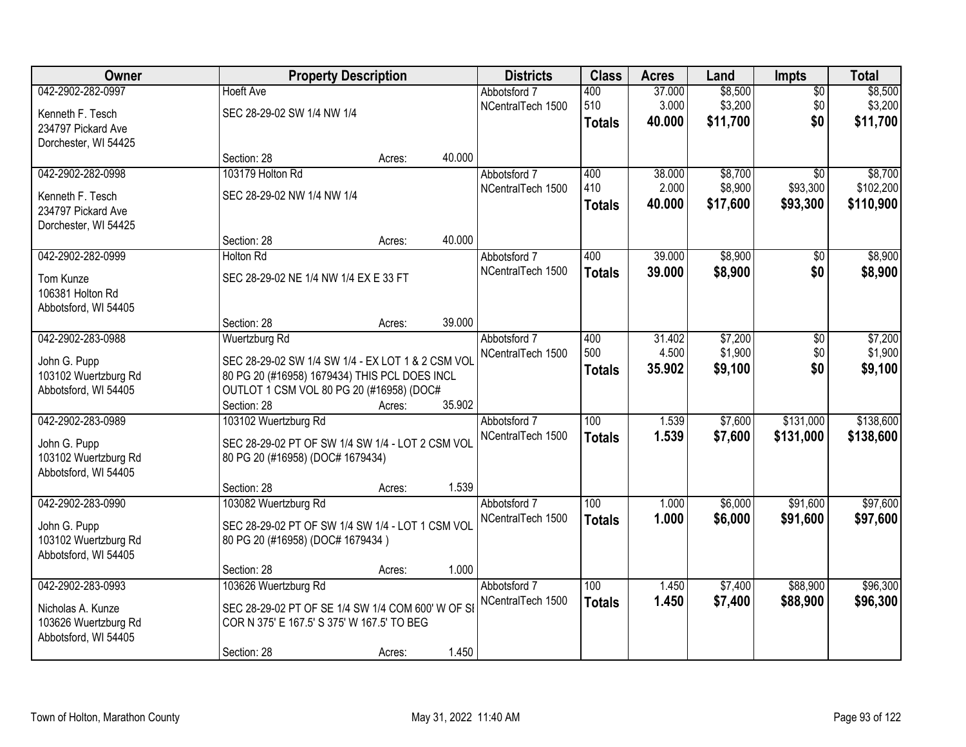| Owner                                     |                                                                                                 | <b>Property Description</b> |        | <b>Districts</b>  | <b>Class</b>  | <b>Acres</b> | Land     | <b>Impts</b>    | <b>Total</b> |
|-------------------------------------------|-------------------------------------------------------------------------------------------------|-----------------------------|--------|-------------------|---------------|--------------|----------|-----------------|--------------|
| 042-2902-282-0997                         | <b>Hoeft Ave</b>                                                                                |                             |        | Abbotsford 7      | 400           | 37.000       | \$8,500  | $\overline{50}$ | \$8,500      |
| Kenneth F. Tesch                          | SEC 28-29-02 SW 1/4 NW 1/4                                                                      |                             |        | NCentralTech 1500 | 510           | 3.000        | \$3,200  | \$0             | \$3,200      |
| 234797 Pickard Ave                        |                                                                                                 |                             |        |                   | <b>Totals</b> | 40.000       | \$11,700 | \$0             | \$11,700     |
| Dorchester, WI 54425                      |                                                                                                 |                             |        |                   |               |              |          |                 |              |
|                                           | Section: 28                                                                                     | Acres:                      | 40.000 |                   |               |              |          |                 |              |
| 042-2902-282-0998                         | 103179 Holton Rd                                                                                |                             |        | Abbotsford 7      | 400           | 38.000       | \$8,700  | $\overline{50}$ | \$8,700      |
| Kenneth F. Tesch                          | SEC 28-29-02 NW 1/4 NW 1/4                                                                      |                             |        | NCentralTech 1500 | 410           | 2.000        | \$8,900  | \$93,300        | \$102,200    |
| 234797 Pickard Ave                        |                                                                                                 |                             |        |                   | Totals        | 40.000       | \$17,600 | \$93,300        | \$110,900    |
| Dorchester, WI 54425                      |                                                                                                 |                             |        |                   |               |              |          |                 |              |
|                                           | Section: 28                                                                                     | Acres:                      | 40.000 |                   |               |              |          |                 |              |
| 042-2902-282-0999                         | <b>Holton Rd</b>                                                                                |                             |        | Abbotsford 7      | 400           | 39.000       | \$8,900  | $\sqrt[6]{}$    | \$8,900      |
| Tom Kunze                                 | SEC 28-29-02 NE 1/4 NW 1/4 EX E 33 FT                                                           |                             |        | NCentralTech 1500 | <b>Totals</b> | 39.000       | \$8,900  | \$0             | \$8,900      |
| 106381 Holton Rd                          |                                                                                                 |                             |        |                   |               |              |          |                 |              |
| Abbotsford, WI 54405                      |                                                                                                 |                             |        |                   |               |              |          |                 |              |
|                                           | Section: 28                                                                                     | Acres:                      | 39.000 |                   |               |              |          |                 |              |
| 042-2902-283-0988                         | Wuertzburg Rd                                                                                   |                             |        | Abbotsford 7      | 400           | 31.402       | \$7,200  | \$0             | \$7,200      |
| John G. Pupp                              | SEC 28-29-02 SW 1/4 SW 1/4 - EX LOT 1 & 2 CSM VOL                                               |                             |        | NCentralTech 1500 | 500           | 4.500        | \$1,900  | \$0             | \$1,900      |
| 103102 Wuertzburg Rd                      | 80 PG 20 (#16958) 1679434) THIS PCL DOES INCL                                                   |                             |        |                   | <b>Totals</b> | 35.902       | \$9,100  | \$0             | \$9,100      |
| Abbotsford, WI 54405                      | OUTLOT 1 CSM VOL 80 PG 20 (#16958) (DOC#                                                        |                             |        |                   |               |              |          |                 |              |
|                                           | Section: 28                                                                                     | Acres:                      | 35.902 |                   |               |              |          |                 |              |
| 042-2902-283-0989                         | 103102 Wuertzburg Rd                                                                            |                             |        | Abbotsford 7      | 100           | 1.539        | \$7,600  | \$131,000       | \$138,600    |
|                                           |                                                                                                 |                             |        | NCentralTech 1500 | <b>Totals</b> | 1.539        | \$7,600  | \$131,000       | \$138,600    |
| John G. Pupp<br>103102 Wuertzburg Rd      | SEC 28-29-02 PT OF SW 1/4 SW 1/4 - LOT 2 CSM VOL<br>80 PG 20 (#16958) (DOC# 1679434)            |                             |        |                   |               |              |          |                 |              |
| Abbotsford, WI 54405                      |                                                                                                 |                             |        |                   |               |              |          |                 |              |
|                                           | Section: 28                                                                                     | Acres:                      | 1.539  |                   |               |              |          |                 |              |
| 042-2902-283-0990                         | 103082 Wuertzburg Rd                                                                            |                             |        | Abbotsford 7      | 100           | 1.000        | \$6,000  | \$91,600        | \$97,600     |
|                                           | SEC 28-29-02 PT OF SW 1/4 SW 1/4 - LOT 1 CSM VOL                                                |                             |        | NCentralTech 1500 | <b>Totals</b> | 1.000        | \$6,000  | \$91,600        | \$97,600     |
| John G. Pupp<br>103102 Wuertzburg Rd      | 80 PG 20 (#16958) (DOC# 1679434)                                                                |                             |        |                   |               |              |          |                 |              |
| Abbotsford, WI 54405                      |                                                                                                 |                             |        |                   |               |              |          |                 |              |
|                                           | Section: 28                                                                                     | Acres:                      | 1.000  |                   |               |              |          |                 |              |
| 042-2902-283-0993                         | 103626 Wuertzburg Rd                                                                            |                             |        | Abbotsford 7      | 100           | 1.450        | \$7,400  | \$88,900        | \$96,300     |
|                                           |                                                                                                 |                             |        | NCentralTech 1500 | <b>Totals</b> | 1.450        | \$7,400  | \$88,900        | \$96,300     |
| Nicholas A. Kunze<br>103626 Wuertzburg Rd | SEC 28-29-02 PT OF SE 1/4 SW 1/4 COM 600' W OF SI<br>COR N 375' E 167.5' S 375' W 167.5' TO BEG |                             |        |                   |               |              |          |                 |              |
| Abbotsford, WI 54405                      |                                                                                                 |                             |        |                   |               |              |          |                 |              |
|                                           | Section: 28                                                                                     | Acres:                      | 1.450  |                   |               |              |          |                 |              |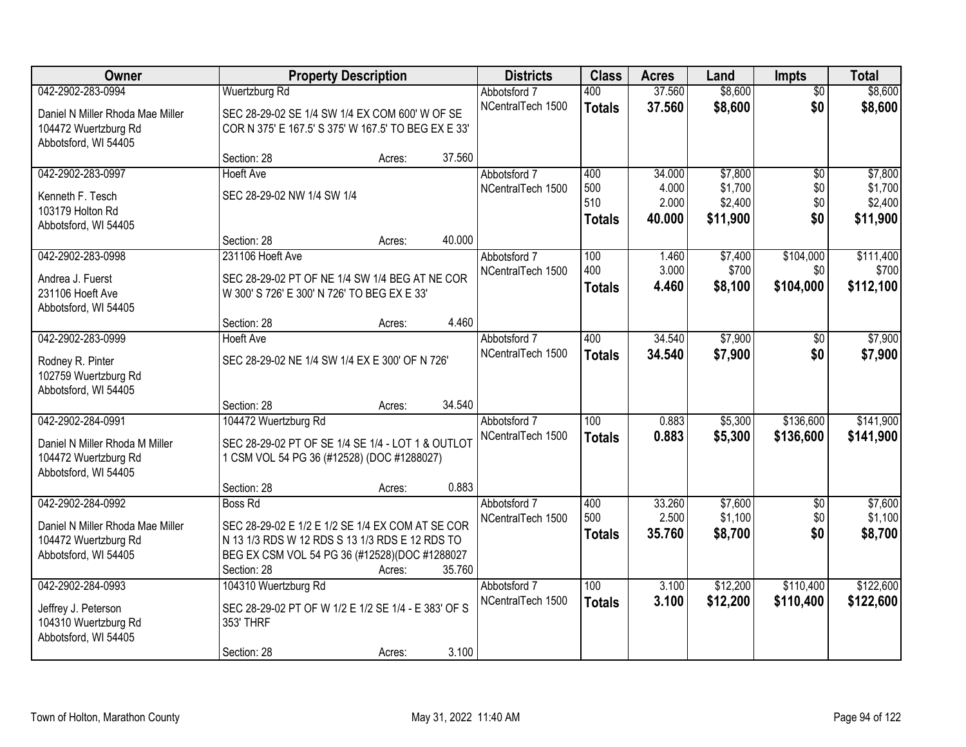| Owner                                                  |                                                                                                 | <b>Property Description</b> |        | <b>Districts</b>                  | <b>Class</b>  | <b>Acres</b>   | Land               | <b>Impts</b>     | <b>Total</b>       |
|--------------------------------------------------------|-------------------------------------------------------------------------------------------------|-----------------------------|--------|-----------------------------------|---------------|----------------|--------------------|------------------|--------------------|
| 042-2902-283-0994                                      | <b>Wuertzburg Rd</b>                                                                            |                             |        | Abbotsford 7                      | 400           | 37.560         | \$8,600            | $\overline{50}$  | \$8,600            |
| Daniel N Miller Rhoda Mae Miller                       | SEC 28-29-02 SE 1/4 SW 1/4 EX COM 600' W OF SE                                                  |                             |        | NCentralTech 1500                 | <b>Totals</b> | 37.560         | \$8,600            | \$0              | \$8,600            |
| 104472 Wuertzburg Rd                                   | COR N 375' E 167.5' S 375' W 167.5' TO BEG EX E 33'                                             |                             |        |                                   |               |                |                    |                  |                    |
| Abbotsford, WI 54405                                   |                                                                                                 |                             |        |                                   |               |                |                    |                  |                    |
|                                                        | Section: 28                                                                                     | Acres:                      | 37.560 |                                   |               |                |                    |                  |                    |
| 042-2902-283-0997                                      | <b>Hoeft Ave</b>                                                                                |                             |        | Abbotsford 7                      | 400           | 34.000         | \$7,800            | $\overline{50}$  | \$7,800            |
| Kenneth F. Tesch                                       | SEC 28-29-02 NW 1/4 SW 1/4                                                                      |                             |        | NCentralTech 1500                 | 500<br>510    | 4.000<br>2.000 | \$1,700<br>\$2,400 | \$0<br>\$0       | \$1,700<br>\$2,400 |
| 103179 Holton Rd                                       |                                                                                                 |                             |        |                                   | <b>Totals</b> | 40.000         | \$11,900           | \$0              | \$11,900           |
| Abbotsford, WI 54405                                   |                                                                                                 |                             |        |                                   |               |                |                    |                  |                    |
|                                                        | Section: 28                                                                                     | Acres:                      | 40.000 |                                   | 100           |                |                    |                  |                    |
| 042-2902-283-0998                                      | 231106 Hoeft Ave                                                                                |                             |        | Abbotsford 7<br>NCentralTech 1500 | 400           | 1.460<br>3.000 | \$7,400<br>\$700   | \$104,000<br>\$0 | \$111,400<br>\$700 |
| Andrea J. Fuerst                                       | SEC 28-29-02 PT OF NE 1/4 SW 1/4 BEG AT NE COR                                                  |                             |        |                                   | <b>Totals</b> | 4.460          | \$8,100            | \$104,000        | \$112,100          |
| 231106 Hoeft Ave                                       | W 300' S 726' E 300' N 726' TO BEG EX E 33'                                                     |                             |        |                                   |               |                |                    |                  |                    |
| Abbotsford, WI 54405                                   |                                                                                                 |                             | 4.460  |                                   |               |                |                    |                  |                    |
| 042-2902-283-0999                                      | Section: 28<br><b>Hoeft Ave</b>                                                                 | Acres:                      |        | Abbotsford 7                      | 400           | 34.540         | \$7,900            | \$0              | \$7,900            |
|                                                        |                                                                                                 |                             |        | NCentralTech 1500                 | <b>Totals</b> | 34.540         | \$7,900            | \$0              | \$7,900            |
| Rodney R. Pinter                                       | SEC 28-29-02 NE 1/4 SW 1/4 EX E 300' OF N 726'                                                  |                             |        |                                   |               |                |                    |                  |                    |
| 102759 Wuertzburg Rd<br>Abbotsford, WI 54405           |                                                                                                 |                             |        |                                   |               |                |                    |                  |                    |
|                                                        | Section: 28                                                                                     | Acres:                      | 34.540 |                                   |               |                |                    |                  |                    |
| 042-2902-284-0991                                      | 104472 Wuertzburg Rd                                                                            |                             |        | Abbotsford 7                      | 100           | 0.883          | \$5,300            | \$136,600        | \$141,900          |
|                                                        |                                                                                                 |                             |        | NCentralTech 1500                 | <b>Totals</b> | 0.883          | \$5,300            | \$136,600        | \$141,900          |
| Daniel N Miller Rhoda M Miller<br>104472 Wuertzburg Rd | SEC 28-29-02 PT OF SE 1/4 SE 1/4 - LOT 1 & OUTLOT<br>1 CSM VOL 54 PG 36 (#12528) (DOC #1288027) |                             |        |                                   |               |                |                    |                  |                    |
| Abbotsford, WI 54405                                   |                                                                                                 |                             |        |                                   |               |                |                    |                  |                    |
|                                                        | Section: 28                                                                                     | Acres:                      | 0.883  |                                   |               |                |                    |                  |                    |
| 042-2902-284-0992                                      | <b>Boss Rd</b>                                                                                  |                             |        | Abbotsford 7                      | 400           | 33.260         | \$7,600            | \$0              | \$7,600            |
| Daniel N Miller Rhoda Mae Miller                       | SEC 28-29-02 E 1/2 E 1/2 SE 1/4 EX COM AT SE COR                                                |                             |        | NCentralTech 1500                 | 500           | 2.500          | \$1,100            | \$0              | \$1,100            |
| 104472 Wuertzburg Rd                                   | N 13 1/3 RDS W 12 RDS S 13 1/3 RDS E 12 RDS TO                                                  |                             |        |                                   | <b>Totals</b> | 35.760         | \$8,700            | \$0              | \$8,700            |
| Abbotsford, WI 54405                                   | BEG EX CSM VOL 54 PG 36 (#12528)(DOC #1288027                                                   |                             |        |                                   |               |                |                    |                  |                    |
|                                                        | Section: 28                                                                                     | Acres:                      | 35.760 |                                   |               |                |                    |                  |                    |
| 042-2902-284-0993                                      | 104310 Wuertzburg Rd                                                                            |                             |        | Abbotsford 7                      | 100           | 3.100          | \$12,200           | \$110,400        | \$122,600          |
| Jeffrey J. Peterson                                    | SEC 28-29-02 PT OF W 1/2 E 1/2 SE 1/4 - E 383' OF S                                             |                             |        | NCentralTech 1500                 | <b>Totals</b> | 3.100          | \$12,200           | \$110,400        | \$122,600          |
| 104310 Wuertzburg Rd                                   | 353' THRF                                                                                       |                             |        |                                   |               |                |                    |                  |                    |
| Abbotsford, WI 54405                                   |                                                                                                 |                             |        |                                   |               |                |                    |                  |                    |
|                                                        | Section: 28                                                                                     | Acres:                      | 3.100  |                                   |               |                |                    |                  |                    |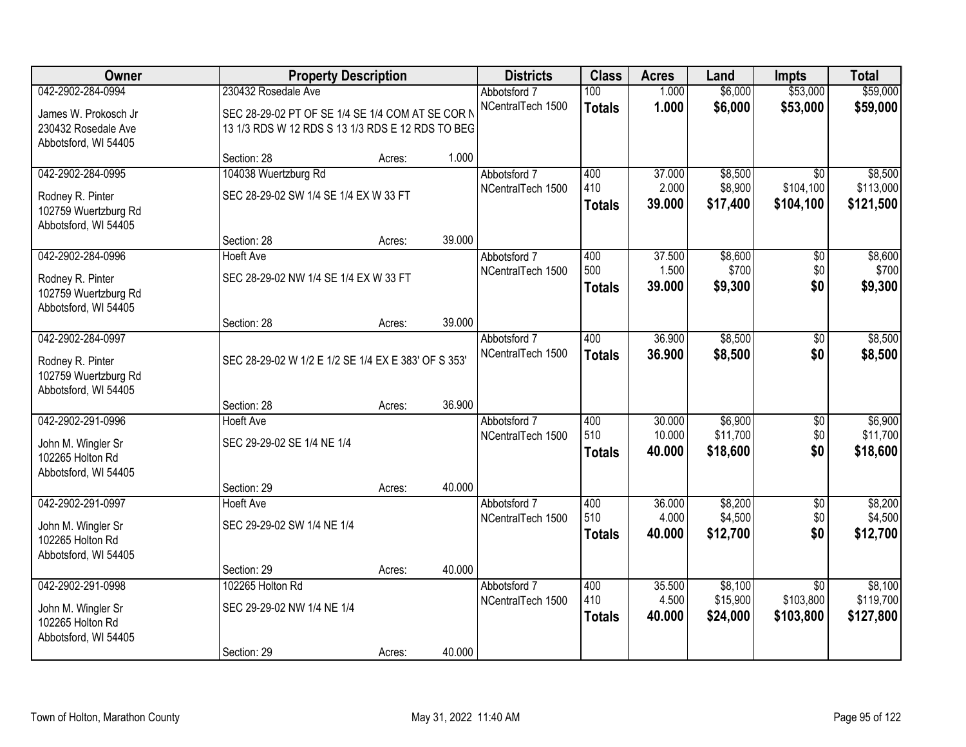| Owner                                        |                                                     | <b>Property Description</b> |        | <b>Districts</b>                  | <b>Class</b>  | <b>Acres</b>    | Land                | <b>Impts</b>           | <b>Total</b>           |
|----------------------------------------------|-----------------------------------------------------|-----------------------------|--------|-----------------------------------|---------------|-----------------|---------------------|------------------------|------------------------|
| 042-2902-284-0994                            | 230432 Rosedale Ave                                 |                             |        | Abbotsford 7                      | 100           | 1.000           | \$6,000             | \$53,000               | \$59,000               |
| James W. Prokosch Jr                         | SEC 28-29-02 PT OF SE 1/4 SE 1/4 COM AT SE COR N    |                             |        | NCentralTech 1500                 | <b>Totals</b> | 1.000           | \$6,000             | \$53,000               | \$59,000               |
| 230432 Rosedale Ave                          | 13 1/3 RDS W 12 RDS S 13 1/3 RDS E 12 RDS TO BEG    |                             |        |                                   |               |                 |                     |                        |                        |
| Abbotsford, WI 54405                         |                                                     |                             |        |                                   |               |                 |                     |                        |                        |
|                                              | Section: 28                                         | Acres:                      | 1.000  |                                   |               |                 |                     |                        |                        |
| 042-2902-284-0995                            | 104038 Wuertzburg Rd                                |                             |        | Abbotsford 7                      | 400           | 37.000          | \$8,500             | $\overline{50}$        | \$8,500                |
| Rodney R. Pinter                             | SEC 28-29-02 SW 1/4 SE 1/4 EX W 33 FT               |                             |        | NCentralTech 1500                 | 410           | 2.000<br>39.000 | \$8,900<br>\$17,400 | \$104,100<br>\$104,100 | \$113,000<br>\$121,500 |
| 102759 Wuertzburg Rd                         |                                                     |                             |        |                                   | <b>Totals</b> |                 |                     |                        |                        |
| Abbotsford, WI 54405                         |                                                     |                             |        |                                   |               |                 |                     |                        |                        |
|                                              | Section: 28                                         | Acres:                      | 39.000 |                                   |               |                 |                     |                        |                        |
| 042-2902-284-0996                            | <b>Hoeft Ave</b>                                    |                             |        | Abbotsford 7<br>NCentralTech 1500 | 400<br>500    | 37.500<br>1.500 | \$8,600<br>\$700    | \$0<br>\$0             | \$8,600<br>\$700       |
| Rodney R. Pinter                             | SEC 28-29-02 NW 1/4 SE 1/4 EX W 33 FT               |                             |        |                                   | <b>Totals</b> | 39.000          | \$9,300             | \$0                    | \$9,300                |
| 102759 Wuertzburg Rd                         |                                                     |                             |        |                                   |               |                 |                     |                        |                        |
| Abbotsford, WI 54405                         |                                                     |                             | 39.000 |                                   |               |                 |                     |                        |                        |
| 042-2902-284-0997                            | Section: 28                                         | Acres:                      |        | Abbotsford 7                      | 400           | 36.900          | \$8,500             | \$0                    | \$8,500                |
|                                              |                                                     |                             |        | NCentralTech 1500                 | <b>Totals</b> | 36,900          | \$8,500             | \$0                    | \$8,500                |
| Rodney R. Pinter                             | SEC 28-29-02 W 1/2 E 1/2 SE 1/4 EX E 383' OF S 353' |                             |        |                                   |               |                 |                     |                        |                        |
| 102759 Wuertzburg Rd<br>Abbotsford, WI 54405 |                                                     |                             |        |                                   |               |                 |                     |                        |                        |
|                                              | Section: 28                                         | Acres:                      | 36.900 |                                   |               |                 |                     |                        |                        |
| 042-2902-291-0996                            | <b>Hoeft Ave</b>                                    |                             |        | Abbotsford 7                      | 400           | 30.000          | \$6,900             | $\overline{50}$        | \$6,900                |
|                                              |                                                     |                             |        | NCentralTech 1500                 | 510           | 10.000          | \$11,700            | \$0                    | \$11,700               |
| John M. Wingler Sr<br>102265 Holton Rd       | SEC 29-29-02 SE 1/4 NE 1/4                          |                             |        |                                   | <b>Totals</b> | 40.000          | \$18,600            | \$0                    | \$18,600               |
| Abbotsford, WI 54405                         |                                                     |                             |        |                                   |               |                 |                     |                        |                        |
|                                              | Section: 29                                         | Acres:                      | 40.000 |                                   |               |                 |                     |                        |                        |
| 042-2902-291-0997                            | <b>Hoeft Ave</b>                                    |                             |        | Abbotsford 7                      | 400           | 36.000          | \$8,200             | $\overline{50}$        | \$8,200                |
| John M. Wingler Sr                           | SEC 29-29-02 SW 1/4 NE 1/4                          |                             |        | NCentralTech 1500                 | 510           | 4.000           | \$4,500             | \$0                    | \$4,500                |
| 102265 Holton Rd                             |                                                     |                             |        |                                   | <b>Totals</b> | 40.000          | \$12,700            | \$0                    | \$12,700               |
| Abbotsford, WI 54405                         |                                                     |                             |        |                                   |               |                 |                     |                        |                        |
|                                              | Section: 29                                         | Acres:                      | 40.000 |                                   |               |                 |                     |                        |                        |
| 042-2902-291-0998                            | 102265 Holton Rd                                    |                             |        | Abbotsford 7                      | 400           | 35.500          | \$8,100             | $\overline{30}$        | \$8,100                |
| John M. Wingler Sr                           | SEC 29-29-02 NW 1/4 NE 1/4                          |                             |        | NCentralTech 1500                 | 410           | 4.500           | \$15,900            | \$103,800              | \$119,700              |
| 102265 Holton Rd                             |                                                     |                             |        |                                   | <b>Totals</b> | 40.000          | \$24,000            | \$103,800              | \$127,800              |
| Abbotsford, WI 54405                         |                                                     |                             |        |                                   |               |                 |                     |                        |                        |
|                                              | Section: 29                                         | Acres:                      | 40.000 |                                   |               |                 |                     |                        |                        |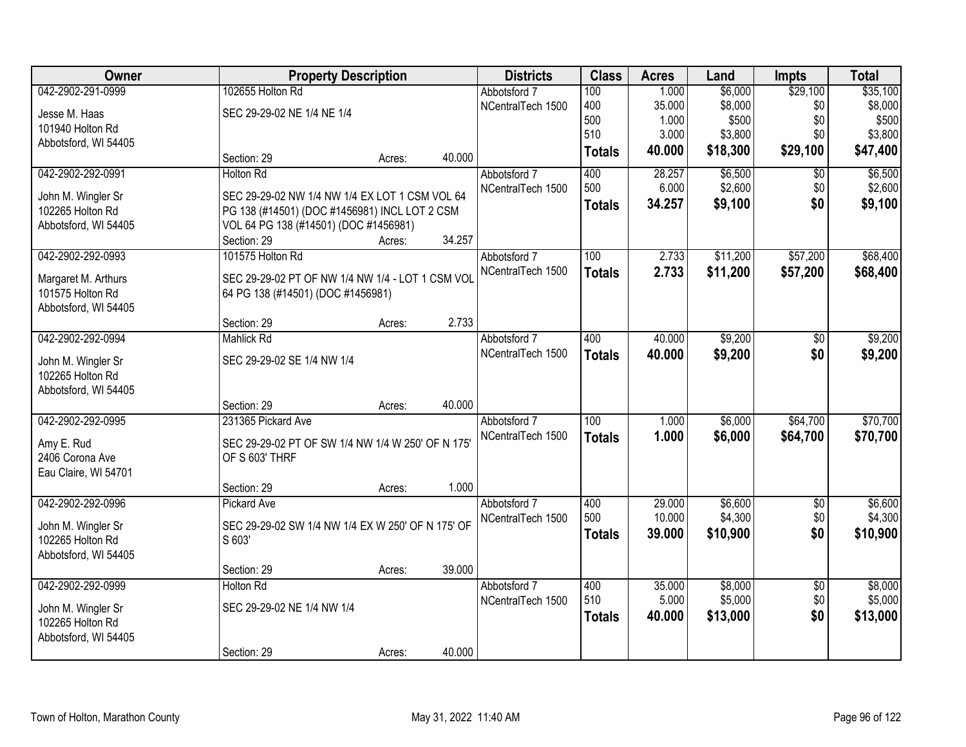| Owner                         |                                                                     | <b>Property Description</b> |        |                   | <b>Class</b>     | <b>Acres</b> | Land     | <b>Impts</b>    | <b>Total</b> |
|-------------------------------|---------------------------------------------------------------------|-----------------------------|--------|-------------------|------------------|--------------|----------|-----------------|--------------|
| 042-2902-291-0999             | 102655 Holton Rd                                                    |                             |        | Abbotsford 7      | 100              | 1.000        | \$6,000  | \$29,100        | \$35,100     |
| Jesse M. Haas                 | SEC 29-29-02 NE 1/4 NE 1/4                                          |                             |        | NCentralTech 1500 | 400              | 35.000       | \$8,000  | \$0             | \$8,000      |
| 101940 Holton Rd              |                                                                     |                             |        |                   | 500              | 1.000        | \$500    | \$0             | \$500        |
| Abbotsford, WI 54405          |                                                                     |                             |        |                   | 510              | 3.000        | \$3,800  | \$0             | \$3,800      |
|                               | Section: 29                                                         | Acres:                      | 40.000 |                   | <b>Totals</b>    | 40.000       | \$18,300 | \$29,100        | \$47,400     |
| 042-2902-292-0991             | <b>Holton Rd</b>                                                    |                             |        | Abbotsford 7      | 400              | 28.257       | \$6,500  | \$0             | \$6,500      |
| John M. Wingler Sr            | SEC 29-29-02 NW 1/4 NW 1/4 EX LOT 1 CSM VOL 64                      |                             |        | NCentralTech 1500 | 500              | 6.000        | \$2,600  | \$0             | \$2,600      |
| 102265 Holton Rd              | PG 138 (#14501) (DOC #1456981) INCL LOT 2 CSM                       |                             |        |                   | <b>Totals</b>    | 34.257       | \$9,100  | \$0             | \$9,100      |
| Abbotsford, WI 54405          | VOL 64 PG 138 (#14501) (DOC #1456981)                               |                             |        |                   |                  |              |          |                 |              |
|                               | Section: 29                                                         | Acres:                      | 34.257 |                   |                  |              |          |                 |              |
| 042-2902-292-0993             | 101575 Holton Rd                                                    |                             |        | Abbotsford 7      | 100              | 2.733        | \$11,200 | \$57,200        | \$68,400     |
| Margaret M. Arthurs           | SEC 29-29-02 PT OF NW 1/4 NW 1/4 - LOT 1 CSM VOL                    |                             |        | NCentralTech 1500 | <b>Totals</b>    | 2.733        | \$11,200 | \$57,200        | \$68,400     |
| 101575 Holton Rd              | 64 PG 138 (#14501) (DOC #1456981)                                   |                             |        |                   |                  |              |          |                 |              |
| Abbotsford, WI 54405          |                                                                     |                             |        |                   |                  |              |          |                 |              |
|                               | Section: 29                                                         | Acres:                      | 2.733  |                   |                  |              |          |                 |              |
| 042-2902-292-0994             | <b>Mahlick Rd</b>                                                   |                             |        | Abbotsford 7      | 400              | 40.000       | \$9,200  | \$0             | \$9,200      |
| John M. Wingler Sr            | SEC 29-29-02 SE 1/4 NW 1/4                                          |                             |        | NCentralTech 1500 | <b>Totals</b>    | 40.000       | \$9,200  | \$0             | \$9,200      |
| 102265 Holton Rd              |                                                                     |                             |        |                   |                  |              |          |                 |              |
| Abbotsford, WI 54405          |                                                                     |                             |        |                   |                  |              |          |                 |              |
|                               | Section: 29                                                         | Acres:                      | 40.000 |                   |                  |              |          |                 |              |
| 042-2902-292-0995             | 231365 Pickard Ave                                                  |                             |        | Abbotsford 7      | $\overline{100}$ | 1.000        | \$6,000  | \$64,700        | \$70,700     |
|                               |                                                                     |                             |        | NCentralTech 1500 | <b>Totals</b>    | 1.000        | \$6,000  | \$64,700        | \$70,700     |
| Amy E. Rud<br>2406 Corona Ave | SEC 29-29-02 PT OF SW 1/4 NW 1/4 W 250' OF N 175'<br>OF S 603' THRF |                             |        |                   |                  |              |          |                 |              |
| Eau Claire, WI 54701          |                                                                     |                             |        |                   |                  |              |          |                 |              |
|                               | Section: 29                                                         | Acres:                      | 1.000  |                   |                  |              |          |                 |              |
| 042-2902-292-0996             | <b>Pickard Ave</b>                                                  |                             |        | Abbotsford 7      | 400              | 29.000       | \$6,600  | $\sqrt{6}$      | \$6,600      |
| John M. Wingler Sr            | SEC 29-29-02 SW 1/4 NW 1/4 EX W 250' OF N 175' OF                   |                             |        | NCentralTech 1500 | 500              | 10.000       | \$4,300  | \$0             | \$4,300      |
| 102265 Holton Rd              | S 603'                                                              |                             |        |                   | <b>Totals</b>    | 39.000       | \$10,900 | \$0             | \$10,900     |
| Abbotsford, WI 54405          |                                                                     |                             |        |                   |                  |              |          |                 |              |
|                               | Section: 29                                                         | Acres:                      | 39.000 |                   |                  |              |          |                 |              |
| 042-2902-292-0999             | <b>Holton Rd</b>                                                    |                             |        | Abbotsford 7      | 400              | 35.000       | \$8,000  | $\overline{50}$ | \$8,000      |
| John M. Wingler Sr            | SEC 29-29-02 NE 1/4 NW 1/4                                          |                             |        | NCentralTech 1500 | 510              | 5.000        | \$5,000  | \$0             | \$5,000      |
| 102265 Holton Rd              |                                                                     |                             |        |                   | <b>Totals</b>    | 40.000       | \$13,000 | \$0             | \$13,000     |
| Abbotsford, WI 54405          |                                                                     |                             |        |                   |                  |              |          |                 |              |
|                               | Section: 29                                                         | Acres:                      | 40.000 |                   |                  |              |          |                 |              |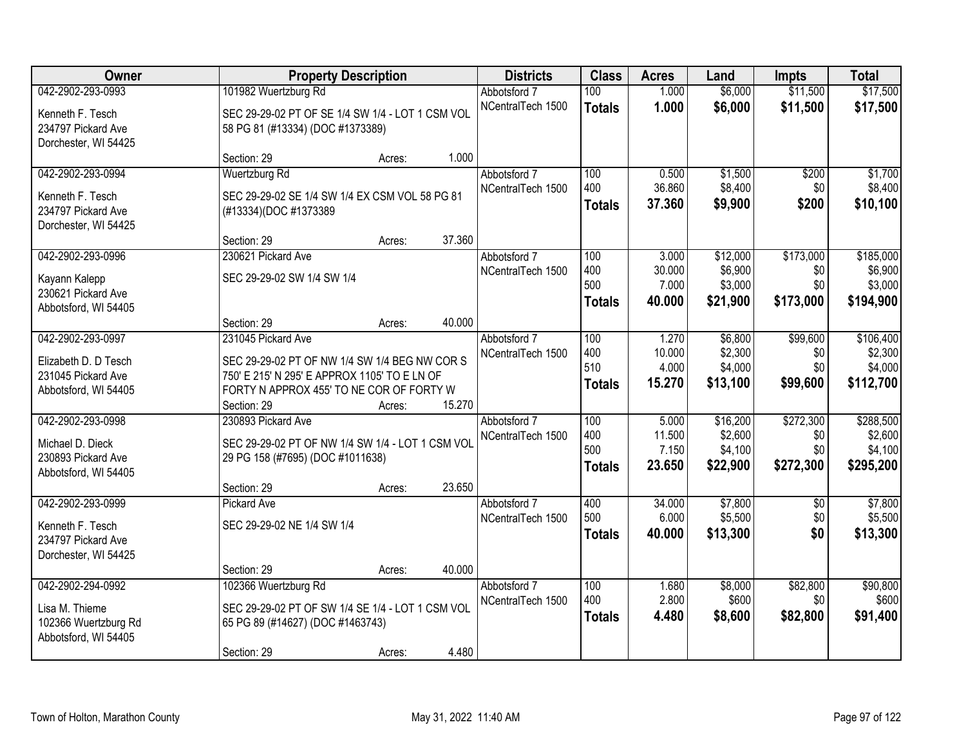| Owner                |                                                  | <b>Property Description</b> |        | <b>Districts</b>  | <b>Class</b>     | <b>Acres</b>    | Land                | <b>Impts</b>    | <b>Total</b>       |
|----------------------|--------------------------------------------------|-----------------------------|--------|-------------------|------------------|-----------------|---------------------|-----------------|--------------------|
| 042-2902-293-0993    | 101982 Wuertzburg Rd                             |                             |        | Abbotsford 7      | 100 <sub>1</sub> | 1.000           | \$6,000             | \$11,500        | \$17,500           |
| Kenneth F. Tesch     | SEC 29-29-02 PT OF SE 1/4 SW 1/4 - LOT 1 CSM VOL |                             |        | NCentralTech 1500 | <b>Totals</b>    | 1.000           | \$6,000             | \$11,500        | \$17,500           |
| 234797 Pickard Ave   | 58 PG 81 (#13334) (DOC #1373389)                 |                             |        |                   |                  |                 |                     |                 |                    |
| Dorchester, WI 54425 |                                                  |                             |        |                   |                  |                 |                     |                 |                    |
|                      | Section: 29                                      | Acres:                      | 1.000  |                   |                  |                 |                     |                 |                    |
| 042-2902-293-0994    | <b>Wuertzburg Rd</b>                             |                             |        | Abbotsford 7      | 100              | 0.500           | \$1,500             | \$200           | \$1,700            |
| Kenneth F. Tesch     | SEC 29-29-02 SE 1/4 SW 1/4 EX CSM VOL 58 PG 81   |                             |        | NCentralTech 1500 | 400              | 36.860          | \$8,400             | \$0             | \$8,400            |
| 234797 Pickard Ave   | (#13334)(DOC #1373389                            |                             |        |                   | <b>Totals</b>    | 37.360          | \$9,900             | \$200           | \$10,100           |
| Dorchester, WI 54425 |                                                  |                             |        |                   |                  |                 |                     |                 |                    |
|                      | Section: 29                                      | Acres:                      | 37.360 |                   |                  |                 |                     |                 |                    |
| 042-2902-293-0996    | 230621 Pickard Ave                               |                             |        | Abbotsford 7      | 100              | 3.000           | \$12,000            | \$173,000       | \$185,000          |
| Kayann Kalepp        | SEC 29-29-02 SW 1/4 SW 1/4                       |                             |        | NCentralTech 1500 | 400<br>500       | 30.000<br>7.000 | \$6,900             | \$0<br>\$0      | \$6,900<br>\$3,000 |
| 230621 Pickard Ave   |                                                  |                             |        |                   |                  | 40.000          | \$3,000<br>\$21,900 | \$173,000       | \$194,900          |
| Abbotsford, WI 54405 |                                                  |                             |        |                   | <b>Totals</b>    |                 |                     |                 |                    |
|                      | Section: 29                                      | Acres:                      | 40.000 |                   |                  |                 |                     |                 |                    |
| 042-2902-293-0997    | 231045 Pickard Ave                               |                             |        | Abbotsford 7      | 100              | 1.270           | \$6,800             | \$99,600        | \$106,400          |
| Elizabeth D. D Tesch | SEC 29-29-02 PT OF NW 1/4 SW 1/4 BEG NW COR S    |                             |        | NCentralTech 1500 | 400<br>510       | 10.000<br>4.000 | \$2,300<br>\$4,000  | \$0<br>\$0      | \$2,300<br>\$4,000 |
| 231045 Pickard Ave   | 750' E 215' N 295' E APPROX 1105' TO E LN OF     |                             |        |                   |                  | 15.270          | \$13,100            | \$99,600        | \$112,700          |
| Abbotsford, WI 54405 | FORTY N APPROX 455' TO NE COR OF FORTY W         |                             |        |                   | <b>Totals</b>    |                 |                     |                 |                    |
|                      | Section: 29                                      | Acres:                      | 15.270 |                   |                  |                 |                     |                 |                    |
| 042-2902-293-0998    | 230893 Pickard Ave                               |                             |        | Abbotsford 7      | 100              | 5.000           | \$16,200            | \$272,300       | \$288,500          |
| Michael D. Dieck     | SEC 29-29-02 PT OF NW 1/4 SW 1/4 - LOT 1 CSM VOL |                             |        | NCentralTech 1500 | 400<br>500       | 11.500<br>7.150 | \$2,600<br>\$4,100  | \$0<br>\$0      | \$2,600<br>\$4,100 |
| 230893 Pickard Ave   | 29 PG 158 (#7695) (DOC #1011638)                 |                             |        |                   | <b>Totals</b>    | 23.650          | \$22,900            | \$272,300       | \$295,200          |
| Abbotsford, WI 54405 |                                                  |                             |        |                   |                  |                 |                     |                 |                    |
|                      | Section: 29                                      | Acres:                      | 23.650 |                   |                  |                 |                     |                 |                    |
| 042-2902-293-0999    | <b>Pickard Ave</b>                               |                             |        | Abbotsford 7      | 400              | 34.000          | \$7,800             | $\overline{50}$ | \$7,800            |
| Kenneth F. Tesch     | SEC 29-29-02 NE 1/4 SW 1/4                       |                             |        | NCentralTech 1500 | 500              | 6.000<br>40.000 | \$5,500             | \$0<br>\$0      | \$5,500            |
| 234797 Pickard Ave   |                                                  |                             |        |                   | <b>Totals</b>    |                 | \$13,300            |                 | \$13,300           |
| Dorchester, WI 54425 |                                                  |                             |        |                   |                  |                 |                     |                 |                    |
|                      | Section: 29                                      | Acres:                      | 40.000 |                   |                  |                 |                     |                 |                    |
| 042-2902-294-0992    | 102366 Wuertzburg Rd                             |                             |        | Abbotsford 7      | 100<br>400       | 1.680<br>2.800  | \$8,000<br>\$600    | \$82,800<br>\$0 | \$90,800<br>\$600  |
| Lisa M. Thieme       | SEC 29-29-02 PT OF SW 1/4 SE 1/4 - LOT 1 CSM VOL |                             |        | NCentralTech 1500 |                  | 4.480           |                     | \$82,800        | \$91,400           |
| 102366 Wuertzburg Rd | 65 PG 89 (#14627) (DOC #1463743)                 |                             |        |                   | <b>Totals</b>    |                 | \$8,600             |                 |                    |
| Abbotsford, WI 54405 |                                                  |                             |        |                   |                  |                 |                     |                 |                    |
|                      | Section: 29                                      | Acres:                      | 4.480  |                   |                  |                 |                     |                 |                    |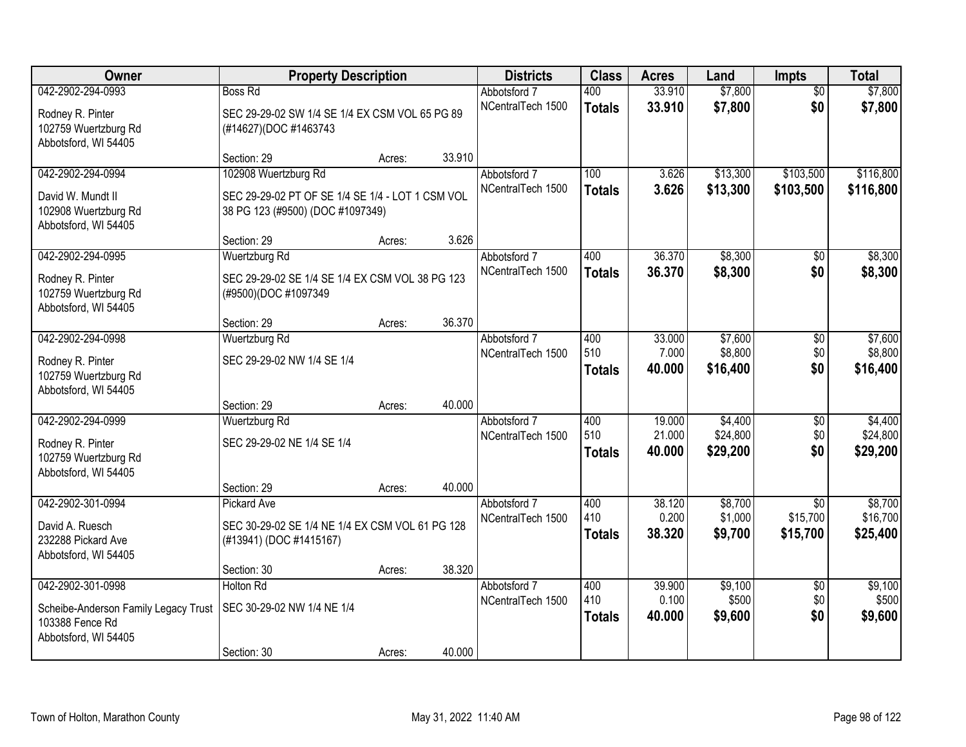| Owner                                                                                                | <b>Property Description</b>                                                                                                 |                  |                  | <b>Districts</b>                  | <b>Class</b>                | <b>Acres</b>               | Land                            | Impts                                   | <b>Total</b>                    |
|------------------------------------------------------------------------------------------------------|-----------------------------------------------------------------------------------------------------------------------------|------------------|------------------|-----------------------------------|-----------------------------|----------------------------|---------------------------------|-----------------------------------------|---------------------------------|
| 042-2902-294-0993<br>Rodney R. Pinter<br>102759 Wuertzburg Rd<br>Abbotsford, WI 54405                | <b>Boss Rd</b><br>SEC 29-29-02 SW 1/4 SE 1/4 EX CSM VOL 65 PG 89<br>(#14627)(DOC #1463743                                   |                  |                  | Abbotsford 7<br>NCentralTech 1500 | 400<br><b>Totals</b>        | 33.910<br>33.910           | \$7,800<br>\$7,800              | $\overline{50}$<br>\$0                  | \$7,800<br>\$7,800              |
| 042-2902-294-0994<br>David W. Mundt II<br>102908 Wuertzburg Rd<br>Abbotsford, WI 54405               | Section: 29<br>102908 Wuertzburg Rd<br>SEC 29-29-02 PT OF SE 1/4 SE 1/4 - LOT 1 CSM VOL<br>38 PG 123 (#9500) (DOC #1097349) | Acres:           | 33.910           | Abbotsford 7<br>NCentralTech 1500 | 100<br><b>Totals</b>        | 3.626<br>3.626             | \$13,300<br>\$13,300            | \$103,500<br>\$103,500                  | \$116,800<br>\$116,800          |
| 042-2902-294-0995<br>Rodney R. Pinter<br>102759 Wuertzburg Rd<br>Abbotsford, WI 54405                | Section: 29<br>Wuertzburg Rd<br>SEC 29-29-02 SE 1/4 SE 1/4 EX CSM VOL 38 PG 123<br>(#9500)(DOC #1097349                     | Acres:           | 3.626            | Abbotsford 7<br>NCentralTech 1500 | 400<br><b>Totals</b>        | 36.370<br>36.370           | \$8,300<br>\$8,300              | \$0<br>\$0                              | \$8,300<br>\$8,300              |
| 042-2902-294-0998<br>Rodney R. Pinter<br>102759 Wuertzburg Rd<br>Abbotsford, WI 54405                | Section: 29<br>Wuertzburg Rd<br>SEC 29-29-02 NW 1/4 SE 1/4                                                                  | Acres:           | 36.370           | Abbotsford 7<br>NCentralTech 1500 | 400<br>510<br><b>Totals</b> | 33.000<br>7.000<br>40.000  | \$7,600<br>\$8,800<br>\$16,400  | \$0<br>\$0<br>\$0                       | \$7,600<br>\$8,800<br>\$16,400  |
| 042-2902-294-0999<br>Rodney R. Pinter<br>102759 Wuertzburg Rd<br>Abbotsford, WI 54405                | Section: 29<br>Wuertzburg Rd<br>SEC 29-29-02 NE 1/4 SE 1/4<br>Section: 29                                                   | Acres:<br>Acres: | 40.000<br>40.000 | Abbotsford 7<br>NCentralTech 1500 | 400<br>510<br><b>Totals</b> | 19.000<br>21.000<br>40.000 | \$4,400<br>\$24,800<br>\$29,200 | $\overline{50}$<br>\$0<br>\$0           | \$4,400<br>\$24,800<br>\$29,200 |
| 042-2902-301-0994<br>David A. Ruesch<br>232288 Pickard Ave<br>Abbotsford, WI 54405                   | <b>Pickard Ave</b><br>SEC 30-29-02 SE 1/4 NE 1/4 EX CSM VOL 61 PG 128<br>(#13941) (DOC #1415167)<br>Section: 30             | Acres:           | 38.320           | Abbotsford 7<br>NCentralTech 1500 | 400<br>410<br><b>Totals</b> | 38.120<br>0.200<br>38.320  | \$8,700<br>\$1,000<br>\$9,700   | $\overline{50}$<br>\$15,700<br>\$15,700 | \$8,700<br>\$16,700<br>\$25,400 |
| 042-2902-301-0998<br>Scheibe-Anderson Family Legacy Trust<br>103388 Fence Rd<br>Abbotsford, WI 54405 | <b>Holton Rd</b><br>SEC 30-29-02 NW 1/4 NE 1/4<br>Section: 30                                                               | Acres:           | 40.000           | Abbotsford 7<br>NCentralTech 1500 | 400<br>410<br><b>Totals</b> | 39.900<br>0.100<br>40.000  | \$9,100<br>\$500<br>\$9,600     | $\overline{50}$<br>\$0<br>\$0           | \$9,100<br>\$500<br>\$9,600     |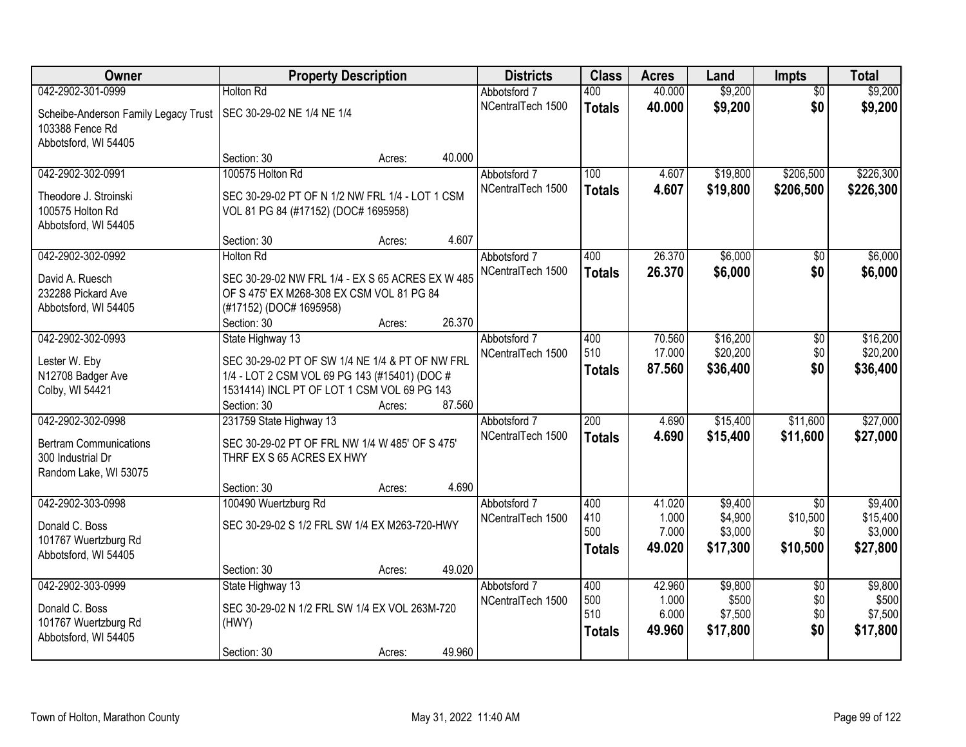| Owner                                | <b>Property Description</b>                      |                  | <b>Districts</b>  | <b>Class</b>  | <b>Acres</b> | Land     | <b>Impts</b>    | <b>Total</b> |
|--------------------------------------|--------------------------------------------------|------------------|-------------------|---------------|--------------|----------|-----------------|--------------|
| 042-2902-301-0999                    | <b>Holton Rd</b>                                 |                  | Abbotsford 7      | 400           | 40.000       | \$9,200  | $\overline{50}$ | \$9,200      |
| Scheibe-Anderson Family Legacy Trust | SEC 30-29-02 NE 1/4 NE 1/4                       |                  | NCentralTech 1500 | <b>Totals</b> | 40.000       | \$9,200  | \$0             | \$9,200      |
| 103388 Fence Rd                      |                                                  |                  |                   |               |              |          |                 |              |
| Abbotsford, WI 54405                 |                                                  |                  |                   |               |              |          |                 |              |
|                                      | Section: 30                                      | 40.000<br>Acres: |                   |               |              |          |                 |              |
| 042-2902-302-0991                    | 100575 Holton Rd                                 |                  | Abbotsford 7      | 100           | 4.607        | \$19,800 | \$206,500       | \$226,300    |
| Theodore J. Stroinski                | SEC 30-29-02 PT OF N 1/2 NW FRL 1/4 - LOT 1 CSM  |                  | NCentralTech 1500 | <b>Totals</b> | 4.607        | \$19,800 | \$206,500       | \$226,300    |
| 100575 Holton Rd                     | VOL 81 PG 84 (#17152) (DOC# 1695958)             |                  |                   |               |              |          |                 |              |
| Abbotsford, WI 54405                 |                                                  |                  |                   |               |              |          |                 |              |
|                                      | Section: 30                                      | 4.607<br>Acres:  |                   |               |              |          |                 |              |
| 042-2902-302-0992                    | <b>Holton Rd</b>                                 |                  | Abbotsford 7      | 400           | 26.370       | \$6,000  | \$0             | \$6,000      |
| David A. Ruesch                      | SEC 30-29-02 NW FRL 1/4 - EX S 65 ACRES EX W 485 |                  | NCentralTech 1500 | <b>Totals</b> | 26.370       | \$6,000  | \$0             | \$6,000      |
| 232288 Pickard Ave                   | OF S 475' EX M268-308 EX CSM VOL 81 PG 84        |                  |                   |               |              |          |                 |              |
| Abbotsford, WI 54405                 | (#17152) (DOC# 1695958)                          |                  |                   |               |              |          |                 |              |
|                                      | Section: 30                                      | 26.370<br>Acres: |                   |               |              |          |                 |              |
| 042-2902-302-0993                    | State Highway 13                                 |                  | Abbotsford 7      | 400           | 70.560       | \$16,200 | \$0             | \$16,200     |
| Lester W. Eby                        | SEC 30-29-02 PT OF SW 1/4 NE 1/4 & PT OF NW FRL  |                  | NCentralTech 1500 | 510           | 17.000       | \$20,200 | \$0             | \$20,200     |
| N12708 Badger Ave                    | 1/4 - LOT 2 CSM VOL 69 PG 143 (#15401) (DOC #    |                  |                   | <b>Totals</b> | 87.560       | \$36,400 | \$0             | \$36,400     |
| Colby, WI 54421                      | 1531414) INCL PT OF LOT 1 CSM VOL 69 PG 143      |                  |                   |               |              |          |                 |              |
|                                      | Section: 30                                      | 87.560<br>Acres: |                   |               |              |          |                 |              |
| 042-2902-302-0998                    | 231759 State Highway 13                          |                  | Abbotsford 7      | 200           | 4.690        | \$15,400 | \$11,600        | \$27,000     |
| <b>Bertram Communications</b>        | SEC 30-29-02 PT OF FRL NW 1/4 W 485' OF S 475'   |                  | NCentralTech 1500 | <b>Totals</b> | 4.690        | \$15,400 | \$11,600        | \$27,000     |
| 300 Industrial Dr                    | THRF EX S 65 ACRES EX HWY                        |                  |                   |               |              |          |                 |              |
| Random Lake, WI 53075                |                                                  |                  |                   |               |              |          |                 |              |
|                                      | Section: 30                                      | 4.690<br>Acres:  |                   |               |              |          |                 |              |
| 042-2902-303-0998                    | 100490 Wuertzburg Rd                             |                  | Abbotsford 7      | 400           | 41.020       | \$9,400  | $\overline{50}$ | \$9,400      |
| Donald C. Boss                       | SEC 30-29-02 S 1/2 FRL SW 1/4 EX M263-720-HWY    |                  | NCentralTech 1500 | 410           | 1.000        | \$4,900  | \$10,500        | \$15,400     |
| 101767 Wuertzburg Rd                 |                                                  |                  |                   | 500           | 7.000        | \$3,000  | \$0             | \$3,000      |
| Abbotsford, WI 54405                 |                                                  |                  |                   | <b>Totals</b> | 49.020       | \$17,300 | \$10,500        | \$27,800     |
|                                      | Section: 30                                      | 49.020<br>Acres: |                   |               |              |          |                 |              |
| 042-2902-303-0999                    | State Highway 13                                 |                  | Abbotsford 7      | 400           | 42.960       | \$9,800  | $\overline{50}$ | \$9,800      |
| Donald C. Boss                       | SEC 30-29-02 N 1/2 FRL SW 1/4 EX VOL 263M-720    |                  | NCentralTech 1500 | 500           | 1.000        | \$500    | \$0             | \$500        |
| 101767 Wuertzburg Rd                 | (HWY)                                            |                  |                   | 510           | 6.000        | \$7,500  | \$0             | \$7,500      |
| Abbotsford, WI 54405                 |                                                  |                  |                   | <b>Totals</b> | 49.960       | \$17,800 | \$0             | \$17,800     |
|                                      | Section: 30                                      | 49.960<br>Acres: |                   |               |              |          |                 |              |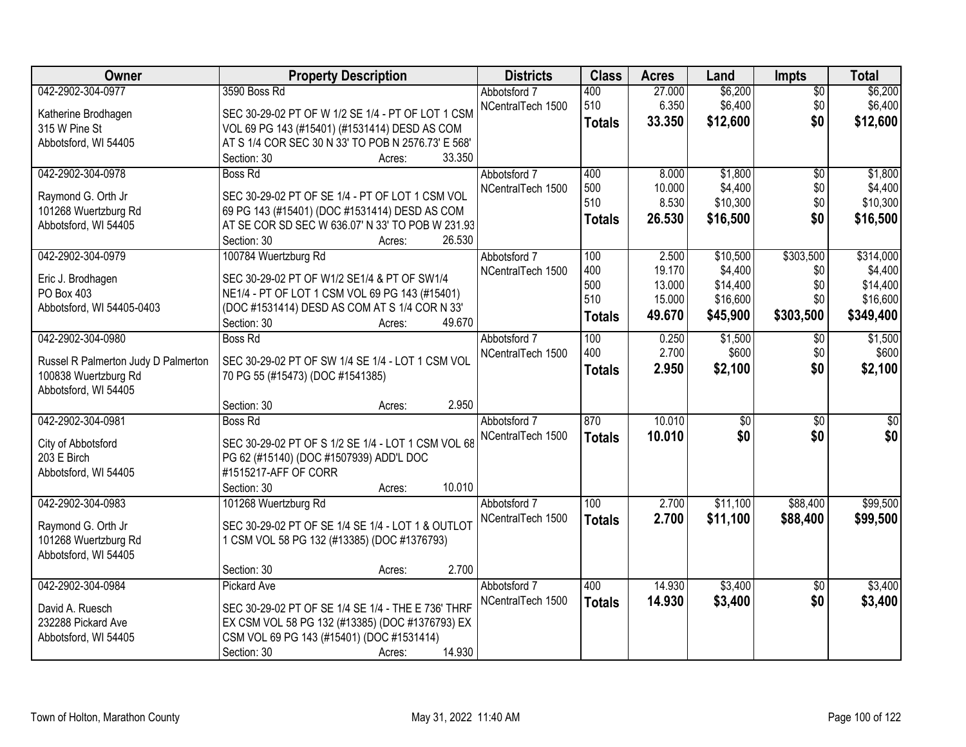| Owner                                      | <b>Property Description</b>                        | <b>Districts</b>  | <b>Class</b>  | <b>Acres</b> | Land            | <b>Impts</b>    | <b>Total</b>    |
|--------------------------------------------|----------------------------------------------------|-------------------|---------------|--------------|-----------------|-----------------|-----------------|
| 042-2902-304-0977                          | 3590 Boss Rd                                       | Abbotsford 7      | 400           | 27.000       | \$6,200         | $\overline{50}$ | \$6,200         |
| Katherine Brodhagen                        | SEC 30-29-02 PT OF W 1/2 SE 1/4 - PT OF LOT 1 CSM  | NCentralTech 1500 | 510           | 6.350        | \$6,400         | \$0             | \$6,400         |
| 315 W Pine St                              | VOL 69 PG 143 (#15401) (#1531414) DESD AS COM      |                   | <b>Totals</b> | 33.350       | \$12,600        | \$0             | \$12,600        |
| Abbotsford, WI 54405                       | AT S 1/4 COR SEC 30 N 33' TO POB N 2576.73' E 568' |                   |               |              |                 |                 |                 |
|                                            | 33.350<br>Section: 30<br>Acres:                    |                   |               |              |                 |                 |                 |
| 042-2902-304-0978                          | <b>Boss Rd</b>                                     | Abbotsford 7      | 400           | 8.000        | \$1,800         | $\overline{30}$ | \$1,800         |
|                                            | SEC 30-29-02 PT OF SE 1/4 - PT OF LOT 1 CSM VOL    | NCentralTech 1500 | 500           | 10.000       | \$4,400         | \$0             | \$4,400         |
| Raymond G. Orth Jr<br>101268 Wuertzburg Rd | 69 PG 143 (#15401) (DOC #1531414) DESD AS COM      |                   | 510           | 8.530        | \$10,300        | \$0             | \$10,300        |
| Abbotsford, WI 54405                       | AT SE COR SD SEC W 636.07' N 33' TO POB W 231.93   |                   | <b>Totals</b> | 26.530       | \$16,500        | \$0             | \$16,500        |
|                                            | 26.530<br>Section: 30<br>Acres:                    |                   |               |              |                 |                 |                 |
| 042-2902-304-0979                          | 100784 Wuertzburg Rd                               | Abbotsford 7      | 100           | 2.500        | \$10,500        | \$303,500       | \$314,000       |
|                                            |                                                    | NCentralTech 1500 | 400           | 19.170       | \$4,400         | \$0             | \$4,400         |
| Eric J. Brodhagen                          | SEC 30-29-02 PT OF W1/2 SE1/4 & PT OF SW1/4        |                   | 500           | 13.000       | \$14,400        | \$0             | \$14,400        |
| PO Box 403                                 | NE1/4 - PT OF LOT 1 CSM VOL 69 PG 143 (#15401)     |                   | 510           | 15.000       | \$16,600        | \$0             | \$16,600        |
| Abbotsford, WI 54405-0403                  | (DOC #1531414) DESD AS COM AT S 1/4 COR N 33'      |                   | <b>Totals</b> | 49.670       | \$45,900        | \$303,500       | \$349,400       |
|                                            | 49.670<br>Section: 30<br>Acres:                    |                   |               |              |                 |                 |                 |
| 042-2902-304-0980                          | <b>Boss Rd</b>                                     | Abbotsford 7      | 100           | 0.250        | \$1,500         | $\sqrt{6}$      | \$1,500         |
| Russel R Palmerton Judy D Palmerton        | SEC 30-29-02 PT OF SW 1/4 SE 1/4 - LOT 1 CSM VOL   | NCentralTech 1500 | 400           | 2.700        | \$600           | \$0             | \$600           |
| 100838 Wuertzburg Rd                       | 70 PG 55 (#15473) (DOC #1541385)                   |                   | <b>Totals</b> | 2.950        | \$2,100         | \$0             | \$2,100         |
| Abbotsford, WI 54405                       |                                                    |                   |               |              |                 |                 |                 |
|                                            | 2.950<br>Section: 30<br>Acres:                     |                   |               |              |                 |                 |                 |
| 042-2902-304-0981                          | <b>Boss Rd</b>                                     | Abbotsford 7      | 870           | 10.010       | $\overline{50}$ | $\overline{50}$ | $\overline{50}$ |
| City of Abbotsford                         | SEC 30-29-02 PT OF S 1/2 SE 1/4 - LOT 1 CSM VOL 68 | NCentralTech 1500 | <b>Totals</b> | 10.010       | \$0             | \$0             | \$0             |
| 203 E Birch                                | PG 62 (#15140) (DOC #1507939) ADD'L DOC            |                   |               |              |                 |                 |                 |
| Abbotsford, WI 54405                       | #1515217-AFF OF CORR                               |                   |               |              |                 |                 |                 |
|                                            | 10.010<br>Section: 30<br>Acres:                    |                   |               |              |                 |                 |                 |
| 042-2902-304-0983                          | 101268 Wuertzburg Rd                               | Abbotsford 7      | 100           | 2.700        | \$11,100        | \$88,400        | \$99,500        |
| Raymond G. Orth Jr                         | SEC 30-29-02 PT OF SE 1/4 SE 1/4 - LOT 1 & OUTLOT  | NCentralTech 1500 | <b>Totals</b> | 2.700        | \$11,100        | \$88,400        | \$99,500        |
| 101268 Wuertzburg Rd                       | 1 CSM VOL 58 PG 132 (#13385) (DOC #1376793)        |                   |               |              |                 |                 |                 |
| Abbotsford, WI 54405                       |                                                    |                   |               |              |                 |                 |                 |
|                                            | 2.700<br>Section: 30<br>Acres:                     |                   |               |              |                 |                 |                 |
| 042-2902-304-0984                          | <b>Pickard Ave</b>                                 | Abbotsford 7      | 400           | 14.930       | \$3,400         | $\overline{30}$ | \$3,400         |
|                                            |                                                    | NCentralTech 1500 | <b>Totals</b> | 14.930       | \$3,400         | \$0             | \$3,400         |
| David A. Ruesch                            | SEC 30-29-02 PT OF SE 1/4 SE 1/4 - THE E 736' THRF |                   |               |              |                 |                 |                 |
| 232288 Pickard Ave                         | EX CSM VOL 58 PG 132 (#13385) (DOC #1376793) EX    |                   |               |              |                 |                 |                 |
| Abbotsford, WI 54405                       | CSM VOL 69 PG 143 (#15401) (DOC #1531414)          |                   |               |              |                 |                 |                 |
|                                            | 14.930<br>Section: 30<br>Acres:                    |                   |               |              |                 |                 |                 |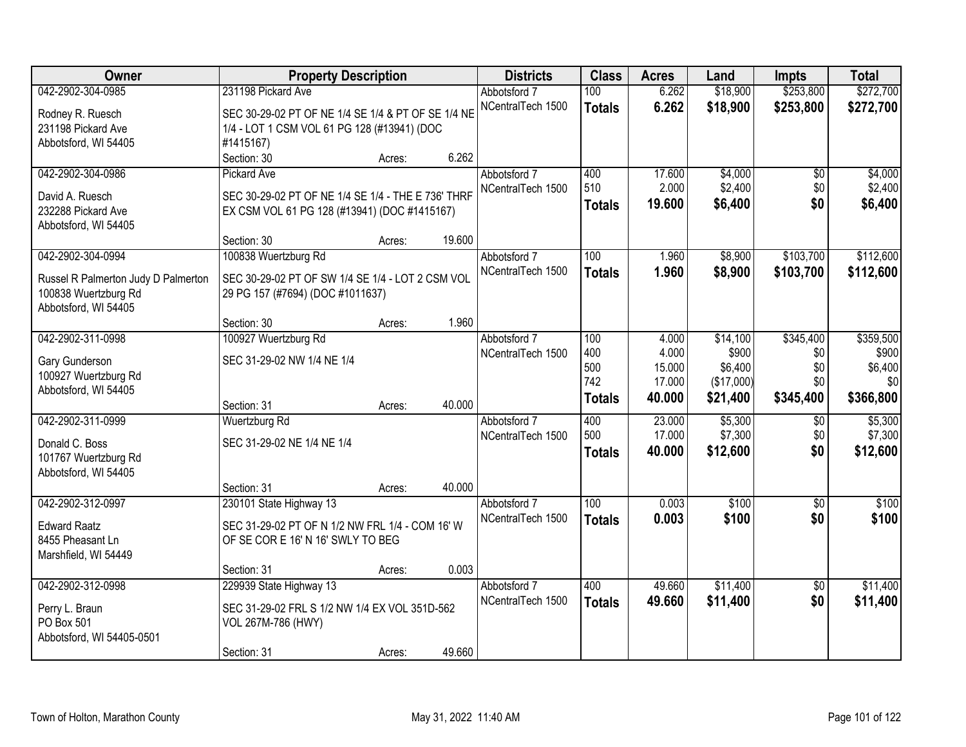| \$253,800<br>042-2902-304-0985<br>231198 Pickard Ave<br>6.262<br>\$18,900<br>Abbotsford 7<br>100                                               | \$272,700                   |
|------------------------------------------------------------------------------------------------------------------------------------------------|-----------------------------|
| NCentralTech 1500<br>6.262<br>\$18,900<br>\$253,800<br><b>Totals</b><br>SEC 30-29-02 PT OF NE 1/4 SE 1/4 & PT OF SE 1/4 NE<br>Rodney R. Ruesch | \$272,700                   |
| 231198 Pickard Ave<br>1/4 - LOT 1 CSM VOL 61 PG 128 (#13941) (DOC                                                                              |                             |
| #1415167)<br>Abbotsford, WI 54405                                                                                                              |                             |
| 6.262<br>Section: 30<br>Acres:                                                                                                                 |                             |
| 042-2902-304-0986<br>17.600<br>\$4,000<br>400<br><b>Pickard Ave</b><br>Abbotsford 7                                                            | \$4,000<br>\$0              |
| 510<br>2.000<br>\$2,400<br>NCentralTech 1500                                                                                                   | \$2,400<br>\$0              |
| David A. Ruesch<br>SEC 30-29-02 PT OF NE 1/4 SE 1/4 - THE E 736' THRF<br>19.600<br>\$6,400<br><b>Totals</b><br>232288 Pickard Ave              | \$0<br>\$6,400              |
| EX CSM VOL 61 PG 128 (#13941) (DOC #1415167)<br>Abbotsford, WI 54405                                                                           |                             |
| 19.600<br>Section: 30<br>Acres:                                                                                                                |                             |
| 042-2902-304-0994<br>100838 Wuertzburg Rd<br>100<br>\$8,900<br>\$103,700<br>1.960<br>Abbotsford 7                                              | \$112,600                   |
| NCentralTech 1500<br>\$103,700<br>1.960<br>\$8,900<br><b>Totals</b>                                                                            | \$112,600                   |
| SEC 30-29-02 PT OF SW 1/4 SE 1/4 - LOT 2 CSM VOL<br>Russel R Palmerton Judy D Palmerton                                                        |                             |
| 29 PG 157 (#7694) (DOC #1011637)<br>100838 Wuertzburg Rd                                                                                       |                             |
| Abbotsford, WI 54405<br>1.960                                                                                                                  |                             |
| Section: 30<br>Acres:<br>\$345,400<br>042-2902-311-0998<br>100927 Wuertzburg Rd<br>\$14,100<br>Abbotsford 7<br>100<br>4.000                    | \$359,500                   |
| 4.000<br>\$900<br>400<br>NCentralTech 1500                                                                                                     | \$900<br>\$0                |
| SEC 31-29-02 NW 1/4 NE 1/4<br>Gary Gunderson<br>500<br>\$6,400<br>15.000                                                                       | \$6,400<br>\$0              |
| 100927 Wuertzburg Rd<br>742<br>(\$17,000)<br>17.000                                                                                            | \$0<br>\$0                  |
| Abbotsford, WI 54405<br>\$345,400<br>40.000<br>\$21,400<br><b>Totals</b>                                                                       | \$366,800                   |
| 40.000<br>Section: 31<br>Acres:                                                                                                                |                             |
| 042-2902-311-0999<br>\$5,300<br>Wuertzburg Rd<br>400<br>23.000<br>Abbotsford 7                                                                 | \$5,300<br>\$0              |
| 500<br>17.000<br>\$7,300<br>NCentralTech 1500<br>SEC 31-29-02 NE 1/4 NE 1/4<br>Donald C. Boss                                                  | \$7,300<br>\$0              |
| 40.000<br>\$12,600<br><b>Totals</b><br>101767 Wuertzburg Rd                                                                                    | \$0<br>\$12,600             |
| Abbotsford, WI 54405                                                                                                                           |                             |
| 40.000<br>Section: 31<br>Acres:                                                                                                                |                             |
| $\overline{100}$<br>\$100<br>042-2902-312-0997<br>230101 State Highway 13<br>0.003<br>Abbotsford 7                                             | $\overline{50}$<br>\$100    |
| 0.003<br>\$100<br>NCentralTech 1500<br><b>Totals</b><br>SEC 31-29-02 PT OF N 1/2 NW FRL 1/4 - COM 16' W<br><b>Edward Raatz</b>                 | \$0<br>\$100                |
| OF SE COR E 16' N 16' SWLY TO BEG<br>8455 Pheasant Ln                                                                                          |                             |
| Marshfield, WI 54449                                                                                                                           |                             |
| 0.003<br>Section: 31<br>Acres:                                                                                                                 |                             |
| 042-2902-312-0998<br>229939 State Highway 13<br>\$11,400<br>400<br>49.660<br>Abbotsford 7                                                      | \$11,400<br>$\overline{30}$ |
| NCentralTech 1500<br>\$11,400<br>49.660<br><b>Totals</b>                                                                                       | \$0<br>\$11,400             |
| SEC 31-29-02 FRL S 1/2 NW 1/4 EX VOL 351D-562<br>Perry L. Braun<br>PO Box 501                                                                  |                             |
| VOL 267M-786 (HWY)<br>Abbotsford, WI 54405-0501                                                                                                |                             |
| 49.660<br>Section: 31<br>Acres:                                                                                                                |                             |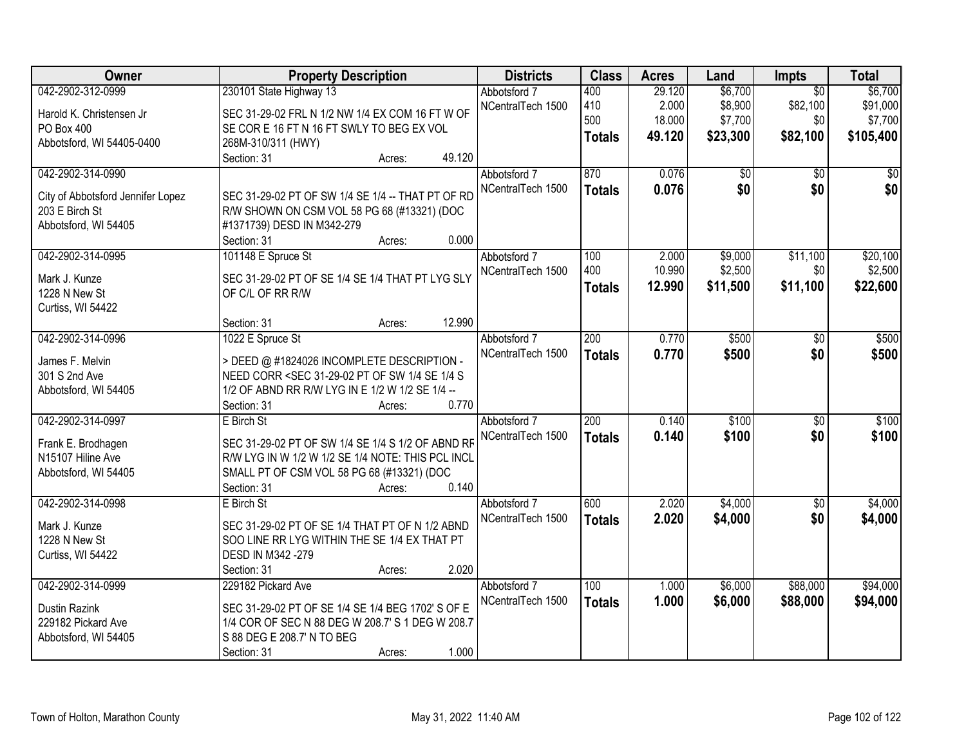| Owner                             | <b>Property Description</b>                                                                                                                             |        |        | <b>Districts</b>  | <b>Class</b>     | <b>Acres</b> | Land     | Impts           | <b>Total</b> |
|-----------------------------------|---------------------------------------------------------------------------------------------------------------------------------------------------------|--------|--------|-------------------|------------------|--------------|----------|-----------------|--------------|
| 042-2902-312-0999                 | 230101 State Highway 13                                                                                                                                 |        |        | Abbotsford 7      | 400              | 29.120       | \$6,700  | $\overline{50}$ | \$6,700      |
| Harold K. Christensen Jr          | SEC 31-29-02 FRL N 1/2 NW 1/4 EX COM 16 FT W OF                                                                                                         |        |        | NCentralTech 1500 | 410              | 2.000        | \$8,900  | \$82,100        | \$91,000     |
| PO Box 400                        | SE COR E 16 FT N 16 FT SWLY TO BEG EX VOL                                                                                                               |        |        |                   | 500              | 18.000       | \$7,700  | \$0             | \$7,700      |
| Abbotsford, WI 54405-0400         | 268M-310/311 (HWY)                                                                                                                                      |        |        |                   | <b>Totals</b>    | 49.120       | \$23,300 | \$82,100        | \$105,400    |
|                                   | Section: 31                                                                                                                                             | Acres: | 49.120 |                   |                  |              |          |                 |              |
| 042-2902-314-0990                 |                                                                                                                                                         |        |        | Abbotsford 7      | 870              | 0.076        | \$0      | $\overline{50}$ | \$0          |
|                                   |                                                                                                                                                         |        |        | NCentralTech 1500 | <b>Totals</b>    | 0.076        | \$0      | \$0             | \$0          |
| City of Abbotsford Jennifer Lopez | SEC 31-29-02 PT OF SW 1/4 SE 1/4 -- THAT PT OF RD                                                                                                       |        |        |                   |                  |              |          |                 |              |
| 203 E Birch St                    | R/W SHOWN ON CSM VOL 58 PG 68 (#13321) (DOC                                                                                                             |        |        |                   |                  |              |          |                 |              |
| Abbotsford, WI 54405              | #1371739) DESD IN M342-279                                                                                                                              |        |        |                   |                  |              |          |                 |              |
|                                   | Section: 31                                                                                                                                             | Acres: | 0.000  |                   |                  |              |          |                 |              |
| 042-2902-314-0995                 | 101148 E Spruce St                                                                                                                                      |        |        | Abbotsford 7      | 100              | 2.000        | \$9,000  | \$11,100        | \$20,100     |
| Mark J. Kunze                     | SEC 31-29-02 PT OF SE 1/4 SE 1/4 THAT PT LYG SLY                                                                                                        |        |        | NCentralTech 1500 | 400              | 10.990       | \$2,500  | \$0             | \$2,500      |
| 1228 N New St                     | OF C/L OF RR R/W                                                                                                                                        |        |        |                   | <b>Totals</b>    | 12.990       | \$11,500 | \$11,100        | \$22,600     |
| Curtiss, WI 54422                 |                                                                                                                                                         |        |        |                   |                  |              |          |                 |              |
|                                   | Section: 31                                                                                                                                             | Acres: | 12.990 |                   |                  |              |          |                 |              |
| 042-2902-314-0996                 | 1022 E Spruce St                                                                                                                                        |        |        | Abbotsford 7      | $\overline{200}$ | 0.770        | \$500    | \$0             | \$500        |
|                                   |                                                                                                                                                         |        |        | NCentralTech 1500 | <b>Totals</b>    | 0.770        | \$500    | \$0             | \$500        |
| James F. Melvin                   | > DEED @ #1824026 INCOMPLETE DESCRIPTION -                                                                                                              |        |        |                   |                  |              |          |                 |              |
| 301 S 2nd Ave                     | NEED CORR <sec 1="" 31-29-02="" 4="" of="" pt="" s<="" se="" sw="" td=""><td></td><td></td><td></td><td></td><td></td><td></td><td></td><td></td></sec> |        |        |                   |                  |              |          |                 |              |
| Abbotsford, WI 54405              | 1/2 OF ABND RR R/W LYG IN E 1/2 W 1/2 SE 1/4 --                                                                                                         |        |        |                   |                  |              |          |                 |              |
|                                   | Section: 31                                                                                                                                             | Acres: | 0.770  |                   |                  |              |          |                 |              |
| 042-2902-314-0997                 | E Birch St                                                                                                                                              |        |        | Abbotsford 7      | 200              | 0.140        | \$100    | $\overline{50}$ | \$100        |
| Frank E. Brodhagen                | SEC 31-29-02 PT OF SW 1/4 SE 1/4 S 1/2 OF ABND RF                                                                                                       |        |        | NCentralTech 1500 | <b>Totals</b>    | 0.140        | \$100    | \$0             | \$100        |
| N15107 Hiline Ave                 | R/W LYG IN W 1/2 W 1/2 SE 1/4 NOTE: THIS PCL INCL                                                                                                       |        |        |                   |                  |              |          |                 |              |
| Abbotsford, WI 54405              | SMALL PT OF CSM VOL 58 PG 68 (#13321) (DOC                                                                                                              |        |        |                   |                  |              |          |                 |              |
|                                   | Section: 31                                                                                                                                             | Acres: | 0.140  |                   |                  |              |          |                 |              |
| 042-2902-314-0998                 | E Birch St                                                                                                                                              |        |        | Abbotsford 7      | 600              | 2.020        | \$4,000  | $\overline{50}$ | \$4,000      |
|                                   |                                                                                                                                                         |        |        | NCentralTech 1500 | <b>Totals</b>    | 2.020        | \$4,000  | \$0             | \$4,000      |
| Mark J. Kunze                     | SEC 31-29-02 PT OF SE 1/4 THAT PT OF N 1/2 ABND                                                                                                         |        |        |                   |                  |              |          |                 |              |
| 1228 N New St                     | SOO LINE RR LYG WITHIN THE SE 1/4 EX THAT PT                                                                                                            |        |        |                   |                  |              |          |                 |              |
| Curtiss, WI 54422                 | DESD IN M342 -279                                                                                                                                       |        |        |                   |                  |              |          |                 |              |
|                                   | Section: 31                                                                                                                                             | Acres: | 2.020  |                   |                  |              |          |                 |              |
| 042-2902-314-0999                 | 229182 Pickard Ave                                                                                                                                      |        |        | Abbotsford 7      | 100              | 1.000        | \$6,000  | \$88,000        | \$94,000     |
| Dustin Razink                     | SEC 31-29-02 PT OF SE 1/4 SE 1/4 BEG 1702' S OF E                                                                                                       |        |        | NCentralTech 1500 | <b>Totals</b>    | 1.000        | \$6,000  | \$88,000        | \$94,000     |
| 229182 Pickard Ave                | 1/4 COR OF SEC N 88 DEG W 208.7' S 1 DEG W 208.7                                                                                                        |        |        |                   |                  |              |          |                 |              |
| Abbotsford, WI 54405              | S 88 DEG E 208.7' N TO BEG                                                                                                                              |        |        |                   |                  |              |          |                 |              |
|                                   | Section: 31                                                                                                                                             | Acres: | 1.000  |                   |                  |              |          |                 |              |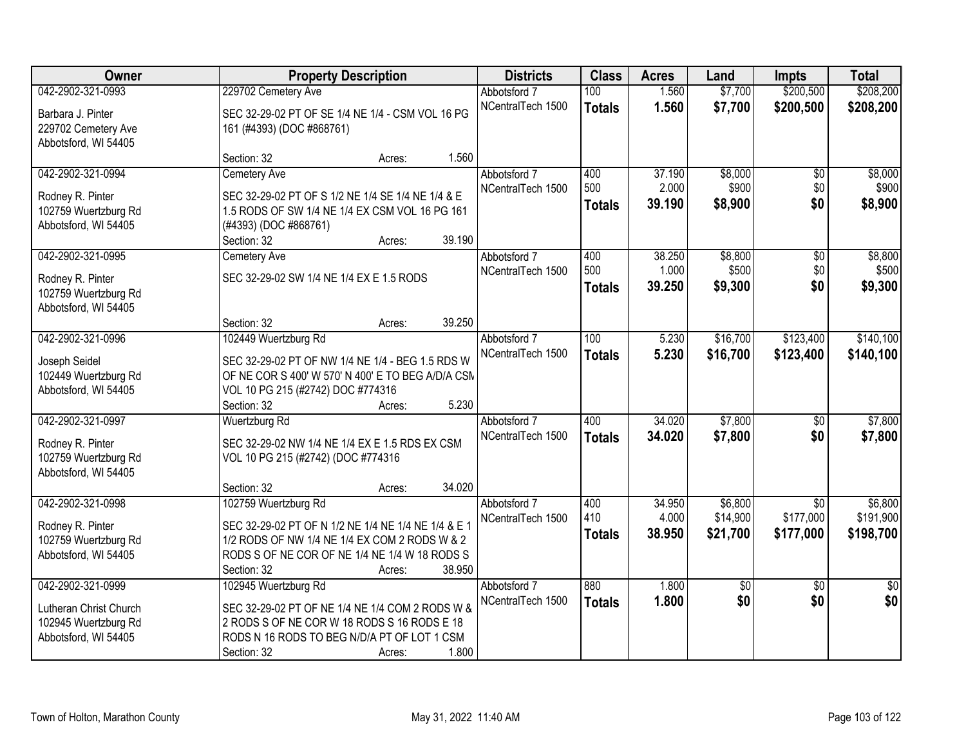| <b>Owner</b>           |                                                     | <b>Property Description</b> |        | <b>Districts</b>  | <b>Class</b>  | <b>Acres</b> | Land        | <b>Impts</b>    | <b>Total</b>    |
|------------------------|-----------------------------------------------------|-----------------------------|--------|-------------------|---------------|--------------|-------------|-----------------|-----------------|
| 042-2902-321-0993      | 229702 Cemetery Ave                                 |                             |        | Abbotsford 7      | 100           | 1.560        | \$7,700     | \$200,500       | \$208,200       |
| Barbara J. Pinter      | SEC 32-29-02 PT OF SE 1/4 NE 1/4 - CSM VOL 16 PG    |                             |        | NCentralTech 1500 | <b>Totals</b> | 1.560        | \$7,700     | \$200,500       | \$208,200       |
| 229702 Cemetery Ave    | 161 (#4393) (DOC #868761)                           |                             |        |                   |               |              |             |                 |                 |
| Abbotsford, WI 54405   |                                                     |                             |        |                   |               |              |             |                 |                 |
|                        | Section: 32                                         | Acres:                      | 1.560  |                   |               |              |             |                 |                 |
| 042-2902-321-0994      | Cemetery Ave                                        |                             |        | Abbotsford 7      | 400           | 37.190       | \$8,000     | \$0             | \$8,000         |
| Rodney R. Pinter       | SEC 32-29-02 PT OF S 1/2 NE 1/4 SE 1/4 NE 1/4 & E   |                             |        | NCentralTech 1500 | 500           | 2.000        | \$900       | \$0             | \$900           |
| 102759 Wuertzburg Rd   | 1.5 RODS OF SW 1/4 NE 1/4 EX CSM VOL 16 PG 161      |                             |        |                   | <b>Totals</b> | 39.190       | \$8,900     | \$0             | \$8,900         |
| Abbotsford, WI 54405   | (#4393) (DOC #868761)                               |                             |        |                   |               |              |             |                 |                 |
|                        | Section: 32                                         | Acres:                      | 39.190 |                   |               |              |             |                 |                 |
| 042-2902-321-0995      | Cemetery Ave                                        |                             |        | Abbotsford 7      | 400           | 38.250       | \$8,800     | $\overline{50}$ | \$8,800         |
| Rodney R. Pinter       | SEC 32-29-02 SW 1/4 NE 1/4 EX E 1.5 RODS            |                             |        | NCentralTech 1500 | 500           | 1.000        | \$500       | \$0             | \$500           |
| 102759 Wuertzburg Rd   |                                                     |                             |        |                   | <b>Totals</b> | 39.250       | \$9,300     | \$0             | \$9,300         |
| Abbotsford, WI 54405   |                                                     |                             |        |                   |               |              |             |                 |                 |
|                        | Section: 32                                         | Acres:                      | 39.250 |                   |               |              |             |                 |                 |
| 042-2902-321-0996      | 102449 Wuertzburg Rd                                |                             |        | Abbotsford 7      | 100           | 5.230        | \$16,700    | \$123,400       | \$140,100       |
| Joseph Seidel          | SEC 32-29-02 PT OF NW 1/4 NE 1/4 - BEG 1.5 RDS W    |                             |        | NCentralTech 1500 | <b>Totals</b> | 5.230        | \$16,700    | \$123,400       | \$140,100       |
| 102449 Wuertzburg Rd   | OF NE COR S 400' W 570' N 400' E TO BEG A/D/A CSN   |                             |        |                   |               |              |             |                 |                 |
| Abbotsford, WI 54405   | VOL 10 PG 215 (#2742) DOC #774316                   |                             |        |                   |               |              |             |                 |                 |
|                        | Section: 32                                         | Acres:                      | 5.230  |                   |               |              |             |                 |                 |
| 042-2902-321-0997      | Wuertzburg Rd                                       |                             |        | Abbotsford 7      | 400           | 34.020       | \$7,800     | $\overline{50}$ | \$7,800         |
| Rodney R. Pinter       | SEC 32-29-02 NW 1/4 NE 1/4 EX E 1.5 RDS EX CSM      |                             |        | NCentralTech 1500 | <b>Totals</b> | 34.020       | \$7,800     | \$0             | \$7,800         |
| 102759 Wuertzburg Rd   | VOL 10 PG 215 (#2742) (DOC #774316                  |                             |        |                   |               |              |             |                 |                 |
| Abbotsford, WI 54405   |                                                     |                             |        |                   |               |              |             |                 |                 |
|                        | Section: 32                                         | Acres:                      | 34.020 |                   |               |              |             |                 |                 |
| 042-2902-321-0998      | 102759 Wuertzburg Rd                                |                             |        | Abbotsford 7      | 400           | 34.950       | \$6,800     | $\overline{50}$ | \$6,800         |
| Rodney R. Pinter       | SEC 32-29-02 PT OF N 1/2 NE 1/4 NE 1/4 NE 1/4 & E 1 |                             |        | NCentralTech 1500 | 410           | 4.000        | \$14,900    | \$177,000       | \$191,900       |
| 102759 Wuertzburg Rd   | 1/2 RODS OF NW 1/4 NE 1/4 EX COM 2 RODS W & 2       |                             |        |                   | <b>Totals</b> | 38.950       | \$21,700    | \$177,000       | \$198,700       |
| Abbotsford, WI 54405   | RODS S OF NE COR OF NE 1/4 NE 1/4 W 18 RODS S       |                             |        |                   |               |              |             |                 |                 |
|                        | Section: 32                                         | Acres:                      | 38.950 |                   |               |              |             |                 |                 |
| 042-2902-321-0999      | 102945 Wuertzburg Rd                                |                             |        | Abbotsford 7      | 880           | 1.800        | $\sqrt{50}$ | $\overline{50}$ | $\overline{50}$ |
| Lutheran Christ Church | SEC 32-29-02 PT OF NE 1/4 NE 1/4 COM 2 RODS W &     |                             |        | NCentralTech 1500 | <b>Totals</b> | 1.800        | \$0         | \$0             | \$0             |
| 102945 Wuertzburg Rd   | 2 RODS S OF NE COR W 18 RODS S 16 RODS E 18         |                             |        |                   |               |              |             |                 |                 |
| Abbotsford, WI 54405   | RODS N 16 RODS TO BEG N/D/A PT OF LOT 1 CSM         |                             |        |                   |               |              |             |                 |                 |
|                        | Section: 32                                         | Acres:                      | 1.800  |                   |               |              |             |                 |                 |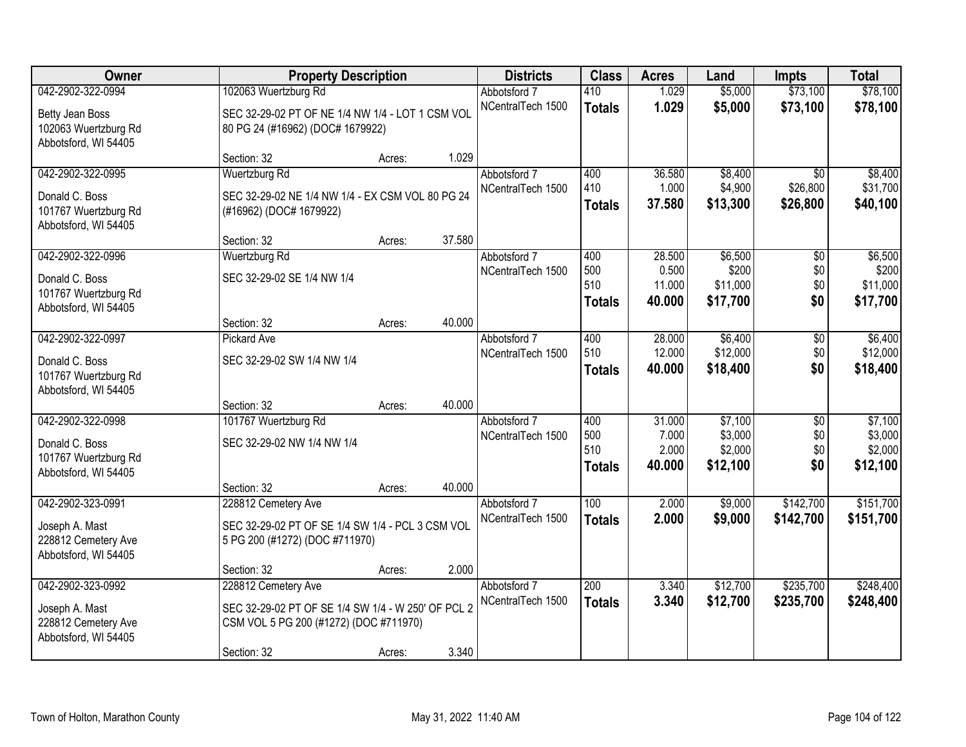| Owner                                        |                                                    | <b>Property Description</b> |        | <b>Districts</b>                  | <b>Class</b>  | <b>Acres</b>    | Land             | <b>Impts</b>         | <b>Total</b>     |
|----------------------------------------------|----------------------------------------------------|-----------------------------|--------|-----------------------------------|---------------|-----------------|------------------|----------------------|------------------|
| 042-2902-322-0994                            | 102063 Wuertzburg Rd                               |                             |        | Abbotsford 7                      | 410           | 1.029           | \$5,000          | \$73,100             | \$78,100         |
| Betty Jean Boss                              | SEC 32-29-02 PT OF NE 1/4 NW 1/4 - LOT 1 CSM VOL   |                             |        | NCentralTech 1500                 | <b>Totals</b> | 1.029           | \$5,000          | \$73,100             | \$78,100         |
| 102063 Wuertzburg Rd                         | 80 PG 24 (#16962) (DOC# 1679922)                   |                             |        |                                   |               |                 |                  |                      |                  |
| Abbotsford, WI 54405                         |                                                    |                             |        |                                   |               |                 |                  |                      |                  |
|                                              | Section: 32                                        | Acres:                      | 1.029  |                                   |               |                 |                  |                      |                  |
| 042-2902-322-0995                            | <b>Wuertzburg Rd</b>                               |                             |        | Abbotsford 7                      | 400           | 36.580          | \$8,400          | $\overline{50}$      | \$8,400          |
| Donald C. Boss                               | SEC 32-29-02 NE 1/4 NW 1/4 - EX CSM VOL 80 PG 24   |                             |        | NCentralTech 1500                 | 410           | 1.000<br>37.580 | \$4,900          | \$26,800<br>\$26,800 | \$31,700         |
| 101767 Wuertzburg Rd                         | (#16962) (DOC# 1679922)                            |                             |        |                                   | <b>Totals</b> |                 | \$13,300         |                      | \$40,100         |
| Abbotsford, WI 54405                         |                                                    |                             |        |                                   |               |                 |                  |                      |                  |
|                                              | Section: 32                                        | Acres:                      | 37.580 |                                   |               |                 |                  |                      |                  |
| 042-2902-322-0996                            | Wuertzburg Rd                                      |                             |        | Abbotsford 7<br>NCentralTech 1500 | 400<br>500    | 28.500<br>0.500 | \$6,500<br>\$200 | \$0<br>\$0           | \$6,500<br>\$200 |
| Donald C. Boss                               | SEC 32-29-02 SE 1/4 NW 1/4                         |                             |        |                                   | 510           | 11.000          | \$11,000         | \$0                  | \$11,000         |
| 101767 Wuertzburg Rd                         |                                                    |                             |        |                                   | Totals        | 40.000          | \$17,700         | \$0                  | \$17,700         |
| Abbotsford, WI 54405                         |                                                    |                             | 40.000 |                                   |               |                 |                  |                      |                  |
| 042-2902-322-0997                            | Section: 32<br><b>Pickard Ave</b>                  | Acres:                      |        | Abbotsford 7                      | 400           | 28.000          | \$6,400          | \$0                  | \$6,400          |
|                                              |                                                    |                             |        | NCentralTech 1500                 | 510           | 12.000          | \$12,000         | \$0                  | \$12,000         |
| Donald C. Boss                               | SEC 32-29-02 SW 1/4 NW 1/4                         |                             |        |                                   | <b>Totals</b> | 40.000          | \$18,400         | \$0                  | \$18,400         |
| 101767 Wuertzburg Rd                         |                                                    |                             |        |                                   |               |                 |                  |                      |                  |
| Abbotsford, WI 54405                         | Section: 32                                        | Acres:                      | 40.000 |                                   |               |                 |                  |                      |                  |
| 042-2902-322-0998                            | 101767 Wuertzburg Rd                               |                             |        | Abbotsford 7                      | 400           | 31.000          | \$7,100          | $\overline{30}$      | \$7,100          |
|                                              |                                                    |                             |        | NCentralTech 1500                 | 500           | 7.000           | \$3,000          | \$0                  | \$3,000          |
| Donald C. Boss                               | SEC 32-29-02 NW 1/4 NW 1/4                         |                             |        |                                   | 510           | 2.000           | \$2,000          | \$0                  | \$2,000          |
| 101767 Wuertzburg Rd<br>Abbotsford, WI 54405 |                                                    |                             |        |                                   | <b>Totals</b> | 40.000          | \$12,100         | \$0                  | \$12,100         |
|                                              | Section: 32                                        | Acres:                      | 40.000 |                                   |               |                 |                  |                      |                  |
| 042-2902-323-0991                            | 228812 Cemetery Ave                                |                             |        | Abbotsford 7                      | 100           | 2.000           | \$9,000          | \$142,700            | \$151,700        |
| Joseph A. Mast                               | SEC 32-29-02 PT OF SE 1/4 SW 1/4 - PCL 3 CSM VOL   |                             |        | NCentralTech 1500                 | <b>Totals</b> | 2.000           | \$9,000          | \$142,700            | \$151,700        |
| 228812 Cemetery Ave                          | 5 PG 200 (#1272) (DOC #711970)                     |                             |        |                                   |               |                 |                  |                      |                  |
| Abbotsford, WI 54405                         |                                                    |                             |        |                                   |               |                 |                  |                      |                  |
|                                              | Section: 32                                        | Acres:                      | 2.000  |                                   |               |                 |                  |                      |                  |
| 042-2902-323-0992                            | 228812 Cemetery Ave                                |                             |        | Abbotsford 7                      | 200           | 3.340           | \$12,700         | \$235,700            | \$248,400        |
| Joseph A. Mast                               | SEC 32-29-02 PT OF SE 1/4 SW 1/4 - W 250' OF PCL 2 |                             |        | NCentralTech 1500                 | <b>Totals</b> | 3.340           | \$12,700         | \$235,700            | \$248,400        |
| 228812 Cemetery Ave                          | CSM VOL 5 PG 200 (#1272) (DOC #711970)             |                             |        |                                   |               |                 |                  |                      |                  |
| Abbotsford, WI 54405                         |                                                    |                             |        |                                   |               |                 |                  |                      |                  |
|                                              | Section: 32                                        | Acres:                      | 3.340  |                                   |               |                 |                  |                      |                  |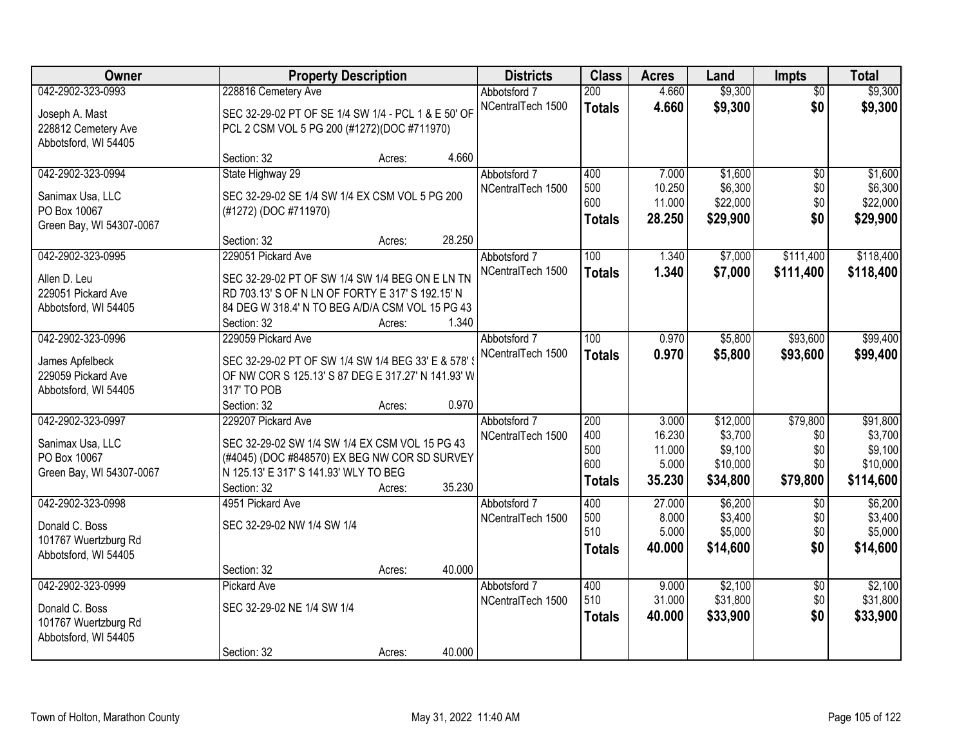| Owner                    |                                                     | <b>Property Description</b> |        | <b>Districts</b>  | <b>Class</b>     | <b>Acres</b>    | Land                | Impts           | <b>Total</b>        |
|--------------------------|-----------------------------------------------------|-----------------------------|--------|-------------------|------------------|-----------------|---------------------|-----------------|---------------------|
| 042-2902-323-0993        | 228816 Cemetery Ave                                 |                             |        | Abbotsford 7      | 200              | 4.660           | \$9,300             | $\overline{50}$ | \$9,300             |
| Joseph A. Mast           | SEC 32-29-02 PT OF SE 1/4 SW 1/4 - PCL 1 & E 50' OF |                             |        | NCentralTech 1500 | <b>Totals</b>    | 4.660           | \$9,300             | \$0             | \$9,300             |
| 228812 Cemetery Ave      | PCL 2 CSM VOL 5 PG 200 (#1272)(DOC #711970)         |                             |        |                   |                  |                 |                     |                 |                     |
| Abbotsford, WI 54405     |                                                     |                             |        |                   |                  |                 |                     |                 |                     |
|                          | Section: 32                                         | Acres:                      | 4.660  |                   |                  |                 |                     |                 |                     |
| 042-2902-323-0994        | State Highway 29                                    |                             |        | Abbotsford 7      | 400              | 7.000           | \$1,600             | $\overline{50}$ | \$1,600             |
| Sanimax Usa, LLC         | SEC 32-29-02 SE 1/4 SW 1/4 EX CSM VOL 5 PG 200      |                             |        | NCentralTech 1500 | 500              | 10.250          | \$6,300             | \$0             | \$6,300             |
| PO Box 10067             | (#1272) (DOC #711970)                               |                             |        |                   | 600              | 11.000          | \$22,000            | \$0             | \$22,000            |
| Green Bay, WI 54307-0067 |                                                     |                             |        |                   | <b>Totals</b>    | 28.250          | \$29,900            | \$0             | \$29,900            |
|                          | Section: 32                                         | Acres:                      | 28.250 |                   |                  |                 |                     |                 |                     |
| 042-2902-323-0995        | 229051 Pickard Ave                                  |                             |        | Abbotsford 7      | 100              | 1.340           | \$7,000             | \$111,400       | \$118,400           |
| Allen D. Leu             | SEC 32-29-02 PT OF SW 1/4 SW 1/4 BEG ON E LN TN     |                             |        | NCentralTech 1500 | <b>Totals</b>    | 1.340           | \$7,000             | \$111,400       | \$118,400           |
| 229051 Pickard Ave       | RD 703.13' S OF N LN OF FORTY E 317' S 192.15' N    |                             |        |                   |                  |                 |                     |                 |                     |
| Abbotsford, WI 54405     | 84 DEG W 318.4' N TO BEG A/D/A CSM VOL 15 PG 43     |                             |        |                   |                  |                 |                     |                 |                     |
|                          | Section: 32                                         | Acres:                      | 1.340  |                   |                  |                 |                     |                 |                     |
| 042-2902-323-0996        | 229059 Pickard Ave                                  |                             |        | Abbotsford 7      | 100              | 0.970           | \$5,800             | \$93,600        | \$99,400            |
| James Apfelbeck          | SEC 32-29-02 PT OF SW 1/4 SW 1/4 BEG 33' E & 578'   |                             |        | NCentralTech 1500 | <b>Totals</b>    | 0.970           | \$5,800             | \$93,600        | \$99,400            |
| 229059 Pickard Ave       | OF NW COR S 125.13' S 87 DEG E 317.27' N 141.93' W  |                             |        |                   |                  |                 |                     |                 |                     |
| Abbotsford, WI 54405     | 317' TO POB                                         |                             |        |                   |                  |                 |                     |                 |                     |
|                          | Section: 32                                         | Acres:                      | 0.970  |                   |                  |                 |                     |                 |                     |
| 042-2902-323-0997        | 229207 Pickard Ave                                  |                             |        | Abbotsford 7      | $\overline{200}$ | 3.000           | \$12,000            | \$79,800        | \$91,800            |
| Sanimax Usa, LLC         | SEC 32-29-02 SW 1/4 SW 1/4 EX CSM VOL 15 PG 43      |                             |        | NCentralTech 1500 | 400              | 16.230          | \$3,700             | \$0             | \$3,700             |
| PO Box 10067             | (#4045) (DOC #848570) EX BEG NW COR SD SURVEY       |                             |        |                   | 500<br>600       | 11.000<br>5.000 | \$9,100<br>\$10,000 | \$0<br>\$0      | \$9,100<br>\$10,000 |
| Green Bay, WI 54307-0067 | N 125.13' E 317' S 141.93' WLY TO BEG               |                             |        |                   | <b>Totals</b>    | 35.230          | \$34,800            | \$79,800        | \$114,600           |
|                          | Section: 32                                         | Acres:                      | 35.230 |                   |                  |                 |                     |                 |                     |
| 042-2902-323-0998        | 4951 Pickard Ave                                    |                             |        | Abbotsford 7      | 400              | 27.000          | \$6,200             | $\overline{50}$ | \$6,200             |
| Donald C. Boss           | SEC 32-29-02 NW 1/4 SW 1/4                          |                             |        | NCentralTech 1500 | 500<br>510       | 8.000<br>5.000  | \$3,400<br>\$5,000  | \$0             | \$3,400<br>\$5,000  |
| 101767 Wuertzburg Rd     |                                                     |                             |        |                   |                  | 40.000          | \$14,600            | \$0<br>\$0      | \$14,600            |
| Abbotsford, WI 54405     |                                                     |                             |        |                   | <b>Totals</b>    |                 |                     |                 |                     |
|                          | Section: 32                                         | Acres:                      | 40.000 |                   |                  |                 |                     |                 |                     |
| 042-2902-323-0999        | <b>Pickard Ave</b>                                  |                             |        | Abbotsford 7      | 400              | 9.000           | \$2,100             | $\overline{50}$ | \$2,100             |
| Donald C. Boss           | SEC 32-29-02 NE 1/4 SW 1/4                          |                             |        | NCentralTech 1500 | 510              | 31.000          | \$31,800            | \$0             | \$31,800            |
| 101767 Wuertzburg Rd     |                                                     |                             |        |                   | <b>Totals</b>    | 40.000          | \$33,900            | \$0             | \$33,900            |
| Abbotsford, WI 54405     |                                                     |                             |        |                   |                  |                 |                     |                 |                     |
|                          | Section: 32                                         | Acres:                      | 40.000 |                   |                  |                 |                     |                 |                     |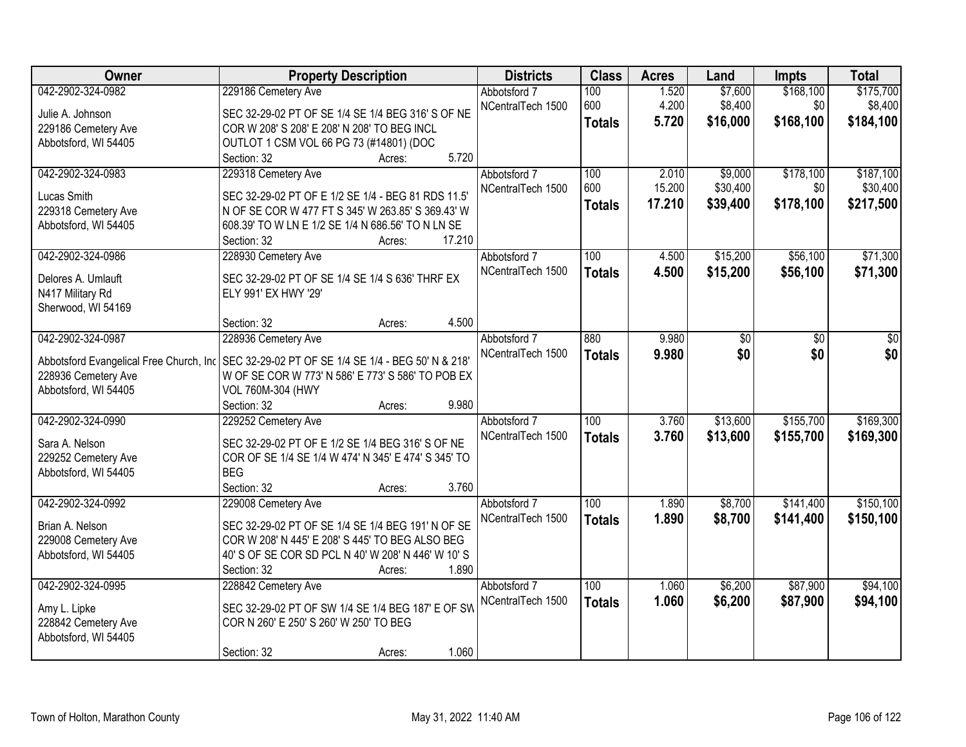| Owner                                    | <b>Property Description</b>                         | <b>Districts</b>                  | <b>Class</b>  | <b>Acres</b> | Land            | <b>Impts</b>    | <b>Total</b> |
|------------------------------------------|-----------------------------------------------------|-----------------------------------|---------------|--------------|-----------------|-----------------|--------------|
| 042-2902-324-0982                        | 229186 Cemetery Ave                                 | Abbotsford 7                      | 100           | 1.520        | \$7,600         | \$168,100       | \$175,700    |
| Julie A. Johnson                         | SEC 32-29-02 PT OF SE 1/4 SE 1/4 BEG 316' S OF NE   | NCentralTech 1500                 | 600           | 4.200        | \$8,400         | \$0             | \$8,400      |
| 229186 Cemetery Ave                      | COR W 208' S 208' E 208' N 208' TO BEG INCL         |                                   | <b>Totals</b> | 5.720        | \$16,000        | \$168,100       | \$184,100    |
| Abbotsford, WI 54405                     | OUTLOT 1 CSM VOL 66 PG 73 (#14801) (DOC             |                                   |               |              |                 |                 |              |
|                                          | 5.720<br>Section: 32<br>Acres:                      |                                   |               |              |                 |                 |              |
| 042-2902-324-0983                        | 229318 Cemetery Ave                                 | Abbotsford 7                      | 100           | 2.010        | \$9,000         | \$178,100       | \$187,100    |
|                                          |                                                     | NCentralTech 1500                 | 600           | 15.200       | \$30,400        | \$0             | \$30,400     |
| Lucas Smith                              | SEC 32-29-02 PT OF E 1/2 SE 1/4 - BEG 81 RDS 11.5'  |                                   | <b>Totals</b> | 17.210       | \$39,400        | \$178,100       | \$217,500    |
| 229318 Cemetery Ave                      | N OF SE COR W 477 FT S 345' W 263.85' S 369.43' W   |                                   |               |              |                 |                 |              |
| Abbotsford, WI 54405                     | 608.39' TO W LN E 1/2 SE 1/4 N 686.56' TO N LN SE   |                                   |               |              |                 |                 |              |
|                                          | 17.210<br>Section: 32<br>Acres:                     |                                   |               |              |                 |                 |              |
| 042-2902-324-0986                        | 228930 Cemetery Ave                                 | Abbotsford 7                      | 100           | 4.500        | \$15,200        | \$56,100        | \$71,300     |
| Delores A. Umlauft                       | SEC 32-29-02 PT OF SE 1/4 SE 1/4 S 636' THRF EX     | NCentralTech 1500                 | <b>Totals</b> | 4.500        | \$15,200        | \$56,100        | \$71,300     |
| N417 Military Rd                         | ELY 991' EX HWY '29'                                |                                   |               |              |                 |                 |              |
| Sherwood, WI 54169                       |                                                     |                                   |               |              |                 |                 |              |
|                                          | 4.500<br>Section: 32<br>Acres:                      |                                   |               |              |                 |                 |              |
| 042-2902-324-0987                        | 228936 Cemetery Ave                                 | Abbotsford 7                      | 880           | 9.980        | $\overline{50}$ | $\overline{50}$ | \$0          |
|                                          |                                                     | NCentralTech 1500                 | <b>Totals</b> | 9.980        | \$0             | \$0             | \$0          |
| Abbotsford Evangelical Free Church, Inc. | SEC 32-29-02 PT OF SE 1/4 SE 1/4 - BEG 50' N & 218' |                                   |               |              |                 |                 |              |
| 228936 Cemetery Ave                      | W OF SE COR W 773' N 586' E 773' S 586' TO POB EX   |                                   |               |              |                 |                 |              |
| Abbotsford, WI 54405                     | VOL 760M-304 (HWY                                   |                                   |               |              |                 |                 |              |
|                                          | 9.980<br>Section: 32<br>Acres:                      |                                   |               |              |                 |                 |              |
| 042-2902-324-0990                        | 229252 Cemetery Ave                                 | Abbotsford 7                      | 100           | 3.760        | \$13,600        | \$155,700       | \$169,300    |
| Sara A. Nelson                           | SEC 32-29-02 PT OF E 1/2 SE 1/4 BEG 316' S OF NE    | NCentralTech 1500                 | <b>Totals</b> | 3.760        | \$13,600        | \$155,700       | \$169,300    |
| 229252 Cemetery Ave                      | COR OF SE 1/4 SE 1/4 W 474' N 345' E 474' S 345' TO |                                   |               |              |                 |                 |              |
| Abbotsford, WI 54405                     | <b>BEG</b>                                          |                                   |               |              |                 |                 |              |
|                                          | Section: 32<br>3.760<br>Acres:                      |                                   |               |              |                 |                 |              |
| 042-2902-324-0992                        |                                                     |                                   | 100           | 1.890        | \$8,700         | \$141,400       | \$150,100    |
|                                          | 229008 Cemetery Ave                                 | Abbotsford 7<br>NCentralTech 1500 |               |              |                 |                 |              |
| Brian A. Nelson                          | SEC 32-29-02 PT OF SE 1/4 SE 1/4 BEG 191' N OF SE   |                                   | <b>Totals</b> | 1.890        | \$8,700         | \$141,400       | \$150,100    |
| 229008 Cemetery Ave                      | COR W 208' N 445' E 208' S 445' TO BEG ALSO BEG     |                                   |               |              |                 |                 |              |
| Abbotsford, WI 54405                     | 40' S OF SE COR SD PCL N 40' W 208' N 446' W 10' S  |                                   |               |              |                 |                 |              |
|                                          | 1.890<br>Section: 32<br>Acres:                      |                                   |               |              |                 |                 |              |
| 042-2902-324-0995                        | 228842 Cemetery Ave                                 | Abbotsford 7                      | 100           | 1.060        | \$6,200         | \$87,900        | \$94,100     |
|                                          | SEC 32-29-02 PT OF SW 1/4 SE 1/4 BEG 187' E OF SW   | NCentralTech 1500                 | <b>Totals</b> | 1.060        | \$6,200         | \$87,900        | \$94,100     |
| Amy L. Lipke<br>228842 Cemetery Ave      | COR N 260' E 250' S 260' W 250' TO BEG              |                                   |               |              |                 |                 |              |
| Abbotsford, WI 54405                     |                                                     |                                   |               |              |                 |                 |              |
|                                          | 1.060<br>Section: 32                                |                                   |               |              |                 |                 |              |
|                                          | Acres:                                              |                                   |               |              |                 |                 |              |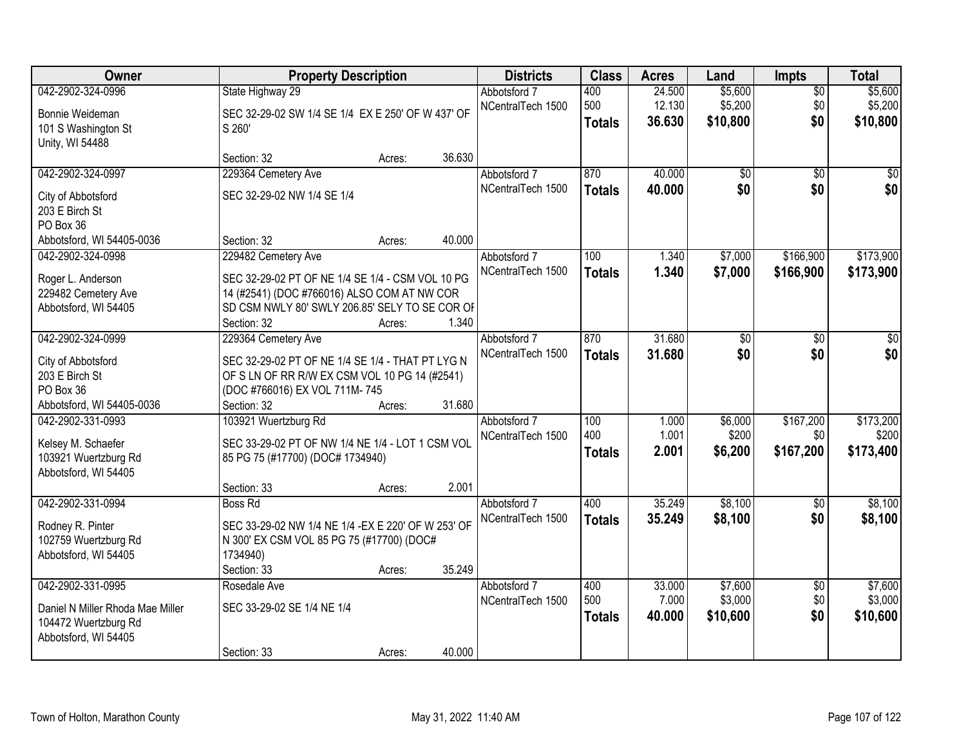| Owner                            |                                                     | <b>Property Description</b> |        | <b>Districts</b>  | <b>Class</b>  | <b>Acres</b> | Land     | Impts           | <b>Total</b> |
|----------------------------------|-----------------------------------------------------|-----------------------------|--------|-------------------|---------------|--------------|----------|-----------------|--------------|
| 042-2902-324-0996                | State Highway 29                                    |                             |        | Abbotsford 7      | 400           | 24.500       | \$5,600  | $\overline{50}$ | \$5,600      |
| Bonnie Weideman                  | SEC 32-29-02 SW 1/4 SE 1/4 EX E 250' OF W 437' OF   |                             |        | NCentralTech 1500 | 500           | 12.130       | \$5,200  | \$0             | \$5,200      |
| 101 S Washington St              | S 260'                                              |                             |        |                   | <b>Totals</b> | 36.630       | \$10,800 | \$0             | \$10,800     |
| Unity, WI 54488                  |                                                     |                             |        |                   |               |              |          |                 |              |
|                                  | Section: 32                                         | Acres:                      | 36.630 |                   |               |              |          |                 |              |
| 042-2902-324-0997                | 229364 Cemetery Ave                                 |                             |        | Abbotsford 7      | 870           | 40.000       | \$0      | \$0             | \$0          |
| City of Abbotsford               | SEC 32-29-02 NW 1/4 SE 1/4                          |                             |        | NCentralTech 1500 | <b>Totals</b> | 40.000       | \$0      | \$0             | \$0          |
| 203 E Birch St                   |                                                     |                             |        |                   |               |              |          |                 |              |
| PO Box 36                        |                                                     |                             |        |                   |               |              |          |                 |              |
| Abbotsford, WI 54405-0036        | Section: 32                                         | Acres:                      | 40.000 |                   |               |              |          |                 |              |
| 042-2902-324-0998                | 229482 Cemetery Ave                                 |                             |        | Abbotsford 7      | 100           | 1.340        | \$7,000  | \$166,900       | \$173,900    |
| Roger L. Anderson                | SEC 32-29-02 PT OF NE 1/4 SE 1/4 - CSM VOL 10 PG    |                             |        | NCentralTech 1500 | <b>Totals</b> | 1.340        | \$7,000  | \$166,900       | \$173,900    |
| 229482 Cemetery Ave              | 14 (#2541) (DOC #766016) ALSO COM AT NW COR         |                             |        |                   |               |              |          |                 |              |
| Abbotsford, WI 54405             | SD CSM NWLY 80' SWLY 206.85' SELY TO SE COR OF      |                             |        |                   |               |              |          |                 |              |
|                                  | Section: 32                                         | Acres:                      | 1.340  |                   |               |              |          |                 |              |
| 042-2902-324-0999                | 229364 Cemetery Ave                                 |                             |        | Abbotsford 7      | 870           | 31.680       | \$0      | \$0             | \$0          |
| City of Abbotsford               | SEC 32-29-02 PT OF NE 1/4 SE 1/4 - THAT PT LYG N    |                             |        | NCentralTech 1500 | <b>Totals</b> | 31.680       | \$0      | \$0             | \$0          |
| 203 E Birch St                   | OF S LN OF RR R/W EX CSM VOL 10 PG 14 (#2541)       |                             |        |                   |               |              |          |                 |              |
| PO Box 36                        | (DOC #766016) EX VOL 711M-745                       |                             |        |                   |               |              |          |                 |              |
| Abbotsford, WI 54405-0036        | Section: 32                                         | Acres:                      | 31.680 |                   |               |              |          |                 |              |
| 042-2902-331-0993                | 103921 Wuertzburg Rd                                |                             |        | Abbotsford 7      | 100           | 1.000        | \$6,000  | \$167,200       | \$173,200    |
| Kelsey M. Schaefer               | SEC 33-29-02 PT OF NW 1/4 NE 1/4 - LOT 1 CSM VOL    |                             |        | NCentralTech 1500 | 400           | 1.001        | \$200    | \$0             | \$200        |
| 103921 Wuertzburg Rd             | 85 PG 75 (#17700) (DOC# 1734940)                    |                             |        |                   | <b>Totals</b> | 2.001        | \$6,200  | \$167,200       | \$173,400    |
| Abbotsford, WI 54405             |                                                     |                             |        |                   |               |              |          |                 |              |
|                                  | Section: 33                                         | Acres:                      | 2.001  |                   |               |              |          |                 |              |
| 042-2902-331-0994                | <b>Boss Rd</b>                                      |                             |        | Abbotsford 7      | 400           | 35.249       | \$8,100  | $\overline{50}$ | \$8,100      |
| Rodney R. Pinter                 | SEC 33-29-02 NW 1/4 NE 1/4 - EX E 220' OF W 253' OF |                             |        | NCentralTech 1500 | <b>Totals</b> | 35.249       | \$8,100  | \$0             | \$8,100      |
| 102759 Wuertzburg Rd             | N 300' EX CSM VOL 85 PG 75 (#17700) (DOC#           |                             |        |                   |               |              |          |                 |              |
| Abbotsford, WI 54405             | 1734940)                                            |                             |        |                   |               |              |          |                 |              |
|                                  | Section: 33                                         | Acres:                      | 35.249 |                   |               |              |          |                 |              |
| 042-2902-331-0995                | Rosedale Ave                                        |                             |        | Abbotsford 7      | 400           | 33.000       | \$7,600  | $\overline{50}$ | \$7,600      |
| Daniel N Miller Rhoda Mae Miller | SEC 33-29-02 SE 1/4 NE 1/4                          |                             |        | NCentralTech 1500 | 500           | 7.000        | \$3,000  | \$0             | \$3,000      |
| 104472 Wuertzburg Rd             |                                                     |                             |        |                   | <b>Totals</b> | 40.000       | \$10,600 | \$0             | \$10,600     |
| Abbotsford, WI 54405             |                                                     |                             |        |                   |               |              |          |                 |              |
|                                  | Section: 33                                         | Acres:                      | 40.000 |                   |               |              |          |                 |              |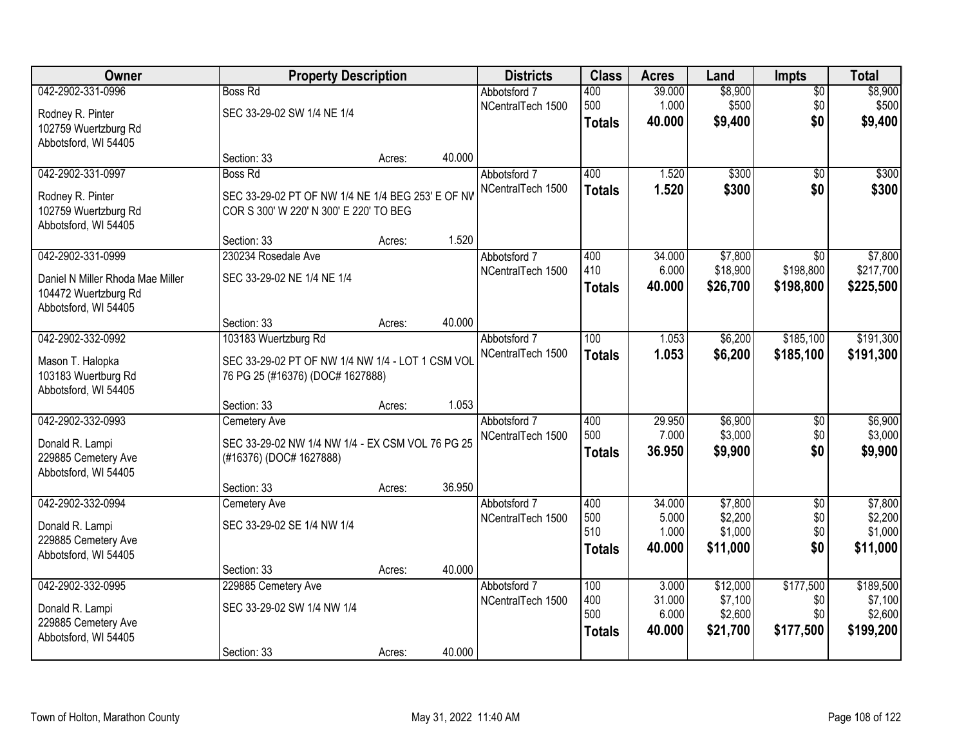| Owner                                   | <b>Property Description</b>                                                          |        |        | <b>Districts</b>                  | <b>Class</b>  | <b>Acres</b>    | Land                | <b>Impts</b>     | <b>Total</b>         |
|-----------------------------------------|--------------------------------------------------------------------------------------|--------|--------|-----------------------------------|---------------|-----------------|---------------------|------------------|----------------------|
| 042-2902-331-0996                       | <b>Boss Rd</b>                                                                       |        |        | Abbotsford 7                      | 400           | 39.000          | \$8,900             | $\overline{50}$  | \$8,900              |
| Rodney R. Pinter                        | SEC 33-29-02 SW 1/4 NE 1/4                                                           |        |        | NCentralTech 1500                 | 500           | 1.000           | \$500               | \$0              | \$500                |
| 102759 Wuertzburg Rd                    |                                                                                      |        |        |                                   | <b>Totals</b> | 40.000          | \$9,400             | \$0              | \$9,400              |
| Abbotsford, WI 54405                    |                                                                                      |        |        |                                   |               |                 |                     |                  |                      |
|                                         | Section: 33                                                                          | Acres: | 40.000 |                                   |               |                 |                     |                  |                      |
| 042-2902-331-0997                       | <b>Boss Rd</b>                                                                       |        |        | Abbotsford 7                      | 400           | 1.520           | \$300               | $\overline{30}$  | \$300                |
| Rodney R. Pinter                        | SEC 33-29-02 PT OF NW 1/4 NE 1/4 BEG 253' E OF NV                                    |        |        | NCentralTech 1500                 | <b>Totals</b> | 1.520           | \$300               | \$0              | \$300                |
| 102759 Wuertzburg Rd                    | COR S 300' W 220' N 300' E 220' TO BEG                                               |        |        |                                   |               |                 |                     |                  |                      |
| Abbotsford, WI 54405                    |                                                                                      |        |        |                                   |               |                 |                     |                  |                      |
| 042-2902-331-0999                       | Section: 33<br>230234 Rosedale Ave                                                   | Acres: | 1.520  | Abbotsford 7                      | 400           | 34.000          | \$7,800             | \$0              | \$7,800              |
|                                         |                                                                                      |        |        | NCentralTech 1500                 | 410           | 6.000           | \$18,900            | \$198,800        | \$217,700            |
| Daniel N Miller Rhoda Mae Miller        | SEC 33-29-02 NE 1/4 NE 1/4                                                           |        |        |                                   | <b>Totals</b> | 40.000          | \$26,700            | \$198,800        | \$225,500            |
| 104472 Wuertzburg Rd                    |                                                                                      |        |        |                                   |               |                 |                     |                  |                      |
| Abbotsford, WI 54405                    | Section: 33                                                                          | Acres: | 40.000 |                                   |               |                 |                     |                  |                      |
| 042-2902-332-0992                       | 103183 Wuertzburg Rd                                                                 |        |        | Abbotsford 7                      | 100           | 1.053           | \$6,200             | \$185,100        | \$191,300            |
|                                         |                                                                                      |        |        | NCentralTech 1500                 | <b>Totals</b> | 1.053           | \$6,200             | \$185,100        | \$191,300            |
| Mason T. Halopka<br>103183 Wuertburg Rd | SEC 33-29-02 PT OF NW 1/4 NW 1/4 - LOT 1 CSM VOL<br>76 PG 25 (#16376) (DOC# 1627888) |        |        |                                   |               |                 |                     |                  |                      |
| Abbotsford, WI 54405                    |                                                                                      |        |        |                                   |               |                 |                     |                  |                      |
|                                         | Section: 33                                                                          | Acres: | 1.053  |                                   |               |                 |                     |                  |                      |
| 042-2902-332-0993                       | <b>Cemetery Ave</b>                                                                  |        |        | Abbotsford 7                      | 400           | 29.950          | \$6,900             | $\overline{30}$  | \$6,900              |
| Donald R. Lampi                         | SEC 33-29-02 NW 1/4 NW 1/4 - EX CSM VOL 76 PG 25                                     |        |        | NCentralTech 1500                 | 500           | 7.000           | \$3,000             | \$0              | \$3,000              |
| 229885 Cemetery Ave                     | (#16376) (DOC# 1627888)                                                              |        |        |                                   | <b>Totals</b> | 36.950          | \$9,900             | \$0              | \$9,900              |
| Abbotsford, WI 54405                    |                                                                                      |        |        |                                   |               |                 |                     |                  |                      |
|                                         | Section: 33                                                                          | Acres: | 36.950 |                                   |               |                 |                     |                  |                      |
| 042-2902-332-0994                       | Cemetery Ave                                                                         |        |        | Abbotsford 7                      | 400           | 34.000          | \$7,800             | $\overline{30}$  | \$7,800              |
| Donald R. Lampi                         | SEC 33-29-02 SE 1/4 NW 1/4                                                           |        |        | NCentralTech 1500                 | 500<br>510    | 5.000<br>1.000  | \$2,200<br>\$1,000  | \$0<br>\$0       | \$2,200<br>\$1,000   |
| 229885 Cemetery Ave                     |                                                                                      |        |        |                                   | <b>Totals</b> | 40.000          | \$11,000            | \$0              | \$11,000             |
| Abbotsford, WI 54405                    |                                                                                      |        |        |                                   |               |                 |                     |                  |                      |
|                                         | Section: 33                                                                          | Acres: | 40.000 |                                   |               |                 |                     |                  |                      |
| 042-2902-332-0995                       | 229885 Cemetery Ave                                                                  |        |        | Abbotsford 7<br>NCentralTech 1500 | 100<br>400    | 3.000<br>31.000 | \$12,000<br>\$7,100 | \$177,500<br>\$0 | \$189,500<br>\$7,100 |
| Donald R. Lampi                         | SEC 33-29-02 SW 1/4 NW 1/4                                                           |        |        |                                   | 500           | 6.000           | \$2,600             | \$0              | \$2,600              |
| 229885 Cemetery Ave                     |                                                                                      |        |        |                                   | <b>Totals</b> | 40.000          | \$21,700            | \$177,500        | \$199,200            |
| Abbotsford, WI 54405                    | Section: 33                                                                          | Acres: | 40.000 |                                   |               |                 |                     |                  |                      |
|                                         |                                                                                      |        |        |                                   |               |                 |                     |                  |                      |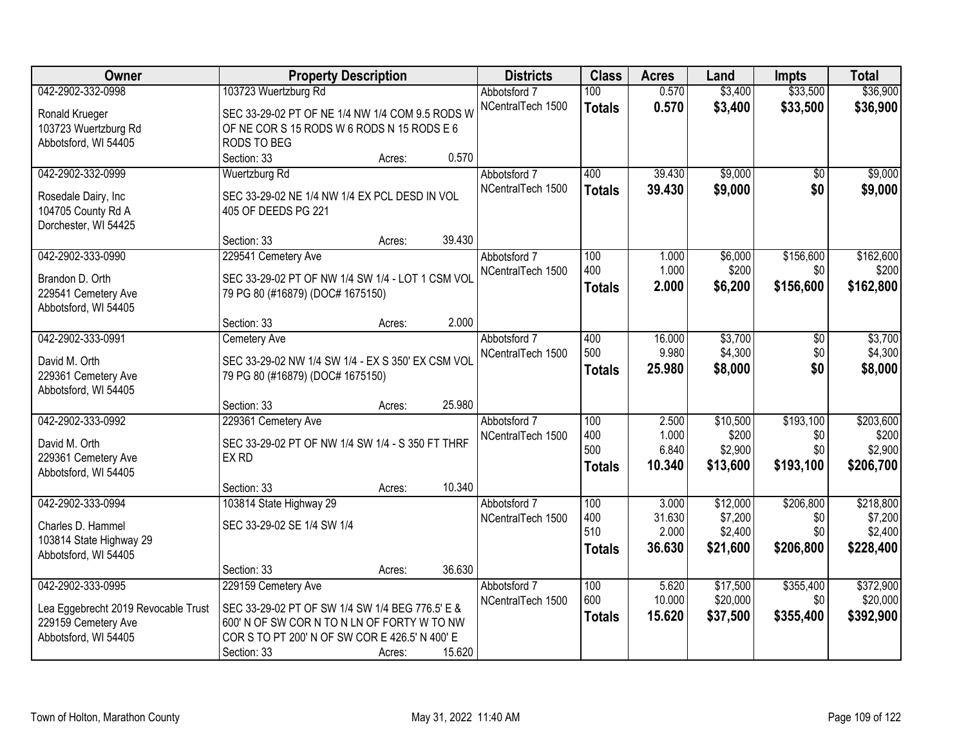| Owner                               | <b>Property Description</b>                       |        |        | <b>Districts</b>  | <b>Class</b>     | <b>Acres</b>    | Land     | <b>Impts</b> | <b>Total</b> |
|-------------------------------------|---------------------------------------------------|--------|--------|-------------------|------------------|-----------------|----------|--------------|--------------|
| 042-2902-332-0998                   | 103723 Wuertzburg Rd                              |        |        | Abbotsford 7      | 100              | 0.570           | \$3,400  | \$33,500     | \$36,900     |
| Ronald Krueger                      | SEC 33-29-02 PT OF NE 1/4 NW 1/4 COM 9.5 RODS W   |        |        | NCentralTech 1500 | <b>Totals</b>    | 0.570           | \$3,400  | \$33,500     | \$36,900     |
| 103723 Wuertzburg Rd                | OF NE COR S 15 RODS W 6 RODS N 15 RODS E 6        |        |        |                   |                  |                 |          |              |              |
| Abbotsford, WI 54405                | RODS TO BEG                                       |        |        |                   |                  |                 |          |              |              |
|                                     | Section: 33                                       | Acres: | 0.570  |                   |                  |                 |          |              |              |
| 042-2902-332-0999                   | Wuertzburg Rd                                     |        |        | Abbotsford 7      | 400              | 39.430          | \$9,000  | \$0          | \$9,000      |
|                                     |                                                   |        |        | NCentralTech 1500 | <b>Totals</b>    | 39.430          | \$9,000  | \$0          | \$9,000      |
| Rosedale Dairy, Inc                 | SEC 33-29-02 NE 1/4 NW 1/4 EX PCL DESD IN VOL     |        |        |                   |                  |                 |          |              |              |
| 104705 County Rd A                  | 405 OF DEEDS PG 221                               |        |        |                   |                  |                 |          |              |              |
| Dorchester, WI 54425                | Section: 33                                       | Acres: | 39.430 |                   |                  |                 |          |              |              |
| 042-2902-333-0990                   | 229541 Cemetery Ave                               |        |        | Abbotsford 7      | 100              | 1.000           | \$6,000  | \$156,600    | \$162,600    |
|                                     |                                                   |        |        | NCentralTech 1500 | 400              | 1.000           | \$200    | \$0          | \$200        |
| Brandon D. Orth                     | SEC 33-29-02 PT OF NW 1/4 SW 1/4 - LOT 1 CSM VOL  |        |        |                   | <b>Totals</b>    | 2.000           | \$6,200  | \$156,600    | \$162,800    |
| 229541 Cemetery Ave                 | 79 PG 80 (#16879) (DOC# 1675150)                  |        |        |                   |                  |                 |          |              |              |
| Abbotsford, WI 54405                |                                                   |        |        |                   |                  |                 |          |              |              |
|                                     | Section: 33                                       | Acres: | 2.000  |                   |                  |                 |          |              |              |
| 042-2902-333-0991                   | <b>Cemetery Ave</b>                               |        |        | Abbotsford 7      | 400              | 16.000          | \$3,700  | \$0          | \$3,700      |
| David M. Orth                       | SEC 33-29-02 NW 1/4 SW 1/4 - EX S 350' EX CSM VOL |        |        | NCentralTech 1500 | 500              | 9.980           | \$4,300  | \$0          | \$4,300      |
| 229361 Cemetery Ave                 | 79 PG 80 (#16879) (DOC# 1675150)                  |        |        |                   | <b>Totals</b>    | 25.980          | \$8,000  | \$0          | \$8,000      |
| Abbotsford, WI 54405                |                                                   |        |        |                   |                  |                 |          |              |              |
|                                     | Section: 33                                       | Acres: | 25.980 |                   |                  |                 |          |              |              |
| 042-2902-333-0992                   | 229361 Cemetery Ave                               |        |        | Abbotsford 7      | $\overline{100}$ | 2.500           | \$10,500 | \$193,100    | \$203,600    |
| David M. Orth                       | SEC 33-29-02 PT OF NW 1/4 SW 1/4 - S 350 FT THRF  |        |        | NCentralTech 1500 | 400              | 1.000           | \$200    | \$0          | \$200        |
| 229361 Cemetery Ave                 | EX RD                                             |        |        |                   | 500              | 6.840           | \$2,900  | \$0          | \$2,900      |
| Abbotsford, WI 54405                |                                                   |        |        |                   | <b>Totals</b>    | 10.340          | \$13,600 | \$193,100    | \$206,700    |
|                                     | Section: 33                                       | Acres: | 10.340 |                   |                  |                 |          |              |              |
| 042-2902-333-0994                   | 103814 State Highway 29                           |        |        | Abbotsford 7      | 100              | 3.000           | \$12,000 | \$206,800    | \$218,800    |
|                                     |                                                   |        |        | NCentralTech 1500 | 400              | 31.630          | \$7,200  | \$0          | \$7,200      |
| Charles D. Hammel                   | SEC 33-29-02 SE 1/4 SW 1/4                        |        |        |                   | 510              | 2.000           | \$2,400  | \$0          | \$2,400      |
| 103814 State Highway 29             |                                                   |        |        |                   | <b>Totals</b>    | 36.630          | \$21,600 | \$206,800    | \$228,400    |
| Abbotsford, WI 54405                |                                                   |        |        |                   |                  |                 |          |              |              |
|                                     | Section: 33                                       | Acres: | 36.630 |                   |                  |                 |          |              |              |
| 042-2902-333-0995                   | 229159 Cemetery Ave                               |        |        | Abbotsford 7      | 100<br>600       | 5.620<br>10.000 | \$17,500 | \$355,400    | \$372,900    |
| Lea Eggebrecht 2019 Revocable Trust | SEC 33-29-02 PT OF SW 1/4 SW 1/4 BEG 776.5' E &   |        |        | NCentralTech 1500 |                  |                 | \$20,000 | \$0          | \$20,000     |
| 229159 Cemetery Ave                 | 600' N OF SW COR N TO N LN OF FORTY W TO NW       |        |        |                   | <b>Totals</b>    | 15.620          | \$37,500 | \$355,400    | \$392,900    |
| Abbotsford, WI 54405                | COR S TO PT 200' N OF SW COR E 426.5' N 400' E    |        |        |                   |                  |                 |          |              |              |
|                                     | Section: 33                                       | Acres: | 15.620 |                   |                  |                 |          |              |              |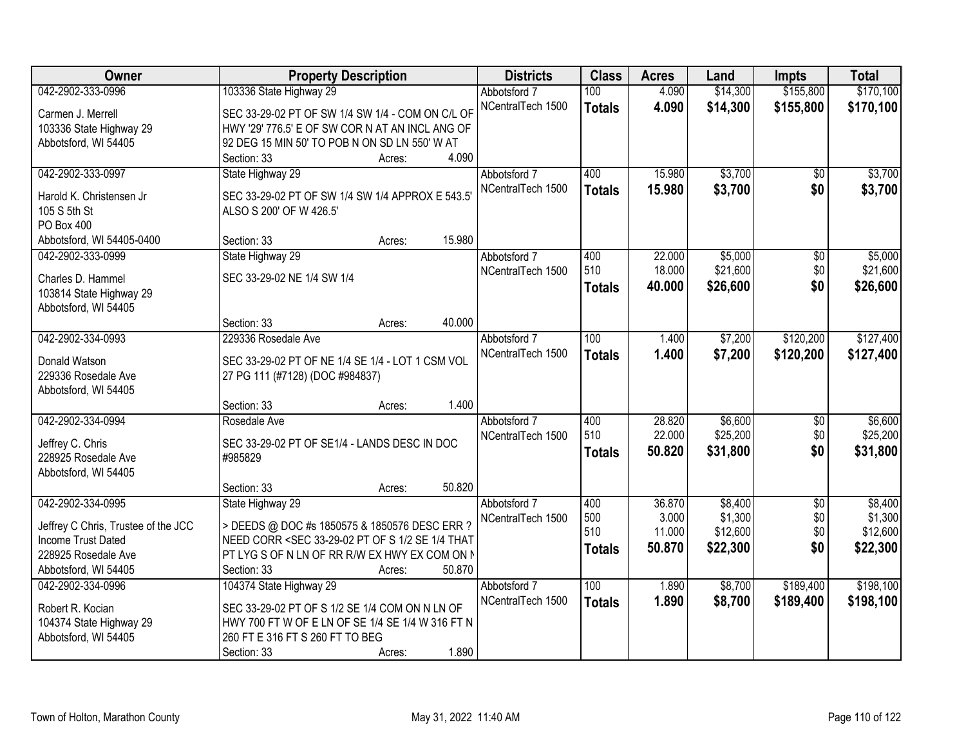| Owner                                        | <b>Property Description</b>                                                                                                                                      | <b>Districts</b>  | <b>Class</b>  | <b>Acres</b>     | Land                | <b>Impts</b>    | <b>Total</b>        |
|----------------------------------------------|------------------------------------------------------------------------------------------------------------------------------------------------------------------|-------------------|---------------|------------------|---------------------|-----------------|---------------------|
| 042-2902-333-0996                            | 103336 State Highway 29                                                                                                                                          | Abbotsford 7      | 100           | 4.090            | \$14,300            | \$155,800       | \$170,100           |
| Carmen J. Merrell                            | SEC 33-29-02 PT OF SW 1/4 SW 1/4 - COM ON C/L OF                                                                                                                 | NCentralTech 1500 | <b>Totals</b> | 4.090            | \$14,300            | \$155,800       | \$170,100           |
| 103336 State Highway 29                      | HWY '29' 776.5' E OF SW COR N AT AN INCL ANG OF                                                                                                                  |                   |               |                  |                     |                 |                     |
| Abbotsford, WI 54405                         | 92 DEG 15 MIN 50' TO POB N ON SD LN 550' W AT                                                                                                                    |                   |               |                  |                     |                 |                     |
|                                              | 4.090<br>Section: 33<br>Acres:                                                                                                                                   |                   |               |                  |                     |                 |                     |
| 042-2902-333-0997                            | State Highway 29                                                                                                                                                 | Abbotsford 7      | 400           | 15.980           | \$3,700             | $\overline{30}$ | \$3,700             |
| Harold K. Christensen Jr                     | SEC 33-29-02 PT OF SW 1/4 SW 1/4 APPROX E 543.5                                                                                                                  | NCentralTech 1500 | <b>Totals</b> | 15.980           | \$3,700             | \$0             | \$3,700             |
| 105 S 5th St                                 | ALSO S 200' OF W 426.5'                                                                                                                                          |                   |               |                  |                     |                 |                     |
| PO Box 400                                   |                                                                                                                                                                  |                   |               |                  |                     |                 |                     |
| Abbotsford, WI 54405-0400                    | 15.980<br>Section: 33<br>Acres:                                                                                                                                  |                   |               |                  |                     |                 |                     |
| 042-2902-333-0999                            | State Highway 29                                                                                                                                                 | Abbotsford 7      | 400           | 22.000           | \$5,000             | \$0             | \$5,000             |
|                                              |                                                                                                                                                                  | NCentralTech 1500 | 510           | 18.000           | \$21,600            | \$0             | \$21,600            |
| Charles D. Hammel<br>103814 State Highway 29 | SEC 33-29-02 NE 1/4 SW 1/4                                                                                                                                       |                   | <b>Totals</b> | 40.000           | \$26,600            | \$0             | \$26,600            |
| Abbotsford, WI 54405                         |                                                                                                                                                                  |                   |               |                  |                     |                 |                     |
|                                              | 40.000<br>Section: 33<br>Acres:                                                                                                                                  |                   |               |                  |                     |                 |                     |
| 042-2902-334-0993                            | 229336 Rosedale Ave                                                                                                                                              | Abbotsford 7      | 100           | 1.400            | \$7,200             | \$120,200       | \$127,400           |
|                                              |                                                                                                                                                                  | NCentralTech 1500 | <b>Totals</b> | 1.400            | \$7,200             | \$120,200       | \$127,400           |
| Donald Watson                                | SEC 33-29-02 PT OF NE 1/4 SE 1/4 - LOT 1 CSM VOL                                                                                                                 |                   |               |                  |                     |                 |                     |
| 229336 Rosedale Ave                          | 27 PG 111 (#7128) (DOC #984837)                                                                                                                                  |                   |               |                  |                     |                 |                     |
| Abbotsford, WI 54405                         | 1.400<br>Section: 33                                                                                                                                             |                   |               |                  |                     |                 |                     |
| 042-2902-334-0994                            | Acres:<br>Rosedale Ave                                                                                                                                           | Abbotsford 7      | 400           | 28.820           | \$6,600             | \$0             | \$6,600             |
|                                              |                                                                                                                                                                  | NCentralTech 1500 | 510           | 22.000           | \$25,200            | \$0             | \$25,200            |
| Jeffrey C. Chris                             | SEC 33-29-02 PT OF SE1/4 - LANDS DESC IN DOC                                                                                                                     |                   | <b>Totals</b> | 50.820           | \$31,800            | \$0             | \$31,800            |
| 228925 Rosedale Ave                          | #985829                                                                                                                                                          |                   |               |                  |                     |                 |                     |
| Abbotsford, WI 54405                         |                                                                                                                                                                  |                   |               |                  |                     |                 |                     |
|                                              | 50.820<br>Section: 33<br>Acres:                                                                                                                                  |                   |               |                  |                     |                 |                     |
| 042-2902-334-0995                            | State Highway 29                                                                                                                                                 | Abbotsford 7      | 400           | 36.870           | \$8,400             | $\overline{50}$ | \$8,400             |
| Jeffrey C Chris, Trustee of the JCC          | > DEEDS @ DOC #s 1850575 & 1850576 DESC ERR ?                                                                                                                    | NCentralTech 1500 | 500<br>510    | 3.000            | \$1,300<br>\$12,600 | \$0<br>\$0      | \$1,300<br>\$12,600 |
| Income Trust Dated                           | NEED CORR <sec 1="" 2="" 33-29-02="" 4="" of="" pt="" s="" se="" td="" that<=""><td></td><td></td><td>11.000<br/>50.870</td><td></td><td>\$0</td><td></td></sec> |                   |               | 11.000<br>50.870 |                     | \$0             |                     |
| 228925 Rosedale Ave                          | PT LYG S OF N LN OF RR R/W EX HWY EX COM ON N                                                                                                                    |                   | <b>Totals</b> |                  | \$22,300            |                 | \$22,300            |
| Abbotsford, WI 54405                         | 50.870<br>Section: 33<br>Acres:                                                                                                                                  |                   |               |                  |                     |                 |                     |
| 042-2902-334-0996                            | 104374 State Highway 29                                                                                                                                          | Abbotsford 7      | 100           | 1.890            | \$8,700             | \$189,400       | \$198,100           |
| Robert R. Kocian                             | SEC 33-29-02 PT OF S 1/2 SE 1/4 COM ON N LN OF                                                                                                                   | NCentralTech 1500 | <b>Totals</b> | 1.890            | \$8,700             | \$189,400       | \$198,100           |
| 104374 State Highway 29                      | HWY 700 FT W OF E LN OF SE 1/4 SE 1/4 W 316 FT N                                                                                                                 |                   |               |                  |                     |                 |                     |
| Abbotsford, WI 54405                         | 260 FT E 316 FT S 260 FT TO BEG                                                                                                                                  |                   |               |                  |                     |                 |                     |
|                                              | 1.890<br>Section: 33<br>Acres:                                                                                                                                   |                   |               |                  |                     |                 |                     |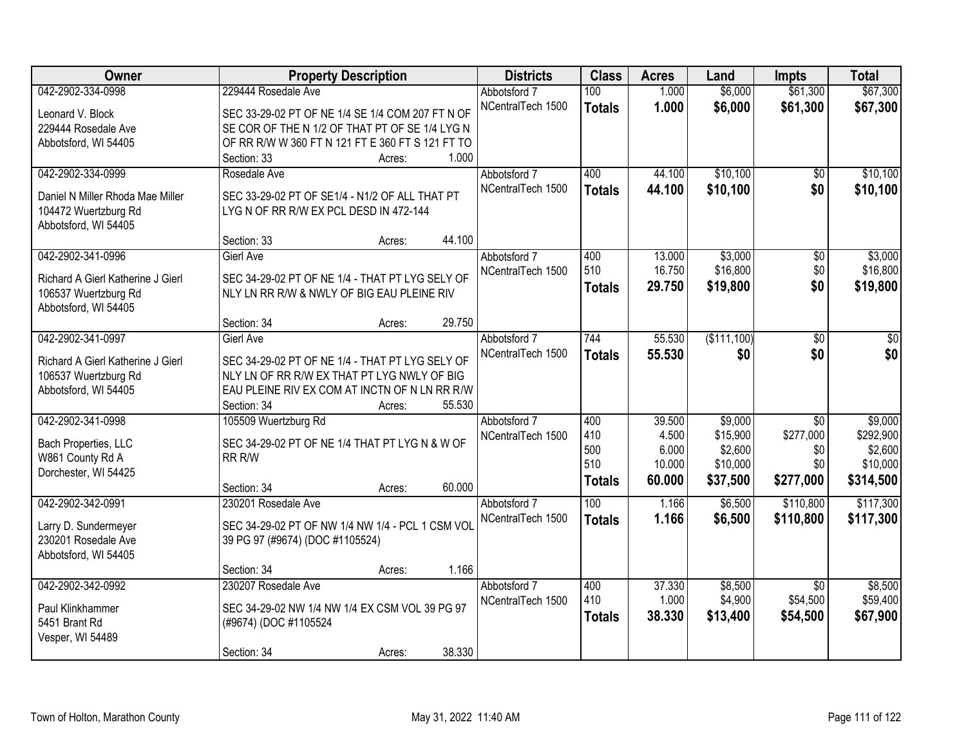| Owner                                        | <b>Property Description</b>                                                              | <b>Districts</b>  | <b>Class</b>  | <b>Acres</b> | Land        | <b>Impts</b>    | <b>Total</b> |
|----------------------------------------------|------------------------------------------------------------------------------------------|-------------------|---------------|--------------|-------------|-----------------|--------------|
| 042-2902-334-0998                            | 229444 Rosedale Ave                                                                      | Abbotsford 7      | 100           | 1.000        | \$6,000     | \$61,300        | \$67,300     |
| Leonard V. Block                             | SEC 33-29-02 PT OF NE 1/4 SE 1/4 COM 207 FT N OF                                         | NCentralTech 1500 | <b>Totals</b> | 1.000        | \$6,000     | \$61,300        | \$67,300     |
| 229444 Rosedale Ave                          | SE COR OF THE N 1/2 OF THAT PT OF SE 1/4 LYG N                                           |                   |               |              |             |                 |              |
| Abbotsford, WI 54405                         | OF RR R/W W 360 FT N 121 FT E 360 FT S 121 FT TO                                         |                   |               |              |             |                 |              |
|                                              | 1.000<br>Section: 33<br>Acres:                                                           |                   |               |              |             |                 |              |
| 042-2902-334-0999                            | Rosedale Ave                                                                             | Abbotsford 7      | 400           | 44.100       | \$10,100    | $\overline{50}$ | \$10,100     |
|                                              |                                                                                          | NCentralTech 1500 | <b>Totals</b> | 44.100       | \$10,100    | \$0             | \$10,100     |
| Daniel N Miller Rhoda Mae Miller             | SEC 33-29-02 PT OF SE1/4 - N1/2 OF ALL THAT PT<br>LYG N OF RR R/W EX PCL DESD IN 472-144 |                   |               |              |             |                 |              |
| 104472 Wuertzburg Rd<br>Abbotsford, WI 54405 |                                                                                          |                   |               |              |             |                 |              |
|                                              | 44.100<br>Section: 33<br>Acres:                                                          |                   |               |              |             |                 |              |
| 042-2902-341-0996                            | <b>Gierl Ave</b>                                                                         | Abbotsford 7      | 400           | 13.000       | \$3,000     | $\overline{50}$ | \$3,000      |
|                                              |                                                                                          | NCentralTech 1500 | 510           | 16.750       | \$16,800    | \$0             | \$16,800     |
| Richard A Gierl Katherine J Gierl            | SEC 34-29-02 PT OF NE 1/4 - THAT PT LYG SELY OF                                          |                   | <b>Totals</b> | 29.750       | \$19,800    | \$0             | \$19,800     |
| 106537 Wuertzburg Rd                         | NLY LN RR R/W & NWLY OF BIG EAU PLEINE RIV                                               |                   |               |              |             |                 |              |
| Abbotsford, WI 54405                         |                                                                                          |                   |               |              |             |                 |              |
|                                              | 29.750<br>Section: 34<br>Acres:                                                          |                   |               |              |             |                 |              |
| 042-2902-341-0997                            | <b>Gierl Ave</b>                                                                         | Abbotsford 7      | 744           | 55.530       | (\$111,100) | $\overline{50}$ | \$0          |
| Richard A Gierl Katherine J Gierl            | SEC 34-29-02 PT OF NE 1/4 - THAT PT LYG SELY OF                                          | NCentralTech 1500 | <b>Totals</b> | 55.530       | \$0         | \$0             | \$0          |
| 106537 Wuertzburg Rd                         | NLY LN OF RR R/W EX THAT PT LYG NWLY OF BIG                                              |                   |               |              |             |                 |              |
| Abbotsford, WI 54405                         | EAU PLEINE RIV EX COM AT INCTN OF N LN RR R/W                                            |                   |               |              |             |                 |              |
|                                              | 55.530<br>Section: 34<br>Acres:                                                          |                   |               |              |             |                 |              |
| 042-2902-341-0998                            | 105509 Wuertzburg Rd                                                                     | Abbotsford 7      | 400           | 39.500       | \$9,000     | $\overline{30}$ | \$9,000      |
|                                              | SEC 34-29-02 PT OF NE 1/4 THAT PT LYG N & W OF                                           | NCentralTech 1500 | 410           | 4.500        | \$15,900    | \$277,000       | \$292,900    |
| Bach Properties, LLC<br>W861 County Rd A     | RR R/W                                                                                   |                   | 500           | 6.000        | \$2,600     | \$0             | \$2,600      |
| Dorchester, WI 54425                         |                                                                                          |                   | 510           | 10.000       | \$10,000    | \$0             | \$10,000     |
|                                              | 60.000<br>Section: 34<br>Acres:                                                          |                   | <b>Totals</b> | 60.000       | \$37,500    | \$277,000       | \$314,500    |
| 042-2902-342-0991                            | 230201 Rosedale Ave                                                                      | Abbotsford 7      | 100           | 1.166        | \$6,500     | \$110,800       | \$117,300    |
|                                              |                                                                                          | NCentralTech 1500 | <b>Totals</b> | 1.166        | \$6,500     | \$110,800       | \$117,300    |
| Larry D. Sundermeyer                         | SEC 34-29-02 PT OF NW 1/4 NW 1/4 - PCL 1 CSM VOL                                         |                   |               |              |             |                 |              |
| 230201 Rosedale Ave                          | 39 PG 97 (#9674) (DOC #1105524)                                                          |                   |               |              |             |                 |              |
| Abbotsford, WI 54405                         |                                                                                          |                   |               |              |             |                 |              |
|                                              | 1.166<br>Section: 34<br>Acres:                                                           |                   |               |              |             |                 |              |
| 042-2902-342-0992                            | 230207 Rosedale Ave                                                                      | Abbotsford 7      | 400           | 37.330       | \$8,500     | $\overline{30}$ | \$8,500      |
| Paul Klinkhammer                             | SEC 34-29-02 NW 1/4 NW 1/4 EX CSM VOL 39 PG 97                                           | NCentralTech 1500 | 410           | 1.000        | \$4,900     | \$54,500        | \$59,400     |
| 5451 Brant Rd                                | (#9674) (DOC #1105524                                                                    |                   | <b>Totals</b> | 38.330       | \$13,400    | \$54,500        | \$67,900     |
| Vesper, WI 54489                             |                                                                                          |                   |               |              |             |                 |              |
|                                              | 38.330<br>Section: 34<br>Acres:                                                          |                   |               |              |             |                 |              |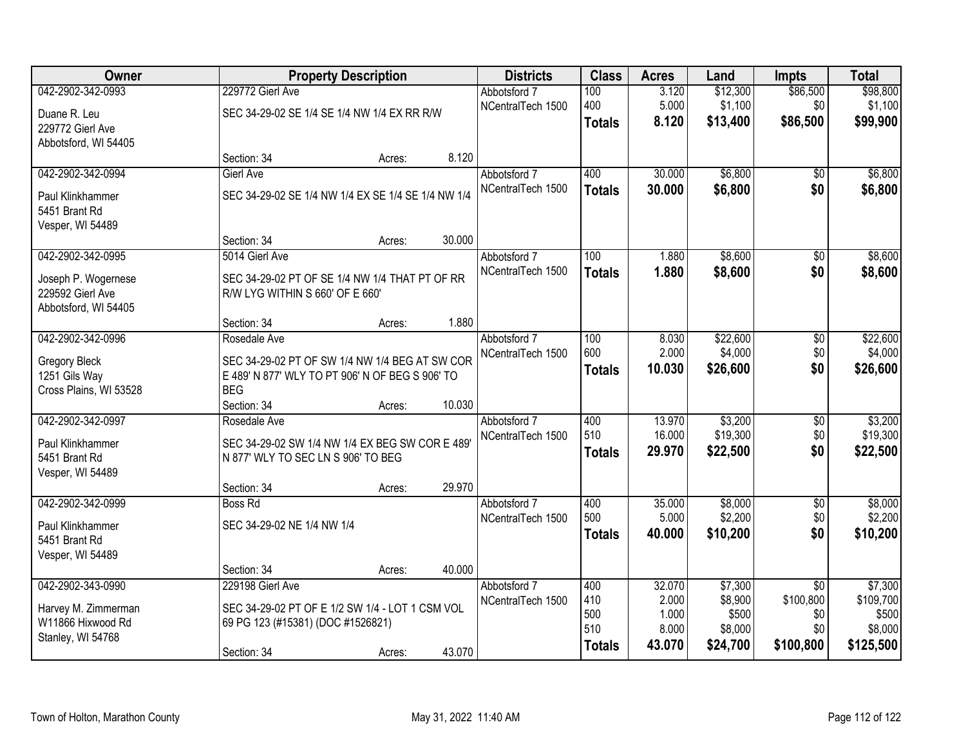| Owner                  |                                                    | <b>Property Description</b> |        |                   | <b>Class</b>  | <b>Acres</b> | Land     | <b>Impts</b>    | <b>Total</b> |
|------------------------|----------------------------------------------------|-----------------------------|--------|-------------------|---------------|--------------|----------|-----------------|--------------|
| 042-2902-342-0993      | 229772 Gierl Ave                                   |                             |        | Abbotsford 7      | 100           | 3.120        | \$12,300 | \$86,500        | \$98,800     |
| Duane R. Leu           | SEC 34-29-02 SE 1/4 SE 1/4 NW 1/4 EX RR R/W        |                             |        | NCentralTech 1500 | 400           | 5.000        | \$1,100  | \$0             | \$1,100      |
| 229772 Gierl Ave       |                                                    |                             |        |                   | <b>Totals</b> | 8.120        | \$13,400 | \$86,500        | \$99,900     |
| Abbotsford, WI 54405   |                                                    |                             |        |                   |               |              |          |                 |              |
|                        | Section: 34                                        | Acres:                      | 8.120  |                   |               |              |          |                 |              |
| 042-2902-342-0994      | Gierl Ave                                          |                             |        | Abbotsford 7      | 400           | 30.000       | \$6,800  | $\overline{50}$ | \$6,800      |
| Paul Klinkhammer       | SEC 34-29-02 SE 1/4 NW 1/4 EX SE 1/4 SE 1/4 NW 1/4 |                             |        | NCentralTech 1500 | <b>Totals</b> | 30.000       | \$6,800  | \$0             | \$6,800      |
| 5451 Brant Rd          |                                                    |                             |        |                   |               |              |          |                 |              |
| Vesper, WI 54489       |                                                    |                             |        |                   |               |              |          |                 |              |
|                        | Section: 34                                        | Acres:                      | 30.000 |                   |               |              |          |                 |              |
| 042-2902-342-0995      | 5014 Gierl Ave                                     |                             |        | Abbotsford 7      | 100           | 1.880        | \$8,600  | \$0             | \$8,600      |
| Joseph P. Wogernese    | SEC 34-29-02 PT OF SE 1/4 NW 1/4 THAT PT OF RR     |                             |        | NCentralTech 1500 | <b>Totals</b> | 1.880        | \$8,600  | \$0             | \$8,600      |
| 229592 Gierl Ave       | R/W LYG WITHIN S 660' OF E 660'                    |                             |        |                   |               |              |          |                 |              |
| Abbotsford, WI 54405   |                                                    |                             |        |                   |               |              |          |                 |              |
|                        | Section: 34                                        | Acres:                      | 1.880  |                   |               |              |          |                 |              |
| 042-2902-342-0996      | Rosedale Ave                                       |                             |        | Abbotsford 7      | 100           | 8.030        | \$22,600 | \$0             | \$22,600     |
| Gregory Bleck          | SEC 34-29-02 PT OF SW 1/4 NW 1/4 BEG AT SW COR     |                             |        | NCentralTech 1500 | 600           | 2.000        | \$4,000  | \$0             | \$4,000      |
| 1251 Gils Way          | E 489' N 877' WLY TO PT 906' N OF BEG S 906' TO    |                             |        |                   | <b>Totals</b> | 10.030       | \$26,600 | \$0             | \$26,600     |
| Cross Plains, WI 53528 | <b>BEG</b>                                         |                             |        |                   |               |              |          |                 |              |
|                        | Section: 34                                        | Acres:                      | 10.030 |                   |               |              |          |                 |              |
| 042-2902-342-0997      | Rosedale Ave                                       |                             |        | Abbotsford 7      | 400           | 13.970       | \$3,200  | \$0             | \$3,200      |
| Paul Klinkhammer       | SEC 34-29-02 SW 1/4 NW 1/4 EX BEG SW COR E 489     |                             |        | NCentralTech 1500 | 510           | 16.000       | \$19,300 | \$0             | \$19,300     |
| 5451 Brant Rd          | N 877' WLY TO SEC LN S 906' TO BEG                 |                             |        |                   | <b>Totals</b> | 29.970       | \$22,500 | \$0             | \$22,500     |
| Vesper, WI 54489       |                                                    |                             |        |                   |               |              |          |                 |              |
|                        | Section: 34                                        | Acres:                      | 29.970 |                   |               |              |          |                 |              |
| 042-2902-342-0999      | <b>Boss Rd</b>                                     |                             |        | Abbotsford 7      | 400           | 35.000       | \$8,000  | $\overline{60}$ | \$8,000      |
| Paul Klinkhammer       | SEC 34-29-02 NE 1/4 NW 1/4                         |                             |        | NCentralTech 1500 | 500           | 5.000        | \$2,200  | \$0             | \$2,200      |
| 5451 Brant Rd          |                                                    |                             |        |                   | <b>Totals</b> | 40.000       | \$10,200 | \$0             | \$10,200     |
| Vesper, WI 54489       |                                                    |                             |        |                   |               |              |          |                 |              |
|                        | Section: 34                                        | Acres:                      | 40.000 |                   |               |              |          |                 |              |
| 042-2902-343-0990      | 229198 Gierl Ave                                   |                             |        | Abbotsford 7      | 400           | 32.070       | \$7,300  | $\overline{30}$ | \$7,300      |
| Harvey M. Zimmerman    | SEC 34-29-02 PT OF E 1/2 SW 1/4 - LOT 1 CSM VOL    |                             |        | NCentralTech 1500 | 410           | 2.000        | \$8,900  | \$100,800       | \$109,700    |
| W11866 Hixwood Rd      | 69 PG 123 (#15381) (DOC #1526821)                  |                             |        |                   | 500           | 1.000        | \$500    | \$0             | \$500        |
| Stanley, WI 54768      |                                                    |                             |        |                   | 510           | 8.000        | \$8,000  | \$0             | \$8,000      |
|                        | Section: 34                                        | Acres:                      | 43.070 |                   | <b>Totals</b> | 43.070       | \$24,700 | \$100,800       | \$125,500    |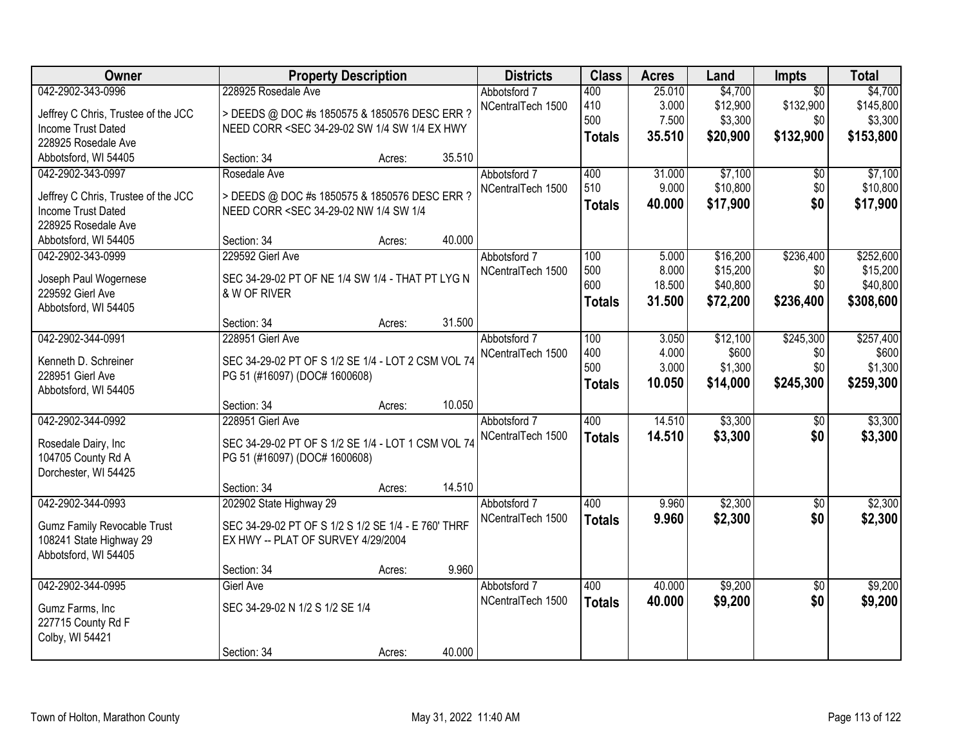| Owner                                     | <b>Property Description</b>                                                                                                                                                                                               |        | <b>Districts</b>  | <b>Class</b>  | <b>Acres</b> | Land     | Impts           | <b>Total</b> |
|-------------------------------------------|---------------------------------------------------------------------------------------------------------------------------------------------------------------------------------------------------------------------------|--------|-------------------|---------------|--------------|----------|-----------------|--------------|
| 042-2902-343-0996                         | 228925 Rosedale Ave                                                                                                                                                                                                       |        | Abbotsford 7      | 400           | 25.010       | \$4,700  | $\overline{50}$ | \$4,700      |
| Jeffrey C Chris, Trustee of the JCC       | > DEEDS @ DOC #s 1850575 & 1850576 DESC ERR ?                                                                                                                                                                             |        | NCentralTech 1500 | 410           | 3.000        | \$12,900 | \$132,900       | \$145,800    |
| Income Trust Dated                        | NEED CORR <sec 1="" 34-29-02="" 4="" ex="" hwy<="" sw="" td=""><td></td><td></td><td>500</td><td>7.500</td><td>\$3,300</td><td>\$0</td><td>\$3,300</td></sec>                                                             |        |                   | 500           | 7.500        | \$3,300  | \$0             | \$3,300      |
| 228925 Rosedale Ave                       |                                                                                                                                                                                                                           |        |                   | <b>Totals</b> | 35.510       | \$20,900 | \$132,900       | \$153,800    |
| Abbotsford, WI 54405                      | Section: 34<br>Acres:                                                                                                                                                                                                     | 35.510 |                   |               |              |          |                 |              |
| 042-2902-343-0997                         | Rosedale Ave                                                                                                                                                                                                              |        | Abbotsford 7      | 400           | 31.000       | \$7,100  | \$0             | \$7,100      |
|                                           |                                                                                                                                                                                                                           |        | NCentralTech 1500 | 510           | 9.000        | \$10,800 | \$0             | \$10,800     |
| Jeffrey C Chris, Trustee of the JCC       | > DEEDS @ DOC #s 1850575 & 1850576 DESC ERR ?<br>NEED CORR <sec 1="" 34-29-02="" 4="" 4<="" nw="" sw="" td=""><td></td><td></td><td><b>Totals</b></td><td>40.000</td><td>\$17,900</td><td>\$0</td><td>\$17,900</td></sec> |        |                   | <b>Totals</b> | 40.000       | \$17,900 | \$0             | \$17,900     |
| Income Trust Dated<br>228925 Rosedale Ave |                                                                                                                                                                                                                           |        |                   |               |              |          |                 |              |
| Abbotsford, WI 54405                      | Section: 34<br>Acres:                                                                                                                                                                                                     | 40.000 |                   |               |              |          |                 |              |
| 042-2902-343-0999                         | 229592 Gierl Ave                                                                                                                                                                                                          |        | Abbotsford 7      | 100           | 5.000        | \$16,200 | \$236,400       | \$252,600    |
|                                           |                                                                                                                                                                                                                           |        | NCentralTech 1500 | 500           | 8.000        | \$15,200 | \$0             | \$15,200     |
| Joseph Paul Wogernese                     | SEC 34-29-02 PT OF NE 1/4 SW 1/4 - THAT PT LYG N                                                                                                                                                                          |        |                   | 600           | 18.500       | \$40,800 | \$0             | \$40,800     |
| 229592 Gierl Ave                          | & W OF RIVER                                                                                                                                                                                                              |        |                   | <b>Totals</b> | 31.500       | \$72,200 | \$236,400       | \$308,600    |
| Abbotsford, WI 54405                      |                                                                                                                                                                                                                           |        |                   |               |              |          |                 |              |
|                                           | Section: 34<br>Acres:                                                                                                                                                                                                     | 31.500 |                   |               |              |          |                 |              |
| 042-2902-344-0991                         | 228951 Gierl Ave                                                                                                                                                                                                          |        | Abbotsford 7      | 100           | 3.050        | \$12,100 | \$245,300       | \$257,400    |
| Kenneth D. Schreiner                      | SEC 34-29-02 PT OF S 1/2 SE 1/4 - LOT 2 CSM VOL 74                                                                                                                                                                        |        | NCentralTech 1500 | 400           | 4.000        | \$600    | \$0             | \$600        |
| 228951 Gierl Ave                          | PG 51 (#16097) (DOC# 1600608)                                                                                                                                                                                             |        |                   | 500           | 3.000        | \$1,300  | \$0             | \$1,300      |
| Abbotsford, WI 54405                      |                                                                                                                                                                                                                           |        |                   | <b>Totals</b> | 10.050       | \$14,000 | \$245,300       | \$259,300    |
|                                           | Section: 34<br>Acres:                                                                                                                                                                                                     | 10.050 |                   |               |              |          |                 |              |
| 042-2902-344-0992                         | 228951 Gierl Ave                                                                                                                                                                                                          |        | Abbotsford 7      | 400           | 14.510       | \$3,300  | \$0             | \$3,300      |
| Rosedale Dairy, Inc                       | SEC 34-29-02 PT OF S 1/2 SE 1/4 - LOT 1 CSM VOL 74                                                                                                                                                                        |        | NCentralTech 1500 | <b>Totals</b> | 14.510       | \$3,300  | \$0             | \$3,300      |
| 104705 County Rd A                        | PG 51 (#16097) (DOC# 1600608)                                                                                                                                                                                             |        |                   |               |              |          |                 |              |
| Dorchester, WI 54425                      |                                                                                                                                                                                                                           |        |                   |               |              |          |                 |              |
|                                           | Section: 34<br>Acres:                                                                                                                                                                                                     | 14.510 |                   |               |              |          |                 |              |
| 042-2902-344-0993                         | 202902 State Highway 29                                                                                                                                                                                                   |        | Abbotsford 7      | 400           | 9.960        | \$2,300  | $\sqrt{6}$      | \$2,300      |
|                                           |                                                                                                                                                                                                                           |        | NCentralTech 1500 | <b>Totals</b> | 9.960        | \$2,300  | \$0             | \$2,300      |
| <b>Gumz Family Revocable Trust</b>        | SEC 34-29-02 PT OF S 1/2 S 1/2 SE 1/4 - E 760' THRF                                                                                                                                                                       |        |                   |               |              |          |                 |              |
| 108241 State Highway 29                   | EX HWY -- PLAT OF SURVEY 4/29/2004                                                                                                                                                                                        |        |                   |               |              |          |                 |              |
| Abbotsford, WI 54405                      | Section: 34                                                                                                                                                                                                               | 9.960  |                   |               |              |          |                 |              |
| 042-2902-344-0995                         | Acres:<br><b>Gierl Ave</b>                                                                                                                                                                                                |        | Abbotsford 7      | 400           | 40.000       | \$9,200  | $\overline{50}$ | \$9,200      |
|                                           |                                                                                                                                                                                                                           |        | NCentralTech 1500 |               | 40.000       |          |                 |              |
| Gumz Farms, Inc                           | SEC 34-29-02 N 1/2 S 1/2 SE 1/4                                                                                                                                                                                           |        |                   | <b>Totals</b> |              | \$9,200  | \$0             | \$9,200      |
| 227715 County Rd F                        |                                                                                                                                                                                                                           |        |                   |               |              |          |                 |              |
| Colby, WI 54421                           |                                                                                                                                                                                                                           |        |                   |               |              |          |                 |              |
|                                           | Section: 34<br>Acres:                                                                                                                                                                                                     | 40.000 |                   |               |              |          |                 |              |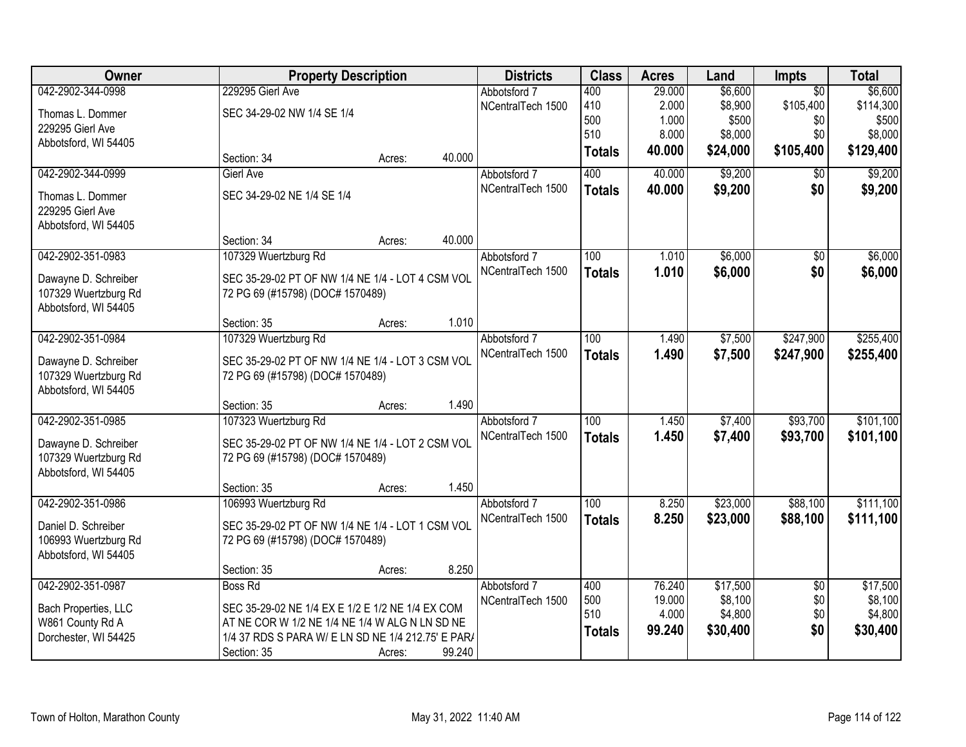| Owner                |                                                    | <b>Property Description</b> |                   |                  | <b>Acres</b> | Land     | <b>Impts</b>    | <b>Total</b> |
|----------------------|----------------------------------------------------|-----------------------------|-------------------|------------------|--------------|----------|-----------------|--------------|
| 042-2902-344-0998    | 229295 Gierl Ave                                   |                             | Abbotsford 7      | 400              | 29.000       | \$6,600  | $\overline{30}$ | \$6,600      |
| Thomas L. Dommer     | SEC 34-29-02 NW 1/4 SE 1/4                         |                             | NCentralTech 1500 | 410              | 2.000        | \$8,900  | \$105,400       | \$114,300    |
| 229295 Gierl Ave     |                                                    |                             |                   | 500              | 1.000        | \$500    | \$0             | \$500        |
| Abbotsford, WI 54405 |                                                    |                             |                   | 510              | 8.000        | \$8,000  | \$0             | \$8,000      |
|                      | Section: 34                                        | 40.000<br>Acres:            |                   | <b>Totals</b>    | 40.000       | \$24,000 | \$105,400       | \$129,400    |
| 042-2902-344-0999    | <b>Gierl Ave</b>                                   |                             | Abbotsford 7      | 400              | 40.000       | \$9,200  | $\overline{50}$ | \$9,200      |
| Thomas L. Dommer     | SEC 34-29-02 NE 1/4 SE 1/4                         |                             | NCentralTech 1500 | <b>Totals</b>    | 40.000       | \$9,200  | \$0             | \$9,200      |
| 229295 Gierl Ave     |                                                    |                             |                   |                  |              |          |                 |              |
| Abbotsford, WI 54405 |                                                    |                             |                   |                  |              |          |                 |              |
|                      | Section: 34                                        | 40.000<br>Acres:            |                   |                  |              |          |                 |              |
| 042-2902-351-0983    | 107329 Wuertzburg Rd                               |                             | Abbotsford 7      | 100              | 1.010        | \$6,000  | \$0             | \$6,000      |
| Dawayne D. Schreiber | SEC 35-29-02 PT OF NW 1/4 NE 1/4 - LOT 4 CSM VOL   |                             | NCentralTech 1500 | <b>Totals</b>    | 1.010        | \$6,000  | \$0             | \$6,000      |
| 107329 Wuertzburg Rd | 72 PG 69 (#15798) (DOC# 1570489)                   |                             |                   |                  |              |          |                 |              |
| Abbotsford, WI 54405 |                                                    |                             |                   |                  |              |          |                 |              |
|                      | Section: 35                                        | 1.010<br>Acres:             |                   |                  |              |          |                 |              |
| 042-2902-351-0984    | 107329 Wuertzburg Rd                               |                             | Abbotsford 7      | 100              | 1.490        | \$7,500  | \$247,900       | \$255,400    |
| Dawayne D. Schreiber | SEC 35-29-02 PT OF NW 1/4 NE 1/4 - LOT 3 CSM VOL   |                             | NCentralTech 1500 | <b>Totals</b>    | 1.490        | \$7,500  | \$247,900       | \$255,400    |
| 107329 Wuertzburg Rd | 72 PG 69 (#15798) (DOC# 1570489)                   |                             |                   |                  |              |          |                 |              |
| Abbotsford, WI 54405 |                                                    |                             |                   |                  |              |          |                 |              |
|                      | Section: 35                                        | 1.490<br>Acres:             |                   |                  |              |          |                 |              |
| 042-2902-351-0985    | 107323 Wuertzburg Rd                               |                             | Abbotsford 7      | $\overline{100}$ | 1.450        | \$7,400  | \$93,700        | \$101,100    |
| Dawayne D. Schreiber | SEC 35-29-02 PT OF NW 1/4 NE 1/4 - LOT 2 CSM VOL   |                             | NCentralTech 1500 | <b>Totals</b>    | 1.450        | \$7,400  | \$93,700        | \$101,100    |
| 107329 Wuertzburg Rd | 72 PG 69 (#15798) (DOC# 1570489)                   |                             |                   |                  |              |          |                 |              |
| Abbotsford, WI 54405 |                                                    |                             |                   |                  |              |          |                 |              |
|                      | Section: 35                                        | 1.450<br>Acres:             |                   |                  |              |          |                 |              |
| 042-2902-351-0986    | 106993 Wuertzburg Rd                               |                             | Abbotsford 7      | 100              | 8.250        | \$23,000 | \$88,100        | \$111,100    |
| Daniel D. Schreiber  | SEC 35-29-02 PT OF NW 1/4 NE 1/4 - LOT 1 CSM VOL   |                             | NCentralTech 1500 | <b>Totals</b>    | 8.250        | \$23,000 | \$88,100        | \$111,100    |
| 106993 Wuertzburg Rd | 72 PG 69 (#15798) (DOC# 1570489)                   |                             |                   |                  |              |          |                 |              |
| Abbotsford, WI 54405 |                                                    |                             |                   |                  |              |          |                 |              |
|                      | Section: 35                                        | 8.250<br>Acres:             |                   |                  |              |          |                 |              |
| 042-2902-351-0987    | <b>Boss Rd</b>                                     |                             | Abbotsford 7      | 400              | 76.240       | \$17,500 | $\overline{30}$ | \$17,500     |
| Bach Properties, LLC | SEC 35-29-02 NE 1/4 EX E 1/2 E 1/2 NE 1/4 EX COM   |                             | NCentralTech 1500 | 500<br>510       | 19.000       | \$8,100  | \$0             | \$8,100      |
| W861 County Rd A     | AT NE COR W 1/2 NE 1/4 NE 1/4 W ALG N LN SD NE     |                             |                   |                  | 4.000        | \$4,800  | \$0<br>\$0      | \$4,800      |
| Dorchester, WI 54425 | 1/4 37 RDS S PARA W/ E LN SD NE 1/4 212.75' E PAR/ |                             |                   | <b>Totals</b>    | 99.240       | \$30,400 |                 | \$30,400     |
|                      | Section: 35                                        | 99.240<br>Acres:            |                   |                  |              |          |                 |              |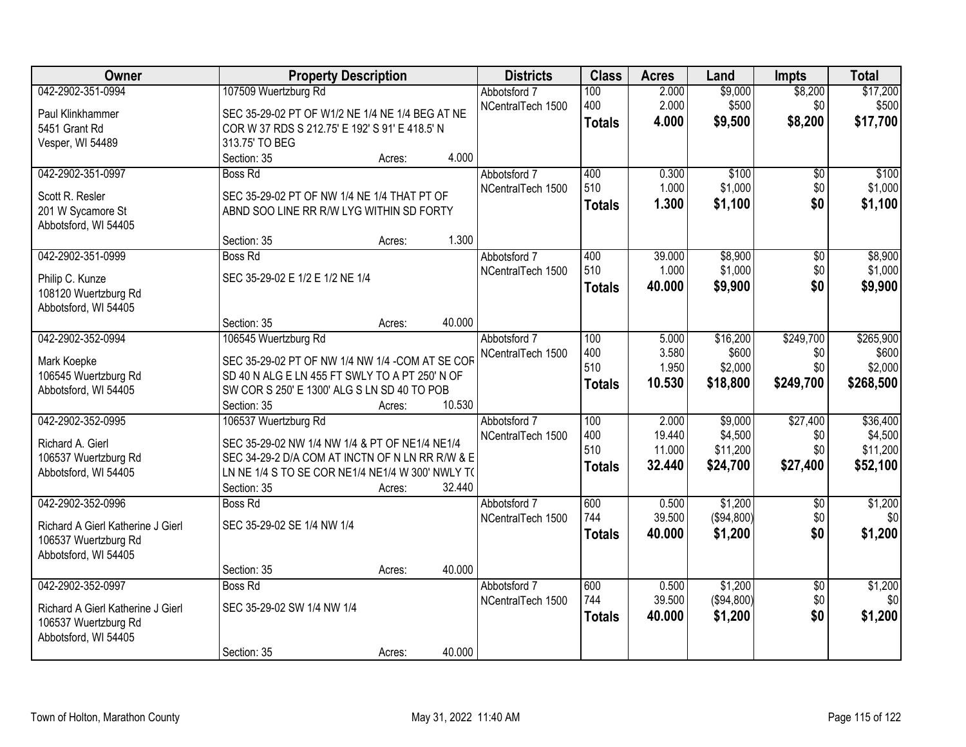| Owner                             | <b>Property Description</b>                      |        |        | <b>Districts</b>  | <b>Class</b>     | <b>Acres</b> | Land         | <b>Impts</b>    | <b>Total</b> |
|-----------------------------------|--------------------------------------------------|--------|--------|-------------------|------------------|--------------|--------------|-----------------|--------------|
| 042-2902-351-0994                 | 107509 Wuertzburg Rd                             |        |        | Abbotsford 7      | 100              | 2.000        | \$9,000      | \$8,200         | \$17,200     |
| Paul Klinkhammer                  | SEC 35-29-02 PT OF W1/2 NE 1/4 NE 1/4 BEG AT NE  |        |        | NCentralTech 1500 | 400              | 2.000        | \$500        | \$0             | \$500        |
| 5451 Grant Rd                     | COR W 37 RDS S 212.75' E 192' S 91' E 418.5' N   |        |        |                   | <b>Totals</b>    | 4.000        | \$9,500      | \$8,200         | \$17,700     |
| Vesper, WI 54489                  | 313.75' TO BEG                                   |        |        |                   |                  |              |              |                 |              |
|                                   | Section: 35                                      | Acres: | 4.000  |                   |                  |              |              |                 |              |
| 042-2902-351-0997                 | <b>Boss Rd</b>                                   |        |        | Abbotsford 7      | 400              | 0.300        | \$100        | $\overline{50}$ | \$100        |
|                                   |                                                  |        |        | NCentralTech 1500 | 510              | 1.000        | \$1,000      | \$0             | \$1,000      |
| Scott R. Resler                   | SEC 35-29-02 PT OF NW 1/4 NE 1/4 THAT PT OF      |        |        |                   | <b>Totals</b>    | 1.300        | \$1,100      | \$0             | \$1,100      |
| 201 W Sycamore St                 | ABND SOO LINE RR R/W LYG WITHIN SD FORTY         |        |        |                   |                  |              |              |                 |              |
| Abbotsford, WI 54405              |                                                  |        |        |                   |                  |              |              |                 |              |
|                                   | Section: 35                                      | Acres: | 1.300  |                   |                  |              |              |                 |              |
| 042-2902-351-0999                 | <b>Boss Rd</b>                                   |        |        | Abbotsford 7      | 400              | 39.000       | \$8,900      | $\overline{50}$ | \$8,900      |
| Philip C. Kunze                   | SEC 35-29-02 E 1/2 E 1/2 NE 1/4                  |        |        | NCentralTech 1500 | 510              | 1.000        | \$1,000      | \$0             | \$1,000      |
| 108120 Wuertzburg Rd              |                                                  |        |        |                   | <b>Totals</b>    | 40.000       | \$9,900      | \$0             | \$9,900      |
| Abbotsford, WI 54405              |                                                  |        |        |                   |                  |              |              |                 |              |
|                                   | Section: 35                                      | Acres: | 40.000 |                   |                  |              |              |                 |              |
| 042-2902-352-0994                 | 106545 Wuertzburg Rd                             |        |        | Abbotsford 7      | 100              | 5.000        | \$16,200     | \$249,700       | \$265,900    |
| Mark Koepke                       | SEC 35-29-02 PT OF NW 1/4 NW 1/4 -COM AT SE COR  |        |        | NCentralTech 1500 | 400              | 3.580        | \$600        | \$0             | \$600        |
| 106545 Wuertzburg Rd              | SD 40 N ALG E LN 455 FT SWLY TO A PT 250' N OF   |        |        |                   | 510              | 1.950        | \$2,000      | \$0             | \$2,000      |
| Abbotsford, WI 54405              | SW COR S 250' E 1300' ALG S LN SD 40 TO POB      |        |        |                   | <b>Totals</b>    | 10.530       | \$18,800     | \$249,700       | \$268,500    |
|                                   | Section: 35                                      | Acres: | 10.530 |                   |                  |              |              |                 |              |
| 042-2902-352-0995                 | 106537 Wuertzburg Rd                             |        |        | Abbotsford 7      | $\overline{100}$ | 2.000        | \$9,000      | \$27,400        | \$36,400     |
|                                   |                                                  |        |        | NCentralTech 1500 | 400              | 19.440       | \$4,500      | \$0             | \$4,500      |
| Richard A. Gierl                  | SEC 35-29-02 NW 1/4 NW 1/4 & PT OF NE1/4 NE1/4   |        |        |                   | 510              | 11.000       | \$11,200     | \$0             | \$11,200     |
| 106537 Wuertzburg Rd              | SEC 34-29-2 D/A COM AT INCTN OF N LN RR R/W & E  |        |        |                   | <b>Totals</b>    | 32.440       | \$24,700     | \$27,400        | \$52,100     |
| Abbotsford, WI 54405              | LN NE 1/4 S TO SE COR NE1/4 NE1/4 W 300' NWLY T( |        |        |                   |                  |              |              |                 |              |
|                                   | Section: 35                                      | Acres: | 32.440 |                   |                  |              |              |                 |              |
| 042-2902-352-0996                 | <b>Boss Rd</b>                                   |        |        | Abbotsford 7      | 600              | 0.500        | \$1,200      | $\overline{50}$ | \$1,200      |
| Richard A Gierl Katherine J Gierl | SEC 35-29-02 SE 1/4 NW 1/4                       |        |        | NCentralTech 1500 | 744              | 39.500       | ( \$94, 800) | \$0             | \$0          |
| 106537 Wuertzburg Rd              |                                                  |        |        |                   | <b>Totals</b>    | 40.000       | \$1,200      | \$0             | \$1,200      |
| Abbotsford, WI 54405              |                                                  |        |        |                   |                  |              |              |                 |              |
|                                   | Section: 35                                      | Acres: | 40.000 |                   |                  |              |              |                 |              |
| 042-2902-352-0997                 | <b>Boss Rd</b>                                   |        |        | Abbotsford 7      | 600              | 0.500        | \$1,200      | $\overline{50}$ | \$1,200      |
| Richard A Gierl Katherine J Gierl | SEC 35-29-02 SW 1/4 NW 1/4                       |        |        | NCentralTech 1500 | 744              | 39.500       | ( \$94, 800) | \$0             | \$0          |
| 106537 Wuertzburg Rd              |                                                  |        |        |                   | <b>Totals</b>    | 40.000       | \$1,200      | \$0             | \$1,200      |
| Abbotsford, WI 54405              |                                                  |        |        |                   |                  |              |              |                 |              |
|                                   | Section: 35                                      | Acres: | 40.000 |                   |                  |              |              |                 |              |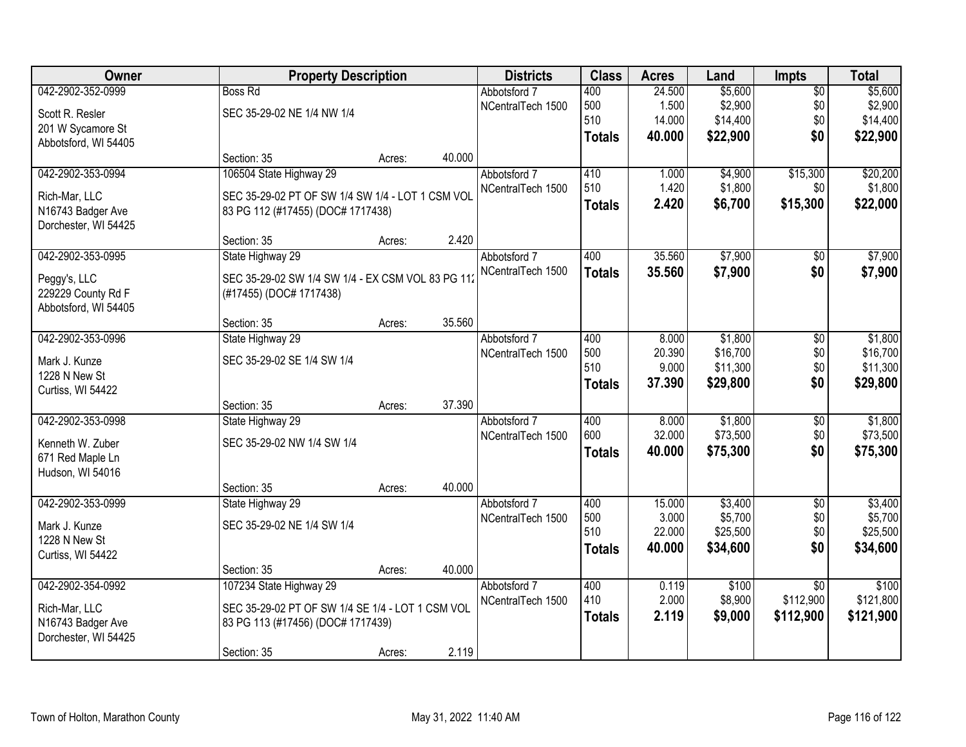| Owner                |                                                   | <b>Property Description</b> |        |                   | <b>Class</b>  | <b>Acres</b>    | Land                | <b>Impts</b>    | <b>Total</b>         |
|----------------------|---------------------------------------------------|-----------------------------|--------|-------------------|---------------|-----------------|---------------------|-----------------|----------------------|
| 042-2902-352-0999    | <b>Boss Rd</b>                                    |                             |        | Abbotsford 7      | 400           | 24.500          | \$5,600             | $\overline{50}$ | \$5,600              |
| Scott R. Resler      | SEC 35-29-02 NE 1/4 NW 1/4                        |                             |        | NCentralTech 1500 | 500           | 1.500           | \$2,900             | \$0             | \$2,900              |
| 201 W Sycamore St    |                                                   |                             |        |                   | 510           | 14.000          | \$14,400            | \$0             | \$14,400             |
| Abbotsford, WI 54405 |                                                   |                             |        |                   | <b>Totals</b> | 40.000          | \$22,900            | \$0             | \$22,900             |
|                      | Section: 35                                       | Acres:                      | 40.000 |                   |               |                 |                     |                 |                      |
| 042-2902-353-0994    | 106504 State Highway 29                           |                             |        | Abbotsford 7      | 410           | 1.000           | \$4,900             | \$15,300        | \$20,200             |
| Rich-Mar, LLC        | SEC 35-29-02 PT OF SW 1/4 SW 1/4 - LOT 1 CSM VOL  |                             |        | NCentralTech 1500 | 510           | 1.420           | \$1,800             | \$0             | \$1,800              |
| N16743 Badger Ave    | 83 PG 112 (#17455) (DOC# 1717438)                 |                             |        |                   | <b>Totals</b> | 2.420           | \$6,700             | \$15,300        | \$22,000             |
| Dorchester, WI 54425 |                                                   |                             |        |                   |               |                 |                     |                 |                      |
|                      | Section: 35                                       | Acres:                      | 2.420  |                   |               |                 |                     |                 |                      |
| 042-2902-353-0995    | State Highway 29                                  |                             |        | Abbotsford 7      | 400           | 35.560          | \$7,900             | \$0             | \$7,900              |
| Peggy's, LLC         | SEC 35-29-02 SW 1/4 SW 1/4 - EX CSM VOL 83 PG 112 |                             |        | NCentralTech 1500 | <b>Totals</b> | 35.560          | \$7,900             | \$0             | \$7,900              |
| 229229 County Rd F   | (#17455) (DOC# 1717438)                           |                             |        |                   |               |                 |                     |                 |                      |
| Abbotsford, WI 54405 |                                                   |                             |        |                   |               |                 |                     |                 |                      |
|                      | Section: 35                                       | Acres:                      | 35.560 |                   |               |                 |                     |                 |                      |
| 042-2902-353-0996    | State Highway 29                                  |                             |        | Abbotsford 7      | 400           | 8.000           | \$1,800             | \$0             | \$1,800              |
| Mark J. Kunze        | SEC 35-29-02 SE 1/4 SW 1/4                        |                             |        | NCentralTech 1500 | 500           | 20.390          | \$16,700            | \$0             | \$16,700             |
| 1228 N New St        |                                                   |                             |        |                   | 510           | 9.000           | \$11,300            | \$0             | \$11,300             |
| Curtiss, WI 54422    |                                                   |                             |        |                   | <b>Totals</b> | 37.390          | \$29,800            | \$0             | \$29,800             |
|                      | Section: 35                                       | Acres:                      | 37.390 |                   |               |                 |                     |                 |                      |
| 042-2902-353-0998    | State Highway 29                                  |                             |        | Abbotsford 7      | 400           | 8.000           | \$1,800             | \$0             | \$1,800              |
| Kenneth W. Zuber     | SEC 35-29-02 NW 1/4 SW 1/4                        |                             |        | NCentralTech 1500 | 600           | 32.000          | \$73,500            | \$0             | \$73,500             |
| 671 Red Maple Ln     |                                                   |                             |        |                   | <b>Totals</b> | 40.000          | \$75,300            | \$0             | \$75,300             |
| Hudson, WI 54016     |                                                   |                             |        |                   |               |                 |                     |                 |                      |
|                      | Section: 35                                       | Acres:                      | 40.000 |                   |               |                 |                     |                 |                      |
| 042-2902-353-0999    | State Highway 29                                  |                             |        | Abbotsford 7      | 400           | 15.000          | \$3,400             | $\overline{60}$ | \$3,400              |
| Mark J. Kunze        | SEC 35-29-02 NE 1/4 SW 1/4                        |                             |        | NCentralTech 1500 | 500<br>510    | 3.000<br>22.000 | \$5,700<br>\$25,500 | \$0             | \$5,700              |
| 1228 N New St        |                                                   |                             |        |                   |               | 40.000          | \$34,600            | \$0<br>\$0      | \$25,500<br>\$34,600 |
| Curtiss, WI 54422    |                                                   |                             |        |                   | <b>Totals</b> |                 |                     |                 |                      |
|                      | Section: 35                                       | Acres:                      | 40.000 |                   |               |                 |                     |                 |                      |
| 042-2902-354-0992    | 107234 State Highway 29                           |                             |        | Abbotsford 7      | 400           | 0.119           | \$100               | $\overline{30}$ | \$100                |
| Rich-Mar, LLC        | SEC 35-29-02 PT OF SW 1/4 SE 1/4 - LOT 1 CSM VOL  |                             |        | NCentralTech 1500 | 410           | 2.000           | \$8,900             | \$112,900       | \$121,800            |
| N16743 Badger Ave    | 83 PG 113 (#17456) (DOC# 1717439)                 |                             |        |                   | <b>Totals</b> | 2.119           | \$9,000             | \$112,900       | \$121,900            |
| Dorchester, WI 54425 |                                                   |                             |        |                   |               |                 |                     |                 |                      |
|                      | Section: 35                                       | Acres:                      | 2.119  |                   |               |                 |                     |                 |                      |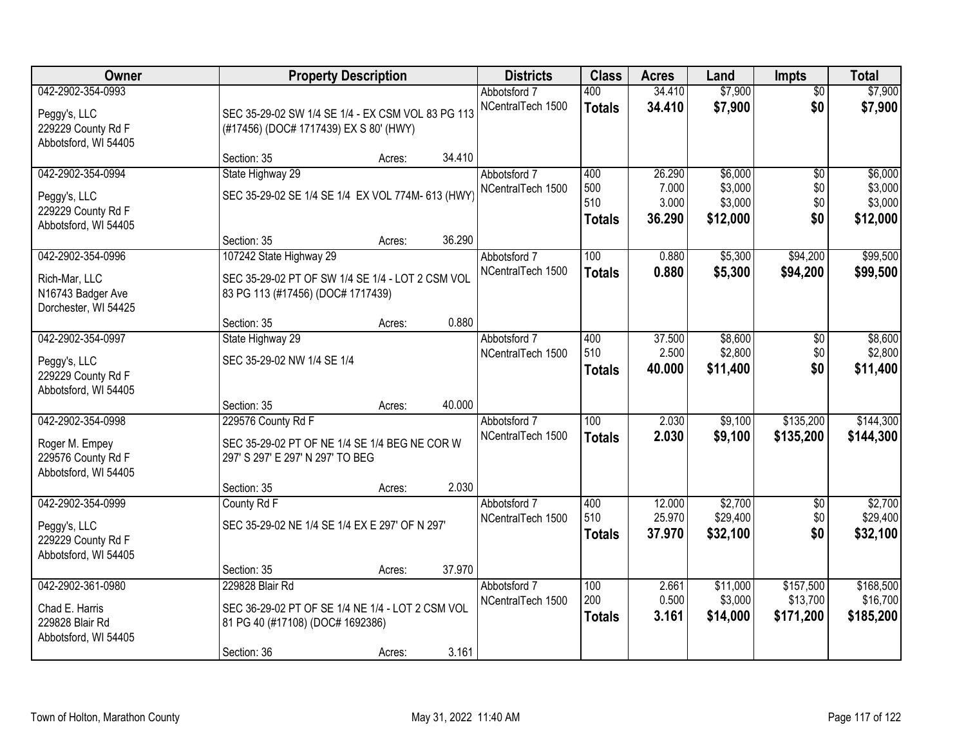| Owner                                                                             |                                                                                                                                                | <b>Property Description</b> |                 |                                   | <b>Class</b>                       | <b>Acres</b>                       | Land                                      | <b>Impts</b>                         | <b>Total</b>                              |
|-----------------------------------------------------------------------------------|------------------------------------------------------------------------------------------------------------------------------------------------|-----------------------------|-----------------|-----------------------------------|------------------------------------|------------------------------------|-------------------------------------------|--------------------------------------|-------------------------------------------|
| 042-2902-354-0993<br>Peggy's, LLC<br>229229 County Rd F<br>Abbotsford, WI 54405   | SEC 35-29-02 SW 1/4 SE 1/4 - EX CSM VOL 83 PG 113<br>(#17456) (DOC# 1717439) EX S 80' (HWY)                                                    |                             |                 | Abbotsford 7<br>NCentralTech 1500 | 400<br><b>Totals</b>               | 34.410<br>34.410                   | \$7,900<br>\$7,900                        | $\overline{50}$<br>\$0               | \$7,900<br>\$7,900                        |
|                                                                                   | Section: 35                                                                                                                                    | Acres:                      | 34.410          |                                   |                                    |                                    |                                           |                                      |                                           |
| 042-2902-354-0994<br>Peggy's, LLC<br>229229 County Rd F<br>Abbotsford, WI 54405   | State Highway 29<br>SEC 35-29-02 SE 1/4 SE 1/4 EX VOL 774M- 613 (HWY)                                                                          |                             |                 | Abbotsford 7<br>NCentralTech 1500 | 400<br>500<br>510<br><b>Totals</b> | 26.290<br>7.000<br>3.000<br>36.290 | \$6,000<br>\$3,000<br>\$3,000<br>\$12,000 | $\overline{50}$<br>\$0<br>\$0<br>\$0 | \$6,000<br>\$3,000<br>\$3,000<br>\$12,000 |
| 042-2902-354-0996<br>Rich-Mar, LLC<br>N16743 Badger Ave<br>Dorchester, WI 54425   | Section: 35<br>107242 State Highway 29<br>SEC 35-29-02 PT OF SW 1/4 SE 1/4 - LOT 2 CSM VOL<br>83 PG 113 (#17456) (DOC# 1717439)<br>Section: 35 | Acres:<br>Acres:            | 36.290<br>0.880 | Abbotsford 7<br>NCentralTech 1500 | 100<br><b>Totals</b>               | 0.880<br>0.880                     | \$5,300<br>\$5,300                        | \$94,200<br>\$94,200                 | \$99,500<br>\$99,500                      |
| 042-2902-354-0997<br>Peggy's, LLC<br>229229 County Rd F<br>Abbotsford, WI 54405   | State Highway 29<br>SEC 35-29-02 NW 1/4 SE 1/4                                                                                                 |                             |                 | Abbotsford 7<br>NCentralTech 1500 | 400<br>510<br><b>Totals</b>        | 37.500<br>2.500<br>40,000          | \$8,600<br>\$2,800<br>\$11,400            | $\sqrt[6]{3}$<br>\$0<br>\$0          | \$8,600<br>\$2,800<br>\$11,400            |
| 042-2902-354-0998<br>Roger M. Empey<br>229576 County Rd F<br>Abbotsford, WI 54405 | Section: 35<br>229576 County Rd F<br>SEC 35-29-02 PT OF NE 1/4 SE 1/4 BEG NE COR W<br>297' S 297' E 297' N 297' TO BEG<br>Section: 35          | Acres:<br>Acres:            | 40.000<br>2.030 | Abbotsford 7<br>NCentralTech 1500 | $\overline{100}$<br><b>Totals</b>  | 2.030<br>2.030                     | \$9,100<br>\$9,100                        | \$135,200<br>\$135,200               | \$144,300<br>\$144,300                    |
| 042-2902-354-0999<br>Peggy's, LLC<br>229229 County Rd F<br>Abbotsford, WI 54405   | County Rd F<br>SEC 35-29-02 NE 1/4 SE 1/4 EX E 297' OF N 297'<br>Section: 35                                                                   | Acres:                      | 37.970          | Abbotsford 7<br>NCentralTech 1500 | 400<br>510<br><b>Totals</b>        | 12.000<br>25.970<br>37.970         | \$2,700<br>\$29,400<br>\$32,100           | $\sqrt{$0}$<br>\$0<br>\$0            | \$2,700<br>\$29,400<br>\$32,100           |
| 042-2902-361-0980<br>Chad E. Harris<br>229828 Blair Rd<br>Abbotsford, WI 54405    | 229828 Blair Rd<br>SEC 36-29-02 PT OF SE 1/4 NE 1/4 - LOT 2 CSM VOL<br>81 PG 40 (#17108) (DOC# 1692386)<br>Section: 36                         | Acres:                      | 3.161           | Abbotsford 7<br>NCentralTech 1500 | 100<br>200<br><b>Totals</b>        | 2.661<br>0.500<br>3.161            | \$11,000<br>\$3,000<br>\$14,000           | \$157,500<br>\$13,700<br>\$171,200   | \$168,500<br>\$16,700<br>\$185,200        |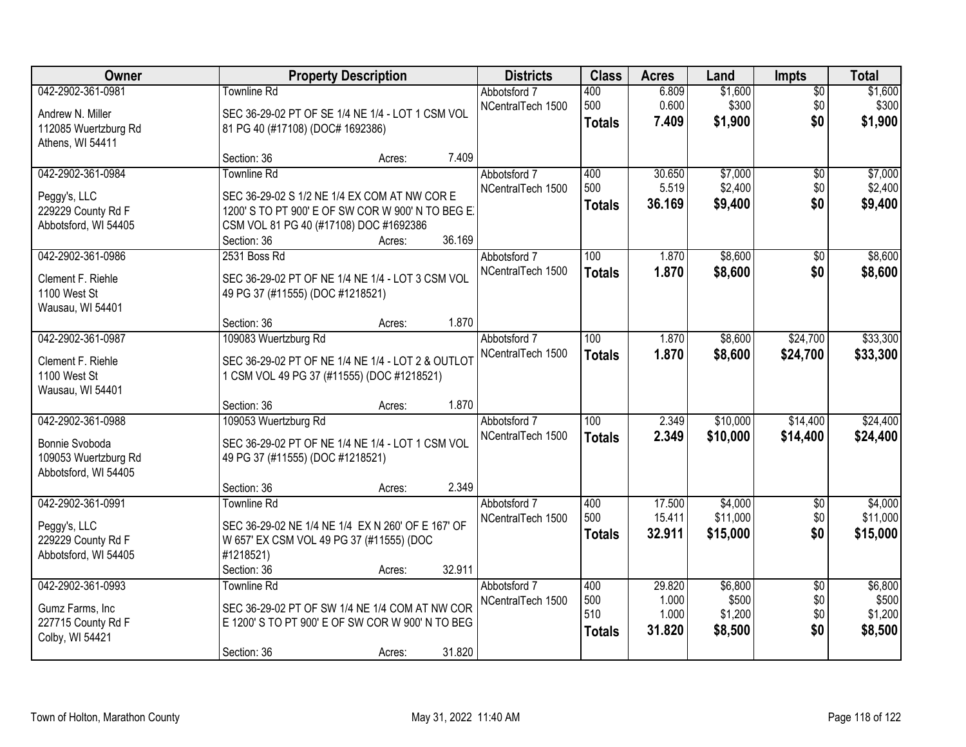| Owner                                                                               | <b>Property Description</b>                                                                                                                                                               | <b>Districts</b>                            | <b>Class</b>                       | <b>Acres</b>                       | Land                                   | <b>Impts</b>                         | <b>Total</b>                           |
|-------------------------------------------------------------------------------------|-------------------------------------------------------------------------------------------------------------------------------------------------------------------------------------------|---------------------------------------------|------------------------------------|------------------------------------|----------------------------------------|--------------------------------------|----------------------------------------|
| 042-2902-361-0981<br>Andrew N. Miller<br>112085 Wuertzburg Rd<br>Athens, WI 54411   | <b>Townline Rd</b><br>SEC 36-29-02 PT OF SE 1/4 NE 1/4 - LOT 1 CSM VOL<br>81 PG 40 (#17108) (DOC# 1692386)                                                                                | Abbotsford 7<br>NCentralTech 1500           | 400<br>500<br><b>Totals</b>        | 6.809<br>0.600<br>7.409            | \$1,600<br>\$300<br>\$1,900            | $\overline{50}$<br>\$0<br>\$0        | \$1,600<br>\$300<br>\$1,900            |
|                                                                                     | Section: 36<br>Acres:                                                                                                                                                                     | 7.409                                       |                                    |                                    |                                        |                                      |                                        |
| 042-2902-361-0984<br>Peggy's, LLC<br>229229 County Rd F<br>Abbotsford, WI 54405     | <b>Townline Rd</b><br>SEC 36-29-02 S 1/2 NE 1/4 EX COM AT NW COR E<br>1200' S TO PT 900' E OF SW COR W 900' N TO BEG E<br>CSM VOL 81 PG 40 (#17108) DOC #1692386<br>Section: 36<br>Acres: | Abbotsford 7<br>NCentralTech 1500<br>36.169 | 400<br>500<br><b>Totals</b>        | 30.650<br>5.519<br>36.169          | \$7,000<br>\$2,400<br>\$9,400          | $\overline{50}$<br>\$0<br>\$0        | \$7,000<br>\$2,400<br>\$9,400          |
| 042-2902-361-0986<br>Clement F. Riehle<br>1100 West St<br>Wausau, WI 54401          | 2531 Boss Rd<br>SEC 36-29-02 PT OF NE 1/4 NE 1/4 - LOT 3 CSM VOL<br>49 PG 37 (#11555) (DOC #1218521)<br>Section: 36<br>Acres:                                                             | Abbotsford 7<br>NCentralTech 1500<br>1.870  | 100<br><b>Totals</b>               | 1.870<br>1.870                     | \$8,600<br>\$8,600                     | $\overline{50}$<br>\$0               | \$8,600<br>\$8,600                     |
| 042-2902-361-0987<br>Clement F. Riehle<br>1100 West St<br>Wausau, WI 54401          | 109083 Wuertzburg Rd<br>SEC 36-29-02 PT OF NE 1/4 NE 1/4 - LOT 2 & OUTLOT<br>1 CSM VOL 49 PG 37 (#11555) (DOC #1218521)<br>Section: 36<br>Acres:                                          | Abbotsford 7<br>NCentralTech 1500<br>1.870  | 100<br><b>Totals</b>               | 1.870<br>1.870                     | \$8,600<br>\$8,600                     | \$24,700<br>\$24,700                 | \$33,300<br>\$33,300                   |
| 042-2902-361-0988<br>Bonnie Svoboda<br>109053 Wuertzburg Rd<br>Abbotsford, WI 54405 | 109053 Wuertzburg Rd<br>SEC 36-29-02 PT OF NE 1/4 NE 1/4 - LOT 1 CSM VOL<br>49 PG 37 (#11555) (DOC #1218521)<br>Section: 36<br>Acres:                                                     | Abbotsford 7<br>NCentralTech 1500<br>2.349  | 100<br><b>Totals</b>               | 2.349<br>2.349                     | \$10,000<br>\$10,000                   | \$14,400<br>\$14,400                 | \$24,400<br>\$24,400                   |
| 042-2902-361-0991<br>Peggy's, LLC<br>229229 County Rd F<br>Abbotsford, WI 54405     | <b>Townline Rd</b><br>SEC 36-29-02 NE 1/4 NE 1/4 EX N 260' OF E 167' OF<br>W 657' EX CSM VOL 49 PG 37 (#11555) (DOC<br>#1218521)<br>Section: 36<br>Acres:                                 | Abbotsford 7<br>NCentralTech 1500<br>32.911 | 400<br>500<br><b>Totals</b>        | 17.500<br>15.411<br>32.911         | \$4,000<br>\$11,000<br>\$15,000        | $\sqrt{6}$<br>\$0<br>\$0             | \$4,000<br>\$11,000<br>\$15,000        |
| 042-2902-361-0993<br>Gumz Farms, Inc<br>227715 County Rd F<br>Colby, WI 54421       | <b>Townline Rd</b><br>SEC 36-29-02 PT OF SW 1/4 NE 1/4 COM AT NW COR<br>E 1200' S TO PT 900' E OF SW COR W 900' N TO BEG<br>Section: 36<br>Acres:                                         | Abbotsford 7<br>NCentralTech 1500<br>31.820 | 400<br>500<br>510<br><b>Totals</b> | 29.820<br>1.000<br>1.000<br>31.820 | \$6,800<br>\$500<br>\$1,200<br>\$8,500 | $\overline{50}$<br>\$0<br>\$0<br>\$0 | \$6,800<br>\$500<br>\$1,200<br>\$8,500 |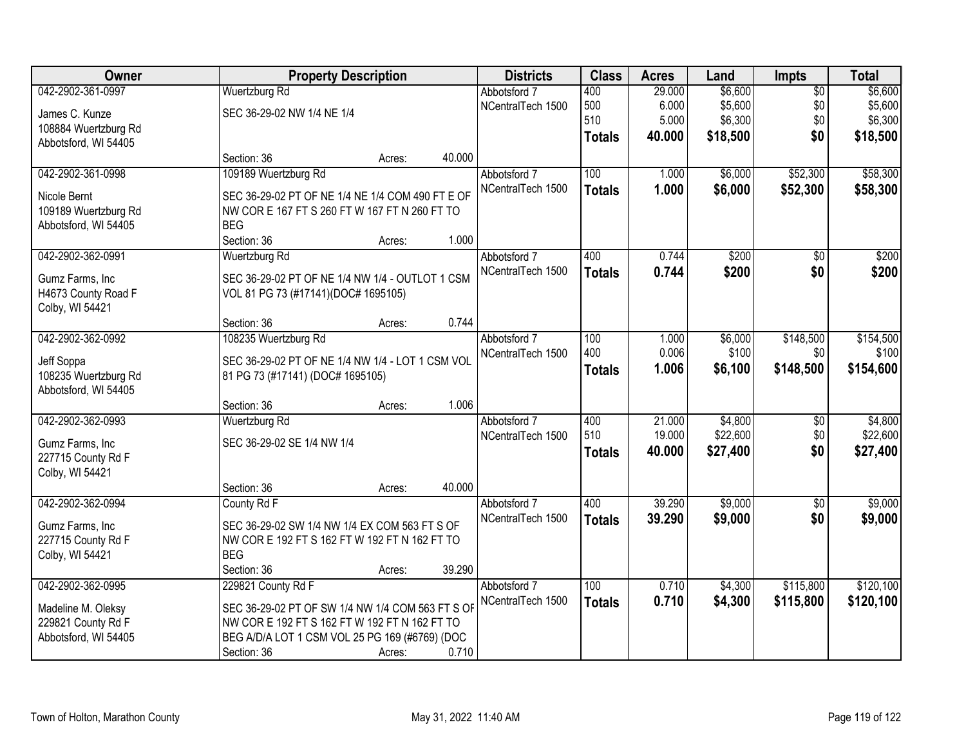| Owner                |                                                  | <b>Property Description</b> |        |                   | <b>Class</b>  | <b>Acres</b> | Land     | <b>Impts</b>    | <b>Total</b> |
|----------------------|--------------------------------------------------|-----------------------------|--------|-------------------|---------------|--------------|----------|-----------------|--------------|
| 042-2902-361-0997    | Wuertzburg Rd                                    |                             |        | Abbotsford 7      | 400           | 29.000       | \$6,600  | $\overline{50}$ | \$6,600      |
| James C. Kunze       | SEC 36-29-02 NW 1/4 NE 1/4                       |                             |        | NCentralTech 1500 | 500           | 6.000        | \$5,600  | \$0             | \$5,600      |
| 108884 Wuertzburg Rd |                                                  |                             |        |                   | 510           | 5.000        | \$6,300  | \$0             | \$6,300      |
| Abbotsford, WI 54405 |                                                  |                             |        |                   | <b>Totals</b> | 40.000       | \$18,500 | \$0             | \$18,500     |
|                      | Section: 36                                      | Acres:                      | 40.000 |                   |               |              |          |                 |              |
| 042-2902-361-0998    | 109189 Wuertzburg Rd                             |                             |        | Abbotsford 7      | 100           | 1.000        | \$6,000  | \$52,300        | \$58,300     |
| Nicole Bernt         | SEC 36-29-02 PT OF NE 1/4 NE 1/4 COM 490 FT E OF |                             |        | NCentralTech 1500 | <b>Totals</b> | 1.000        | \$6,000  | \$52,300        | \$58,300     |
| 109189 Wuertzburg Rd | NW COR E 167 FT S 260 FT W 167 FT N 260 FT TO    |                             |        |                   |               |              |          |                 |              |
| Abbotsford, WI 54405 | <b>BEG</b>                                       |                             |        |                   |               |              |          |                 |              |
|                      | Section: 36                                      | Acres:                      | 1.000  |                   |               |              |          |                 |              |
| 042-2902-362-0991    | Wuertzburg Rd                                    |                             |        | Abbotsford 7      | 400           | 0.744        | \$200    | $\overline{50}$ | \$200        |
| Gumz Farms, Inc      | SEC 36-29-02 PT OF NE 1/4 NW 1/4 - OUTLOT 1 CSM  |                             |        | NCentralTech 1500 | <b>Totals</b> | 0.744        | \$200    | \$0             | \$200        |
| H4673 County Road F  | VOL 81 PG 73 (#17141)(DOC# 1695105)              |                             |        |                   |               |              |          |                 |              |
| Colby, WI 54421      |                                                  |                             |        |                   |               |              |          |                 |              |
|                      | Section: 36                                      | Acres:                      | 0.744  |                   |               |              |          |                 |              |
| 042-2902-362-0992    | 108235 Wuertzburg Rd                             |                             |        | Abbotsford 7      | 100           | 1.000        | \$6,000  | \$148,500       | \$154,500    |
| Jeff Soppa           | SEC 36-29-02 PT OF NE 1/4 NW 1/4 - LOT 1 CSM VOL |                             |        | NCentralTech 1500 | 400           | 0.006        | \$100    | \$0             | \$100        |
| 108235 Wuertzburg Rd | 81 PG 73 (#17141) (DOC# 1695105)                 |                             |        |                   | <b>Totals</b> | 1.006        | \$6,100  | \$148,500       | \$154,600    |
| Abbotsford, WI 54405 |                                                  |                             |        |                   |               |              |          |                 |              |
|                      | Section: 36                                      | Acres:                      | 1.006  |                   |               |              |          |                 |              |
| 042-2902-362-0993    | Wuertzburg Rd                                    |                             |        | Abbotsford 7      | 400           | 21.000       | \$4,800  | \$0             | \$4,800      |
| Gumz Farms, Inc      | SEC 36-29-02 SE 1/4 NW 1/4                       |                             |        | NCentralTech 1500 | 510           | 19.000       | \$22,600 | \$0             | \$22,600     |
| 227715 County Rd F   |                                                  |                             |        |                   | <b>Totals</b> | 40.000       | \$27,400 | \$0             | \$27,400     |
| Colby, WI 54421      |                                                  |                             |        |                   |               |              |          |                 |              |
|                      | Section: 36                                      | Acres:                      | 40.000 |                   |               |              |          |                 |              |
| 042-2902-362-0994    | County Rd F                                      |                             |        | Abbotsford 7      | 400           | 39.290       | \$9,000  | $\sqrt{6}$      | \$9,000      |
| Gumz Farms, Inc      | SEC 36-29-02 SW 1/4 NW 1/4 EX COM 563 FT S OF    |                             |        | NCentralTech 1500 | <b>Totals</b> | 39.290       | \$9,000  | \$0             | \$9,000      |
| 227715 County Rd F   | NW COR E 192 FT S 162 FT W 192 FT N 162 FT TO    |                             |        |                   |               |              |          |                 |              |
| Colby, WI 54421      | <b>BEG</b>                                       |                             |        |                   |               |              |          |                 |              |
|                      | Section: 36                                      | Acres:                      | 39.290 |                   |               |              |          |                 |              |
| 042-2902-362-0995    | 229821 County Rd F                               |                             |        | Abbotsford 7      | 100           | 0.710        | \$4,300  | \$115,800       | \$120,100    |
| Madeline M. Oleksy   | SEC 36-29-02 PT OF SW 1/4 NW 1/4 COM 563 FT S OF |                             |        | NCentralTech 1500 | <b>Totals</b> | 0.710        | \$4,300  | \$115,800       | \$120,100    |
| 229821 County Rd F   | NW COR E 192 FT S 162 FT W 192 FT N 162 FT TO    |                             |        |                   |               |              |          |                 |              |
| Abbotsford, WI 54405 | BEG A/D/A LOT 1 CSM VOL 25 PG 169 (#6769) (DOC   |                             |        |                   |               |              |          |                 |              |
|                      | Section: 36                                      | Acres:                      | 0.710  |                   |               |              |          |                 |              |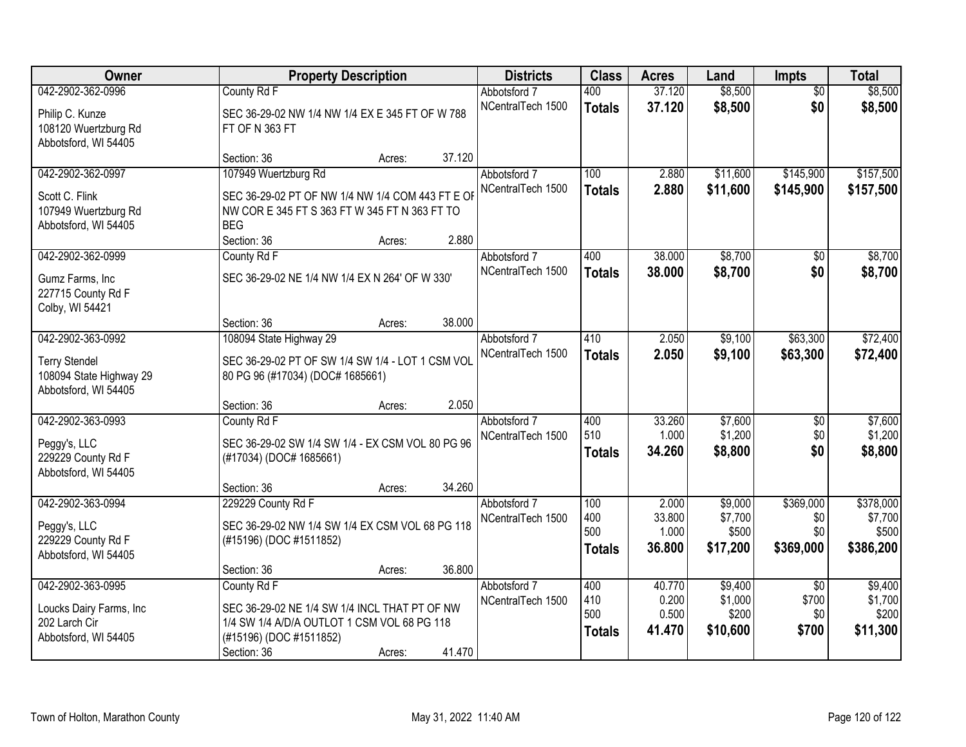| Owner                                                                                        |                                                                                                                                                        | <b>Property Description</b> |        |                                   | <b>Class</b>                       | <b>Acres</b>                       | Land                                    | <b>Impts</b>                             | <b>Total</b>                               |
|----------------------------------------------------------------------------------------------|--------------------------------------------------------------------------------------------------------------------------------------------------------|-----------------------------|--------|-----------------------------------|------------------------------------|------------------------------------|-----------------------------------------|------------------------------------------|--------------------------------------------|
| 042-2902-362-0996<br>Philip C. Kunze<br>108120 Wuertzburg Rd                                 | County Rd F<br>SEC 36-29-02 NW 1/4 NW 1/4 EX E 345 FT OF W 788<br>FT OF N 363 FT                                                                       |                             |        | Abbotsford 7<br>NCentralTech 1500 | 400<br><b>Totals</b>               | 37.120<br>37.120                   | \$8,500<br>\$8,500                      | $\overline{50}$<br>\$0                   | \$8,500<br>\$8,500                         |
| Abbotsford, WI 54405                                                                         | Section: 36                                                                                                                                            | Acres:                      | 37.120 |                                   |                                    |                                    |                                         |                                          |                                            |
| 042-2902-362-0997<br>Scott C. Flink<br>107949 Wuertzburg Rd<br>Abbotsford, WI 54405          | 107949 Wuertzburg Rd<br>SEC 36-29-02 PT OF NW 1/4 NW 1/4 COM 443 FT E OF<br>NW COR E 345 FT S 363 FT W 345 FT N 363 FT TO<br><b>BEG</b><br>Section: 36 |                             | 2.880  | Abbotsford 7<br>NCentralTech 1500 | 100<br><b>Totals</b>               | 2.880<br>2.880                     | \$11,600<br>\$11,600                    | \$145,900<br>\$145,900                   | \$157,500<br>\$157,500                     |
| 042-2902-362-0999<br>Gumz Farms, Inc<br>227715 County Rd F<br>Colby, WI 54421                | County Rd F<br>SEC 36-29-02 NE 1/4 NW 1/4 EX N 264' OF W 330'                                                                                          | Acres:                      |        | Abbotsford 7<br>NCentralTech 1500 | 400<br><b>Totals</b>               | 38.000<br>38.000                   | \$8,700<br>\$8,700                      | \$0<br>\$0                               | \$8,700<br>\$8,700                         |
|                                                                                              | Section: 36                                                                                                                                            | Acres:                      | 38.000 |                                   |                                    |                                    |                                         |                                          |                                            |
| 042-2902-363-0992<br><b>Terry Stendel</b><br>108094 State Highway 29<br>Abbotsford, WI 54405 | 108094 State Highway 29<br>SEC 36-29-02 PT OF SW 1/4 SW 1/4 - LOT 1 CSM VOL<br>80 PG 96 (#17034) (DOC# 1685661)                                        |                             |        | Abbotsford 7<br>NCentralTech 1500 | 410<br><b>Totals</b>               | 2.050<br>2.050                     | \$9,100<br>\$9,100                      | \$63,300<br>\$63,300                     | \$72,400<br>\$72,400                       |
|                                                                                              | Section: 36                                                                                                                                            | Acres:                      | 2.050  |                                   |                                    |                                    |                                         |                                          |                                            |
| 042-2902-363-0993<br>Peggy's, LLC<br>229229 County Rd F<br>Abbotsford, WI 54405              | County Rd F<br>SEC 36-29-02 SW 1/4 SW 1/4 - EX CSM VOL 80 PG 96<br>(#17034) (DOC# 1685661)                                                             |                             |        | Abbotsford 7<br>NCentralTech 1500 | 400<br>510<br><b>Totals</b>        | 33.260<br>1.000<br>34.260          | \$7,600<br>\$1,200<br>\$8,800           | $\overline{50}$<br>\$0<br>\$0            | \$7,600<br>\$1,200<br>\$8,800              |
|                                                                                              | Section: 36                                                                                                                                            | Acres:                      | 34.260 |                                   |                                    |                                    |                                         |                                          |                                            |
| 042-2902-363-0994<br>Peggy's, LLC<br>229229 County Rd F<br>Abbotsford, WI 54405              | 229229 County Rd F<br>SEC 36-29-02 NW 1/4 SW 1/4 EX CSM VOL 68 PG 118<br>(#15196) (DOC #1511852)                                                       |                             |        | Abbotsford 7<br>NCentralTech 1500 | 100<br>400<br>500<br><b>Totals</b> | 2.000<br>33.800<br>1.000<br>36,800 | \$9,000<br>\$7,700<br>\$500<br>\$17,200 | \$369,000<br>\$0<br>\$0<br>\$369,000     | \$378,000<br>\$7,700<br>\$500<br>\$386,200 |
|                                                                                              | Section: 36                                                                                                                                            | Acres:                      | 36.800 |                                   |                                    |                                    |                                         |                                          |                                            |
| 042-2902-363-0995<br>Loucks Dairy Farms, Inc<br>202 Larch Cir<br>Abbotsford, WI 54405        | County Rd F<br>SEC 36-29-02 NE 1/4 SW 1/4 INCL THAT PT OF NW<br>1/4 SW 1/4 A/D/A OUTLOT 1 CSM VOL 68 PG 118<br>(#15196) (DOC #1511852)<br>Section: 36  | Acres:                      | 41.470 | Abbotsford 7<br>NCentralTech 1500 | 400<br>410<br>500<br><b>Totals</b> | 40.770<br>0.200<br>0.500<br>41.470 | \$9,400<br>\$1,000<br>\$200<br>\$10,600 | $\overline{50}$<br>\$700<br>\$0<br>\$700 | \$9,400<br>\$1,700<br>\$200<br>\$11,300    |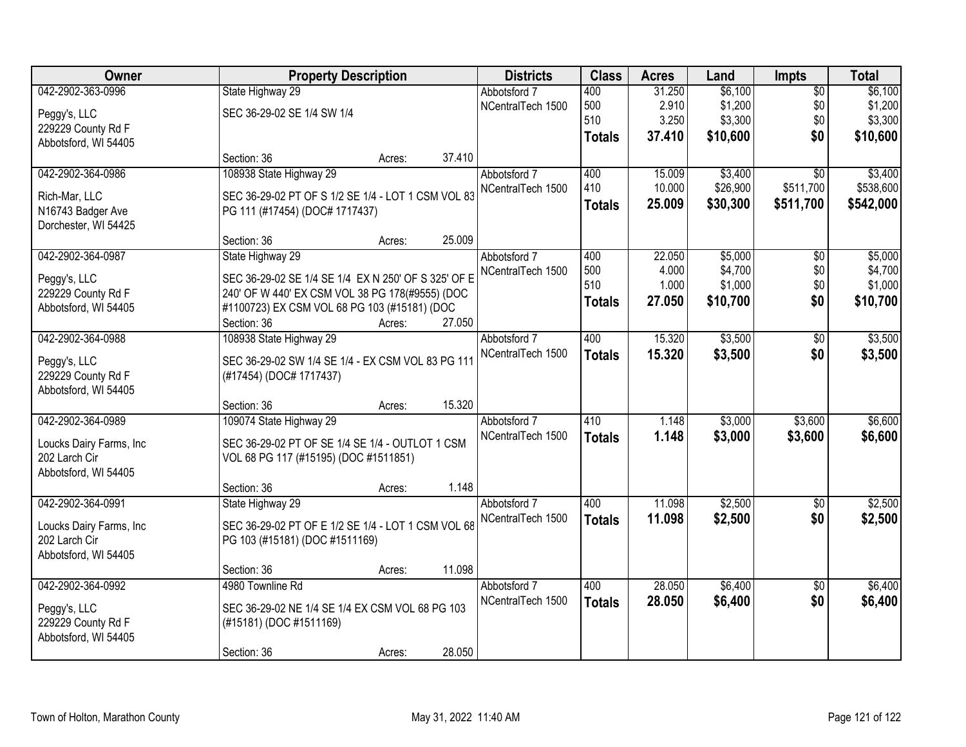| Owner                              |                                                     | <b>Property Description</b>    |        |                   | <b>Class</b>  | <b>Acres</b> | Land     | Impts           | <b>Total</b> |
|------------------------------------|-----------------------------------------------------|--------------------------------|--------|-------------------|---------------|--------------|----------|-----------------|--------------|
| 042-2902-363-0996                  | State Highway 29                                    |                                |        | Abbotsford 7      | 400           | 31.250       | \$6,100  | $\overline{50}$ | \$6,100      |
| Peggy's, LLC                       | SEC 36-29-02 SE 1/4 SW 1/4                          |                                |        | NCentralTech 1500 | 500           | 2.910        | \$1,200  | \$0             | \$1,200      |
| 229229 County Rd F                 |                                                     |                                |        |                   | 510           | 3.250        | \$3,300  | \$0             | \$3,300      |
| Abbotsford, WI 54405               |                                                     |                                |        |                   | <b>Totals</b> | 37.410       | \$10,600 | \$0             | \$10,600     |
|                                    | Section: 36                                         | Acres:                         | 37.410 |                   |               |              |          |                 |              |
| 042-2902-364-0986                  | 108938 State Highway 29                             |                                |        | Abbotsford 7      | 400           | 15.009       | \$3,400  | $\overline{30}$ | \$3,400      |
| Rich-Mar, LLC                      | SEC 36-29-02 PT OF S 1/2 SE 1/4 - LOT 1 CSM VOL 83  |                                |        | NCentralTech 1500 | 410           | 10.000       | \$26,900 | \$511,700       | \$538,600    |
| N16743 Badger Ave                  |                                                     | PG 111 (#17454) (DOC# 1717437) |        |                   | <b>Totals</b> | 25.009       | \$30,300 | \$511,700       | \$542,000    |
| Dorchester, WI 54425               |                                                     |                                |        |                   |               |              |          |                 |              |
|                                    | Section: 36                                         | Acres:                         | 25.009 |                   |               |              |          |                 |              |
| 042-2902-364-0987                  | State Highway 29                                    |                                |        | Abbotsford 7      | 400           | 22.050       | \$5,000  | \$0             | \$5,000      |
| Peggy's, LLC                       | SEC 36-29-02 SE 1/4 SE 1/4 EX N 250' OF S 325' OF E |                                |        | NCentralTech 1500 | 500           | 4.000        | \$4,700  | \$0             | \$4,700      |
| 229229 County Rd F                 | 240' OF W 440' EX CSM VOL 38 PG 178(#9555) (DOC     |                                |        |                   | 510           | 1.000        | \$1,000  | \$0             | \$1,000      |
| Abbotsford, WI 54405               | #1100723) EX CSM VOL 68 PG 103 (#15181) (DOC        |                                |        |                   | <b>Totals</b> | 27.050       | \$10,700 | \$0             | \$10,700     |
|                                    | Section: 36                                         | Acres:                         | 27.050 |                   |               |              |          |                 |              |
| 042-2902-364-0988                  | 108938 State Highway 29                             |                                |        | Abbotsford 7      | 400           | 15.320       | \$3,500  | \$0             | \$3,500      |
|                                    |                                                     |                                |        | NCentralTech 1500 | <b>Totals</b> | 15.320       | \$3,500  | \$0             | \$3,500      |
| Peggy's, LLC<br>229229 County Rd F | SEC 36-29-02 SW 1/4 SE 1/4 - EX CSM VOL 83 PG 111   |                                |        |                   |               |              |          |                 |              |
| Abbotsford, WI 54405               | (#17454) (DOC# 1717437)                             |                                |        |                   |               |              |          |                 |              |
|                                    | Section: 36                                         | Acres:                         | 15.320 |                   |               |              |          |                 |              |
| 042-2902-364-0989                  | 109074 State Highway 29                             |                                |        | Abbotsford 7      | 410           | 1.148        | \$3,000  | \$3,600         | \$6,600      |
|                                    |                                                     |                                |        | NCentralTech 1500 | <b>Totals</b> | 1.148        | \$3,000  | \$3,600         | \$6,600      |
| Loucks Dairy Farms, Inc            | SEC 36-29-02 PT OF SE 1/4 SE 1/4 - OUTLOT 1 CSM     |                                |        |                   |               |              |          |                 |              |
| 202 Larch Cir                      | VOL 68 PG 117 (#15195) (DOC #1511851)               |                                |        |                   |               |              |          |                 |              |
| Abbotsford, WI 54405               |                                                     |                                |        |                   |               |              |          |                 |              |
|                                    | Section: 36                                         | Acres:                         | 1.148  |                   |               |              |          |                 |              |
| 042-2902-364-0991                  | State Highway 29                                    |                                |        | Abbotsford 7      | 400           | 11.098       | \$2,500  | $\overline{50}$ | \$2,500      |
| Loucks Dairy Farms, Inc            | SEC 36-29-02 PT OF E 1/2 SE 1/4 - LOT 1 CSM VOL 68  |                                |        | NCentralTech 1500 | <b>Totals</b> | 11.098       | \$2,500  | \$0             | \$2,500      |
| 202 Larch Cir                      | PG 103 (#15181) (DOC #1511169)                      |                                |        |                   |               |              |          |                 |              |
| Abbotsford, WI 54405               |                                                     |                                |        |                   |               |              |          |                 |              |
|                                    | Section: 36                                         | Acres:                         | 11.098 |                   |               |              |          |                 |              |
| 042-2902-364-0992                  | 4980 Townline Rd                                    |                                |        | Abbotsford 7      | 400           | 28.050       | \$6,400  | $\overline{50}$ | \$6,400      |
| Peggy's, LLC                       | SEC 36-29-02 NE 1/4 SE 1/4 EX CSM VOL 68 PG 103     |                                |        | NCentralTech 1500 | <b>Totals</b> | 28.050       | \$6,400  | \$0             | \$6,400      |
| 229229 County Rd F                 | (#15181) (DOC #1511169)                             |                                |        |                   |               |              |          |                 |              |
| Abbotsford, WI 54405               |                                                     |                                |        |                   |               |              |          |                 |              |
|                                    | Section: 36                                         | Acres:                         | 28.050 |                   |               |              |          |                 |              |